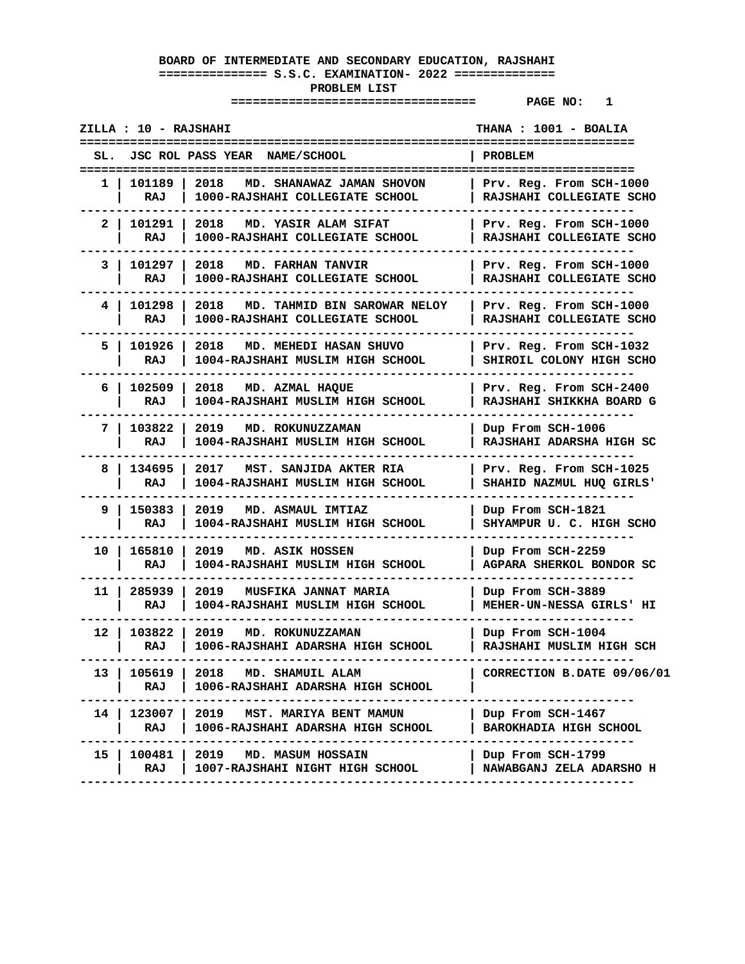|      | ZILLA : 10 - RAJSHAHI |                                                                           | THANA : 1001 - BOALIA                               |
|------|-----------------------|---------------------------------------------------------------------------|-----------------------------------------------------|
| SL.  |                       | JSC ROL PASS YEAR NAME/SCHOOL                                             | PROBLEM                                             |
| 1.   | 101189<br>RAJ         | 2018<br>MD. SHANAWAZ JAMAN SHOVON<br>1000-RAJSHAHI COLLEGIATE SCHOOL      | Prv. Reg. From SCH-1000<br>RAJSHAHI COLLEGIATE SCHO |
| 2    | 101291<br>RAJ         | 2018<br>MD. YASIR ALAM SIFAT<br>1000-RAJSHAHI COLLEGIATE SCHOOL           | Prv. Reg. From SCH-1000<br>RAJSHAHI COLLEGIATE SCHO |
| 3    | 101297<br>RAJ         | 2018<br>MD. FARHAN TANVIR<br>1000-RAJSHAHI COLLEGIATE SCHOOL              | Prv. Reg. From SCH-1000<br>RAJSHAHI COLLEGIATE SCHO |
| 4 I  | 101298<br>RAJ         | 2018<br>MD. TAHMID BIN SAROWAR NELOY<br>1000-RAJSHAHI COLLEGIATE SCHOOL   | Prv. Reg. From SCH-1000<br>RAJSHAHI COLLEGIATE SCHO |
| 5.   | 101926<br>RAJ         | 2018<br>MD. MEHEDI HASAN SHUVO<br>1004-RAJSHAHI MUSLIM HIGH SCHOOL        | Prv. Reg. From SCH-1032<br>SHIROIL COLONY HIGH SCHO |
| 6    | 102509<br>RAJ         | 2018<br>MD. AZMAL HAQUE<br>1004-RAJSHAHI MUSLIM HIGH SCHOOL               | Prv. Reg. From SCH-2400<br>RAJSHAHI SHIKKHA BOARD G |
| 7    | 103822<br>RAJ         | 2019<br>MD. ROKUNUZZAMAN<br>1004-RAJSHAHI MUSLIM HIGH SCHOOL              | Dup From SCH-1006<br>RAJSHAHI ADARSHA HIGH SC       |
| 8    | 134695<br>RAJ         | 2017<br>MST. SANJIDA AKTER RIA<br>1004-RAJSHAHI MUSLIM HIGH SCHOOL        | Prv. Reg. From SCH-1025<br>SHAHID NAZMUL HUQ GIRLS' |
| 9    | 150383<br>RAJ         | 2019<br>MD. ASMAUL IMTIAZ<br>1004-RAJSHAHI MUSLIM HIGH SCHOOL             | Dup From SCH-1821<br>SHYAMPUR U. C. HIGH SCHO       |
| 10   | 165810<br>RAJ         | 2019<br>MD. ASIK HOSSEN<br>1004-RAJSHAHI MUSLIM HIGH SCHOOL               | Dup From SCH-2259<br>AGPARA SHERKOL BONDOR SC       |
| 11 I | 285939<br>RAJ         | 2019<br><b>MUSFIKA JANNAT MARIA</b><br>1004-RAJSHAHI MUSLIM HIGH SCHOOL   | Dup From SCH-3889<br>MEHER-UN-NESSA GIRLS' HI       |
| 12   | 103822<br>RAJ         | 2019<br>MD. ROKUNUZZAMAN<br>1006-RAJSHAHI ADARSHA HIGH SCHOOL             | Dup From SCH-1004<br>RAJSHAHI MUSLIM HIGH SCH       |
| 13   | 105619<br>RAJ         | 2018 MD. SHAMUIL ALAM<br>1006-RAJSHAHI ADARSHA HIGH SCHOOL                | CORRECTION B.DATE 09/06/01                          |
| 14 I | RAJ                   | 123007   2019 MST. MARIYA BENT MAMUN<br>1006-RAJSHAHI ADARSHA HIGH SCHOOL | Dup From SCH-1467<br><b>BAROKHADIA HIGH SCHOOL</b>  |
| 15 I | 100481  <br>RAJ       | 2019<br>MD. MASUM HOSSAIN<br>1007-RAJSHAHI NIGHT HIGH SCHOOL              | Dup From SCH-1799<br>NAWABGANJ ZELA ADARSHO H       |
|      |                       |                                                                           |                                                     |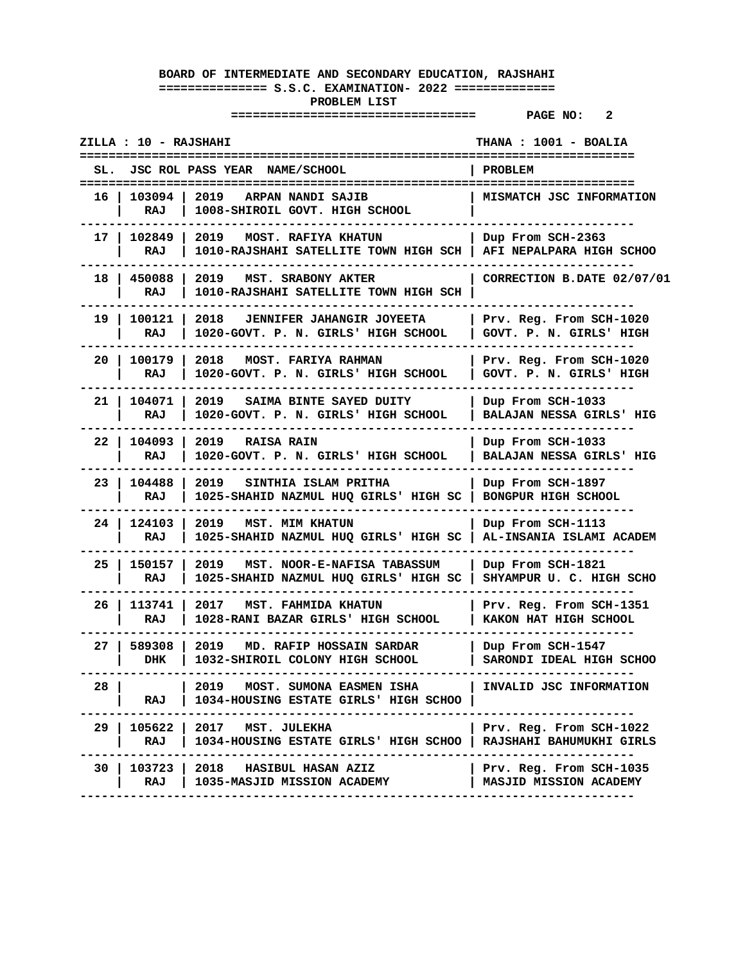|      | ZILLA : 10 - RAJSHAHI |                                                                                 | <b>THANA : 1001 - BOALIA</b><br>---------------------    |
|------|-----------------------|---------------------------------------------------------------------------------|----------------------------------------------------------|
| SL.  |                       | JSC ROL PASS YEAR NAME/SCHOOL                                                   | <b>PROBLEM</b><br>====================                   |
| 16   | 103094<br>RAJ         | 2019<br>ARPAN NANDI SAJIB<br>1008-SHIROIL GOVT. HIGH SCHOOL                     | MISMATCH JSC INFORMATION                                 |
| 17   | 102849<br>RAJ         | 2019<br><b>MOST. RAFIYA KHATUN</b><br>1010-RAJSHAHI SATELLITE TOWN HIGH SCH     | Dup From SCH-2363<br>AFI NEPALPARA HIGH SCHOO            |
| 18   | 450088<br>RAJ         | 2019<br>MST. SRABONY AKTER<br>1010-RAJSHAHI SATELLITE TOWN HIGH SCH             | CORRECTION B.DATE 02/07/01                               |
| 19.  | 100121<br>RAJ         | 2018<br><b>JENNIFER JAHANGIR JOYEETA</b><br>1020-GOVT. P. N. GIRLS' HIGH SCHOOL | Prv. Reg. From SCH-1020<br>GOVT. P. N. GIRLS' HIGH       |
| 20   | 100179<br>RAJ         | 2018<br><b>MOST. FARIYA RAHMAN</b><br>1020-GOVT. P. N. GIRLS' HIGH SCHOOL       | Prv. Reg. From SCH-1020<br>GOVT. P. N. GIRLS' HIGH       |
| 21 I | 104071<br>RAJ         | 2019<br>SAIMA BINTE SAYED DUITY<br>1020-GOVT. P. N. GIRLS' HIGH SCHOOL          | Dup From SCH-1033<br>BALAJAN NESSA GIRLS' HIG            |
| 22   | 104093<br>RAJ         | 2019<br><b>RAISA RAIN</b><br>1020-GOVT. P. N. GIRLS' HIGH SCHOOL                | Dup From SCH-1033<br>BALAJAN NESSA GIRLS' HIG            |
| 23   | 104488<br>RAJ         | 2019<br>SINTHIA ISLAM PRITHA<br>1025-SHAHID NAZMUL HUQ GIRLS' HIGH SC           | Dup From SCH-1897<br>BONGPUR HIGH SCHOOL                 |
| 24   | 124103<br>RAJ         | <b>MST. MIM KHATUN</b><br>2019<br>1025-SHAHID NAZMUL HUQ GIRLS' HIGH SC         | Dup From SCH-1113<br>AL-INSANIA ISLAMI ACADEM            |
| 25   | 150157<br>RAJ         | 2019<br>MST. NOOR-E-NAFISA TABASSUM<br>1025-SHAHID NAZMUL HUQ GIRLS' HIGH SC    | Dup From SCH-1821<br>SHYAMPUR U. C. HIGH SCHO            |
| 26   | 113741<br>RAJ         | 2017<br>MST. FAHMIDA KHATUN<br>1028-RANI BAZAR GIRLS' HIGH SCHOOL               | Prv. Reg. From SCH-1351<br>KAKON HAT HIGH SCHOOL         |
| 27   | 589308<br>DHK         | 2019<br>MD. RAFIP HOSSAIN SARDAR<br>1032-SHIROIL COLONY HIGH SCHOOL             | Dup From SCH-1547<br>SARONDI IDEAL HIGH SCHOO            |
| 28   | RAJ                   | MOST. SUMONA EASMEN ISHA<br>2019<br>1034-HOUSING ESTATE GIRLS' HIGH SCHOO       | INVALID JSC INFORMATION                                  |
| 29.  | 105622<br>RAJ         | 2017<br>MST. JULEKHA<br>1034-HOUSING ESTATE GIRLS' HIGH SCHOO                   | Prv. Reg. From SCH-1022<br>RAJSHAHI BAHUMUKHI GIRLS      |
| 30   | 103723<br>RAJ         | 2018<br><b>HASIBUL HASAN AZIZ</b><br>1035-MASJID MISSION ACADEMY                | Prv. Reg. From SCH-1035<br><b>MASJID MISSION ACADEMY</b> |
|      |                       |                                                                                 |                                                          |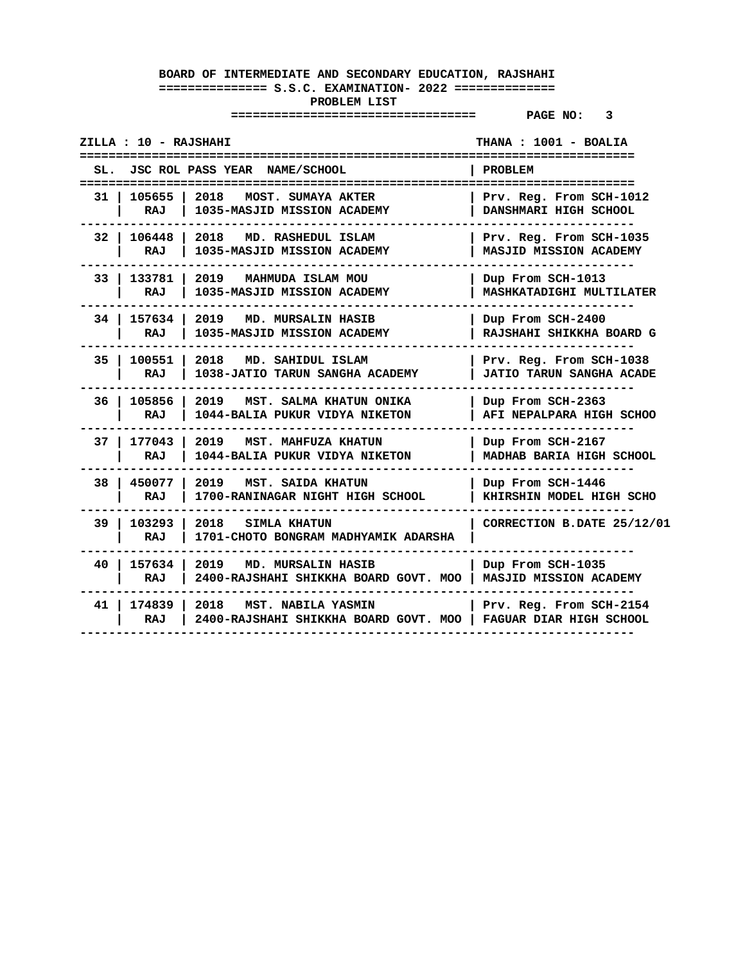| ZILLA : 10 - RAJSHAHI       |                                                                                                          | THANA: 1001 - BOALIA                                       |
|-----------------------------|----------------------------------------------------------------------------------------------------------|------------------------------------------------------------|
|                             | SL. JSC ROL PASS YEAR NAME/SCHOOL                                                                        | PROBLEM                                                    |
| 31   105655   2018<br>RAJ l | <b>MOST. SUMAYA AKTER</b><br>1035-MASJID MISSION ACADEMY                                                 | Prv. Reg. From SCH-1012<br><b>DANSHMARI HIGH SCHOOL</b>    |
| RAJ I                       | 32   106448   2018 MD. RASHEDUL ISLAM<br>1035-MASJID MISSION ACADEMY                                     | Prv. Reg. From SCH-1035<br><b>MASJID MISSION ACADEMY</b>   |
| RAJ                         | 33   133781   2019 MAHMUDA ISLAM MOU<br>1035-MASJID MISSION ACADEMY                                      | Dup From SCH-1013<br>MASHKATADIGHI MULTILATER              |
| RAJ                         | 34   157634   2019 MD. MURSALIN HASIB<br>1035-MASJID MISSION ACADEMY                                     | Dup From SCH-2400<br>RAJSHAHI SHIKKHA BOARD G              |
| RAJ                         | 35   100551   2018 MD. SAHIDUL ISLAM<br>1038-JATIO TARUN SANGHA ACADEMY                                  | Prv. Reg. From SCH-1038<br><b>JATIO TARUN SANGHA ACADE</b> |
| RAJ                         | 36   105856   2019 MST. SALMA KHATUN ONIKA<br>1044-BALIA PUKUR VIDYA NIKETON                             | Dup From SCH-2363<br>AFI NEPALPARA HIGH SCHOO              |
| RAJ                         | 37   177043   2019 MST. MAHFUZA KHATUN<br>1044-BALIA PUKUR VIDYA NIKETON                                 | Dup From SCH-2167<br>MADHAB BARIA HIGH SCHOOL              |
| RAJ                         | 38   450077   2019 MST. SAIDA KHATUN<br>1700-RANINAGAR NIGHT HIGH SCHOOL                                 | Dup From SCH-1446<br>KHIRSHIN MODEL HIGH SCHO              |
| RAJ                         | 39   103293   2018 SIMLA KHATUN<br>1701-CHOTO BONGRAM MADHYAMIK ADARSHA                                  | CORRECTION B.DATE 25/12/01                                 |
| RAJ                         | 40   157634   2019 MD. MURSALIN HASIB<br>2400-RAJSHAHI SHIKKHA BOARD GOVT. MOO   MASJID MISSION ACADEMY  | Dup From SCH-1035                                          |
| RAJ                         | 41   174839   2018 MST. NABILA YASMIN<br>2400-RAJSHAHI SHIKKHA BOARD GOVT. MOO   FAGUAR DIAR HIGH SCHOOL | Prv. Reg. From SCH-2154                                    |
|                             |                                                                                                          |                                                            |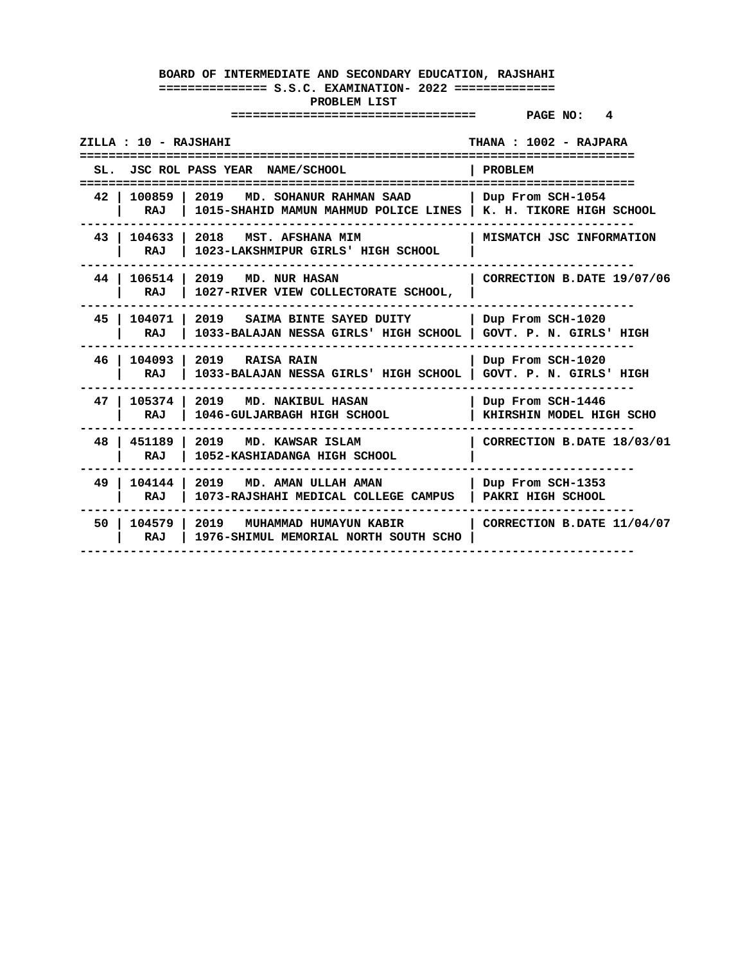| THANA: 1002 - RAJPARA<br>ZILLA : 10 - RAJSHAHI<br>----------------------------<br>:======================<br>=========================== |                                                                                                  |                                               |  |
|------------------------------------------------------------------------------------------------------------------------------------------|--------------------------------------------------------------------------------------------------|-----------------------------------------------|--|
|                                                                                                                                          | SL. JSC ROL PASS YEAR NAME/SCHOOL                                                                | <b>PROBLEM</b>                                |  |
| 100859 l<br>42<br>RAJ                                                                                                                    | 2019 MD. SOHANUR RAHMAN SAAD<br>1015-SHAHID MAMUN MAHMUD POLICE LINES   K. H. TIKORE HIGH SCHOOL | Dup From SCH-1054                             |  |
| 104633<br>43<br>RAJ                                                                                                                      | l 2018<br>MST. AFSHANA MIM<br>1023-LAKSHMIPUR GIRLS' HIGH SCHOOL                                 | MISMATCH JSC INFORMATION                      |  |
| 44 I<br>RAJ                                                                                                                              | 106514 2019 MD. NUR HASAN<br>1027-RIVER VIEW COLLECTORATE SCHOOL,                                | CORRECTION B.DATE 19/07/06                    |  |
| 45<br>104071<br>RAJ                                                                                                                      | 2019 SAIMA BINTE SAYED DUITY<br>1033-BALAJAN NESSA GIRLS' HIGH SCHOOL                            | Dup From SCH-1020<br>GOVT. P. N. GIRLS' HIGH  |  |
| 46 I<br>104093<br>RAJ                                                                                                                    | 2019 RAISA RAIN<br>1033-BALAJAN NESSA GIRLS' HIGH SCHOOL                                         | Dup From SCH-1020<br>GOVT. P. N. GIRLS' HIGH  |  |
| 47 I<br>105374 l<br>RAJ                                                                                                                  | 2019 MD. NAKIBUL HASAN<br>1046-GULJARBAGH HIGH SCHOOL                                            | Dup From SCH-1446<br>KHIRSHIN MODEL HIGH SCHO |  |
| 48<br>  451189<br>RAJ                                                                                                                    | 2019 MD. KAWSAR ISLAM<br>1052-KASHIADANGA HIGH SCHOOL                                            | CORRECTION B.DATE 18/03/01                    |  |
| 49<br>104144<br>RAJ                                                                                                                      | 2019 ND. AMAN ULLAH AMAN<br>1073-RAJSHAHI MEDICAL COLLEGE CAMPUS                                 | Dup From SCH-1353<br>PAKRI HIGH SCHOOL        |  |
| 50<br>RAJ                                                                                                                                | 104579   2019 MUHAMMAD HUMAYUN KABIR<br>1976-SHIMUL MEMORIAL NORTH SOUTH SCHO                    | CORRECTION B.DATE 11/04/07                    |  |
|                                                                                                                                          |                                                                                                  |                                               |  |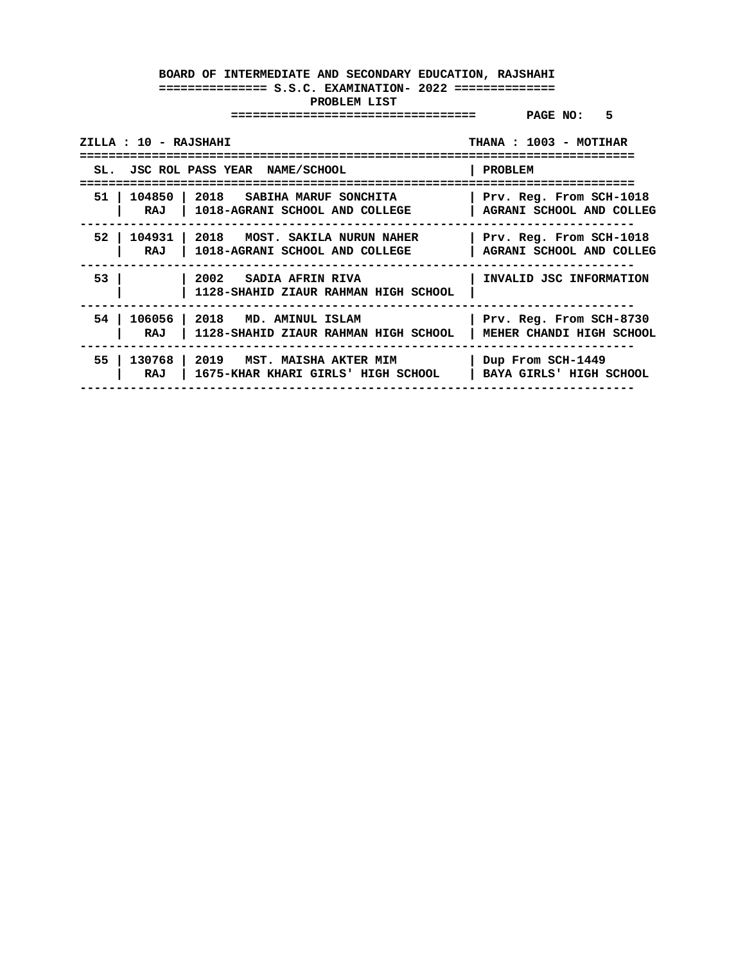| ZILLA : 10 - RAJSHAHI |                                                                                                   | THANA: 1003 - MOTIHAR                                      |
|-----------------------|---------------------------------------------------------------------------------------------------|------------------------------------------------------------|
|                       | SL. JSC ROL PASS YEAR NAME/SCHOOL                                                                 | PROBLEM                                                    |
| 51 I                  | 104850   2018 GABIHA MARUF SONCHITA<br>RAJ   1018-AGRANI SCHOOL AND COLLEGE                       | Prv. Reg. From SCH-1018<br><b>AGRANI SCHOOL AND COLLEG</b> |
| 52<br>RAJ             | 104931   2018   MOST. SAKILA NURUN NAHER<br>  1018-AGRANI SCHOOL AND COLLEGE                      | Prv. Reg. From SCH-1018<br>AGRANI SCHOOL AND COLLEG        |
| 53                    | 2002 SADIA AFRIN RIVA<br>1128-SHAHID ZIAUR RAHMAN HIGH SCHOOL                                     | INVALID JSC INFORMATION                                    |
| 54 I<br>RAJ           | 106056 2018 MD. AMINUL ISLAM<br>  1128-SHAHID ZIAUR RAHMAN HIGH SCHOOL   MEHER CHANDI HIGH SCHOOL | Prv. Reg. From SCH-8730                                    |
| 55 I<br>RAJ           | 130768   2019   MST. MAISHA AKTER MIM<br>  1675-KHAR KHARI GIRLS' HIGH SCHOOL                     | Dup From SCH-1449<br>  BAYA GIRLS' HIGH SCHOOL             |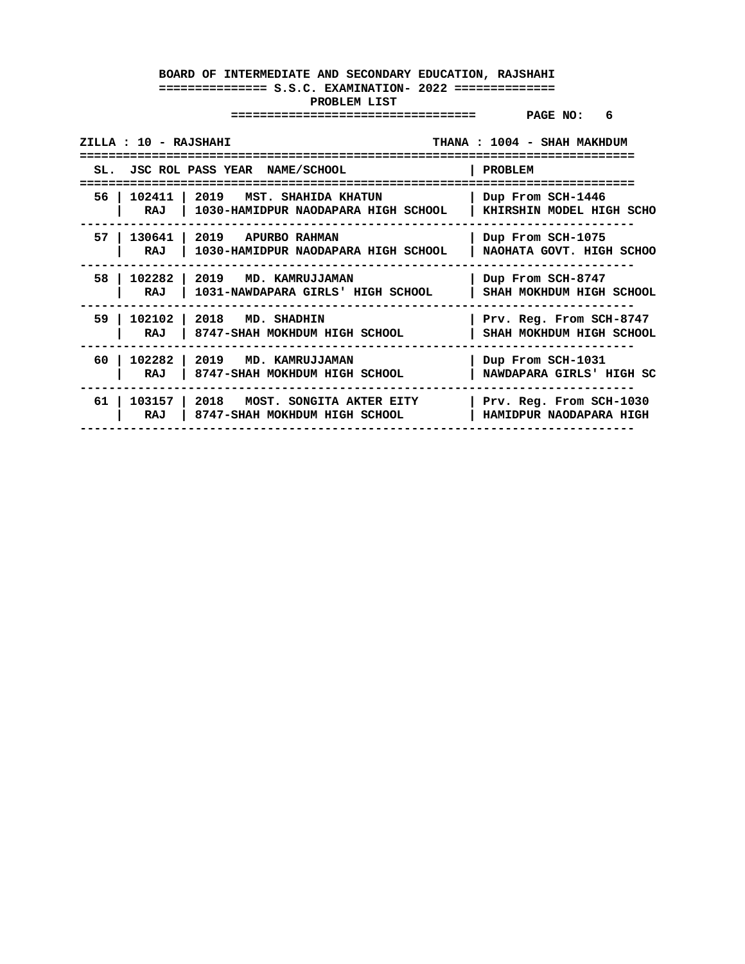|     | ZILLA : 10 - RAJSHAHI |                                                                            | THANA: 1004 - SHAH MAKHDUM                          |
|-----|-----------------------|----------------------------------------------------------------------------|-----------------------------------------------------|
|     |                       | SL. JSC ROL PASS YEAR NAME/SCHOOL                                          | <b>PROBLEM</b>                                      |
| 56. | RAJ                   | 102411   2019   MST. SHAHIDA KHATUN<br>1030-HAMIDPUR NAODAPARA HIGH SCHOOL | Dup From SCH-1446<br>KHIRSHIN MODEL HIGH SCHO       |
| 57. | RAJ                   | 130641   2019 APURBO RAHMAN<br>1030-HAMIDPUR NAODAPARA HIGH SCHOOL         | Dup From SCH-1075<br>NAOHATA GOVT. HIGH SCHOO       |
| 58. | RAJ                   | 102282   2019 MD. KAMRUJJAMAN<br>1031-NAWDAPARA GIRLS' HIGH SCHOOL         | Dup From SCH-8747<br>SHAH MOKHDUM HIGH SCHOOL       |
| 59  | RAJ                   | 102102   2018 MD. SHADHIN<br>8747-SHAH MOKHDUM HIGH SCHOOL                 | Prv. Reg. From SCH-8747<br>SHAH MOKHDUM HIGH SCHOOL |
| 60. | RAJ                   | 102282 2019 MD. KAMRUJJAMAN<br>8747-SHAH MOKHDUM HIGH SCHOOL               | Dup From SCH-1031<br>NAWDAPARA GIRLS' HIGH SC       |
| 61  | RAJ                   | $103157$   2018 MOST. SONGITA AKTER EITY<br>8747-SHAH MOKHDUM HIGH SCHOOL  | Prv. Reg. From SCH-1030<br>HAMIDPUR NAODAPARA HIGH  |
|     |                       |                                                                            |                                                     |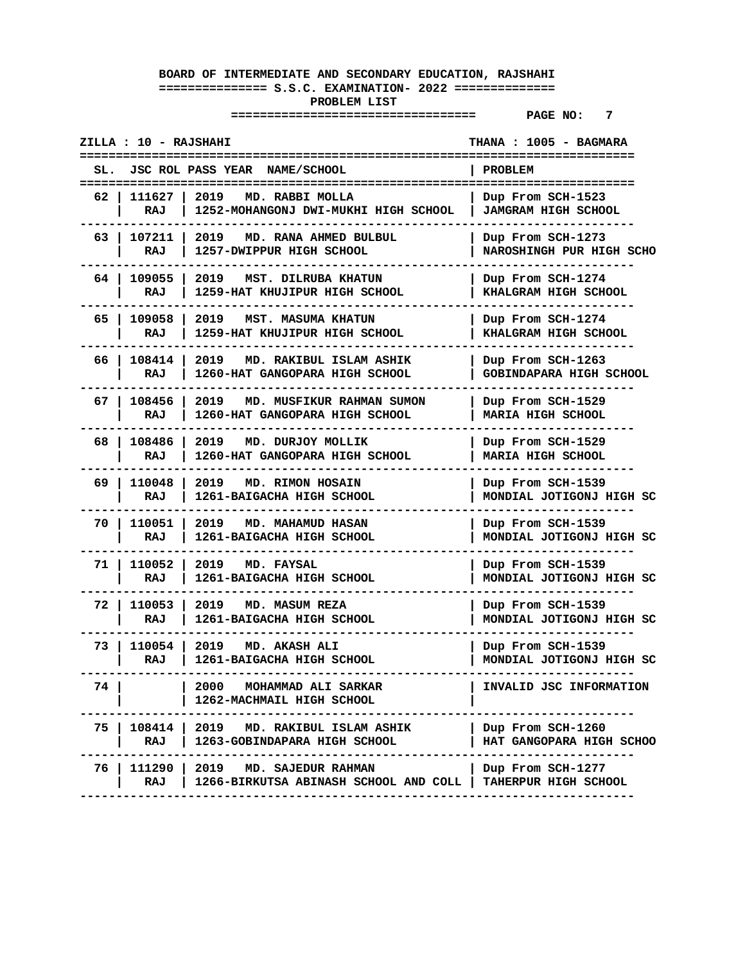|      | ZILLA : 10 - RAJSHAHI | ======================<br>=========                                                        | THANA : 1005 - BAGMARA                          |
|------|-----------------------|--------------------------------------------------------------------------------------------|-------------------------------------------------|
|      |                       | SL. JSC ROL PASS YEAR NAME/SCHOOL                                                          | <b>PROBLEM</b><br>====================          |
| 62 I | 111627 l<br>RAJ       | 2019<br>MD. RABBI MOLLA<br>1252-MOHANGONJ DWI-MUKHI HIGH SCHOOL                            | Dup From SCH-1523<br><b>JAMGRAM HIGH SCHOOL</b> |
| 63   | 107211<br>RAJ         | 2019<br>MD. RANA AHMED BULBUL<br>1257-DWIPPUR HIGH SCHOOL                                  | Dup From SCH-1273<br>NAROSHINGH PUR HIGH SCHO   |
| 64 I | 109055<br>RAJ         | 2019<br>MST. DILRUBA KHATUN<br>1259-HAT KHUJIPUR HIGH SCHOOL                               | Dup From SCH-1274<br>KHALGRAM HIGH SCHOOL       |
| 65 I | 109058<br>RAJ         | 2019<br>MST. MASUMA KHATUN<br>1259-HAT KHUJIPUR HIGH SCHOOL                                | Dup From SCH-1274<br>KHALGRAM HIGH SCHOOL       |
|      | RAJ                   | 66   108414   2019 MD. RAKIBUL ISLAM ASHIK<br>1260-HAT GANGOPARA HIGH SCHOOL               | Dup From SCH-1263<br>GOBINDAPARA HIGH SCHOOL    |
| 67 I | 108456<br>RAJ         | 2019<br>MD. MUSFIKUR RAHMAN SUMON<br>1260-HAT GANGOPARA HIGH SCHOOL                        | Dup From SCH-1529<br>MARIA HIGH SCHOOL          |
| 68 I | 108486<br>RAJ         | 2019<br>MD. DURJOY MOLLIK<br>1260-HAT GANGOPARA HIGH SCHOOL                                | Dup From SCH-1529<br><b>MARIA HIGH SCHOOL</b>   |
| 69 I | 110048<br>RAJ         | 2019<br><b>MD. RIMON HOSAIN</b><br>1261-BAIGACHA HIGH SCHOOL                               | Dup From SCH-1539<br>MONDIAL JOTIGONJ HIGH SC   |
| 70.  | 110051<br>RAJ         | 2019<br>MD. MAHAMUD HASAN<br>1261-BAIGACHA HIGH SCHOOL                                     | Dup From SCH-1539<br>MONDIAL JOTIGONJ HIGH SC   |
| 71 I | 110052<br>RAJ         | 2019 MD. FAYSAL<br>1261-BAIGACHA HIGH SCHOOL                                               | Dup From SCH-1539<br>MONDIAL JOTIGONJ HIGH SC   |
| 72 I | 110053<br>RAJ         | 2019<br>MD. MASUM REZA<br>1261-BAIGACHA HIGH SCHOOL                                        | Dup From SCH-1539<br>MONDIAL JOTIGONJ HIGH SC   |
| 73 I | 110054<br>RAJ         | 2019<br>MD. AKASH ALI<br>1261-BAIGACHA HIGH SCHOOL                                         | Dup From SCH-1539<br>MONDIAL JOTIGONJ HIGH SC   |
| 74.  |                       | MOHAMMAD ALI SARKAR<br>2000 —<br>1262-MACHMAIL HIGH SCHOOL                                 | INVALID JSC INFORMATION                         |
| 75 I | RAJ                   | 108414   2019<br>MD. RAKIBUL ISLAM ASHIK<br>1263-GOBINDAPARA HIGH SCHOOL                   | Dup From SCH-1260<br>HAT GANGOPARA HIGH SCHOO   |
| 76 I | 111290  <br>RAJ       | 2019<br>MD. SAJEDUR RAHMAN<br>1266-BIRKUTSA ABINASH SCHOOL AND COLL   TAHERPUR HIGH SCHOOL | Dup From SCH-1277                               |
|      |                       |                                                                                            |                                                 |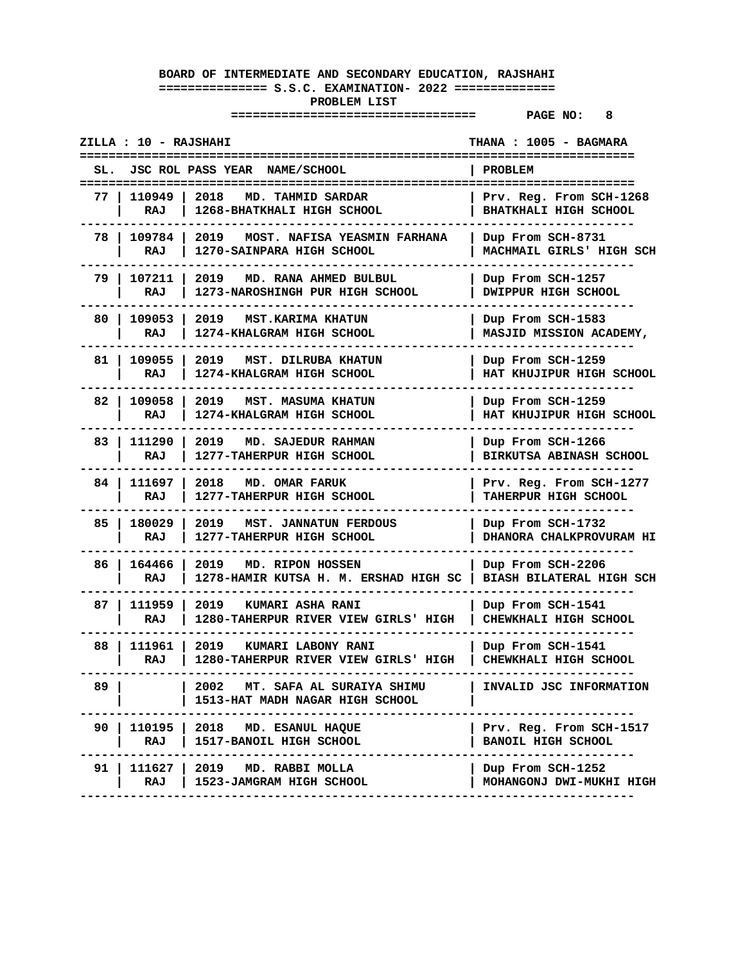|      | ZILLA : 10 - RAJSHAHI |                                                                      | THANA : 1005 - BAGMARA<br>==============               |
|------|-----------------------|----------------------------------------------------------------------|--------------------------------------------------------|
|      |                       | SL. JSC ROL PASS YEAR NAME/SCHOOL                                    | <b>PROBLEM</b>                                         |
| 77 I | 110949  <br>RAJ       | 2018<br>MD. TAHMID SARDAR<br>1268-BHATKHALI HIGH SCHOOL              | Prv. Reg. From SCH-1268<br>BHATKHALI HIGH SCHOOL       |
| 78   | 109784<br>RAJ         | 2019<br>MOST. NAFISA YEASMIN FARHANA<br>1270-SAINPARA HIGH SCHOOL    | Dup From SCH-8731<br>MACHMAIL GIRLS' HIGH SCH          |
| 79   | 107211<br>RAJ         | 2019<br>MD. RANA AHMED BULBUL<br>1273-NAROSHINGH PUR HIGH SCHOOL     | Dup From SCH-1257<br>DWIPPUR HIGH SCHOOL               |
| 80   | 109053<br>RAJ         | 2019<br><b>MST.KARIMA KHATUN</b><br>1274-KHALGRAM HIGH SCHOOL        | Dup From SCH-1583<br>MASJID MISSION ACADEMY,           |
| 81 I | 109055<br>RAJ         | 2019 MST. DILRUBA KHATUN<br>1274-KHALGRAM HIGH SCHOOL                | Dup From SCH-1259<br>HAT KHUJIPUR HIGH SCHOOL          |
| 82   | 109058<br>RAJ         | 2019<br>MST. MASUMA KHATUN<br>1274-KHALGRAM HIGH SCHOOL              | Dup From SCH-1259<br>HAT KHUJIPUR HIGH SCHOOL          |
| 83   | 111290<br>RAJ         | 2019<br>MD. SAJEDUR RAHMAN<br>1277-TAHERPUR HIGH SCHOOL              | Dup From SCH-1266<br><b>BIRKUTSA ABINASH SCHOOL</b>    |
| 84 I | 111697<br>RAJ         | 2018<br>MD. OMAR FARUK<br>1277-TAHERPUR HIGH SCHOOL                  | Prv. Reg. From SCH-1277<br><b>TAHERPUR HIGH SCHOOL</b> |
| 85   | 180029<br>RAJ         | 2019<br>MST. JANNATUN FERDOUS<br>1277-TAHERPUR HIGH SCHOOL           | Dup From SCH-1732<br>DHANORA CHALKPROVURAM HI          |
| 86   | 164466<br>RAJ         | 2019 MD. RIPON HOSSEN<br>1278-HAMIR KUTSA H. M. ERSHAD HIGH SC       | Dup From SCH-2206<br><b>BIASH BILATERAL HIGH SCH</b>   |
| 87   | 111959<br>RAJ         | 2019<br>KUMARI ASHA RANI<br>1280-TAHERPUR RIVER VIEW GIRLS' HIGH     | Dup From SCH-1541<br>CHEWKHALI HIGH SCHOOL             |
| 88   | 111961<br>RAJ         | 2019<br>KUMARI LABONY RANI<br>1280-TAHERPUR RIVER VIEW GIRLS' HIGH   | Dup From SCH-1541<br>CHEWKHALI HIGH SCHOOL             |
| 89.  |                       | 2002<br>MT. SAFA AL SURAIYA SHIMU<br>1513-HAT MADH NAGAR HIGH SCHOOL | INVALID JSC INFORMATION                                |
| 90   | 110195  <br>RAJ       | 2018 MD. ESANUL HAQUE<br>1517-BANOIL HIGH SCHOOL                     | Prv. Reg. From SCH-1517<br><b>BANOIL HIGH SCHOOL</b>   |
| 91   | 111627  <br>RAJ       | 2019 MD. RABBI MOLLA<br>1523-JAMGRAM HIGH SCHOOL                     | Dup From SCH-1252<br>MOHANGONJ DWI-MUKHI HIGH          |
|      |                       |                                                                      |                                                        |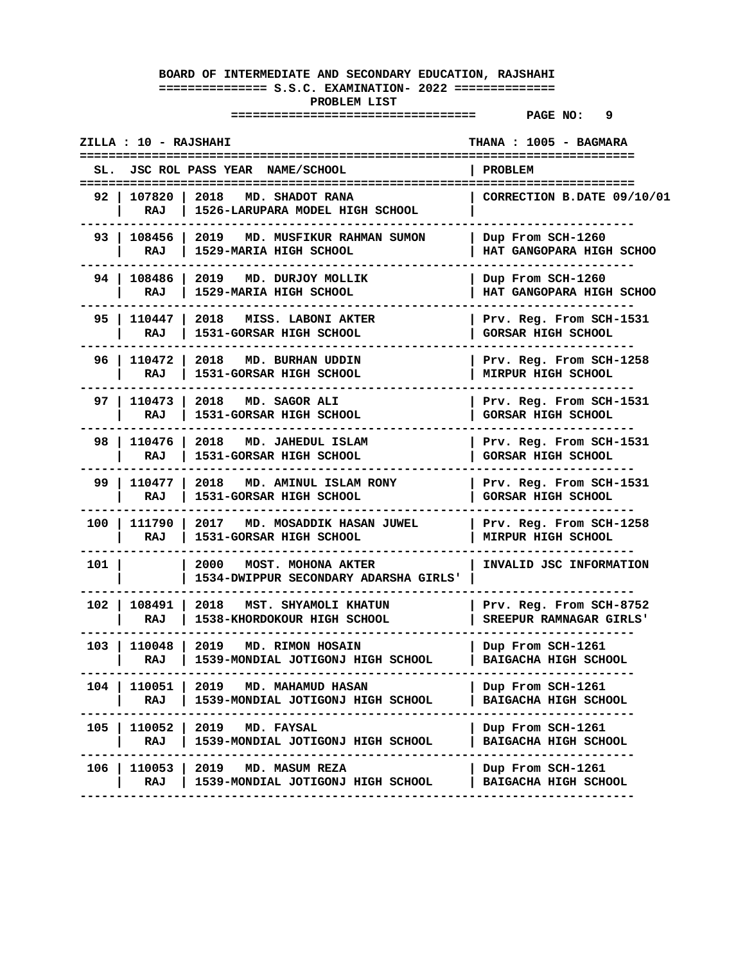|       | ZILLA : 10 - RAJSHAHI |                                                                            | THANA : 1005 - BAGMARA                               |
|-------|-----------------------|----------------------------------------------------------------------------|------------------------------------------------------|
| SL.   |                       | JSC ROL PASS YEAR NAME/SCHOOL                                              | <b>PROBLEM</b>                                       |
| 92 I  | RAJ                   | 107820   2018 MD. SHADOT RANA<br>1526-LARUPARA MODEL HIGH SCHOOL           | CORRECTION B.DATE 09/10/01                           |
|       | 93   108456  <br>RAJ  | 2019<br>MD. MUSFIKUR RAHMAN SUMON<br>1529-MARIA HIGH SCHOOL                | Dup From SCH-1260<br>HAT GANGOPARA HIGH SCHOO        |
| 94 I  | 108486 l<br>RAJ       | 2019 MD. DURJOY MOLLIK<br>1529-MARIA HIGH SCHOOL                           | Dup From SCH-1260<br>HAT GANGOPARA HIGH SCHOO        |
| 95 I  | 110447 l<br>RAJ       | 2018<br>MISS. LABONI AKTER<br>1531-GORSAR HIGH SCHOOL                      | Prv. Reg. From SCH-1531<br><b>GORSAR HIGH SCHOOL</b> |
| 96 I  | 110472   2018<br>RAJ  | MD. BURHAN UDDIN<br>1531-GORSAR HIGH SCHOOL                                | Prv. Reg. From SCH-1258<br>MIRPUR HIGH SCHOOL        |
| 97 I  | 110473   2018<br>RAJ  | MD. SAGOR ALI<br>1531-GORSAR HIGH SCHOOL                                   | Prv. Reg. From SCH-1531<br><b>GORSAR HIGH SCHOOL</b> |
|       | 98   110476  <br>RAJ  | 2018<br>MD. JAHEDUL ISLAM<br>1531-GORSAR HIGH SCHOOL                       | Prv. Req. From SCH-1531<br><b>GORSAR HIGH SCHOOL</b> |
| 99 I  | 110477  <br>RAJ       | 2018 MD. AMINUL ISLAM RONY<br>1531-GORSAR HIGH SCHOOL                      | Prv. Reg. From SCH-1531<br><b>GORSAR HIGH SCHOOL</b> |
| 100   | 111790<br>RAJ         | 2017 MD. MOSADDIK HASAN JUWEL<br>1531-GORSAR HIGH SCHOOL                   | Prv. Reg. From SCH-1258<br>MIRPUR HIGH SCHOOL        |
| 101 l |                       | 2000<br><b>MOST. MOHONA AKTER</b><br>1534-DWIPPUR SECONDARY ADARSHA GIRLS' | INVALID JSC INFORMATION                              |
| 102 l | 108491 2018<br>RAJ    | MST. SHYAMOLI KHATUN<br>1538-KHORDOKOUR HIGH SCHOOL                        | Prv. Reg. From SCH-8752<br>SREEPUR RAMNAGAR GIRLS'   |
| 103 l | 110048  <br>RAJ       | 2019<br><b>MD. RIMON HOSAIN</b><br>1539-MONDIAL JOTIGONJ HIGH SCHOOL       | Dup From SCH-1261<br>BAIGACHA HIGH SCHOOL            |
| 104   | 110051  <br>RAJ       | 2019 MD. MAHAMUD HASAN<br>1539-MONDIAL JOTIGONJ HIGH SCHOOL                | Dup From SCH-1261<br>BAIGACHA HIGH SCHOOL            |
| 105 l | RAJ                   | 110052   2019 MD. FAYSAL<br>1539-MONDIAL JOTIGONJ HIGH SCHOOL              | Dup From SCH-1261<br>BAIGACHA HIGH SCHOOL            |
| 106   | 110053  <br>RAJ       | 2019 MD. MASUM REZA<br>1539-MONDIAL JOTIGONJ HIGH SCHOOL                   | Dup From SCH-1261<br>  BAIGACHA HIGH SCHOOL          |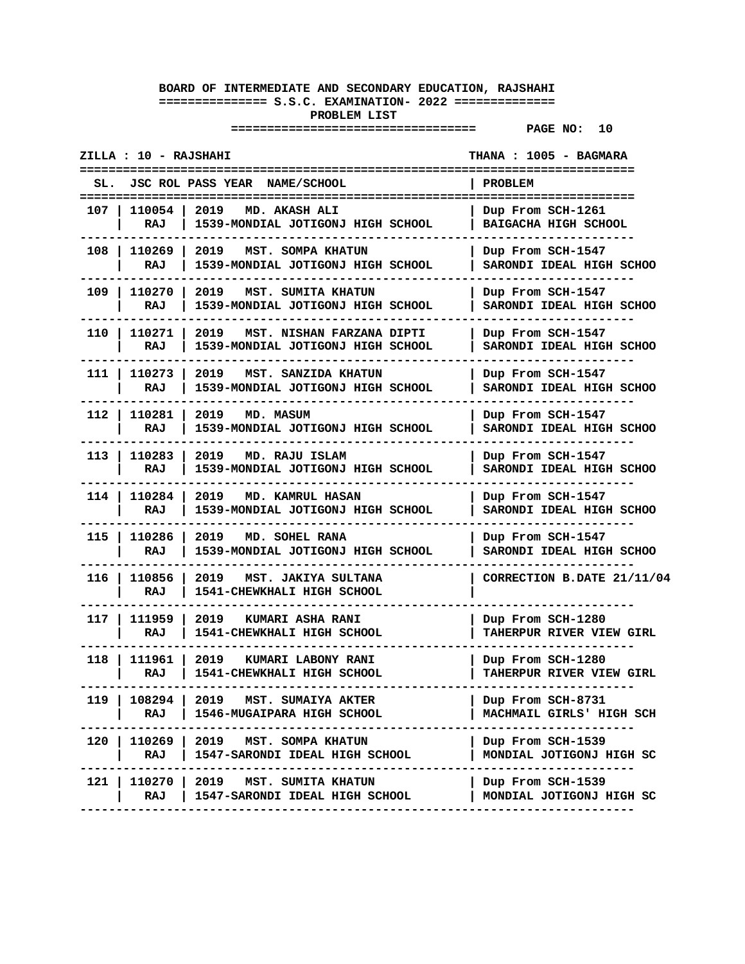|       | ZILLA : 10 - RAJSHAHI |                                                                        | THANA : 1005 - BAGMARA                               |
|-------|-----------------------|------------------------------------------------------------------------|------------------------------------------------------|
| SL.   |                       | JSC ROL PASS YEAR NAME/SCHOOL                                          | PROBLEM                                              |
| 107 I | 110054 l<br>RAJ       | 2019 MD. AKASH ALI<br>1539-MONDIAL JOTIGONJ HIGH SCHOOL                | Dup From SCH-1261<br>BAIGACHA HIGH SCHOOL            |
| 108 I | 110269<br>RAJ         | 2019<br>MST. SOMPA KHATUN<br>1539-MONDIAL JOTIGONJ HIGH SCHOOL         | Dup From SCH-1547<br>SARONDI IDEAL HIGH SCHOO        |
| 109   | 110270<br>RAJ         | 2019<br>MST. SUMITA KHATUN<br>1539-MONDIAL JOTIGONJ HIGH SCHOOL        | Dup From SCH-1547<br>SARONDI IDEAL HIGH SCHOO        |
| 110   | 110271<br>RAJ         | 2019<br>MST. NISHAN FARZANA DIPTI<br>1539-MONDIAL JOTIGONJ HIGH SCHOOL | Dup From SCH-1547<br>SARONDI IDEAL HIGH SCHOO        |
| 111 I | 110273<br>RAJ         | 2019<br>MST. SANZIDA KHATUN<br>1539-MONDIAL JOTIGONJ HIGH SCHOOL       | Dup From SCH-1547<br>SARONDI IDEAL HIGH SCHOO        |
| 112 I | 110281<br>RAJ         | 2019 MD. MASUM<br>1539-MONDIAL JOTIGONJ HIGH SCHOOL                    | Dup From SCH-1547<br>SARONDI IDEAL HIGH SCHOO        |
| 113 I | 110283<br>RAJ         | 2019<br>MD. RAJU ISLAM<br>1539-MONDIAL JOTIGONJ HIGH SCHOOL            | Dup From SCH-1547<br>SARONDI IDEAL HIGH SCHOO        |
| 114 I | 110284<br>RAJ         | 2019<br><b>MD. KAMRUL HASAN</b><br>1539-MONDIAL JOTIGONJ HIGH SCHOOL   | Dup From SCH-1547<br>SARONDI IDEAL HIGH SCHOO        |
| 115   | 110286<br>RAJ         | 2019<br>MD. SOHEL RANA<br>1539-MONDIAL JOTIGONJ HIGH SCHOOL            | Dup From SCH-1547<br>SARONDI IDEAL HIGH SCHOO        |
| 116 l | 110856<br>RAJ         | 2019<br>MST. JAKIYA SULTANA<br>1541-CHEWKHALI HIGH SCHOOL              | CORRECTION B.DATE 21/11/04                           |
| 117 I | 111959<br>RAJ         | 2019 KUMARI ASHA RANI<br>1541-CHEWKHALI HIGH SCHOOL                    | Dup From SCH-1280<br><b>TAHERPUR RIVER VIEW GIRL</b> |
| 118   | 111961<br>RAJ         | 2019<br>KUMARI LABONY RANI<br>1541-CHEWKHALI HIGH SCHOOL               | Dup From SCH-1280<br><b>TAHERPUR RIVER VIEW GIRL</b> |
| 119 I | 108294<br>RAJ         | 2019 MST. SUMAIYA AKTER<br>1546-MUGAIPARA HIGH SCHOOL                  | Dup From SCH-8731<br>MACHMAIL GIRLS' HIGH SCH        |
| 120   | 110269  <br>RAJ       | 2019 MST. SOMPA KHATUN<br>1547-SARONDI IDEAL HIGH SCHOOL               | Dup From SCH-1539<br>MONDIAL JOTIGONJ HIGH SC        |
| 121   | 110270<br>RAJ         | 2019<br>MST. SUMITA KHATUN<br>1547-SARONDI IDEAL HIGH SCHOOL           | Dup From SCH-1539<br>MONDIAL JOTIGONJ HIGH SC        |
|       |                       |                                                                        |                                                      |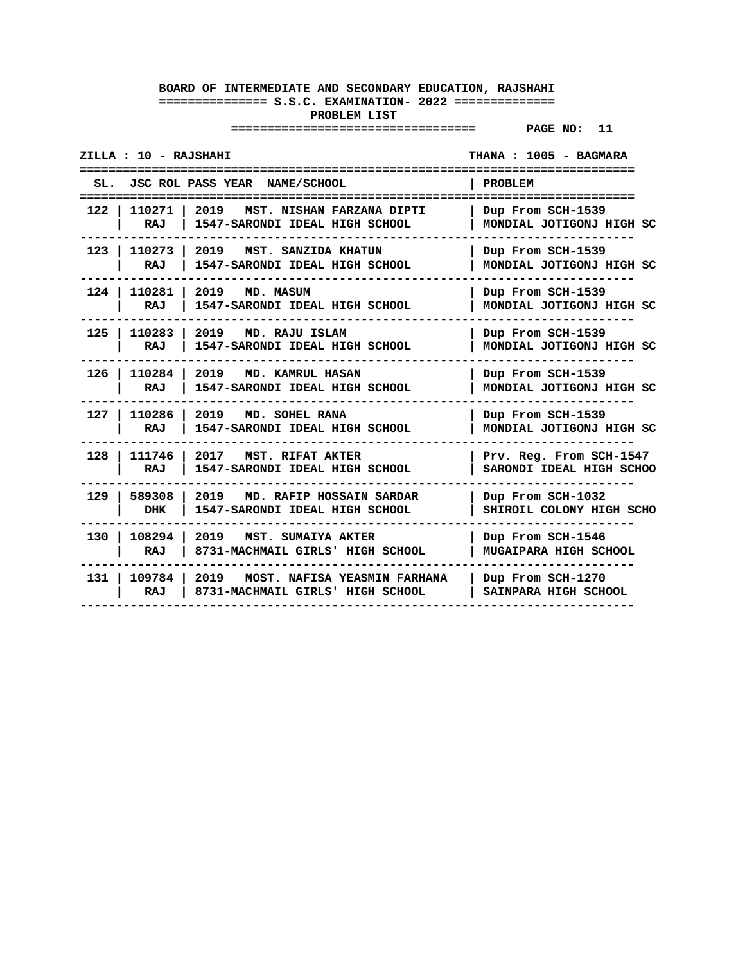| ZILLA : 10 - RAJSHAHI                             |                                                                          | THANA: 1005 - BAGMARA                               |
|---------------------------------------------------|--------------------------------------------------------------------------|-----------------------------------------------------|
| =======================                           | SL. JSC ROL PASS YEAR NAME/SCHOOL                                        | <b>PROBLEM</b><br>:=================                |
| 110271<br>122<br>RAJ                              | 2019<br>MST. NISHAN FARZANA DIPTI<br>1547-SARONDI IDEAL HIGH SCHOOL      | Dup From SCH-1539<br>MONDIAL JOTIGONJ HIGH SC       |
| 110273  <br>$123$  <br>RAJ                        | 2019<br>MST. SANZIDA KHATUN<br>1547-SARONDI IDEAL HIGH SCHOOL            | Dup From SCH-1539<br>MONDIAL JOTIGONJ HIGH SC       |
| $124$ $\overline{\phantom{0}}$<br>110281 l<br>RAJ | 2019 MD. MASUM<br>1547-SARONDI IDEAL HIGH SCHOOL                         | Dup From SCH-1539<br>MONDIAL JOTIGONJ HIGH SC       |
| $125$ l<br>110283<br>RAJ                          | 2019<br>MD. RAJU ISLAM<br>1547-SARONDI IDEAL HIGH SCHOOL                 | Dup From SCH-1539<br>MONDIAL JOTIGONJ HIGH SC       |
| $126$ l<br>110284<br><b>RAJ</b>                   | 2019<br><b>MD. KAMRUL HASAN</b><br>1547-SARONDI IDEAL HIGH SCHOOL        | Dup From SCH-1539<br>MONDIAL JOTIGONJ HIGH SC       |
| 110286<br>127 I<br>RAJ                            | 2019 MD. SOHEL RANA<br>1547-SARONDI IDEAL HIGH SCHOOL                    | Dup From SCH-1539<br>MONDIAL JOTIGONJ HIGH SC       |
| $128$  <br>111746<br>RAJ                          | 2017 MST. RIFAT AKTER<br>1547-SARONDI IDEAL HIGH SCHOOL                  | Prv. Reg. From SCH-1547<br>SARONDI IDEAL HIGH SCHOO |
| 589308<br>129 l<br><b>DHK</b>                     | 2019<br>MD. RAFIP HOSSAIN SARDAR<br>1547-SARONDI IDEAL HIGH SCHOOL       | Dup From SCH-1032<br>SHIROIL COLONY HIGH SCHO       |
| 108294<br>130 l<br>RAJ                            | 2019<br>MST. SUMAIYA AKTER<br>8731-MACHMAIL GIRLS' HIGH SCHOOL           | Dup From SCH-1546<br>MUGAIPARA HIGH SCHOOL          |
| $131$ $\vert$<br>109784  <br>RAJ                  | 2019<br>MOST. NAFISA YEASMIN FARHANA<br>8731-MACHMAIL GIRLS' HIGH SCHOOL | Dup From SCH-1270<br>SAINPARA HIGH SCHOOL           |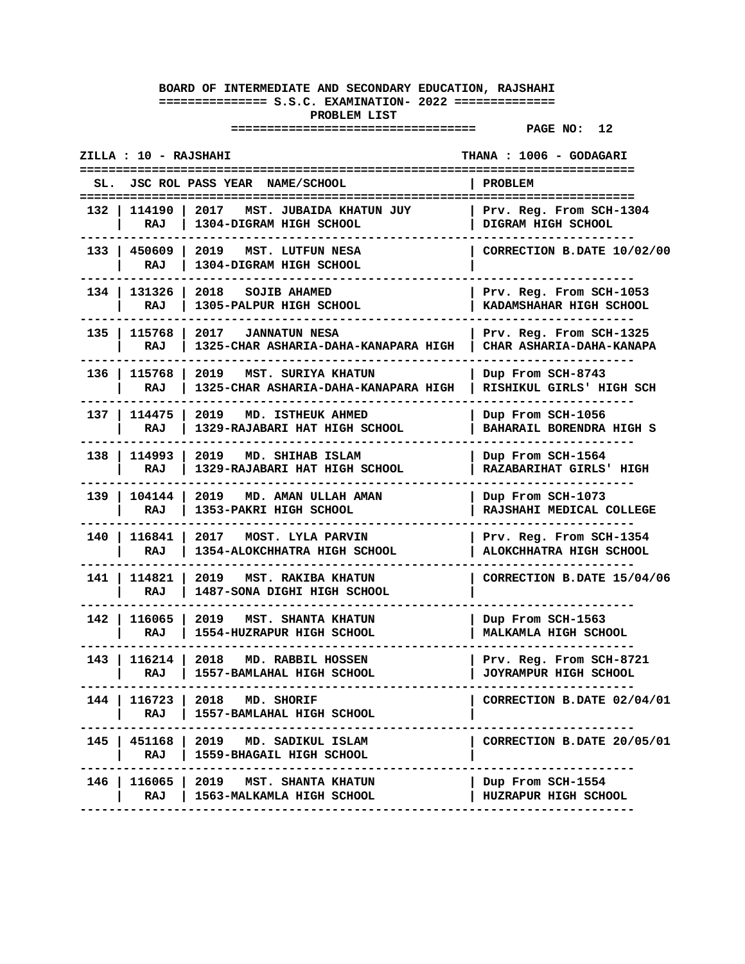| ZILLA : 10 - RAJSHAHI<br>THANA : 1006 - GODAGARI |                                                                       |                                                     |  |
|--------------------------------------------------|-----------------------------------------------------------------------|-----------------------------------------------------|--|
| SL.                                              | JSC ROL PASS YEAR NAME/SCHOOL                                         | <b>PROBLEM</b>                                      |  |
| 132   114190<br>RAJ                              | 2017<br>MST. JUBAIDA KHATUN JUY<br>1304-DIGRAM HIGH SCHOOL            | Prv. Reg. From SCH-1304<br>DIGRAM HIGH SCHOOL       |  |
| RAJ                                              | 133   450609   2019   MST. LUTFUN NESA<br>1304-DIGRAM HIGH SCHOOL     | CORRECTION B.DATE 10/02/00                          |  |
| 134 I<br>131326<br>RAJ                           | 2018 SOJIB AHAMED<br>1305-PALPUR HIGH SCHOOL                          | Prv. Reg. From SCH-1053<br>KADAMSHAHAR HIGH SCHOOL  |  |
| 135 I<br>115768<br>RAJ                           | 2017 JANNATUN NESA<br>1325-CHAR ASHARIA-DAHA-KANAPARA HIGH            | Prv. Reg. From SCH-1325<br>CHAR ASHARIA-DAHA-KANAPA |  |
| 136   115768<br>RAJ                              | 2019 MST. SURIYA KHATUN<br>1325-CHAR ASHARIA-DAHA-KANAPARA HIGH       | Dup From SCH-8743<br>RISHIKUL GIRLS' HIGH SCH       |  |
| 137   114475<br>RAJ                              | 2019 MD. ISTHEUK AHMED<br>1329-RAJABARI HAT HIGH SCHOOL               | Dup From SCH-1056<br>BAHARAIL BORENDRA HIGH S       |  |
| 138   114993<br>RAJ                              | 2019 MD. SHIHAB ISLAM<br>1329-RAJABARI HAT HIGH SCHOOL                | Dup From SCH-1564<br>RAZABARIHAT GIRLS' HIGH        |  |
| 139   104144  <br>RAJ                            | 2019 MD. AMAN ULLAH AMAN<br>1353-PAKRI HIGH SCHOOL                    | Dup From SCH-1073<br>RAJSHAHI MEDICAL COLLEGE       |  |
| 140   116841   2017<br>RAJ                       | <b>MOST. LYLA PARVIN</b><br>1354-ALOKCHHATRA HIGH SCHOOL              | Prv. Reg. From SCH-1354<br>ALOKCHHATRA HIGH SCHOOL  |  |
| 141 I<br>114821<br>RAJ                           | 2019<br><b>MST. RAKIBA KHATUN</b><br>1487-SONA DIGHI HIGH SCHOOL      | CORRECTION B.DATE 15/04/06                          |  |
| RAJ                                              | 142   116065   2019   MST. SHANTA KHATUN<br>1554-HUZRAPUR HIGH SCHOOL | Dup From SCH-1563<br>MALKAMLA HIGH SCHOOL           |  |
| RAJ                                              | 143   116214   2018 MD. RABBIL HOSSEN<br>1557-BAMLAHAL HIGH SCHOOL    | Prv. Reg. From SCH-8721<br>JOYRAMPUR HIGH SCHOOL    |  |
| 144 I<br>RAJ                                     | 116723   2018 MD. SHORIF<br>1557-BAMLAHAL HIGH SCHOOL                 | CORRECTION B.DATE 02/04/01                          |  |
| RAJ                                              | 145   451168   2019 MD. SADIKUL ISLAM<br>1559-BHAGAIL HIGH SCHOOL     | CORRECTION B.DATE 20/05/01                          |  |
| RAJ                                              | 146   116065   2019   MST. SHANTA KHATUN<br>1563-MALKAMLA HIGH SCHOOL | Dup From SCH-1554<br>HUZRAPUR HIGH SCHOOL           |  |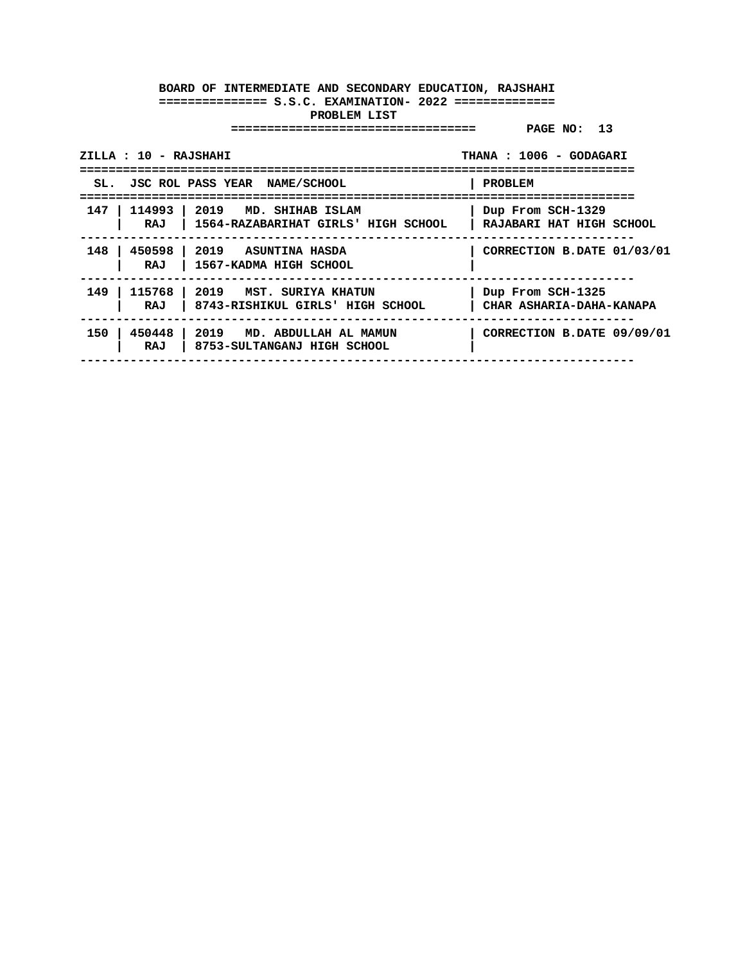| ZILLA : 10 - RAJSHAHI           |                                                                | THANA: 1006 - GODAGARI                        |
|---------------------------------|----------------------------------------------------------------|-----------------------------------------------|
| <b>JSC ROL PASS YEAR</b><br>SL. | <b>NAME/SCHOOL</b>                                             | <b>PROBLEM</b>                                |
| 147<br>114993<br>RAJ            | 2019 MD. SHIHAB ISLAM<br>1564-RAZABARIHAT GIRLS' HIGH SCHOOL   | Dup From SCH-1329<br>RAJABARI HAT HIGH SCHOOL |
| 148<br>450598<br>RAJ            | 2019 ASUNTINA HASDA<br>1567-KADMA HIGH SCHOOL                  | CORRECTION B.DATE 01/03/01                    |
| 149<br>115768<br>RAJ            | 2019<br>MST. SURIYA KHATUN<br>8743-RISHIKUL GIRLS' HIGH SCHOOL | Dup From SCH-1325<br>CHAR ASHARIA-DAHA-KANAPA |
| 150<br>450448<br>RAJ            | 2019 MD. ABDULLAH AL MAMUN<br>8753-SULTANGANJ HIGH SCHOOL      | CORRECTION B.DATE 09/09/01                    |
|                                 |                                                                |                                               |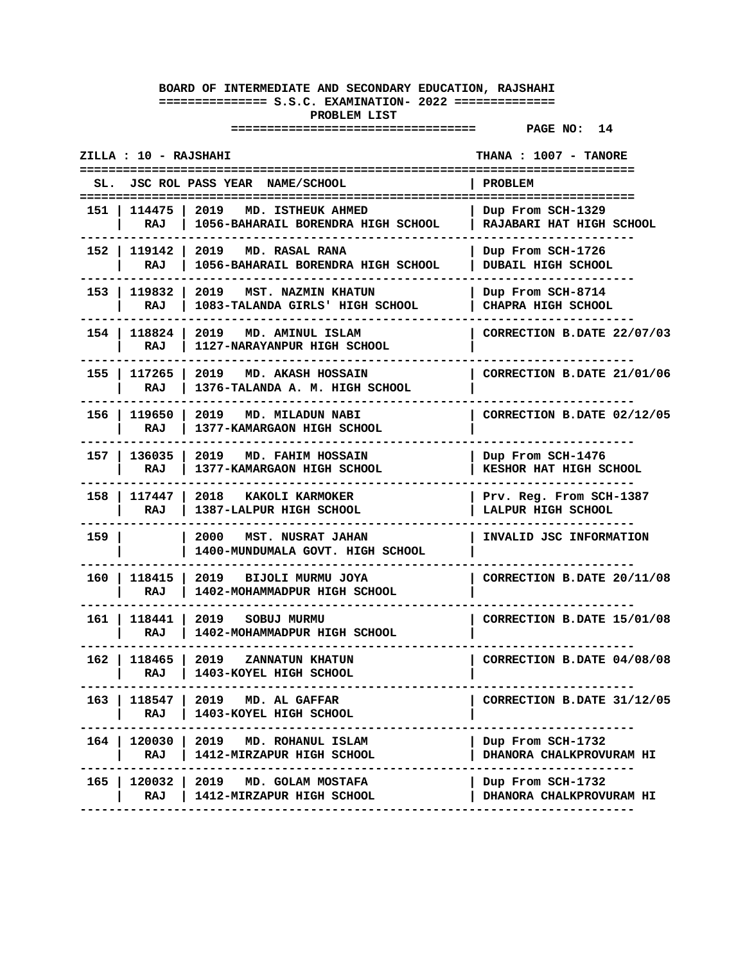| ZILLA : 10 - RAJSHAHI |                       |                                                                             | THANA : 1007 - TANORE                         |
|-----------------------|-----------------------|-----------------------------------------------------------------------------|-----------------------------------------------|
|                       |                       | SL. JSC ROL PASS YEAR NAME/SCHOOL                                           | <b>PROBLEM</b>                                |
|                       | RAJ                   | 151   114475   2019 MD. ISTHEUK AHMED<br>1056-BAHARAIL BORENDRA HIGH SCHOOL | Dup From SCH-1329<br>RAJABARI HAT HIGH SCHOOL |
|                       | 152   119142  <br>RAJ | 2019 MD. RASAL RANA<br>1056-BAHARAIL BORENDRA HIGH SCHOOL                   | Dup From SCH-1726<br>DUBAIL HIGH SCHOOL       |
| 153 I                 | 119832<br>RAJ         | 2019 MST. NAZMIN KHATUN<br>1083-TALANDA GIRLS' HIGH SCHOOL                  | Dup From SCH-8714<br>CHAPRA HIGH SCHOOL       |
|                       | 154   118824<br>RAJ   | 2019 MD. AMINUL ISLAM<br>1127-NARAYANPUR HIGH SCHOOL                        | CORRECTION B.DATE 22/07/03                    |
|                       | 155   117265<br>RAJ   | 2019 MD. AKASH HOSSAIN<br>1376-TALANDA A. M. HIGH SCHOOL                    | CORRECTION B.DATE 21/01/06                    |
|                       | 156   119650  <br>RAJ | 2019 MD. MILADUN NABI<br>1377-KAMARGAON HIGH SCHOOL                         | CORRECTION B.DATE 02/12/05                    |
|                       | 157   136035  <br>RAJ | 2019<br>MD. FAHIM HOSSAIN<br>1377-KAMARGAON HIGH SCHOOL                     | Dup From SCH-1476<br>KESHOR HAT HIGH SCHOOL   |
|                       | 158   117447<br>RAJ   | 2018 KAKOLI KARMOKER<br>1387-LALPUR HIGH SCHOOL                             | Prv. Reg. From SCH-1387<br>LALPUR HIGH SCHOOL |
| 159                   |                       | 2000<br>MST. NUSRAT JAHAN<br>1400-MUNDUMALA GOVT. HIGH SCHOOL               | INVALID JSC INFORMATION                       |
| 160 I                 | 118415<br>RAJ         | 2019 BIJOLI MURMU JOYA<br>1402-MOHAMMADPUR HIGH SCHOOL                      | CORRECTION B.DATE 20/11/08                    |
|                       | RAJ                   | 161   118441   2019 SOBUJ MURMU<br>1402-MOHAMMADPUR HIGH SCHOOL             | CORRECTION B.DATE 15/01/08                    |
|                       | 162   118465  <br>RAJ | 2019<br>ZANNATUN KHATUN<br>1403-KOYEL HIGH SCHOOL                           | CORRECTION B.DATE 04/08/08                    |
| 163                   | RAJ                   | 118547   2019 MD. AL GAFFAR<br>1403-KOYEL HIGH SCHOOL                       | CORRECTION B.DATE 31/12/05                    |
| 164                   | RAJ                   | 120030   2019 MD. ROHANUL ISLAM<br>1412-MIRZAPUR HIGH SCHOOL                | Dup From SCH-1732<br>DHANORA CHALKPROVURAM HI |
| 165                   | $120032$  <br>RAJ     | 2019<br>MD. GOLAM MOSTAFA<br>1412-MIRZAPUR HIGH SCHOOL                      | Dup From SCH-1732<br>DHANORA CHALKPROVURAM HI |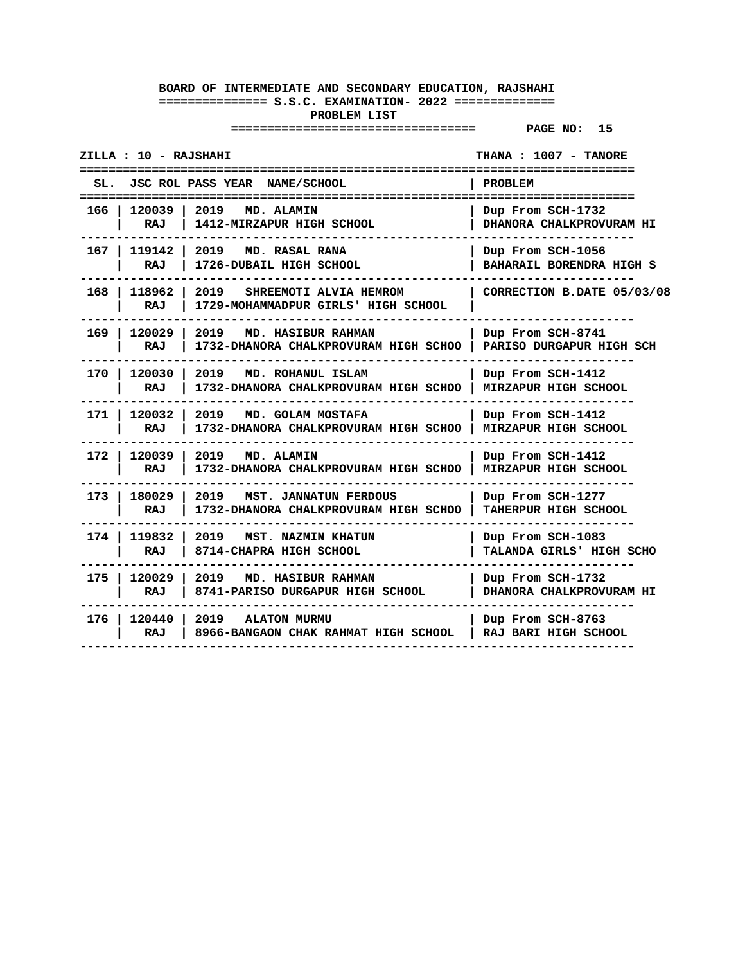**================================== PAGE NO: 15** 

**ZILLA : 10 - RAJSHAHI THANA : 1007 - TANORE ============================================================================= SL. JSC ROL PASS YEAR NAME/SCHOOL | PROBLEM ============================================================================= 166 | 120039 | 2019 MD. ALAMIN | Dup From SCH-1732**  $\vert$  RAJ  $\vert$  1412-MIRZAPUR HIGH SCHOOL **-----------------------------------------------------------------------------** 167 | 119142 | 2019 **MD. RASAL RANA | RAJ | 1726-DUBAIL HIGH SCHOOL | BAHARAIL BORENDRA HIGH S ----------------------------------------------------------------------------- 168 | 118962 | 2019 SHREEMOTI ALVIA HEMROM | CORRECTION B.DATE 05/03/08 | RAJ | 1729-MOHAMMADPUR GIRLS' HIGH SCHOOL | ----------------------------------------------------------------------------- 169 | 120029 | 2019 MD. HASIBUR RAHMAN | Dup From SCH-8741 | RAJ | 1732-DHANORA CHALKPROVURAM HIGH SCHOO | PARISO DURGAPUR HIGH SCH ----------------------------------------------------------------------------- 170 | 120030 | 2019 MD. ROHANUL ISLAM | Dup From SCH-1412 | RAJ | 1732-DHANORA CHALKPROVURAM HIGH SCHOO | MIRZAPUR HIGH SCHOOL ----------------------------------------------------------------------------- 171 | 120032 | 2019 MD. GOLAM MOSTAFA | Dup From SCH-1412 | RAJ | 1732-DHANORA CHALKPROVURAM HIGH SCHOO | MIRZAPUR HIGH SCHOOL -----------------------------------------------------------------------------** 172 | 120039 | 2019 **MD. ALAMIN | RAJ | 1732-DHANORA CHALKPROVURAM HIGH SCHOO | MIRZAPUR HIGH SCHOOL ----------------------------------------------------------------------------- 173 | 180029 | 2019 MST. JANNATUN FERDOUS | Dup From SCH-1277 | RAJ | 1732-DHANORA CHALKPROVURAM HIGH SCHOO | TAHERPUR HIGH SCHOOL ----------------------------------------------------------------------------- 174 | 119832 | 2019 MST. NAZMIN KHATUN | Dup From SCH-1083 | RAJ | 8714-CHAPRA HIGH SCHOOL**<br>| **TALANDRA GIRLS ----------------------------------------------------------------------------- 175 | 120029 | 2019 MD. HASIBUR RAHMAN | Dup From SCH-1732 | RAJ | 8741-PARISO DURGAPUR HIGH SCHOOL | DHANORA CHALKPROVURAM HI ----------------------------------------------------------------------------- 176 | 120440 | 2019 ALATON MURMU | Dup From SCH-8763 | RAJ | 8966-BANGAON CHAK RAHMAT HIGH SCHOOL | RAJ BARI HIGH SCHOOL -----------------------------------------------------------------------------**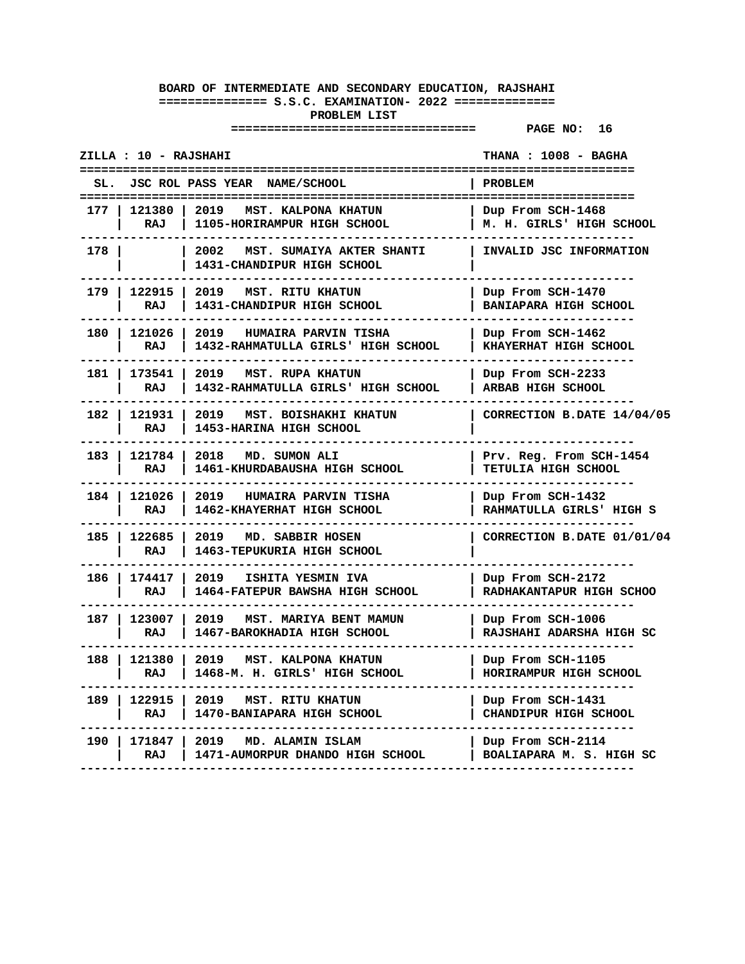| ZILLA : 10 - RAJSHAHI |                      |                                                                       | THANA : 1008 - BAGHA                                  |
|-----------------------|----------------------|-----------------------------------------------------------------------|-------------------------------------------------------|
| SL.                   |                      | JSC ROL PASS YEAR NAME/SCHOOL                                         | PROBLEM                                               |
| 177                   | 121380<br>RAJ        | 2019<br>MST. KALPONA KHATUN<br>1105-HORIRAMPUR HIGH SCHOOL            | Dup From SCH-1468<br>M. H. GIRLS' HIGH SCHOOL         |
| 178                   |                      | 2002<br>MST. SUMAIYA AKTER SHANTI<br>1431-CHANDIPUR HIGH SCHOOL       | INVALID JSC INFORMATION                               |
| 179 I                 | 122915<br>RAJ        | 2019<br><b>MST. RITU KHATUN</b><br>1431-CHANDIPUR HIGH SCHOOL         | Dup From SCH-1470<br>BANIAPARA HIGH SCHOOL            |
| 180 I                 | 121026<br>RAJ        | 2019<br>HUMAIRA PARVIN TISHA<br>1432-RAHMATULLA GIRLS' HIGH SCHOOL    | Dup From SCH-1462<br>KHAYERHAT HIGH SCHOOL            |
| 181                   | 173541<br><b>RAJ</b> | 2019<br><b>MST. RUPA KHATUN</b><br>1432-RAHMATULLA GIRLS' HIGH SCHOOL | Dup From SCH-2233<br>ARBAB HIGH SCHOOL                |
| 182                   | 121931<br>RAJ        | 2019 MST. BOISHAKHI KHATUN<br>1453-HARINA HIGH SCHOOL                 | CORRECTION B.DATE 14/04/05                            |
| 183                   | 121784<br>RAJ        | 2018<br>MD. SUMON ALI<br>1461-KHURDABAUSHA HIGH SCHOOL                | Prv. Reg. From SCH-1454<br><b>TETULIA HIGH SCHOOL</b> |
| 184 I                 | 121026<br>RAJ        | 2019<br>HUMAIRA PARVIN TISHA<br>1462-KHAYERHAT HIGH SCHOOL            | Dup From SCH-1432<br>RAHMATULLA GIRLS' HIGH S         |
| 185 l                 | 122685<br>RAJ        | 2019<br>MD. SABBIR HOSEN<br>1463-TEPUKURIA HIGH SCHOOL                | CORRECTION B.DATE 01/01/04                            |
| 186                   | 174417<br>RAJ        | 2019<br>ISHITA YESMIN IVA<br>1464-FATEPUR BAWSHA HIGH SCHOOL          | Dup From SCH-2172<br>RADHAKANTAPUR HIGH SCHOO         |
| 187 l                 | 123007<br>RAJ        | MST. MARIYA BENT MAMUN<br>2019<br>1467-BAROKHADIA HIGH SCHOOL         | Dup From SCH-1006<br>RAJSHAHI ADARSHA HIGH SC         |
| 188                   | 121380<br><b>RAJ</b> | 2019<br>MST. KALPONA KHATUN<br>1468-M. H. GIRLS' HIGH SCHOOL          | Dup From SCH-1105<br>HORIRAMPUR HIGH SCHOOL           |
| 189                   | 122915<br>RAJ        | 2019<br>MST. RITU KHATUN<br>1470-BANIAPARA HIGH SCHOOL                | Dup From SCH-1431<br>CHANDIPUR HIGH SCHOOL            |
| 190                   | 171847<br>RAJ        | 2019<br>MD. ALAMIN ISLAM<br>1471-AUMORPUR DHANDO HIGH SCHOOL          | Dup From SCH-2114<br>BOALIAPARA M. S. HIGH SC         |
|                       |                      |                                                                       |                                                       |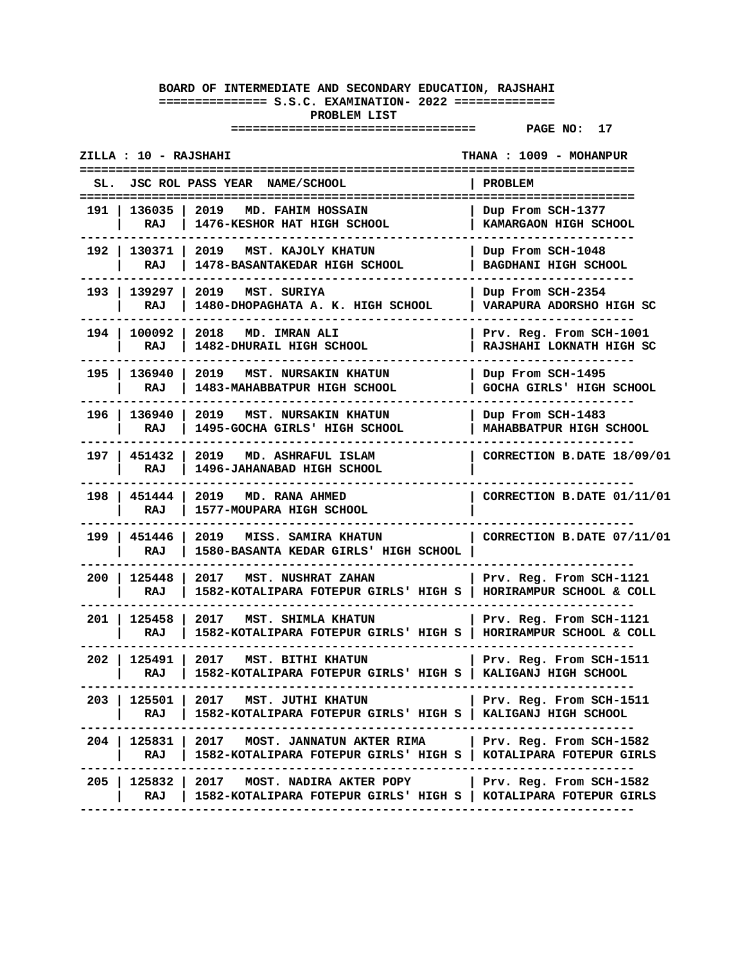| ZILLA : 10 - RAJSHAHI         |                                                                                                                                         | THANA: 1009 - MOHANPUR                              |
|-------------------------------|-----------------------------------------------------------------------------------------------------------------------------------------|-----------------------------------------------------|
| SL.                           | JSC ROL PASS YEAR NAME/SCHOOL                                                                                                           | PROBLEM                                             |
| 191   136035<br>RAJ           | 2019<br>MD. FAHIM HOSSAIN<br>1476-KESHOR HAT HIGH SCHOOL                                                                                | Dup From SCH-1377<br>KAMARGAON HIGH SCHOOL          |
| RAJ                           | 192   130371   2019   MST. KAJOLY KHATUN<br>1478-BASANTAKEDAR HIGH SCHOOL                                                               | Dup From SCH-1048<br>BAGDHANI HIGH SCHOOL           |
| 193   139297  <br>RAJ         | 2019 MST. SURIYA<br>1480-DHOPAGHATA A. K. HIGH SCHOOL                                                                                   | Dup From SCH-2354<br>VARAPURA ADORSHO HIGH SC       |
| 194 I<br>100092<br>RAJ        | 2018 MD. IMRAN ALI<br>1482-DHURAIL HIGH SCHOOL                                                                                          | Prv. Reg. From SCH-1001<br>RAJSHAHI LOKNATH HIGH SC |
| 195   136940<br>RAJ           | 2019 MST. NURSAKIN KHATUN<br>1483-MAHABBATPUR HIGH SCHOOL                                                                               | Dup From SCH-1495<br>GOCHA GIRLS' HIGH SCHOOL       |
| 196   136940<br>RAJ           | <b>2019 MST. NURSAKIN KHATUN</b><br>1495-GOCHA GIRLS' HIGH SCHOOL                                                                       | Dup From SCH-1483<br>MAHABBATPUR HIGH SCHOOL        |
| 197   451432<br>RAJ           | 2019 MD. ASHRAFUL ISLAM<br>1496-JAHANABAD HIGH SCHOOL                                                                                   | CORRECTION B.DATE 18/09/01                          |
| 198   451444<br>RAJ           | 2019 MD. RANA AHMED<br>1577-MOUPARA HIGH SCHOOL                                                                                         | CORRECTION B.DATE 01/11/01                          |
| 199   451446<br>RAJ           | 2019 MISS. SAMIRA KHATUN<br>1580-BASANTA KEDAR GIRLS' HIGH SCHOOL                                                                       | CORRECTION B.DATE 07/11/01                          |
| 200<br>125448<br>RAJ          | 2017 MST. NUSHRAT ZAHAN<br>1582-KOTALIPARA FOTEPUR GIRLS' HIGH S   HORIRAMPUR SCHOOL & COLL                                             | Prv. Reg. From SCH-1121                             |
| RAJ                           | 201   125458   2017   MST. SHIMLA KHATUN<br>1582-KOTALIPARA FOTEPUR GIRLS' HIGH S   HORIRAMPUR SCHOOL & COLL                            | Prv. Reg. From SCH-1121                             |
| RAJ                           | 202   125491   2017   MST. BITHI KHATUN<br>1582-KOTALIPARA FOTEPUR GIRLS' HIGH S   KALIGANJ HIGH SCHOOL                                 | Prv. Reg. From SCH-1511                             |
| 203<br>125501<br>RAJ          | 2017 MST. JUTHI KHATUN<br>1582-KOTALIPARA FOTEPUR GIRLS' HIGH S                                                                         | Prv. Reg. From SCH-1511<br>KALIGANJ HIGH SCHOOL     |
| RAJ                           | 204   125831   2017   MOST. JANNATUN AKTER RIMA<br>1582-KOTALIPARA FOTEPUR GIRLS' HIGH S   KOTALIPARA FOTEPUR GIRLS<br>---------------- | Prv. Reg. From SCH-1582                             |
| 125832   2017<br>205 I<br>RAJ | MOST. NADIRA AKTER POPY   Prv. Reg. From SCH-1582<br>1582-KOTALIPARA FOTEPUR GIRLS' HIGH S   KOTALIPARA FOTEPUR GIRLS                   |                                                     |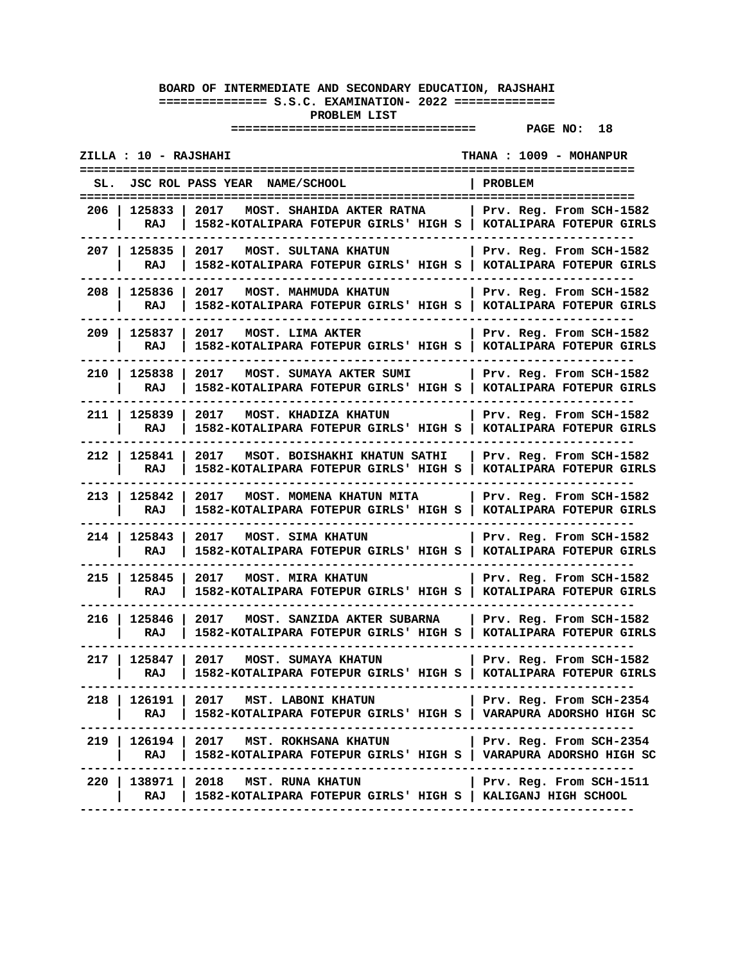| ZILLA : 10 - RAJSHAHI<br>THANA : 1009 - MOHANPUR |                                                                                                                                                                                 |                                                        |
|--------------------------------------------------|---------------------------------------------------------------------------------------------------------------------------------------------------------------------------------|--------------------------------------------------------|
| SL.                                              | JSC ROL PASS YEAR NAME/SCHOOL                                                                                                                                                   | PROBLEM                                                |
| 206   125833  <br>RAJ                            | 2017<br>MOST. SHAHIDA AKTER RATNA<br>1582-KOTALIPARA FOTEPUR GIRLS' HIGH S   KOTALIPARA FOTEPUR GIRLS                                                                           | Prv. Reg. From SCH-1582                                |
| 207   125835  <br>RAJ                            | 2017<br><b>MOST. SULTANA KHATUN</b><br>1582-KOTALIPARA FOTEPUR GIRLS' HIGH S   KOTALIPARA FOTEPUR GIRLS                                                                         | Prv. Reg. From SCH-1582                                |
| 208   125836<br>RAJ                              | 2017<br><b>MOST. MAHMUDA KHATUN</b><br>1582-KOTALIPARA FOTEPUR GIRLS' HIGH S   KOTALIPARA FOTEPUR GIRLS                                                                         | Prv. Reg. From SCH-1582                                |
| 209   125837<br>RAJ                              | 2017<br><b>MOST. LIMA AKTER</b><br>1582-KOTALIPARA FOTEPUR GIRLS' HIGH S   KOTALIPARA FOTEPUR GIRLS                                                                             | Prv. Reg. From SCH-1582                                |
| 210   125838<br>RAJ                              | 2017<br>MOST. SUMAYA AKTER SUMI<br>1582-KOTALIPARA FOTEPUR GIRLS' HIGH S   KOTALIPARA FOTEPUR GIRLS                                                                             | Prv. Reg. From SCH-1582                                |
| 211   125839<br>RAJ                              | 2017 MOST. KHADIZA KHATUN<br>1582-KOTALIPARA FOTEPUR GIRLS' HIGH S   KOTALIPARA FOTEPUR GIRLS                                                                                   | Prv. Reg. From SCH-1582                                |
| 212   125841  <br>RAJ                            | 2017<br>MSOT. BOISHAKHI KHATUN SATHI<br>1582-KOTALIPARA FOTEPUR GIRLS' HIGH S                                                                                                   | Prv. Reg. From SCH-1582<br>KOTALIPARA FOTEPUR GIRLS    |
| 213   125842<br>RAJ                              | 2017 MOST. MOMENA KHATUN MITA<br>1582-KOTALIPARA FOTEPUR GIRLS' HIGH S   KOTALIPARA FOTEPUR GIRLS                                                                               | Prv. Reg. From SCH-1582                                |
| 214   125843<br>RAJ                              | 2017<br>MOST. SIMA KHATUN<br>1582-KOTALIPARA FOTEPUR GIRLS' HIGH S   KOTALIPARA FOTEPUR GIRLS                                                                                   | Prv. Reg. From SCH-1582                                |
| 125845<br>215 I<br>RAJ                           | 2017<br><b>MOST. MIRA KHATUN</b><br>1582-KOTALIPARA FOTEPUR GIRLS' HIGH S   KOTALIPARA FOTEPUR GIRLS                                                                            | Prv. Reg. From SCH-1582                                |
| 216   125846  <br>RAJ                            | 2017<br>MOST. SANZIDA AKTER SUBARNA<br>1582-KOTALIPARA FOTEPUR GIRLS' HIGH S                                                                                                    | Prv. Reg. From SCH-1582<br>KOTALIPARA FOTEPUR GIRLS    |
| 217   125847  <br>RAJ                            | 2017<br><b>MOST. SUMAYA KHATUN</b><br>1582-KOTALIPARA FOTEPUR GIRLS' HIGH S   KOTALIPARA FOTEPUR GIRLS                                                                          | Prv. Reg. From SCH-1582                                |
| RAJ                                              | 218   126191   2017 MST. LABONI KHATUN<br>  1582-KOTALIPARA FOTEPUR GIRLS' HIGH S   VARAPURA ADORSHO HIGH SC<br>-------------------                                             | Prv. Reg. From SCH-2354  <br>------------------------- |
|                                                  | 219   126194   2017 MST. ROKHSANA KHATUN   Prv. Reg. From SCH-2354<br>RAJ   1582-KOTALIPARA FOTEPUR GIRLS' HIGH S   VARAPURA ADORSHO HIGH SC<br>------------------------------- | ---------                                              |
|                                                  | 220   138971   2018 MST. RUNA KHATUN<br>RAJ   1582-KOTALIPARA FOTEPUR GIRLS' HIGH S   KALIGANJ HIGH SCHOOL                                                                      | Prv. Reg. From SCH-1511                                |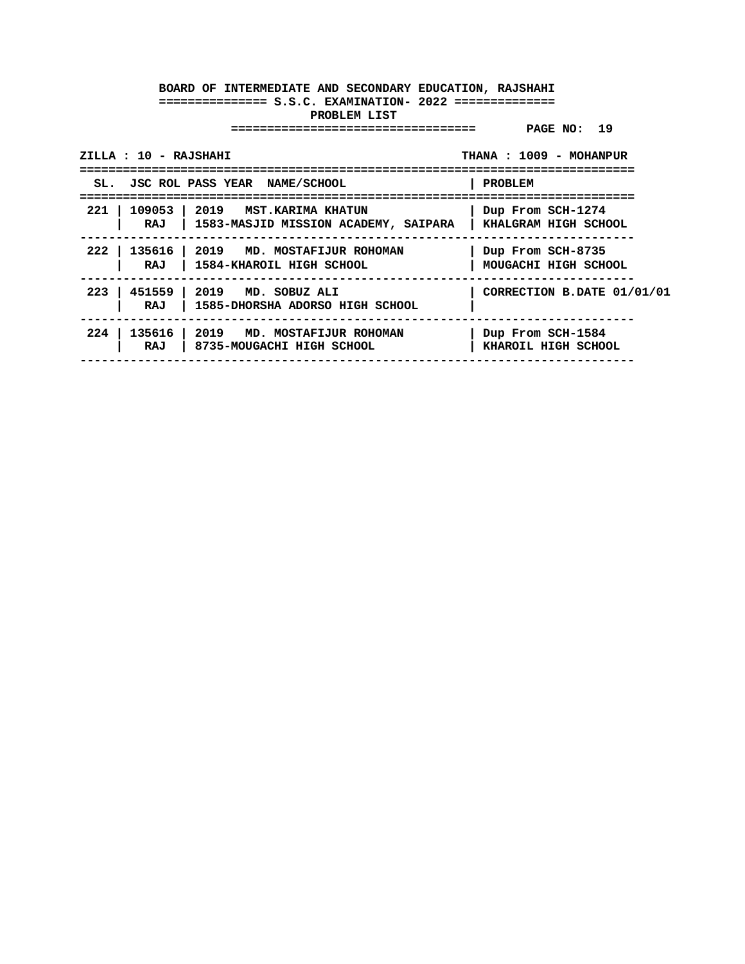| ZILLA : 10 - RAJSHAHI                           | THANA: 1009 - MOHANPUR                                            |                                             |
|-------------------------------------------------|-------------------------------------------------------------------|---------------------------------------------|
|                                                 | SL. JSC ROL PASS YEAR NAME/SCHOOL                                 | PROBLEM                                     |
| $221$ $\overline{\phantom{0}}$<br>109053<br>RAJ | 2019   MST.KARIMA KHATUN<br>1583-MASJID MISSION ACADEMY, SAIPARA  | Dup From SCH-1274<br>  KHALGRAM HIGH SCHOOL |
| 2221<br>RAJ                                     | 135616 2019 MD. MOSTAFIJUR ROHOMAN<br>1584-KHAROIL HIGH SCHOOL    | Dup From SCH-8735<br>MOUGACHI HIGH SCHOOL   |
| $223$  <br>451559<br>RAJ                        | $\vert$ 2019 MD. SOBUZ ALI<br>1585-DHORSHA ADORSO HIGH SCHOOL     | CORRECTION B.DATE 01/01/01                  |
| 224<br>RAJ                                      | 135616   2019 MD. MOSTAFIJUR ROHOMAN<br>8735-MOUGACHI HIGH SCHOOL | Dup From SCH-1584<br>KHAROIL HIGH SCHOOL    |
|                                                 |                                                                   |                                             |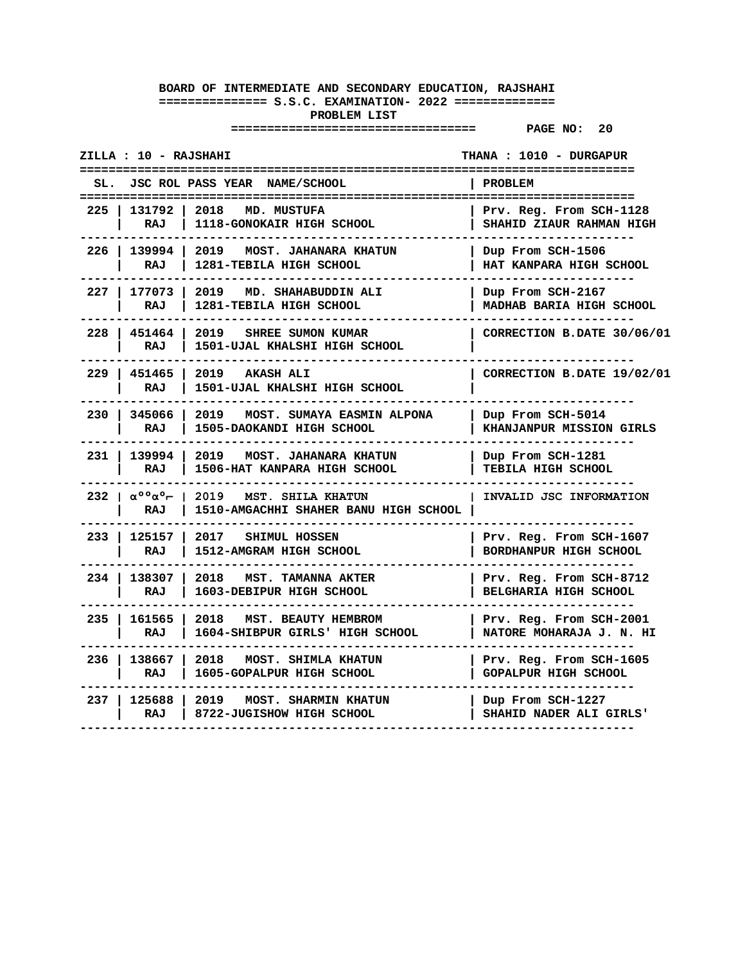|                                | ZILLA : 10 - RAJSHAHI                                              |                                                                      | THANA : 1010 - DURGAPUR                                                        |
|--------------------------------|--------------------------------------------------------------------|----------------------------------------------------------------------|--------------------------------------------------------------------------------|
|                                |                                                                    | SL. JSC ROL PASS YEAR NAME/SCHOOL                                    | <b>PROBLEM</b>                                                                 |
| $225$ l                        | 131792<br>RAJ                                                      | 2018<br>MD. MUSTUFA<br>1118-GONOKAIR HIGH SCHOOL                     | =======================<br>Prv. Reg. From SCH-1128<br>SHAHID ZIAUR RAHMAN HIGH |
| 226                            | 139994<br>RAJ                                                      | 2019<br><b>MOST. JAHANARA KHATUN</b><br>1281-TEBILA HIGH SCHOOL      | Dup From SCH-1506<br>HAT KANPARA HIGH SCHOOL                                   |
|                                | 227   177073<br>RAJ                                                | 2019 MD. SHAHABUDDIN ALI<br>1281-TEBILA HIGH SCHOOL                  | Dup From SCH-2167<br>MADHAB BARIA HIGH SCHOOL                                  |
|                                | 228   451464<br>RAJ                                                | 2019<br><b>SHREE SUMON KUMAR</b><br>1501-UJAL KHALSHI HIGH SCHOOL    | CORRECTION B.DATE 30/06/01                                                     |
|                                | 229   451465<br>RAJ                                                | 2019 AKASH ALI<br>1501-UJAL KHALSHI HIGH SCHOOL                      | CORRECTION B.DATE 19/02/01                                                     |
| 230 I                          | 345066<br><b>RAJ</b>                                               | 2019<br>MOST. SUMAYA EASMIN ALPONA<br>1505-DAOKANDI HIGH SCHOOL      | Dup From SCH-5014<br>KHANJANPUR MISSION GIRLS                                  |
| 231                            | 139994<br>RAJ                                                      | 2019<br><b>MOST. JAHANARA KHATUN</b><br>1506-HAT KANPARA HIGH SCHOOL | Dup From SCH-1281<br>TEBILA HIGH SCHOOL                                        |
|                                | $232 \mid \alpha^{\circ} \circ \alpha^{\circ} \vdash \perp$<br>RAJ | 2019 MST. SHILA KHATUN<br>1510-AMGACHHI SHAHER BANU HIGH SCHOOL      | INVALID JSC INFORMATION                                                        |
|                                | 233   125157<br>RAJ                                                | 2017<br>SHIMUL HOSSEN<br>1512-AMGRAM HIGH SCHOOL                     | Prv. Reg. From SCH-1607<br>BORDHANPUR HIGH SCHOOL                              |
| $234$ $\overline{\phantom{0}}$ | 138307<br>RAJ                                                      | 2018<br><b>MST. TAMANNA AKTER</b><br>1603-DEBIPUR HIGH SCHOOL        | Prv. Reg. From SCH-8712<br>BELGHARIA HIGH SCHOOL                               |
| 235                            | 161565<br>RAJ                                                      | 2018<br>MST. BEAUTY HEMBROM<br>1604-SHIBPUR GIRLS' HIGH SCHOOL       | Prv. Reg. From SCH-2001<br>NATORE MOHARAJA J. N. HI                            |
| $236$ l                        | 138667<br>RAJ                                                      | 2018<br>MOST. SHIMLA KHATUN<br>1605-GOPALPUR HIGH SCHOOL             | Prv. Reg. From SCH-1605<br><b>GOPALPUR HIGH SCHOOL</b>                         |
| 237 I                          | 125688<br>RAJ                                                      | 2019<br>MOST. SHARMIN KHATUN<br>8722-JUGISHOW HIGH SCHOOL            | Dup From SCH-1227<br>SHAHID NADER ALI GIRLS'                                   |
|                                |                                                                    |                                                                      |                                                                                |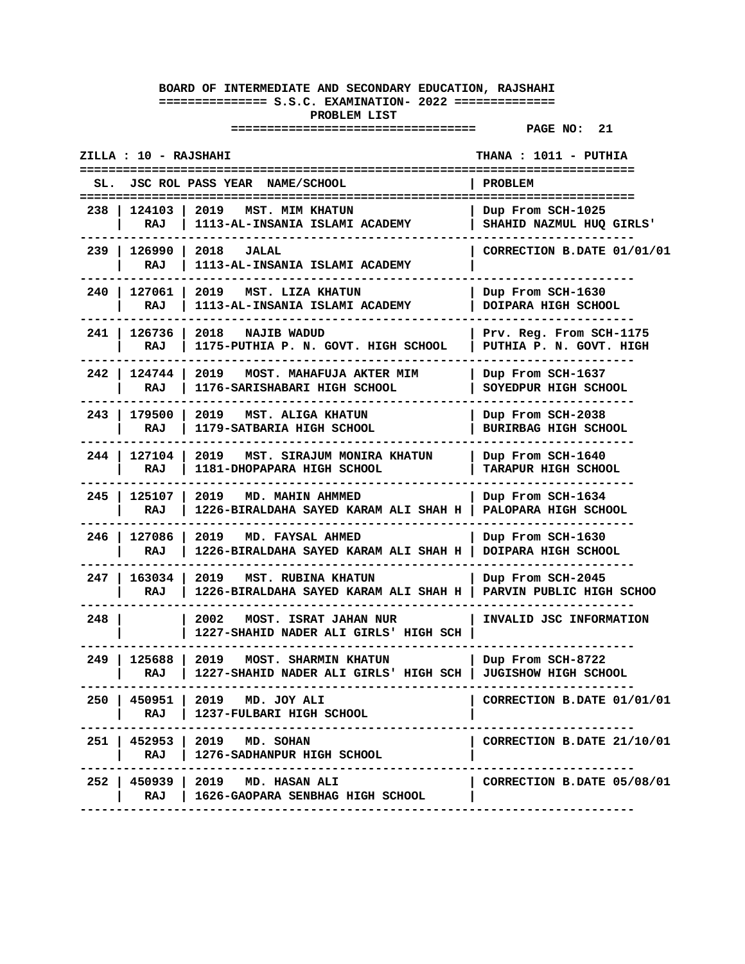| ZILLA : 10 - RAJSHAHI |                       |                                                                                             | THANA : 1011 - PUTHIA                              |
|-----------------------|-----------------------|---------------------------------------------------------------------------------------------|----------------------------------------------------|
| SL.                   |                       | JSC ROL PASS YEAR NAME/SCHOOL                                                               | <b>PROBLEM</b>                                     |
| 238                   | 124103<br>RAJ         | 2019<br><b>MST. MIM KHATUN</b><br>1113-AL-INSANIA ISLAMI ACADEMY                            | Dup From SCH-1025<br>SHAHID NAZMUL HUQ GIRLS'      |
|                       | 239   126990  <br>RAJ | $2018$ JALAL<br>1113-AL-INSANIA ISLAMI ACADEMY                                              | CORRECTION B.DATE 01/01/01                         |
| 240 I                 | 127061<br>RAJ         | 2019<br>MST. LIZA KHATUN<br>1113-AL-INSANIA ISLAMI ACADEMY                                  | Dup From SCH-1630<br>DOIPARA HIGH SCHOOL           |
| 241                   | 126736<br>RAJ         | 2018 NAJIB WADUD<br>1175-PUTHIA P. N. GOVT. HIGH SCHOOL                                     | Prv. Reg. From SCH-1175<br>PUTHIA P. N. GOVT. HIGH |
| 242 I                 | 124744 1<br>RAJ       | 2019 MOST. MAHAFUJA AKTER MIM<br>1176-SARISHABARI HIGH SCHOOL                               | Dup From SCH-1637<br>SOYEDPUR HIGH SCHOOL          |
| 243 I                 | 179500<br>RAJ         | 2019 MST. ALIGA KHATUN<br>1179-SATBARIA HIGH SCHOOL                                         | Dup From SCH-2038<br><b>BURIRBAG HIGH SCHOOL</b>   |
| 244 I                 | 127104 l<br>RAJ       | 2019 MST. SIRAJUM MONIRA KHATUN<br>1181-DHOPAPARA HIGH SCHOOL                               | Dup From SCH-1640<br><b>TARAPUR HIGH SCHOOL</b>    |
| $245$ l               | 125107 l<br>RAJ       | 2019<br>MD. MAHIN AHMMED<br>1226-BIRALDAHA SAYED KARAM ALI SHAH H                           | Dup From SCH-1634<br>PALOPARA HIGH SCHOOL          |
| $246$                 | 127086 l<br>RAJ       | 2019 MD. FAYSAL AHMED<br>1226-BIRALDAHA SAYED KARAM ALI SHAH H                              | Dup From SCH-1630<br>DOIPARA HIGH SCHOOL           |
| 247                   | 163034<br>RAJ         | 2019 MST. RUBINA KHATUN<br>1226-BIRALDAHA SAYED KARAM ALI SHAH H                            | Dup From SCH-2045<br>PARVIN PUBLIC HIGH SCHOO      |
| 248                   |                       | 2002<br><b>MOST. ISRAT JAHAN NUR</b><br>1227-SHAHID NADER ALI GIRLS' HIGH SCH               | INVALID JSC INFORMATION                            |
| 249                   | 125688 2019<br>RAJ    | <b>MOST. SHARMIN KHATUN</b><br>1227-SHAHID NADER ALI GIRLS' HIGH SCH   JUGISHOW HIGH SCHOOL | Dup From SCH-8722                                  |
|                       | RAJ                   | 250   450951   2019 MD. JOY ALI<br>1237-FULBARI HIGH SCHOOL                                 | CORRECTION B.DATE 01/01/01                         |
|                       | RAJ                   | 251   452953   2019 MD. SOHAN<br>1276-SADHANPUR HIGH SCHOOL                                 | CORRECTION B.DATE 21/10/01                         |
|                       | RAJ                   | 252   450939   2019 MD. HASAN ALI<br>  1626-GAOPARA SENBHAG HIGH SCHOOL                     | CORRECTION B.DATE 05/08/01                         |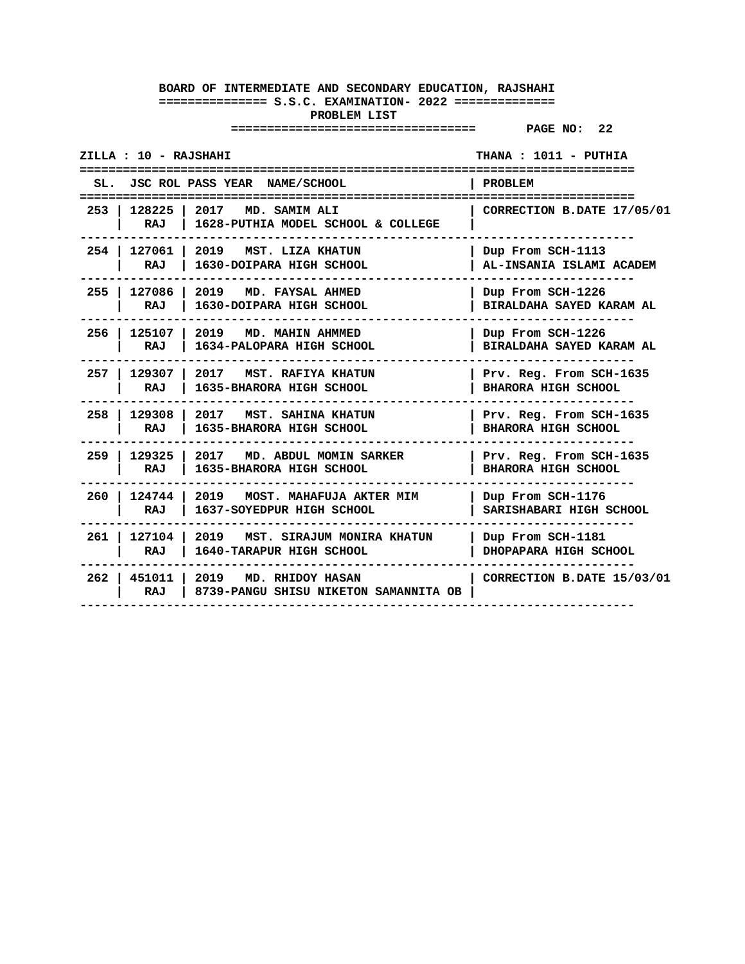| ZILLA : 10 - RAJSHAHI |                       |                                                                               | THANA: 1011 - PUTHIA<br>==============                |
|-----------------------|-----------------------|-------------------------------------------------------------------------------|-------------------------------------------------------|
| SL.                   |                       | JSC ROL PASS YEAR NAME/SCHOOL                                                 | PROBLEM                                               |
|                       | RAJ                   | 253   128225   2017 MD. SAMIM ALI<br>1628-PUTHIA MODEL SCHOOL & COLLEGE       | CORRECTION B.DATE 17/05/01                            |
|                       | RAJ                   | 254   127061   2019 MST. LIZA KHATUN<br>1630-DOIPARA HIGH SCHOOL              | Dup From SCH-1113<br>AL-INSANIA ISLAMI ACADEM         |
|                       | RAJ                   | 255   127086   2019 MD. FAYSAL AHMED<br>1630-DOIPARA HIGH SCHOOL              | Dup From SCH-1226<br>BIRALDAHA SAYED KARAM AL         |
|                       | RAJ                   | 256   125107   2019 MD. MAHIN AHMMED<br>1634-PALOPARA HIGH SCHOOL             | Dup From SCH-1226<br>BIRALDAHA SAYED KARAM AL         |
|                       | RAJ                   | 257   129307   2017 MST. RAFIYA KHATUN<br>1635-BHARORA HIGH SCHOOL            | Prv. Reg. From SCH-1635<br><b>BHARORA HIGH SCHOOL</b> |
|                       | RAJ                   | 258   129308   2017   MST. SAHINA KHATUN<br>1635-BHARORA HIGH SCHOOL          | Prv. Reg. From SCH-1635<br><b>BHARORA HIGH SCHOOL</b> |
|                       | 259   129325  <br>RAJ | 2017 MD. ABDUL MOMIN SARKER<br>1635-BHARORA HIGH SCHOOL                       | Prv. Reg. From SCH-1635<br><b>BHARORA HIGH SCHOOL</b> |
|                       | RAJ                   | 260   124744   2019 MOST. MAHAFUJA AKTER MIM<br>1637-SOYEDPUR HIGH SCHOOL     | Dup From SCH-1176<br>SARISHABARI HIGH SCHOOL          |
|                       | RAJ                   | 261   127104   2019   MST. SIRAJUM MONIRA KHATUN<br>1640-TARAPUR HIGH SCHOOL  | Dup From SCH-1181<br>DHOPAPARA HIGH SCHOOL            |
|                       | RAJ                   | 262   451011   2019 MD. RHIDOY HASAN<br>8739-PANGU SHISU NIKETON SAMANNITA OB | CORRECTION B.DATE 15/03/01                            |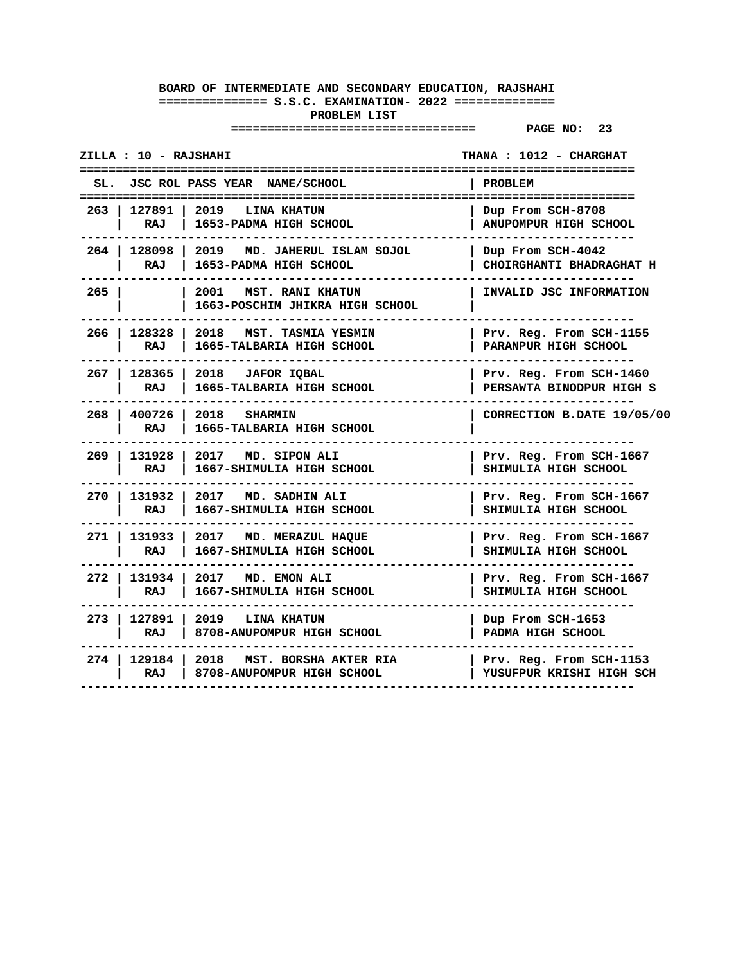| ZILLA : 10 - RAJSHAHI          |                       |                                                                       | THANA : 1012 - CHARGHAT                             |
|--------------------------------|-----------------------|-----------------------------------------------------------------------|-----------------------------------------------------|
| SL.                            |                       | JSC ROL PASS YEAR NAME/SCHOOL                                         | PROBLEM                                             |
|                                | 263   127891  <br>RAJ | <b>2019 LINA KHATUN</b><br>1653-PADMA HIGH SCHOOL                     | Dup From SCH-8708<br>ANUPOMPUR HIGH SCHOOL          |
|                                | RAJ                   | 264   128098   2019 MD. JAHERUL ISLAM SOJOL<br>1653-PADMA HIGH SCHOOL | Dup From SCH-4042<br>CHOIRGHANTI BHADRAGHAT H       |
| $265$ $\overline{\phantom{0}}$ |                       | 2001 MST. RANI KHATUN<br>1663-POSCHIM JHIKRA HIGH SCHOOL              | INVALID JSC INFORMATION                             |
|                                | 266 128328<br>RAJ     | 2018 MST. TASMIA YESMIN<br>1665-TALBARIA HIGH SCHOOL                  | Prv. Reg. From SCH-1155<br>PARANPUR HIGH SCHOOL     |
|                                | 267   128365  <br>RAJ | 2018 JAFOR IOBAL<br>1665-TALBARIA HIGH SCHOOL                         | Prv. Reg. From SCH-1460<br>PERSAWTA BINODPUR HIGH S |
|                                | RAJ                   | 268   400726   2018 SHARMIN<br>1665-TALBARIA HIGH SCHOOL              | CORRECTION B.DATE 19/05/00                          |
|                                | 269   131928  <br>RAJ | 2017 MD. SIPON ALI<br>1667-SHIMULIA HIGH SCHOOL                       | Prv. Reg. From SCH-1667<br>SHIMULIA HIGH SCHOOL     |
|                                | 270   131932<br>RAJ   | 2017 MD. SADHIN ALI<br>1667-SHIMULIA HIGH SCHOOL                      | Prv. Reg. From SCH-1667<br>SHIMULIA HIGH SCHOOL     |
|                                | 271   131933  <br>RAJ | 2017 MD. MERAZUL HAQUE<br>1667-SHIMULIA HIGH SCHOOL                   | Prv. Reg. From SCH-1667<br>SHIMULIA HIGH SCHOOL     |
| 272 I                          | 131934 l<br>RAJ       | 2017 MD. EMON ALI<br>1667-SHIMULIA HIGH SCHOOL                        | Prv. Reg. From SCH-1667<br>SHIMULIA HIGH SCHOOL     |
|                                | RAJ                   | 273   127891   2019 LINA KHATUN<br>8708-ANUPOMPUR HIGH SCHOOL         | Dup From SCH-1653<br>PADMA HIGH SCHOOL              |
|                                | 274   129184  <br>RAJ | 2018<br>MST. BORSHA AKTER RIA<br>8708-ANUPOMPUR HIGH SCHOOL           | Prv. Reg. From SCH-1153<br>YUSUFPUR KRISHI HIGH SCH |
|                                |                       |                                                                       |                                                     |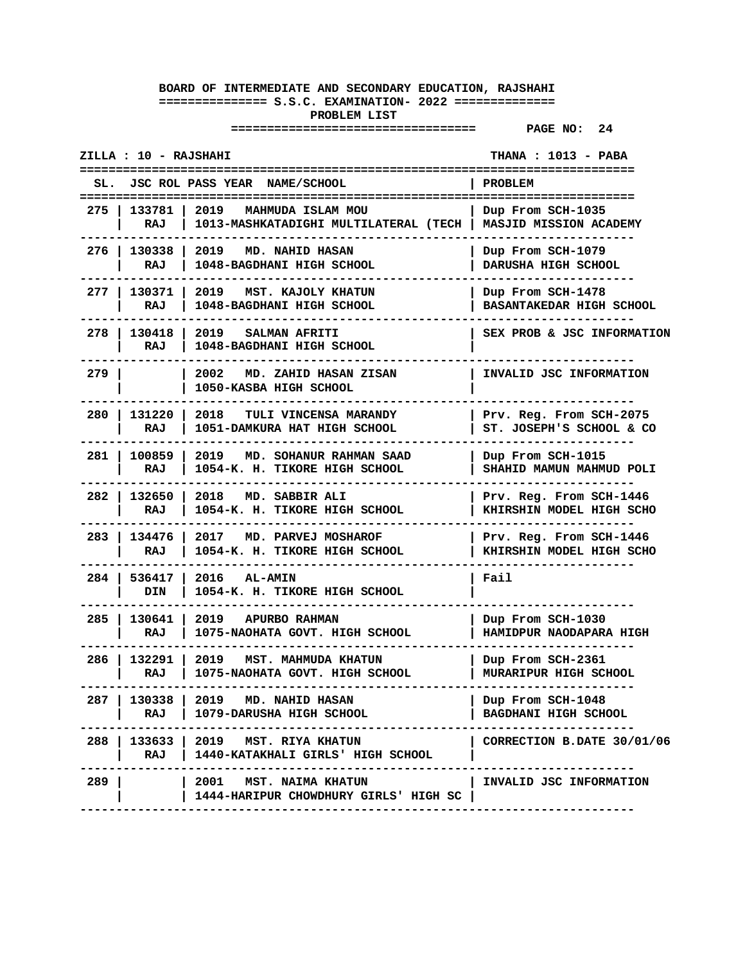| ZILLA : 10 - RAJSHAHI |                       |                                                                                             | THANA : 1013 - PABA                                 |
|-----------------------|-----------------------|---------------------------------------------------------------------------------------------|-----------------------------------------------------|
| SL.                   |                       | JSC ROL PASS YEAR NAME/SCHOOL                                                               | <b>PROBLEM</b>                                      |
| 275                   | 133781<br>RAJ         | 2019<br>MAHMUDA ISLAM MOU<br>1013-MASHKATADIGHI MULTILATERAL (TECH   MASJID MISSION ACADEMY | Dup From SCH-1035                                   |
|                       | RAJ                   | 276   130338   2019 MD. NAHID HASAN<br>1048-BAGDHANI HIGH SCHOOL                            | Dup From SCH-1079<br>DARUSHA HIGH SCHOOL            |
|                       | 277   130371  <br>RAJ | 2019 MST. KAJOLY KHATUN<br>1048-BAGDHANI HIGH SCHOOL                                        | Dup From SCH-1478<br>BASANTAKEDAR HIGH SCHOOL       |
|                       | 278   130418<br>RAJ   | 2019<br><b>SALMAN AFRITI</b><br>1048-BAGDHANI HIGH SCHOOL                                   | SEX PROB & JSC INFORMATION                          |
| 279                   |                       | 2002<br>MD. ZAHID HASAN ZISAN<br>1050-KASBA HIGH SCHOOL                                     | INVALID JSC INFORMATION                             |
| 280                   | 131220<br>RAJ         | 2018 TULI VINCENSA MARANDY<br>1051-DAMKURA HAT HIGH SCHOOL                                  | Prv. Reg. From SCH-2075<br>ST. JOSEPH'S SCHOOL & CO |
| 281 I                 | 100859<br>RAJ         | 2019 MD. SOHANUR RAHMAN SAAD<br>1054-K. H. TIKORE HIGH SCHOOL                               | Dup From SCH-1015<br>SHAHID MAMUN MAHMUD POLI       |
|                       | 282   132650  <br>RAJ | 2018 MD. SABBIR ALI<br>1054-K. H. TIKORE HIGH SCHOOL                                        | Prv. Reg. From SCH-1446<br>KHIRSHIN MODEL HIGH SCHO |
|                       | 283   134476  <br>RAJ | 2017 MD. PARVEJ MOSHAROF<br>1054-K. H. TIKORE HIGH SCHOOL                                   | Prv. Reg. From SCH-1446<br>KHIRSHIN MODEL HIGH SCHO |
|                       | 284   536417  <br>DIN | $2016$ $AL-AMIN$<br>1054-K. H. TIKORE HIGH SCHOOL                                           | Fail                                                |
| 285 I                 | 130641<br>RAJ         | 2019 APURBO RAHMAN<br>1075-NAOHATA GOVT. HIGH SCHOOL                                        | Dup From SCH-1030<br>HAMIDPUR NAODAPARA HIGH        |
|                       | RAJ                   | 286   132291   2019   MST. MAHMUDA KHATUN<br>1075-NAOHATA GOVT. HIGH SCHOOL                 | Dup From SCH-2361<br>MURARIPUR HIGH SCHOOL          |
| 287 I                 | RAJ                   | 130338   2019 MD. NAHID HASAN<br>1079-DARUSHA HIGH SCHOOL                                   | Dup From SCH-1048<br>BAGDHANI HIGH SCHOOL           |
|                       |                       | 288   133633   2019 MST. RIYA KHATUN<br>RAJ   1440-KATAKHALI GIRLS' HIGH SCHOOL             | CORRECTION B.DATE 30/01/06                          |
| 289                   |                       | $\vert$ 2001 MST. NAIMA KHATUN<br>1444-HARIPUR CHOWDHURY GIRLS' HIGH SC                     | INVALID JSC INFORMATION                             |
|                       |                       |                                                                                             |                                                     |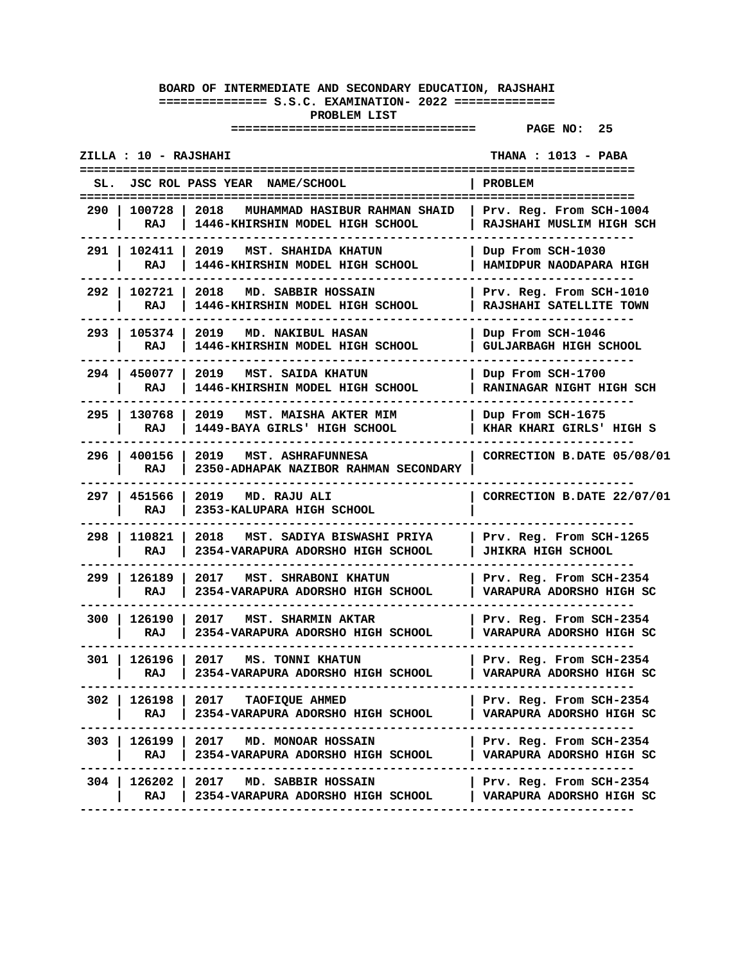| ZILLA : 10 - RAJSHAHI |                       |                                                                          | <b>THANA : 1013 - PABA</b>                           |
|-----------------------|-----------------------|--------------------------------------------------------------------------|------------------------------------------------------|
| SL.                   |                       | JSC ROL PASS YEAR NAME/SCHOOL                                            | <b>PROBLEM</b>                                       |
| 290                   | 100728<br>RAJ         | 2018<br>MUHAMMAD HASIBUR RAHMAN SHAID<br>1446-KHIRSHIN MODEL HIGH SCHOOL | Prv. Reg. From SCH-1004<br>RAJSHAHI MUSLIM HIGH SCH  |
|                       | 291   102411  <br>RAJ | 2019 MST. SHAHIDA KHATUN<br>1446-KHIRSHIN MODEL HIGH SCHOOL              | Dup From SCH-1030<br>HAMIDPUR NAODAPARA HIGH         |
|                       | 292   102721<br>RAJ   | 2018<br>MD. SABBIR HOSSAIN<br>1446-KHIRSHIN MODEL HIGH SCHOOL            | Prv. Reg. From SCH-1010<br>RAJSHAHI SATELLITE TOWN   |
| 293                   | 105374<br>RAJ         | 2019<br>MD. NAKIBUL HASAN<br>1446-KHIRSHIN MODEL HIGH SCHOOL             | Dup From SCH-1046<br><b>GULJARBAGH HIGH SCHOOL</b>   |
| 294 I                 | 450077<br>RAJ         | 2019<br>MST. SAIDA KHATUN<br>1446-KHIRSHIN MODEL HIGH SCHOOL             | Dup From SCH-1700<br>RANINAGAR NIGHT HIGH SCH        |
| $295 \;$ 1            | 130768<br>RAJ         | 2019<br>MST. MAISHA AKTER MIM<br>1449-BAYA GIRLS' HIGH SCHOOL            | Dup From SCH-1675<br>KHAR KHARI GIRLS' HIGH S        |
|                       | 296   400156<br>RAJ   | 2019 MST. ASHRAFUNNESA<br>2350-ADHAPAK NAZIBOR RAHMAN SECONDARY          | CORRECTION B.DATE 05/08/01                           |
|                       | 297   451566<br>RAJ   | 2019 MD. RAJU ALI<br>2353-KALUPARA HIGH SCHOOL                           | CORRECTION B.DATE 22/07/01                           |
| 298                   | 110821<br>RAJ         | 2018 MST. SADIYA BISWASHI PRIYA<br>2354-VARAPURA ADORSHO HIGH SCHOOL     | Prv. Reg. From SCH-1265<br><b>JHIKRA HIGH SCHOOL</b> |
| 299                   | 126189<br>RAJ         | 2017<br>MST. SHRABONI KHATUN<br>2354-VARAPURA ADORSHO HIGH SCHOOL        | Prv. Reg. From SCH-2354<br>VARAPURA ADORSHO HIGH SC  |
| 300 I                 | 126190<br>RAJ         | 2017<br><b>MST. SHARMIN AKTAR</b><br>2354-VARAPURA ADORSHO HIGH SCHOOL   | Prv. Reg. From SCH-2354<br>VARAPURA ADORSHO HIGH SC  |
|                       | 301   126196  <br>RAJ | 2017<br>MS. TONNI KHATUN<br>2354-VARAPURA ADORSHO HIGH SCHOOL            | Prv. Reg. From SCH-2354<br>VARAPURA ADORSHO HIGH SC  |
| 302                   | 126198<br>RAJ         | 2017<br>TAOFIQUE AHMED<br>2354-VARAPURA ADORSHO HIGH SCHOOL              | Prv. Reg. From SCH-2354<br>VARAPURA ADORSHO HIGH SC  |
| 303                   | RAJ                   | 126199   2017 MD. MONOAR HOSSAIN<br>2354-VARAPURA ADORSHO HIGH SCHOOL    | Prv. Reg. From SCH-2354<br>VARAPURA ADORSHO HIGH SC  |
| $304$ $\vert$         | 126202  <br>RAJ       | 2017 MD. SABBIR HOSSAIN<br>2354-VARAPURA ADORSHO HIGH SCHOOL             | Prv. Reg. From SCH-2354<br>VARAPURA ADORSHO HIGH SC  |
|                       |                       |                                                                          |                                                      |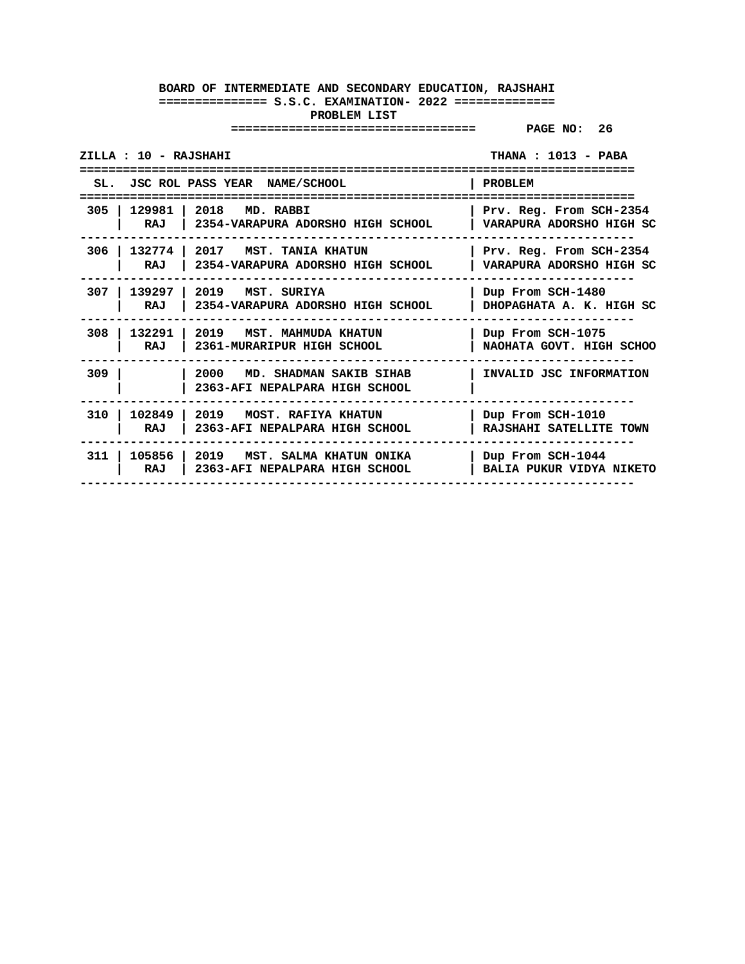| ZILLA : 10 - RAJSHAHI       |                                                                       | THANA : 1013 - PABA                                  |
|-----------------------------|-----------------------------------------------------------------------|------------------------------------------------------|
|                             | SL. JSC ROL PASS YEAR NAME/SCHOOL                                     | <b>PROBLEM</b>                                       |
| 305 I<br>129981 l<br>RAJ    | 2018<br>MD. RABBI<br>2354-VARAPURA ADORSHO HIGH SCHOOL                | Prv. Reg. From SCH-2354<br>VARAPURA ADORSHO HIGH SC  |
| 306<br>RAJ                  | 132774   2017 MST. TANIA KHATUN<br>2354-VARAPURA ADORSHO HIGH SCHOOL  | Prv. Reg. From SCH-2354<br>VARAPURA ADORSHO HIGH SC  |
| 307 I<br>139297<br>RAJ      | $\vert$ 2019 $\vert$ MST, SURIYA<br>2354-VARAPURA ADORSHO HIGH SCHOOL | Dup From SCH-1480<br>DHOPAGHATA A. K. HIGH SC        |
| 308<br>132291<br>RAJ        | 2019 MST. MAHMUDA KHATUN<br>2361-MURARIPUR HIGH SCHOOL                | Dup From SCH-1075<br>NAOHATA GOVT. HIGH SCHOO        |
| 309                         | 2000<br>MD. SHADMAN SAKIB SIHAB<br>2363-AFI NEPALPARA HIGH SCHOOL     | INVALID JSC INFORMATION                              |
| 102849<br>310<br>RAJ        | 2019<br>MOST. RAFIYA KHATUN<br>2363-AFI NEPALPARA HIGH SCHOOL         | Dup From SCH-1010<br>RAJSHAHI SATELLITE TOWN         |
| 105856 2019<br>311 l<br>RAJ | MST. SALMA KHATUN ONIKA<br>2363-AFI NEPALPARA HIGH SCHOOL             | Dup From SCH-1044<br><b>BALIA PUKUR VIDYA NIKETO</b> |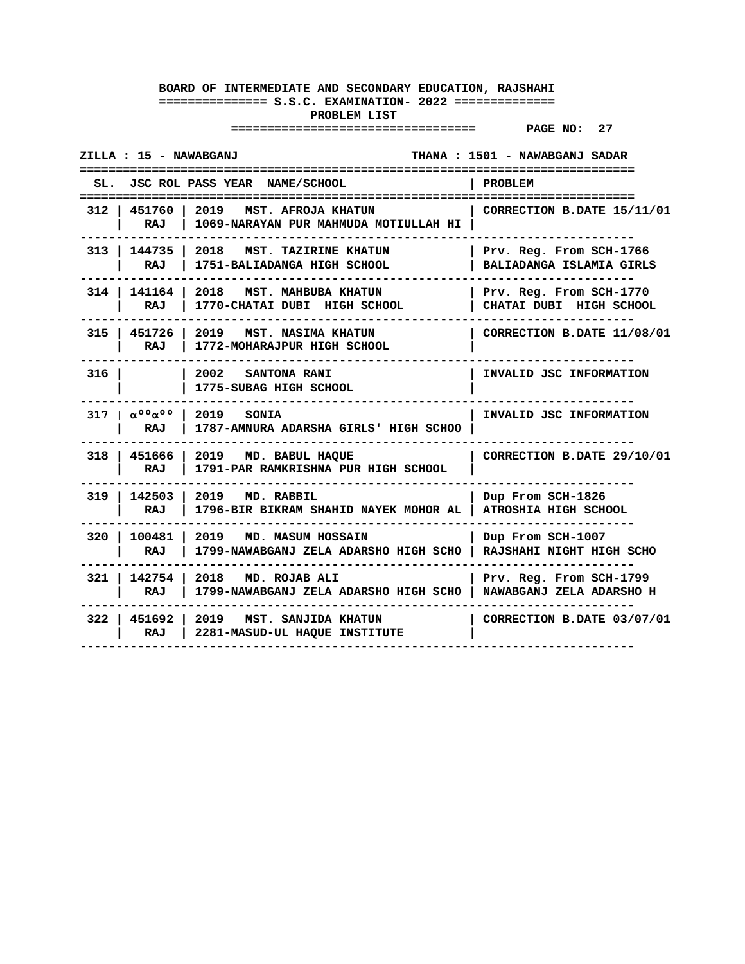| ZILLA : 15 - NAWABGANJ  |                                                                                                               | THANA : 1501 - NAWABGANJ SADAR                       |
|-------------------------|---------------------------------------------------------------------------------------------------------------|------------------------------------------------------|
| SL.                     | JSC ROL PASS YEAR NAME/SCHOOL                                                                                 | PROBLEM                                              |
| RAJ                     | 312   451760   2019 MST. AFROJA KHATUN<br>1069-NARAYAN PUR MAHMUDA MOTIULLAH HI                               | $\mid$ CORRECTION B.DATE 15/11/01                    |
| RAJ                     | 313   144735   2018 MST. TAZIRINE KHATUN<br>1751-BALIADANGA HIGH SCHOOL                                       | Prv. Reg. From SCH-1766<br>BALIADANGA ISLAMIA GIRLS  |
| RAJ                     | 314   141164   2018 MST. MAHBUBA KHATUN<br>1770-CHATAI DUBI HIGH SCHOOL                                       | Prv. Reg. From SCH-1770<br>  CHATAI DUBI HIGH SCHOOL |
| RAJ                     | 315   451726   2019   MST. NASIMA KHATUN<br>1772-MOHARAJPUR HIGH SCHOOL                                       | CORRECTION B.DATE 11/08/01                           |
| 316 I                   | 2002 SANTONA RANI<br>1775-SUBAG HIGH SCHOOL                                                                   | INVALID JSC INFORMATION                              |
| <b>RAJ</b>              | $317 \mid \alpha^{\circ} \circ \alpha^{\circ} \circ \mid 2019$ SONIA<br>1787-AMNURA ADARSHA GIRLS' HIGH SCHOO | INVALID JSC INFORMATION                              |
| $318$   451666  <br>RAJ | 2019 MD. BABUL HAQUE<br>1791-PAR RAMKRISHNA PUR HIGH SCHOOL                                                   | CORRECTION B.DATE 29/10/01                           |
| 319   142503  <br>RAJ   | 2019 MD. RABBIL<br>1796-BIR BIKRAM SHAHID NAYEK MOHOR AL   ATROSHIA HIGH SCHOOL                               | Dup From SCH-1826                                    |
| RAJ                     | 320   100481   2019   MD. MASUM HOSSAIN<br>1799-NAWABGANJ ZELA ADARSHO HIGH SCHO   RAJSHAHI NIGHT HIGH SCHO   | Dup From SCH-1007                                    |
| RAJ                     | 321   142754   2018 MD. ROJAB ALI<br>1799-NAWABGANJ ZELA ADARSHO HIGH SCHO   NAWABGANJ ZELA ADARSHO H         | Prv. Reg. From SCH-1799                              |
| RAJ                     | 322   451692   2019   MST. SANJIDA KHATUN<br>2281-MASUD-UL HAQUE INSTITUTE                                    | CORRECTION B.DATE 03/07/01                           |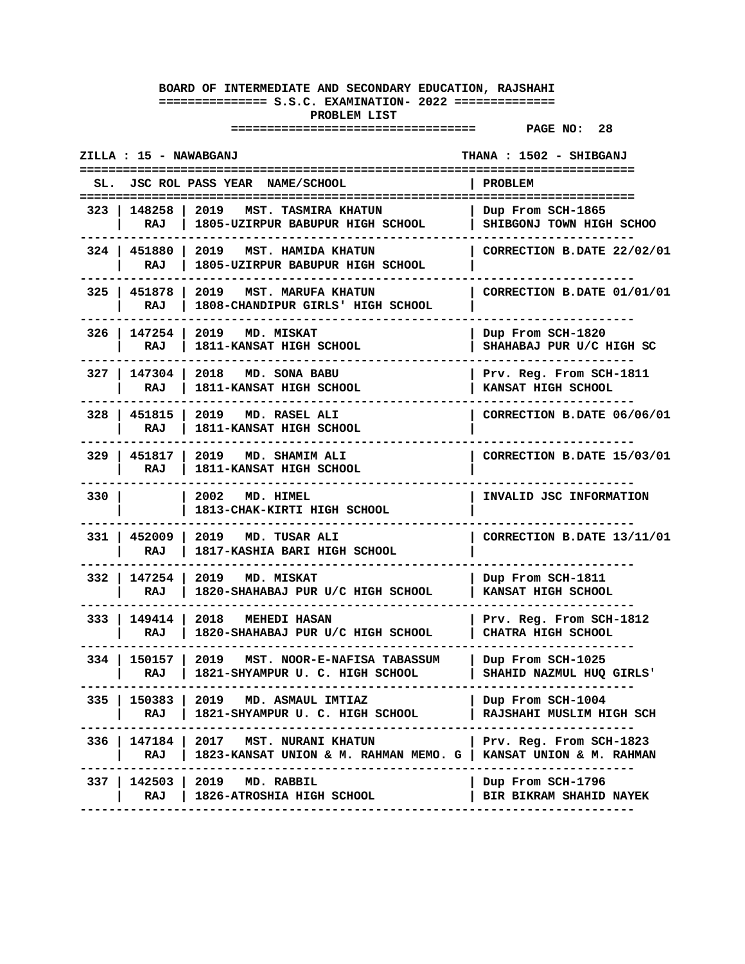| ZILLA : 15 - NAWABGANJ |                                                                                                                       | THANA : 1502 - SHIBGANJ                             |
|------------------------|-----------------------------------------------------------------------------------------------------------------------|-----------------------------------------------------|
| SL.                    | JSC ROL PASS YEAR NAME/SCHOOL                                                                                         | <b>PROBLEM</b>                                      |
| RAJ                    | 323   148258   2019   MST. TASMIRA KHATUN<br>1805-UZIRPUR BABUPUR HIGH SCHOOL                                         | Dup From SCH-1865<br>SHIBGONJ TOWN HIGH SCHOO       |
| 324   451880  <br>RAJ  | 2019<br>MST. HAMIDA KHATUN<br>1805-UZIRPUR BABUPUR HIGH SCHOOL                                                        | CORRECTION B.DATE 22/02/01                          |
| 325   451878<br>RAJ    | 2019<br><b>MST. MARUFA KHATUN</b><br>1808-CHANDIPUR GIRLS' HIGH SCHOOL                                                | CORRECTION B.DATE 01/01/01                          |
| 326   147254<br>RAJ    | 2019 MD. MISKAT<br>1811-KANSAT HIGH SCHOOL                                                                            | Dup From SCH-1820<br>SHAHABAJ PUR U/C HIGH SC       |
| 327   147304<br>RAJ    | 2018 MD. SONA BABU<br>1811-KANSAT HIGH SCHOOL                                                                         | Prv. Reg. From SCH-1811<br>KANSAT HIGH SCHOOL       |
| RAJ                    | 328   451815   2019 MD. RASEL ALI<br>1811-KANSAT HIGH SCHOOL                                                          | CORRECTION B.DATE 06/06/01                          |
| 329   451817  <br>RAJ  | 2019 MD. SHAMIM ALI<br>1811-KANSAT HIGH SCHOOL                                                                        | CORRECTION B.DATE 15/03/01                          |
| 330 l                  | 2002 MD. HIMEL<br>1813-CHAK-KIRTI HIGH SCHOOL                                                                         | INVALID JSC INFORMATION                             |
| 331   452009<br>RAJ    | 2019 MD. TUSAR ALI<br>1817-KASHIA BARI HIGH SCHOOL                                                                    | CORRECTION B.DATE 13/11/01                          |
| 332 I<br>147254<br>RAJ | 2019 MD. MISKAT<br>1820-SHAHABAJ PUR U/C HIGH SCHOOL                                                                  | Dup From SCH-1811<br>KANSAT HIGH SCHOOL             |
| RAJ                    | 333   149414   2018   MEHEDI HASAN<br>1820-SHAHABAJ PUR U/C HIGH SCHOOL                                               | Prv. Reg. From SCH-1812<br>CHATRA HIGH SCHOOL       |
| RAJ                    | 334   150157   2019   MST. NOOR-E-NAFISA TABASSUM<br>1821-SHYAMPUR U. C. HIGH SCHOOL                                  | Dup From SCH-1025<br>SHAHID NAZMUL HUO GIRLS'       |
| 335 I<br>RAJ           | 150383   2019 MD. ASMAUL IMTIAZ<br>1821-SHYAMPUR U. C. HIGH SCHOOL                                                    | Dup From SCH-1004<br>RAJSHAHI MUSLIM HIGH SCH       |
| RAJ                    | 336   147184   2017   MST. NURANI KHATUN<br>1823-KANSAT UNION & M. RAHMAN MEMO. G   KANSAT UNION & M. RAHMAN<br>----- | Prv. Reg. From SCH-1823                             |
| RAJ                    | 337   142503   2019 MD. RABBIL<br>1826-ATROSHIA HIGH SCHOOL                                                           | Dup From SCH-1796<br><b>BIR BIKRAM SHAHID NAYEK</b> |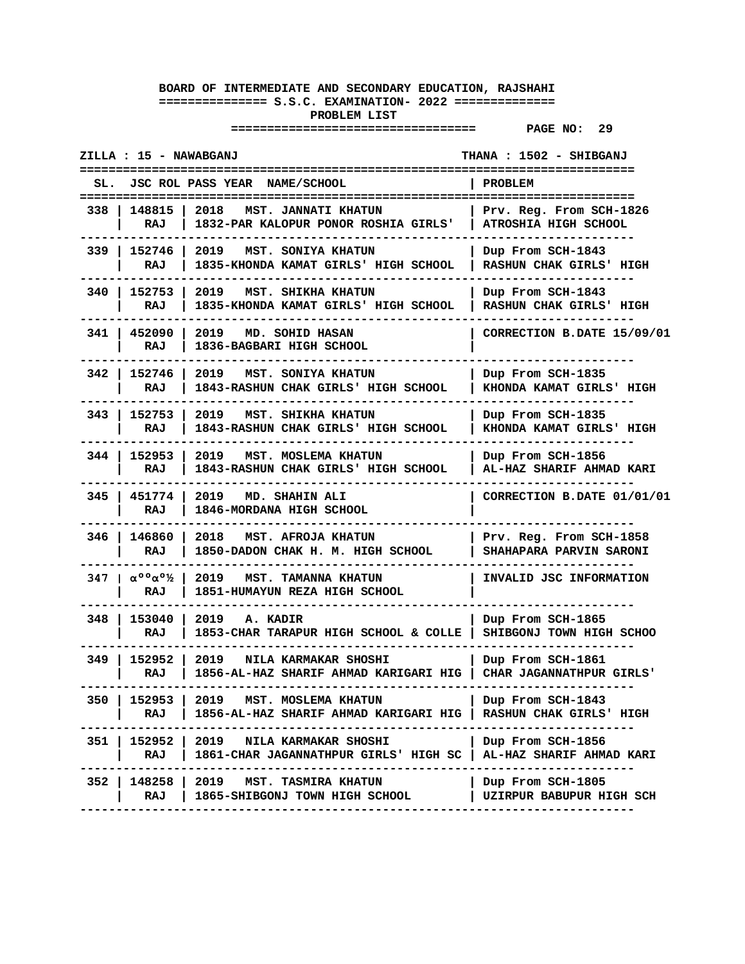| ZILLA : 15 - NAWABGANJ<br>THANA : 1502 - SHIBGANJ                                |                         |                                                                                                                |                                                     |
|----------------------------------------------------------------------------------|-------------------------|----------------------------------------------------------------------------------------------------------------|-----------------------------------------------------|
| SL.                                                                              |                         | JSC ROL PASS YEAR NAME/SCHOOL                                                                                  | PROBLEM<br>=====================                    |
| 338 I                                                                            | 148815  <br>2018<br>RAJ | MST. JANNATI KHATUN<br>1832-PAR KALOPUR PONOR ROSHIA GIRLS'                                                    | Prv. Reg. From SCH-1826<br>ATROSHIA HIGH SCHOOL     |
| 339   152746                                                                     | 2019<br>RAJ             | MST. SONIYA KHATUN<br>1835-KHONDA KAMAT GIRLS' HIGH SCHOOL                                                     | Dup From SCH-1843<br>RASHUN CHAK GIRLS' HIGH        |
| 340                                                                              | 152753<br>2019<br>RAJ   | <b>MST. SHIKHA KHATUN</b><br>1835-KHONDA KAMAT GIRLS' HIGH SCHOOL                                              | Dup From SCH-1843<br><b>RASHUN CHAK GIRLS' HIGH</b> |
| 341                                                                              | 452090<br>2019<br>RAJ   | MD. SOHID HASAN<br>1836-BAGBARI HIGH SCHOOL                                                                    | CORRECTION B.DATE 15/09/01                          |
| 342                                                                              | 152746<br>2019<br>RAJ   | MST. SONIYA KHATUN<br>1843-RASHUN CHAK GIRLS' HIGH SCHOOL                                                      | Dup From SCH-1835<br>KHONDA KAMAT GIRLS' HIGH       |
| 343 I                                                                            | 152753 1<br>2019<br>RAJ | MST. SHIKHA KHATUN<br>1843-RASHUN CHAK GIRLS' HIGH SCHOOL                                                      | Dup From SCH-1835<br>KHONDA KAMAT GIRLS' HIGH       |
| 344   152953                                                                     | 2019<br>RAJ             | MST. MOSLEMA KHATUN<br>1843-RASHUN CHAK GIRLS' HIGH SCHOOL                                                     | Dup From SCH-1856<br>AL-HAZ SHARIF AHMAD KARI       |
| 345   451774                                                                     | 2019<br>RAJ             | MD. SHAHIN ALI<br>1846-MORDANA HIGH SCHOOL                                                                     | CORRECTION B.DATE 01/01/01                          |
| 346                                                                              | 146860<br>2018<br>RAJ   | MST. AFROJA KHATUN<br>1850-DADON CHAK H. M. HIGH SCHOOL                                                        | Prv. Reg. From SCH-1858<br>SHAHAPARA PARVIN SARONI  |
| $347 \pm \alpha$ <sup>00</sup> $\alpha$ <sup>0</sup> <sup>1</sup> / <sub>2</sub> | 2019<br>RAJ             | <b>MST. TAMANNA KHATUN</b><br>1851-HUMAYUN REZA HIGH SCHOOL                                                    | INVALID JSC INFORMATION                             |
| 348 I                                                                            | 153040<br>2019<br>RAJ   | A. KADIR<br>1853-CHAR TARAPUR HIGH SCHOOL & COLLE                                                              | Dup From SCH-1865<br>SHIBGONJ TOWN HIGH SCHOO       |
| 349 I                                                                            | 152952<br>2019<br>RAJ   | NILA KARMAKAR SHOSHI<br>1856-AL-HAZ SHARIF AHMAD KARIGARI HIG                                                  | Dup From SCH-1861<br>CHAR JAGANNATHPUR GIRLS'       |
| 350 I                                                                            | RAJ                     | 152953   2019 MST. MOSLEMA KHATUN<br>1856-AL-HAZ SHARIF AHMAD KARIGARI HIG   RASHUN CHAK GIRLS' HIGH           | Dup From SCH-1843                                   |
|                                                                                  | RAJ                     | 351   152952   2019   NILA KARMAKAR SHOSHI<br>1861-CHAR JAGANNATHPUR GIRLS' HIGH SC   AL-HAZ SHARIF AHMAD KARI | Dup From SCH-1856                                   |
| 352 I                                                                            | RAJ                     | 148258   2019 MST. TASMIRA KHATUN<br>1865-SHIBGONJ TOWN HIGH SCHOOL<br>---------------------------------       | Dup From SCH-1805<br>  UZIRPUR BABUPUR HIGH SCH     |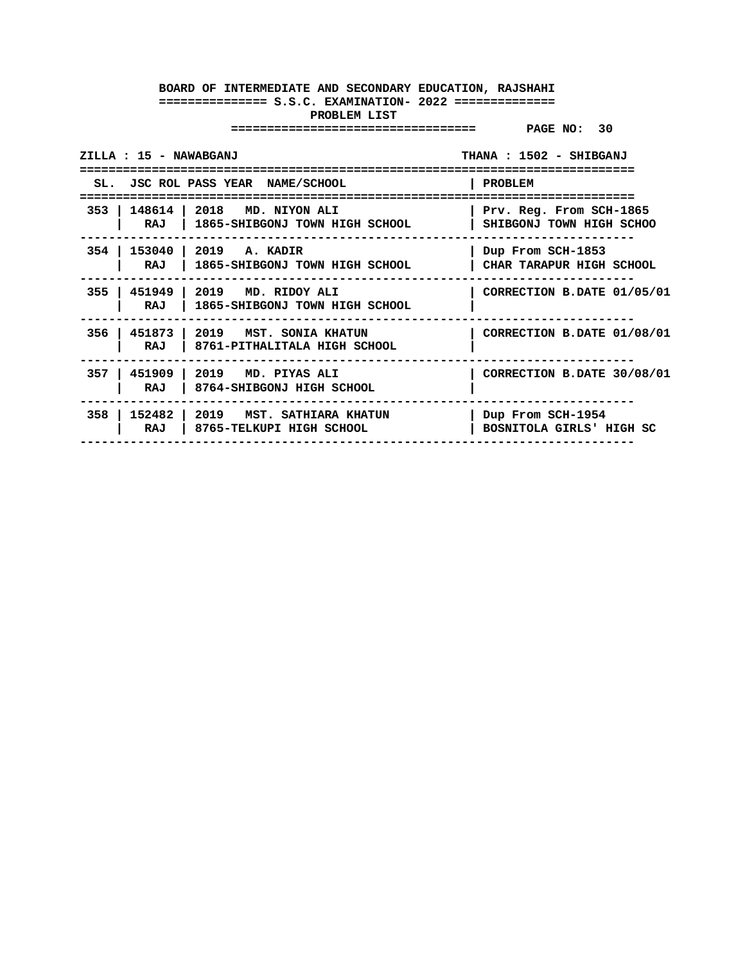| ZILLA : 15 - NAWABGANJ |                                                                           | THANA : 1502 - SHIBGANJ                             |
|------------------------|---------------------------------------------------------------------------|-----------------------------------------------------|
|                        | SL. JSC ROL PASS YEAR NAME/SCHOOL                                         | PROBLEM                                             |
|                        | 353   148614   2018 MD. NIYON ALI<br>RAJ   1865-SHIBGONJ TOWN HIGH SCHOOL | Prv. Reg. From SCH-1865<br>SHIBGONJ TOWN HIGH SCHOO |
| 354 l                  | 153040   2019   A. KADIR<br>RAJ   1865-SHIBGONJ TOWN HIGH SCHOOL          | Dup From SCH-1853<br>CHAR TARAPUR HIGH SCHOOL       |
| RAJ                    | 355   451949   2019 MD. RIDOY ALI<br>  1865-SHIBGONJ TOWN HIGH SCHOOL     | CORRECTION B.DATE 01/05/01                          |
| RAJ                    | 356   451873   2019 MST. SONIA KHATUN<br>  8761-PITHALITALA HIGH SCHOOL   | CORRECTION B.DATE 01/08/01                          |
| RAJ                    | 357   451909   2019 MD. PIYAS ALI<br>8764-SHIBGONJ HIGH SCHOOL            | CORRECTION B.DATE 30/08/01                          |
| RAJ                    | 358   152482   2019   MST. SATHIARA KHATUN<br>8765-TELKUPI HIGH SCHOOL    | Dup From SCH-1954<br>BOSNITOLA GIRLS' HIGH SC       |
|                        |                                                                           |                                                     |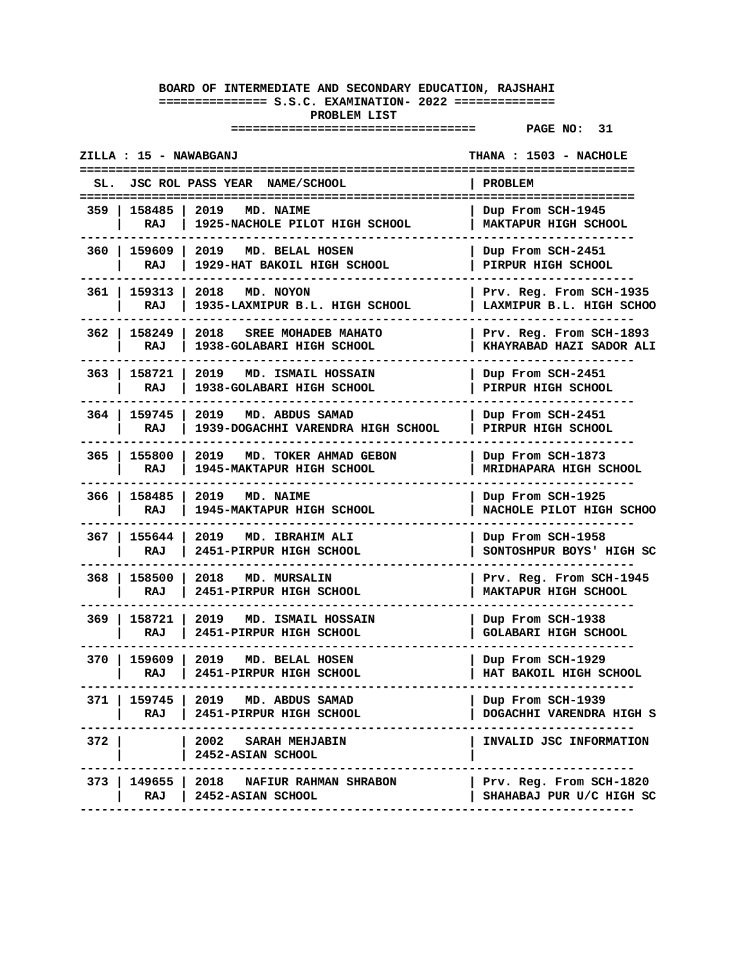|       | ZILLA : 15 - NAWABGANJ     |                                                                   | THANA : 1503 - NACHOLE                                 |
|-------|----------------------------|-------------------------------------------------------------------|--------------------------------------------------------|
|       |                            | JSC ROL PASS YEAR NAME/SCHOOL                                     | PROBLEM                                                |
|       | 359   158485   2019<br>RAJ | <b>MD. NAIME</b><br>1925-NACHOLE PILOT HIGH SCHOOL                | Dup From SCH-1945<br>MAKTAPUR HIGH SCHOOL              |
|       | 360   159609  <br>RAJ      | 2019<br>MD. BELAL HOSEN<br>1929-HAT BAKOIL HIGH SCHOOL            | Dup From SCH-2451<br>PIRPUR HIGH SCHOOL                |
| 361 l | 159313<br>RAJ              | 2018<br>MD. NOYON<br>1935-LAXMIPUR B.L. HIGH SCHOOL               | Prv. Reg. From SCH-1935<br>LAXMIPUR B.L. HIGH SCHOO    |
|       | 362   158249<br>RAJ        | 2018<br>SREE MOHADEB MAHATO<br>1938-GOLABARI HIGH SCHOOL          | Prv. Reg. From SCH-1893<br>KHAYRABAD HAZI SADOR ALI    |
| 363 l | 158721<br>RAJ              | 2019<br>MD. ISMAIL HOSSAIN<br>1938-GOLABARI HIGH SCHOOL           | Dup From SCH-2451<br>PIRPUR HIGH SCHOOL                |
|       | 364   159745<br>RAJ        | 2019 MD. ABDUS SAMAD<br>1939-DOGACHHI VARENDRA HIGH SCHOOL        | Dup From SCH-2451<br>PIRPUR HIGH SCHOOL                |
|       | 365   155800<br>RAJ        | 2019<br>MD. TOKER AHMAD GEBON<br>1945-MAKTAPUR HIGH SCHOOL        | Dup From SCH-1873<br>MRIDHAPARA HIGH SCHOOL            |
|       | 366   158485<br>RAJ        | 2019 MD. NAIME<br>1945-MAKTAPUR HIGH SCHOOL                       | Dup From SCH-1925<br>NACHOLE PILOT HIGH SCHOO          |
|       | 367   155644<br>RAJ        | 2019<br>MD. IBRAHIM ALI<br>2451-PIRPUR HIGH SCHOOL                | Dup From SCH-1958<br>SONTOSHPUR BOYS' HIGH SC          |
| 368   | 158500<br>RAJ              | 2018<br>MD. MURSALIN<br>2451-PIRPUR HIGH SCHOOL                   | Prv. Reg. From SCH-1945<br><b>MAKTAPUR HIGH SCHOOL</b> |
| 369 I | 158721<br>RAJ              | 2019<br><b>MD. ISMAIL HOSSAIN</b><br>2451-PIRPUR HIGH SCHOOL      | Dup From SCH-1938<br>GOLABARI HIGH SCHOOL              |
| 370 I | 159609 1<br>RAJ            | 2019<br>MD. BELAL HOSEN<br>2451-PIRPUR HIGH SCHOOL                | Dup From SCH-1929<br>HAT BAKOIL HIGH SCHOOL            |
| 371 I | RAJ                        | 159745   2019 MD. ABDUS SAMAD<br>  2451-PIRPUR HIGH SCHOOL        | Dup From SCH-1939<br>DOGACHHI VARENDRA HIGH S          |
| 372 I |                            | 2002 SARAH MEHJABIN<br>2452-ASIAN SCHOOL                          | INVALID JSC INFORMATION                                |
|       | RAJ                        | 373   149655   2018    NAFIUR RAHMAN SHRABON<br>2452-ASIAN SCHOOL | Prv. Reg. From SCH-1820<br>SHAHABAJ PUR U/C HIGH SC    |
|       |                            |                                                                   |                                                        |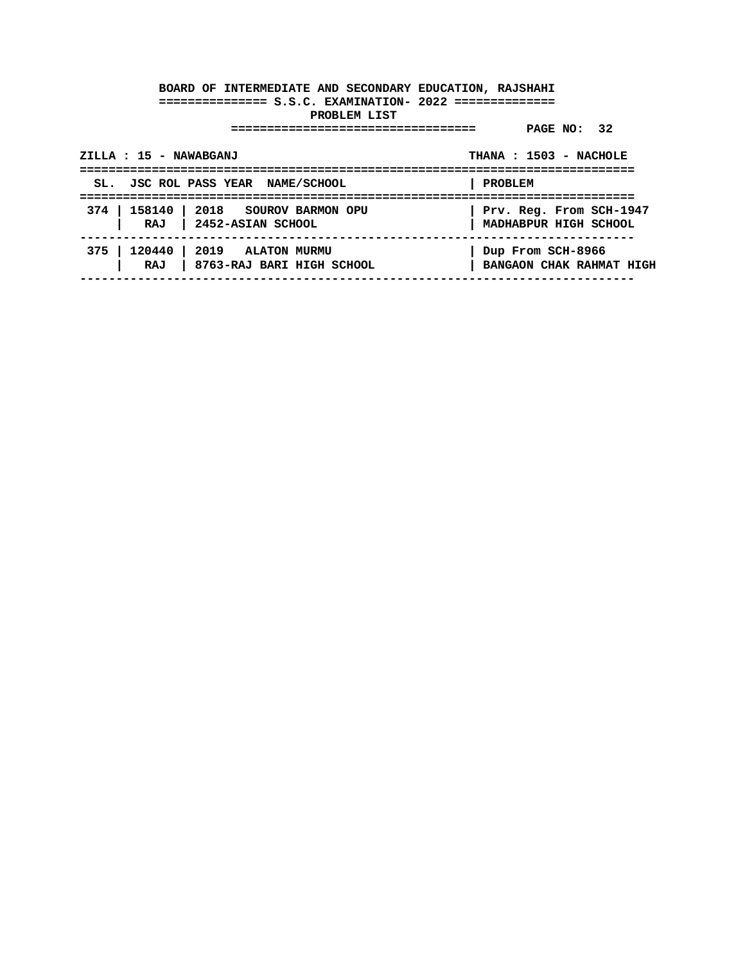| ZILLA : 15 - NAWABGANJ |                                                                     | THANA: 1503 - NACHOLE                            |
|------------------------|---------------------------------------------------------------------|--------------------------------------------------|
|                        | SL. JSC ROL PASS YEAR NAME/SCHOOL                                   | <b>PROBLEM</b>                                   |
|                        | 374   158140   2018  SOUROV BARMON OPU<br>RAJ   2452-ASIAN SCHOOL   | Prv. Reg. From SCH-1947<br>MADHABPUR HIGH SCHOOL |
|                        | 375   120440   2019 ALATON MURMU<br>RAJ   8763-RAJ BARI HIGH SCHOOL | Dup From SCH-8966<br>BANGAON CHAK RAHMAT HIGH    |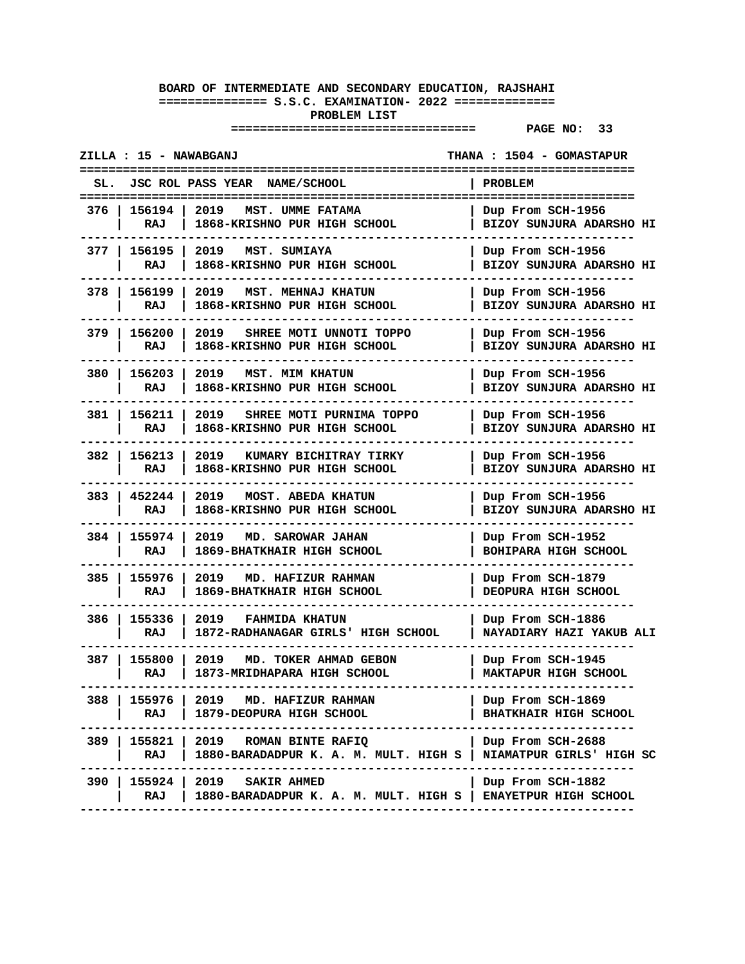|       | ZILLA : 15 - NAWABGANJ |                                                                                               | THANA : 1504 - GOMASTAPUR                         |
|-------|------------------------|-----------------------------------------------------------------------------------------------|---------------------------------------------------|
|       |                        | SL. JSC ROL PASS YEAR NAME/SCHOOL                                                             | PROBLEM<br>==================                     |
| 376 I | 156194 l<br>RAJ        | 2019<br>MST. UMME FATAMA<br>1868-KRISHNO PUR HIGH SCHOOL                                      | Dup From SCH-1956<br>BIZOY SUNJURA ADARSHO HI     |
| 377 I | 156195<br>RAJ          | 2019<br>MST. SUMIAYA<br>1868-KRISHNO PUR HIGH SCHOOL                                          | Dup From SCH-1956<br>BIZOY SUNJURA ADARSHO HI     |
| 378 I | 156199<br>RAJ          | 2019<br>MST. MEHNAJ KHATUN<br>1868-KRISHNO PUR HIGH SCHOOL                                    | Dup From SCH-1956<br>BIZOY SUNJURA ADARSHO HI     |
| 379   | 156200<br>RAJ          | 2019<br>SHREE MOTI UNNOTI TOPPO<br><b>1868-KRISHNO PUR HIGH SCHOOL</b>                        | Dup From SCH-1956<br>BIZOY SUNJURA ADARSHO HI     |
| 380 I | 156203<br>RAJ          | 2019<br><b>MST. MIM KHATUN</b><br>1868-KRISHNO PUR HIGH SCHOOL                                | Dup From SCH-1956<br>BIZOY SUNJURA ADARSHO HI     |
| 381 I | 156211<br>RAJ          | 2019<br>SHREE MOTI PURNIMA TOPPO<br>1868-KRISHNO PUR HIGH SCHOOL                              | Dup From SCH-1956<br>BIZOY SUNJURA ADARSHO HI     |
| 382 I | 156213<br>RAJ          | 2019<br>KUMARY BICHITRAY TIRKY<br>1868-KRISHNO PUR HIGH SCHOOL                                | Dup From SCH-1956<br>BIZOY SUNJURA ADARSHO HI     |
|       | 383   452244<br>RAJ    | 2019<br>MOST. ABEDA KHATUN<br>1868-KRISHNO PUR HIGH SCHOOL                                    | Dup From SCH-1956<br>BIZOY SUNJURA ADARSHO HI     |
| 384 I | 155974<br>RAJ          | 2019<br>MD. SAROWAR JAHAN<br>1869-BHATKHAIR HIGH SCHOOL                                       | Dup From SCH-1952<br><b>BOHIPARA HIGH SCHOOL</b>  |
| 385   | 155976<br>RAJ          | 2019<br>MD. HAFIZUR RAHMAN<br>1869-BHATKHAIR HIGH SCHOOL                                      | Dup From SCH-1879<br>DEOPURA HIGH SCHOOL          |
| 386 I | 155336<br>RAJ          | 2019<br><b>FAHMIDA KHATUN</b><br>1872-RADHANAGAR GIRLS' HIGH SCHOOL                           | Dup From SCH-1886<br>NAYADIARY HAZI YAKUB ALI     |
| 387 I | 155800<br>RAJ          | 2019<br>MD. TOKER AHMAD GEBON<br>1873-MRIDHAPARA HIGH SCHOOL                                  | Dup From SCH-1945<br>MAKTAPUR HIGH SCHOOL         |
| 388   | 155976<br>RAJ          | 2019<br>MD. HAFIZUR RAHMAN<br>1879-DEOPURA HIGH SCHOOL                                        | Dup From SCH-1869<br><b>BHATKHAIR HIGH SCHOOL</b> |
| 389   | 155821<br>RAJ          | 2019<br>ROMAN BINTE RAFIQ<br>1880-BARADADPUR K. A. M. MULT. HIGH S   NIAMATPUR GIRLS' HIGH SC | Dup From SCH-2688                                 |
| 390   | 155924<br>RAJ          | 2019<br><b>SAKIR AHMED</b><br>1880-BARADADPUR K. A. M. MULT. HIGH S   ENAYETPUR HIGH SCHOOL   | Dup From SCH-1882                                 |
|       |                        |                                                                                               |                                                   |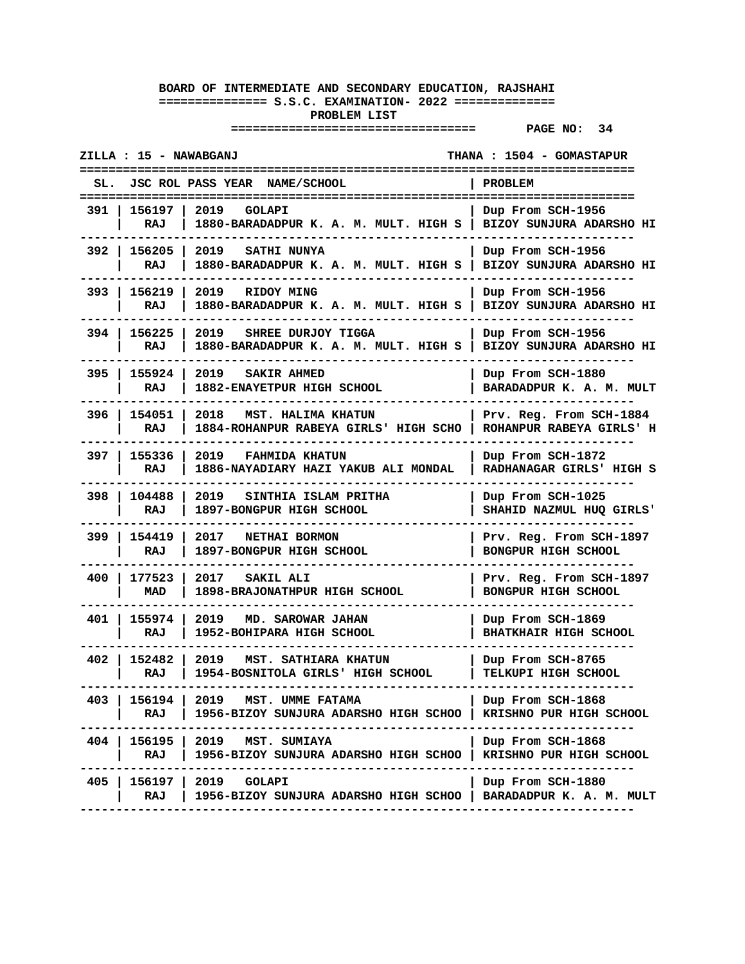| ZILLA : 15 - NAWABGANJ                                                                                                           | THANA : 1504 - GOMASTAPUR                             |
|----------------------------------------------------------------------------------------------------------------------------------|-------------------------------------------------------|
| JSC ROL PASS YEAR NAME/SCHOOL<br>SL.                                                                                             | <b>PROBLEM</b>                                        |
| 156197  <br>2019<br>391 I<br>GOLAPI<br>RAJ<br>1880-BARADADPUR K. A. M. MULT. HIGH S   BIZOY SUNJURA ADARSHO HI                   | Dup From SCH-1956                                     |
| 392   156205<br>2019<br>SATHI NUNYA<br>1880-BARADADPUR K. A. M. MULT. HIGH S<br>RAJ                                              | Dup From SCH-1956<br>BIZOY SUNJURA ADARSHO HI         |
| 156219<br>393 I<br>2019<br>RIDOY MING<br>RAJ<br>1880-BARADADPUR K. A. M. MULT. HIGH S                                            | Dup From SCH-1956<br>BIZOY SUNJURA ADARSHO HI         |
| 394 I<br>156225<br>2019<br>SHREE DURJOY TIGGA<br>1880-BARADADPUR K. A. M. MULT. HIGH S<br>RAJ                                    | Dup From SCH-1956<br>BIZOY SUNJURA ADARSHO HI         |
| 155924<br>395<br>2019<br>SAKIR AHMED<br>RAJ<br>1882-ENAYETPUR HIGH SCHOOL                                                        | Dup From SCH-1880<br>BARADADPUR K. A. M. MULT         |
| 396 l<br>154051<br>2018<br>MST. HALIMA KHATUN<br>RAJ<br>1884-ROHANPUR RABEYA GIRLS' HIGH SCHO                                    | Prv. Reg. From SCH-1884<br>ROHANPUR RABEYA GIRLS' H   |
| 397 I<br>155336<br>2019<br><b>FAHMIDA KHATUN</b><br>RAJ<br>1886-NAYADIARY HAZI YAKUB ALI MONDAL                                  | Dup From SCH-1872<br>RADHANAGAR GIRLS' HIGH S         |
| 398 I<br>104488<br>2019<br>SINTHIA ISLAM PRITHA<br>RAJ<br>1897-BONGPUR HIGH SCHOOL                                               | Dup From SCH-1025<br>SHAHID NAZMUL HUQ GIRLS'         |
| 399 I<br>154419<br>2017<br>NETHAI BORMON<br>1897-BONGPUR HIGH SCHOOL<br>RAJ                                                      | Prv. Reg. From SCH-1897<br><b>BONGPUR HIGH SCHOOL</b> |
| 400<br>177523<br>2017<br>SAKIL ALI<br>MAD<br>1898-BRAJONATHPUR HIGH SCHOOL                                                       | Prv. Reg. From SCH-1897<br>BONGPUR HIGH SCHOOL        |
| 155974<br>2019<br>401 I<br>MD. SAROWAR JAHAN<br>RAJ<br>1952-BOHIPARA HIGH SCHOOL                                                 | Dup From SCH-1869<br><b>BHATKHAIR HIGH SCHOOL</b>     |
| 402 I<br>152482<br>2019<br>MST. SATHIARA KHATUN<br>RAJ<br>1954-BOSNITOLA GIRLS' HIGH SCHOOL                                      | Dup From SCH-8765<br>TELKUPI HIGH SCHOOL              |
| 156194  <br>2019 MST. UMME FATAMA<br>403 I<br>RAJ<br>1956-BIZOY SUNJURA ADARSHO HIGH SCHOO<br>----------------------<br>-------- | Dup From SCH-1868<br>  KRISHNO PUR HIGH SCHOOL        |
| 404   156195   2019<br>MST. SUMIAYA<br>RAJ<br>1956-BIZOY SUNJURA ADARSHO HIGH SCHOO                                              | Dup From SCH-1868<br>KRISHNO PUR HIGH SCHOOL          |
| $156197$  <br>405 l<br>2019 GOLAPI<br>1956-BIZOY SUNJURA ADARSHO HIGH SCHOO   BARADADPUR K. A. M. MULT<br>RAJ                    | Dup From SCH-1880                                     |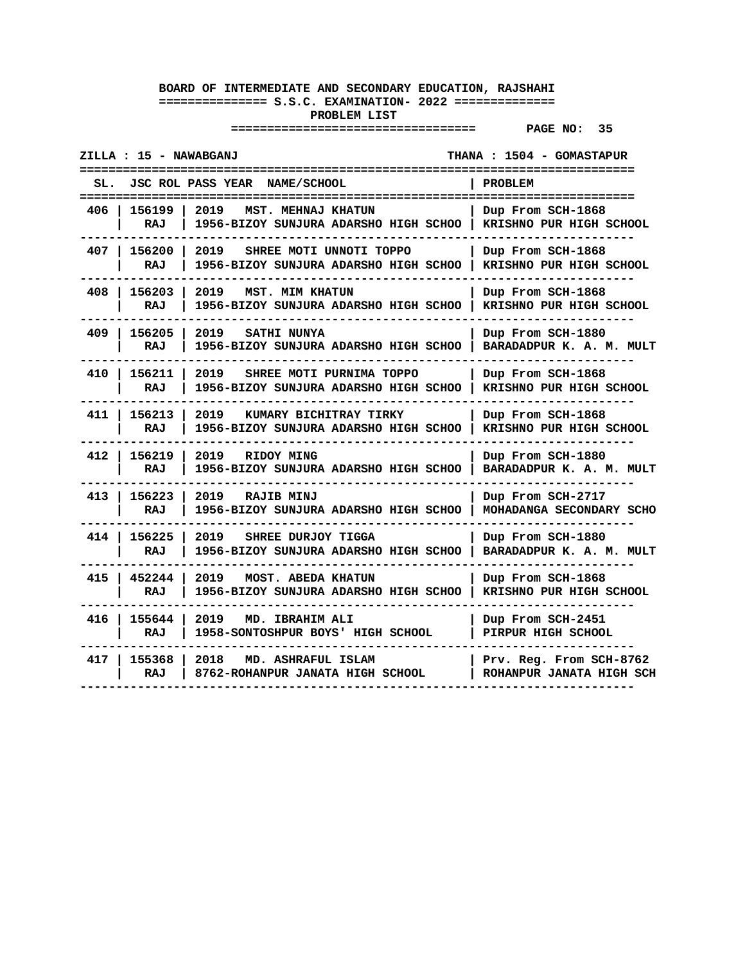| ZILLA : 15 - NAWABGANJ<br>=============================                                                   | <b>THANA : 1504 - GOMASTAPUR</b>                    |
|-----------------------------------------------------------------------------------------------------------|-----------------------------------------------------|
| <b>JSC ROL PASS YEAR</b><br><b>NAME/SCHOOL</b><br>SL.<br>======================                           | PROBLEM<br>===============                          |
| 2019<br>156199<br>406<br>MST. MEHNAJ KHATUN<br>RAJ<br>1956-BIZOY SUNJURA ADARSHO HIGH SCHOO               | Dup From SCH-1868<br>KRISHNO PUR HIGH SCHOOL        |
| 407<br>156200<br>2019<br>SHREE MOTI UNNOTI TOPPO<br><b>RAJ</b><br>1956-BIZOY SUNJURA ADARSHO HIGH SCHOO   | Dup From SCH-1868<br>KRISHNO PUR HIGH SCHOOL        |
| 408<br>156203<br>2019<br><b>MST. MIM KHATUN</b><br>RAJ<br>1956-BIZOY SUNJURA ADARSHO HIGH SCHOO           | Dup From SCH-1868<br>KRISHNO PUR HIGH SCHOOL        |
| 409<br>156205<br>2019<br>SATHI NUNYA<br>RAJ<br>1956-BIZOY SUNJURA ADARSHO HIGH SCHOO                      | Dup From SCH-1880<br>BARADADPUR K. A. M. MULT       |
| 156211<br>410<br>2019<br>SHREE MOTI PURNIMA TOPPO<br><b>RAJ</b><br>1956-BIZOY SUNJURA ADARSHO HIGH SCHOO  | Dup From SCH-1868<br>KRISHNO PUR HIGH SCHOOL        |
| 411 l<br>156213<br>2019<br>KUMARY BICHITRAY TIRKY<br>RAJ<br>1956-BIZOY SUNJURA ADARSHO HIGH SCHOO         | Dup From SCH-1868<br>KRISHNO PUR HIGH SCHOOL        |
| 412<br>156219<br>2019<br>RIDOY MING<br>RAJ<br>1956-BIZOY SUNJURA ADARSHO HIGH SCHOO                       | Dup From SCH-1880<br>BARADADPUR K. A. M. MULT       |
| 156223<br>413<br>2019<br><b>RAJIB MINJ</b><br>RAJ<br><b>1956-BIZOY SUNJURA ADARSHO HIGH SCHOO</b>         | Dup From SCH-2717<br>MOHADANGA SECONDARY SCHO       |
| 156225<br>2019<br>414<br>SHREE DURJOY TIGGA<br>RAJ<br><b>1956-BIZOY SUNJURA ADARSHO HIGH SCHOO</b>        | Dup From SCH-1880<br>BARADADPUR K. A. M. MULT       |
| 415<br>452244<br>2019<br><b>MOST. ABEDA KHATUN</b><br><b>RAJ</b><br>1956-BIZOY SUNJURA ADARSHO HIGH SCHOO | Dup From SCH-1868<br>KRISHNO PUR HIGH SCHOOL        |
| 155644<br>2019<br>416 l<br>MD. IBRAHIM ALI<br><b>RAJ</b><br>1958-SONTOSHPUR BOYS' HIGH SCHOOL             | Dup From SCH-2451<br>PIRPUR HIGH SCHOOL             |
| 417 l<br>155368<br>2018<br>MD. ASHRAFUL ISLAM<br>RAJ<br>8762-ROHANPUR JANATA HIGH SCHOOL                  | Prv. Reg. From SCH-8762<br>ROHANPUR JANATA HIGH SCH |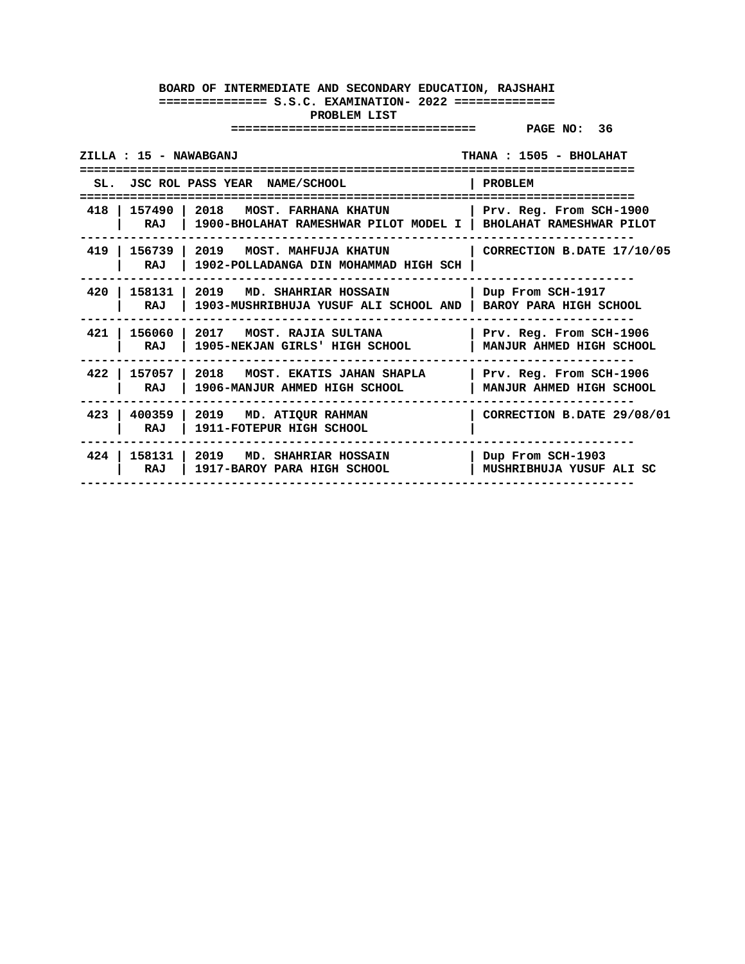| ZILLA : 15 - NAWABGANJ |                                                                                                       | THANA : 1505 - BHOLAHAT                             |
|------------------------|-------------------------------------------------------------------------------------------------------|-----------------------------------------------------|
|                        |                                                                                                       |                                                     |
|                        | SL. JSC ROL PASS YEAR NAME/SCHOOL                                                                     | PROBLEM                                             |
| 418   157490   2018    | <b>MOST. FARHANA KHATUN</b><br>RAJ   1900-BHOLAHAT RAMESHWAR PILOT MODEL I   BHOLAHAT RAMESHWAR PILOT | Prv. Reg. From SCH-1900                             |
| 419<br>RAJ             | 156739   2019 MOST. MAHFUJA KHATUN<br>1902-POLLADANGA DIN MOHAMMAD HIGH SCH                           | CORRECTION B.DATE 17/10/05                          |
| 420<br>RAJ             | 158131   2019 MD. SHAHRIAR HOSSAIN<br>1903-MUSHRIBHUJA YUSUF ALI SCHOOL AND   BAROY PARA HIGH SCHOOL  | Dup From SCH-1917                                   |
| 421<br>RAJ             | 156060   2017 MOST. RAJIA SULTANA<br>1905-NEKJAN GIRLS' HIGH SCHOOL                                   | Prv. Reg. From SCH-1906<br>MANJUR AHMED HIGH SCHOOL |
| 422<br>RAJ             | 157057   2018 MOST. EKATIS JAHAN SHAPLA<br>1906-MANJUR AHMED HIGH SCHOOL                              | Prv. Reg. From SCH-1906<br>MANJUR AHMED HIGH SCHOOL |
| 400359<br>423<br>RAJ   | $\vert$ 2019 MD. ATIQUR RAHMAN<br>1911-FOTEPUR HIGH SCHOOL                                            | CORRECTION B.DATE 29/08/01                          |
| 424<br>RAJ             | 158131   2019 MD. SHAHRIAR HOSSAIN<br>1917-BAROY PARA HIGH SCHOOL                                     | Dup From SCH-1903<br>MUSHRIBHUJA YUSUF ALI SC       |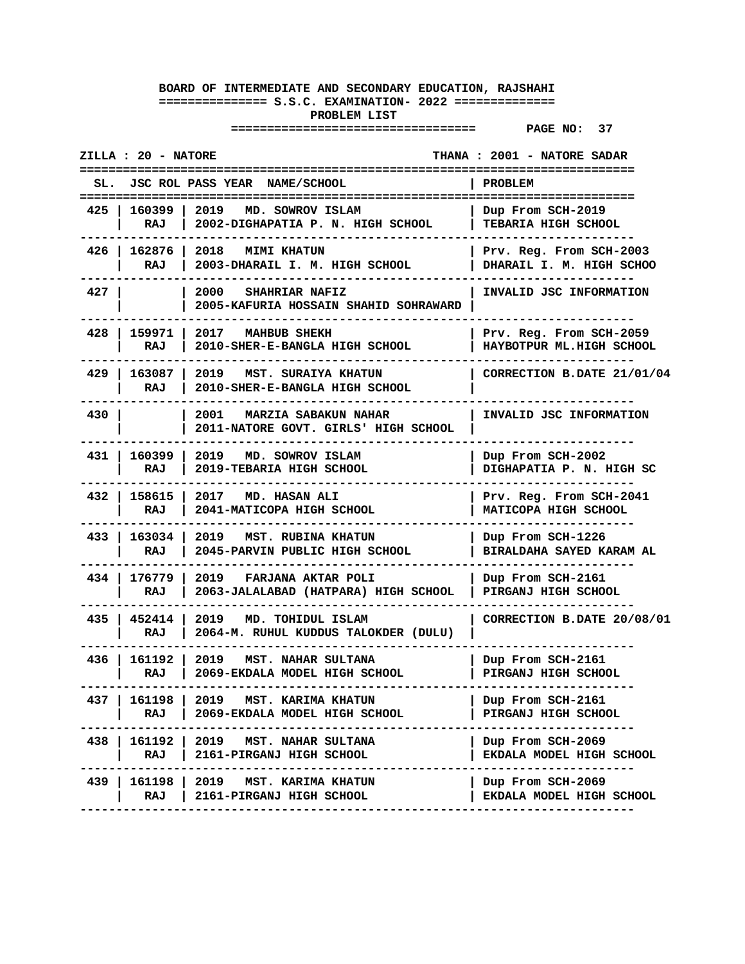| JSC ROL PASS YEAR NAME/SCHOOL<br>SL.<br>PROBLEM<br>=======================<br>2019 MD. SOWROV ISLAM<br>425<br>160399 l<br>Dup From SCH-2019<br>2002-DIGHAPATIA P. N. HIGH SCHOOL<br>TEBARIA HIGH SCHOOL<br>RAJ<br>426   162876  <br>2018<br><b>MIMI KHATUN</b><br>Prv. Reg. From SCH-2003<br>2003-DHARAIL I. M. HIGH SCHOOL<br>DHARAIL I. M. HIGH SCHOO<br>RAJ<br>427<br>2000<br><b>SHAHRIAR NAFIZ</b><br>INVALID JSC INFORMATION<br>2005-KAFURIA HOSSAIN SHAHID SOHRAWARD<br>428<br>159971<br>2017<br><b>MAHBUB SHEKH</b><br>Prv. Reg. From SCH-2059<br>HAYBOTPUR ML.HIGH SCHOOL<br>RAJ<br>2010-SHER-E-BANGLA HIGH SCHOOL<br>429<br>163087<br>2019 MST. SURAIYA KHATUN<br>2010-SHER-E-BANGLA HIGH SCHOOL<br>RAJ<br>430<br>2001<br>INVALID JSC INFORMATION<br>MARZIA SABAKUN NAHAR<br>2011-NATORE GOVT. GIRLS' HIGH SCHOOL<br>431   160399<br>2019<br>MD. SOWROV ISLAM<br>Dup From SCH-2002<br>2019-TEBARIA HIGH SCHOOL<br>DIGHAPATIA P. N. HIGH SC<br>RAJ<br>432 I<br>158615<br>2017 MD. HASAN ALI<br>Prv. Reg. From SCH-2041<br>2041-MATICOPA HIGH SCHOOL<br>MATICOPA HIGH SCHOOL<br>RAJ<br>433   163034<br>2019 MST. RUBINA KHATUN<br>Dup From SCH-1226<br>2045-PARVIN PUBLIC HIGH SCHOOL<br>BIRALDAHA SAYED KARAM AL<br>RAJ<br>434<br>176779<br>2019<br>FARJANA AKTAR POLI<br>Dup From SCH-2161<br>2063-JALALABAD (HATPARA) HIGH SCHOOL<br>PIRGANJ HIGH SCHOOL<br>RAJ<br>435 I<br>452414<br>2019<br>MD. TOHIDUL ISLAM<br>RAJ<br>2064-M. RUHUL KUDDUS TALOKDER (DULU)<br>161192 l<br>MST. NAHAR SULTANA<br>436 I<br>2019<br>Dup From SCH-2161<br>2069-EKDALA MODEL HIGH SCHOOL<br>PIRGANJ HIGH SCHOOL<br>RAJ<br>161198   2019 MST. KARIMA KHATUN<br>437 I<br>Dup From SCH-2161<br>RAJ<br>2069-EKDALA MODEL HIGH SCHOOL<br>PIRGANJ HIGH SCHOOL | <b>ZILLA : 20 - NATORE</b> | <b>THANA : 2001 - NATORE SADAR</b> |
|--------------------------------------------------------------------------------------------------------------------------------------------------------------------------------------------------------------------------------------------------------------------------------------------------------------------------------------------------------------------------------------------------------------------------------------------------------------------------------------------------------------------------------------------------------------------------------------------------------------------------------------------------------------------------------------------------------------------------------------------------------------------------------------------------------------------------------------------------------------------------------------------------------------------------------------------------------------------------------------------------------------------------------------------------------------------------------------------------------------------------------------------------------------------------------------------------------------------------------------------------------------------------------------------------------------------------------------------------------------------------------------------------------------------------------------------------------------------------------------------------------------------------------------------------------------------------------------------------------------------------------------------------------------------------------------------------------------------------------------------------|----------------------------|------------------------------------|
|                                                                                                                                                                                                                                                                                                                                                                                                                                                                                                                                                                                                                                                                                                                                                                                                                                                                                                                                                                                                                                                                                                                                                                                                                                                                                                                                                                                                                                                                                                                                                                                                                                                                                                                                                  |                            |                                    |
|                                                                                                                                                                                                                                                                                                                                                                                                                                                                                                                                                                                                                                                                                                                                                                                                                                                                                                                                                                                                                                                                                                                                                                                                                                                                                                                                                                                                                                                                                                                                                                                                                                                                                                                                                  |                            |                                    |
|                                                                                                                                                                                                                                                                                                                                                                                                                                                                                                                                                                                                                                                                                                                                                                                                                                                                                                                                                                                                                                                                                                                                                                                                                                                                                                                                                                                                                                                                                                                                                                                                                                                                                                                                                  |                            |                                    |
|                                                                                                                                                                                                                                                                                                                                                                                                                                                                                                                                                                                                                                                                                                                                                                                                                                                                                                                                                                                                                                                                                                                                                                                                                                                                                                                                                                                                                                                                                                                                                                                                                                                                                                                                                  |                            |                                    |
|                                                                                                                                                                                                                                                                                                                                                                                                                                                                                                                                                                                                                                                                                                                                                                                                                                                                                                                                                                                                                                                                                                                                                                                                                                                                                                                                                                                                                                                                                                                                                                                                                                                                                                                                                  |                            |                                    |
|                                                                                                                                                                                                                                                                                                                                                                                                                                                                                                                                                                                                                                                                                                                                                                                                                                                                                                                                                                                                                                                                                                                                                                                                                                                                                                                                                                                                                                                                                                                                                                                                                                                                                                                                                  |                            | CORRECTION B.DATE 21/01/04         |
|                                                                                                                                                                                                                                                                                                                                                                                                                                                                                                                                                                                                                                                                                                                                                                                                                                                                                                                                                                                                                                                                                                                                                                                                                                                                                                                                                                                                                                                                                                                                                                                                                                                                                                                                                  |                            |                                    |
|                                                                                                                                                                                                                                                                                                                                                                                                                                                                                                                                                                                                                                                                                                                                                                                                                                                                                                                                                                                                                                                                                                                                                                                                                                                                                                                                                                                                                                                                                                                                                                                                                                                                                                                                                  |                            |                                    |
|                                                                                                                                                                                                                                                                                                                                                                                                                                                                                                                                                                                                                                                                                                                                                                                                                                                                                                                                                                                                                                                                                                                                                                                                                                                                                                                                                                                                                                                                                                                                                                                                                                                                                                                                                  |                            |                                    |
|                                                                                                                                                                                                                                                                                                                                                                                                                                                                                                                                                                                                                                                                                                                                                                                                                                                                                                                                                                                                                                                                                                                                                                                                                                                                                                                                                                                                                                                                                                                                                                                                                                                                                                                                                  |                            |                                    |
|                                                                                                                                                                                                                                                                                                                                                                                                                                                                                                                                                                                                                                                                                                                                                                                                                                                                                                                                                                                                                                                                                                                                                                                                                                                                                                                                                                                                                                                                                                                                                                                                                                                                                                                                                  |                            |                                    |
|                                                                                                                                                                                                                                                                                                                                                                                                                                                                                                                                                                                                                                                                                                                                                                                                                                                                                                                                                                                                                                                                                                                                                                                                                                                                                                                                                                                                                                                                                                                                                                                                                                                                                                                                                  |                            | CORRECTION B.DATE 20/08/01         |
|                                                                                                                                                                                                                                                                                                                                                                                                                                                                                                                                                                                                                                                                                                                                                                                                                                                                                                                                                                                                                                                                                                                                                                                                                                                                                                                                                                                                                                                                                                                                                                                                                                                                                                                                                  |                            |                                    |
|                                                                                                                                                                                                                                                                                                                                                                                                                                                                                                                                                                                                                                                                                                                                                                                                                                                                                                                                                                                                                                                                                                                                                                                                                                                                                                                                                                                                                                                                                                                                                                                                                                                                                                                                                  |                            |                                    |
| 438  <br>161192 2019 MST. NAHAR SULTANA<br>RAJ<br>2161-PIRGANJ HIGH SCHOOL<br>EKDALA MODEL HIGH SCHOOL                                                                                                                                                                                                                                                                                                                                                                                                                                                                                                                                                                                                                                                                                                                                                                                                                                                                                                                                                                                                                                                                                                                                                                                                                                                                                                                                                                                                                                                                                                                                                                                                                                           |                            | Dup From SCH-2069                  |
| 439 I<br>161198   2019 MST. KARIMA KHATUN<br>Dup From SCH-2069<br>RAJ<br>2161-PIRGANJ HIGH SCHOOL<br>EKDALA MODEL HIGH SCHOOL                                                                                                                                                                                                                                                                                                                                                                                                                                                                                                                                                                                                                                                                                                                                                                                                                                                                                                                                                                                                                                                                                                                                                                                                                                                                                                                                                                                                                                                                                                                                                                                                                    |                            |                                    |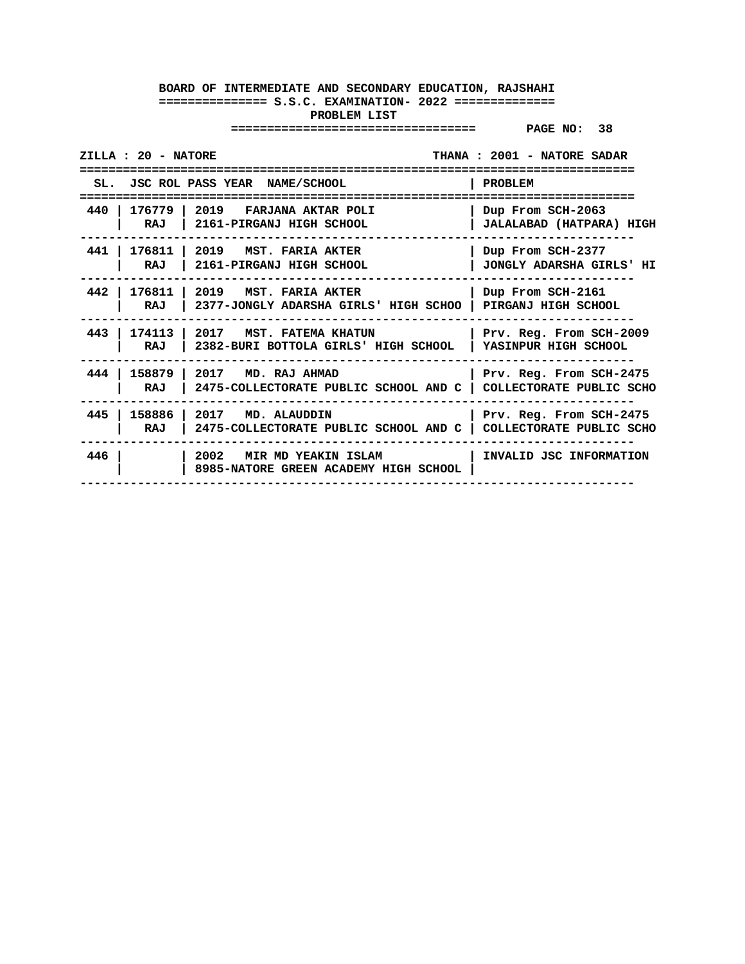| ZILLA : 20 - NATORE    |                                                                                                        | THANA: 2001 - NATORE SADAR                      |
|------------------------|--------------------------------------------------------------------------------------------------------|-------------------------------------------------|
|                        | SL. JSC ROL PASS YEAR NAME/SCHOOL                                                                      | PROBLEM                                         |
| 440 l<br>176779<br>RAJ | 12019<br>FARJANA AKTAR POLI<br>2161-PIRGANJ HIGH SCHOOL                                                | Dup From SCH-2063<br>JALALABAD (HATPARA) HIGH   |
| 441  <br>RAJ           | 176811   2019 MST. FARIA AKTER<br>2161-PIRGANJ HIGH SCHOOL                                             | Dup From SCH-2377<br>JONGLY ADARSHA GIRLS' HI   |
| RAJ                    | 442   176811   2019   MST. FARIA AKTER<br>2377-JONGLY ADARSHA GIRLS' HIGH SCHOO                        | Dup From SCH-2161<br>PIRGANJ HIGH SCHOOL        |
| 443<br>RAJ             | 174113   2017 MST. FATEMA KHATUN<br>2382-BURI BOTTOLA GIRLS' HIGH SCHOOL                               | Prv. Reg. From SCH-2009<br>YASINPUR HIGH SCHOOL |
| 444  <br>158879<br>RAJ | $\vert$ 2017 $\vert$ MD. RAJ AHMAD<br>2475-COLLECTORATE PUBLIC SCHOOL AND C   COLLECTORATE PUBLIC SCHO | Prv. Reg. From SCH-2475                         |
| 158886<br>445<br>RAJ   | 2017 MD. ALAUDDIN<br>2475-COLLECTORATE PUBLIC SCHOOL AND C   COLLECTORATE PUBLIC SCHO                  | Prv. Reg. From SCH-2475                         |
| 446                    | 2002<br><b>MIR MD YEAKIN ISLAM</b><br>8985-NATORE GREEN ACADEMY HIGH SCHOOL                            | INVALID JSC INFORMATION                         |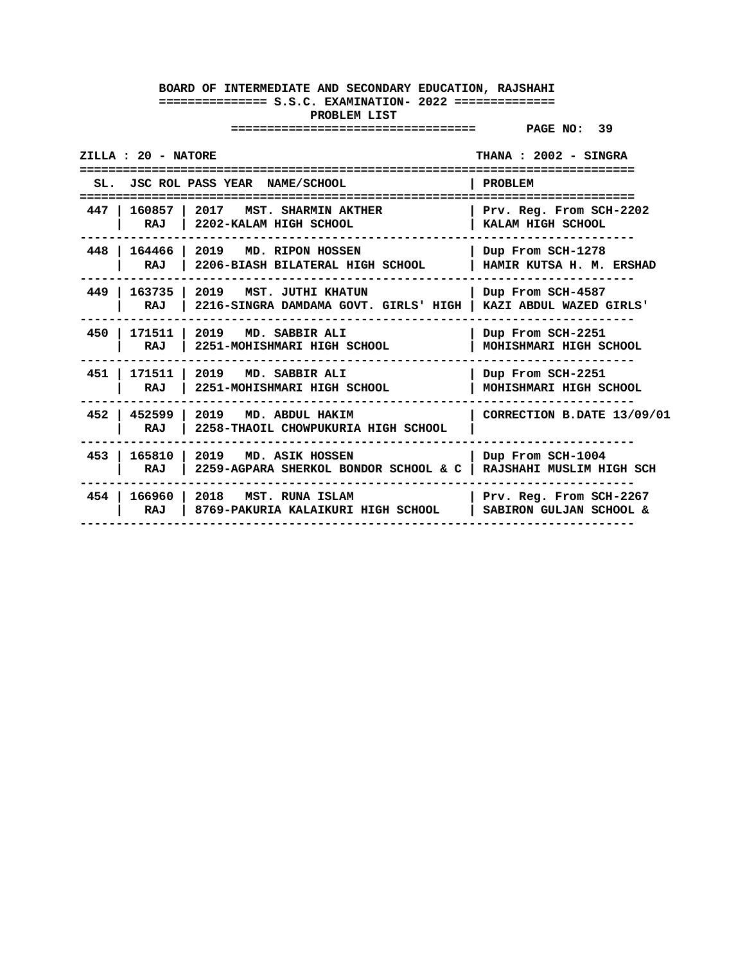|       | ZILLA : 20 - NATORE<br>THANA: 2002 - SINGRA |                                                                                                      |                                                                         |
|-------|---------------------------------------------|------------------------------------------------------------------------------------------------------|-------------------------------------------------------------------------|
|       |                                             | SL. JSC ROL PASS YEAR NAME/SCHOOL                                                                    | PROBLEM                                                                 |
| 447 I | RAJ                                         | .====================================<br>160857   2017 MST. SHARMIN AKTHER<br>2202-KALAM HIGH SCHOOL | -----------------------<br>Prv. Reg. From SCH-2202<br>KALAM HIGH SCHOOL |
| 448   | RAJ                                         | 164466 2019 MD. RIPON HOSSEN<br>2206-BIASH BILATERAL HIGH SCHOOL                                     | Dup From SCH-1278<br>HAMIR KUTSA H. M. ERSHAD                           |
| 449   | RAJ                                         | 163735   2019 MST. JUTHI KHATUN<br>2216-SINGRA DAMDAMA GOVT. GIRLS' HIGH   KAZI ABDUL WAZED GIRLS'   | Dup From SCH-4587                                                       |
| 450   | RAJ                                         | 171511   2019 MD. SABBIR ALI<br>2251-MOHISHMARI HIGH SCHOOL                                          | Dup From SCH-2251<br>MOHISHMARI HIGH SCHOOL                             |
| 451   | RAJ                                         | 171511   2019 MD. SABBIR ALI<br>2251-MOHISHMARI HIGH SCHOOL                                          | Dup From SCH-2251<br>MOHISHMARI HIGH SCHOOL                             |
| 452   | RAJ                                         | $\vert$ 452599 $\vert$ 2019 MD. ABDUL HAKIM<br>2258-THAOIL CHOWPUKURIA HIGH SCHOOL                   | CORRECTION B.DATE 13/09/01                                              |
| 453   | RAJ                                         | 165810 2019 MD. ASIK HOSSEN<br>2259-AGPARA SHERKOL BONDOR SCHOOL & C   RAJSHAHI MUSLIM HIGH SCH      | Dup From SCH-1004                                                       |
| 454 l | RAJ                                         | 166960 2018 MST. RUNA ISLAM<br>8769-PAKURIA KALAIKURI HIGH SCHOOL                                    | Prv. Reg. From SCH-2267<br>SABIRON GULJAN SCHOOL &                      |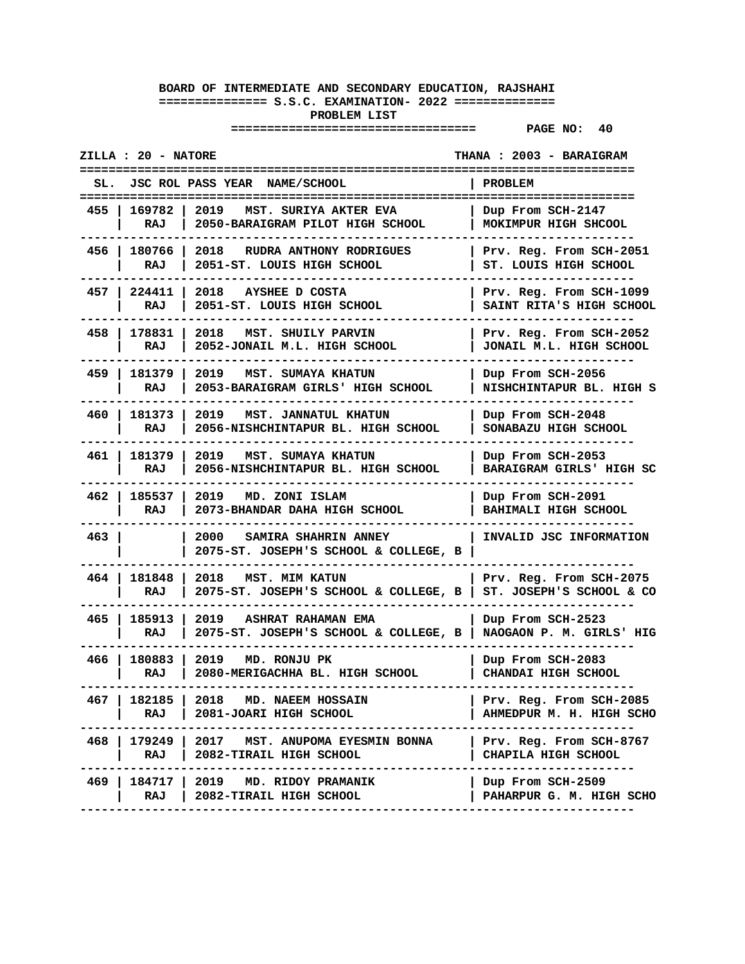|       | <b>ZILLA : 20 - NATORE</b> |                                                                                                   | THANA : 2003 - BARAIGRAM                            |
|-------|----------------------------|---------------------------------------------------------------------------------------------------|-----------------------------------------------------|
|       |                            | JSC ROL PASS YEAR NAME/SCHOOL                                                                     | <b>PROBLEM</b>                                      |
| 455 I | 169782<br>RAJ              | 2019<br>MST. SURIYA AKTER EVA<br>2050-BARAIGRAM PILOT HIGH SCHOOL                                 | Dup From SCH-2147<br>MOKIMPUR HIGH SHCOOL           |
|       | RAJ                        | 456   180766   2018   RUDRA ANTHONY RODRIGUES<br>2051-ST. LOUIS HIGH SCHOOL                       | Prv. Reg. From SCH-2051<br>ST. LOUIS HIGH SCHOOL    |
|       | 457   224411<br>RAJ        | 2018<br>AYSHEE D COSTA<br>2051-ST. LOUIS HIGH SCHOOL                                              | Prv. Reg. From SCH-1099<br>SAINT RITA'S HIGH SCHOOL |
|       | 458   178831<br>RAJ        | 2018<br>MST. SHUILY PARVIN<br>2052-JONAIL M.L. HIGH SCHOOL                                        | Prv. Reg. From SCH-2052<br>JONAIL M.L. HIGH SCHOOL  |
|       | 459   181379  <br>RAJ      | 2019<br>MST. SUMAYA KHATUN<br>2053-BARAIGRAM GIRLS' HIGH SCHOOL                                   | Dup From SCH-2056<br>NISHCHINTAPUR BL. HIGH S       |
|       | 460   181373<br>RAJ        | 2019 MST. JANNATUL KHATUN<br>2056-NISHCHINTAPUR BL. HIGH SCHOOL                                   | Dup From SCH-2048<br>SONABAZU HIGH SCHOOL           |
|       | 461   181379<br>RAJ        | 2019<br>MST. SUMAYA KHATUN<br>2056-NISHCHINTAPUR BL. HIGH SCHOOL                                  | Dup From SCH-2053<br>BARAIGRAM GIRLS' HIGH SC       |
|       | 462   185537  <br>RAJ      | 2019 MD. ZONI ISLAM<br>2073-BHANDAR DAHA HIGH SCHOOL                                              | Dup From SCH-2091<br>BAHIMALI HIGH SCHOOL           |
| 463   |                            | 2000 -<br>SAMIRA SHAHRIN ANNEY<br>2075-ST. JOSEPH'S SCHOOL & COLLEGE, B                           | INVALID JSC INFORMATION                             |
| 464 I | 181848  <br>RAJ            | 2018<br><b>MST. MIM KATUN</b><br>2075-ST. JOSEPH'S SCHOOL & COLLEGE, B   ST. JOSEPH'S SCHOOL & CO | Prv. Reg. From SCH-2075                             |
| 465 l | 185913<br>RAJ              | 2019 ASHRAT RAHAMAN EMA<br>2075-ST. JOSEPH'S SCHOOL & COLLEGE, B   NAOGAON P. M. GIRLS' HIG       | Dup From SCH-2523                                   |
|       | 466   180883  <br>RAJ      | 2019<br>MD. RONJU PK<br>2080-MERIGACHHA BL. HIGH SCHOOL                                           | Dup From SCH-2083<br>CHANDAI HIGH SCHOOL            |
| 467 I | 182185  <br>RAJ            | 2018 MD. NAEEM HOSSAIN<br>2081-JOARI HIGH SCHOOL                                                  | Prv. Reg. From SCH-2085<br>AHMEDPUR M. H. HIGH SCHO |
|       | RAJ                        | 468   179249   2017 MST. ANUPOMA EYESMIN BONNA<br>2082-TIRAIL HIGH SCHOOL                         | Prv. Reg. From SCH-8767<br>CHAPILA HIGH SCHOOL      |
|       | RAJ                        | 469   184717   2019 MD. RIDOY PRAMANIK<br>2082-TIRAIL HIGH SCHOOL                                 | Dup From SCH-2509  <br>PAHARPUR G. M. HIGH SCHO     |
|       |                            |                                                                                                   |                                                     |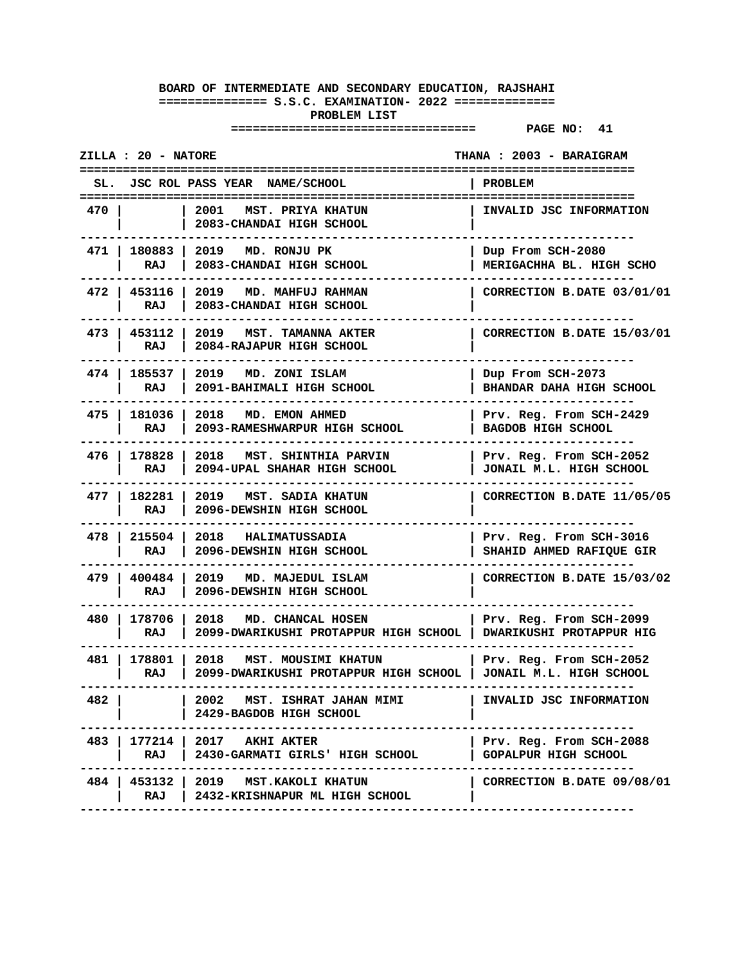|       | <b>ZILLA : 20 - NATORE</b> |                                                                                                      | THANA : 2003 - BARAIGRAM                             |
|-------|----------------------------|------------------------------------------------------------------------------------------------------|------------------------------------------------------|
|       |                            | SL. JSC ROL PASS YEAR NAME/SCHOOL                                                                    | PROBLEM                                              |
| 470 I |                            | 2001 MST. PRIYA KHATUN<br>2083-CHANDAI HIGH SCHOOL                                                   | INVALID JSC INFORMATION                              |
|       | 471   180883  <br>RAJ      | 2019<br>MD. RONJU PK<br>2083-CHANDAI HIGH SCHOOL                                                     | Dup From SCH-2080<br>MERIGACHHA BL. HIGH SCHO        |
|       | 472   453116<br>RAJ        | 2019 MD. MAHFUJ RAHMAN<br>2083-CHANDAI HIGH SCHOOL                                                   | CORRECTION B.DATE 03/01/01                           |
|       | 473   453112<br>RAJ        | 2019 MST. TAMANNA AKTER<br>2084-RAJAPUR HIGH SCHOOL                                                  | CORRECTION B.DATE 15/03/01                           |
|       | 474   185537<br>RAJ        | 2019 MD. ZONI ISLAM<br>2091-BAHIMALI HIGH SCHOOL                                                     | Dup From SCH-2073<br>BHANDAR DAHA HIGH SCHOOL        |
|       | 475   181036  <br>RAJ      | 2018<br><b>MD. EMON AHMED</b><br>2093-RAMESHWARPUR HIGH SCHOOL                                       | Prv. Reg. From SCH-2429<br>BAGDOB HIGH SCHOOL        |
|       | 476   178828<br>RAJ        | MST. SHINTHIA PARVIN<br>2018<br>2094-UPAL SHAHAR HIGH SCHOOL                                         | Prv. Reg. From SCH-2052<br>JONAIL M.L. HIGH SCHOOL   |
|       | 477   182281<br>RAJ        | 2019 MST. SADIA KHATUN<br>2096-DEWSHIN HIGH SCHOOL                                                   | CORRECTION B.DATE 11/05/05                           |
|       | 478   215504  <br>RAJ      | 2018 HALIMATUSSADIA<br>2096-DEWSHIN HIGH SCHOOL                                                      | Prv. Reg. From SCH-3016<br>SHAHID AHMED RAFIQUE GIR  |
|       | 479   400484<br>RAJ        | 2019 MD. MAJEDUL ISLAM<br>2096-DEWSHIN HIGH SCHOOL                                                   | CORRECTION B.DATE 15/03/02                           |
| 480 I | 178706 l<br>RAJ            | 2018<br><b>MD. CHANCAL HOSEN</b><br>2099-DWARIKUSHI PROTAPPUR HIGH SCHOOL   DWARIKUSHI PROTAPPUR HIG | Prv. Reg. From SCH-2099                              |
| 481 I | 178801 l<br>RAJ            | 2018<br>MST. MOUSIMI KHATUN<br>2099-DWARIKUSHI PROTAPPUR HIGH SCHOOL                                 | Prv. Reg. From SCH-2052<br>  JONAIL M.L. HIGH SCHOOL |
| 482   |                            | 2002 MST. ISHRAT JAHAN MIMI<br>2429-BAGDOB HIGH SCHOOL                                               | INVALID JSC INFORMATION                              |
|       | RAJ                        | 483   177214   2017 AKHI AKTER<br>2430-GARMATI GIRLS' HIGH SCHOOL                                    | Prv. Reg. From SCH-2088<br>GOPALPUR HIGH SCHOOL      |
|       |                            | 484   453132   2019 MST.KAKOLI KHATUN<br>RAJ   2432-KRISHNAPUR ML HIGH SCHOOL                        | CORRECTION B.DATE 09/08/01                           |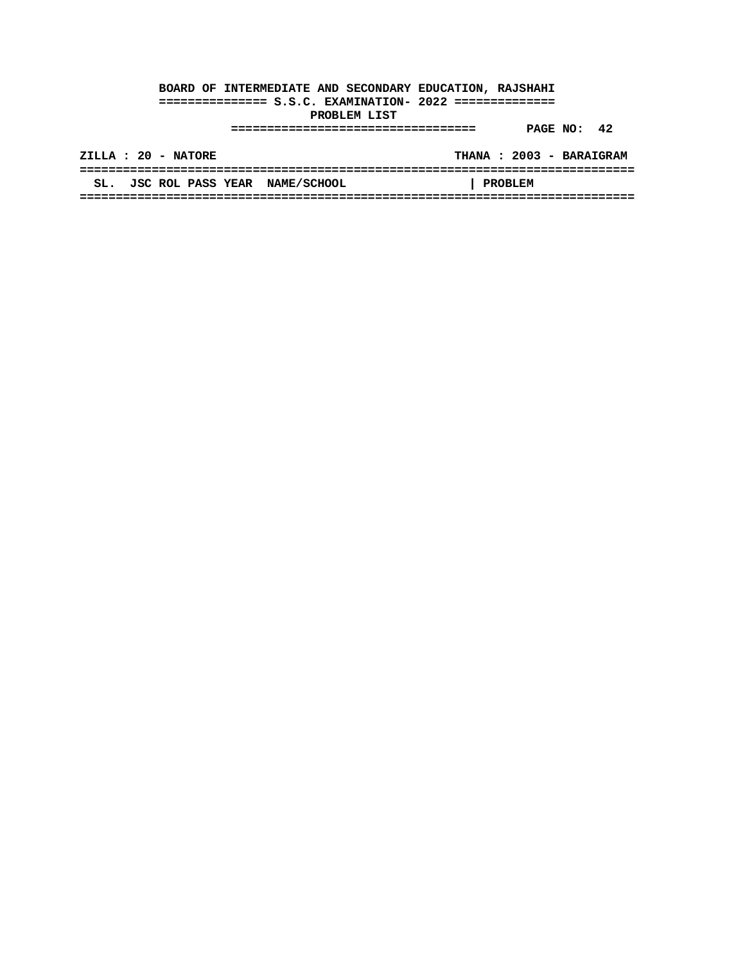|     | ZILLA : 20 - NATORE      |                    | THANA: 2003 - BARAIGRAM |
|-----|--------------------------|--------------------|-------------------------|
|     |                          |                    |                         |
| SL. | <b>JSC ROL PASS YEAR</b> | <b>NAME/SCHOOL</b> | <b>PROBLEM</b>          |
|     |                          |                    |                         |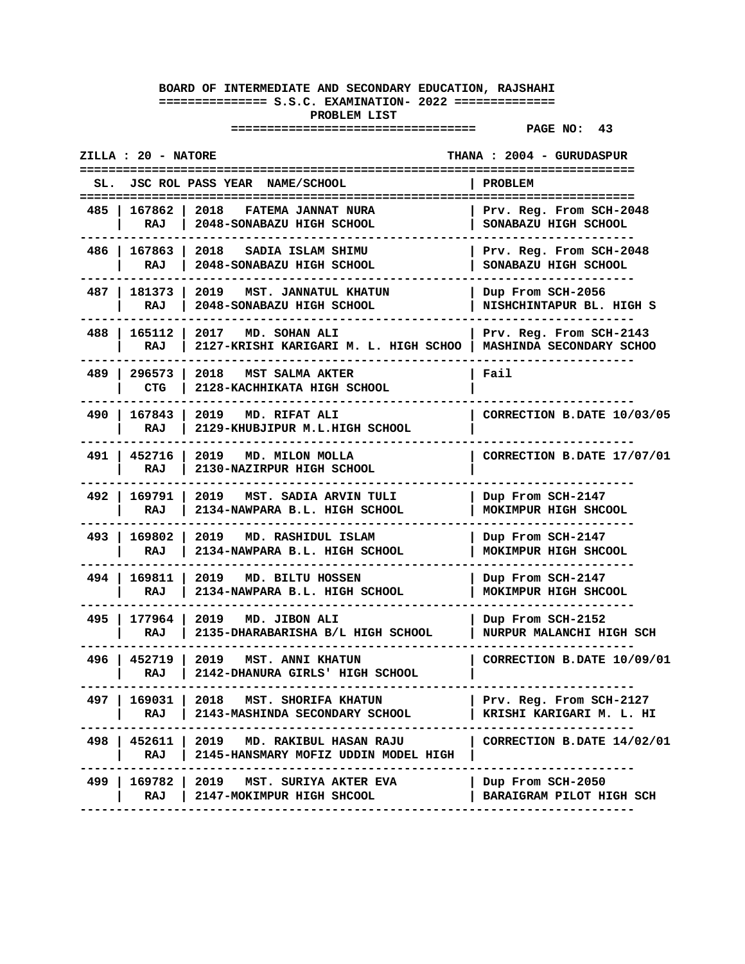|       | <b>ZILLA : 20 - NATORE</b> |                                                                                    | THANA: 2004 - GURUDASPUR                            |
|-------|----------------------------|------------------------------------------------------------------------------------|-----------------------------------------------------|
| SL.   |                            | JSC ROL PASS YEAR NAME/SCHOOL                                                      | <b>PROBLEM</b>                                      |
| 485 I | 167862   2018<br>RAJ       | FATEMA JANNAT NURA<br>2048-SONABAZU HIGH SCHOOL                                    | Prv. Reg. From SCH-2048<br>SONABAZU HIGH SCHOOL     |
|       | 486   167863   2018<br>RAJ | SADIA ISLAM SHIMU<br>2048-SONABAZU HIGH SCHOOL                                     | Prv. Reg. From SCH-2048<br>SONABAZU HIGH SCHOOL     |
|       | 487   181373  <br>RAJ      | 2019 MST. JANNATUL KHATUN<br>2048-SONABAZU HIGH SCHOOL                             | Dup From SCH-2056<br>NISHCHINTAPUR BL. HIGH S       |
|       | 488   165112  <br>RAJ      | 2017 MD. SOHAN ALI<br>2127-KRISHI KARIGARI M. L. HIGH SCHOO                        | Prv. Reg. From SCH-2143<br>MASHINDA SECONDARY SCHOO |
| 489   | 296573 l<br>CTG            | 2018 MST SALMA AKTER<br>2128-KACHHIKATA HIGH SCHOOL                                | Fail                                                |
| 490 I | RAJ                        | 167843   2019 MD. RIFAT ALI<br>2129-KHUBJIPUR M.L.HIGH SCHOOL                      | CORRECTION B.DATE 10/03/05                          |
|       | 491   452716  <br>RAJ      | 2019<br>MD. MILON MOLLA<br>2130-NAZIRPUR HIGH SCHOOL                               | CORRECTION B.DATE 17/07/01                          |
|       | 492   169791  <br>RAJ      | 2019<br>MST. SADIA ARVIN TULI<br>2134-NAWPARA B.L. HIGH SCHOOL                     | Dup From SCH-2147<br>MOKIMPUR HIGH SHCOOL           |
|       | 493   169802  <br>RAJ      | 2019 MD. RASHIDUL ISLAM<br>2134-NAWPARA B.L. HIGH SCHOOL                           | Dup From SCH-2147<br>MOKIMPUR HIGH SHCOOL           |
| 494 I | 169811<br>RAJ              | 2019 MD. BILTU HOSSEN<br>2134-NAWPARA B.L. HIGH SCHOOL                             | Dup From SCH-2147<br>MOKIMPUR HIGH SHCOOL           |
| 495 I | RAJ                        | 177964   2019 MD. JIBON ALI<br>2135-DHARABARISHA B/L HIGH SCHOOL                   | Dup From SCH-2152<br>NURPUR MALANCHI HIGH SCH       |
|       | 496   452719  <br>RAJ      | 2019<br>MST. ANNI KHATUN<br>2142-DHANURA GIRLS' HIGH SCHOOL                        | CORRECTION B.DATE 10/09/01                          |
| 497 I | RAJ                        | 169031   2018 MST. SHORIFA KHATUN<br>2143-MASHINDA SECONDARY SCHOOL                | Prv. Reg. From SCH-2127<br>KRISHI KARIGARI M. L. HI |
|       | RAJ I                      | 498   452611   2019 MD. RAKIBUL HASAN RAJU<br>2145-HANSMARY MOFIZ UDDIN MODEL HIGH | CORRECTION B.DATE 14/02/01                          |
|       | RAJ                        | 499   169782   2019 MST. SURIYA AKTER EVA<br>2147-MOKIMPUR HIGH SHCOOL             | Dup From SCH-2050<br>BARAIGRAM PILOT HIGH SCH       |
|       |                            |                                                                                    |                                                     |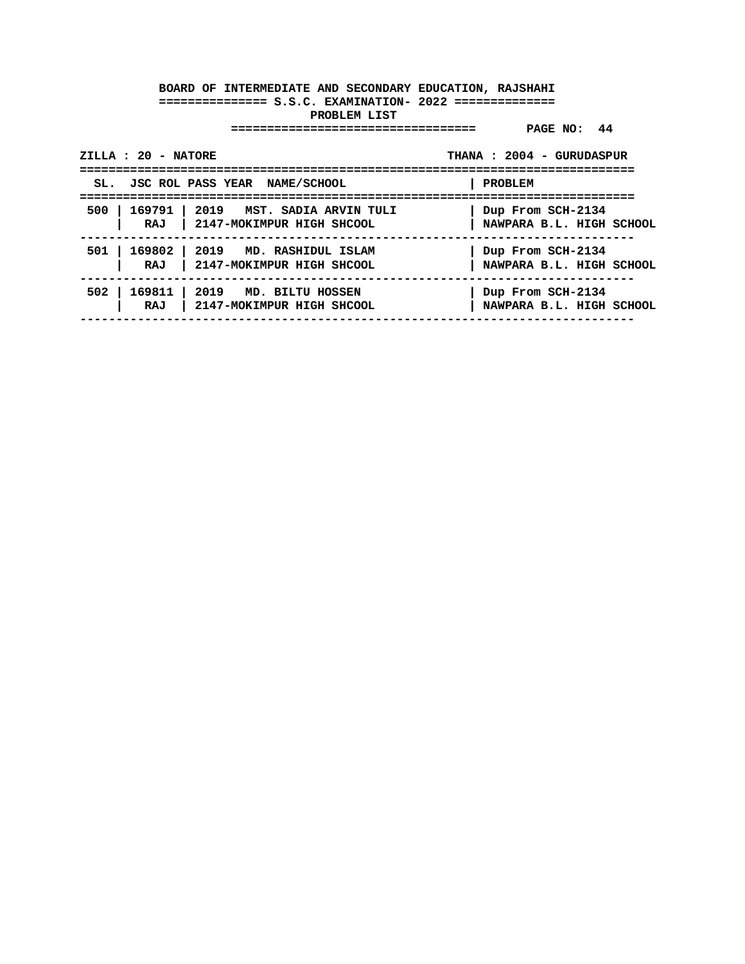| ZILLA : 20 - NATORE | =========================                                                    | THANA: 2004 - GURUDASPUR                      |
|---------------------|------------------------------------------------------------------------------|-----------------------------------------------|
|                     | SL. JSC ROL PASS YEAR NAME/SCHOOL                                            | PROBLEM                                       |
|                     | 500   169791   2019 MST. SADIA ARVIN TULI<br>RAJ   2147-MOKIMPUR HIGH SHCOOL | Dup From SCH-2134<br>NAWPARA B.L. HIGH SCHOOL |
|                     | 501   169802   2019 MD. RASHIDUL ISLAM<br>RAJ   2147-MOKIMPUR HIGH SHCOOL    | Dup From SCH-2134<br>NAWPARA B.L. HIGH SCHOOL |
|                     | 502   169811   2019 MD. BILTU HOSSEN<br>RAJ   2147-MOKIMPUR HIGH SHCOOL      | Dup From SCH-2134<br>NAWPARA B.L. HIGH SCHOOL |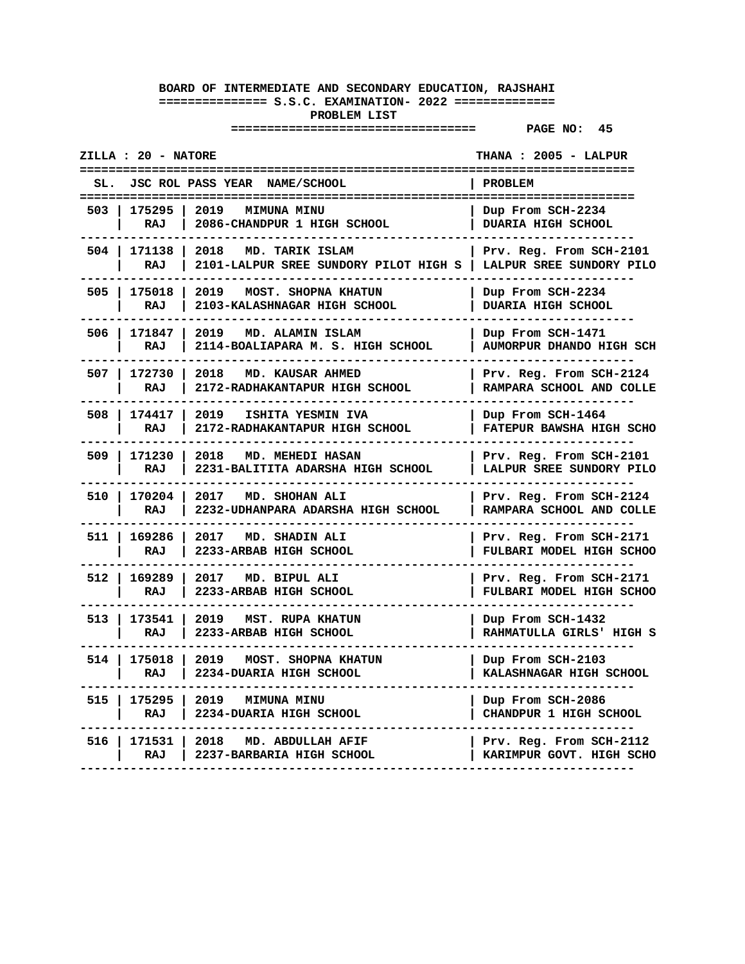|       | <b>ZILLA : 20 - NATORE</b> |                                                                      | THANA : 2005 - LALPUR<br>=====================                            |
|-------|----------------------------|----------------------------------------------------------------------|---------------------------------------------------------------------------|
| SL.   |                            | JSC ROL PASS YEAR NAME/SCHOOL                                        | PROBLEM                                                                   |
| 503   | 175295<br>RAJ              | 2019<br><b>MIMUNA MINU</b><br>2086-CHANDPUR 1 HIGH SCHOOL            | =======================<br>Dup From SCH-2234<br><b>DUARIA HIGH SCHOOL</b> |
| 504 l | 171138  <br>RAJ            | 2018<br>MD. TARIK ISLAM<br>2101-LALPUR SREE SUNDORY PILOT HIGH S     | Prv. Reg. From SCH-2101<br>LALPUR SREE SUNDORY PILO                       |
| 505   | 175018<br>RAJ              | 2019<br>MOST. SHOPNA KHATUN<br>2103-KALASHNAGAR HIGH SCHOOL          | Dup From SCH-2234<br><b>DUARIA HIGH SCHOOL</b>                            |
| 506 l | 171847<br><b>RAJ</b>       | 2019<br>MD. ALAMIN ISLAM<br>2114-BOALIAPARA M. S. HIGH SCHOOL        | Dup From SCH-1471<br>AUMORPUR DHANDO HIGH SCH                             |
| 507   | 172730<br>RAJ              | 2018<br>MD. KAUSAR AHMED<br>2172-RADHAKANTAPUR HIGH SCHOOL           | Prv. Reg. From SCH-2124<br>RAMPARA SCHOOL AND COLLE                       |
| 508 l | 174417<br>RAJ              | 2019<br>ISHITA YESMIN IVA<br>2172-RADHAKANTAPUR HIGH SCHOOL          | Dup From SCH-1464<br>FATEPUR BAWSHA HIGH SCHO                             |
| 509   | 171230<br>RAJ              | 2018<br><b>MD. MEHEDI HASAN</b><br>2231-BALITITA ADARSHA HIGH SCHOOL | Prv. Reg. From SCH-2101<br>LALPUR SREE SUNDORY PILO                       |
| 510 l | 170204<br>RAJ              | 2017<br>MD. SHOHAN ALI<br>2232-UDHANPARA ADARSHA HIGH SCHOOL         | Prv. Reg. From SCH-2124<br>RAMPARA SCHOOL AND COLLE                       |
| 511 l | 169286<br>RAJ              | 2017 MD. SHADIN ALI<br>2233-ARBAB HIGH SCHOOL                        | Prv. Reg. From SCH-2171<br>FULBARI MODEL HIGH SCHOO                       |
| 512   | 169289<br>RAJ              | 2017<br>MD. BIPUL ALI<br>2233-ARBAB HIGH SCHOOL                      | Prv. Reg. From SCH-2171<br>FULBARI MODEL HIGH SCHOO                       |
| 513 l | 173541<br>RAJ              | 2019<br>MST. RUPA KHATUN<br>2233-ARBAB HIGH SCHOOL                   | Dup From SCH-1432<br>RAHMATULLA GIRLS' HIGH S                             |
| 514   | 175018<br>RAJ              | 2019<br>MOST. SHOPNA KHATUN<br>2234-DUARIA HIGH SCHOOL               | Dup From SCH-2103<br>KALASHNAGAR HIGH SCHOOL                              |
| 515   | 175295<br>RAJ              | 2019<br><b>MIMUNA MINU</b><br>2234-DUARIA HIGH SCHOOL                | Dup From SCH-2086<br>CHANDPUR 1 HIGH SCHOOL                               |
| 516   | 171531<br>RAJ              | 2018<br>MD. ABDULLAH AFIF<br>2237-BARBARIA HIGH SCHOOL               | Prv. Reg. From SCH-2112<br>KARIMPUR GOVT. HIGH SCHO                       |
|       |                            |                                                                      |                                                                           |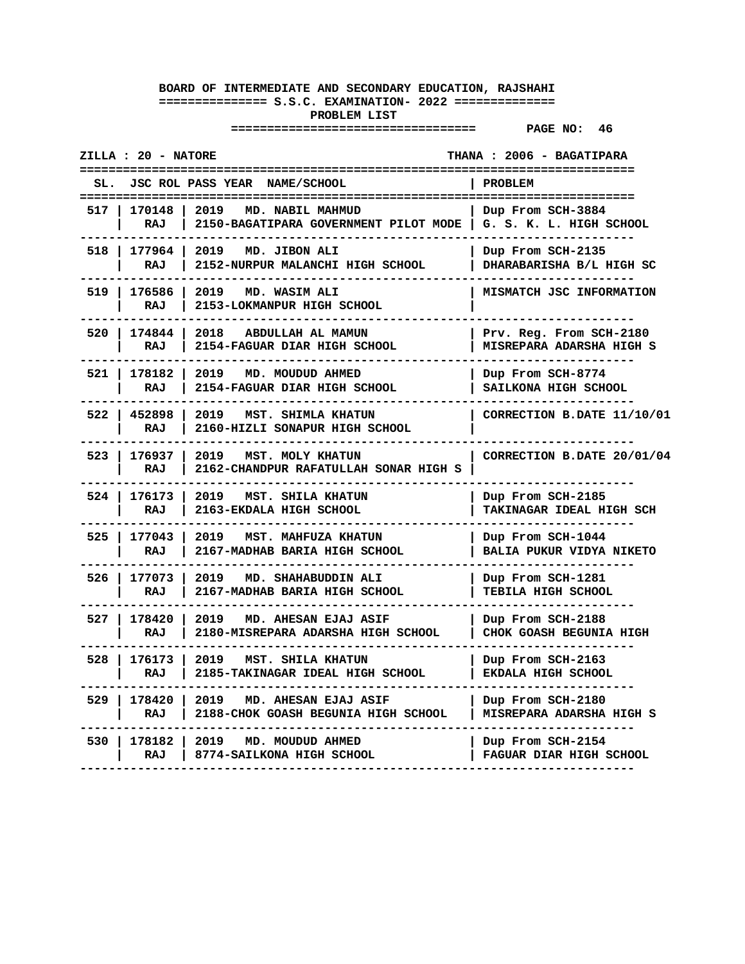|             | ZILLA : 20 - NATORE | --------                                                            | <b>THANA : 2006 - BAGATIPARA</b><br>---------------  |
|-------------|---------------------|---------------------------------------------------------------------|------------------------------------------------------|
| SL.<br>---- |                     | JSC ROL PASS YEAR NAME/SCHOOL                                       | PROBLEM<br>=====================                     |
| 517         | 170148<br>RAJ       | 2019<br>MD. NABIL MAHMUD<br>2150-BAGATIPARA GOVERNMENT PILOT MODE   | Dup From SCH-3884<br>G. S. K. L. HIGH SCHOOL         |
|             | 518   177964<br>RAJ | 2019<br>MD. JIBON ALI<br>2152-NURPUR MALANCHI HIGH SCHOOL           | Dup From SCH-2135<br>DHARABARISHA B/L HIGH SC        |
| 519         | 176586<br>RAJ       | 2019<br>MD. WASIM ALI<br>2153-LOKMANPUR HIGH SCHOOL                 | MISMATCH JSC INFORMATION                             |
| 520         | 174844<br>RAJ       | 2018<br>ABDULLAH AL MAMUN<br>2154-FAGUAR DIAR HIGH SCHOOL           | Prv. Reg. From SCH-2180<br>MISREPARA ADARSHA HIGH S  |
| 521         | 178182<br>RAJ       | 2019<br>MD. MOUDUD AHMED<br>2154-FAGUAR DIAR HIGH SCHOOL            | Dup From SCH-8774<br>SAILKONA HIGH SCHOOL            |
|             | 522   452898<br>RAJ | 2019<br>MST. SHIMLA KHATUN<br>2160-HIZLI SONAPUR HIGH SCHOOL        | CORRECTION B.DATE 11/10/01                           |
| 523         | 176937<br>RAJ       | 2019<br>MST. MOLY KHATUN<br>2162-CHANDPUR RAFATULLAH SONAR HIGH S   | CORRECTION B.DATE 20/01/04                           |
| $524$       | 176173<br>RAJ       | 2019<br>MST. SHILA KHATUN<br>2163-EKDALA HIGH SCHOOL                | Dup From SCH-2185<br>TAKINAGAR IDEAL HIGH SCH        |
| 525 l       | 177043<br>RAJ       | 2019<br>MST. MAHFUZA KHATUN<br>2167-MADHAB BARIA HIGH SCHOOL        | Dup From SCH-1044<br><b>BALIA PUKUR VIDYA NIKETO</b> |
| 526         | 177073<br>RAJ       | 2019<br>MD. SHAHABUDDIN ALI<br>2167-MADHAB BARIA HIGH SCHOOL        | Dup From SCH-1281<br>TEBILA HIGH SCHOOL              |
| 527 I       | 178420<br>RAJ       | 2019<br>MD. AHESAN EJAJ ASIF<br>2180-MISREPARA ADARSHA HIGH SCHOOL  | Dup From SCH-2188<br>CHOK GOASH BEGUNIA HIGH         |
| 528         | 176173<br>RAJ       | 2019<br>MST. SHILA KHATUN<br>2185-TAKINAGAR IDEAL HIGH SCHOOL       | Dup From SCH-2163<br>EKDALA HIGH SCHOOL              |
| 529         | 178420<br>RAJ       | 2019<br>MD. AHESAN EJAJ ASIF<br>2188-CHOK GOASH BEGUNIA HIGH SCHOOL | Dup From SCH-2180<br><b>MISREPARA ADARSHA HIGH S</b> |
| 530         | 178182<br>RAJ       | 2019<br>MD. MOUDUD AHMED<br>8774-SAILKONA HIGH SCHOOL               | Dup From SCH-2154<br>FAGUAR DIAR HIGH SCHOOL         |
|             |                     |                                                                     |                                                      |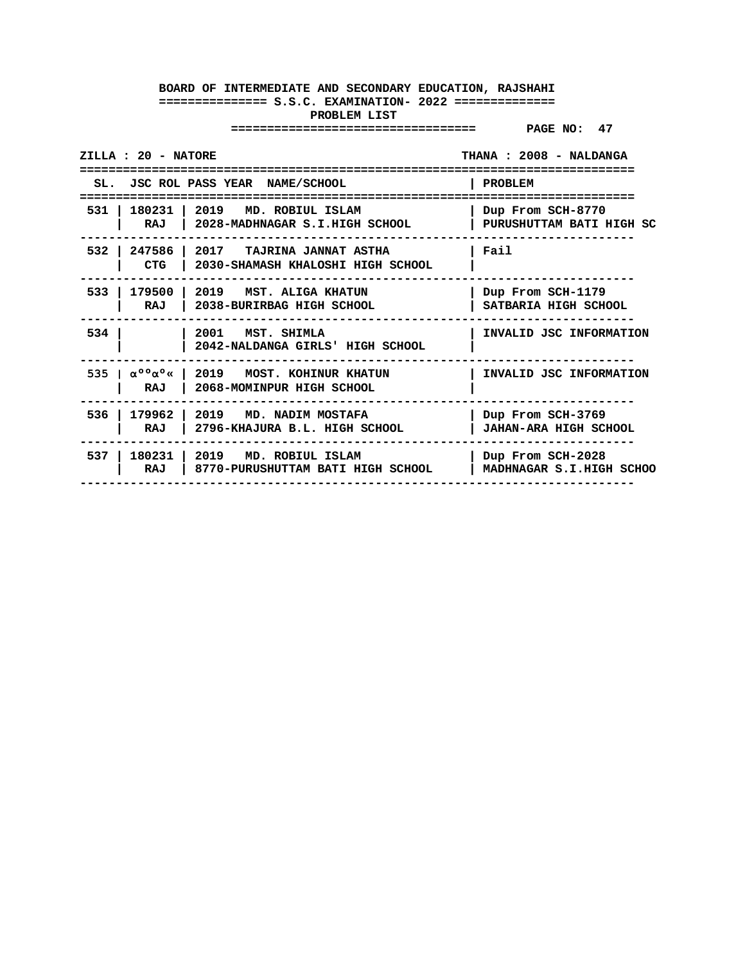| ZILLA : 20 - NATORE                                                                                                         | THANA: 2008 - NALDANGA                            |
|-----------------------------------------------------------------------------------------------------------------------------|---------------------------------------------------|
| SL. JSC ROL PASS YEAR NAME/SCHOOL                                                                                           | PROBLEM                                           |
| 531   180231   2019<br>MD. ROBIUL ISLAM<br>RAJ   2028-MADHNAGAR S.I.HIGH SCHOOL                                             | Dup From SCH-8770<br>PURUSHUTTAM BATI HIGH SC     |
| 532<br>247586   2017 TAJRINA JANNAT ASTHA<br><b>CTG</b><br>2030-SHAMASH KHALOSHI HIGH SCHOOL                                | Fail                                              |
| 533  <br>179500<br>  2019 MST, ALIGA KHATUN<br>RAJ<br>2038-BURIRBAG HIGH SCHOOL                                             | Dup From SCH-1179<br>SATBARIA HIGH SCHOOL         |
| 534<br>2001<br>MST. SHIMLA<br>2042-NALDANGA GIRLS' HIGH SCHOOL                                                              | INVALID JSC INFORMATION                           |
| 535   $\alpha^{\circ}$ $\alpha^{\circ}$ $\alpha^{\circ}$<br>1 2019 MOST. KOHINUR KHATUN<br>2068-MOMINPUR HIGH SCHOOL<br>RAJ | INVALID JSC INFORMATION                           |
| 179962<br>536<br>2019 MD. NADIM MOSTAFA<br>2796-KHAJURA B.L. HIGH SCHOOL<br>RAJ                                             | Dup From SCH-3769<br><b>JAHAN-ARA HIGH SCHOOL</b> |
| 537 I<br>180231   2019 MD. ROBIUL ISLAM<br>RAJ<br>8770-PURUSHUTTAM BATI HIGH SCHOOL                                         | Dup From SCH-2028<br>MADHNAGAR S.I.HIGH SCHOO     |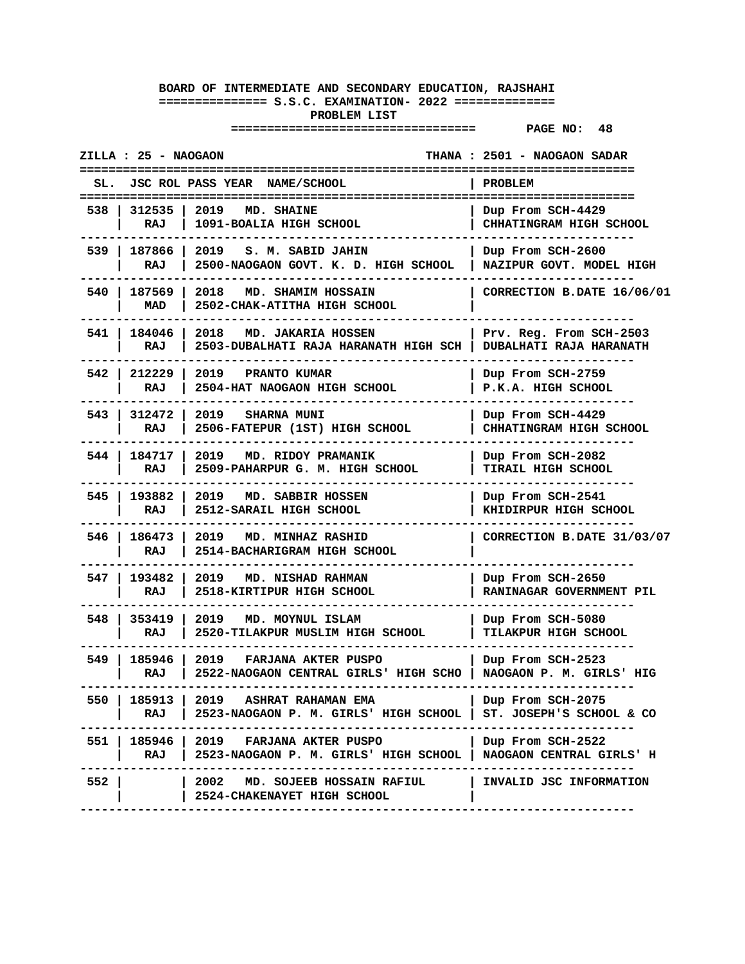|       | ZILLA : 25 - NAOGAON |                                                                                                               | THANA : 2501 - NAOGAON SADAR                                          |
|-------|----------------------|---------------------------------------------------------------------------------------------------------------|-----------------------------------------------------------------------|
| SL.   |                      | JSC ROL PASS YEAR NAME/SCHOOL                                                                                 | <b>PROBLEM</b>                                                        |
| 538.  | 312535<br>RAJ        | 2019<br>MD. SHAINE<br>1091-BOALIA HIGH SCHOOL                                                                 | =====================<br>Dup From SCH-4429<br>CHHATINGRAM HIGH SCHOOL |
| 539 I | 187866<br>RAJ        | 2019 S. M. SABID JAHIN<br>2500-NAOGAON GOVT. K. D. HIGH SCHOOL                                                | Dup From SCH-2600<br>NAZIPUR GOVT. MODEL HIGH                         |
| 540 I | 187569<br>MAD        | 2018<br>MD. SHAMIM HOSSAIN<br>2502-CHAK-ATITHA HIGH SCHOOL                                                    | CORRECTION B.DATE 16/06/01                                            |
| 541   | 184046<br>RAJ        | 2018<br><b>MD. JAKARIA HOSSEN</b><br>2503-DUBALHATI RAJA HARANATH HIGH SCH                                    | Prv. Reg. From SCH-2503<br>DUBALHATI RAJA HARANATH                    |
| 542   | 212229<br>RAJ        | 2019<br>PRANTO KUMAR<br>2504-HAT NAOGAON HIGH SCHOOL                                                          | Dup From SCH-2759<br>P.K.A. HIGH SCHOOL                               |
| 543 I | 312472<br>RAJ        | 2019 SHARNA MUNI<br>2506-FATEPUR (1ST) HIGH SCHOOL                                                            | Dup From SCH-4429<br>CHHATINGRAM HIGH SCHOOL                          |
| 544 I | 184717<br>RAJ        | 2019 MD. RIDOY PRAMANIK<br>2509-PAHARPUR G. M. HIGH SCHOOL                                                    | Dup From SCH-2082<br><b>TIRAIL HIGH SCHOOL</b>                        |
| 545 I | 193882<br>RAJ        | 2019<br><b>MD. SABBIR HOSSEN</b><br>2512-SARAIL HIGH SCHOOL                                                   | Dup From SCH-2541<br>KHIDIRPUR HIGH SCHOOL                            |
| 546 I | 186473<br>RAJ        | 2019<br><b>MD. MINHAZ RASHID</b><br>2514-BACHARIGRAM HIGH SCHOOL                                              | CORRECTION B.DATE 31/03/07                                            |
| 547 I | 193482<br>RAJ        | 2019<br>MD. NISHAD RAHMAN<br>2518-KIRTIPUR HIGH SCHOOL                                                        | Dup From SCH-2650<br>RANINAGAR GOVERNMENT PIL                         |
| 548 I | 353419<br>RAJ        | 2019<br>MD. MOYNUL ISLAM<br>2520-TILAKPUR MUSLIM HIGH SCHOOL                                                  | Dup From SCH-5080<br>TILAKPUR HIGH SCHOOL                             |
|       | 549   185946<br>RAJ  | 2019 FARJANA AKTER PUSPO<br>2522-NAOGAON CENTRAL GIRLS' HIGH SCHO   NAOGAON P. M. GIRLS' HIG                  | Dup From SCH-2523<br>----------------                                 |
| 550   | 185913  <br>RAJ I    | 2019 ASHRAT RAHAMAN EMA<br>2523-NAOGAON P. M. GIRLS' HIGH SCHOOL                                              | Dup From SCH-2075<br>ST. JOSEPH'S SCHOOL & CO                         |
|       | RAJ I                | 551   185946   2019   FARJANA AKTER PUSPO<br>2523-NAOGAON P. M. GIRLS' HIGH SCHOOL   NAOGAON CENTRAL GIRLS' H | Dup From SCH-2522                                                     |
| 552   |                      | 2002   MD. SOJEEB HOSSAIN RAFIUL          INVALID JSC INFORMATION<br>2524-CHAKENAYET HIGH SCHOOL              |                                                                       |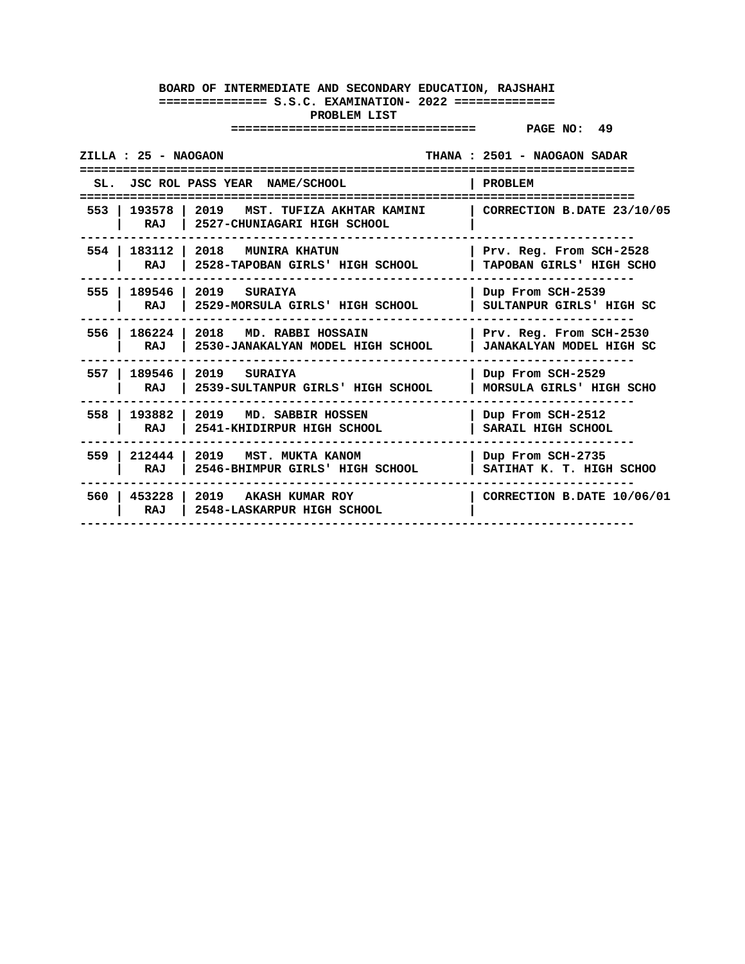| ZILLA : 25 - NAOGAON |                                                                                                     | THANA : 2501 - NAOGAON SADAR                  |
|----------------------|-----------------------------------------------------------------------------------------------------|-----------------------------------------------|
|                      | SL. JSC ROL PASS YEAR NAME/SCHOOL                                                                   | PROBLEM                                       |
| 553<br>RAJ           | 193578   2019 MST. TUFIZA AKHTAR KAMINI   CORRECTION B.DATE 23/10/05<br>2527-CHUNIAGARI HIGH SCHOOL |                                               |
| 554 l                | 183112   2018 MUNIRA KHATUN                                                                         | Prv. Reg. From SCH-2528                       |
| RAJ                  | 2528-TAPOBAN GIRLS' HIGH SCHOOL                                                                     | TAPOBAN GIRLS' HIGH SCHO                      |
| 555                  | 189546   2019 SURAIYA                                                                               | Dup From SCH-2539                             |
| RAJ                  | 2529-MORSULA GIRLS' HIGH SCHOOL                                                                     | SULTANPUR GIRLS' HIGH SC                      |
| 556                  | $\vert$ 186224 $\vert$ 2018 MD. RABBI HOSSAIN                                                       | Prv. Reg. From SCH-2530                       |
| RAJ                  | 2530-JANAKALYAN MODEL HIGH SCHOOL                                                                   | JANAKALYAN MODEL HIGH SC                      |
| 557 l                | 189546   2019 SURAIYA                                                                               | Dup From SCH-2529                             |
| RAJ                  | 2539-SULTANPUR GIRLS' HIGH SCHOOL                                                                   | MORSULA GIRLS' HIGH SCHO                      |
| 558                  | 193882 2019 MD. SABBIR HOSSEN                                                                       | Dup From SCH-2512                             |
| RAJ                  | 2541-KHIDIRPUR HIGH SCHOOL                                                                          | SARAIL HIGH SCHOOL                            |
| 212444<br>559<br>RAJ | 2019 MST. MUKTA KANOM<br>2546-BHIMPUR GIRLS' HIGH SCHOOL                                            | Dup From SCH-2735<br>SATIHAT K. T. HIGH SCHOO |
| RAJ                  | 560   453228   2019 AKASH KUMAR ROY<br>2548-LASKARPUR HIGH SCHOOL                                   | CORRECTION B.DATE 10/06/01                    |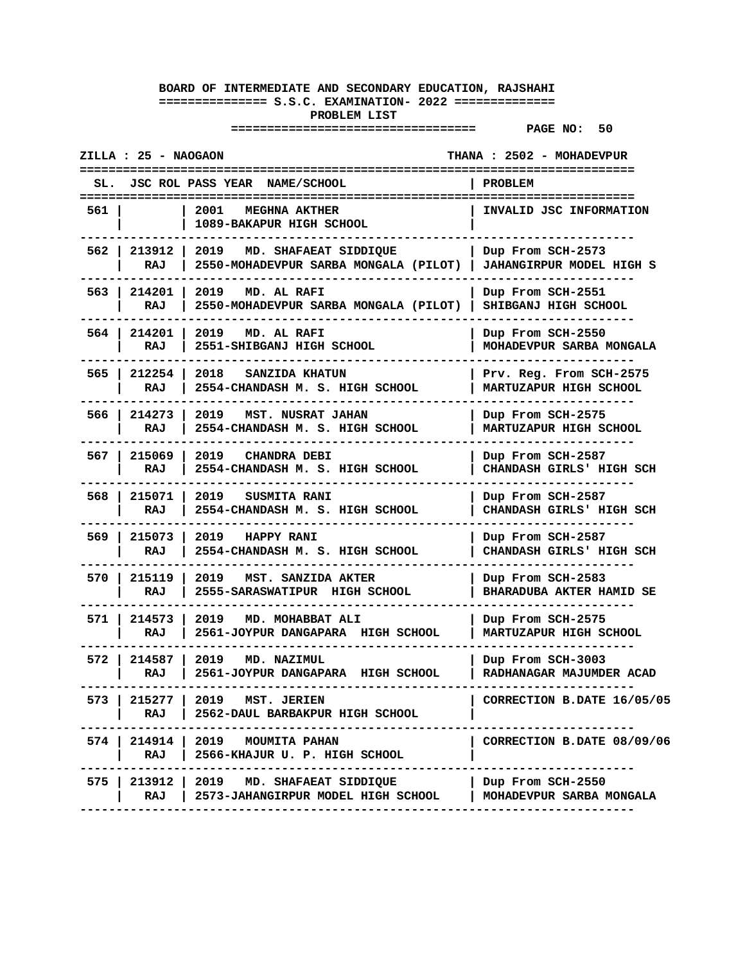|       | ZILLA : 25 - NAOGAON |                                                                                 | THANA: 2502 - MOHADEVPUR                               |
|-------|----------------------|---------------------------------------------------------------------------------|--------------------------------------------------------|
| SL.   |                      | <b>JSC ROL PASS YEAR NAME/SCHOOL</b>                                            | PROBLEM                                                |
| 561   |                      | 2001<br><b>MEGHNA AKTHER</b><br>1089-BAKAPUR HIGH SCHOOL                        | INVALID JSC INFORMATION                                |
| 562 I | 213912<br>RAJ        | 2019<br>MD. SHAFAEAT SIDDIQUE<br>2550-MOHADEVPUR SARBA MONGALA (PILOT)          | Dup From SCH-2573  <br><b>JAHANGIRPUR MODEL HIGH S</b> |
| 563 I | 214201<br>RAJ        | 2019<br>MD. AL RAFI<br>2550-MOHADEVPUR SARBA MONGALA (PILOT)                    | Dup From SCH-2551<br>SHIBGANJ HIGH SCHOOL              |
| 564 I | 214201<br>RAJ        | 2019<br>MD. AL RAFI<br>2551-SHIBGANJ HIGH SCHOOL                                | Dup From SCH-2550<br>MOHADEVPUR SARBA MONGALA          |
| 565   | 212254<br>RAJ        | 2018 SANZIDA KHATUN<br>2554-CHANDASH M. S. HIGH SCHOOL                          | Prv. Reg. From SCH-2575<br>MARTUZAPUR HIGH SCHOOL      |
|       | 566   214273<br>RAJ  | 2019 MST. NUSRAT JAHAN<br>2554-CHANDASH M. S. HIGH SCHOOL                       | Dup From SCH-2575<br>MARTUZAPUR HIGH SCHOOL            |
| 567 I | 215069<br>RAJ        | 2019<br><b>CHANDRA DEBI</b><br>2554-CHANDASH M. S. HIGH SCHOOL                  | Dup From SCH-2587<br>CHANDASH GIRLS' HIGH SCH          |
| 568 I | 215071<br>RAJ        | 2019<br><b>SUSMITA RANI</b><br>2554-CHANDASH M. S. HIGH SCHOOL                  | Dup From SCH-2587<br>CHANDASH GIRLS' HIGH SCH          |
| 569 I | 215073<br>RAJ        | 2019<br>HAPPY RANI<br>2554-CHANDASH M. S. HIGH SCHOOL                           | Dup From SCH-2587<br>CHANDASH GIRLS' HIGH SCH          |
| 570   | 215119<br>RAJ        | 2019<br>MST. SANZIDA AKTER<br>2555-SARASWATIPUR HIGH SCHOOL                     | Dup From SCH-2583<br><b>BHARADUBA AKTER HAMID SE</b>   |
|       | 571   214573<br>RAJ  | 2019 MD. MOHABBAT ALI<br>2561-JOYPUR DANGAPARA HIGH SCHOOL                      | Dup From SCH-2575<br>MARTUZAPUR HIGH SCHOOL            |
| 572 I | 214587<br>RAJ        | 2019<br>MD. NAZIMUL<br>2561-JOYPUR DANGAPARA HIGH SCHOOL                        | Dup From SCH-3003<br>RADHANAGAR MAJUMDER ACAD          |
| 573 I | RAJ                  | 215277   2019 MST. JERIEN<br>2562-DAUL BARBAKPUR HIGH SCHOOL                    | CORRECTION B.DATE 16/05/05                             |
|       | RAJ                  | 574   214914   2019 MOUMITA PAHAN<br>2566-KHAJUR U. P. HIGH SCHOOL              | CORRECTION B.DATE 08/09/06                             |
|       | RAJ                  | 575   213912   2019 MD. SHAFAEAT SIDDIQUE<br>2573-JAHANGIRPUR MODEL HIGH SCHOOL | Dup From SCH-2550<br>MOHADEVPUR SARBA MONGALA          |
|       |                      |                                                                                 |                                                        |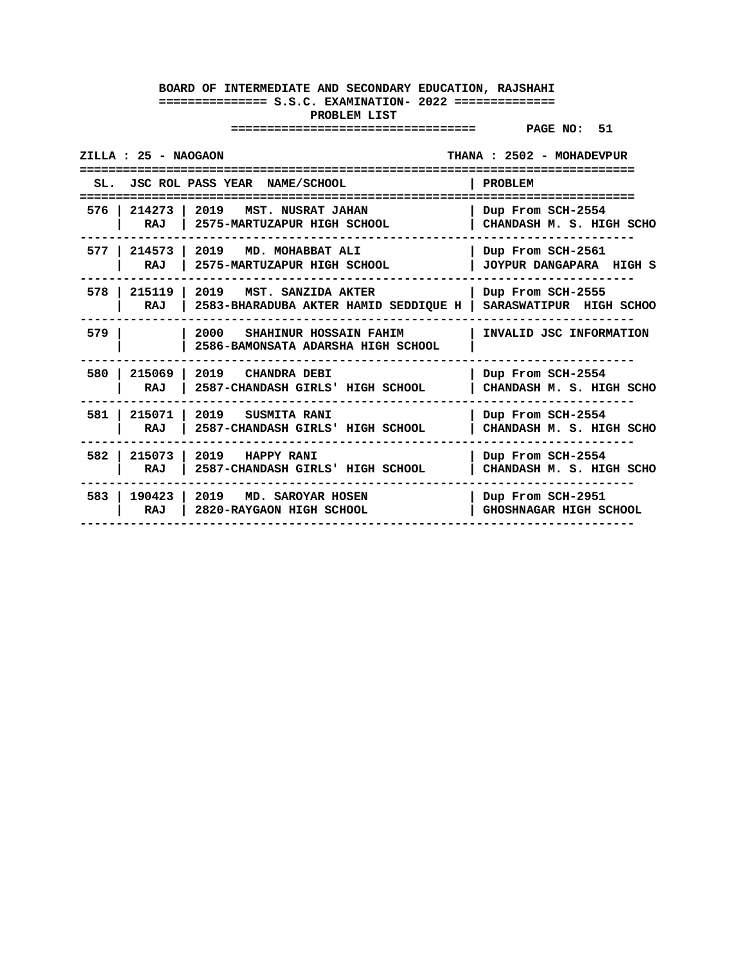|       | ZILLA : 25 - NAOGAON |                                                                                               | THANA: 2502 - MOHADEVPUR                      |
|-------|----------------------|-----------------------------------------------------------------------------------------------|-----------------------------------------------|
|       |                      | SL. JSC ROL PASS YEAR NAME/SCHOOL                                                             | PROBLEM                                       |
|       |                      |                                                                                               |                                               |
| 576 I | 214273<br>RAJ        | 2019<br>MST. NUSRAT JAHAN<br>2575-MARTUZAPUR HIGH SCHOOL                                      | Dup From SCH-2554<br>CHANDASH M. S. HIGH SCHO |
| 577 I | 214573<br>RAJ        | 2019<br>MD. MOHABBAT ALI<br>2575-MARTUZAPUR HIGH SCHOOL                                       | Dup From SCH-2561<br>JOYPUR DANGAPARA HIGH S  |
|       |                      |                                                                                               |                                               |
| 578   | 215119<br>RAJ        | 2019<br>MST. SANZIDA AKTER<br>2583-BHARADUBA AKTER HAMID SEDDIQUE H   SARASWATIPUR HIGH SCHOO | Dup From SCH-2555                             |
| 579   |                      | 2000<br>SHAHINUR HOSSAIN FAHIM<br>2586-BAMONSATA ADARSHA HIGH SCHOOL                          | INVALID JSC INFORMATION                       |
|       |                      |                                                                                               |                                               |
| 580   | 215069               | 2019 CHANDRA DEBI                                                                             | Dup From SCH-2554                             |
|       | RAJ                  | 2587-CHANDASH GIRLS' HIGH SCHOOL                                                              | CHANDASH M. S. HIGH SCHO                      |
| 581   | 215071               | 2019 SUSMITA RANI                                                                             | Dup From SCH-2554                             |
|       | RAJ                  | 2587-CHANDASH GIRLS' HIGH SCHOOL                                                              | CHANDASH M. S. HIGH SCHO                      |
| 582   | 215073               | 2019 HAPPY RANI                                                                               | Dup From SCH-2554                             |
|       | RAJ                  | 2587-CHANDASH GIRLS' HIGH SCHOOL                                                              | CHANDASH M. S. HIGH SCHO                      |
| 583 l | 190423   2019        | MD. SAROYAR HOSEN                                                                             | Dup From SCH-2951                             |
|       | RAJ                  | 2820-RAYGAON HIGH SCHOOL                                                                      | GHOSHNAGAR HIGH SCHOOL                        |
|       |                      |                                                                                               |                                               |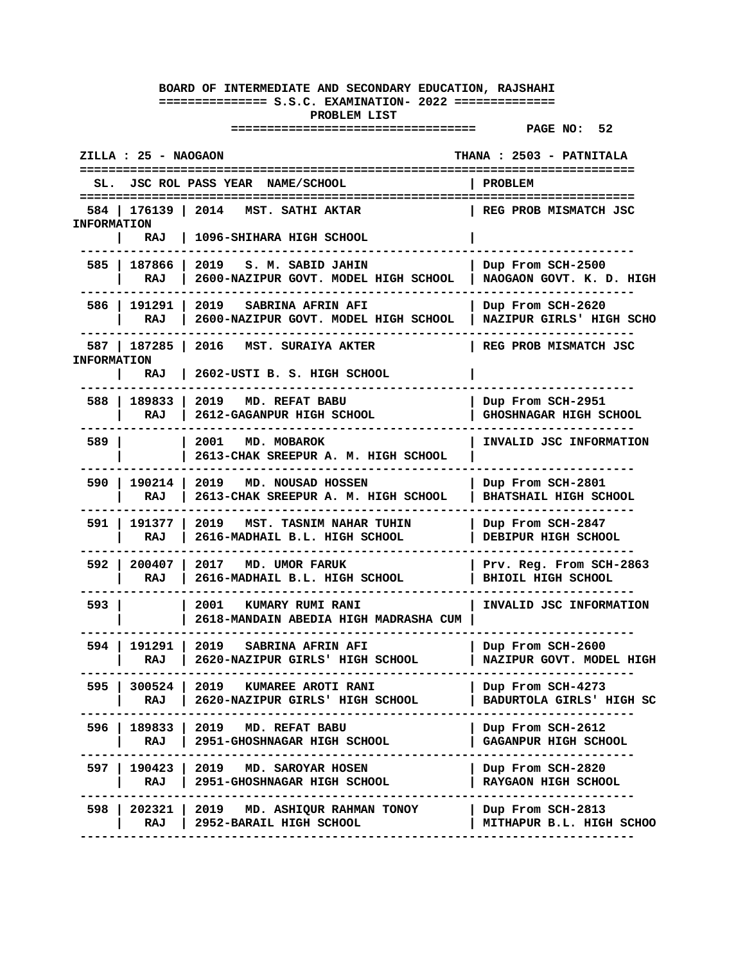|                    | ZILLA : 25 - NAOGAON       |                                                                                                              |              | THANA: 2503 - PATNITALA                           |  |
|--------------------|----------------------------|--------------------------------------------------------------------------------------------------------------|--------------|---------------------------------------------------|--|
| SL.                |                            | JSC ROL PASS YEAR NAME/SCHOOL                                                                                | PROBLEM      |                                                   |  |
| <b>INFORMATION</b> | 584   176139   2014        | MST. SATHI AKTAR                                                                                             |              | REG PROB MISMATCH JSC                             |  |
|                    | RAJ                        | 1096-SHIHARA HIGH SCHOOL                                                                                     |              |                                                   |  |
|                    | 585   187866  <br>RAJ      | 2019 S. M. SABID JAHIN<br>2600-NAZIPUR GOVT. MODEL HIGH SCHOOL                                               |              | Dup From SCH-2500<br>NAOGAON GOVT. K. D. HIGH     |  |
|                    | 586   191291  <br>RAJ      | 2019 SABRINA AFRIN AFI<br>2600-NAZIPUR GOVT. MODEL HIGH SCHOOL                                               |              | Dup From SCH-2620<br>NAZIPUR GIRLS' HIGH SCHO     |  |
| <b>INFORMATION</b> | 587   187285               | 2016<br>MST. SURAIYA AKTER                                                                                   |              | REG PROB MISMATCH JSC                             |  |
|                    | RAJ                        | 2602-USTI B. S. HIGH SCHOOL                                                                                  |              |                                                   |  |
| 588 I              | 189833<br>RAJ              | 2019<br>MD. REFAT BABU<br>2612-GAGANPUR HIGH SCHOOL                                                          |              | Dup From SCH-2951<br>GHOSHNAGAR HIGH SCHOOL       |  |
| 589 I              |                            | 2001 MD. MOBAROK<br>2613-CHAK SREEPUR A. M. HIGH SCHOOL                                                      |              | INVALID JSC INFORMATION                           |  |
| 590 I              | 190214  <br>RAJ            | 2019 MD. NOUSAD HOSSEN<br>2613-CHAK SREEPUR A. M. HIGH SCHOOL                                                |              | Dup From SCH-2801<br><b>BHATSHAIL HIGH SCHOOL</b> |  |
| 591 I              | 191377<br>RAJ              | 2019<br>MST. TASNIM NAHAR TUHIN<br>2616-MADHAIL B.L. HIGH SCHOOL                                             |              | Dup From SCH-2847<br>DEBIPUR HIGH SCHOOL          |  |
| 592 I              | 200407<br>RAJ              | 2017 MD. UMOR FARUK<br>2616-MADHAIL B.L. HIGH SCHOOL                                                         |              | Prv. Reg. From SCH-2863<br>BHIOIL HIGH SCHOOL     |  |
| 593                |                            | 2001<br><b>KUMARY RUMI RANI</b><br>2618-MANDAIN ABEDIA HIGH MADRASHA CUM                                     |              | INVALID JSC INFORMATION                           |  |
| 594 I              | 191291  <br>RAJ            | 2019<br><b>SABRINA AFRIN AFI</b><br>2620-NAZIPUR GIRLS' HIGH SCHOOL                                          |              | Dup From SCH-2600<br>NAZIPUR GOVT. MODEL HIGH     |  |
|                    | 595   300524   2019<br>RAJ | KUMAREE AROTI RANI<br>2620-NAZIPUR GIRLS' HIGH SCHOOL                                                        |              | Dup From SCH-4273<br>  BADURTOLA GIRLS' HIGH SC   |  |
|                    | RAJ                        | 596   189833   2019 MD. REFAT BABU<br>2951-GHOSHNAGAR HIGH SCHOOL                                            |              | Dup From SCH-2612<br>GAGANPUR HIGH SCHOOL         |  |
|                    | RAJ                        | 597   190423   2019 MD. SAROYAR HOSEN<br><b>2951-GHOSHNAGAR HIGH SCHOOL</b>                                  |              | Dup From SCH-2820<br>RAYGAON HIGH SCHOOL          |  |
| 598 I              | RAJ                        | -----------------------<br>202321 2019 MD. ASHIQUR RAHMAN TONOY Dup From SCH-2813<br>2952-BARAIL HIGH SCHOOL | ------------ | MITHAPUR B.L. HIGH SCHOO                          |  |
|                    |                            |                                                                                                              |              |                                                   |  |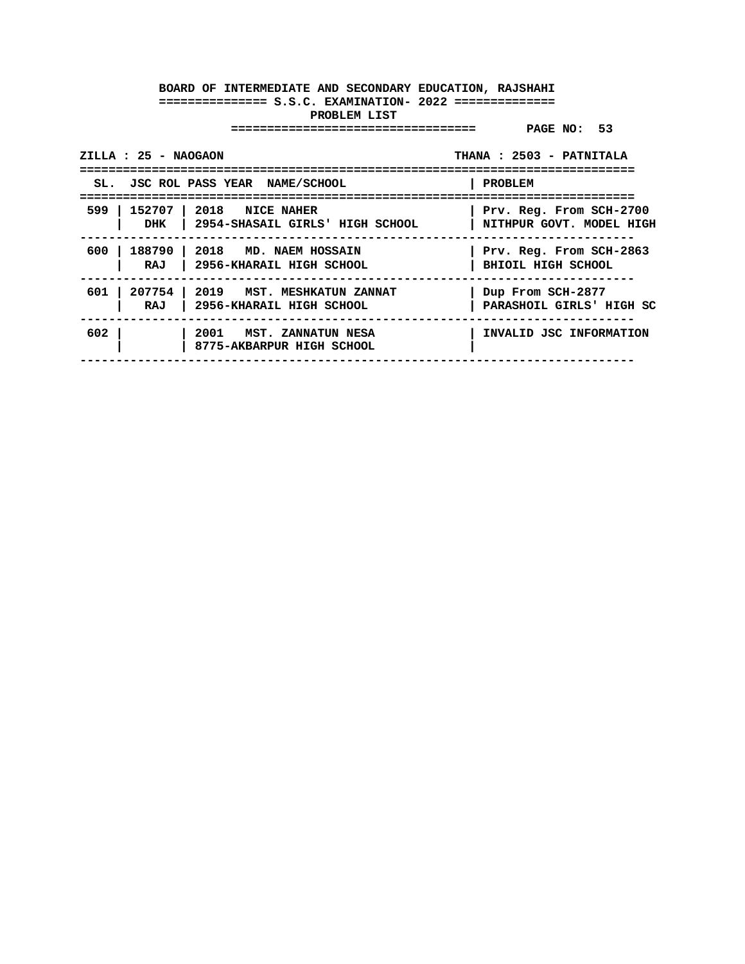|       | ZILLA : 25 - NAOGAON |                                                                 | THANA: 2503 - PATNITALA                             |
|-------|----------------------|-----------------------------------------------------------------|-----------------------------------------------------|
|       |                      | SL. JSC ROL PASS YEAR NAME/SCHOOL                               | PROBLEM                                             |
| 599 I | 152707<br>DHK        | $\vert$ 2018 NICE NAHER<br>  2954-SHASAIL GIRLS' HIGH SCHOOL    | Prv. Reg. From SCH-2700<br>NITHPUR GOVT. MODEL HIGH |
| 600 l | 188790<br>RAJ        | 2018 MD. NAEM HOSSAIN<br>  2956-KHARAIL HIGH SCHOOL             | Prv. Reg. From SCH-2863<br>BHIOIL HIGH SCHOOL       |
| 601   | RAJ                  | 207754   2019 MST. MESHKATUN ZANNAT<br>2956-KHARAIL HIGH SCHOOL | Dup From SCH-2877<br>PARASHOIL GIRLS' HIGH SC       |
| 602   |                      | 2001 MST. ZANNATUN NESA<br>8775-AKBARPUR HIGH SCHOOL            | INVALID JSC INFORMATION                             |
|       |                      |                                                                 |                                                     |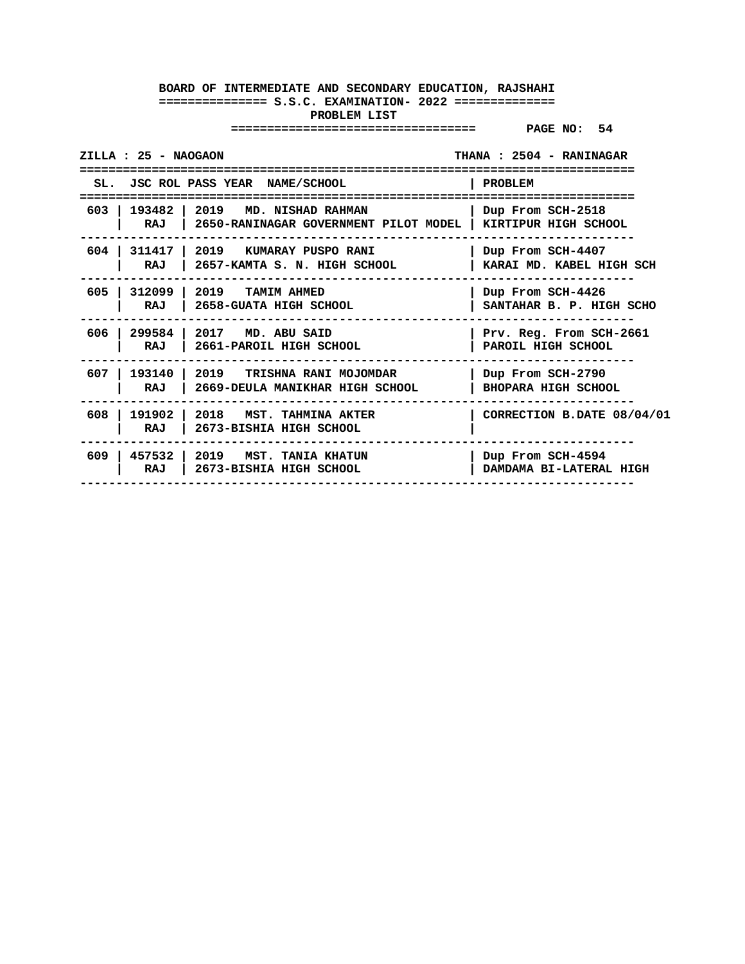| ZILLA : 25 - NAOGAON<br>THANA: 2504 - RANINAGAR |                                                                                                             |                            |  |  |
|-------------------------------------------------|-------------------------------------------------------------------------------------------------------------|----------------------------|--|--|
|                                                 | SL. JSC ROL PASS YEAR NAME/SCHOOL                                                                           | PROBLEM                    |  |  |
|                                                 | 603   193482   2019 MD. NISHAD RAHMAN<br>RAJ   2650-RANINAGAR GOVERNMENT PILOT MODEL   KIRTIPUR HIGH SCHOOL | Dup From SCH-2518          |  |  |
| 604                                             | 311417   2019   KUMARAY PUSPO RANI                                                                          | Dup From SCH-4407          |  |  |
| RAJ                                             | 2657-KAMTA S. N. HIGH SCHOOL                                                                                | KARAI MD. KABEL HIGH SCH   |  |  |
| 605                                             | 312099   2019   TAMIM AHMED                                                                                 | Dup From SCH-4426          |  |  |
| RAJ                                             | 2658-GUATA HIGH SCHOOL                                                                                      | SANTAHAR B. P. HIGH SCHO   |  |  |
| 606                                             | 299584 2017 MD. ABU SAID                                                                                    | Prv. Reg. From SCH-2661    |  |  |
| RAJ                                             | 2661-PAROIL HIGH SCHOOL                                                                                     | PAROIL HIGH SCHOOL         |  |  |
| 607                                             | 193140   2019   TRISHNA RANI MOJOMDAR                                                                       | Dup From SCH-2790          |  |  |
| RAJ                                             | 2669-DEULA MANIKHAR HIGH SCHOOL                                                                             | <b>BHOPARA HIGH SCHOOL</b> |  |  |
| 608<br>RAJ                                      | 191902   2018 MST. TAHMINA AKTER<br>2673-BISHIA HIGH SCHOOL                                                 | CORRECTION B.DATE 08/04/01 |  |  |
| 609                                             | 457532   2019   MST. TANIA KHATUN                                                                           | Dup From SCH-4594          |  |  |
| RAJ                                             | 2673-BISHIA HIGH SCHOOL                                                                                     | DAMDAMA BI-LATERAL HIGH    |  |  |
|                                                 |                                                                                                             |                            |  |  |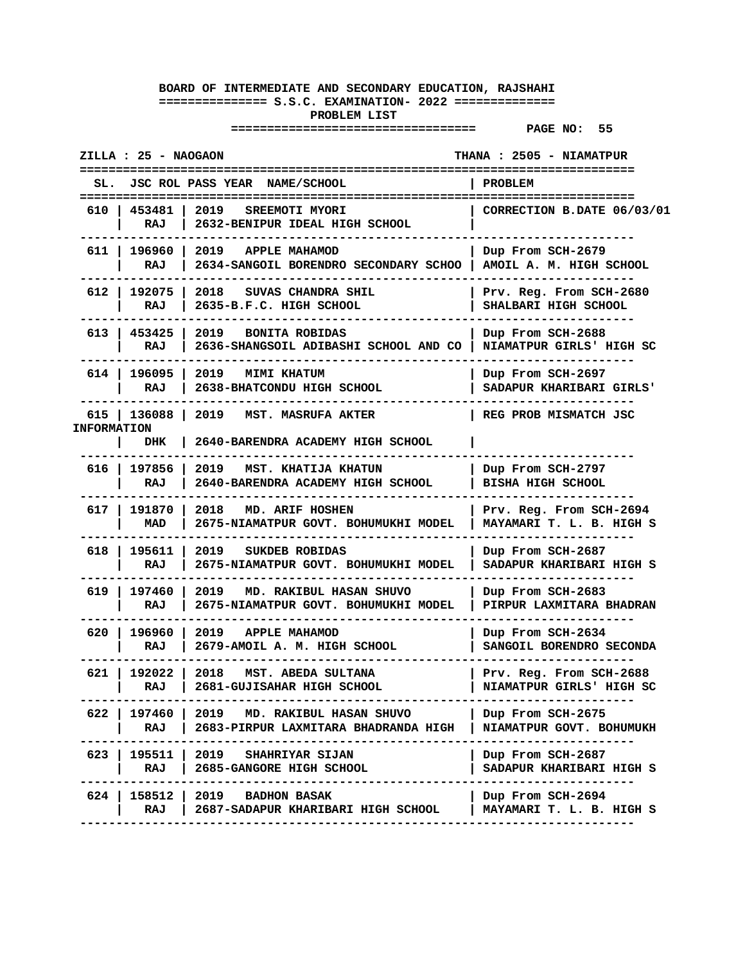| ZILLA : 25 - NAOGAON       |                                                                                                                | <b>THANA : 2505 - NIAMATPUR</b>                     |
|----------------------------|----------------------------------------------------------------------------------------------------------------|-----------------------------------------------------|
| SL.                        | JSC ROL PASS YEAR NAME/SCHOOL                                                                                  | PROBLEM                                             |
| 610   453481   2019<br>RAJ | SREEMOTI MYORI<br>2632-BENIPUR IDEAL HIGH SCHOOL                                                               | CORRECTION B.DATE 06/03/01                          |
| RAJ                        | 611   196960   2019 APPLE MAHAMOD<br>2634-SANGOIL BORENDRO SECONDARY SCHOO   AMOIL A. M. HIGH SCHOOL           | Dup From SCH-2679                                   |
| 612   192075  <br>RAJ      | 2018<br>SUVAS CHANDRA SHIL<br>2635-B.F.C. HIGH SCHOOL                                                          | Prv. Reg. From SCH-2680<br>SHALBARI HIGH SCHOOL     |
| 613   453425  <br>RAJ      | 2019<br><b>BONITA ROBIDAS</b><br>2636-SHANGSOIL ADIBASHI SCHOOL AND CO                                         | Dup From SCH-2688<br>NIAMATPUR GIRLS' HIGH SC       |
| 614   196095  <br>RAJ      | 2019<br><b>MIMI KHATUM</b><br>2638-BHATCONDU HIGH SCHOOL                                                       | Dup From SCH-2697<br>SADAPUR KHARIBARI GIRLS'       |
| <b>INFORMATION</b><br>DHK  | 615   136088   2019 MST. MASRUFA AKTER<br>2640-BARENDRA ACADEMY HIGH SCHOOL                                    | REG PROB MISMATCH JSC                               |
| 616   197856  <br>RAJ      | 2019 MST. KHATIJA KHATUN<br>2640-BARENDRA ACADEMY HIGH SCHOOL                                                  | Dup From SCH-2797<br><b>BISHA HIGH SCHOOL</b>       |
| 617 l<br>191870 l<br>MAD   | 2018 MD. ARIF HOSHEN<br>2675-NIAMATPUR GOVT. BOHUMUKHI MODEL                                                   | Prv. Reg. From SCH-2694<br>MAYAMARI T. L. B. HIGH S |
| 618 I<br>195611  <br>RAJ   | 2019<br>SUKDEB ROBIDAS<br>2675-NIAMATPUR GOVT. BOHUMUKHI MODEL                                                 | Dup From SCH-2687<br>SADAPUR KHARIBARI HIGH S       |
| 619 I<br>197460 l<br>RAJ   | 2019<br>MD. RAKIBUL HASAN SHUVO<br>2675-NIAMATPUR GOVT. BOHUMUKHI MODEL                                        | Dup From SCH-2683<br>PIRPUR LAXMITARA BHADRAN       |
| 620 I<br>196960<br>RAJ     | 2019 APPLE MAHAMOD<br>2679-AMOIL A. M. HIGH SCHOOL                                                             | Dup From SCH-2634<br>SANGOIL BORENDRO SECONDA       |
| 621 l                      | 192022   2018 MST. ABEDA SULTANA<br>RAJ   2681-GUJISAHAR HIGH SCHOOL                                           | Prv. Reg. From SCH-2688<br>NIAMATPUR GIRLS' HIGH SC |
| RAJ I                      | 622   197460   2019 MD. RAKIBUL HASAN SHUVO<br>2683-PIRPUR LAXMITARA BHADRANDA HIGH   NIAMATPUR GOVT. BOHUMUKH | Dup From SCH-2675                                   |
| 623<br>RAJ                 | 195511   2019 GHAHRIYAR SIJAN<br>2685-GANGORE HIGH SCHOOL                                                      | Dup From SCH-2687<br>SADAPUR KHARIBARI HIGH S       |
| RAJ                        | 624   158512   2019 BADHON BASAK<br>2687-SADAPUR KHARIBARI HIGH SCHOOL                                         | Dup From SCH-2694<br>MAYAMARI T. L. B. HIGH S       |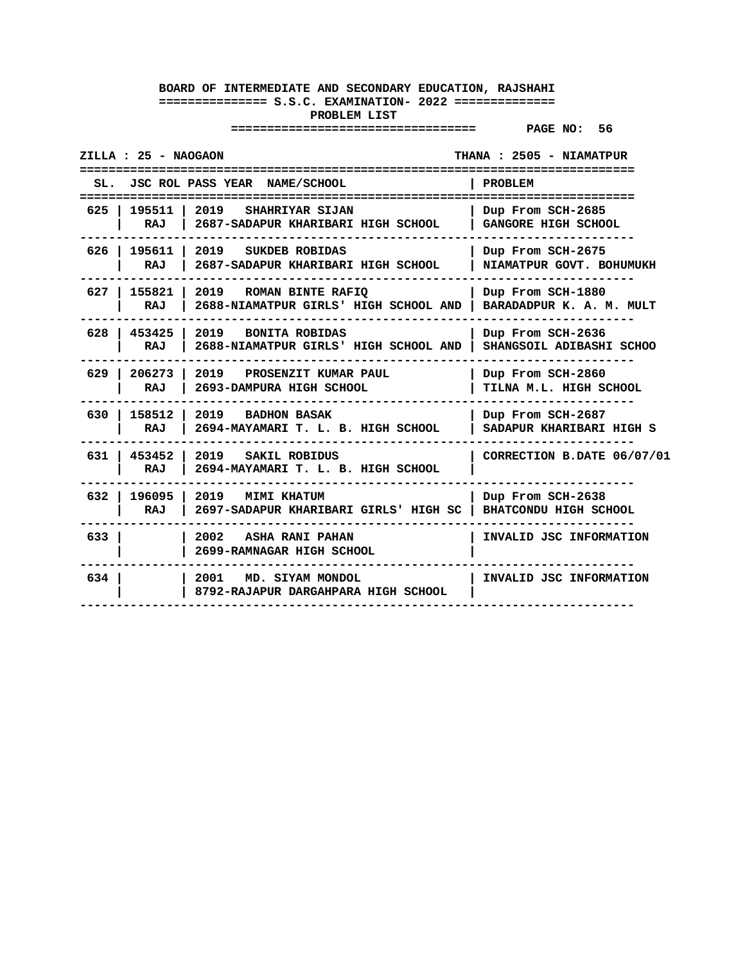| ZILLA : 25 - NAOGAON<br>================ | ===================================                                                                       | THANA: 2505 - NIAMATPUR<br>====================== |
|------------------------------------------|-----------------------------------------------------------------------------------------------------------|---------------------------------------------------|
| SL.                                      | JSC ROL PASS YEAR NAME/SCHOOL                                                                             | <b>PROBLEM</b>                                    |
| 625 I<br>195511<br>RAJ                   | 2019<br>SHAHRIYAR SIJAN<br>2687-SADAPUR KHARIBARI HIGH SCHOOL                                             | Dup From SCH-2685<br><b>GANGORE HIGH SCHOOL</b>   |
| 626   195611  <br>RAJ                    | 2019 SUKDEB ROBIDAS<br>2687-SADAPUR KHARIBARI HIGH SCHOOL                                                 | Dup From SCH-2675<br>NIAMATPUR GOVT. BOHUMUKH     |
| RAJ                                      | 627   155821   2019 ROMAN BINTE RAFIQ<br>2688-NIAMATPUR GIRLS' HIGH SCHOOL AND   BARADADPUR K. A. M. MULT | Dup From SCH-1880                                 |
| 628   453425<br>RAJ                      | 2019 BONITA ROBIDAS<br>2688-NIAMATPUR GIRLS' HIGH SCHOOL AND                                              | Dup From SCH-2636<br>SHANGSOIL ADIBASHI SCHOO     |
| $206273$  <br>629 I<br>RAJ               | 2019 PROSENZIT KUMAR PAUL<br>2693-DAMPURA HIGH SCHOOL                                                     | Dup From SCH-2860<br>TILNA M.L. HIGH SCHOOL       |
| 630 I<br>RAJ                             | 158512 2019 BADHON BASAK<br>2694-MAYAMARI T. L. B. HIGH SCHOOL                                            | Dup From SCH-2687<br>SADAPUR KHARIBARI HIGH S     |
| 631 453452<br>RAJ                        | 2019 SAKIL ROBIDUS<br>2694-MAYAMARI T. L. B. HIGH SCHOOL                                                  | CORRECTION B.DATE 06/07/01                        |
| 632   196095  <br>RAJ                    | 2019<br><b>MIMI KHATUM</b><br>2697-SADAPUR KHARIBARI GIRLS' HIGH SC                                       | Dup From SCH-2638<br><b>BHATCONDU HIGH SCHOOL</b> |
| 633 l                                    | 2002 ASHA RANI PAHAN<br>2699-RAMNAGAR HIGH SCHOOL                                                         | INVALID JSC INFORMATION                           |
| 634                                      | 2001 MD. SIYAM MONDOL<br>8792-RAJAPUR DARGAHPARA HIGH SCHOOL                                              | INVALID JSC INFORMATION                           |
|                                          |                                                                                                           |                                                   |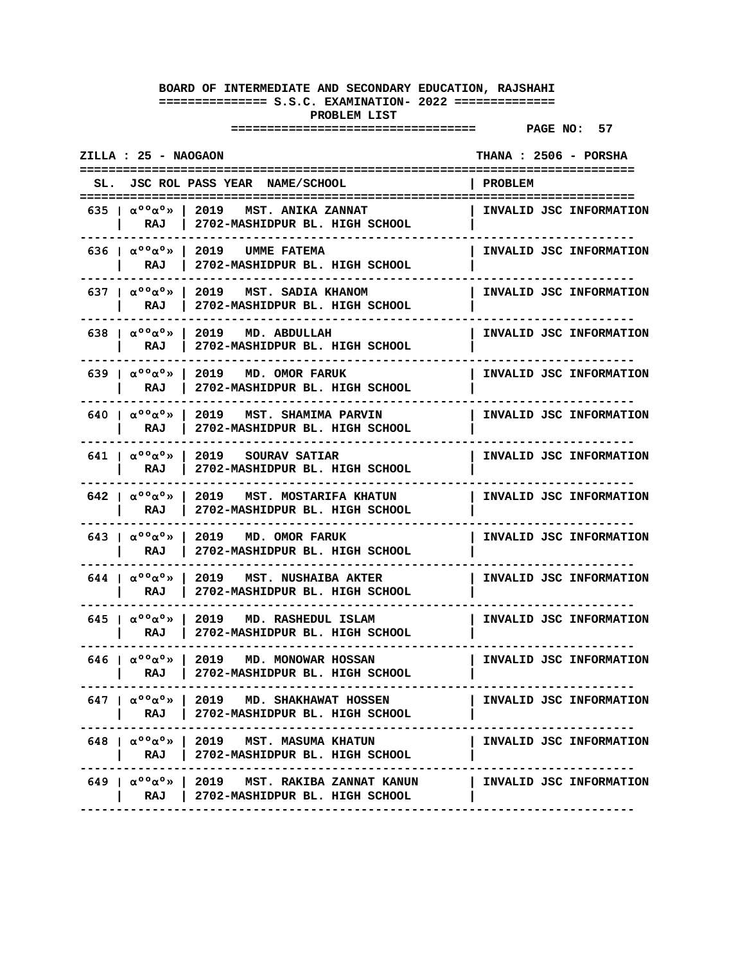| ZILLA : 25 - NAOGAON                                                 |                                                                                                                                            | THANA : 2506 - PORSHA   |
|----------------------------------------------------------------------|--------------------------------------------------------------------------------------------------------------------------------------------|-------------------------|
|                                                                      | SL. JSC ROL PASS YEAR NAME/SCHOOL                                                                                                          | PROBLEM                 |
|                                                                      | 635   $\alpha$ <sup>00</sup> $\alpha$ <sup>0</sup> >   2019   MST. ANIKA ZANNAT<br>RAJ   2702-MASHIDPUR BL. HIGH SCHOOL                    | INVALID JSC INFORMATION |
| RAJ                                                                  | 636 $\alpha$ °° $\alpha$ °»   2019 UMME FATEMA<br>2702-MASHIDPUR BL. HIGH SCHOOL                                                           | INVALID JSC INFORMATION |
| RAJ                                                                  | 637   $\alpha$ °° $\alpha$ °»   2019   MST. SADIA KHANOM<br>2702-MASHIDPUR BL. HIGH SCHOOL                                                 | INVALID JSC INFORMATION |
| 638   $\alpha$ <sup>o</sup> $\alpha$ <sup>o</sup> »<br>RAJ           | 2019 MD. ABDULLAH<br>2702-MASHIDPUR BL. HIGH SCHOOL                                                                                        | INVALID JSC INFORMATION |
| 639   $\alpha$ <sup>oo</sup> $\alpha$ <sup>o</sup> »  <br><b>RAJ</b> | 2019 MD. OMOR FARUK<br>2702-MASHIDPUR BL. HIGH SCHOOL                                                                                      | INVALID JSC INFORMATION |
| RAJ                                                                  | 640 $\alpha$ <sup>0</sup> $\alpha$ <sup>0</sup> $\infty$   2019 MST. SHAMIMA PARVIN<br>2702-MASHIDPUR BL. HIGH SCHOOL                      | INVALID JSC INFORMATION |
| 641   $\alpha$ <sup>00</sup> $\alpha$ <sup>0</sup> $\gg$  <br>RAJ    | 2019 SOURAV SATIAR<br>2702-MASHIDPUR BL. HIGH SCHOOL                                                                                       | INVALID JSC INFORMATION |
| 642   $\alpha$ <sup>o</sup> $\alpha$ <sup>o</sup> $\infty$  <br>RAJ  | 2019 MST. MOSTARIFA KHATUN<br>2702-MASHIDPUR BL. HIGH SCHOOL                                                                               | INVALID JSC INFORMATION |
| 643   $\alpha$ <sup>o</sup> $\alpha$ <sup>o</sup> »<br>RAJ           | 2019 MD. OMOR FARUK<br>2702-MASHIDPUR BL. HIGH SCHOOL                                                                                      | INVALID JSC INFORMATION |
| 644   $\alpha$ <sup>o</sup> $\alpha$ <sup>o</sup> »  <br>RAJ         | 2019 MST. NUSHAIBA AKTER<br>2702-MASHIDPUR BL. HIGH SCHOOL                                                                                 | INVALID JSC INFORMATION |
| 645   $\alpha$ <sup>00</sup> $\alpha$ <sup>0</sup> $\gg$  <br>RAJ    | 2019 MD. RASHEDUL ISLAM<br>2702-MASHIDPUR BL. HIGH SCHOOL                                                                                  | INVALID JSC INFORMATION |
| RAJ                                                                  | 646 $\alpha$ °° $\alpha$ °»   2019 MD. MONOWAR HOSSAN<br>2702-MASHIDPUR BL. HIGH SCHOOL                                                    | INVALID JSC INFORMATION |
|                                                                      | $647$   $\alpha^{\circ}$ ° $\alpha^{\circ}$   2019 MD. SHAKHAWAT HOSSEN<br>RAJ   2702-MASHIDPUR BL. HIGH SCHOOL                            | INVALID JSC INFORMATION |
|                                                                      | 648   $\alpha^{\circ}$ %   2019 MST. MASUMA KHATUN<br>RAJ   2702-MASHIDPUR BL. HIGH SCHOOL                                                 | INVALID JSC INFORMATION |
|                                                                      | 649   $\alpha^0 \circ \alpha^0 \times$   2019   MST. RAKIBA ZANNAT KANUN   INVALID JSC INFORMATION<br>RAJ   2702-MASHIDPUR BL. HIGH SCHOOL |                         |
|                                                                      |                                                                                                                                            |                         |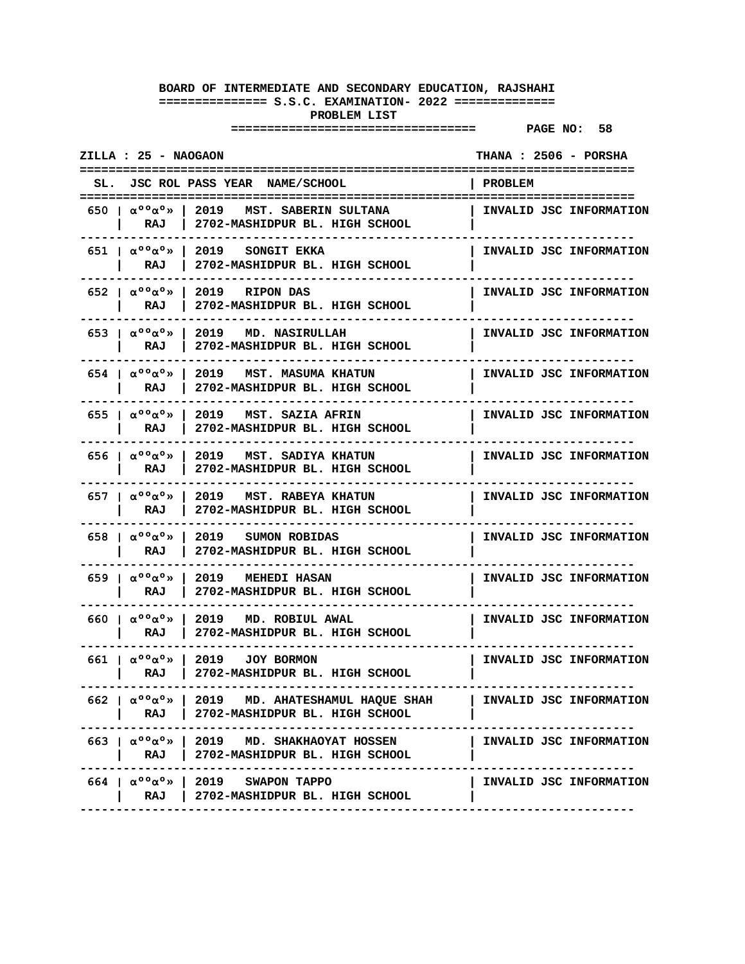| ZILLA : 25 - NAOGAON                                                                                                         |                | THANA: 2506 - PORSHA    |
|------------------------------------------------------------------------------------------------------------------------------|----------------|-------------------------|
| SL. JSC ROL PASS YEAR NAME/SCHOOL                                                                                            | <b>PROBLEM</b> |                         |
| 650 $\vert$ $\alpha$ °° $\alpha$ °»   2019 MST. SABERIN SULTANA<br>2702-MASHIDPUR BL. HIGH SCHOOL<br>RAJ                     |                | INVALID JSC INFORMATION |
| 2019 SONGIT EKKA<br>651   $\alpha^{\circ}$ $\alpha^{\circ}$ $\infty$<br>2702-MASHIDPUR BL. HIGH SCHOOL<br>RAJ                |                | INVALID JSC INFORMATION |
| 652   $\alpha$ <sup>o</sup> $\alpha$ <sup>o</sup> »<br>2019 RIPON DAS<br>2702-MASHIDPUR BL. HIGH SCHOOL<br>RAJ               |                | INVALID JSC INFORMATION |
| 653   $\alpha$ <sup>oo</sup> $\alpha$ <sup>o</sup> »  <br>2019 MD. NASIRULLAH<br>2702-MASHIDPUR BL. HIGH SCHOOL<br>RAJ       |                | INVALID JSC INFORMATION |
| 654   $\alpha$ <sup>oo</sup> $\alpha$ <sup>o</sup> »  <br>2019 MST. MASUMA KHATUN<br>2702-MASHIDPUR BL. HIGH SCHOOL<br>RAJ   |                | INVALID JSC INFORMATION |
| 655 $\alpha$ °° $\alpha$ °»<br>2019 MST. SAZIA AFRIN<br>2702-MASHIDPUR BL. HIGH SCHOOL<br>RAJ                                |                | INVALID JSC INFORMATION |
| 656 $1 \alpha$ °° $\alpha$ °»<br>2019 MST. SADIYA KHATUN<br>2702-MASHIDPUR BL. HIGH SCHOOL<br>RAJ                            |                | INVALID JSC INFORMATION |
| 657   $\alpha^{\circ}$ $\alpha^{\circ}$ $\infty$<br>2019<br>MST. RABEYA KHATUN<br>2702-MASHIDPUR BL. HIGH SCHOOL<br>RAJ      |                | INVALID JSC INFORMATION |
| 658   $\alpha$ <sup>o</sup> $\alpha$ <sup>o</sup> »<br>2019 SUMON ROBIDAS<br>2702-MASHIDPUR BL. HIGH SCHOOL<br>RAJ           |                | INVALID JSC INFORMATION |
| 659   $\alpha$ <sup>00</sup> $\alpha$ <sup>0</sup> »<br>2019 MEHEDI HASAN<br>RAJ<br>2702-MASHIDPUR BL. HIGH SCHOOL           |                | INVALID JSC INFORMATION |
| 660 $\alpha$ °° $\alpha$ °»  <br>2019 MD. ROBIUL AWAL<br>2702-MASHIDPUR BL. HIGH SCHOOL<br>RAJ                               |                | INVALID JSC INFORMATION |
| 661   $\alpha$ <sup>oo</sup> $\alpha$ <sup>o</sup> »  <br>2019<br><b>JOY BORMON</b><br>2702-MASHIDPUR BL. HIGH SCHOOL<br>RAJ |                | INVALID JSC INFORMATION |
| 662   $\alpha^{\circ\circ}\alpha^{\circ}$   2019 MD. AHATESHAMUL HAQUE SHAH<br>RAJ   2702-MASHIDPUR BL. HIGH SCHOOL          |                | INVALID JSC INFORMATION |
| 663   $\alpha^{\circ}$ %   2019 MD. SHAKHAOYAT HOSSEN<br>RAJ   2702-MASHIDPUR BL. HIGH SCHOOL<br>-----------------           |                | INVALID JSC INFORMATION |
| $664$   $\alpha^{\circ}$ $\alpha^{\circ}$ >   2019 SWAPON TAPPO<br>RAJ   2702-MASHIDPUR BL. HIGH SCHOOL                      |                | INVALID JSC INFORMATION |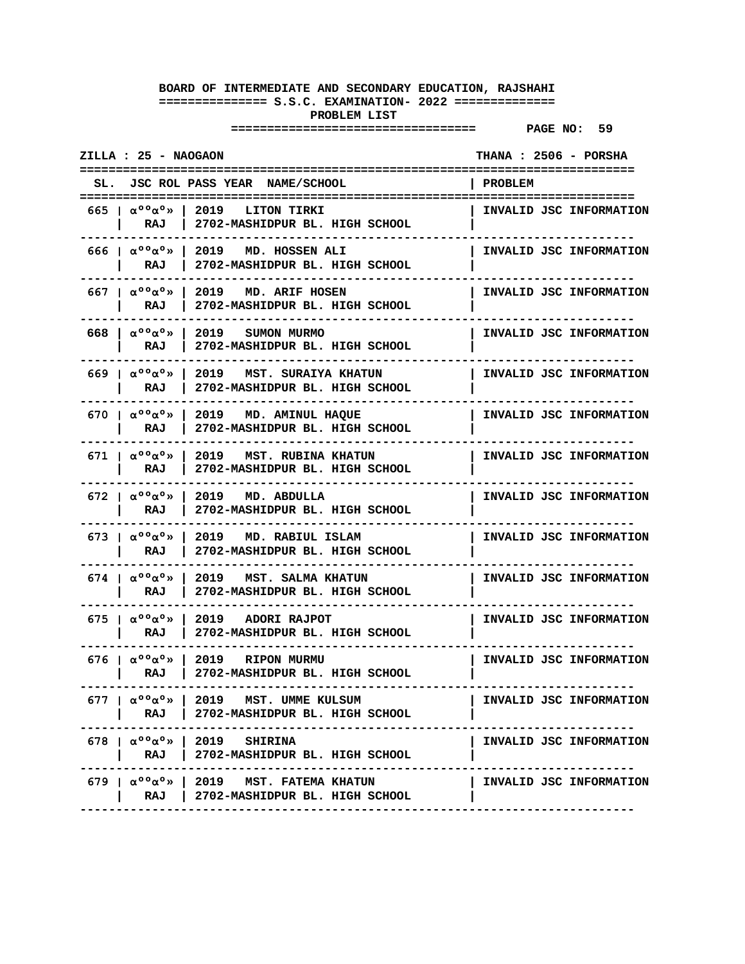| ZILLA : 25 - NAOGAON                                                    |                                                                                                                       | THANA : 2506 - PORSHA   |
|-------------------------------------------------------------------------|-----------------------------------------------------------------------------------------------------------------------|-------------------------|
|                                                                         | SL. JSC ROL PASS YEAR NAME/SCHOOL                                                                                     | PROBLEM                 |
|                                                                         | 665   $\alpha$ °° $\alpha$ °»   2019   LITON TIRKI<br>RAJ   2702-MASHIDPUR BL. HIGH SCHOOL                            | INVALID JSC INFORMATION |
| RAJ                                                                     | 666 $\alpha$ <sup>0</sup> $\alpha$ <sup>0</sup> $\rightarrow$ 1 2019 MD. HOSSEN ALI<br>2702-MASHIDPUR BL. HIGH SCHOOL | INVALID JSC INFORMATION |
| RAJ                                                                     | 667   $\alpha$ <sup>0</sup> $\alpha$ <sup>0</sup> »   2019 MD. ARIF HOSEN<br>2702-MASHIDPUR BL. HIGH SCHOOL           | INVALID JSC INFORMATION |
| 668 $\alpha$ °° $\alpha$ °»<br>RAJ                                      | 2019 SUMON MURMO<br>2702-MASHIDPUR BL. HIGH SCHOOL                                                                    | INVALID JSC INFORMATION |
| 669 Ια <sup>ορ</sup> α <sup>ο</sup> » Ι<br>RAJ                          | 2019 MST. SURAIYA KHATUN<br>2702-MASHIDPUR BL. HIGH SCHOOL                                                            | INVALID JSC INFORMATION |
| RAJ                                                                     | 670   $\alpha$ <sup>0</sup> $\alpha$ <sup>0</sup> »   2019 MD. AMINUL HAQUE<br>2702-MASHIDPUR BL. HIGH SCHOOL         | INVALID JSC INFORMATION |
| 671   $\alpha$ <sup>00</sup> $\alpha$ <sup>0</sup> $\gg$  <br>RAJ       | 2019   MST. RUBINA KHATUN<br>2702-MASHIDPUR BL. HIGH SCHOOL                                                           | INVALID JSC INFORMATION |
| 672   $\alpha^{\circ}$ $\alpha^{\circ}$ $\alpha$ $\rightarrow$  <br>RAJ | 2019 MD. ABDULLA<br>2702-MASHIDPUR BL. HIGH SCHOOL                                                                    | INVALID JSC INFORMATION |
| 673   $\alpha$ <sup>o</sup> $\alpha$ <sup>o</sup> »<br>RAJ              | 2019 MD. RABIUL ISLAM<br>2702-MASHIDPUR BL. HIGH SCHOOL                                                               | INVALID JSC INFORMATION |
| 674   $\alpha$ <sup>o</sup> $\alpha$ <sup>o</sup> »  <br>RAJ            | 2019 MST. SALMA KHATUN<br>2702-MASHIDPUR BL. HIGH SCHOOL                                                              | INVALID JSC INFORMATION |
| 675   $\alpha$ <sup>00</sup> $\alpha$ <sup>0</sup> $\gg$  <br>RAJ       | 2019 ADORI RAJPOT<br>2702-MASHIDPUR BL. HIGH SCHOOL                                                                   | INVALID JSC INFORMATION |
| RAJ                                                                     | 676   $\alpha$ <sup>00</sup> $\alpha$ <sup>0</sup> >   2019 RIPON MURMU<br>2702-MASHIDPUR BL. HIGH SCHOOL             | INVALID JSC INFORMATION |
|                                                                         | 677   $\alpha^{\circ}$ $\circ$ $\alpha^{\circ}$ >   2019 MST. UMME KULSUM<br>RAJ   2702-MASHIDPUR BL. HIGH SCHOOL     | INVALID JSC INFORMATION |
|                                                                         | 678   $\alpha^{\circ}$ $\circ \alpha^{\circ}$   2019 SHIRINA<br>RAJ   2702-MASHIDPUR BL. HIGH SCHOOL                  | INVALID JSC INFORMATION |
|                                                                         | 679   $\alpha^{\circ}$ %   2019 MST. FATEMA KHATUN<br>RAJ   2702-MASHIDPUR BL. HIGH SCHOOL                            | INVALID JSC INFORMATION |
|                                                                         |                                                                                                                       |                         |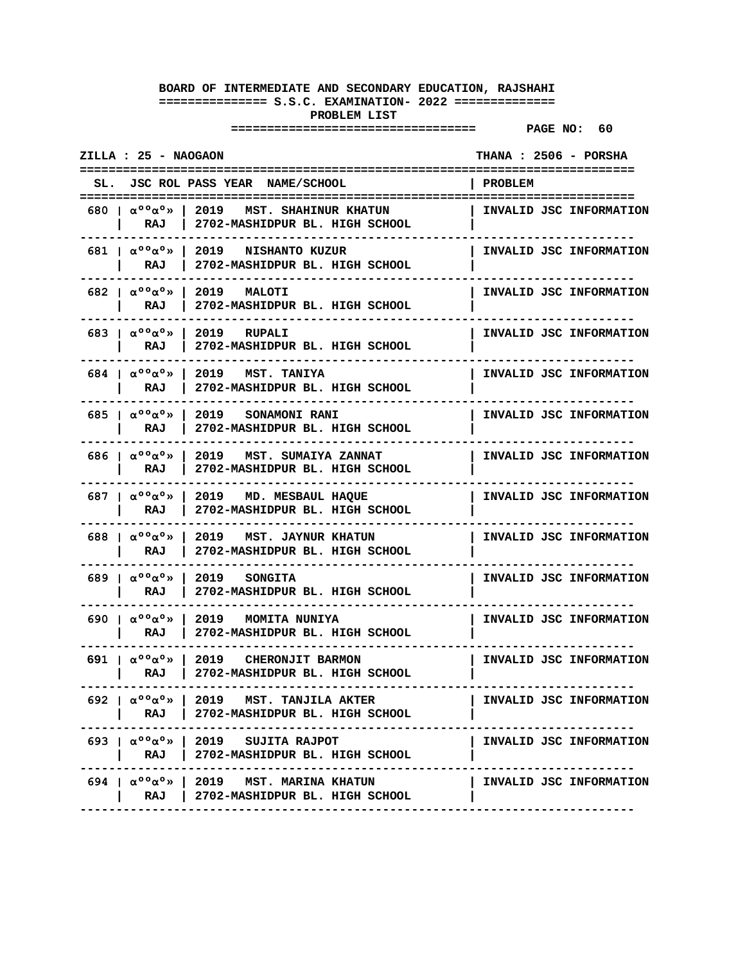|     | ZILLA : 25 - NAOGAON                                                 |                                                                                                                   |                | THANA: 2506 - PORSHA    |
|-----|----------------------------------------------------------------------|-------------------------------------------------------------------------------------------------------------------|----------------|-------------------------|
| SL. |                                                                      | JSC ROL PASS YEAR NAME/SCHOOL                                                                                     | <b>PROBLEM</b> |                         |
|     | 680 Ια <sup>ο ο</sup> α <sup>ο</sup> » Ι<br>RAJ                      | 2019<br>MST. SHAHINUR KHATUN<br>2702-MASHIDPUR BL. HIGH SCHOOL                                                    |                | INVALID JSC INFORMATION |
|     | 681   $\alpha$ <sup>oo</sup> $\alpha$ <sup>o</sup> »  <br>RAJ        | 2019 NISHANTO KUZUR<br>2702-MASHIDPUR BL. HIGH SCHOOL                                                             |                | INVALID JSC INFORMATION |
|     | 682 $\alpha$ °° $\alpha$ °»<br>RAJ                                   | 2019 MALOTI<br>2702-MASHIDPUR BL. HIGH SCHOOL                                                                     |                | INVALID JSC INFORMATION |
|     | 683   $\alpha$ <sup>00</sup> $\alpha$ <sup>0</sup> $\gg$<br>RAJ      | 2019 RUPALI<br>2702-MASHIDPUR BL. HIGH SCHOOL                                                                     |                | INVALID JSC INFORMATION |
|     | 684   $\alpha$ <sup>oo</sup> $\alpha$ <sup>o</sup> »  <br>RAJ        | 2019 MST. TANIYA<br>2702-MASHIDPUR BL. HIGH SCHOOL                                                                |                | INVALID JSC INFORMATION |
|     | 685   $\alpha$ <sup>00</sup> $\alpha$ <sup>0</sup> $\gg$  <br>RAJ    | 2019 SONAMONI RANI<br>2702-MASHIDPUR BL. HIGH SCHOOL                                                              |                | INVALID JSC INFORMATION |
|     | 686   $\alpha$ <sup>o</sup> $\alpha$ <sup>o</sup> »<br>RAJ           | 2019 MST. SUMAIYA ZANNAT<br>2702-MASHIDPUR BL. HIGH SCHOOL                                                        |                | INVALID JSC INFORMATION |
|     | 687   $\alpha$ <sup>o</sup> $\alpha$ <sup>o</sup> »<br>RAJ           | 2019 MD. MESBAUL HAQUE<br>2702-MASHIDPUR BL. HIGH SCHOOL                                                          |                | INVALID JSC INFORMATION |
|     | 688   $\alpha$ <sup>o</sup> $\alpha$ <sup>o</sup> $\lambda$  <br>RAJ | 2019 MST. JAYNUR KHATUN<br>2702-MASHIDPUR BL. HIGH SCHOOL                                                         |                | INVALID JSC INFORMATION |
|     | 689   $\alpha^{\circ}$ $\alpha^{\circ}$ $\cdots$<br>RAJ              | 2019 SONGITA<br>2702-MASHIDPUR BL. HIGH SCHOOL                                                                    |                | INVALID JSC INFORMATION |
|     | 690 $\alpha$ °° $\alpha$ °» l<br>RAJ                                 | 2019 MOMITA NUNIYA<br>2702-MASHIDPUR BL. HIGH SCHOOL                                                              |                | INVALID JSC INFORMATION |
|     | 691   $\alpha$ <sup>00</sup> $\alpha$ <sup>0</sup> $\gg$  <br>RAJ    | 2019 CHERONJIT BARMON<br>2702-MASHIDPUR BL. HIGH SCHOOL                                                           |                | INVALID JSC INFORMATION |
|     | RAJ                                                                  | 692   $\alpha^{\circ}$ $\circ$ $\alpha^{\circ}$   2019 MST. TANJILA AKTER<br>  2702-MASHIDPUR BL. HIGH SCHOOL     |                | INVALID JSC INFORMATION |
|     |                                                                      | 693   $\alpha$ <sup>00</sup> $\alpha$ <sup>0</sup> >   2019 SUJITA RAJPOT<br>RAJ   2702-MASHIDPUR BL. HIGH SCHOOL |                | INVALID JSC INFORMATION |
|     |                                                                      | 694   $\alpha^{\circ}$ $\circ$ $\alpha^{\circ}$   2019 MST. MARINA KHATUN<br>RAJ   2702-MASHIDPUR BL. HIGH SCHOOL |                | INVALID JSC INFORMATION |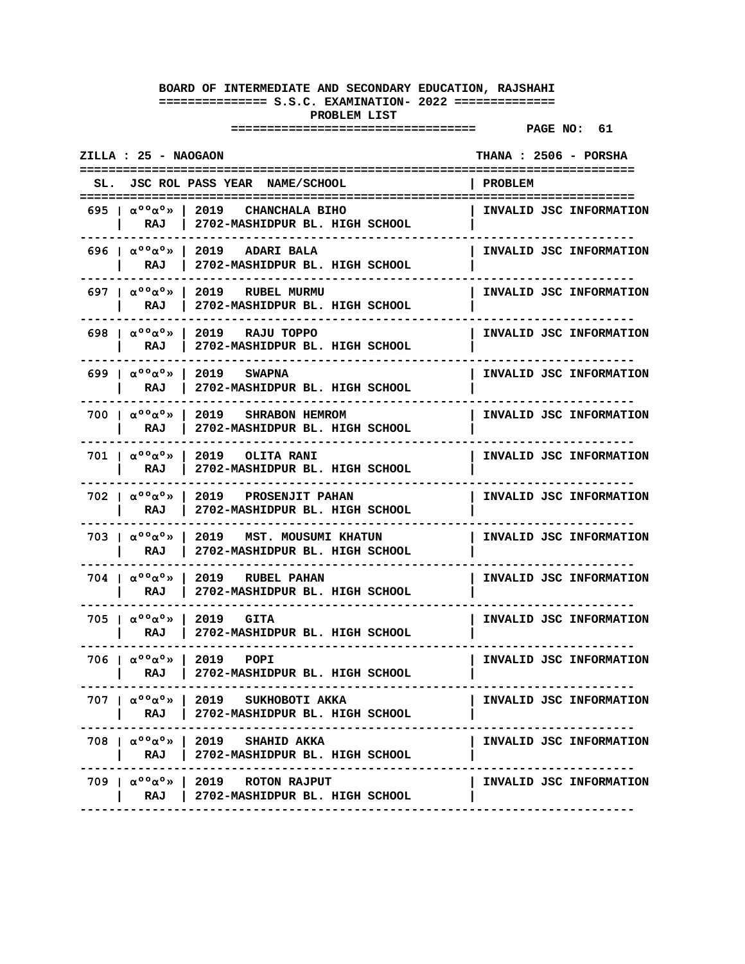| ZILLA : 25 - NAOGAON                                          |                                                                                                                            |                | THANA : 2506 - PORSHA   |
|---------------------------------------------------------------|----------------------------------------------------------------------------------------------------------------------------|----------------|-------------------------|
|                                                               | SL. JSC ROL PASS YEAR NAME/SCHOOL                                                                                          | <b>PROBLEM</b> |                         |
| RAJ                                                           | 695   $\alpha$ <sup>00</sup> $\alpha$ <sup>0</sup> »   2019   CHANCHALA BIHO<br>2702-MASHIDPUR BL. HIGH SCHOOL             |                | INVALID JSC INFORMATION |
| 696   $\alpha$ <sup>o</sup> $\alpha$ <sup>o</sup> »<br>RAJ    | 2019 ADARI BALA<br>$\mathbf{I}$<br>2702-MASHIDPUR BL. HIGH SCHOOL                                                          |                | INVALID JSC INFORMATION |
| 697   $\alpha$ <sup>oo</sup> $\alpha$ <sup>o</sup> »<br>RAJ   | 2019 RUBEL MURMU<br>2702-MASHIDPUR BL. HIGH SCHOOL                                                                         |                | INVALID JSC INFORMATION |
| 698   $\alpha$ <sup>o</sup> $\alpha$ <sup>o</sup> »  <br>RAJ  | 2019 RAJU TOPPO<br>2702-MASHIDPUR BL. HIGH SCHOOL                                                                          |                | INVALID JSC INFORMATION |
| 699   $\alpha$ <sup>oo</sup> $\alpha$ <sup>o</sup> »  <br>RAJ | 2019 SWAPNA<br>2702-MASHIDPUR BL. HIGH SCHOOL                                                                              |                | INVALID JSC INFORMATION |
| 700 $\alpha$ °° $\alpha$ °» l<br>RAJ                          | 2019 SHRABON HEMROM<br>2702-MASHIDPUR BL. HIGH SCHOOL                                                                      |                | INVALID JSC INFORMATION |
| $701$   $\alpha^{\circ}$ $\alpha^{\circ}$ »<br>RAJ            | 2019 OLITA RANI<br>2702-MASHIDPUR BL. HIGH SCHOOL                                                                          |                | INVALID JSC INFORMATION |
| 702   $\alpha^{\circ}$ $\alpha^{\circ}$ $\infty$<br>RAJ       | 2019 PROSENJIT PAHAN<br>2702-MASHIDPUR BL. HIGH SCHOOL                                                                     |                | INVALID JSC INFORMATION |
| 703   $\alpha$ <sup>oo</sup> $\alpha$ <sup>o</sup> »  <br>RAJ | 2019 MST. MOUSUMI KHATUN<br>2702-MASHIDPUR BL. HIGH SCHOOL                                                                 |                | INVALID JSC INFORMATION |
| 704 Ια <sup>ο ο</sup> α <sup>ο</sup> »<br>RAJ                 | 2019 RUBEL PAHAN<br>2702-MASHIDPUR BL. HIGH SCHOOL                                                                         |                | INVALID JSC INFORMATION |
| 705 Ια <sup>ο ο</sup> α <sup>ο</sup> » Ι<br>RAJ               | 2019 GITA<br>2702-MASHIDPUR BL. HIGH SCHOOL                                                                                |                | INVALID JSC INFORMATION |
| 706 Ια <sup>ο ο</sup> α <sup>ο</sup> » Ι<br>RAJ               | 2019 POPI<br>2702-MASHIDPUR BL. HIGH SCHOOL                                                                                |                | INVALID JSC INFORMATION |
|                                                               | 707   $\alpha^{\circ}$ $\circ$ $\alpha^{\circ}$   2019 SUKHOBOTI AKKA<br>RAJ   2702-MASHIDPUR BL. HIGH SCHOOL              |                | INVALID JSC INFORMATION |
|                                                               | 708   $\alpha^{\circ}$ $\circ \alpha^{\circ}$   2019 SHAHID AKKA<br>RAJ   2702-MASHIDPUR BL. HIGH SCHOOL<br>-------------- |                | INVALID JSC INFORMATION |
|                                                               | 709   $\alpha^{\circ}$ $\circ \alpha^{\circ}$   2019 ROTON RAJPUT<br>RAJ   2702-MASHIDPUR BL. HIGH SCHOOL                  |                | INVALID JSC INFORMATION |
|                                                               |                                                                                                                            |                |                         |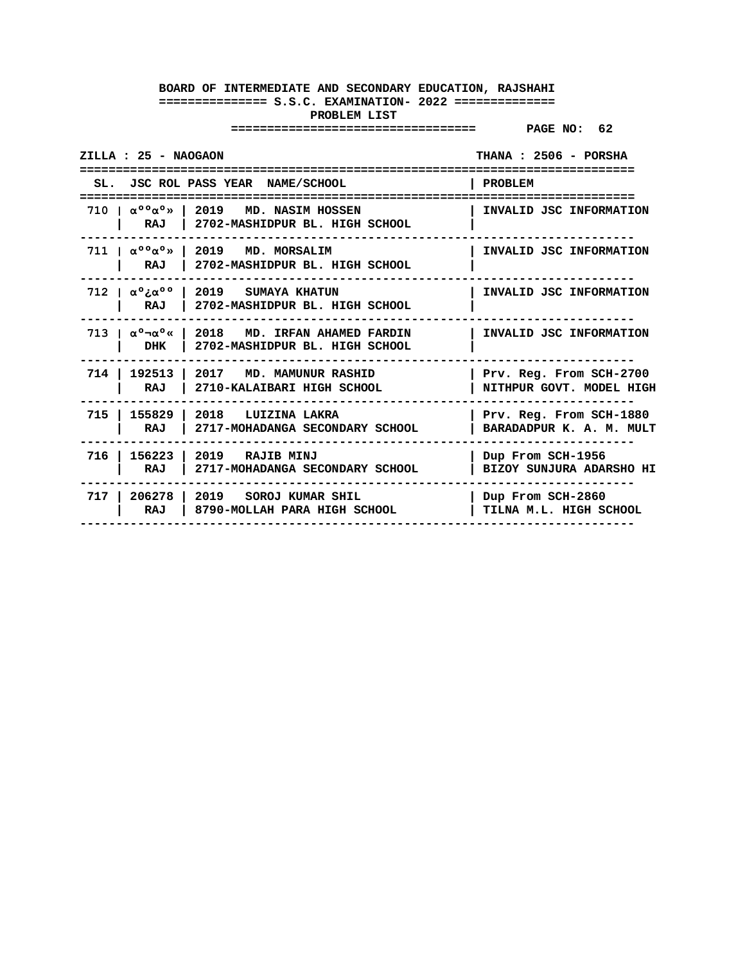| ZILLA : 25 - NAOGAON |                                                                                                                                | THANA: 2506 - PORSHA<br>================            |
|----------------------|--------------------------------------------------------------------------------------------------------------------------------|-----------------------------------------------------|
|                      | SL. JSC ROL PASS YEAR NAME/SCHOOL                                                                                              | <b>PROBLEM</b>                                      |
| ==================   | 710 $\alpha$ <sup>00</sup> $\alpha$ <sup>0</sup> $\rightarrow$ 1 2019 MD. NASIM HOSSEN<br>RAJ   2702-MASHIDPUR BL. HIGH SCHOOL | INVALID JSC INFORMATION                             |
| RAJ                  | 711   $\alpha^{\circ}$ $\circ$ $\alpha^{\circ}$ >   2019 MD. MORSALIM<br>  2702-MASHIDPUR BL. HIGH SCHOOL                      | INVALID JSC INFORMATION                             |
| RAJ                  | 712   $\alpha$ °: $\alpha$ °°   2019 SUMAYA KHATUN<br>2702-MASHIDPUR BL. HIGH SCHOOL                                           | INVALID JSC INFORMATION                             |
| DHK                  | 713   $\alpha$ ° $\neg$ $\alpha$ °«   2018 MD. IRFAN AHAMED FARDIN<br>2702-MASHIDPUR BL. HIGH SCHOOL                           | INVALID JSC INFORMATION                             |
| RAJ                  | 714   192513   2017 MD. MAMUNUR RASHID<br>2710-KALAIBARI HIGH SCHOOL                                                           | Prv. Reg. From SCH-2700<br>NITHPUR GOVT. MODEL HIGH |
| RAJ                  | 715   155829   2018 LUIZINA LAKRA<br>2717-MOHADANGA SECONDARY SCHOOL                                                           | Prv. Reg. From SCH-1880<br>BARADADPUR K. A. M. MULT |
| RAJ                  | 716   156223   2019 RAJIB MINJ<br>2717-MOHADANGA SECONDARY SCHOOL                                                              | Dup From SCH-1956<br>BIZOY SUNJURA ADARSHO HI       |
| RAJ                  | 717   206278   2019 SOROJ KUMAR SHIL<br>  8790-MOLLAH PARA HIGH SCHOOL                                                         | Dup From SCH-2860<br>TILNA M.L. HIGH SCHOOL         |
|                      |                                                                                                                                |                                                     |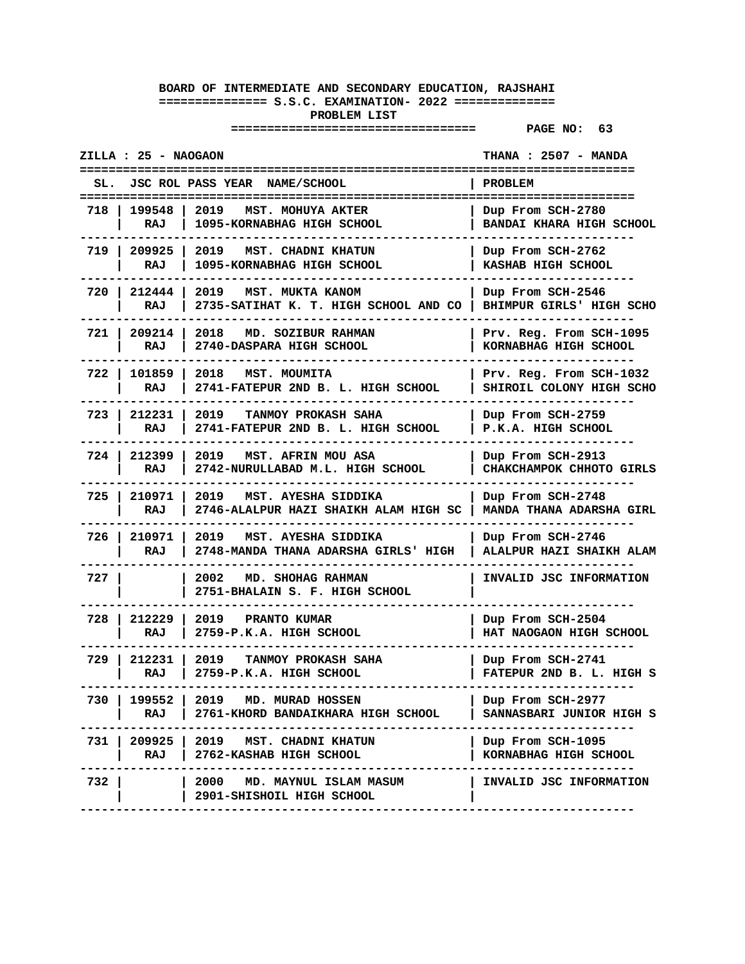| ZILLA : 25 - NAOGAON |                       |                                                                                                 | THANA : 2507 - MANDA                                 |
|----------------------|-----------------------|-------------------------------------------------------------------------------------------------|------------------------------------------------------|
|                      |                       | JSC ROL PASS YEAR NAME/SCHOOL                                                                   | PROBLEM                                              |
| 718 I                | 199548<br>RAJ         | 2019<br>MST. MOHUYA AKTER<br>1095-KORNABHAG HIGH SCHOOL                                         | Dup From SCH-2780<br><b>BANDAI KHARA HIGH SCHOOL</b> |
|                      | RAJ                   | 719   209925   2019 MST. CHADNI KHATUN<br>1095-KORNABHAG HIGH SCHOOL                            | Dup From SCH-2762<br>KASHAB HIGH SCHOOL              |
|                      | 720   212444  <br>RAJ | 2019<br>MST. MUKTA KANOM<br>2735-SATIHAT K. T. HIGH SCHOOL AND CO   BHIMPUR GIRLS' HIGH SCHO    | Dup From SCH-2546                                    |
|                      | 721 209214<br>RAJ     | 2018 MD. SOZIBUR RAHMAN<br>2740-DASPARA HIGH SCHOOL                                             | Prv. Reg. From SCH-1095<br>KORNABHAG HIGH SCHOOL     |
|                      | 722   101859<br>RAJ   | 2018<br>MST. MOUMITA<br>2741-FATEPUR 2ND B. L. HIGH SCHOOL                                      | Prv. Reg. From SCH-1032<br>SHIROIL COLONY HIGH SCHO  |
|                      | 723   212231<br>RAJ   | 2019<br>TANMOY PROKASH SAHA<br>2741-FATEPUR 2ND B. L. HIGH SCHOOL                               | Dup From SCH-2759<br>P.K.A. HIGH SCHOOL              |
| 724 I                | 212399<br>RAJ         | 2019 MST. AFRIN MOU ASA<br>2742-NURULLABAD M.L. HIGH SCHOOL                                     | Dup From SCH-2913<br>CHAKCHAMPOK CHHOTO GIRLS        |
|                      | 725   210971  <br>RAJ | 2019<br>MST. AYESHA SIDDIKA<br>2746-ALALPUR HAZI SHAIKH ALAM HIGH SC   MANDA THANA ADARSHA GIRL | Dup From SCH-2748                                    |
|                      | 726   210971<br>RAJ   | 2019 MST. AYESHA SIDDIKA<br>2748-MANDA THANA ADARSHA GIRLS' HIGH                                | Dup From SCH-2746<br>ALALPUR HAZI SHAIKH ALAM        |
| 727 I                |                       | MD. SHOHAG RAHMAN<br>2002<br>2751-BHALAIN S. F. HIGH SCHOOL                                     | INVALID JSC INFORMATION                              |
| 728 I                | 212229<br>RAJ         | 2019 PRANTO KUMAR<br>2759-P.K.A. HIGH SCHOOL                                                    | Dup From SCH-2504<br>HAT NAOGAON HIGH SCHOOL         |
|                      | 729   212231  <br>RAJ | 2019<br>TANMOY PROKASH SAHA<br>2759-P.K.A. HIGH SCHOOL                                          | Dup From SCH-2741<br>FATEPUR 2ND B. L. HIGH S        |
| 730                  | 199552<br>RAJ         | 2019 MD. MURAD HOSSEN<br>2761-KHORD BANDAIKHARA HIGH SCHOOL                                     | Dup From SCH-2977<br>SANNASBARI JUNIOR HIGH S        |
|                      | RAJ                   | 731   209925   2019 MST. CHADNI KHATUN<br>2762-KASHAB HIGH SCHOOL                               | Dup From SCH-1095<br>KORNABHAG HIGH SCHOOL           |
| 732 I                |                       | 2000 MD. MAYNUL ISLAM MASUM<br>2901-SHISHOIL HIGH SCHOOL                                        | INVALID JSC INFORMATION                              |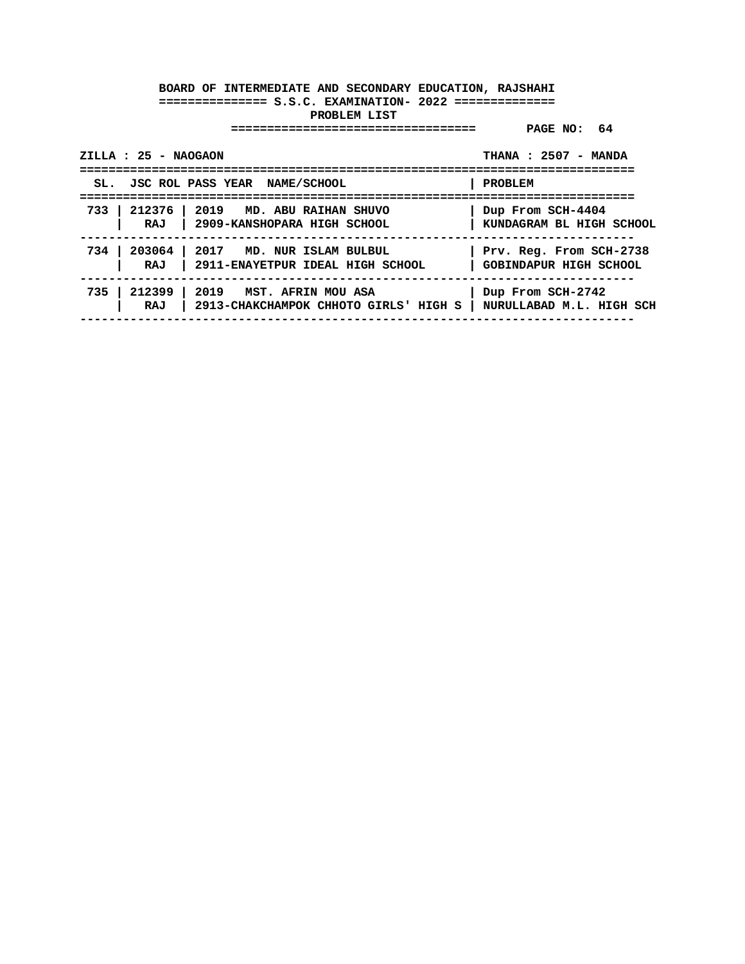| ZILLA : 25 - NAOGAON | --------------------------------                                                                                 | THANA: 2507 - MANDA<br>===============================   |
|----------------------|------------------------------------------------------------------------------------------------------------------|----------------------------------------------------------|
|                      | SL. JSC ROL PASS YEAR NAME/SCHOOL                                                                                | <b>PROBLEM</b>                                           |
|                      | 733   212376   2019 MD. ABU RAIHAN SHUVO<br>RAJ   2909-KANSHOPARA HIGH SCHOOL                                    | Dup From SCH-4404<br>KUNDAGRAM BL HIGH SCHOOL            |
|                      | 734   203064   2017 MD. NUR ISLAM BULBUL<br>RAJ   2911-ENAYETPUR IDEAL HIGH SCHOOL                               | Prv. Reg. From SCH-2738<br><b>GOBINDAPUR HIGH SCHOOL</b> |
|                      | 735   212399   2019 MST. AFRIN MOU ASA<br>RAJ   2913-CHAKCHAMPOK CHHOTO GIRLS' HIGH S   NURULLABAD M.L. HIGH SCH | Dup From SCH-2742                                        |
|                      |                                                                                                                  |                                                          |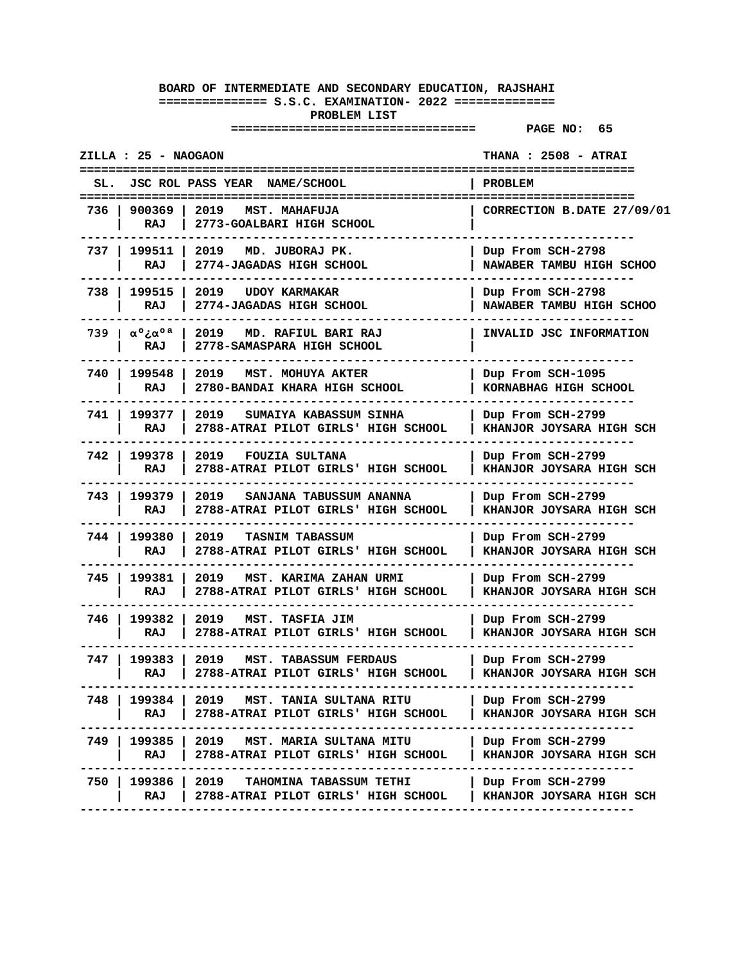|       | ZILLA : 25 - NAOGAON                 |                                                                               | <b>THANA : 2508 - ATRAI</b>                          |
|-------|--------------------------------------|-------------------------------------------------------------------------------|------------------------------------------------------|
| SL.   |                                      | JSC ROL PASS YEAR NAME/SCHOOL                                                 | <b>PROBLEM</b>                                       |
| 736   | 900369<br>RAJ                        | 2019<br>MST. MAHAFUJA<br>2773-GOALBARI HIGH SCHOOL                            | CORRECTION B.DATE 27/09/01                           |
| 737 I | 199511<br>RAJ                        | 2019<br>MD. JUBORAJ PK.<br>2774-JAGADAS HIGH SCHOOL                           | Dup From SCH-2798<br>NAWABER TAMBU HIGH SCHOO        |
| 738   | 199515<br>RAJ                        | 2019<br><b>UDOY KARMAKAR</b><br>2774-JAGADAS HIGH SCHOOL                      | Dup From SCH-2798<br>NAWABER TAMBU HIGH SCHOO        |
|       | 739   $\alpha$ °z $\alpha$ °a<br>RAJ | 2019<br>MD. RAFIUL BARI RAJ<br>2778-SAMASPARA HIGH SCHOOL                     | INVALID JSC INFORMATION                              |
| 740   | 199548<br>RAJ                        | 2019<br>MST. MOHUYA AKTER<br>2780-BANDAI KHARA HIGH SCHOOL                    | Dup From SCH-1095<br>KORNABHAG HIGH SCHOOL           |
| 741   | 199377<br>RAJ                        | 2019<br>SUMAIYA KABASSUM SINHA<br>2788-ATRAI PILOT GIRLS' HIGH SCHOOL         | Dup From SCH-2799<br>KHANJOR JOYSARA HIGH SCH        |
| 742   | 199378<br>RAJ                        | 2019<br><b>FOUZIA SULTANA</b><br>2788-ATRAI PILOT GIRLS' HIGH SCHOOL          | Dup From SCH-2799<br>KHANJOR JOYSARA HIGH SCH        |
| 743   | 199379<br>RAJ                        | 2019<br>SANJANA TABUSSUM ANANNA<br>2788-ATRAI PILOT GIRLS' HIGH SCHOOL        | Dup From SCH-2799<br><b>KHANJOR JOYSARA HIGH SCH</b> |
| 744   | 199380<br>RAJ                        | 2019<br><b>TASNIM TABASSUM</b><br>2788-ATRAI PILOT GIRLS' HIGH SCHOOL         | Dup From SCH-2799<br>KHANJOR JOYSARA HIGH SCH        |
| 745   | 199381<br>RAJ                        | 2019<br>MST. KARIMA ZAHAN URMI<br>2788-ATRAI PILOT GIRLS' HIGH SCHOOL         | Dup From SCH-2799<br>KHANJOR JOYSARA HIGH SCH        |
| 746   | 199382<br>RAJ                        | 2019<br>MST. TASFIA JIM<br>2788-ATRAI PILOT GIRLS' HIGH SCHOOL                | Dup From SCH-2799<br>KHANJOR JOYSARA HIGH SCH        |
| 747 I | 199383<br>RAJ                        | 2019<br>MST. TABASSUM FERDAUS<br>2788-ATRAI PILOT GIRLS' HIGH SCHOOL          | Dup From SCH-2799<br>KHANJOR JOYSARA HIGH SCH        |
| 748   | 199384<br>RAJ                        | 2019<br>MST. TANIA SULTANA RITU<br>2788-ATRAI PILOT GIRLS' HIGH SCHOOL        | Dup From SCH-2799<br><b>KHANJOR JOYSARA HIGH SCH</b> |
| 749   | 199385<br>RAJ                        | 2019 MST. MARIA SULTANA MITU<br>2788-ATRAI PILOT GIRLS' HIGH SCHOOL           | Dup From SCH-2799<br>KHANJOR JOYSARA HIGH SCH        |
| 750   | 199386  <br>RAJ                      | 2019<br><b>TAHOMINA TABASSUM TETHI</b><br>2788-ATRAI PILOT GIRLS' HIGH SCHOOL | Dup From SCH-2799<br>KHANJOR JOYSARA HIGH SCH        |
|       |                                      |                                                                               |                                                      |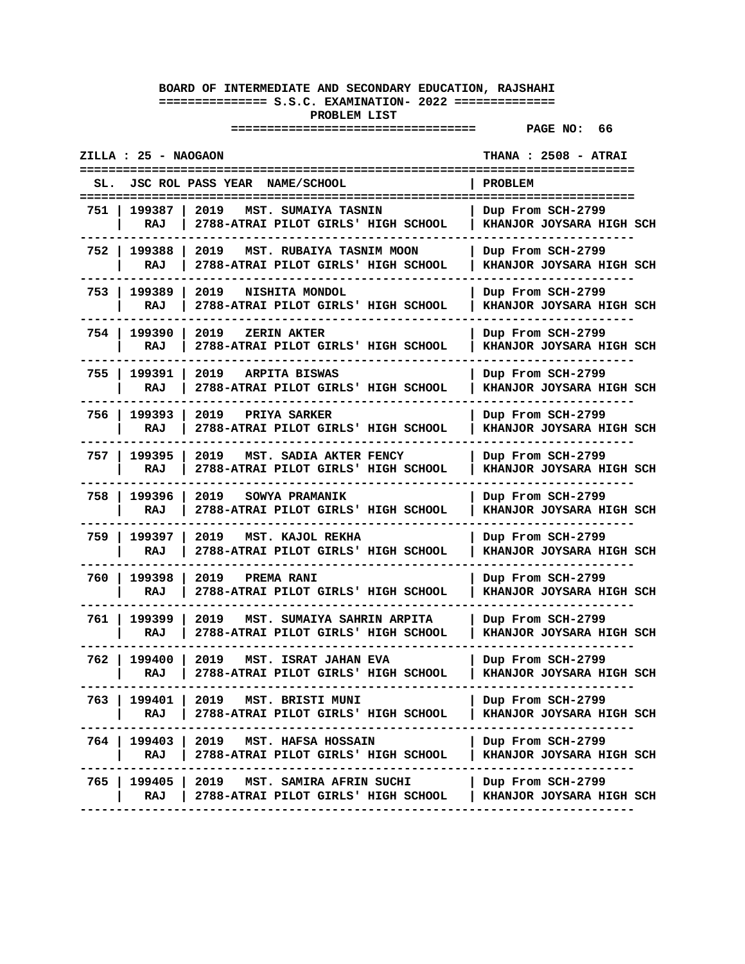| ZILLA : 25 - NAOGAON<br><b>THANA: 2508 - ATRAI</b>                                                |                                                                        |  |  |
|---------------------------------------------------------------------------------------------------|------------------------------------------------------------------------|--|--|
| <b>JSC ROL PASS YEAR</b><br>NAME/SCHOOL<br>SL.                                                    | <b>PROBLEM</b>                                                         |  |  |
| 199387<br>2019<br>751<br>MST. SUMAIYA TASNIN<br>2788-ATRAI PILOT GIRLS' HIGH SCHOOL<br>RAJ        | =====================<br>Dup From SCH-2799<br>KHANJOR JOYSARA HIGH SCH |  |  |
| 752 I<br>199388<br>2019<br>MST. RUBAIYA TASNIM MOON<br>RAJ<br>2788-ATRAI PILOT GIRLS' HIGH SCHOOL | Dup From SCH-2799<br>KHANJOR JOYSARA HIGH SCH                          |  |  |
| 753<br>199389<br>2019<br>NISHITA MONDOL<br>RAJ<br>2788-ATRAI PILOT GIRLS' HIGH SCHOOL             | Dup From SCH-2799<br>KHANJOR JOYSARA HIGH SCH                          |  |  |
| 199390<br>754<br>2019<br><b>ZERIN AKTER</b><br>RAJ<br>2788-ATRAI PILOT GIRLS' HIGH SCHOOL         | Dup From SCH-2799<br>KHANJOR JOYSARA HIGH SCH                          |  |  |
| 755<br>199391<br>2019<br>ARPITA BISWAS<br>2788-ATRAI PILOT GIRLS' HIGH SCHOOL<br>RAJ              | Dup From SCH-2799<br>KHANJOR JOYSARA HIGH SCH                          |  |  |
| 199393<br>756<br>2019<br>PRIYA SARKER<br>RAJ<br>2788-ATRAI PILOT GIRLS' HIGH SCHOOL               | Dup From SCH-2799<br><b>KHANJOR JOYSARA HIGH SCH</b>                   |  |  |
| 757<br>199395<br>2019<br>MST. SADIA AKTER FENCY<br>RAJ<br>2788-ATRAI PILOT GIRLS' HIGH SCHOOL     | Dup From SCH-2799<br>KHANJOR JOYSARA HIGH SCH                          |  |  |
| 758<br>199396<br>2019<br>SOWYA PRAMANIK<br>2788-ATRAI PILOT GIRLS' HIGH SCHOOL<br>RAJ             | Dup From SCH-2799<br>KHANJOR JOYSARA HIGH SCH                          |  |  |
| 759 I<br>199397<br>2019<br>MST. KAJOL REKHA<br>RAJ<br>2788-ATRAI PILOT GIRLS' HIGH SCHOOL         | Dup From SCH-2799<br><b>KHANJOR JOYSARA HIGH SCH</b>                   |  |  |
| 760<br>199398<br>2019<br><b>PREMA RANI</b><br>RAJ<br>2788-ATRAI PILOT GIRLS' HIGH SCHOOL          | Dup From SCH-2799<br><b>KHANJOR JOYSARA HIGH SCH</b>                   |  |  |
| 761<br>199399<br>2019<br>MST. SUMAIYA SAHRIN ARPITA<br>RAJ<br>2788-ATRAI PILOT GIRLS' HIGH SCHOOL | Dup From SCH-2799<br>KHANJOR JOYSARA HIGH SCH                          |  |  |
| 762 I<br>199400<br>2019<br>MST. ISRAT JAHAN EVA<br>RAJ<br>2788-ATRAI PILOT GIRLS' HIGH SCHOOL     | Dup From SCH-2799<br>KHANJOR JOYSARA HIGH SCH                          |  |  |
| 763<br>199401<br>2019 MST. BRISTI MUNI<br>2788-ATRAI PILOT GIRLS' HIGH SCHOOL<br>RAJ              | Dup From SCH-2799<br>KHANJOR JOYSARA HIGH SCH                          |  |  |
| 199403   2019 MST. HAFSA HOSSAIN<br>764 I<br>RAJ<br>2788-ATRAI PILOT GIRLS' HIGH SCHOOL           | Dup From SCH-2799<br>KHANJOR JOYSARA HIGH SCH                          |  |  |
| 765   199405  <br>2019 MST. SAMIRA AFRIN SUCHI<br>RAJ<br>2788-ATRAI PILOT GIRLS' HIGH SCHOOL      | Dup From SCH-2799<br>KHANJOR JOYSARA HIGH SCH                          |  |  |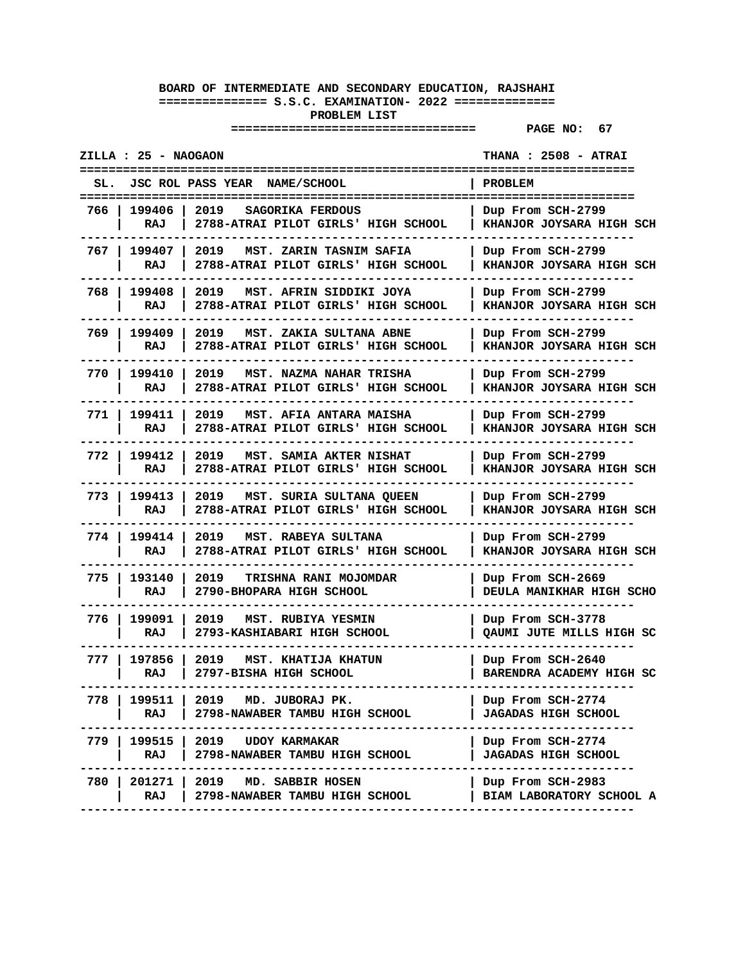| ZILLA : 25 - NAOGAON   |                                                                             | <b>THANA : 2508 - ATRAI</b>                     |
|------------------------|-----------------------------------------------------------------------------|-------------------------------------------------|
| SL.                    | <b>JSC ROL PASS YEAR</b><br><b>NAME/SCHOOL</b>                              | ====================<br><b>PROBLEM</b>          |
| 199406<br>766<br>RAJ   | 2019<br>SAGORIKA FERDOUS<br>2788-ATRAI PILOT GIRLS' HIGH SCHOOL             | Dup From SCH-2799<br>KHANJOR JOYSARA HIGH SCH   |
| 767 I<br>199407<br>RAJ | 2019<br>MST. ZARIN TASNIM SAFIA<br>2788-ATRAI PILOT GIRLS' HIGH SCHOOL      | Dup From SCH-2799<br>KHANJOR JOYSARA HIGH SCH   |
| 199408<br>768 I<br>RAJ | 2019<br>MST. AFRIN SIDDIKI JOYA<br>2788-ATRAI PILOT GIRLS' HIGH SCHOOL      | Dup From SCH-2799<br>KHANJOR JOYSARA HIGH SCH   |
| 769<br>199409<br>RAJ   | 2019<br>MST. ZAKIA SULTANA ABNE<br>2788-ATRAI PILOT GIRLS' HIGH SCHOOL      | Dup From SCH-2799<br>KHANJOR JOYSARA HIGH SCH   |
| 770 I<br>199410<br>RAJ | 2019<br>MST. NAZMA NAHAR TRISHA<br>2788-ATRAI PILOT GIRLS' HIGH SCHOOL      | Dup From SCH-2799<br>KHANJOR JOYSARA HIGH SCH   |
| 199411<br>771 I<br>RAJ | 2019<br>MST. AFIA ANTARA MAISHA<br>2788-ATRAI PILOT GIRLS' HIGH SCHOOL      | Dup From SCH-2799<br>KHANJOR JOYSARA HIGH SCH   |
| 772 I<br>199412<br>RAJ | 2019<br>MST. SAMIA AKTER NISHAT<br>2788-ATRAI PILOT GIRLS' HIGH SCHOOL      | Dup From SCH-2799<br>KHANJOR JOYSARA HIGH SCH   |
| 773 I<br>199413<br>RAJ | 2019<br>MST. SURIA SULTANA QUEEN<br>2788-ATRAI PILOT GIRLS' HIGH SCHOOL     | Dup From SCH-2799<br>KHANJOR JOYSARA HIGH SCH   |
| 774 I<br>199414<br>RAJ | 2019<br>MST. RABEYA SULTANA<br>2788-ATRAI PILOT GIRLS' HIGH SCHOOL          | Dup From SCH-2799<br>KHANJOR JOYSARA HIGH SCH   |
| 775<br>193140<br>RAJ   | 2019<br><b>TRISHNA RANI MOJOMDAR</b><br>2790-BHOPARA HIGH SCHOOL            | Dup From SCH-2669<br>DEULA MANIKHAR HIGH SCHO   |
| 199091<br>776<br>RAJ   | 2019<br>MST. RUBIYA YESMIN<br>2793-KASHIABARI HIGH SCHOOL                   | Dup From SCH-3778<br>QAUMI JUTE MILLS HIGH SC   |
| 197856<br>777<br>RAJ   | 2019<br>MST. KHATIJA KHATUN<br>2797-BISHA HIGH SCHOOL                       | Dup From SCH-2640<br>BARENDRA ACADEMY HIGH SC   |
| 199511  <br>778<br>RAJ | 2019 MD. JUBORAJ PK.<br>2798-NAWABER TAMBU HIGH SCHOOL                      | Dup From SCH-2774<br><b>JAGADAS HIGH SCHOOL</b> |
| RAJ                    | 779   199515   2019 UDOY KARMAKAR<br>2798-NAWABER TAMBU HIGH SCHOOL<br>---- | Dup From SCH-2774<br><b>JAGADAS HIGH SCHOOL</b> |
| RAJ                    | 780   201271   2019 MD. SABBIR HOSEN<br>2798-NAWABER TAMBU HIGH SCHOOL      | Dup From SCH-2983<br>BIAM LABORATORY SCHOOL A   |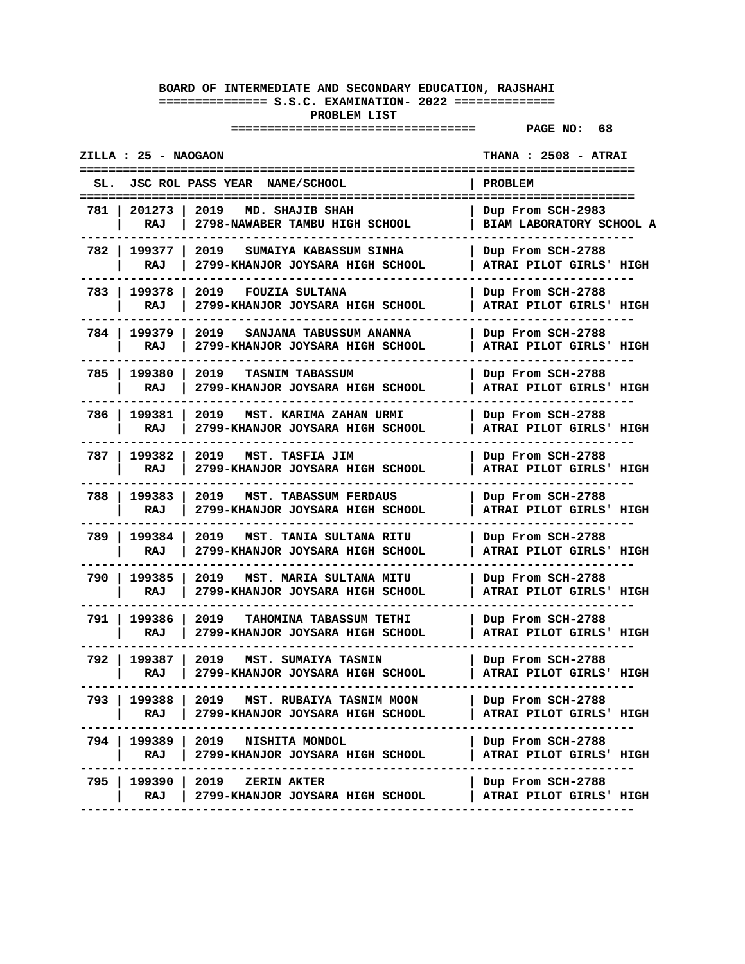|       | ZILLA : 25 - NAOGAON |                                                                          | <b>THANA : 2508 - ATRAI</b>                   |
|-------|----------------------|--------------------------------------------------------------------------|-----------------------------------------------|
| SL.   |                      | <b>JSC ROL PASS YEAR</b><br><b>NAME/SCHOOL</b>                           | <b>PROBLEM</b>                                |
| 781   | 201273<br>RAJ        | 2019<br>MD. SHAJIB SHAH<br>2798-NAWABER TAMBU HIGH SCHOOL                | Dup From SCH-2983<br>BIAM LABORATORY SCHOOL A |
| 782 I | 199377  <br>RAJ      | 2019<br>SUMAIYA KABASSUM SINHA<br>2799-KHANJOR JOYSARA HIGH SCHOOL       | Dup From SCH-2788<br>ATRAI PILOT GIRLS' HIGH  |
| 783 I | 199378<br>RAJ        | 2019<br><b>FOUZIA SULTANA</b><br>2799-KHANJOR JOYSARA HIGH SCHOOL        | Dup From SCH-2788<br>ATRAI PILOT GIRLS' HIGH  |
| 784 I | 199379<br>RAJ        | 2019<br>SANJANA TABUSSUM ANANNA<br>2799-KHANJOR JOYSARA HIGH SCHOOL      | Dup From SCH-2788<br>ATRAI PILOT GIRLS' HIGH  |
| 785   | 199380<br>RAJ        | 2019<br><b>TASNIM TABASSUM</b><br>2799-KHANJOR JOYSARA HIGH SCHOOL       | Dup From SCH-2788<br>ATRAI PILOT GIRLS' HIGH  |
| 786 I | 199381<br>RAJ        | 2019<br>MST. KARIMA ZAHAN URMI<br>2799-KHANJOR JOYSARA HIGH SCHOOL       | Dup From SCH-2788<br>ATRAI PILOT GIRLS' HIGH  |
| 787 I | 199382<br>RAJ        | 2019<br>MST. TASFIA JIM<br>2799-KHANJOR JOYSARA HIGH SCHOOL              | Dup From SCH-2788<br>ATRAI PILOT GIRLS' HIGH  |
| 788 I | 199383<br>RAJ        | 2019<br><b>MST. TABASSUM FERDAUS</b><br>2799-KHANJOR JOYSARA HIGH SCHOOL | Dup From SCH-2788<br>ATRAI PILOT GIRLS' HIGH  |
| 789 I | 199384<br>RAJ        | 2019<br>MST. TANIA SULTANA RITU<br>2799-KHANJOR JOYSARA HIGH SCHOOL      | Dup From SCH-2788<br>ATRAI PILOT GIRLS' HIGH  |
| 790   | 199385<br>RAJ        | 2019<br>MST. MARIA SULTANA MITU<br>2799-KHANJOR JOYSARA HIGH SCHOOL      | Dup From SCH-2788<br>ATRAI PILOT GIRLS' HIGH  |
| 791 I | 199386<br>RAJ        | 2019<br>TAHOMINA TABASSUM TETHI<br>2799-KHANJOR JOYSARA HIGH SCHOOL      | Dup From SCH-2788<br>ATRAI PILOT GIRLS' HIGH  |
| 792 I | 199387<br>RAJ        | 2019<br>MST. SUMAIYA TASNIN<br>2799-KHANJOR JOYSARA HIGH SCHOOL          | Dup From SCH-2788<br>ATRAI PILOT GIRLS' HIGH  |
| 793   | 199388<br>RAJ        | 2019<br>MST. RUBAIYA TASNIM MOON<br>2799-KHANJOR JOYSARA HIGH SCHOOL     | Dup From SCH-2788<br>ATRAI PILOT GIRLS' HIGH  |
|       | RAJ                  | 794   199389   2019 NISHITA MONDOL<br>2799-KHANJOR JOYSARA HIGH SCHOOL   | Dup From SCH-2788<br>ATRAI PILOT GIRLS' HIGH  |
| 795 I | 199390  <br>RAJ      | 2019<br><b>ZERIN AKTER</b><br>2799-KHANJOR JOYSARA HIGH SCHOOL           | Dup From SCH-2788<br>ATRAI PILOT GIRLS' HIGH  |
|       |                      |                                                                          |                                               |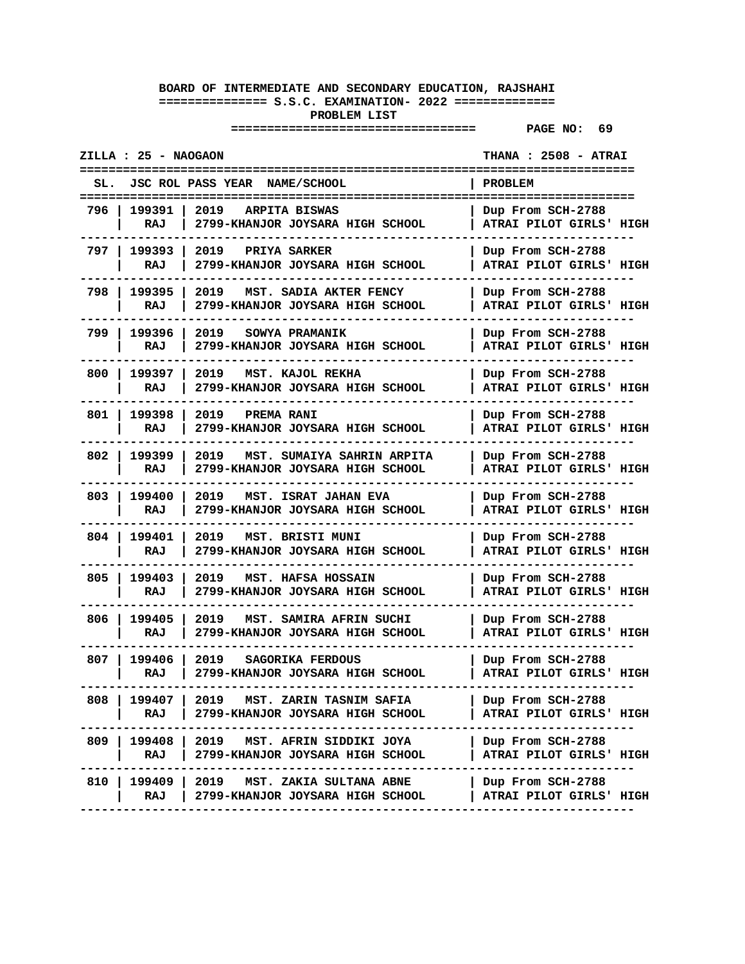| ZILLA : 25 - NAOGAON<br><b>THANA : 2508 - ATRAI</b>                                              |                                                     |  |  |
|--------------------------------------------------------------------------------------------------|-----------------------------------------------------|--|--|
| <b>JSC ROL PASS YEAR</b><br>SL.<br><b>NAME/SCHOOL</b>                                            | <b>PROBLEM</b>                                      |  |  |
| 199391<br>2019<br>796<br>ARPITA BISWAS<br>2799-KHANJOR JOYSARA HIGH SCHOOL<br>RAJ                | Dup From SCH-2788<br>ATRAI PILOT GIRLS' HIGH        |  |  |
| 199393  <br>2019<br>797 I<br>PRIYA SARKER<br>RAJ<br>2799-KHANJOR JOYSARA HIGH SCHOOL             | Dup From SCH-2788<br>ATRAI PILOT GIRLS' HIGH        |  |  |
| 798<br>199395<br>2019<br>MST. SADIA AKTER FENCY<br>2799-KHANJOR JOYSARA HIGH SCHOOL<br>RAJ       | Dup From SCH-2788<br>ATRAI PILOT GIRLS' HIGH        |  |  |
| 799.<br>199396<br>2019<br>SOWYA PRAMANIK<br>RAJ<br>2799-KHANJOR JOYSARA HIGH SCHOOL              | Dup From SCH-2788<br>ATRAI PILOT GIRLS' HIGH        |  |  |
| 800<br>199397<br>2019<br>MST. KAJOL REKHA<br>2799-KHANJOR JOYSARA HIGH SCHOOL<br>RAJ             | Dup From SCH-2788<br>ATRAI PILOT GIRLS' HIGH        |  |  |
| 199398<br>801<br>2019<br><b>PREMA RANI</b><br>RAJ<br>2799-KHANJOR JOYSARA HIGH SCHOOL            | Dup From SCH-2788<br>ATRAI PILOT GIRLS' HIGH        |  |  |
| 802 l<br>199399<br>2019<br>MST. SUMAIYA SAHRIN ARPITA<br>RAJ<br>2799-KHANJOR JOYSARA HIGH SCHOOL | Dup From SCH-2788<br>ATRAI PILOT GIRLS' HIGH        |  |  |
| 803 I<br>199400<br>2019<br>MST. ISRAT JAHAN EVA<br>2799-KHANJOR JOYSARA HIGH SCHOOL<br>RAJ       | Dup From SCH-2788<br>ATRAI PILOT GIRLS' HIGH        |  |  |
| 804<br>199401<br>2019<br>MST. BRISTI MUNI<br>RAJ<br>2799-KHANJOR JOYSARA HIGH SCHOOL             | Dup From SCH-2788<br>ATRAI PILOT GIRLS' HIGH        |  |  |
| 805<br>199403<br>2019<br>MST. HAFSA HOSSAIN<br>2799-KHANJOR JOYSARA HIGH SCHOOL<br>RAJ           | Dup From SCH-2788<br>ATRAI PILOT GIRLS' HIGH        |  |  |
| 199405<br>806<br>2019<br>MST. SAMIRA AFRIN SUCHI<br>RAJ<br>2799-KHANJOR JOYSARA HIGH SCHOOL      | Dup From SCH-2788<br>ATRAI PILOT GIRLS' HIGH        |  |  |
| 199406<br>807 I<br>2019<br>SAGORIKA FERDOUS<br>2799-KHANJOR JOYSARA HIGH SCHOOL<br>RAJ           | Dup From SCH-2788<br>ATRAI PILOT GIRLS' HIGH        |  |  |
| 2019 MST. ZARIN TASNIM SAFIA<br>808<br>199407  <br>RAJ<br>2799-KHANJOR JOYSARA HIGH SCHOOL       | Dup From SCH-2788<br><b>ATRAI PILOT GIRLS' HIGH</b> |  |  |
| 809   199408   2019   MST. AFRIN SIDDIKI JOYA<br>RAJ<br>2799-KHANJOR JOYSARA HIGH SCHOOL         | Dup From SCH-2788<br>ATRAI PILOT GIRLS' HIGH        |  |  |
| 810   199409  <br>2019 MST. ZAKIA SULTANA ABNE<br>2799-KHANJOR JOYSARA HIGH SCHOOL<br>RAJ        | Dup From SCH-2788<br>ATRAI PILOT GIRLS' HIGH        |  |  |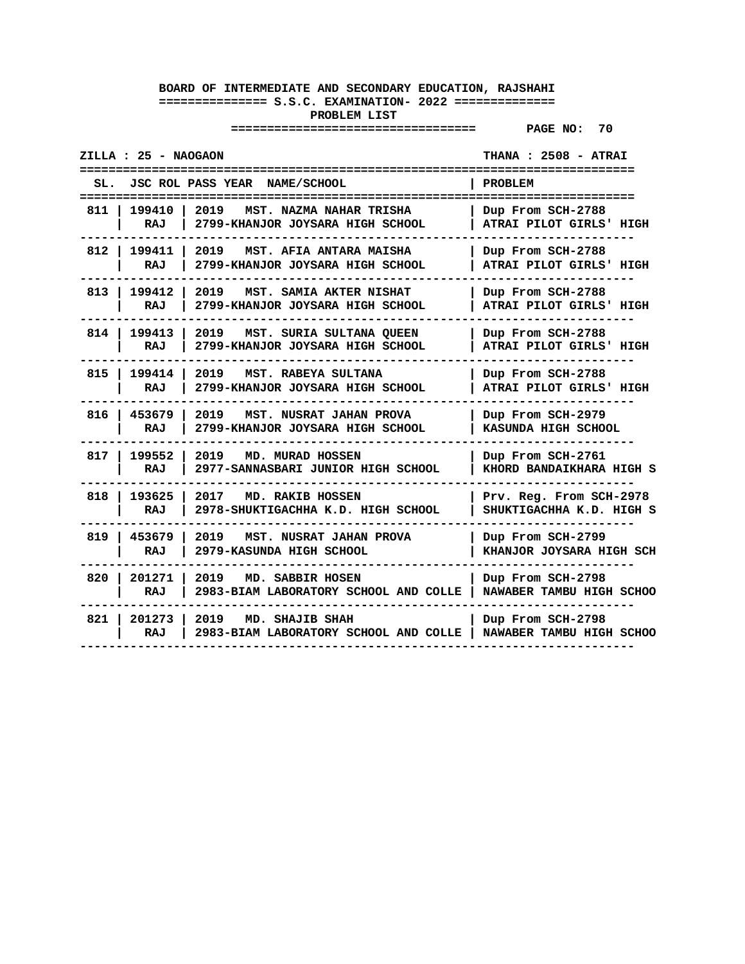|       | ZILLA : 25 - NAOGAON |                                                                                               | <b>THANA : 2508 - ATRAI</b>                                    |
|-------|----------------------|-----------------------------------------------------------------------------------------------|----------------------------------------------------------------|
| SL.   | ================     | <b>JSC ROL PASS YEAR</b><br>NAME/SCHOOL<br>========================<br>---------------------- | ==================<br><b>PROBLEM</b><br>---------------------- |
| 811   | 199410<br>RAJ        | 2019<br>MST. NAZMA NAHAR TRISHA<br>2799-KHANJOR JOYSARA HIGH SCHOOL                           | Dup From SCH-2788<br>ATRAI PILOT GIRLS' HIGH                   |
| 812 l | 199411 1<br>RAJ      | 2019<br>MST. AFIA ANTARA MAISHA<br>2799-KHANJOR JOYSARA HIGH SCHOOL                           | Dup From SCH-2788<br>ATRAI PILOT GIRLS' HIGH                   |
| 813 l | 199412<br>RAJ        | 2019<br>MST. SAMIA AKTER NISHAT<br>2799-KHANJOR JOYSARA HIGH SCHOOL                           | Dup From SCH-2788<br>ATRAI PILOT GIRLS' HIGH                   |
| 814 I | 199413<br>RAJ        | 2019<br>MST. SURIA SULTANA QUEEN<br>2799-KHANJOR JOYSARA HIGH SCHOOL                          | Dup From SCH-2788<br>ATRAI PILOT GIRLS' HIGH                   |
| 815 I | 199414  <br>RAJ      | 2019<br>MST. RABEYA SULTANA<br>2799-KHANJOR JOYSARA HIGH SCHOOL                               | Dup From SCH-2788<br>ATRAI PILOT GIRLS' HIGH                   |
| 816 l | 453679<br>RAJ        | 2019<br>MST. NUSRAT JAHAN PROVA<br>2799-KHANJOR JOYSARA HIGH SCHOOL                           | Dup From SCH-2979<br>KASUNDA HIGH SCHOOL                       |
| 817 I | 199552<br>RAJ        | 2019<br>MD. MURAD HOSSEN<br>2977-SANNASBARI JUNIOR HIGH SCHOOL                                | Dup From SCH-2761<br>KHORD BANDAIKHARA HIGH S                  |
| 818   | 193625<br>RAJ        | 2017<br>MD. RAKIB HOSSEN<br>2978-SHUKTIGACHHA K.D. HIGH SCHOOL                                | Prv. Reg. From SCH-2978<br>SHUKTIGACHHA K.D. HIGH S            |
| 819   | 453679<br>RAJ        | 2019<br>MST. NUSRAT JAHAN PROVA<br>2979-KASUNDA HIGH SCHOOL                                   | Dup From SCH-2799<br>KHANJOR JOYSARA HIGH SCH                  |
| 820   | 201271<br>RAJ        | 2019<br>MD. SABBIR HOSEN<br>2983-BIAM LABORATORY SCHOOL AND COLLE                             | Dup From SCH-2798<br>NAWABER TAMBU HIGH SCHOO                  |
| 821 l | 201273  <br>RAJ      | 2019<br>MD. SHAJIB SHAH<br>2983-BIAM LABORATORY SCHOOL AND COLLE                              | Dup From SCH-2798<br>NAWABER TAMBU HIGH SCHOO                  |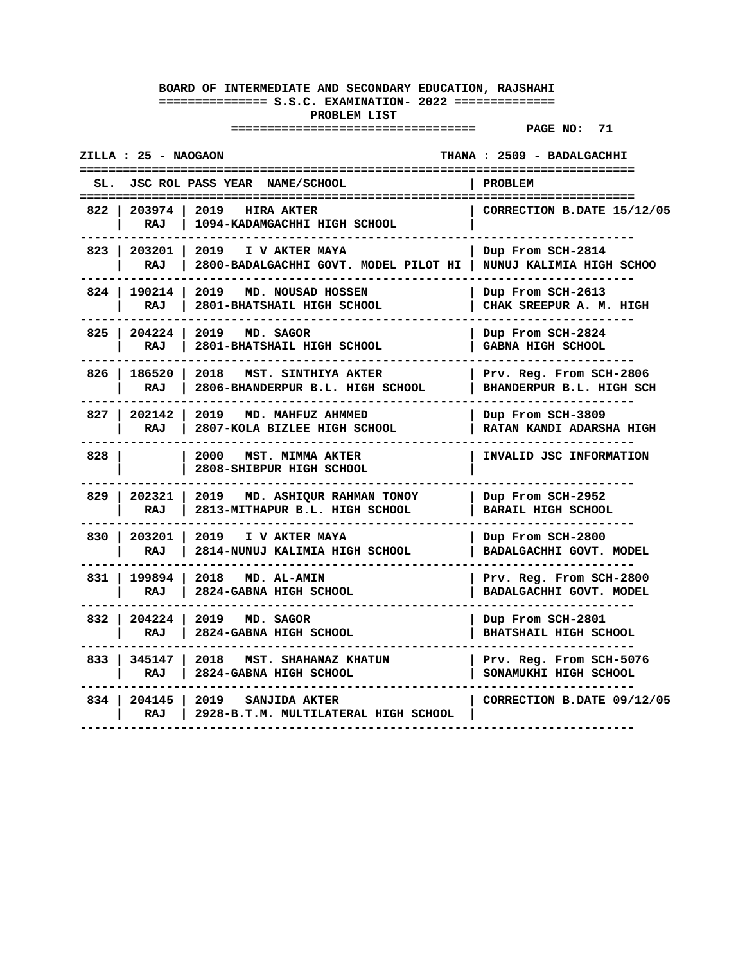|       | ZILLA : 25 - NAOGAON  |                                                                 | THANA : 2509 - BADALGACHHI                           |
|-------|-----------------------|-----------------------------------------------------------------|------------------------------------------------------|
|       |                       | SL. JSC ROL PASS YEAR NAME/SCHOOL                               | PROBLEM                                              |
| 822   | 203974<br><b>RAJ</b>  | 2019 HIRA AKTER<br>1094-KADAMGACHHI HIGH SCHOOL                 | ====================<br>CORRECTION B.DATE 15/12/05   |
| 823   | 203201<br>RAJ         | 2019<br>I V AKTER MAYA<br>2800-BADALGACHHI GOVT. MODEL PILOT HI | Dup From SCH-2814<br>NUNUJ KALIMIA HIGH SCHOO        |
| 824 I | 190214<br><b>RAJ</b>  | 2019 MD. NOUSAD HOSSEN<br>2801-BHATSHAIL HIGH SCHOOL            | Dup From SCH-2613<br>CHAK SREEPUR A. M. HIGH         |
| 825   | 204224<br>RAJ         | 2019<br>MD. SAGOR<br>2801-BHATSHAIL HIGH SCHOOL                 | Dup From SCH-2824<br><b>GABNA HIGH SCHOOL</b>        |
|       | 826   186520<br>RAJ   | 2018<br>MST. SINTHIYA AKTER<br>2806-BHANDERPUR B.L. HIGH SCHOOL | Prv. Reg. From SCH-2806<br>BHANDERPUR B.L. HIGH SCH  |
|       | 827   202142<br>RAJ   | 2019<br>MD. MAHFUZ AHMMED<br>2807-KOLA BIZLEE HIGH SCHOOL       | Dup From SCH-3809<br><b>RATAN KANDI ADARSHA HIGH</b> |
| 828   |                       | 2000<br><b>MST. MIMMA AKTER</b><br>2808-SHIBPUR HIGH SCHOOL     | INVALID JSC INFORMATION                              |
|       | 829   202321<br>RAJ   | 2019 MD. ASHIQUR RAHMAN TONOY<br>2813-MITHAPUR B.L. HIGH SCHOOL | Dup From SCH-2952<br><b>BARAIL HIGH SCHOOL</b>       |
|       | 830   203201  <br>RAJ | 2019<br>I V AKTER MAYA<br>2814-NUNUJ KALIMIA HIGH SCHOOL        | Dup From SCH-2800<br>BADALGACHHI GOVT. MODEL         |
| 831 I | 199894<br>RAJ         | 2018 MD. AL-AMIN<br>2824-GABNA HIGH SCHOOL                      | Prv. Reg. From SCH-2800<br>BADALGACHHI GOVT. MODEL   |
| 832   | 204224<br>RAJ         | 2019 MD. SAGOR<br>2824-GABNA HIGH SCHOOL                        | Dup From SCH-2801<br><b>BHATSHAIL HIGH SCHOOL</b>    |
| 833   | 345147<br>RAJ         | 2018<br>MST. SHAHANAZ KHATUN<br>2824-GABNA HIGH SCHOOL          | Prv. Reg. From SCH-5076<br>SONAMUKHI HIGH SCHOOL     |
| 834 I | 204145<br>RAJ         | 2019<br>SANJIDA AKTER<br>2928-B.T.M. MULTILATERAL HIGH SCHOOL   | CORRECTION B.DATE 09/12/05                           |
|       |                       |                                                                 |                                                      |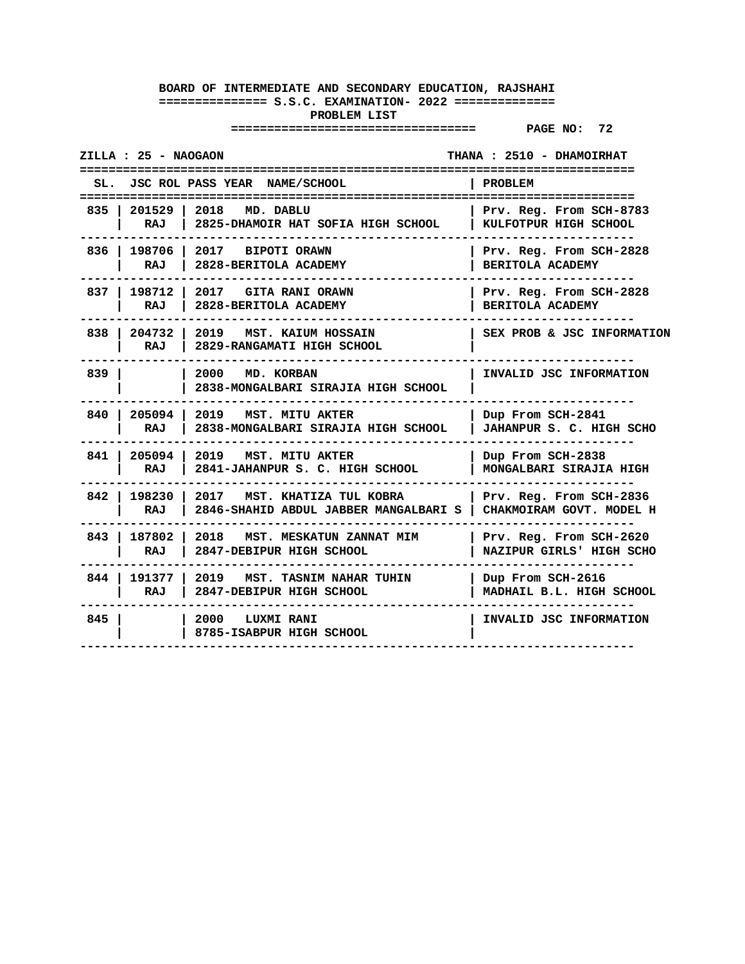| ZILLA : 25 - NAOGAON  |                                                                                                 | THANA : 2510 - DHAMOIRHAT<br>=================      |
|-----------------------|-------------------------------------------------------------------------------------------------|-----------------------------------------------------|
| SL.                   | JSC ROL PASS YEAR NAME/SCHOOL                                                                   | PROBLEM                                             |
| RAJ I                 | 835   201529   2018 MD. DABLU<br>2825-DHAMOIR HAT SOFIA HIGH SCHOOL                             | Prv. Reg. From SCH-8783<br>KULFOTPUR HIGH SCHOOL    |
| RAJ                   | 836   198706   2017 BIPOTI ORAWN<br>2828-BERITOLA ACADEMY                                       | Prv. Reg. From SCH-2828<br>BERITOLA ACADEMY         |
| RAJ                   | 837   198712   2017 GITA RANI ORAWN<br>2828-BERITOLA ACADEMY                                    | Prv. Reg. From SCH-2828<br>BERITOLA ACADEMY         |
| RAJ                   | 838   204732   2019   MST. KAIUM HOSSAIN<br>2829-RANGAMATI HIGH SCHOOL                          | SEX PROB & JSC INFORMATION                          |
| 839 I                 | 2000 MD. KORBAN<br>2838-MONGALBARI SIRAJIA HIGH SCHOOL                                          | INVALID JSC INFORMATION                             |
| RAJ                   | 840   205094   2019 MST. MITU AKTER<br>2838-MONGALBARI SIRAJIA HIGH SCHOOL                      | Dup From SCH-2841<br>JAHANPUR S. C. HIGH SCHO       |
| 841 205094 1<br>RAJ   | 2019 MST. MITU AKTER<br>2841-JAHANPUR S. C. HIGH SCHOOL                                         | Dup From SCH-2838<br>MONGALBARI SIRAJIA HIGH        |
| 842   198230  <br>RAJ | 2017 MST. KHATIZA TUL KOBRA<br>2846-SHAHID ABDUL JABBER MANGALBARI S   CHAKMOIRAM GOVT. MODEL H | Prv. Reg. From SCH-2836                             |
| 843   187802  <br>RAJ | 2018 MST. MESKATUN ZANNAT MIM<br>2847-DEBIPUR HIGH SCHOOL                                       | Prv. Reg. From SCH-2620<br>NAZIPUR GIRLS' HIGH SCHO |
| 844   191377  <br>RAJ | 2019 MST. TASNIM NAHAR TUHIN<br>2847-DEBIPUR HIGH SCHOOL                                        | Dup From SCH-2616<br>MADHAIL B.L. HIGH SCHOOL       |
| 845                   | 2000 LUXMI RANI<br>8785-ISABPUR HIGH SCHOOL                                                     | INVALID JSC INFORMATION                             |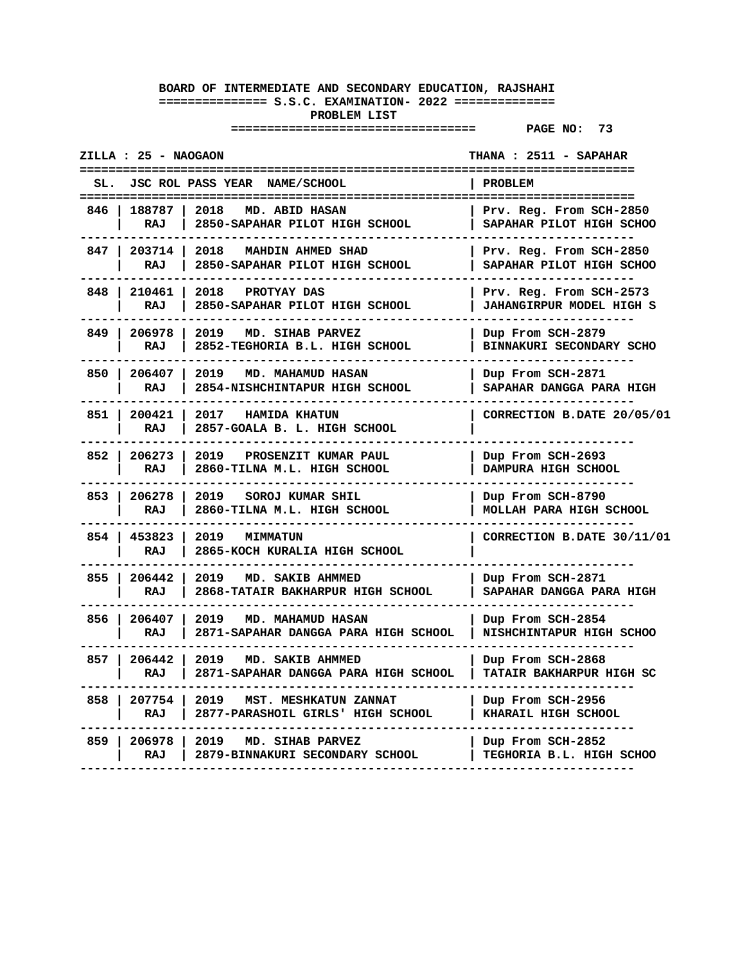|       | ZILLA : 25 - NAOGAON |                                                                          | THANA : 2511 - SAPAHAR                                                      |
|-------|----------------------|--------------------------------------------------------------------------|-----------------------------------------------------------------------------|
| SL.   |                      | JSC ROL PASS YEAR NAME/SCHOOL                                            | PROBLEM                                                                     |
| 846   | 188787<br>RAJ        | 2018<br>MD. ABID HASAN<br>2850-SAPAHAR PILOT HIGH SCHOOL                 | ====================<br>Prv. Reg. From SCH-2850<br>SAPAHAR PILOT HIGH SCHOO |
| 847   | 203714<br><b>RAJ</b> | 2018<br>MAHDIN AHMED SHAD<br>2850-SAPAHAR PILOT HIGH SCHOOL              | Prv. Reg. From SCH-2850<br>SAPAHAR PILOT HIGH SCHOO                         |
| 848   | 210461<br>RAJ        | 2018<br>PROTYAY DAS<br>2850-SAPAHAR PILOT HIGH SCHOOL                    | Prv. Reg. From SCH-2573<br><b>JAHANGIRPUR MODEL HIGH S</b>                  |
| 849   | 206978<br>RAJ        | 2019<br>MD. SIHAB PARVEZ<br>2852-TEGHORIA B.L. HIGH SCHOOL               | Dup From SCH-2879<br>BINNAKURI SECONDARY SCHO                               |
| 850   | 206407<br>RAJ        | 2019<br><b>MD. MAHAMUD HASAN</b><br>2854-NISHCHINTAPUR HIGH SCHOOL       | Dup From SCH-2871<br>SAPAHAR DANGGA PARA HIGH                               |
| 851   | 200421<br>RAJ        | 2017<br><b>HAMIDA KHATUN</b><br>2857-GOALA B. L. HIGH SCHOOL             | CORRECTION B.DATE 20/05/01                                                  |
| 852   | 206273<br>RAJ        | 2019<br>PROSENZIT KUMAR PAUL<br>2860-TILNA M.L. HIGH SCHOOL              | Dup From SCH-2693<br>DAMPURA HIGH SCHOOL                                    |
| 853   | 206278<br>RAJ        | 2019<br>SOROJ KUMAR SHIL<br>2860-TILNA M.L. HIGH SCHOOL                  | Dup From SCH-8790<br>MOLLAH PARA HIGH SCHOOL                                |
| 854 I | 453823<br>RAJ        | 2019<br><b>MIMMATUN</b><br>2865-KOCH KURALIA HIGH SCHOOL                 | CORRECTION B.DATE 30/11/01                                                  |
| 855   | 206442<br>RAJ        | 2019<br>MD. SAKIB AHMMED<br>2868-TATAIR BAKHARPUR HIGH SCHOOL            | Dup From SCH-2871<br>SAPAHAR DANGGA PARA HIGH                               |
| 856   | 206407<br>RAJ        | 2019<br><b>MD. MAHAMUD HASAN</b><br>2871-SAPAHAR DANGGA PARA HIGH SCHOOL | Dup From SCH-2854<br>NISHCHINTAPUR HIGH SCHOO                               |
| 857   | 206442<br>RAJ        | 2019<br>MD. SAKIB AHMMED<br>2871-SAPAHAR DANGGA PARA HIGH SCHOOL         | Dup From SCH-2868<br><b>TATAIR BAKHARPUR HIGH SC</b>                        |
| 858   | 207754<br>RAJ        | 2019<br>MST. MESHKATUN ZANNAT<br>2877-PARASHOIL GIRLS' HIGH SCHOOL       | Dup From SCH-2956<br>KHARAIL HIGH SCHOOL                                    |
| 859   | 206978<br>RAJ        | 2019<br>MD. SIHAB PARVEZ<br>2879-BINNAKURI SECONDARY SCHOOL              | Dup From SCH-2852<br>TEGHORIA B.L. HIGH SCHOO                               |
|       |                      |                                                                          |                                                                             |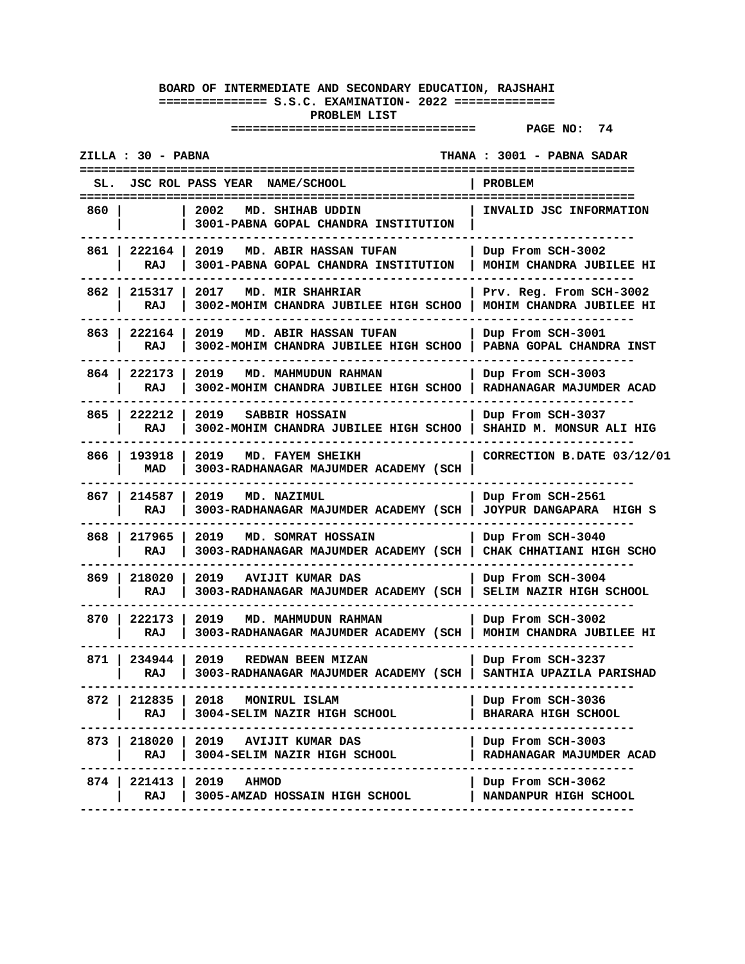|       | ZILLA : 30 - PABNA  |                                                                                               | THANA : 3001 - PABNA SADAR                          |
|-------|---------------------|-----------------------------------------------------------------------------------------------|-----------------------------------------------------|
|       |                     | <b>JSC ROL PASS YEAR</b><br><b>NAME/SCHOOL</b>                                                | PROBLEM                                             |
| 860 I |                     | 2002<br>MD. SHIHAB UDDIN<br>3001-PABNA GOPAL CHANDRA INSTITUTION                              | INVALID JSC INFORMATION                             |
|       | 861   222164<br>RAJ | 2019<br>MD. ABIR HASSAN TUFAN<br>3001-PABNA GOPAL CHANDRA INSTITUTION                         | Dup From SCH-3002<br>MOHIM CHANDRA JUBILEE HI       |
| 862 I | 215317<br>RAJ       | 2017<br>MD. MIR SHAHRIAR<br>3002-MOHIM CHANDRA JUBILEE HIGH SCHOO                             | Prv. Reg. From SCH-3002<br>MOHIM CHANDRA JUBILEE HI |
| 863 I | 222164<br>RAJ       | 2019<br>MD. ABIR HASSAN TUFAN<br>3002-MOHIM CHANDRA JUBILEE HIGH SCHOO                        | Dup From SCH-3001<br>PABNA GOPAL CHANDRA INST       |
| 864   | 222173<br>RAJ       | 2019<br>MD. MAHMUDUN RAHMAN<br>3002-MOHIM CHANDRA JUBILEE HIGH SCHOO                          | Dup From SCH-3003<br>RADHANAGAR MAJUMDER ACAD       |
| 865 I | 222212<br>RAJ       | 2019 SABBIR HOSSAIN<br>3002-MOHIM CHANDRA JUBILEE HIGH SCHOO                                  | Dup From SCH-3037<br>SHAHID M. MONSUR ALI HIG       |
| 866 I | 193918<br>MAD       | 2019<br>MD. FAYEM SHEIKH<br>3003-RADHANAGAR MAJUMDER ACADEMY (SCH                             | CORRECTION B.DATE 03/12/01                          |
| 867 I | 214587<br>RAJ       | 2019<br>MD. NAZIMUL<br>3003-RADHANAGAR MAJUMDER ACADEMY (SCH                                  | Dup From SCH-2561<br>JOYPUR DANGAPARA HIGH S        |
| 868 I | 217965<br>RAJ       | 2019<br>MD. SOMRAT HOSSAIN<br>3003-RADHANAGAR MAJUMDER ACADEMY (SCH                           | Dup From SCH-3040<br>CHAK CHHATIANI HIGH SCHO       |
| 869   | 218020<br>RAJ       | 2019<br>AVIJIT KUMAR DAS<br>3003-RADHANAGAR MAJUMDER ACADEMY (SCH                             | Dup From SCH-3004<br>SELIM NAZIR HIGH SCHOOL        |
| 870 I | 222173<br>RAJ       | 2019 MD. MAHMUDUN RAHMAN<br>3003-RADHANAGAR MAJUMDER ACADEMY (SCH   MOHIM CHANDRA JUBILEE HI  | Dup From SCH-3002                                   |
| 871 I | 234944<br>RAJ       | 2019<br>REDWAN BEEN MIZAN<br>3003-RADHANAGAR MAJUMDER ACADEMY (SCH   SANTHIA UPAZILA PARISHAD | Dup From SCH-3237                                   |
| 872   | 212835  <br>RAJ     | 2018 MONIRUL ISLAM<br>3004-SELIM NAZIR HIGH SCHOOL                                            | Dup From SCH-3036<br><b>BHARARA HIGH SCHOOL</b>     |
|       | RAJ                 | 873   218020   2019 AVIJIT KUMAR DAS<br>3004-SELIM NAZIR HIGH SCHOOL                          | Dup From SCH-3003<br>RADHANAGAR MAJUMDER ACAD       |
| 874 I | 221413<br>RAJ       | 2019<br><b>AHMOD</b><br>3005-AMZAD HOSSAIN HIGH SCHOOL                                        | Dup From SCH-3062<br>NANDANPUR HIGH SCHOOL          |
|       |                     |                                                                                               |                                                     |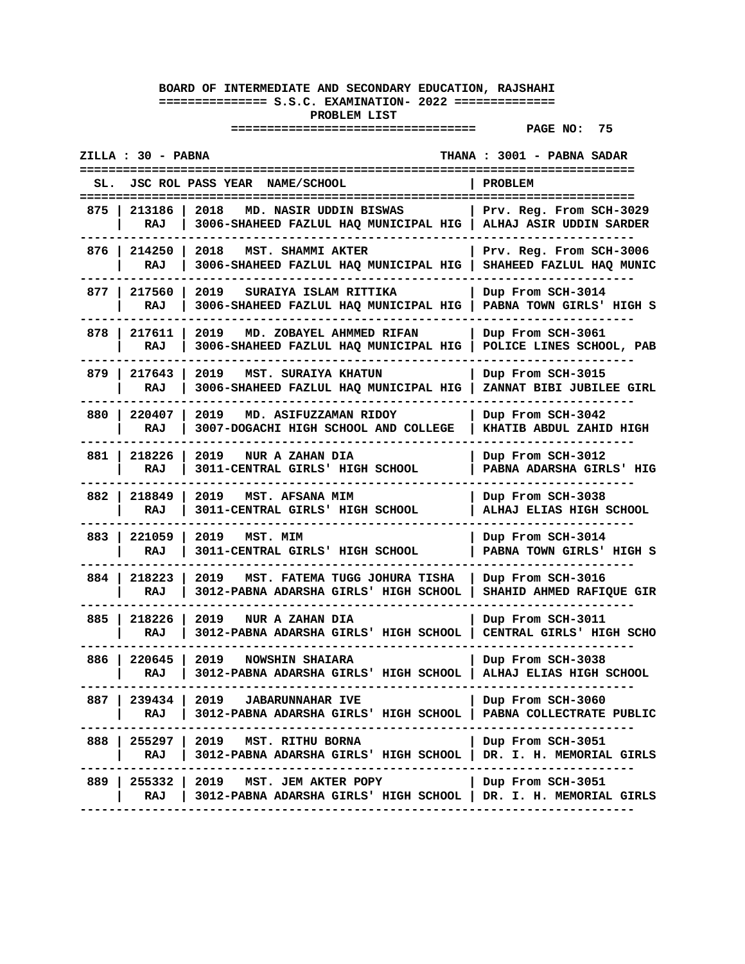|       | ZILLA : 30 - PABNA  |                                                                                                                                                     | THANA : 3001 - PABNA SADAR                          |
|-------|---------------------|-----------------------------------------------------------------------------------------------------------------------------------------------------|-----------------------------------------------------|
|       |                     | JSC ROL PASS YEAR NAME/SCHOOL                                                                                                                       | <b>PROBLEM</b><br>======================            |
| 875 I | 213186<br>RAJ       | 2018<br>MD. NASIR UDDIN BISWAS<br>3006-SHAHEED FAZLUL HAQ MUNICIPAL HIG   ALHAJ ASIR UDDIN SARDER                                                   | Prv. Reg. From SCH-3029                             |
|       | 876   214250<br>RAJ | 2018<br>MST. SHAMMI AKTER<br>3006-SHAHEED FAZLUL HAQ MUNICIPAL HIG                                                                                  | Prv. Reg. From SCH-3006<br>SHAHEED FAZLUL HAO MUNIC |
|       | 877   217560<br>RAJ | 2019<br>SURAIYA ISLAM RITTIKA<br>3006-SHAHEED FAZLUL HAQ MUNICIPAL HIG                                                                              | Dup From SCH-3014<br>PABNA TOWN GIRLS' HIGH S       |
| 878 I | 217611<br>RAJ       | 2019<br>MD. ZOBAYEL AHMMED RIFAN<br>3006-SHAHEED FAZLUL HAQ MUNICIPAL HIG                                                                           | Dup From SCH-3061<br>POLICE LINES SCHOOL, PAB       |
| 879   | 217643<br>RAJ       | 2019<br><b>MST. SURAIYA KHATUN</b><br>3006-SHAHEED FAZLUL HAQ MUNICIPAL HIG                                                                         | Dup From SCH-3015<br>ZANNAT BIBI JUBILEE GIRL       |
| 880 I | 220407<br>RAJ       | 2019<br>MD. ASIFUZZAMAN RIDOY<br>3007-DOGACHI HIGH SCHOOL AND COLLEGE                                                                               | Dup From SCH-3042<br>KHATIB ABDUL ZAHID HIGH        |
| 881   | 218226<br>RAJ       | 2019<br>NUR A ZAHAN DIA<br>3011-CENTRAL GIRLS' HIGH SCHOOL                                                                                          | Dup From SCH-3012<br>PABNA ADARSHA GIRLS' HIG       |
|       | 882 218849<br>RAJ   | 2019<br>MST. AFSANA MIM<br>3011-CENTRAL GIRLS' HIGH SCHOOL                                                                                          | Dup From SCH-3038<br>ALHAJ ELIAS HIGH SCHOOL        |
| 883   | 221059<br>RAJ       | 2019<br>MST. MIM<br>3011-CENTRAL GIRLS' HIGH SCHOOL                                                                                                 | Dup From SCH-3014<br>PABNA TOWN GIRLS' HIGH S       |
| 884   | 218223<br>RAJ       | 2019<br>MST. FATEMA TUGG JOHURA TISHA<br>3012-PABNA ADARSHA GIRLS' HIGH SCHOOL                                                                      | Dup From SCH-3016<br>SHAHID AHMED RAFIQUE GIR       |
| 885 l | 218226<br>RAJ       | 2019<br>NUR A ZAHAN DIA<br>3012-PABNA ADARSHA GIRLS' HIGH SCHOOL                                                                                    | Dup From SCH-3011<br>CENTRAL GIRLS' HIGH SCHO       |
| 886 I | 220645<br>RAJ       | 2019<br><b>NOWSHIN SHAIARA</b><br>3012-PABNA ADARSHA GIRLS' HIGH SCHOOL                                                                             | Dup From SCH-3038<br>ALHAJ ELIAS HIGH SCHOOL        |
|       |                     | 887   239434   2019 JABARUNNAHAR IVE<br>RAJ   3012-PABNA ADARSHA GIRLS' HIGH SCHOOL   PABNA COLLECTRATE PUBLIC<br>----------------                  | Dup From SCH-3060                                   |
|       |                     | 888   255297   2019 MST. RITHU BORNA<br>RAJ   3012-PABNA ADARSHA GIRLS' HIGH SCHOOL   DR. I. H. MEMORIAL GIRLS                                      | Dup From SCH-3051                                   |
|       | RAJ                 | 889   255332   2019 MST. JEM AKTER POPY<br>  3012-PABNA ADARSHA GIRLS' HIGH SCHOOL   DR. I. H. MEMORIAL GIRLS<br>---------------------------------- | Dup From SCH-3051                                   |
|       |                     |                                                                                                                                                     |                                                     |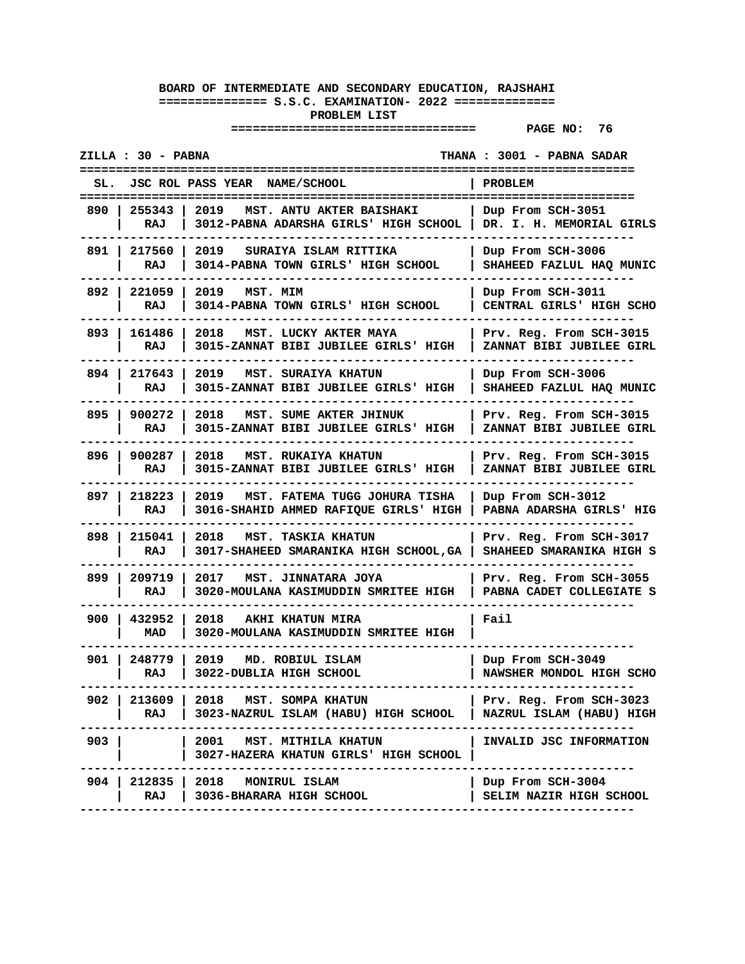| ZILLA : 30 - PABNA<br>THANA : 3001 - PABNA SADAR |               |                                                                                                        |                                                     |
|--------------------------------------------------|---------------|--------------------------------------------------------------------------------------------------------|-----------------------------------------------------|
| SL.                                              |               | JSC ROL PASS YEAR NAME/SCHOOL<br>=============================                                         | PROBLEM<br>===============                          |
| 890 I                                            | 255343<br>RAJ | =========================<br>2019<br>MST. ANTU AKTER BAISHAKI<br>3012-PABNA ADARSHA GIRLS' HIGH SCHOOL | Dup From SCH-3051<br>DR. I. H. MEMORIAL GIRLS       |
| 891 I                                            | 217560<br>RAJ | 2019<br>SURAIYA ISLAM RITTIKA<br>3014-PABNA TOWN GIRLS' HIGH SCHOOL                                    | Dup From SCH-3006<br>SHAHEED FAZLUL HAQ MUNIC       |
| 892 I                                            | 221059<br>RAJ | 2019<br>MST. MIM<br>3014-PABNA TOWN GIRLS' HIGH SCHOOL                                                 | Dup From SCH-3011<br>CENTRAL GIRLS' HIGH SCHO       |
| 893                                              | 161486<br>RAJ | 2018<br>MST. LUCKY AKTER MAYA<br>3015-ZANNAT BIBI JUBILEE GIRLS' HIGH                                  | Prv. Reg. From SCH-3015<br>ZANNAT BIBI JUBILEE GIRL |
| 894                                              | 217643<br>RAJ | 2019<br>MST. SURAIYA KHATUN<br>3015-ZANNAT BIBI JUBILEE GIRLS' HIGH                                    | Dup From SCH-3006<br>SHAHEED FAZLUL HAQ MUNIC       |
| 895 I                                            | 900272<br>RAJ | 2018<br>MST. SUME AKTER JHINUK<br>3015-ZANNAT BIBI JUBILEE GIRLS' HIGH                                 | Prv. Reg. From SCH-3015<br>ZANNAT BIBI JUBILEE GIRL |
| 896 I                                            | 900287<br>RAJ | 2018<br><b>MST. RUKAIYA KHATUN</b><br>3015-ZANNAT BIBI JUBILEE GIRLS' HIGH                             | Prv. Reg. From SCH-3015<br>ZANNAT BIBI JUBILEE GIRL |
| 897 I                                            | 218223<br>RAJ | MST. FATEMA TUGG JOHURA TISHA<br>2019<br>3016-SHAHID AHMED RAFIQUE GIRLS' HIGH                         | Dup From SCH-3012<br>PABNA ADARSHA GIRLS' HIG       |
| 898                                              | 215041<br>RAJ | 2018<br><b>MST. TASKIA KHATUN</b><br>3017-SHAHEED SMARANIKA HIGH SCHOOL, GA                            | Prv. Reg. From SCH-3017<br>SHAHEED SMARANIKA HIGH S |
| 899                                              | 209719<br>RAJ | 2017<br>MST. JINNATARA JOYA<br>3020-MOULANA KASIMUDDIN SMRITEE HIGH                                    | Prv. Reg. From SCH-3055<br>PABNA CADET COLLEGIATE S |
| 900 I                                            | 432952<br>MAD | 2018<br>AKHI KHATUN MIRA<br>3020-MOULANA KASIMUDDIN SMRITEE HIGH                                       | Fail                                                |
| 901 l                                            | 248779<br>RAJ | 2019<br>MD. ROBIUL ISLAM<br>3022-DUBLIA HIGH SCHOOL                                                    | Dup From SCH-3049<br>NAWSHER MONDOL HIGH SCHO       |
| 902 I                                            | RAJ           | 213609   2018 MST. SOMPA KHATUN<br>3023-NAZRUL ISLAM (HABU) HIGH SCHOOL                                | Prv. Reg. From SCH-3023<br>NAZRUL ISLAM (HABU) HIGH |
| 903 l                                            |               | 2001 MST. MITHILA KHATUN<br>3027-HAZERA KHATUN GIRLS' HIGH SCHOOL                                      | INVALID JSC INFORMATION                             |
| 904 I                                            | RAJ           | 212835   2018 MONIRUL ISLAM<br>3036-BHARARA HIGH SCHOOL                                                | Dup From SCH-3004<br>SELIM NAZIR HIGH SCHOOL        |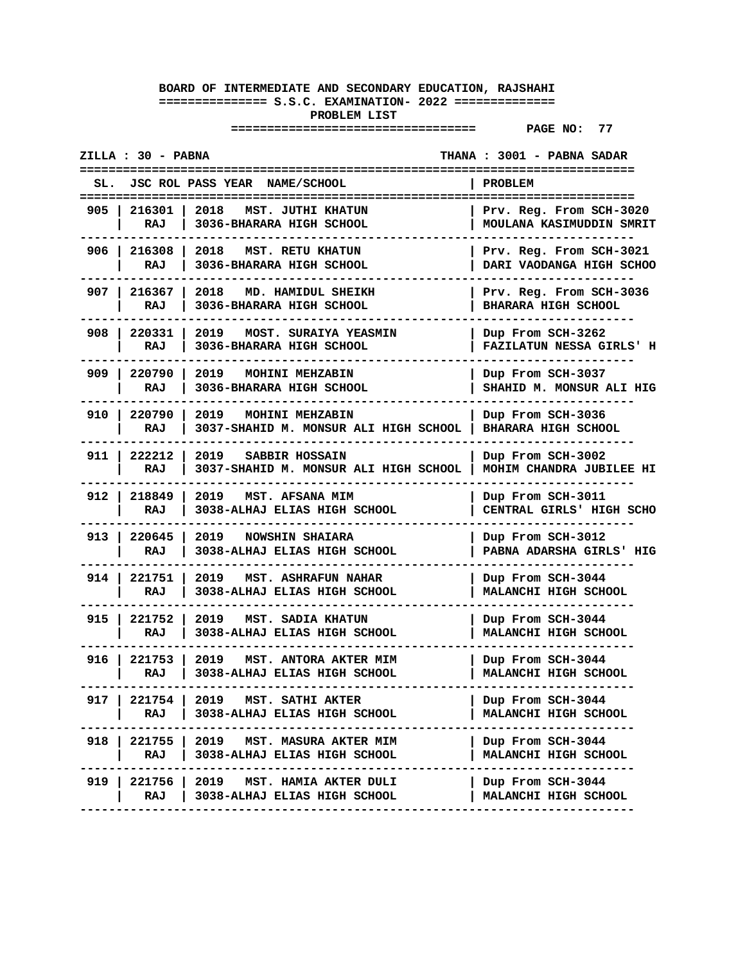| ZILLA : 30 - PABNA                                                                                    | THANA : 3001 - PABNA SADAR<br>======================  |
|-------------------------------------------------------------------------------------------------------|-------------------------------------------------------|
| JSC ROL PASS YEAR<br><b>NAME/SCHOOL</b><br>SL.                                                        | PROBLEM                                               |
| 2018<br>905 I<br>216301<br>MST. JUTHI KHATUN<br>RAJ<br>3036-BHARARA HIGH SCHOOL                       | Prv. Reg. From SCH-3020<br>MOULANA KASIMUDDIN SMRIT   |
| 906   216308<br>2018<br><b>MST. RETU KHATUN</b><br>RAJ<br>3036-BHARARA HIGH SCHOOL                    | Prv. Reg. From SCH-3021<br>DARI VAODANGA HIGH SCHOO   |
| 907   216367<br>2018<br>MD. HAMIDUL SHEIKH<br>3036-BHARARA HIGH SCHOOL<br>RAJ                         | Prv. Reg. From SCH-3036<br><b>BHARARA HIGH SCHOOL</b> |
| 908 I<br>220331<br>2019<br>MOST. SURAIYA YEASMIN<br>RAJ<br>3036-BHARARA HIGH SCHOOL                   | Dup From SCH-3262<br><b>FAZILATUN NESSA GIRLS' H</b>  |
| 909 I<br>220790<br>2019<br>MOHINI MEHZABIN<br>3036-BHARARA HIGH SCHOOL<br>RAJ                         | Dup From SCH-3037<br>SHAHID M. MONSUR ALI HIG         |
| 220790<br>910 <sub>1</sub><br>2019<br>MOHINI MEHZABIN<br>RAJ<br>3037-SHAHID M. MONSUR ALI HIGH SCHOOL | Dup From SCH-3036<br><b>BHARARA HIGH SCHOOL</b>       |
| 911 222212<br>2019 SABBIR HOSSAIN<br>3037-SHAHID M. MONSUR ALI HIGH SCHOOL<br>RAJ                     | Dup From SCH-3002<br>MOHIM CHANDRA JUBILEE HI         |
| 912 218849<br>2019<br>MST. AFSANA MIM<br>RAJ<br>3038-ALHAJ ELIAS HIGH SCHOOL                          | Dup From SCH-3011<br>CENTRAL GIRLS' HIGH SCHO         |
| 913 I<br>220645<br>2019<br><b>NOWSHIN SHAIARA</b><br>3038-ALHAJ ELIAS HIGH SCHOOL<br>RAJ              | Dup From SCH-3012<br>PABNA ADARSHA GIRLS' HIG         |
| 914 I<br>221751<br>2019<br><b>MST. ASHRAFUN NAHAR</b><br>3038-ALHAJ ELIAS HIGH SCHOOL<br>RAJ          | Dup From SCH-3044<br>MALANCHI HIGH SCHOOL             |
| 915 l<br>221752<br>2019 MST. SADIA KHATUN<br>3038-ALHAJ ELIAS HIGH SCHOOL<br>RAJ                      | Dup From SCH-3044<br>MALANCHI HIGH SCHOOL             |
| 916   221753<br>2019<br>MST. ANTORA AKTER MIM<br>3038-ALHAJ ELIAS HIGH SCHOOL<br>RAJ                  | Dup From SCH-3044<br>MALANCHI HIGH SCHOOL             |
| 221754<br>2019 MST. SATHI AKTER<br>917 I<br>RAJ<br>3038-ALHAJ ELIAS HIGH SCHOOL                       | Dup From SCH-3044<br>MALANCHI HIGH SCHOOL             |
| 918   221755   2019   MST. MASURA AKTER MIM<br>RAJ<br>3038-ALHAJ ELIAS HIGH SCHOOL                    | Dup From SCH-3044<br>MALANCHI HIGH SCHOOL             |
| 919   221756  <br>2019 MST. HAMIA AKTER DULI<br>RAJ<br>3038-ALHAJ ELIAS HIGH SCHOOL                   | Dup From SCH-3044<br>MALANCHI HIGH SCHOOL             |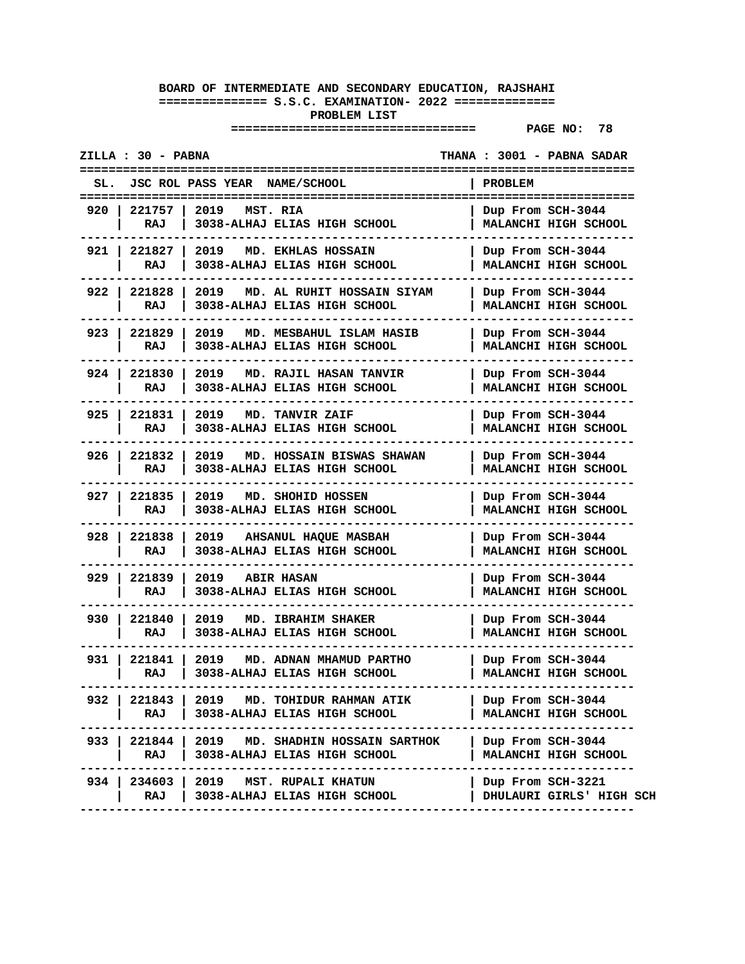| THANA : 3001 - PABNA SADAR                                                                     |
|------------------------------------------------------------------------------------------------|
| <b>PROBLEM</b>                                                                                 |
| Dup From SCH-3044<br>MALANCHI HIGH SCHOOL                                                      |
| Dup From SCH-3044<br>MALANCHI HIGH SCHOOL                                                      |
| Dup From SCH-3044<br>MALANCHI HIGH SCHOOL                                                      |
| Dup From SCH-3044<br>MALANCHI HIGH SCHOOL                                                      |
| Dup From SCH-3044<br>MALANCHI HIGH SCHOOL                                                      |
| Dup From SCH-3044<br>MALANCHI HIGH SCHOOL                                                      |
| Dup From SCH-3044<br>MALANCHI HIGH SCHOOL                                                      |
| Dup From SCH-3044<br>MALANCHI HIGH SCHOOL                                                      |
| Dup From SCH-3044<br>MALANCHI HIGH SCHOOL                                                      |
| Dup From SCH-3044<br>MALANCHI HIGH SCHOOL                                                      |
| Dup From SCH-3044<br>MALANCHI HIGH SCHOOL                                                      |
| Dup From SCH-3044<br>MALANCHI HIGH SCHOOL                                                      |
| Dup From SCH-3044<br>MALANCHI HIGH SCHOOL                                                      |
| 933   221844   2019   MD. SHADHIN HOSSAIN SARTHOK<br>Dup From SCH-3044<br>MALANCHI HIGH SCHOOL |
| Dup From SCH-3221<br>  DHULAURI GIRLS' HIGH SCH                                                |
|                                                                                                |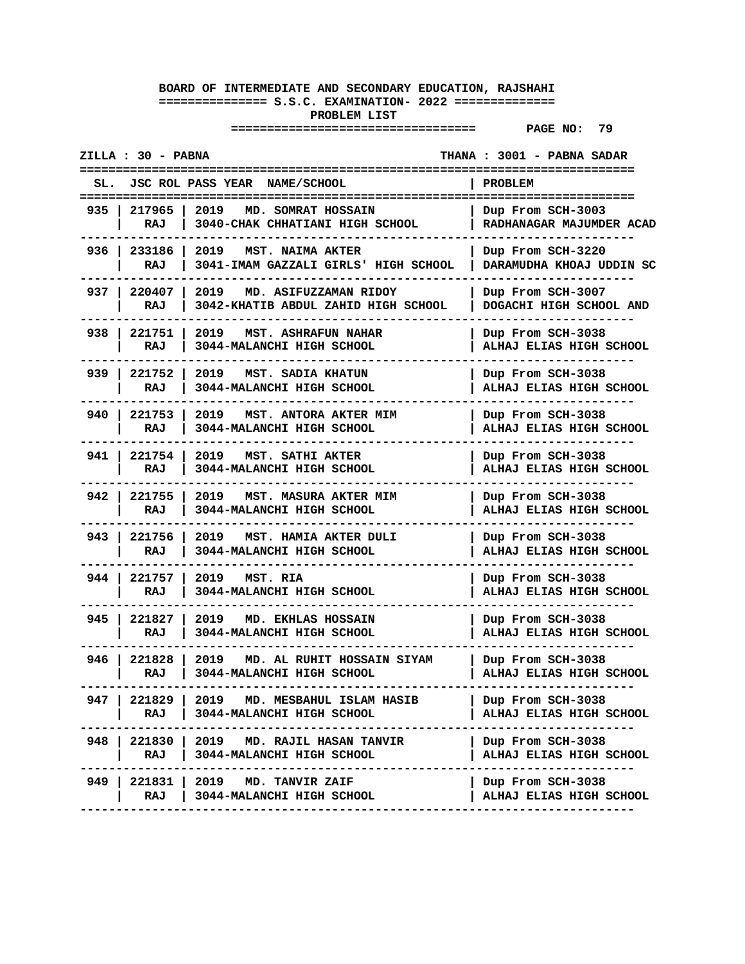|       | ZILLA : 30 - PABNA  |                                                                             | THANA : 3001 - PABNA SADAR                          |
|-------|---------------------|-----------------------------------------------------------------------------|-----------------------------------------------------|
| SL.   |                     | <b>JSC ROL PASS YEAR</b><br><b>NAME/SCHOOL</b>                              | <b>PROBLEM</b><br>:======================           |
| 935   | 217965<br>RAJ       | 2019<br>MD. SOMRAT HOSSAIN<br>3040-CHAK CHHATIANI HIGH SCHOOL               | Dup From SCH-3003<br>RADHANAGAR MAJUMDER ACAD       |
|       | 936   233186<br>RAJ | 2019<br>MST. NAIMA AKTER<br>3041-IMAM GAZZALI GIRLS' HIGH SCHOOL            | Dup From SCH-3220<br>DARAMUDHA KHOAJ UDDIN SC       |
| 937 I | 220407<br>RAJ       | 2019<br>MD. ASIFUZZAMAN RIDOY<br>3042-KHATIB ABDUL ZAHID HIGH SCHOOL        | Dup From SCH-3007<br>DOGACHI HIGH SCHOOL AND        |
| 938 I | 221751<br>RAJ       | 2019<br><b>MST. ASHRAFUN NAHAR</b><br>3044-MALANCHI HIGH SCHOOL             | Dup From SCH-3038<br>ALHAJ ELIAS HIGH SCHOOL        |
| 939   | 221752<br>RAJ       | 2019<br>MST. SADIA KHATUN<br>3044-MALANCHI HIGH SCHOOL                      | Dup From SCH-3038<br><b>ALHAJ ELIAS HIGH SCHOOL</b> |
| 940 l | 221753<br>RAJ       | 2019<br>MST. ANTORA AKTER MIM<br>3044-MALANCHI HIGH SCHOOL                  | Dup From SCH-3038<br>ALHAJ ELIAS HIGH SCHOOL        |
|       | 941 221754<br>RAJ   | 2019<br>MST. SATHI AKTER<br>3044-MALANCHI HIGH SCHOOL                       | Dup From SCH-3038<br>ALHAJ ELIAS HIGH SCHOOL        |
| 942 I | 221755<br>RAJ       | 2019<br>MST. MASURA AKTER MIM<br>3044-MALANCHI HIGH SCHOOL                  | Dup From SCH-3038<br>ALHAJ ELIAS HIGH SCHOOL        |
| 943 I | 221756<br>RAJ       | 2019<br>MST. HAMIA AKTER DULI<br>3044-MALANCHI HIGH SCHOOL                  | Dup From SCH-3038<br>ALHAJ ELIAS HIGH SCHOOL        |
| 944   | 221757<br>RAJ       | 2019<br>MST. RIA<br>3044-MALANCHI HIGH SCHOOL                               | Dup From SCH-3038<br><b>ALHAJ ELIAS HIGH SCHOOL</b> |
| 945 I | 221827<br>RAJ       | 2019<br><b>MD. EKHLAS HOSSAIN</b><br>3044-MALANCHI HIGH SCHOOL              | Dup From SCH-3038<br>ALHAJ ELIAS HIGH SCHOOL        |
| 946 I | 221828<br>RAJ       | 2019<br>MD. AL RUHIT HOSSAIN SIYAM<br>3044-MALANCHI HIGH SCHOOL             | Dup From SCH-3038<br>ALHAJ ELIAS HIGH SCHOOL        |
|       | RAJ                 | 947   221829   2019 MD. MESBAHUL ISLAM HASIB<br>  3044-MALANCHI HIGH SCHOOL | Dup From SCH-3038<br>ALHAJ ELIAS HIGH SCHOOL        |
|       | RAJ                 | 948   221830   2019 MD. RAJIL HASAN TANVIR<br>3044-MALANCHI HIGH SCHOOL     | Dup From SCH-3038<br>ALHAJ ELIAS HIGH SCHOOL        |
| 949 I | RAJ                 | 221831   2019 MD. TANVIR ZAIF<br>  3044-MALANCHI HIGH SCHOOL                | Dup From SCH-3038<br>ALHAJ ELIAS HIGH SCHOOL        |
|       |                     |                                                                             |                                                     |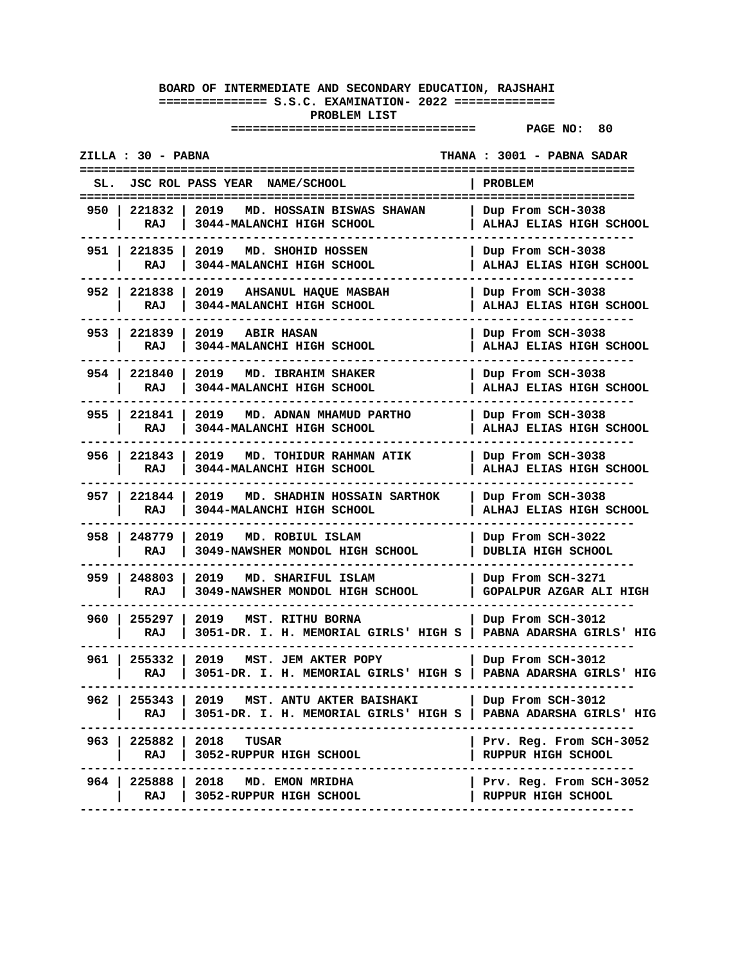|       | ZILLA : 30 - PABNA         |                                                                                                   | THANA : 3001 - PABNA SADAR                           |
|-------|----------------------------|---------------------------------------------------------------------------------------------------|------------------------------------------------------|
| SL.   |                            | JSC ROL PASS YEAR NAME/SCHOOL                                                                     | <b>PROBLEM</b>                                       |
| 950   | 221832<br>RAJ              | 2019<br>MD. HOSSAIN BISWAS SHAWAN<br>3044-MALANCHI HIGH SCHOOL                                    | Dup From SCH-3038<br>ALHAJ ELIAS HIGH SCHOOL         |
|       | 951 221835<br>RAJ          | 2019<br>MD. SHOHID HOSSEN<br>3044-MALANCHI HIGH SCHOOL                                            | Dup From SCH-3038<br><b>ALHAJ ELIAS HIGH SCHOOL</b>  |
| 952 I | 221838<br>RAJ              | 2019 AHSANUL HAQUE MASBAH<br>3044-MALANCHI HIGH SCHOOL                                            | Dup From SCH-3038<br><b>ALHAJ ELIAS HIGH SCHOOL</b>  |
| 953 I | 221839<br>RAJ              | 2019<br><b>ABIR HASAN</b><br>3044-MALANCHI HIGH SCHOOL                                            | Dup From SCH-3038<br><b>ALHAJ ELIAS HIGH SCHOOL</b>  |
| 954   | 221840<br>RAJ              | 2019<br>MD. IBRAHIM SHAKER<br>3044-MALANCHI HIGH SCHOOL                                           | Dup From SCH-3038<br><b>ALHAJ ELIAS HIGH SCHOOL</b>  |
|       | 955   221841  <br>RAJ      | 2019 MD. ADNAN MHAMUD PARTHO<br>3044-MALANCHI HIGH SCHOOL                                         | Dup From SCH-3038<br>ALHAJ ELIAS HIGH SCHOOL         |
|       | 956   221843<br>RAJ        | 2019<br>MD. TOHIDUR RAHMAN ATIK<br>3044-MALANCHI HIGH SCHOOL                                      | Dup From SCH-3038<br>ALHAJ ELIAS HIGH SCHOOL         |
|       | 957   221844<br>RAJ        | 2019<br>MD. SHADHIN HOSSAIN SARTHOK<br>3044-MALANCHI HIGH SCHOOL                                  | Dup From SCH-3038<br><b>ALHAJ ELIAS HIGH SCHOOL</b>  |
| 958 I | 248779<br>RAJ              | 2019<br>MD. ROBIUL ISLAM<br>3049-NAWSHER MONDOL HIGH SCHOOL                                       | Dup From SCH-3022<br>DUBLIA HIGH SCHOOL              |
| 959   | 248803<br>RAJ              | 2019<br>MD. SHARIFUL ISLAM<br>3049-NAWSHER MONDOL HIGH SCHOOL                                     | Dup From SCH-3271<br>GOPALPUR AZGAR ALI HIGH         |
| 960 I | 255297  <br>RAJ            | 2019 MST. RITHU BORNA<br>3051-DR. I. H. MEMORIAL GIRLS' HIGH S   PABNA ADARSHA GIRLS' HIG         | Dup From SCH-3012                                    |
| 961 l | 255332<br>RAJ              | 2019<br>MST. JEM AKTER POPY<br>3051-DR. I. H. MEMORIAL GIRLS' HIGH S                              | Dup From SCH-3012<br>PABNA ADARSHA GIRLS' HIG        |
| 962 I | 255343<br>RAJ              | 2019 MST. ANTU AKTER BAISHAKI<br>3051-DR. I. H. MEMORIAL GIRLS' HIGH S   PABNA ADARSHA GIRLS' HIG | Dup From SCH-3012                                    |
|       | 963   225882   2018<br>RAJ | TUSAR<br>3052-RUPPUR HIGH SCHOOL                                                                  | Prv. Reg. From SCH-3052<br>RUPPUR HIGH SCHOOL        |
| 964 I | 225888<br>RAJ              | 2018<br>MD. EMON MRIDHA<br>3052-RUPPUR HIGH SCHOOL                                                | Prv. Reg. From SCH-3052<br><b>RUPPUR HIGH SCHOOL</b> |
|       |                            |                                                                                                   |                                                      |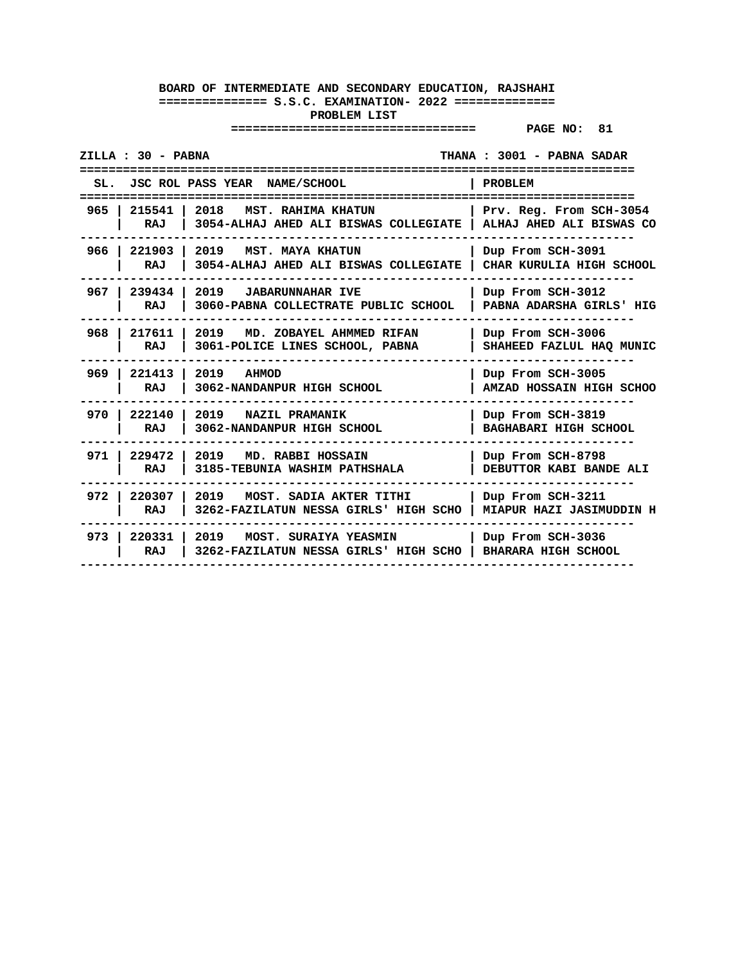| ZILLA : 30 - PABNA<br>THANA: 3001 - PABNA SADAR<br>=================== |                                                                          |                                                     |  |
|------------------------------------------------------------------------|--------------------------------------------------------------------------|-----------------------------------------------------|--|
| SL.                                                                    | JSC ROL PASS YEAR NAME/SCHOOL                                            | PROBLEM                                             |  |
| 965<br>215541  <br>RAJ                                                 | 2018<br>MST. RAHIMA KHATUN<br>3054-ALHAJ AHED ALI BISWAS COLLEGIATE      | Prv. Reg. From SCH-3054<br>ALHAJ AHED ALI BISWAS CO |  |
| 966 l<br>221903<br><b>RAJ</b>                                          | 2019<br><b>MST. MAYA KHATUN</b><br>3054-ALHAJ AHED ALI BISWAS COLLEGIATE | Dup From SCH-3091<br>CHAR KURULIA HIGH SCHOOL       |  |
| 967 l<br>239434<br>RAJ                                                 | 2019<br><b>JABARUNNAHAR IVE</b><br>3060-PABNA COLLECTRATE PUBLIC SCHOOL  | Dup From SCH-3012<br>PABNA ADARSHA GIRLS' HIG       |  |
| 968 l<br>217611<br>RAJ                                                 | 2019<br>MD. ZOBAYEL AHMMED RIFAN<br>3061-POLICE LINES SCHOOL, PABNA      | Dup From SCH-3006<br>SHAHEED FAZLUL HAQ MUNIC       |  |
| $969$  <br>221413<br>RAJ                                               | 2019<br><b>AHMOD</b><br>3062-NANDANPUR HIGH SCHOOL                       | Dup From SCH-3005<br>AMZAD HOSSAIN HIGH SCHOO       |  |
| 970 I<br>222140<br>RAJ                                                 | 2019 NAZIL PRAMANIK<br>3062-NANDANPUR HIGH SCHOOL                        | Dup From SCH-3819<br><b>BAGHABARI HIGH SCHOOL</b>   |  |
| 971 l<br>229472<br>RAJ                                                 | 2019<br>MD. RABBI HOSSAIN<br>3185-TEBUNIA WASHIM PATHSHALA               | Dup From SCH-8798<br>DEBUTTOR KABI BANDE ALI        |  |
| 972<br>220307<br>RAJ                                                   | 2019 MOST. SADIA AKTER TITHI<br>3262-FAZILATUN NESSA GIRLS' HIGH SCHO    | Dup From SCH-3211<br>MIAPUR HAZI JASIMUDDIN H       |  |
| 973 l<br>220331<br>RAJ                                                 | 2019<br>MOST. SURAIYA YEASMIN<br>3262-FAZILATUN NESSA GIRLS' HIGH SCHO   | Dup From SCH-3036<br><b>BHARARA HIGH SCHOOL</b>     |  |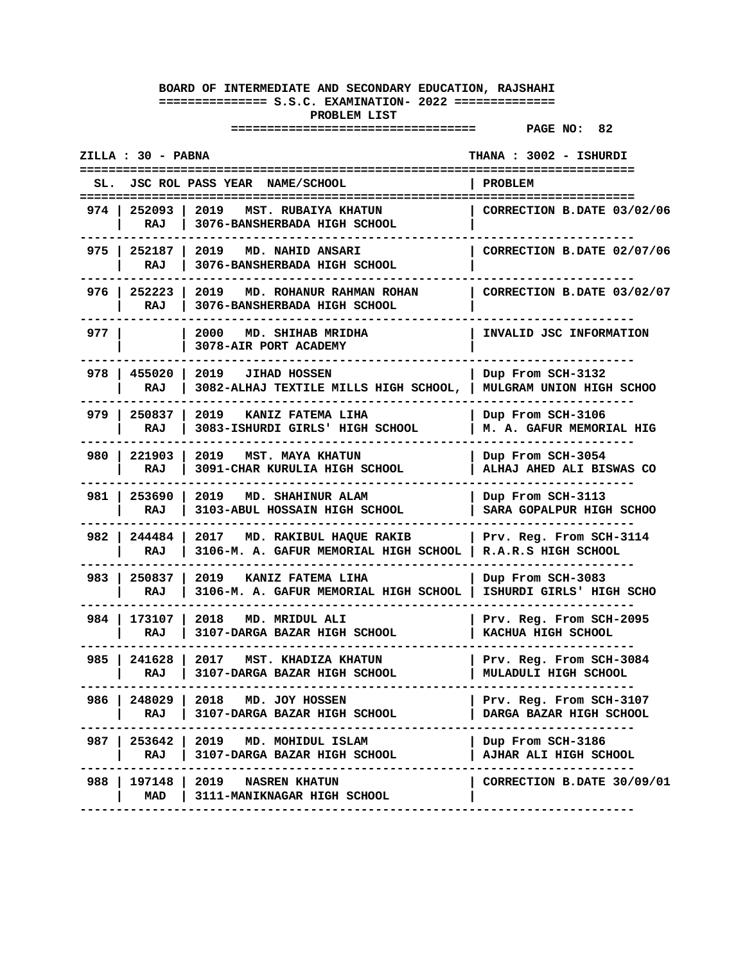#### **================================== PAGE NO: 82**

**ZILLA : 30 - PABNA THANA : 3002 - ISHURDI ============================================================================= SL. JSC ROL PASS YEAR NAME/SCHOOL | PROBLEM ============================================================================= 974 | 252093 | 2019 MST. RUBAIYA KHATUN | CORRECTION B.DATE 03/02/06 | RAJ | 3076-BANSHERBADA HIGH SCHOOL | ----------------------------------------------------------------------------- 975 | 252187 | 2019 MD. NAHID ANSARI | CORRECTION B.DATE 02/07/06 | RAJ | 3076-BANSHERBADA HIGH SCHOOL | ----------------------------------------------------------------------------- 976 | 252223 | 2019 MD. ROHANUR RAHMAN ROHAN | CORRECTION B.DATE 03/02/07 | RAJ | 3076-BANSHERBADA HIGH SCHOOL | ----------------------------------------------------------------------------- 977 | | 2000 MD. SHIHAB MRIDHA | INVALID JSC INFORMATION | | 3078-AIR PORT ACADEMY | ----------------------------------------------------------------------------- 978 | 455020 | 2019 JIHAD HOSSEN | Dup From SCH-3132 | RAJ | 3082-ALHAJ TEXTILE MILLS HIGH SCHOOL, | MULGRAM UNION HIGH SCHOO ----------------------------------------------------------------------------- 979 | 250837 | 2019 KANIZ FATEMA LIHA | Dup From SCH-3106 | RAJ | 3083-ISHURDI GIRLS' HIGH SCHOOL | M. A. GAFUR MEMORIAL HIG ----------------------------------------------------------------------------- 980 | 221903 | 2019 MST. MAYA KHATUN | Dup From SCH-3054 | RAJ | 3091-CHAR KURULIA HIGH SCHOOL | ALHAJ AHED ALI BISWAS CO ----------------------------------------------------------------------------- 981 | 253690 | 2019 MD. SHAHINUR ALAM | Dup From SCH-3113 | RAJ | 3103-ABUL HOSSAIN HIGH SCHOOL | SARA GOPALPUR HIGH SCHOO ----------------------------------------------------------------------------- 982 | 244484 | 2017 MD. RAKIBUL HAQUE RAKIB | Prv. Reg. From SCH-3114 | RAJ | 3106-M. A. GAFUR MEMORIAL HIGH SCHOOL | R.A.R.S HIGH SCHOOL ----------------------------------------------------------------------------- 983 | 250837 | 2019 KANIZ FATEMA LIHA | Dup From SCH-3083 | RAJ | 3106-M. A. GAFUR MEMORIAL HIGH SCHOOL | ISHURDI GIRLS' HIGH SCHO ----------------------------------------------------------------------------- 984 | 173107 | 2018 MD. MRIDUL ALI | Prv. Reg. From SCH-2095 | RAJ | 3107-DARGA BAZAR HIGH SCHOOL | KACHUA HIGH SCHOOL ----------------------------------------------------------------------------- 985 | 241628 | 2017 MST. KHADIZA KHATUN | Prv. Reg. From SCH-3084 | RAJ | 3107-DARGA BAZAR HIGH SCHOOL | MULADULI HIGH SCHOOL ----------------------------------------------------------------------------- 986 | 248029 | 2018 MD. JOY HOSSEN | Prv. Reg. From SCH-3107 | RAJ | 3107-DARGA BAZAR HIGH SCHOOL | DARGA BAZAR HIGH SCHOOL ----------------------------------------------------------------------------- 987 | 253642 | 2019 MD. MOHIDUL ISLAM | Dup From SCH-3186 | RAJ | 3107-DARGA BAZAR HIGH SCHOOL | AJHAR ALI HIGH SCHOOL ----------------------------------------------------------------------------- 988 | 197148 | 2019 NASREN KHATUN | CORRECTION B.DATE 30/09/01 | MAD | 3111-MANIKNAGAR HIGH SCHOOL | -----------------------------------------------------------------------------**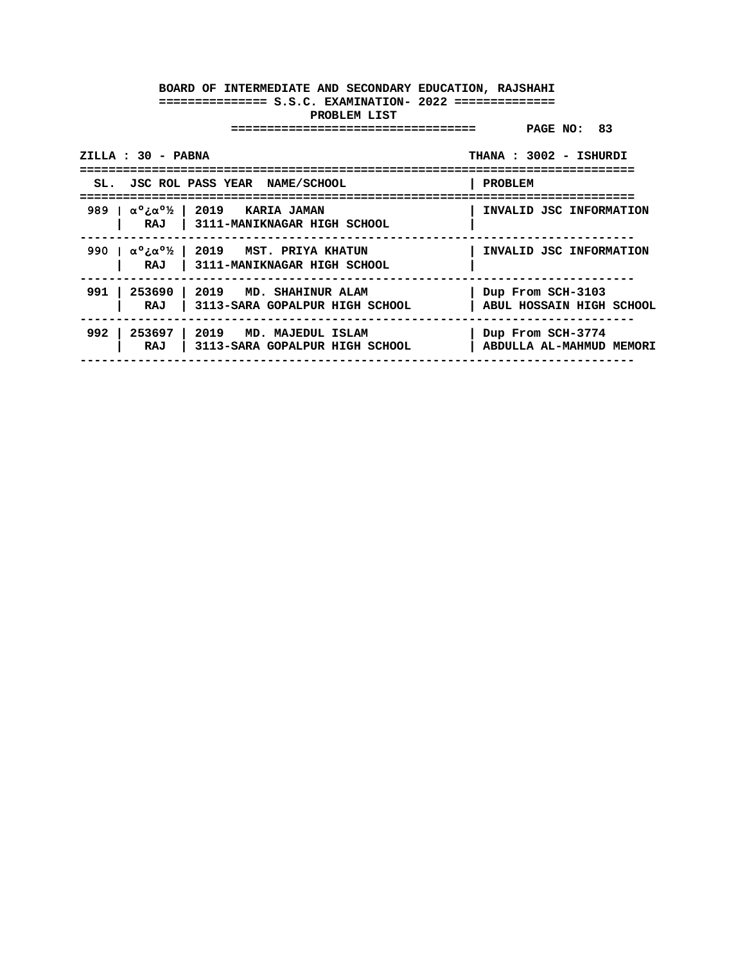| ZILLA : 30 - PABNA                                                                                | THANA: 3002 - ISHURDI                         |
|---------------------------------------------------------------------------------------------------|-----------------------------------------------|
| SL. JSC ROL PASS YEAR NAME/SCHOOL                                                                 | PROBLEM                                       |
| 989   $\alpha^\circ$ : $\alpha^\circ$ /   2019   KARIA JAMAN<br>RAJ   3111-MANIKNAGAR HIGH SCHOOL | INVALID JSC INFORMATION                       |
| 990   $\alpha^0$ : $\alpha^0$ /2   2019 MST. PRIYA KHATUN<br>RAJ   3111-MANIKNAGAR HIGH SCHOOL    | INVALID JSC INFORMATION                       |
| 991   253690   2019 MD. SHAHINUR ALAM<br>  3113-SARA GOPALPUR HIGH SCHOOL<br>RAJ                  | Dup From SCH-3103<br>ABUL HOSSAIN HIGH SCHOOL |
| $992$ l<br>253697   2019 MD. MAJEDUL ISLAM<br>  3113-SARA GOPALPUR HIGH SCHOOL<br>RAJ             | Dup From SCH-3774<br>ABDULLA AL-MAHMUD MEMORI |
|                                                                                                   |                                               |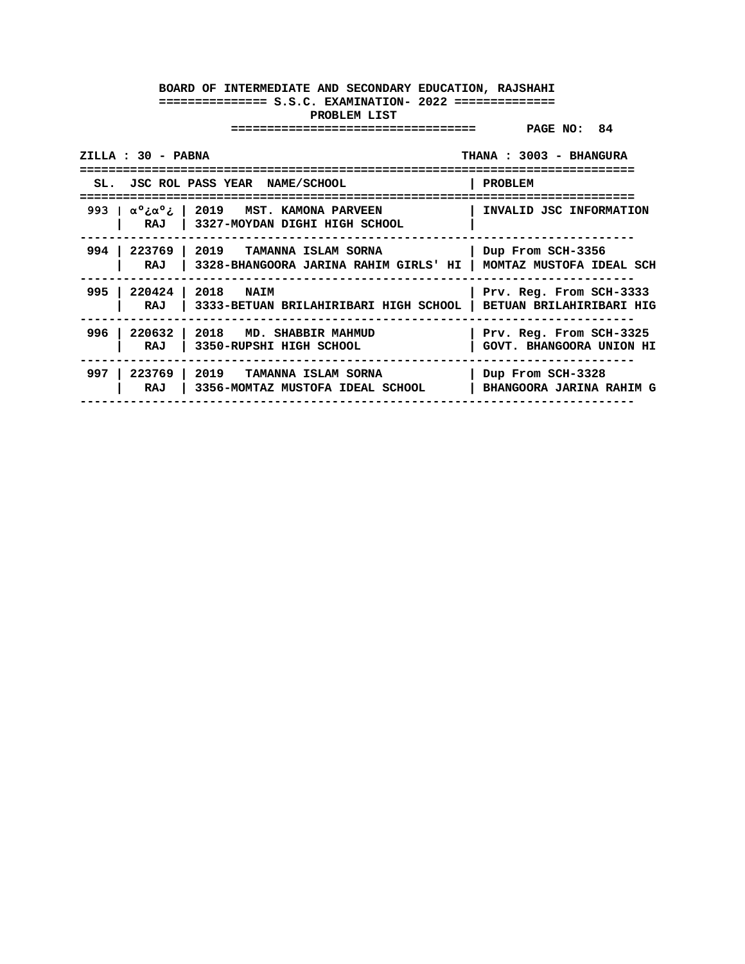|       | ZILLA : 30 - PABNA |                                                                                                                             | THANA: 3003 - BHANGURA                              |
|-------|--------------------|-----------------------------------------------------------------------------------------------------------------------------|-----------------------------------------------------|
|       |                    | SL. JSC ROL PASS YEAR NAME/SCHOOL                                                                                           | PROBLEM                                             |
|       |                    | 993   $\alpha^{\circ}$ <i>i</i> $\alpha^{\circ}$ <i>i</i>   2019 MST. KAMONA PARVEEN<br>RAJ   3327-MOYDAN DIGHI HIGH SCHOOL | INVALID JSC INFORMATION                             |
|       | RAJ                | 994   223769   2019   TAMANNA ISLAM SORNA<br>3328-BHANGOORA JARINA RAHIM GIRLS' HI                                          | Dup From SCH-3356<br>MOMTAZ MUSTOFA IDEAL SCH       |
| 995 l | RAJ                | 220424   2018 NAIM<br>  3333-BETUAN BRILAHIRIBARI HIGH SCHOOL                                                               | Prv. Reg. From SCH-3333<br>BETUAN BRILAHIRIBARI HIG |
| 996   | RAJ                | 220632   2018 MD. SHABBIR MAHMUD<br>  3350-RUPSHI HIGH SCHOOL                                                               | Prv. Reg. From SCH-3325<br>GOVT. BHANGOORA UNION HI |
| 997   | RAJ                | 223769   2019   TAMANNA ISLAM SORNA<br>3356-MOMTAZ MUSTOFA IDEAL SCHOOL                                                     | Dup From SCH-3328<br>BHANGOORA JARINA RAHIM G       |
|       |                    |                                                                                                                             |                                                     |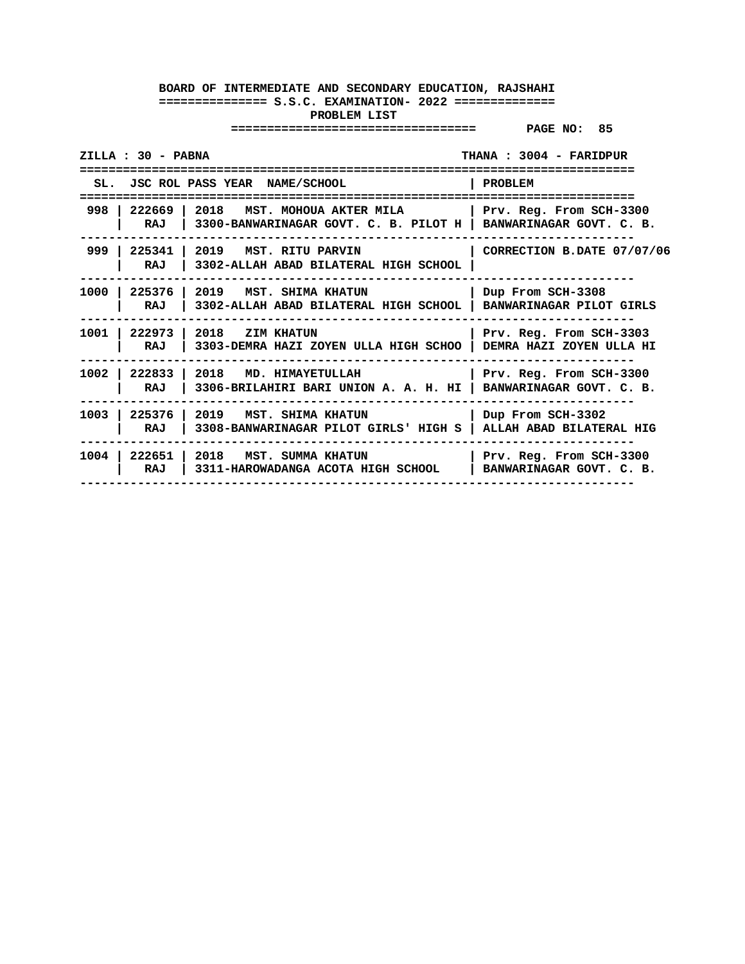| ZILLA : 30 - PABNA<br>THANA: 3004 - FARIDPUR |                                                                                                     |                                                            |  |
|----------------------------------------------|-----------------------------------------------------------------------------------------------------|------------------------------------------------------------|--|
|                                              | SL. JSC ROL PASS YEAR NAME/SCHOOL                                                                   | PROBLEM<br>-------------------                             |  |
| 998 222669 1<br>RAJ                          | 2018<br>MST. MOHOUA AKTER MILA<br>3300-BANWARINAGAR GOVT. C. B. PILOT H   BANWARINAGAR GOVT. C. B.  | Prv. Reg. From SCH-3300                                    |  |
| 999<br>225341<br>RAJ                         | 2019 MST. RITU PARVIN<br>3302-ALLAH ABAD BILATERAL HIGH SCHOOL                                      | CORRECTION B.DATE 07/07/06                                 |  |
| 1000<br>RAJ                                  | 225376   2019 MST. SHIMA KHATUN<br>3302-ALLAH ABAD BILATERAL HIGH SCHOOL   BANWARINAGAR PILOT GIRLS | Dup From SCH-3308                                          |  |
| 1001<br>222973<br>RAJ                        | 2018 ZIM KHATUN<br>3303-DEMRA HAZI ZOYEN ULLA HIGH SCHOO                                            | Prv. Reg. From SCH-3303<br><b>DEMRA HAZI ZOYEN ULLA HI</b> |  |
| 1002<br>222833<br>RAJ                        | 2018 MD. HIMAYETULLAH<br>3306-BRILAHIRI BARI UNION A. A. H. HI                                      | Prv. Reg. From SCH-3300<br>BANWARINAGAR GOVT. C. B.        |  |
| 1003<br>225376<br>RAJ                        | 2019 MST. SHIMA KHATUN<br>3308-BANWARINAGAR PILOT GIRLS' HIGH S                                     | Dup From SCH-3302<br>ALLAH ABAD BILATERAL HIG              |  |
| 1004<br>222651<br>RAJ                        | 2018 MST. SUMMA KHATUN<br>3311-HAROWADANGA ACOTA HIGH SCHOOL                                        | Prv. Reg. From SCH-3300<br>BANWARINAGAR GOVT. C. B.        |  |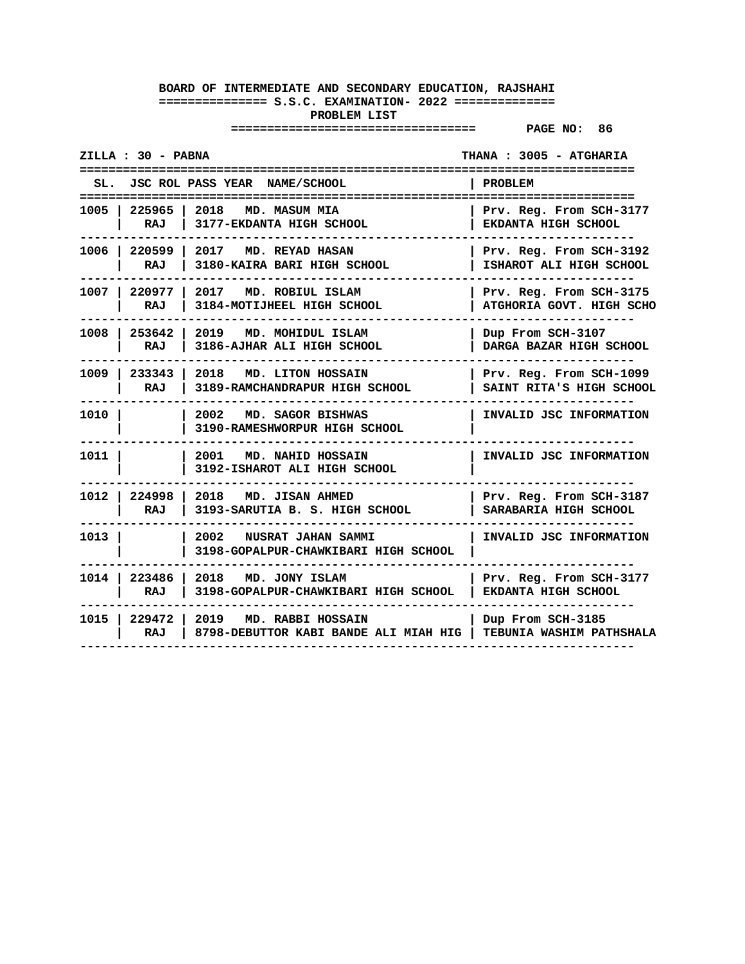| ZILLA : 30 - PABNA            |                                                                                 | THANA : 3005 - ATGHARIA<br>=====================    |
|-------------------------------|---------------------------------------------------------------------------------|-----------------------------------------------------|
| SL.                           | JSC ROL PASS YEAR NAME/SCHOOL                                                   | <b>PROBLEM</b><br>=====================             |
| 1005   225965<br>RAJ          | 2018<br>MD. MASUM MIA<br>3177-EKDANTA HIGH SCHOOL                               | Prv. Reg. From SCH-3177<br>EKDANTA HIGH SCHOOL      |
| 1006   220599  <br>RAJ        | 2017<br><b>MD. REYAD HASAN</b><br>3180-KAIRA BARI HIGH SCHOOL                   | Prv. Reg. From SCH-3192<br>ISHAROT ALI HIGH SCHOOL  |
| 1007   220977  <br><b>RAJ</b> | 2017 MD. ROBIUL ISLAM<br>3184-MOTIJHEEL HIGH SCHOOL                             | Prv. Reg. From SCH-3175<br>ATGHORIA GOVT. HIGH SCHO |
| 253642<br>1008 I<br>RAJ       | 2019<br>MD. MOHIDUL ISLAM<br>3186-AJHAR ALI HIGH SCHOOL                         | Dup From SCH-3107<br>DARGA BAZAR HIGH SCHOOL        |
| 1009 I<br>233343<br>RAJ       | l 2018<br>MD. LITON HOSSAIN<br>3189-RAMCHANDRAPUR HIGH SCHOOL                   | Prv. Reg. From SCH-1099<br>SAINT RITA'S HIGH SCHOOL |
| 1010 l                        | 2002<br>MD. SAGOR BISHWAS<br>3190-RAMESHWORPUR HIGH SCHOOL                      | INVALID JSC INFORMATION                             |
| 1011                          | 2001<br>MD. NAHID HOSSAIN<br>3192-ISHAROT ALI HIGH SCHOOL                       | INVALID JSC INFORMATION                             |
| 1012 l<br><b>RAJ</b>          | 224998 2018<br>MD. JISAN AHMED<br>3193-SARUTIA B. S. HIGH SCHOOL                | Prv. Reg. From SCH-3187<br>SARABARIA HIGH SCHOOL    |
| 1013                          | 2002 NUSRAT JAHAN SAMMI<br>3198-GOPALPUR-CHAWKIBARI HIGH SCHOOL                 | INVALID JSC INFORMATION                             |
| 223486<br>1014 l<br>RAJ       | 2018 MD. JONY ISLAM<br>3198-GOPALPUR-CHAWKIBARI HIGH SCHOOL                     | Prv. Reg. From SCH-3177<br>EKDANTA HIGH SCHOOL      |
| <b>RAJ</b>                    | 1015   229472   2019 MD. RABBI HOSSAIN<br>8798-DEBUTTOR KABI BANDE ALI MIAH HIG | Dup From SCH-3185<br>TEBUNIA WASHIM PATHSHALA       |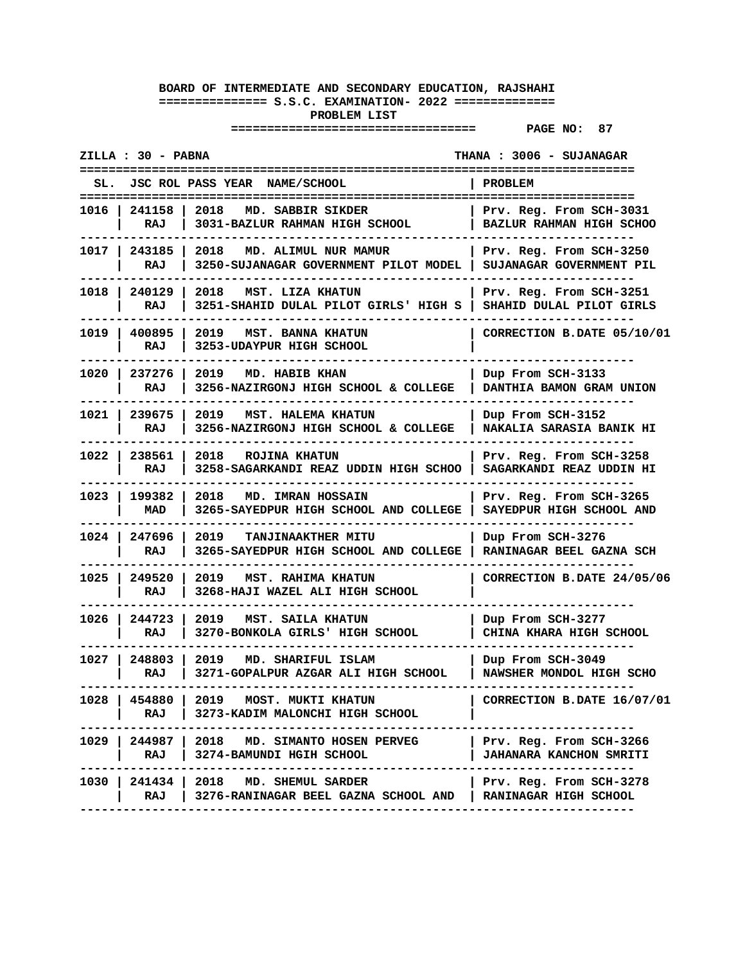| ZILLA : 30 - PABNA      |                                                                                                                                           | THANA : 3006 - SUJANAGAR                             |
|-------------------------|-------------------------------------------------------------------------------------------------------------------------------------------|------------------------------------------------------|
| SL.                     | JSC ROL PASS YEAR NAME/SCHOOL                                                                                                             | PROBLEM                                              |
| 1016   241158  <br>RAJ  | 2018 MD. SABBIR SIKDER<br>3031-BAZLUR RAHMAN HIGH SCHOOL                                                                                  | Prv. Reg. From SCH-3031<br>BAZLUR RAHMAN HIGH SCHOO  |
| 1017   243185<br>RAJ    | 2018<br>MD. ALIMUL NUR MAMUR<br>3250-SUJANAGAR GOVERNMENT PILOT MODEL                                                                     | Prv. Reg. From SCH-3250<br>SUJANAGAR GOVERNMENT PIL  |
| 1018 I<br>240129<br>RAJ | 2018<br>MST. LIZA KHATUN<br>3251-SHAHID DULAL PILOT GIRLS' HIGH S                                                                         | Prv. Reg. From SCH-3251<br>SHAHID DULAL PILOT GIRLS  |
| 1019   400895<br>RAJ    | 2019<br>MST. BANNA KHATUN<br>3253-UDAYPUR HIGH SCHOOL                                                                                     | CORRECTION B.DATE 05/10/01                           |
| 1020 l<br>237276<br>RAJ | <b>MD. HABIB KHAN</b><br>2019<br>3256-NAZIRGONJ HIGH SCHOOL & COLLEGE                                                                     | Dup From SCH-3133<br>DANTHIA BAMON GRAM UNION        |
| 1021   239675<br>RAJ    | 2019<br>MST. HALEMA KHATUN<br>3256-NAZIRGONJ HIGH SCHOOL & COLLEGE                                                                        | Dup From SCH-3152<br><b>NAKALIA SARASIA BANIK HI</b> |
| 1022 l<br>238561<br>RAJ | 2018<br>ROJINA KHATUN<br>3258-SAGARKANDI REAZ UDDIN HIGH SCHOO                                                                            | Prv. Reg. From SCH-3258<br>SAGARKANDI REAZ UDDIN HI  |
| 1023 l<br>199382<br>MAD | 2018<br><b>MD. IMRAN HOSSAIN</b><br>3265-SAYEDPUR HIGH SCHOOL AND COLLEGE                                                                 | Prv. Reg. From SCH-3265<br>SAYEDPUR HIGH SCHOOL AND  |
| 1024   247696<br>RAJ    | 2019<br>TANJINAAKTHER MITU<br>3265-SAYEDPUR HIGH SCHOOL AND COLLEGE                                                                       | Dup From SCH-3276<br>RANINAGAR BEEL GAZNA SCH        |
| 1025<br>249520<br>RAJ   | 2019<br><b>MST. RAHIMA KHATUN</b><br>3268-HAJI WAZEL ALI HIGH SCHOOL                                                                      | CORRECTION B.DATE 24/05/06                           |
| 1026 I<br>244723<br>RAJ | 2019<br>MST. SAILA KHATUN<br>3270-BONKOLA GIRLS' HIGH SCHOOL                                                                              | Dup From SCH-3277<br>CHINA KHARA HIGH SCHOOL         |
| 1027 l<br>248803<br>RAJ | 2019<br>MD. SHARIFUL ISLAM<br>3271-GOPALPUR AZGAR ALI HIGH SCHOOL                                                                         | Dup From SCH-3049<br>NAWSHER MONDOL HIGH SCHO        |
| RAJ                     | 1028   454880   2019   MOST. MUKTI KHATUN<br>3273-KADIM MALONCHI HIGH SCHOOL<br>------------------------------                            | CORRECTION B.DATE 16/07/01                           |
| RAJ I                   | 1029   244987   2018 MD. SIMANTO HOSEN PERVEG   Prv. Reg. From SCH-3266<br>3274-BAMUNDI HGIH SCHOOL                                       | <b>JAHANARA KANCHON SMRITI</b>                       |
| RAJ                     | 1030   241434   2018 MD. SHEMUL SARDER<br>  3276-RANINAGAR BEEL GAZNA SCHOOL AND   RANINAGAR HIGH SCHOOL<br>----------------------------- | Prv. Reg. From SCH-3278                              |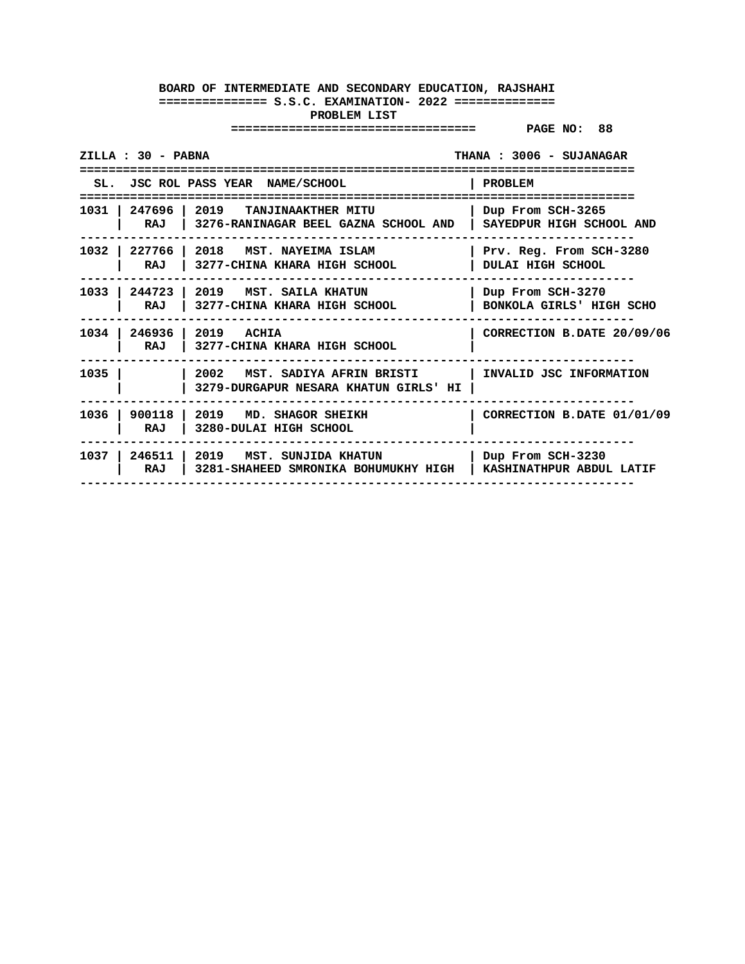| ZILLA : 30 - PABNA    |                                                                                             | THANA: 3006 - SUJANAGAR                         |
|-----------------------|---------------------------------------------------------------------------------------------|-------------------------------------------------|
|                       | SL. JSC ROL PASS YEAR NAME/SCHOOL                                                           | PROBLEM                                         |
| 1031   247696   2019  | TANJINAAKTHER MITU<br>RAJ   3276-RANINAGAR BEEL GAZNA SCHOOL AND   SAYEDPUR HIGH SCHOOL AND | Dup From SCH-3265                               |
| 1032<br>RAJ           | 227766   2018   MST. NAYEIMA ISLAM<br>3277-CHINA KHARA HIGH SCHOOL                          | Prv. Reg. From SCH-3280<br>DULAI HIGH SCHOOL    |
| RAJ                   | 1033   244723   2019   MST. SAILA KHATUN<br>3277-CHINA KHARA HIGH SCHOOL                    | Dup From SCH-3270<br>BONKOLA GIRLS' HIGH SCHO   |
| 1034<br>RAJ           | 246936   2019 ACHIA<br>3277-CHINA KHARA HIGH SCHOOL                                         | CORRECTION B.DATE 20/09/06                      |
| 1035                  | 2002<br>MST. SADIYA AFRIN BRISTI<br>3279-DURGAPUR NESARA KHATUN GIRLS' HI                   | INVALID JSC INFORMATION                         |
| 900118<br>1036<br>RAJ | 2019 MD. SHAGOR SHEIKH<br>3280-DULAI HIGH SCHOOL                                            | CORRECTION B.DATE 01/01/09                      |
| RAJ                   | 1037   246511   2019   MST. SUNJIDA KHATUN<br>3281-SHAHEED SMRONIKA BOHUMUKHY HIGH          | Dup From SCH-3230<br>  KASHINATHPUR ABDUL LATIF |
|                       |                                                                                             |                                                 |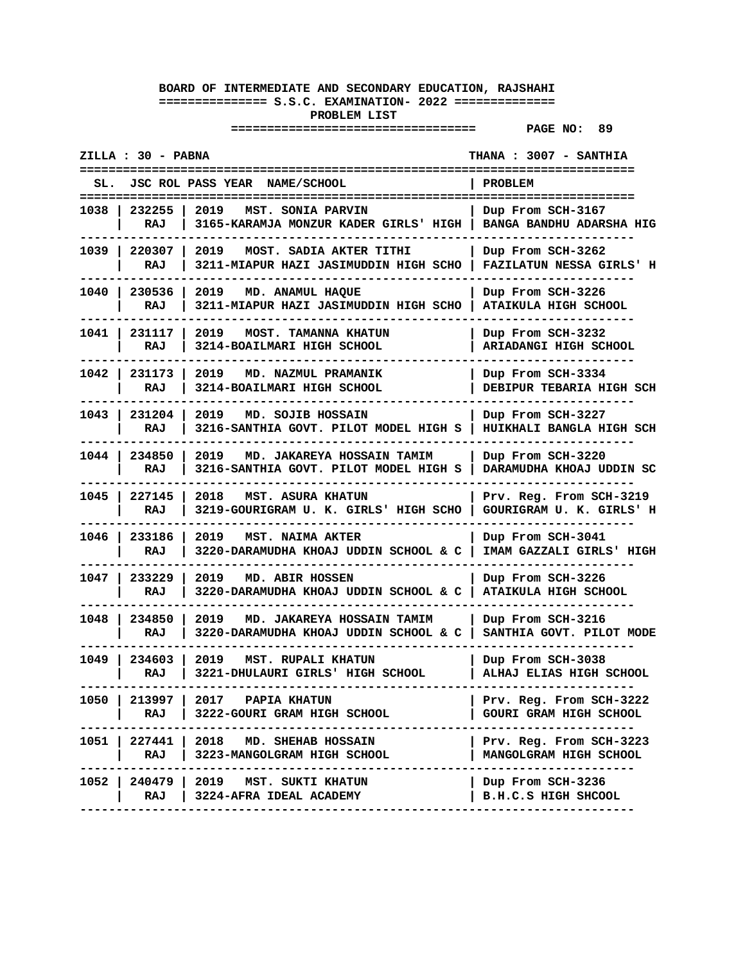| ZILLA : 30 - PABNA                               |                                                                     | THANA : 3007 - SANTHIA                                   |
|--------------------------------------------------|---------------------------------------------------------------------|----------------------------------------------------------|
| JSC ROL PASS YEAR NAME/SCHOOL<br>SL.             |                                                                     | PROBLEM                                                  |
| 2019<br>1038 I<br>232255<br>RAJ                  | MST. SONIA PARVIN<br>3165-KARAMJA MONZUR KADER GIRLS' HIGH          | Dup From SCH-3167<br><b>BANGA BANDHU ADARSHA HIG</b>     |
| 1039   220307<br>2019<br>RAJ                     | MOST. SADIA AKTER TITHI<br>3211-MIAPUR HAZI JASIMUDDIN HIGH SCHO    | Dup From SCH-3262<br>FAZILATUN NESSA GIRLS' H            |
| 230536<br>1040<br>2019<br>RAJ                    | MD. ANAMUL HAQUE<br>3211-MIAPUR HAZI JASIMUDDIN HIGH SCHO           | Dup From SCH-3226<br>ATAIKULA HIGH SCHOOL                |
| 1041<br>2019<br>231117<br>RAJ                    | MOST. TAMANNA KHATUN<br>3214-BOAILMARI HIGH SCHOOL                  | Dup From SCH-3232<br><b>ARIADANGI HIGH SCHOOL</b>        |
| 1042<br>231173<br>2019<br>RAJ                    | MD. NAZMUL PRAMANIK<br>3214-BOAILMARI HIGH SCHOOL                   | Dup From SCH-3334<br><b>DEBIPUR TEBARIA HIGH SCH</b>     |
| 231204<br>1043 l<br>2019<br>RAJ                  | MD. SOJIB HOSSAIN<br>3216-SANTHIA GOVT. PILOT MODEL HIGH S          | Dup From SCH-3227<br>HUIKHALI BANGLA HIGH SCH            |
| 1044 I<br>234850<br>2019<br>RAJ                  | MD. JAKAREYA HOSSAIN TAMIM<br>3216-SANTHIA GOVT. PILOT MODEL HIGH S | Dup From SCH-3220<br>DARAMUDHA KHOAJ UDDIN SC            |
| $1045$ $\vert$<br>227145<br>2018<br>RAJ          | <b>MST. ASURA KHATUN</b><br>3219-GOURIGRAM U. K. GIRLS' HIGH SCHO   | Prv. Reg. From SCH-3219<br>GOURIGRAM U. K. GIRLS' H      |
| 1046 l<br>233186<br>2019<br>RAJ                  | <b>MST. NAIMA AKTER</b><br>3220-DARAMUDHA KHOAJ UDDIN SCHOOL & C    | Dup From SCH-3041<br>IMAM GAZZALI GIRLS' HIGH            |
| 1047<br>233229<br>2019<br>RAJ                    | MD. ABIR HOSSEN<br>3220-DARAMUDHA KHOAJ UDDIN SCHOOL & C            | Dup From SCH-3226<br>ATAIKULA HIGH SCHOOL                |
| 234850<br>2019<br>1048 l<br>RAJ                  | MD. JAKAREYA HOSSAIN TAMIM<br>3220-DARAMUDHA KHOAJ UDDIN SCHOOL & C | Dup From SCH-3216<br>SANTHIA GOVT. PILOT MODE            |
| 1049 l<br>234603<br>2019<br>RAJ                  | <b>MST. RUPALI KHATUN</b><br>3221-DHULAURI GIRLS' HIGH SCHOOL       | Dup From SCH-3038<br>ALHAJ ELIAS HIGH SCHOOL             |
| 213997   2017 PAPIA KHATUN<br>1050 l<br>RAJ      | 3222-GOURI GRAM HIGH SCHOOL                                         | Prv. Reg. From SCH-3222<br><b>GOURI GRAM HIGH SCHOOL</b> |
| 1051   227441   2018 MD. SHEHAB HOSSAIN<br>RAJ I | 3223-MANGOLGRAM HIGH SCHOOL                                         | Prv. Reg. From SCH-3223<br>MANGOLGRAM HIGH SCHOOL        |
| 240479   2019 MST. SUKTI KHATUN<br>1052 l<br>RAJ | 3224-AFRA IDEAL ACADEMY                                             | Dup From SCH-3236<br>B.H.C.S HIGH SHCOOL                 |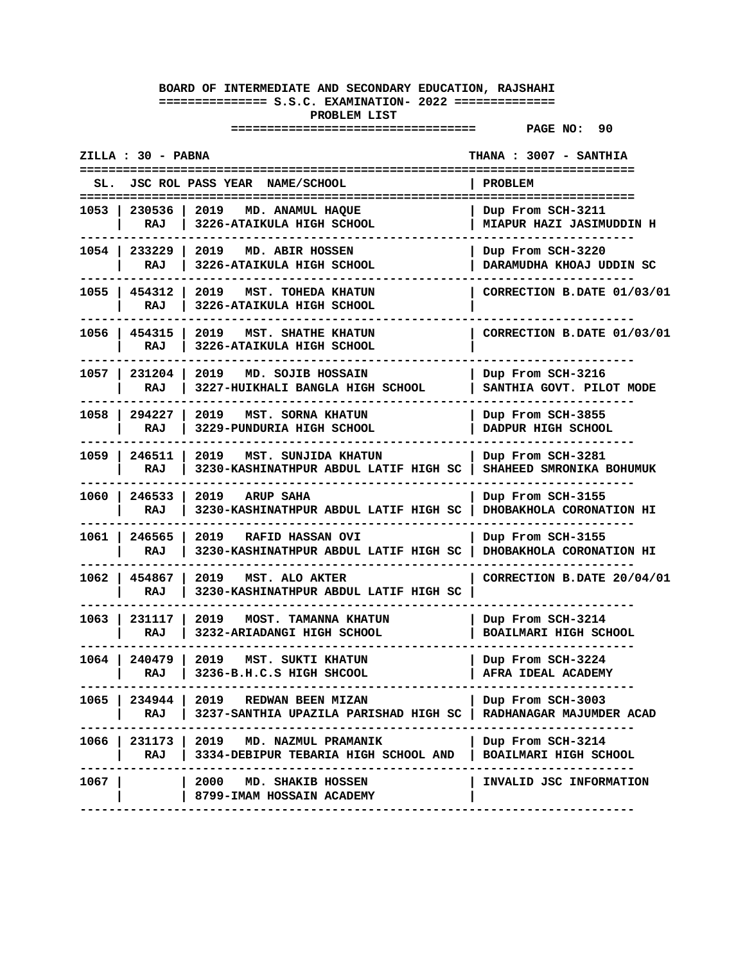|        | ZILLA : 30 - PABNA     |                                                                                  | <b>THANA : 3007 - SANTHIA</b><br>==================== |
|--------|------------------------|----------------------------------------------------------------------------------|-------------------------------------------------------|
| SL.    |                        | JSC ROL PASS YEAR NAME/SCHOOL                                                    | <b>PROBLEM</b>                                        |
|        | 1053   230536  <br>RAJ | 2019<br>MD. ANAMUL HAOUE<br>3226-ATAIKULA HIGH SCHOOL                            | Dup From SCH-3211<br><b>MIAPUR HAZI JASIMUDDIN H</b>  |
|        | 1054   233229  <br>RAJ | 2019 MD. ABIR HOSSEN<br>3226-ATAIKULA HIGH SCHOOL                                | Dup From SCH-3220<br>DARAMUDHA KHOAJ UDDIN SC         |
|        | 1055   454312  <br>RAJ | 2019<br>MST. TOHEDA KHATUN<br>3226-ATAIKULA HIGH SCHOOL                          | CORRECTION B.DATE 01/03/01                            |
|        | 1056   454315<br>RAJ   | 2019<br>MST. SHATHE KHATUN<br>3226-ATAIKULA HIGH SCHOOL                          | CORRECTION B.DATE 01/03/01                            |
|        | 1057   231204<br>RAJ   | 2019<br>MD. SOJIB HOSSAIN<br>3227-HUIKHALI BANGLA HIGH SCHOOL                    | Dup From SCH-3216<br>SANTHIA GOVT. PILOT MODE         |
| 1058 l | 294227<br>RAJ          | 2019<br>MST. SORNA KHATUN<br>3229-PUNDURIA HIGH SCHOOL                           | Dup From SCH-3855<br>DADPUR HIGH SCHOOL               |
| 1059 l | 246511<br>RAJ          | 2019<br>MST. SUNJIDA KHATUN<br>3230-KASHINATHPUR ABDUL LATIF HIGH SC             | Dup From SCH-3281<br>SHAHEED SMRONIKA BOHUMUK         |
|        | 1060   246533  <br>RAJ | 2019<br><b>ARUP SAHA</b><br>3230-KASHINATHPUR ABDUL LATIF HIGH SC                | Dup From SCH-3155<br>DHOBAKHOLA CORONATION HI         |
|        | 1061   246565<br>RAJ   | 2019 RAFID HASSAN OVI<br>3230-KASHINATHPUR ABDUL LATIF HIGH SC                   | Dup From SCH-3155<br>DHOBAKHOLA CORONATION HI         |
|        | 1062   454867  <br>RAJ | 2019 MST. ALO AKTER<br>3230-KASHINATHPUR ABDUL LATIF HIGH SC                     | CORRECTION B.DATE 20/04/01                            |
| 1063   | 231117<br>RAJ          | 2019<br><b>MOST. TAMANNA KHATUN</b><br>3232-ARIADANGI HIGH SCHOOL                | Dup From SCH-3214<br>BOAILMARI HIGH SCHOOL            |
|        | 1064 240479<br>RAJ     | 2019<br>MST. SUKTI KHATUN<br>3236-B.H.C.S HIGH SHCOOL                            | Dup From SCH-3224<br>AFRA IDEAL ACADEMY               |
| 1065   | 234944  <br>RAJ        | 2019 REDWAN BEEN MIZAN<br>3237-SANTHIA UPAZILA PARISHAD HIGH SC                  | Dup From SCH-3003<br>RADHANAGAR MAJUMDER ACAD         |
|        | RAJ                    | 1066   231173   2019 MD. NAZMUL PRAMANIK<br>3334-DEBIPUR TEBARIA HIGH SCHOOL AND | Dup From SCH-3214<br>BOAILMARI HIGH SCHOOL            |
| 1067 l |                        | 2000 MD. SHAKIB HOSSEN<br>8799-IMAM HOSSAIN ACADEMY                              | INVALID JSC INFORMATION                               |
|        |                        |                                                                                  |                                                       |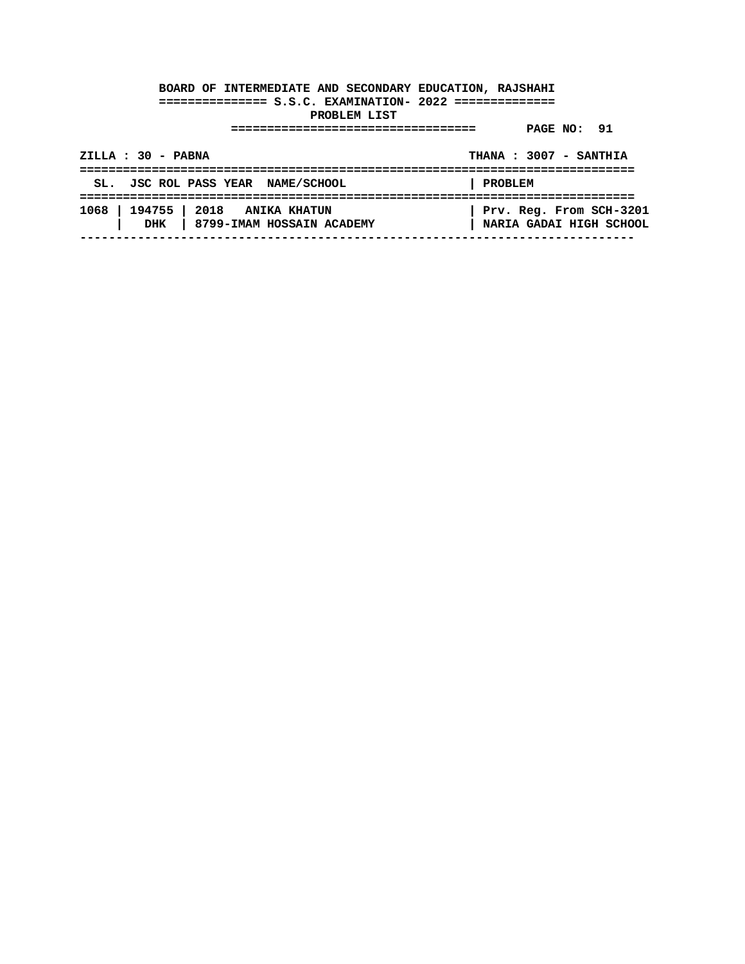| $ZILLA : 30 - PABNA$                                                 | THANA: 3007 - SANTHIA                              |
|----------------------------------------------------------------------|----------------------------------------------------|
| SL. JSC ROL PASS YEAR NAME/SCHOOL                                    | PROBLEM                                            |
| 1068   194755   2018 ANIKA KHATUN<br>DHK   8799-IMAM HOSSAIN ACADEMY | Prv. Reg. From SCH-3201<br>NARIA GADAI HIGH SCHOOL |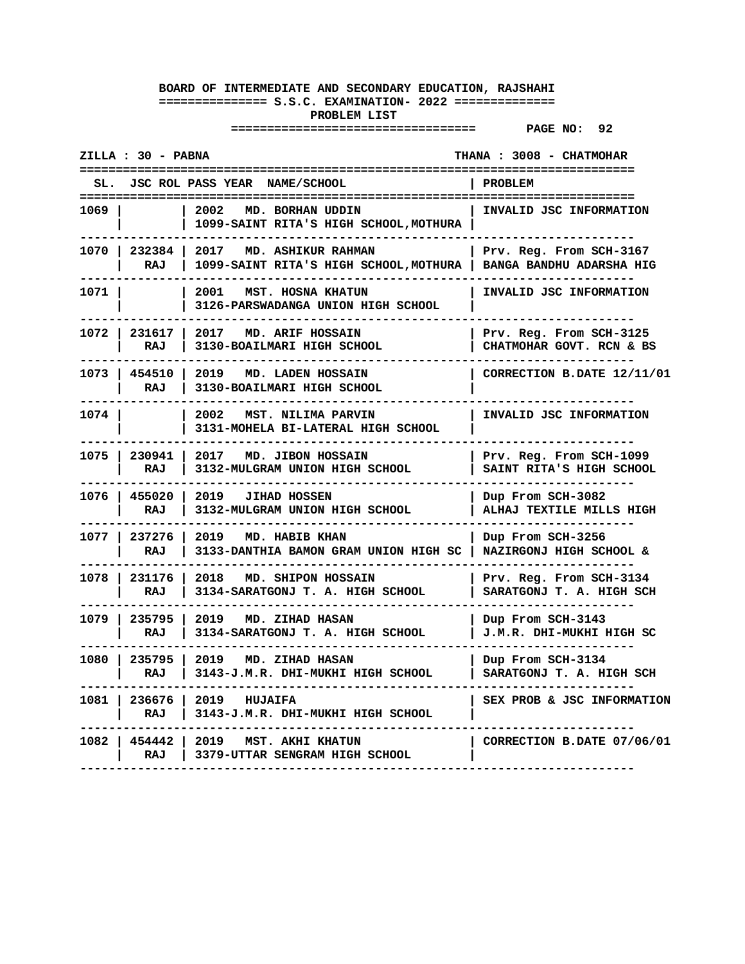| ZILLA : 30 - PABNA |                        |                                                                        | THANA: 3008 - CHATMOHAR                             |
|--------------------|------------------------|------------------------------------------------------------------------|-----------------------------------------------------|
|                    |                        | SL. JSC ROL PASS YEAR NAME/SCHOOL                                      | PROBLEM                                             |
| 1069               |                        | 2002<br>MD. BORHAN UDDIN<br>1099-SAINT RITA'S HIGH SCHOOL, MOTHURA     | INVALID JSC INFORMATION                             |
|                    | 1070   232384  <br>RAJ | 2017 MD. ASHIKUR RAHMAN<br>1099-SAINT RITA'S HIGH SCHOOL, MOTHURA      | Prv. Reg. From SCH-3167<br>BANGA BANDHU ADARSHA HIG |
| 1071               |                        | 2001<br>MST. HOSNA KHATUN<br>3126-PARSWADANGA UNION HIGH SCHOOL        | INVALID JSC INFORMATION                             |
|                    | 1072   231617  <br>RAJ | 2017 MD. ARIF HOSSAIN<br>3130-BOAILMARI HIGH SCHOOL                    | Prv. Reg. From SCH-3125<br>CHATMOHAR GOVT. RCN & BS |
| 1073 l             | 454510<br>RAJ          | 2019<br>MD. LADEN HOSSAIN<br>3130-BOAILMARI HIGH SCHOOL                | CORRECTION B.DATE 12/11/01                          |
| 1074 l             |                        | 2002<br>MST. NILIMA PARVIN<br>3131-MOHELA BI-LATERAL HIGH SCHOOL       | INVALID JSC INFORMATION                             |
|                    | 1075   230941<br>RAJ   | 2017 MD. JIBON HOSSAIN<br>3132-MULGRAM UNION HIGH SCHOOL               | Prv. Reg. From SCH-1099<br>SAINT RITA'S HIGH SCHOOL |
|                    | 1076   455020<br>RAJ   | 2019<br><b>JIHAD HOSSEN</b><br>3132-MULGRAM UNION HIGH SCHOOL          | Dup From SCH-3082<br>ALHAJ TEXTILE MILLS HIGH       |
|                    | 1077   237276  <br>RAJ | 2019<br><b>MD. HABIB KHAN</b><br>3133-DANTHIA BAMON GRAM UNION HIGH SC | Dup From SCH-3256<br>NAZIRGONJ HIGH SCHOOL &        |
| 1078               | 231176<br>RAJ          | 2018<br>MD. SHIPON HOSSAIN<br>3134-SARATGONJ T. A. HIGH SCHOOL         | Prv. Reg. From SCH-3134<br>SARATGONJ T. A. HIGH SCH |
|                    | 1079   235795  <br>RAJ | 2019<br>MD. ZIHAD HASAN<br>3134-SARATGONJ T. A. HIGH SCHOOL            | Dup From SCH-3143<br>J.M.R. DHI-MUKHI HIGH SC       |
|                    | 1080   235795<br>RAJ   | 2019<br>MD. ZIHAD HASAN<br>3143-J.M.R. DHI-MUKHI HIGH SCHOOL           | Dup From SCH-3134<br>SARATGONJ T. A. HIGH SCH       |
|                    | 1081   236676  <br>RAJ | 2019<br><b>HUJAIFA</b><br>3143-J.M.R. DHI-MUKHI HIGH SCHOOL            | SEX PROB & JSC INFORMATION                          |
|                    | 1082   454442<br>RAJ   | 2019<br><b>MST. AKHI KHATUN</b><br>3379-UTTAR SENGRAM HIGH SCHOOL      | CORRECTION B.DATE 07/06/01                          |
|                    |                        |                                                                        |                                                     |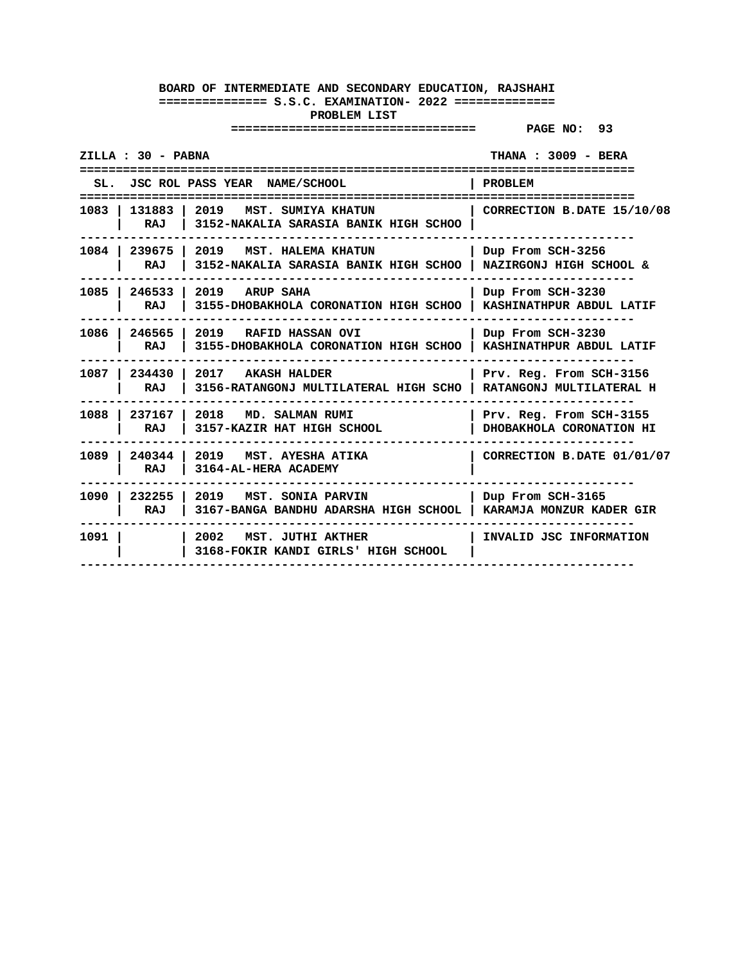| <b>THANA : 3009 - BERA</b><br>ZILLA : 30 - PABNA |                                                                                  |                                                     |
|--------------------------------------------------|----------------------------------------------------------------------------------|-----------------------------------------------------|
|                                                  | SL. JSC ROL PASS YEAR NAME/SCHOOL                                                | <b>PROBLEM</b>                                      |
| 1083   131883<br>RAJ                             | 2019<br>MST. SUMIYA KHATUN<br>3152-NAKALIA SARASIA BANIK HIGH SCHOO              | CORRECTION B.DATE 15/10/08                          |
| 1084 l<br>RAJ                                    | 239675 2019 MST. HALEMA KHATUN<br>3152-NAKALIA SARASIA BANIK HIGH SCHOO          | Dup From SCH-3256<br>NAZIRGONJ HIGH SCHOOL &        |
| 1085 246533<br>RAJ                               | 2019 ARUP SAHA<br>3155-DHOBAKHOLA CORONATION HIGH SCHOO                          | Dup From SCH-3230<br>KASHINATHPUR ABDUL LATIF       |
| RAJ                                              | 1086   246565   2019   RAFID HASSAN OVI<br>3155-DHOBAKHOLA CORONATION HIGH SCHOO | Dup From SCH-3230<br>KASHINATHPUR ABDUL LATIF       |
| 1087   234430<br>RAJ                             | 2017 AKASH HALDER<br>3156-RATANGONJ MULTILATERAL HIGH SCHO                       | Prv. Reg. From SCH-3156<br>RATANGONJ MULTILATERAL H |
| 1088 237167<br>RAJ                               | 2018 MD. SALMAN RUMI<br>3157-KAZIR HAT HIGH SCHOOL                               | Prv. Reg. From SCH-3155<br>DHOBAKHOLA CORONATION HI |
| 1089 I<br>240344<br>RAJ                          | 2019 MST. AYESHA ATIKA<br>3164-AL-HERA ACADEMY                                   | CORRECTION B.DATE 01/01/07                          |
| 1090 l<br>RAJ                                    | 232255   2019 MST. SONIA PARVIN<br>3167-BANGA BANDHU ADARSHA HIGH SCHOOL         | Dup From SCH-3165<br>KARAMJA MONZUR KADER GIR       |
| 1091                                             | 2002 MST. JUTHI AKTHER<br>3168-FOKIR KANDI GIRLS' HIGH SCHOOL                    | INVALID JSC INFORMATION                             |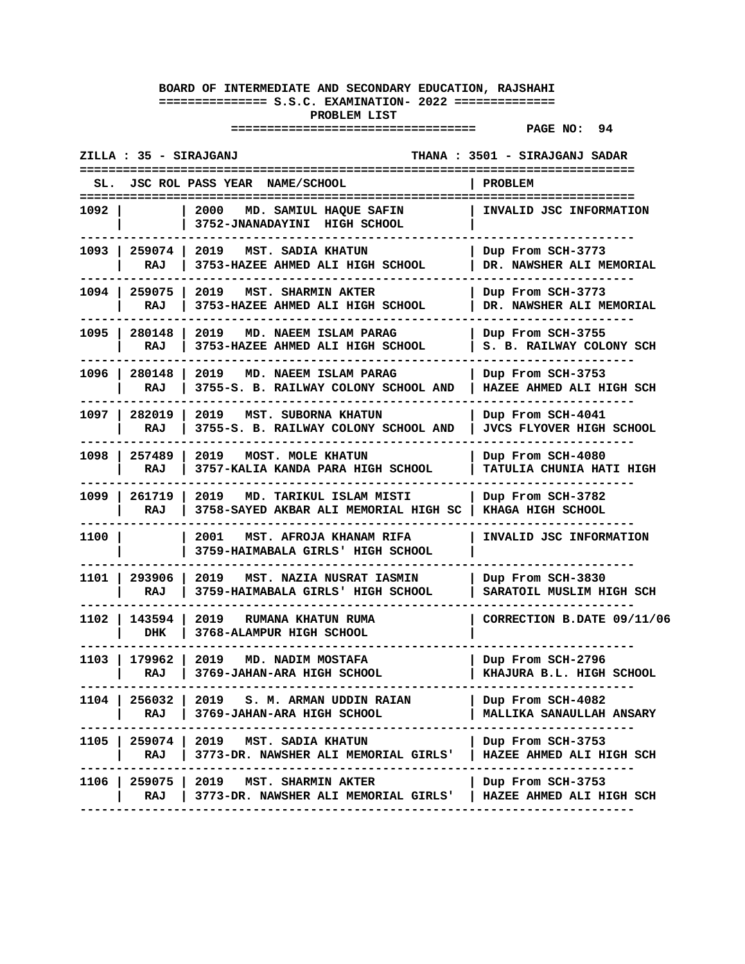|        | ZILLA : 35 - SIRAJGANJ |                                                                                | THANA : 3501 - SIRAJGANJ SADAR                       |
|--------|------------------------|--------------------------------------------------------------------------------|------------------------------------------------------|
| SL.    |                        | JSC ROL PASS YEAR NAME/SCHOOL                                                  | PROBLEM                                              |
| 1092 I |                        | 2000 MD. SAMIUL HAQUE SAFIN<br>3752-JNANADAYINI HIGH SCHOOL                    | INVALID JSC INFORMATION                              |
|        | 1093   259074  <br>RAJ | 2019 MST. SADIA KHATUN<br>3753-HAZEE AHMED ALI HIGH SCHOOL                     | Dup From SCH-3773<br>DR. NAWSHER ALI MEMORIAL        |
|        | 1094   259075<br>RAJ   | 2019<br><b>MST. SHARMIN AKTER</b><br>3753-HAZEE AHMED ALI HIGH SCHOOL          | Dup From SCH-3773<br>DR. NAWSHER ALI MEMORIAL        |
|        | 1095   280148<br>RAJ   | 2019 MD. NAEEM ISLAM PARAG<br>3753-HAZEE AHMED ALI HIGH SCHOOL                 | Dup From SCH-3755<br>S. B. RAILWAY COLONY SCH        |
|        | 1096   280148<br>RAJ   | 2019 MD. NAEEM ISLAM PARAG<br>3755-S. B. RAILWAY COLONY SCHOOL AND             | Dup From SCH-3753<br>HAZEE AHMED ALI HIGH SCH        |
|        | 1097   282019<br>RAJ   | 2019 MST. SUBORNA KHATUN<br>3755-S. B. RAILWAY COLONY SCHOOL AND               | Dup From SCH-4041<br><b>JVCS FLYOVER HIGH SCHOOL</b> |
|        | 1098 257489<br>RAJ     | 2019 MOST. MOLE KHATUN<br>3757-KALIA KANDA PARA HIGH SCHOOL                    | Dup From SCH-4080<br><b>TATULIA CHUNIA HATI HIGH</b> |
|        | 1099   261719<br>RAJ   | 2019<br>MD. TARIKUL ISLAM MISTI<br>3758-SAYED AKBAR ALI MEMORIAL HIGH SC       | Dup From SCH-3782<br>KHAGA HIGH SCHOOL               |
| 1100 l |                        | 2001<br>MST. AFROJA KHANAM RIFA<br>3759-HAIMABALA GIRLS' HIGH SCHOOL           | INVALID JSC INFORMATION                              |
| 1101 I | 293906<br>RAJ          | 2019<br>MST. NAZIA NUSRAT IASMIN<br>3759-HAIMABALA GIRLS' HIGH SCHOOL          | Dup From SCH-3830<br>SARATOIL MUSLIM HIGH SCH        |
| 1102 l | 143594 1<br>DHK        | 2019 RUMANA KHATUN RUMA<br>3768-ALAMPUR HIGH SCHOOL                            | CORRECTION B.DATE 09/11/06                           |
| 1103 l | 179962 l<br>RAJ        | 2019<br>MD. NADIM MOSTAFA<br>3769-JAHAN-ARA HIGH SCHOOL                        | Dup From SCH-2796<br>KHAJURA B.L. HIGH SCHOOL        |
| 1104 I | 256032 l<br>RAJ        | 2019 S.M. ARMAN UDDIN RAIAN<br>3769-JAHAN-ARA HIGH SCHOOL                      | Dup From SCH-4082<br>MALLIKA SANAULLAH ANSARY        |
|        | RAJ                    | 1105   259074   2019 MST. SADIA KHATUN<br>3773-DR. NAWSHER ALI MEMORIAL GIRLS' | Dup From SCH-3753<br>HAZEE AHMED ALI HIGH SCH        |
|        | 1106   259075  <br>RAJ | 2019 MST. SHARMIN AKTER<br>3773-DR. NAWSHER ALI MEMORIAL GIRLS'                | Dup From SCH-3753<br>HAZEE AHMED ALI HIGH SCH        |
|        |                        |                                                                                |                                                      |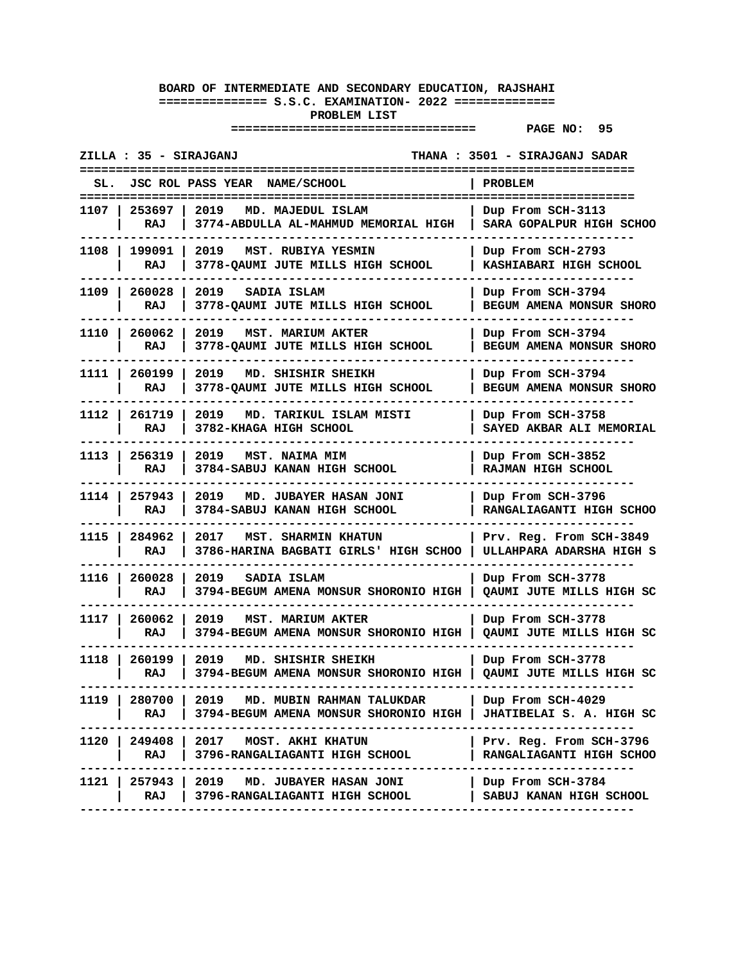| ZILLA : 35 - SIRAJGANJ  |                                                                                                                         | THANA : 3501 - SIRAJGANJ SADAR                      |
|-------------------------|-------------------------------------------------------------------------------------------------------------------------|-----------------------------------------------------|
| SL.                     | JSC ROL PASS YEAR NAME/SCHOOL                                                                                           | <b>PROBLEM</b>                                      |
| 1107<br>253697<br>RAJ   | 2019<br>MD. MAJEDUL ISLAM<br>3774-ABDULLA AL-MAHMUD MEMORIAL HIGH                                                       | Dup From SCH-3113<br>SARA GOPALPUR HIGH SCHOO       |
| 199091<br>1108 l<br>RAJ | 2019<br>MST. RUBIYA YESMIN<br>3778-QAUMI JUTE MILLS HIGH SCHOOL                                                         | Dup From SCH-2793<br>KASHIABARI HIGH SCHOOL         |
| 1109 I<br>260028<br>RAJ | 2019<br>SADIA ISLAM<br>3778-QAUMI JUTE MILLS HIGH SCHOOL                                                                | Dup From SCH-3794<br>BEGUM AMENA MONSUR SHORO       |
| 1110 I<br>260062<br>RAJ | 2019<br><b>MST. MARIUM AKTER</b><br>3778-QAUMI JUTE MILLS HIGH SCHOOL                                                   | Dup From SCH-3794<br>BEGUM AMENA MONSUR SHORO       |
| 1111 I<br>260199<br>RAJ | 2019<br>MD. SHISHIR SHEIKH<br>3778-QAUMI JUTE MILLS HIGH SCHOOL                                                         | Dup From SCH-3794<br>BEGUM AMENA MONSUR SHORO       |
| 1112 I<br>261719<br>RAJ | 2019 MD. TARIKUL ISLAM MISTI<br>3782-KHAGA HIGH SCHOOL                                                                  | Dup From SCH-3758<br>SAYED AKBAR ALI MEMORIAL       |
| 1113 l<br>256319<br>RAJ | 2019 MST. NAIMA MIM<br>3784-SABUJ KANAN HIGH SCHOOL                                                                     | Dup From SCH-3852<br>RAJMAN HIGH SCHOOL             |
| 1114 I<br>257943<br>RAJ | 2019<br>MD. JUBAYER HASAN JONI<br>3784-SABUJ KANAN HIGH SCHOOL                                                          | Dup From SCH-3796<br>RANGALIAGANTI HIGH SCHOO       |
| 1115 I<br>284962<br>RAJ | 2017<br><b>MST. SHARMIN KHATUN</b><br>3786-HARINA BAGBATI GIRLS' HIGH SCHOO                                             | Prv. Reg. From SCH-3849<br>ULLAHPARA ADARSHA HIGH S |
| 260028<br>1116<br>RAJ   | 2019<br>SADIA ISLAM<br>3794-BEGUM AMENA MONSUR SHORONIO HIGH                                                            | Dup From SCH-3778<br>QAUMI JUTE MILLS HIGH SC       |
| 260062  <br>1117<br>RAJ | 2019<br>MST. MARIUM AKTER<br>3794-BEGUM AMENA MONSUR SHORONIO HIGH                                                      | Dup From SCH-3778<br>QAUMI JUTE MILLS HIGH SC       |
| 1118<br>260199<br>RAJ   | 2019<br>MD. SHISHIR SHEIKH<br>3794-BEGUM AMENA MONSUR SHORONIO HIGH                                                     | Dup From SCH-3778<br>  QAUMI JUTE MILLS HIGH SC     |
| 1119 I<br>RAJ           | 280700   2019 MD. MUBIN RAHMAN TALUKDAR<br>3794-BEGUM AMENA MONSUR SHORONIO HIGH   JHATIBELAI S. A. HIGH SC<br>-------- | Dup From SCH-4029                                   |
| RAJ I                   | 1120   249408   2017 MOST. AKHI KHATUN<br>3796-RANGALIAGANTI HIGH SCHOOL                                                | Prv. Reg. From SCH-3796<br>RANGALIAGANTI HIGH SCHOO |
| 1121 l<br>RAJ           | 257943 2019 MD. JUBAYER HASAN JONI<br>3796-RANGALIAGANTI HIGH SCHOOL                                                    | Dup From SCH-3784<br>SABUJ KANAN HIGH SCHOOL        |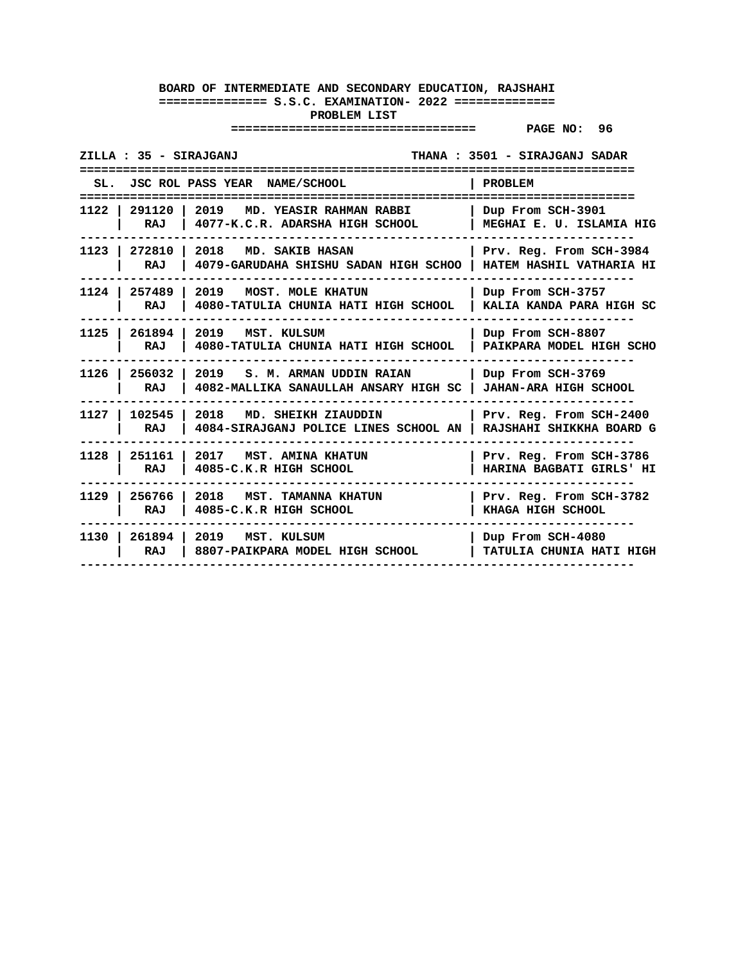|        | ZILLA : 35 - SIRAJGANJ |                                                                                 | THANA: 3501 - SIRAJGANJ SADAR                              |
|--------|------------------------|---------------------------------------------------------------------------------|------------------------------------------------------------|
|        |                        | SL. JSC ROL PASS YEAR NAME/SCHOOL                                               | <b>PROBLEM</b>                                             |
|        |                        |                                                                                 |                                                            |
|        | RAJ                    | 1122   291120   2019 MD. YEASIR RAHMAN RABBI<br>4077-K.C.R. ADARSHA HIGH SCHOOL | Dup From SCH-3901<br>MEGHAI E. U. ISLAMIA HIG              |
|        | 1123 272810<br>RAJ     | 2018<br>MD. SAKIB HASAN<br>4079-GARUDAHA SHISHU SADAN HIGH SCHOO                | Prv. Reg. From SCH-3984<br><b>HATEM HASHIL VATHARIA HI</b> |
|        | 1124 257489<br>RAJ     | 2019 MOST. MOLE KHATUN<br>4080-TATULIA CHUNIA HATI HIGH SCHOOL                  | Dup From SCH-3757<br>KALIA KANDA PARA HIGH SC              |
|        | 1125   261894<br>RAJ   | 2019 MST. KULSUM<br>4080-TATULIA CHUNIA HATI HIGH SCHOOL                        | Dup From SCH-8807<br>PAIKPARA MODEL HIGH SCHO              |
| 1126 l | 256032<br>RAJ          | 2019 S.M. ARMAN UDDIN RAIAN<br>4082-MALLIKA SANAULLAH ANSARY HIGH SC            | Dup From SCH-3769<br><b>JAHAN-ARA HIGH SCHOOL</b>          |
|        | 1127   102545<br>RAJ   | 2018 MD. SHEIKH ZIAUDDIN<br>4084-SIRAJGANJ POLICE LINES SCHOOL AN               | Prv. Reg. From SCH-2400<br>RAJSHAHI SHIKKHA BOARD G        |
|        | RAJ                    | 1128   251161   2017   MST. AMINA KHATUN<br>4085-C.K.R HIGH SCHOOL              | Prv. Reg. From SCH-3786<br>HARINA BAGBATI GIRLS' HI        |
| 1129 l | RAJ                    | 256766 2018 MST. TAMANNA KHATUN<br>4085-C.K.R HIGH SCHOOL                       | Prv. Reg. From SCH-3782<br>KHAGA HIGH SCHOOL               |
|        | RAJ                    | 1130   261894   2019 MST. KULSUM<br>8807-PAIKPARA MODEL HIGH SCHOOL             | Dup From SCH-4080<br>TATULIA CHUNIA HATI HIGH              |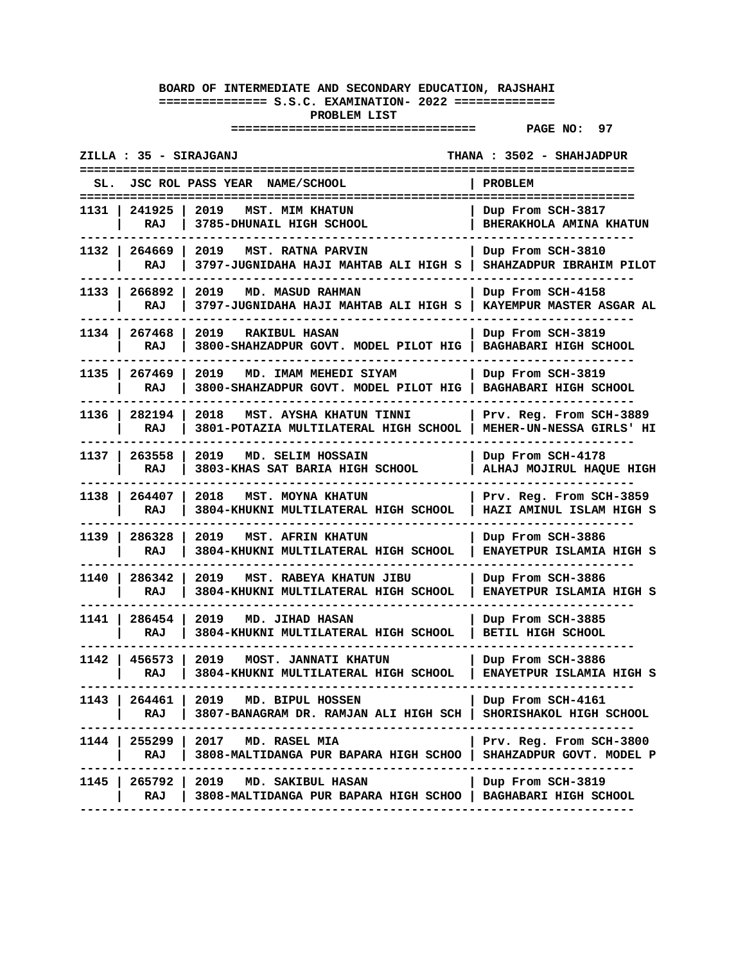| JSC ROL PASS YEAR NAME/SCHOOL<br>SL.                                                                              | PROBLEM                                              |
|-------------------------------------------------------------------------------------------------------------------|------------------------------------------------------|
| 2019<br>1131 I<br>241925<br><b>MST. MIM KHATUN</b><br>RAJ<br>3785-DHUNAIL HIGH SCHOOL                             | Dup From SCH-3817<br>BHERAKHOLA AMINA KHATUN         |
| 1132   264669<br>2019<br>MST. RATNA PARVIN<br>3797-JUGNIDAHA HAJI MAHTAB ALI HIGH S<br>RAJ                        | Dup From SCH-3810<br>SHAHZADPUR IBRAHIM PILOT        |
| 266892<br>1133 I<br>2019<br>MD. MASUD RAHMAN<br>3797-JUGNIDAHA HAJI MAHTAB ALI HIGH S<br>RAJ                      | Dup From SCH-4158<br>KAYEMPUR MASTER ASGAR AL        |
| 1134 l<br>267468<br>2019<br><b>RAKIBUL HASAN</b><br>3800-SHAHZADPUR GOVT. MODEL PILOT HIG<br>RAJ                  | Dup From SCH-3819<br><b>BAGHABARI HIGH SCHOOL</b>    |
| 1135<br>267469<br>2019<br>MD. IMAM MEHEDI SIYAM<br>3800-SHAHZADPUR GOVT. MODEL PILOT HIG<br>RAJ                   | Dup From SCH-3819<br>BAGHABARI HIGH SCHOOL           |
| 1136 l<br>282194<br>2018<br>MST. AYSHA KHATUN TINNI<br>RAJ<br>3801-POTAZIA MULTILATERAL HIGH SCHOOL               | Prv. Reg. From SCH-3889<br>MEHER-UN-NESSA GIRLS' HI  |
| 2019<br>1137 I<br>263558<br>MD. SELIM HOSSAIN<br>3803-KHAS SAT BARIA HIGH SCHOOL<br>RAJ                           | Dup From SCH-4178<br>ALHAJ MOJIRUL HAQUE HIGH        |
| 1138 I<br>264407<br>2018<br>MST. MOYNA KHATUN<br>RAJ<br>3804-KHUKNI MULTILATERAL HIGH SCHOOL                      | Prv. Reg. From SCH-3859<br>HAZI AMINUL ISLAM HIGH S  |
| 1139 I<br>286328<br>2019<br><b>MST. AFRIN KHATUN</b><br>RAJ<br>3804-KHUKNI MULTILATERAL HIGH SCHOOL               | Dup From SCH-3886<br>ENAYETPUR ISLAMIA HIGH S        |
| 286342<br>1140<br>2019<br>MST. RABEYA KHATUN JIBU<br>RAJ<br>3804-KHUKNI MULTILATERAL HIGH SCHOOL                  | Dup From SCH-3886<br><b>ENAYETPUR ISLAMIA HIGH S</b> |
| 1141 I<br>286454<br>2019<br>MD. JIHAD HASAN<br>RAJ<br>3804-KHUKNI MULTILATERAL HIGH SCHOOL                        | Dup From SCH-3885<br><b>BETIL HIGH SCHOOL</b>        |
| 1142 l<br>456573<br>MOST. JANNATI KHATUN<br>2019<br>3804-KHUKNI MULTILATERAL HIGH SCHOOL<br>RAJ                   | Dup From SCH-3886<br>ENAYETPUR ISLAMIA HIGH S        |
| 1143 l<br>264461   2019 MD. BIPUL HOSSEN<br>RAJ<br>3807-BANAGRAM DR. RAMJAN ALI HIGH SCH  <br>------------------- | Dup From SCH-4161<br>SHORISHAKOL HIGH SCHOOL         |
| 1144   255299   2017 MD. RASEL MIA<br>3808-MALTIDANGA PUR BAPARA HIGH SCHOO<br>RAJ                                | Prv. Reg. From SCH-3800<br>SHAHZADPUR GOVT. MODEL P  |
| 265792   2019 MD. SAKIBUL HASAN<br>1145 I<br>3808-MALTIDANGA PUR BAPARA HIGH SCHOO   BAGHABARI HIGH SCHOOL<br>RAJ | Dup From SCH-3819                                    |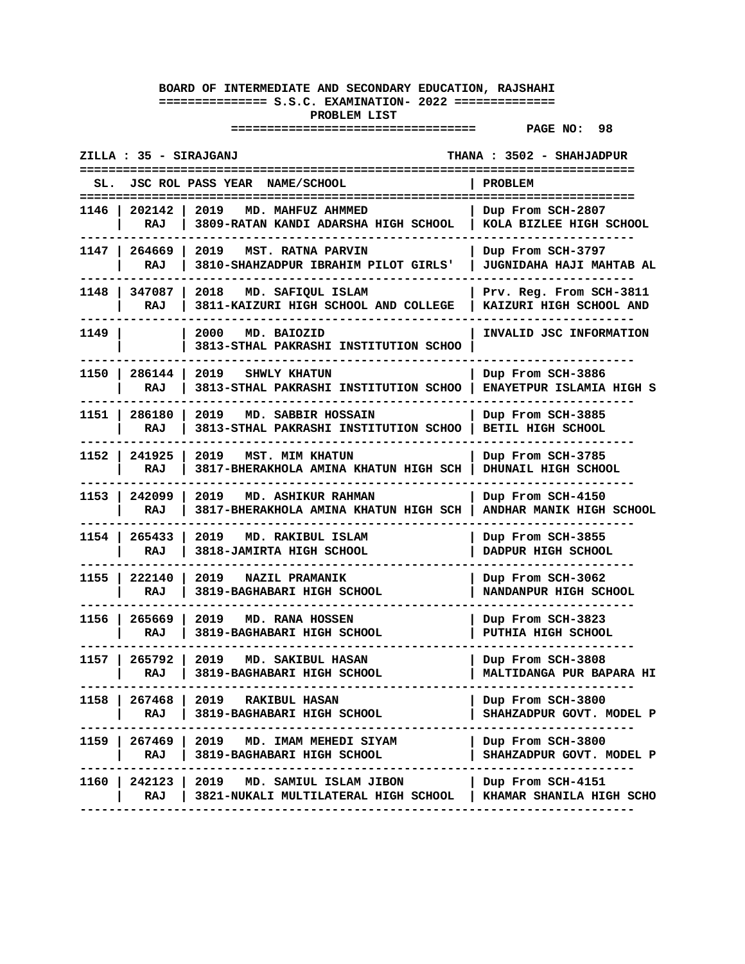| ZILLA : 35 - SIRAJGANJ<br>THANA: 3502 - SHAHJADPUR |                      |                                                                              |                                                      |
|----------------------------------------------------|----------------------|------------------------------------------------------------------------------|------------------------------------------------------|
| SL.                                                |                      | JSC ROL PASS YEAR NAME/SCHOOL                                                | PROBLEM<br>======================                    |
| 1146 I                                             | 202142<br>RAJ        | 2019<br>MD. MAHFUZ AHMMED<br>3809-RATAN KANDI ADARSHA HIGH SCHOOL            | Dup From SCH-2807<br>KOLA BIZLEE HIGH SCHOOL         |
|                                                    | 1147   264669<br>RAJ | 2019<br>MST. RATNA PARVIN<br>3810-SHAHZADPUR IBRAHIM PILOT GIRLS'            | Dup From SCH-3797<br><b>JUGNIDAHA HAJI MAHTAB AL</b> |
| 1148 I                                             | 347087<br>RAJ        | 2018 MD. SAFIQUL ISLAM<br>3811-KAIZURI HIGH SCHOOL AND COLLEGE               | Prv. Reg. From SCH-3811<br>KAIZURI HIGH SCHOOL AND   |
| 1149                                               |                      | 2000<br>MD. BAIOZID<br>3813-STHAL PAKRASHI INSTITUTION SCHOO                 | <b>INVALID JSC INFORMATION</b>                       |
| 1150 I                                             | 286144<br>RAJ        | 2019<br>SHWLY KHATUN<br>3813-STHAL PAKRASHI INSTITUTION SCHOO                | Dup From SCH-3886<br>ENAYETPUR ISLAMIA HIGH S        |
| 1151 I                                             | 286180<br>RAJ        | 2019 MD. SABBIR HOSSAIN<br>3813-STHAL PAKRASHI INSTITUTION SCHOO             | Dup From SCH-3885<br>BETIL HIGH SCHOOL               |
| 1152                                               | 241925<br>RAJ        | 2019<br><b>MST. MIM KHATUN</b><br>3817-BHERAKHOLA AMINA KHATUN HIGH SCH      | Dup From SCH-3785<br>DHUNAIL HIGH SCHOOL             |
| 1153 l                                             | 242099<br>RAJ        | 2019<br>MD. ASHIKUR RAHMAN<br>3817-BHERAKHOLA AMINA KHATUN HIGH SCH          | Dup From SCH-4150<br>ANDHAR MANIK HIGH SCHOOL        |
| 1154 I                                             | 265433<br>RAJ        | 2019<br>MD. RAKIBUL ISLAM<br>3818-JAMIRTA HIGH SCHOOL                        | Dup From SCH-3855<br>DADPUR HIGH SCHOOL              |
| 1155                                               | 222140<br>RAJ        | 2019<br><b>NAZIL PRAMANIK</b><br>3819-BAGHABARI HIGH SCHOOL                  | Dup From SCH-3062<br>NANDANPUR HIGH SCHOOL           |
| 1156 l                                             | 265669<br>RAJ        | 2019 MD. RANA HOSSEN<br>3819-BAGHABARI HIGH SCHOOL                           | Dup From SCH-3823<br>PUTHIA HIGH SCHOOL              |
| 1157 I                                             | 265792<br>RAJ        | 2019<br>MD. SAKIBUL HASAN<br>3819-BAGHABARI HIGH SCHOOL                      | Dup From SCH-3808<br>MALTIDANGA PUR BAPARA HI        |
| 1158                                               | RAJ                  | 267468 2019 RAKIBUL HASAN<br>3819-BAGHABARI HIGH SCHOOL                      | Dup From SCH-3800<br>SHAHZADPUR GOVT. MODEL P        |
|                                                    | RAJ                  | 1159   267469   2019   MD. IMAM MEHEDI SIYAM<br>3819-BAGHABARI HIGH SCHOOL   | Dup From SCH-3800<br>SHAHZADPUR GOVT. MODEL P        |
| 1160 l                                             | RAJ                  | 242123   2019 MD. SAMIUL ISLAM JIBON<br>3821-NUKALI MULTILATERAL HIGH SCHOOL | Dup From SCH-4151<br>  KHAMAR SHANILA HIGH SCHO      |
|                                                    |                      |                                                                              |                                                      |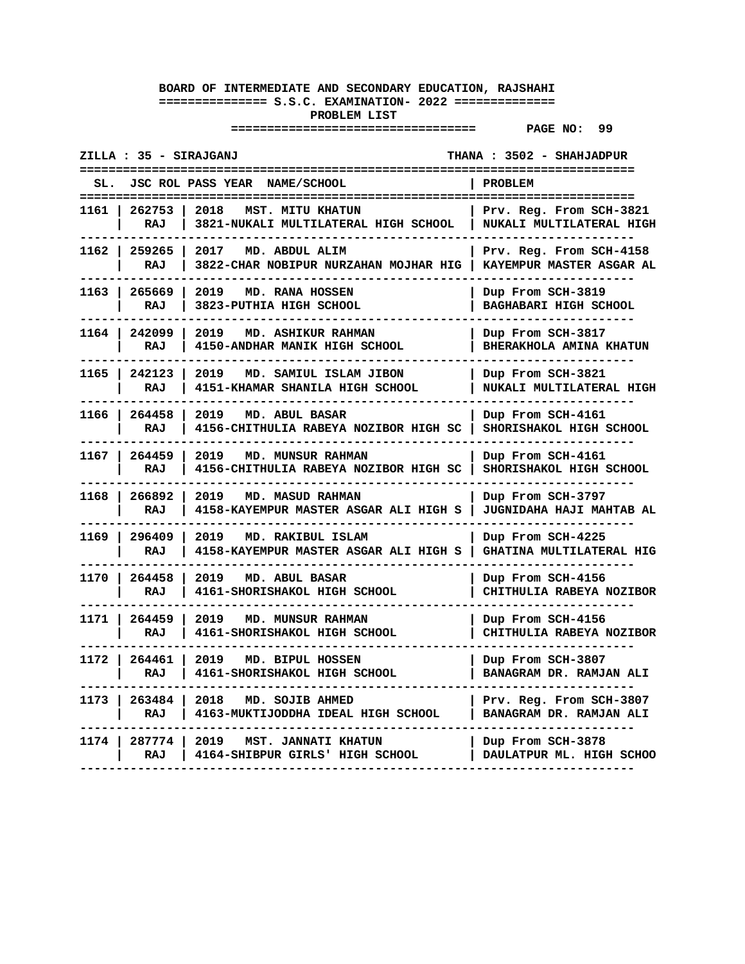| ZILLA : 35 - SIRAJGANJ<br>THANA: 3502 - SHAHJADPUR |                                          |                                                                           |                                                                            |  |  |
|----------------------------------------------------|------------------------------------------|---------------------------------------------------------------------------|----------------------------------------------------------------------------|--|--|
| SL.                                                | JSC ROL PASS YEAR NAME/SCHOOL<br>PROBLEM |                                                                           |                                                                            |  |  |
| 1161                                               | 262753<br>RAJ                            | 2018<br><b>MST. MITU KHATUN</b><br>3821-NUKALI MULTILATERAL HIGH SCHOOL   | ===================<br>Prv. Reg. From SCH-3821<br>NUKALI MULTILATERAL HIGH |  |  |
| 1162 l                                             | 259265<br>RAJ                            | 2017<br>MD. ABDUL ALIM<br>3822-CHAR NOBIPUR NURZAHAN MOJHAR HIG           | Prv. Reg. From SCH-4158<br>KAYEMPUR MASTER ASGAR AL                        |  |  |
| 1163                                               | 265669<br>RAJ                            | 2019<br>MD. RANA HOSSEN<br>3823-PUTHIA HIGH SCHOOL                        | Dup From SCH-3819<br><b>BAGHABARI HIGH SCHOOL</b>                          |  |  |
| 1164 l                                             | 242099<br>RAJ                            | 2019<br><b>MD. ASHIKUR RAHMAN</b><br>4150-ANDHAR MANIK HIGH SCHOOL        | Dup From SCH-3817<br>BHERAKHOLA AMINA KHATUN                               |  |  |
| 1165                                               | 242123<br>RAJ                            | 2019<br>MD. SAMIUL ISLAM JIBON<br>4151-KHAMAR SHANILA HIGH SCHOOL         | Dup From SCH-3821<br>NUKALI MULTILATERAL HIGH                              |  |  |
| 1166 l                                             | 264458<br>RAJ                            | 2019<br>MD. ABUL BASAR<br>4156-CHITHULIA RABEYA NOZIBOR HIGH SC           | Dup From SCH-4161<br>SHORISHAKOL HIGH SCHOOL                               |  |  |
| 1167 I                                             | 264459<br>RAJ                            | 2019<br><b>MD. MUNSUR RAHMAN</b><br>4156-CHITHULIA RABEYA NOZIBOR HIGH SC | Dup From SCH-4161<br>SHORISHAKOL HIGH SCHOOL                               |  |  |
| 1168 l                                             | 266892<br>RAJ                            | 2019<br>MD. MASUD RAHMAN<br>4158-KAYEMPUR MASTER ASGAR ALI HIGH S         | Dup From SCH-3797<br><b>JUGNIDAHA HAJI MAHTAB AL</b>                       |  |  |
|                                                    | 1169   296409<br>RAJ                     | 2019<br>MD. RAKIBUL ISLAM<br>4158-KAYEMPUR MASTER ASGAR ALI HIGH S        | Dup From SCH-4225<br>GHATINA MULTILATERAL HIG                              |  |  |
| 1170                                               | 264458<br>RAJ                            | 2019<br>MD. ABUL BASAR<br>4161-SHORISHAKOL HIGH SCHOOL                    | Dup From SCH-4156<br>CHITHULIA RABEYA NOZIBOR                              |  |  |
| 1171 l                                             | 264459<br>RAJ                            | 2019<br><b>MD. MUNSUR RAHMAN</b><br>4161-SHORISHAKOL HIGH SCHOOL          | Dup From SCH-4156<br>CHITHULIA RABEYA NOZIBOR                              |  |  |
| 1172 I                                             | 264461<br>RAJ                            | 2019<br>MD. BIPUL HOSSEN<br>4161-SHORISHAKOL HIGH SCHOOL                  | Dup From SCH-3807<br>BANAGRAM DR. RAMJAN ALI                               |  |  |
| 1173 l                                             | 263484<br>RAJ                            | 2018<br>MD. SOJIB AHMED<br>4163-MUKTIJODDHA IDEAL HIGH SCHOOL             | Prv. Reg. From SCH-3807<br>BANAGRAM DR. RAMJAN ALI                         |  |  |
| 1174                                               | 287774<br>RAJ                            | MST. JANNATI KHATUN<br>2019<br>4164-SHIBPUR GIRLS' HIGH SCHOOL            | Dup From SCH-3878<br>DAULATPUR ML. HIGH SCHOO                              |  |  |
|                                                    |                                          |                                                                           |                                                                            |  |  |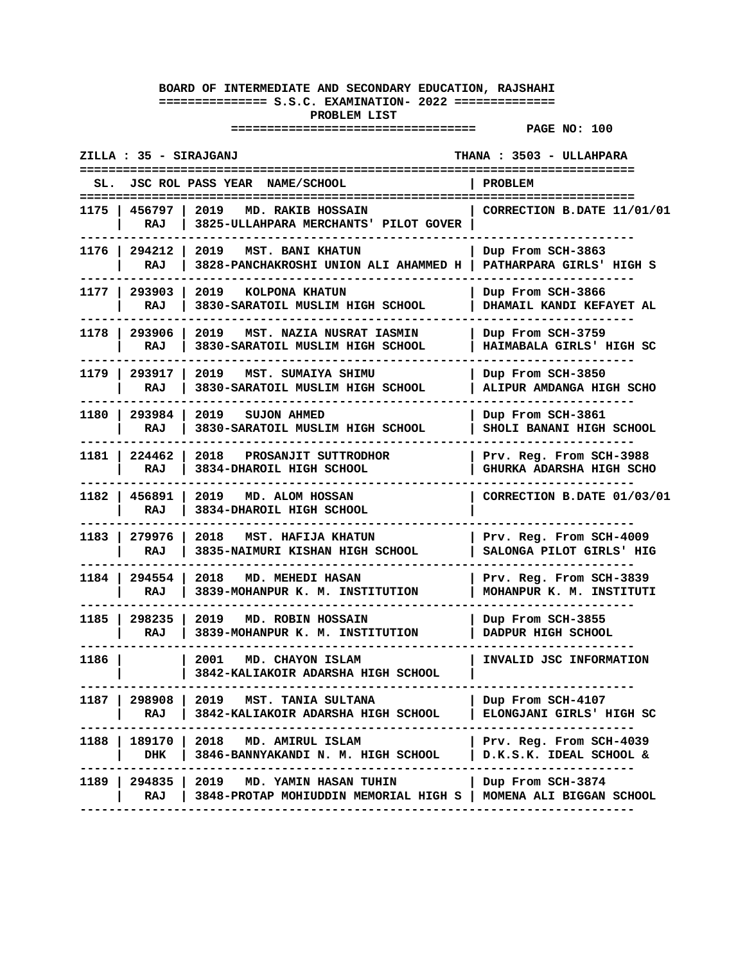| ZILLA : 35 - SIRAJGANJ<br>THANA : 3503 - ULLAHPARA |                                                                                                  |                                                     |  |  |
|----------------------------------------------------|--------------------------------------------------------------------------------------------------|-----------------------------------------------------|--|--|
| SL.                                                | JSC ROL PASS YEAR NAME/SCHOOL                                                                    | PROBLEM                                             |  |  |
| RAJ                                                | 1175   456797   2019 MD. RAKIB HOSSAIN<br>3825-ULLAHPARA MERCHANTS' PILOT GOVER                  | CORRECTION B.DATE 11/01/01                          |  |  |
| 1176   294212  <br>RAJ                             | 2019 MST. BANI KHATUN<br>3828-PANCHAKROSHI UNION ALI AHAMMED H                                   | Dup From SCH-3863<br>PATHARPARA GIRLS' HIGH S       |  |  |
| 1177   293903<br>RAJ                               | 2019<br>KOLPONA KHATUN<br>3830-SARATOIL MUSLIM HIGH SCHOOL                                       | Dup From SCH-3866<br>DHAMAIL KANDI KEFAYET AL       |  |  |
| 1178   293906<br>RAJ                               | 2019<br>MST. NAZIA NUSRAT IASMIN<br>3830-SARATOIL MUSLIM HIGH SCHOOL                             | Dup From SCH-3759<br>HAIMABALA GIRLS' HIGH SC       |  |  |
| 1179   293917<br>RAJ                               | 2019 MST. SUMAIYA SHIMU<br>3830-SARATOIL MUSLIM HIGH SCHOOL                                      | Dup From SCH-3850<br>ALIPUR AMDANGA HIGH SCHO       |  |  |
| RAJ                                                | 1180   293984   2019   SUJON AHMED<br>3830-SARATOIL MUSLIM HIGH SCHOOL                           | Dup From SCH-3861<br>SHOLI BANANI HIGH SCHOOL       |  |  |
| 1181   224462<br>RAJ                               | 2018 PROSANJIT SUTTRODHOR<br>3834-DHAROIL HIGH SCHOOL                                            | Prv. Reg. From SCH-3988<br>GHURKA ADARSHA HIGH SCHO |  |  |
| 1182   456891  <br>RAJ                             | 2019 MD. ALOM HOSSAN<br>3834-DHAROIL HIGH SCHOOL                                                 | CORRECTION B.DATE 01/03/01                          |  |  |
| 1183   279976<br>RAJ                               | 2018 MST. HAFIJA KHATUN<br>3835-NAIMURI KISHAN HIGH SCHOOL                                       | Prv. Reg. From SCH-4009<br>SALONGA PILOT GIRLS' HIG |  |  |
| 1184   294554<br>RAJ                               | 2018<br><b>MD. MEHEDI HASAN</b><br>3839-MOHANPUR K. M. INSTITUTION                               | Prv. Reg. From SCH-3839<br>MOHANPUR K. M. INSTITUTI |  |  |
| 1185   298235<br>RAJ                               | 2019 MD. ROBIN HOSSAIN<br>3839-MOHANPUR K. M. INSTITUTION                                        | Dup From SCH-3855<br>DADPUR HIGH SCHOOL             |  |  |
| 1186                                               | MD. CHAYON ISLAM<br>2001<br>3842-KALIAKOIR ADARSHA HIGH SCHOOL                                   | INVALID JSC INFORMATION                             |  |  |
| RAJ                                                | 1187   298908   2019   MST. TANIA SULTANA<br>3842-KALIAKOIR ADARSHA HIGH SCHOOL                  | Dup From SCH-4107<br>ELONGJANI GIRLS' HIGH SC       |  |  |
| DHK                                                | 1188   189170   2018 MD. AMIRUL ISLAM<br>3846-BANNYAKANDI N. M. HIGH SCHOOL                      | Prv. Reg. From SCH-4039<br>D.K.S.K. IDEAL SCHOOL &  |  |  |
| 1189   294835   2019<br>RAJ                        | <b>MD. YAMIN HASAN TUHIN</b><br>3848-PROTAP MOHIUDDIN MEMORIAL HIGH S   MOMENA ALI BIGGAN SCHOOL | Dup From SCH-3874                                   |  |  |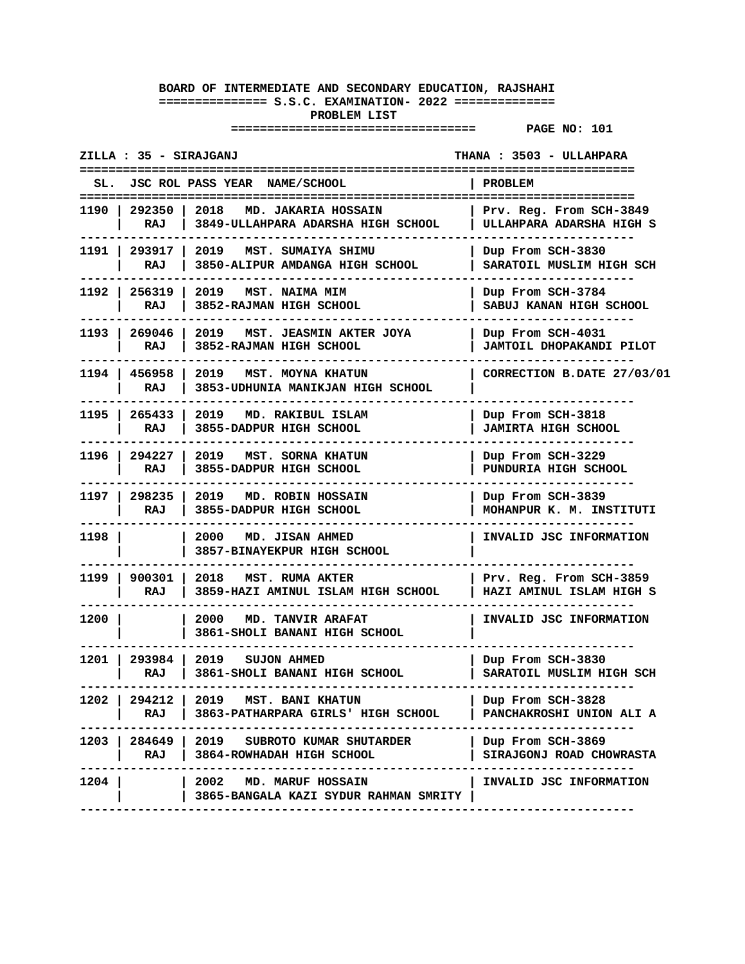| ZILLA : 35 - SIRAJGANJ<br>THANA: 3503 - ULLAHPARA |                        |                                                                                |                                                     |  |
|---------------------------------------------------|------------------------|--------------------------------------------------------------------------------|-----------------------------------------------------|--|
|                                                   |                        | SL. JSC ROL PASS YEAR NAME/SCHOOL                                              | <b>PROBLEM</b>                                      |  |
|                                                   | RAJ                    | 1190   292350   2018 MD. JAKARIA HOSSAIN<br>3849-ULLAHPARA ADARSHA HIGH SCHOOL | Prv. Reg. From SCH-3849<br>ULLAHPARA ADARSHA HIGH S |  |
|                                                   | 1191   293917  <br>RAJ | 2019<br>MST. SUMAIYA SHIMU<br>3850-ALIPUR AMDANGA HIGH SCHOOL                  | Dup From SCH-3830<br>SARATOIL MUSLIM HIGH SCH       |  |
|                                                   | 1192   256319<br>RAJ   | 2019 MST. NAIMA MIM<br>3852-RAJMAN HIGH SCHOOL                                 | Dup From SCH-3784<br>SABUJ KANAN HIGH SCHOOL        |  |
|                                                   | 1193   269046<br>RAJ   | 2019 MST. JEASMIN AKTER JOYA<br>3852-RAJMAN HIGH SCHOOL                        | Dup From SCH-4031<br>JAMTOIL DHOPAKANDI PILOT       |  |
|                                                   | 1194   456958<br>RAJ   | 2019 MST. MOYNA KHATUN<br>3853-UDHUNIA MANIKJAN HIGH SCHOOL                    | CORRECTION B.DATE 27/03/01                          |  |
|                                                   | 1195   265433<br>RAJ   | 2019<br>MD. RAKIBUL ISLAM<br>3855-DADPUR HIGH SCHOOL                           | Dup From SCH-3818<br><b>JAMIRTA HIGH SCHOOL</b>     |  |
|                                                   | 1196   294227<br>RAJ   | MST. SORNA KHATUN<br>2019<br>3855-DADPUR HIGH SCHOOL                           | Dup From SCH-3229<br>PUNDURIA HIGH SCHOOL           |  |
|                                                   | 1197   298235<br>RAJ   | 2019 MD. ROBIN HOSSAIN<br>3855-DADPUR HIGH SCHOOL                              | Dup From SCH-3839<br>MOHANPUR K. M. INSTITUTI       |  |
| 1198 l                                            |                        | 2000 MD. JISAN AHMED<br><b>3857-BINAYEKPUR HIGH SCHOOL</b>                     | INVALID JSC INFORMATION                             |  |
| 1199 I                                            | 900301<br>RAJ          | 2018<br><b>MST. RUMA AKTER</b><br>3859-HAZI AMINUL ISLAM HIGH SCHOOL           | Prv. Reg. From SCH-3859<br>HAZI AMINUL ISLAM HIGH S |  |
| 1200 l                                            |                        | 2000<br><b>MD. TANVIR ARAFAT</b><br>3861-SHOLI BANANI HIGH SCHOOL              | INVALID JSC INFORMATION                             |  |
| 1201 l                                            | 293984 2019<br>RAJ     | <b>SUJON AHMED</b><br>3861-SHOLI BANANI HIGH SCHOOL                            | Dup From SCH-3830<br>SARATOIL MUSLIM HIGH SCH       |  |
| 1202                                              | RAJ                    | 294212   2019 MST. BANI KHATUN<br>3863-PATHARPARA GIRLS' HIGH SCHOOL           | Dup From SCH-3828<br>PANCHAKROSHI UNION ALI A       |  |
|                                                   | RAJ                    | $1203$   284649   2019   SUBROTO KUMAR SHUTARDER<br>3864-ROWHADAH HIGH SCHOOL  | Dup From SCH-3869<br>SIRAJGONJ ROAD CHOWRASTA       |  |
| 1204                                              |                        | 2002 MD. MARUF HOSSAIN<br>3865-BANGALA KAZI SYDUR RAHMAN SMRITY                | INVALID JSC INFORMATION                             |  |
|                                                   |                        |                                                                                |                                                     |  |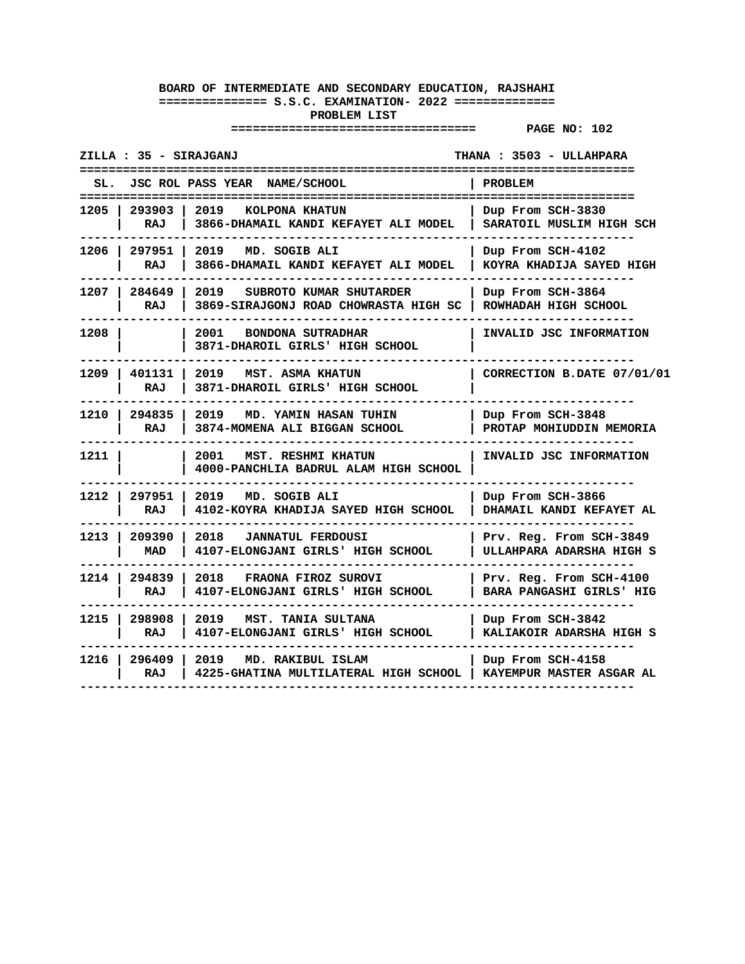| ZILLA : 35 - SIRAJGANJ<br>THANA : 3503 - ULLAHPARA |                                                                          |                                                     |  |
|----------------------------------------------------|--------------------------------------------------------------------------|-----------------------------------------------------|--|
|                                                    | SL. JSC ROL PASS YEAR NAME/SCHOOL                                        | <b>PROBLEM</b><br>======================            |  |
| 1205 I<br>293903 l<br>RAJ                          | 2019<br>KOLPONA KHATUN<br>3866-DHAMAIL KANDI KEFAYET ALI MODEL           | Dup From SCH-3830<br>SARATOIL MUSLIM HIGH SCH       |  |
| 1206   297951<br>RAJ                               | 2019 MD. SOGIB ALI<br>3866-DHAMAIL KANDI KEFAYET ALI MODEL               | Dup From SCH-4102<br>KOYRA KHADIJA SAYED HIGH       |  |
| 284649<br>1207 I<br>RAJ                            | 2019<br>SUBROTO KUMAR SHUTARDER<br>3869-SIRAJGONJ ROAD CHOWRASTA HIGH SC | Dup From SCH-3864<br>ROWHADAH HIGH SCHOOL           |  |
| 1208                                               | 2001<br><b>BONDONA SUTRADHAR</b><br>3871-DHAROIL GIRLS' HIGH SCHOOL      | INVALID JSC INFORMATION                             |  |
| 401131<br>1209 I<br>RAJ                            | 2019<br><b>MST. ASMA KHATUN</b><br>3871-DHAROIL GIRLS' HIGH SCHOOL       | CORRECTION B.DATE 07/01/01                          |  |
| 1210   294835<br>RAJ                               | 2019<br>MD. YAMIN HASAN TUHIN<br>3874-MOMENA ALI BIGGAN SCHOOL           | Dup From SCH-3848<br>PROTAP MOHIUDDIN MEMORIA       |  |
| 1211 l                                             | 2001<br>MST. RESHMI KHATUN<br>4000-PANCHLIA BADRUL ALAM HIGH SCHOOL      | INVALID JSC INFORMATION                             |  |
| 1212 l<br>297951  <br>RAJ                          | 2019<br>MD. SOGIB ALI<br>4102-KOYRA KHADIJA SAYED HIGH SCHOOL            | Dup From SCH-3866<br>DHAMAIL KANDI KEFAYET AL       |  |
| 1213 l<br>209390<br>MAD                            | 2018<br><b>JANNATUL FERDOUSI</b><br>4107-ELONGJANI GIRLS' HIGH SCHOOL    | Prv. Reg. From SCH-3849<br>ULLAHPARA ADARSHA HIGH S |  |
| 294839<br>1214 I<br>RAJ                            | 2018<br>FRAONA FIROZ SUROVI<br>4107-ELONGJANI GIRLS' HIGH SCHOOL         | Prv. Reg. From SCH-4100<br>BARA PANGASHI GIRLS' HIG |  |
| 1215 I<br>298908<br>RAJ                            | 2019 MST. TANIA SULTANA<br>4107-ELONGJANI GIRLS' HIGH SCHOOL             | Dup From SCH-3842<br>KALIAKOIR ADARSHA HIGH S       |  |
| 1216 l<br>296409<br>RAJ                            | 2019<br>MD. RAKIBUL ISLAM<br>4225-GHATINA MULTILATERAL HIGH SCHOOL       | Dup From SCH-4158<br>KAYEMPUR MASTER ASGAR AL       |  |
|                                                    |                                                                          |                                                     |  |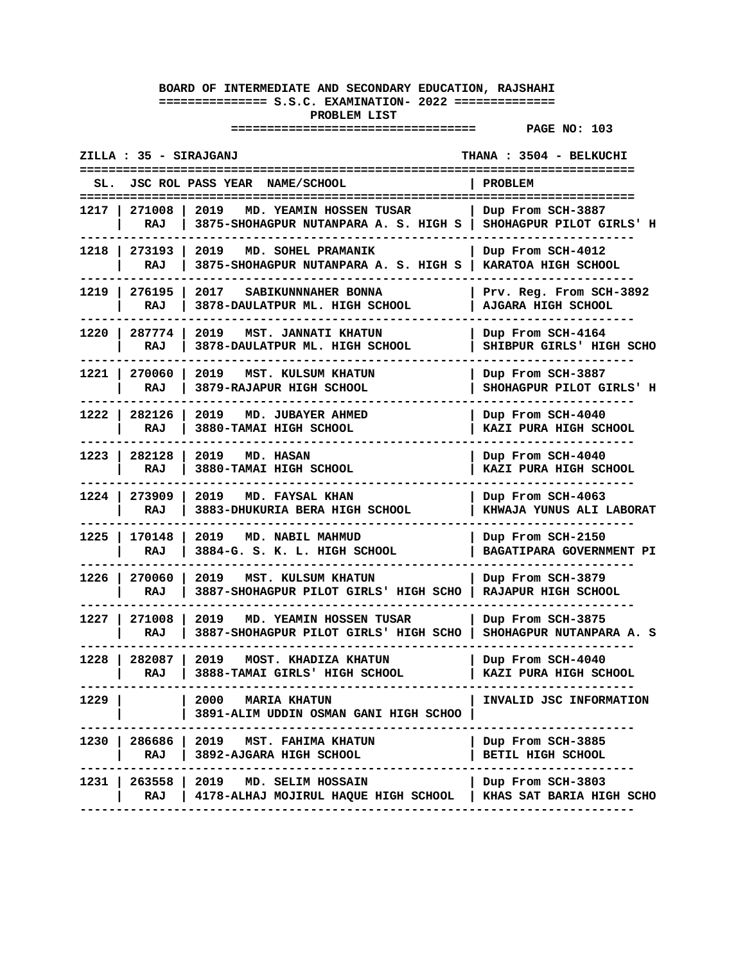| ZILLA : 35 - SIRAJGANJ<br>THANA: 3504 - BELKUCHI |                                                                                             |                                                 |  |
|--------------------------------------------------|---------------------------------------------------------------------------------------------|-------------------------------------------------|--|
| JSC ROL PASS YEAR NAME/SCHOOL                    |                                                                                             | <b>PROBLEM</b>                                  |  |
| 271008<br>l 2019<br>1217 I<br>RAJ                | MD. YEAMIN HOSSEN TUSAR<br>3875-SHOHAGPUR NUTANPARA A. S. HIGH S   SHOHAGPUR PILOT GIRLS' H | Dup From SCH-3887                               |  |
| 1218   273193  <br>2019<br>RAJ                   | MD. SOHEL PRAMANIK<br>3875-SHOHAGPUR NUTANPARA A. S. HIGH S   KARATOA HIGH SCHOOL           | Dup From SCH-4012                               |  |
| 276195  <br>1219 I<br>RAJ                        | 2017 SABIKUNNNAHER BONNA<br>3878-DAULATPUR ML. HIGH SCHOOL                                  | Prv. Reg. From SCH-3892<br>AJGARA HIGH SCHOOL   |  |
| 1220   287774<br>2019<br>RAJ                     | <b>MST. JANNATI KHATUN</b><br>3878-DAULATPUR ML. HIGH SCHOOL                                | Dup From SCH-4164<br>SHIBPUR GIRLS' HIGH SCHO   |  |
| 1221 I<br>270060 l<br>2019<br>RAJ                | MST. KULSUM KHATUN<br>3879-RAJAPUR HIGH SCHOOL                                              | Dup From SCH-3887<br>SHOHAGPUR PILOT GIRLS' H   |  |
| 1222   282126   2019 MD. JUBAYER AHMED<br>RAJ    | 3880-TAMAI HIGH SCHOOL                                                                      | Dup From SCH-4040<br>KAZI PURA HIGH SCHOOL      |  |
| 1223   282128  <br>RAJ                           | 2019 MD. HASAN<br>3880-TAMAI HIGH SCHOOL                                                    | Dup From SCH-4040<br>KAZI PURA HIGH SCHOOL      |  |
| 1224 I<br>273909 1<br>2019<br>RAJ                | MD. FAYSAL KHAN<br>3883-DHUKURIA BERA HIGH SCHOOL                                           | Dup From SCH-4063<br>KHWAJA YUNUS ALI LABORAT   |  |
| 1225  <br>170148<br>2019<br>RAJ                  | MD. NABIL MAHMUD<br>3884-G. S. K. L. HIGH SCHOOL                                            | Dup From SCH-2150<br>BAGATIPARA GOVERNMENT PI   |  |
| 1226<br>270060<br>2019<br>RAJ                    | MST. KULSUM KHATUN<br>3887-SHOHAGPUR PILOT GIRLS' HIGH SCHO                                 | Dup From SCH-3879<br>RAJAPUR HIGH SCHOOL        |  |
| 1227 I<br>271008 1<br>2019<br>RAJ                | MD. YEAMIN HOSSEN TUSAR<br>3887-SHOHAGPUR PILOT GIRLS' HIGH SCHO   SHOHAGPUR NUTANPARA A. S | Dup From SCH-3875                               |  |
| 1228 l<br>282087  <br>2019<br>RAJ                | MOST. KHADIZA KHATUN<br>3888-TAMAI GIRLS' HIGH SCHOOL                                       | Dup From SCH-4040<br>KAZI PURA HIGH SCHOOL      |  |
| 1229                                             | <b>2000 MARIA KHATUN</b><br>3891-ALIM UDDIN OSMAN GANI HIGH SCHOO                           | INVALID JSC INFORMATION                         |  |
| 1230   286686   2019   MST. FAHIMA KHATUN<br>RAJ | 3892-AJGARA HIGH SCHOOL                                                                     | Dup From SCH-3885<br>BETIL HIGH SCHOOL          |  |
| 1231   263558   2019 MD. SELIM HOSSAIN<br>RAJ    | 4178-ALHAJ MOJIRUL HAQUE HIGH SCHOOL                                                        | Dup From SCH-3803<br>  KHAS SAT BARIA HIGH SCHO |  |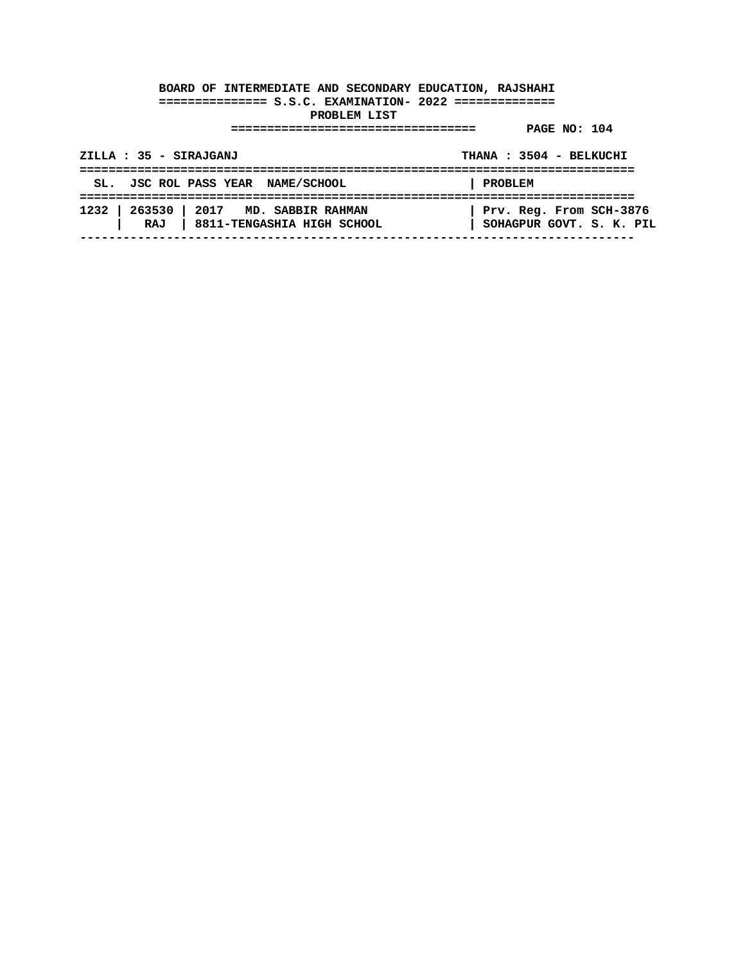| ZILLA : 35 - SIRAJGANJ                 |                                  | THANA: 3504 - BELKUCHI                              |
|----------------------------------------|----------------------------------|-----------------------------------------------------|
| SL. JSC ROL PASS YEAR NAME/SCHOOL      |                                  | PROBLEM                                             |
| 1232   263530   2017 MD. SABBIR RAHMAN | RAJ   8811-TENGASHIA HIGH SCHOOL | Prv. Reg. From SCH-3876<br>SOHAGPUR GOVT. S. K. PIL |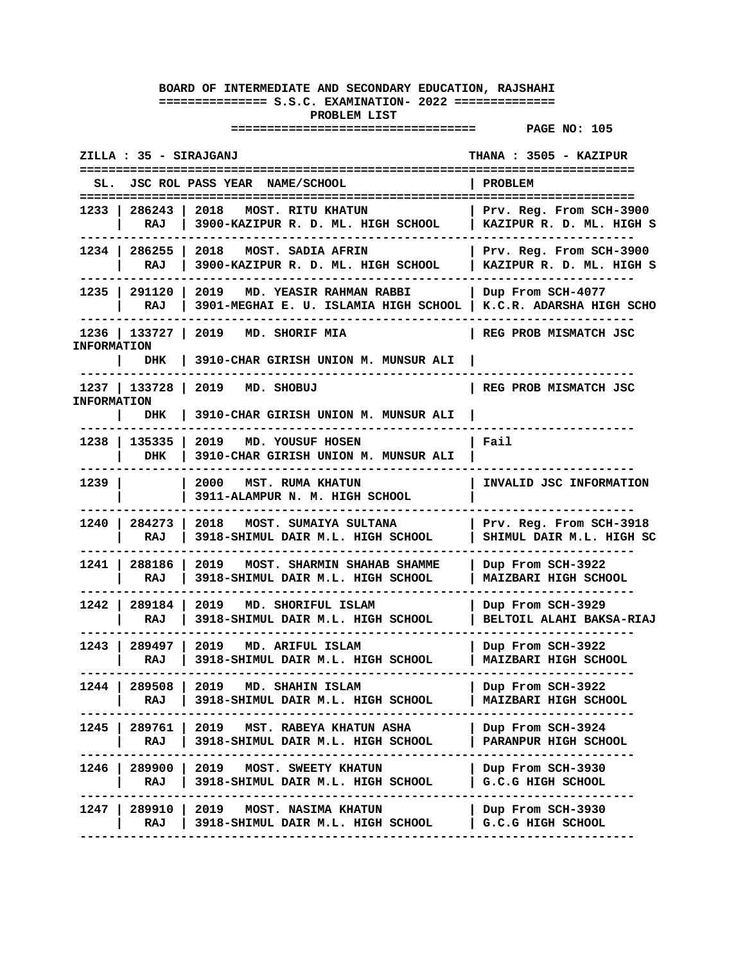**================================== PAGE NO: 105** 

**ZILLA : 35 - SIRAJGANJ THANA : 3505 - KAZIPUR ============================================================================= SL. JSC ROL PASS YEAR NAME/SCHOOL | PROBLEM ============================================================================= 1233 | 286243 | 2018 MOST. RITU KHATUN | Prv. Reg. From SCH-3900 | RAJ | 3900-KAZIPUR R. D. ML. HIGH SCHOOL | KAZIPUR R. D. ML. HIGH S ----------------------------------------------------------------------------- 1234 | 286255 | 2018 MOST. SADIA AFRIN | Prv. Reg. From SCH-3900 | RAJ | 3900-KAZIPUR R. D. ML. HIGH SCHOOL | KAZIPUR R. D. ML. HIGH S ----------------------------------------------------------------------------- 1235 | 291120 | 2019 MD. YEASIR RAHMAN RABBI | Dup From SCH-4077 | RAJ | 3901-MEGHAI E. U. ISLAMIA HIGH SCHOOL | K.C.R. ADARSHA HIGH SCHO ----------------------------------------------------------------------------- 1236 | 133727 | 2019 MD. SHORIF MIA | REG PROB MISMATCH JSC INFORMATION | DHK | 3910-CHAR GIRISH UNION M. MUNSUR ALI | ----------------------------------------------------------------------------- 1237 | 133728 | 2019 MD. SHOBUJ | REG PROB MISMATCH JSC INFORMATION | DHK | 3910-CHAR GIRISH UNION M. MUNSUR ALI | ----------------------------------------------------------------------------- 1238 | 135335 | 2019 MD. YOUSUF HOSEN | Fail | DHK | 3910-CHAR GIRISH UNION M. MUNSUR ALI | ----------------------------------------------------------------------------- 1239 | | 2000 MST. RUMA KHATUN | INVALID JSC INFORMATION | | 3911-ALAMPUR N. M. HIGH SCHOOL | ----------------------------------------------------------------------------- 1240 | 284273 | 2018 MOST. SUMAIYA SULTANA | Prv. Reg. From SCH-3918 | RAJ | 3918-SHIMUL DAIR M.L. HIGH SCHOOL | SHIMUL DAIR M.L. HIGH SC ----------------------------------------------------------------------------- 1241 | 288186 | 2019 MOST. SHARMIN SHAHAB SHAMME | Dup From SCH-3922 | RAJ | 3918-SHIMUL DAIR M.L. HIGH SCHOOL | MAIZBARI HIGH SCHOOL ----------------------------------------------------------------------------- 1242 | 289184 | 2019 MD. SHORIFUL ISLAM | Dup From SCH-3929 | RAJ | 3918-SHIMUL DAIR M.L. HIGH SCHOOL | BELTOIL ALAHI BAKSA-RIAJ ----------------------------------------------------------------------------- 1243 | 289497 | 2019 MD. ARIFUL ISLAM | Dup From SCH-3922 | RAJ | 3918-SHIMUL DAIR M.L. HIGH SCHOOL | MAIZBARI HIGH SCHOOL ----------------------------------------------------------------------------- 1244 | 289508 | 2019 MD. SHAHIN ISLAM | Dup From SCH-3922 | RAJ | 3918-SHIMUL DAIR M.L. HIGH SCHOOL | MAIZBARI HIGH SCHOOL ----------------------------------------------------------------------------- 1245 | 289761 | 2019 MST. RABEYA KHATUN ASHA | Dup From SCH-3924 | RAJ | 3918-SHIMUL DAIR M.L. HIGH SCHOOL | PARANPUR HIGH SCHOOL ----------------------------------------------------------------------------- 1246 | 289900 | 2019 MOST. SWEETY KHATUN | Dup From SCH-3930 | RAJ | 3918-SHIMUL DAIR M.L. HIGH SCHOOL | G.C.G HIGH SCHOOL ----------------------------------------------------------------------------- 1247 | 289910 | 2019 MOST. NASIMA KHATUN | Dup From SCH-3930 | RAJ | 3918-SHIMUL DAIR M.L. HIGH SCHOOL | G.C.G HIGH SCHOOL -----------------------------------------------------------------------------**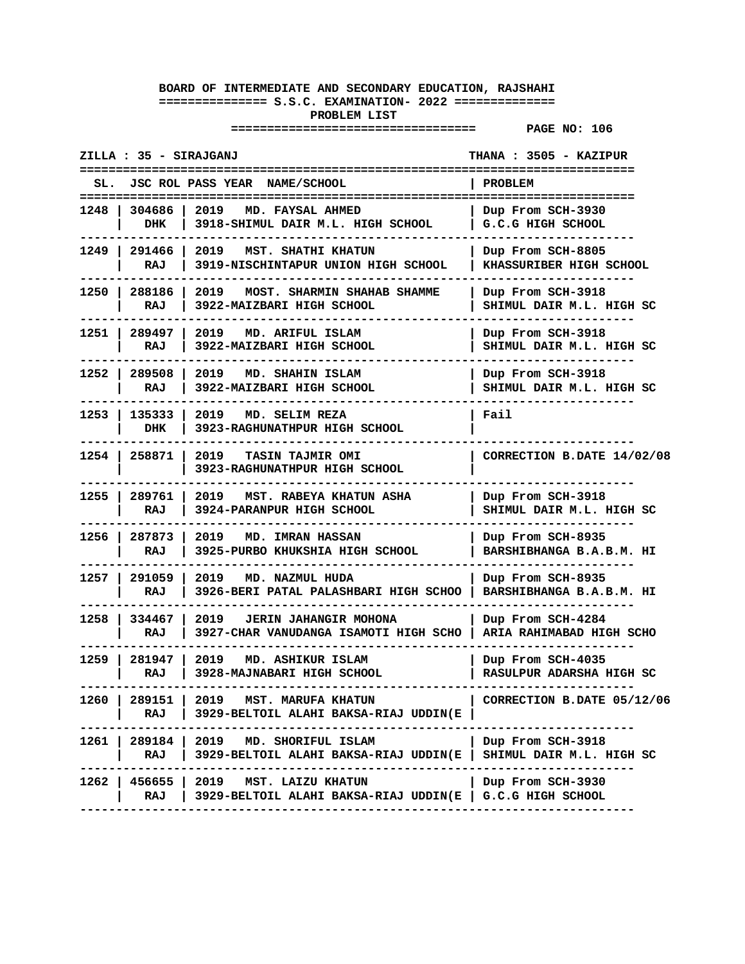| ZILLA : 35 - SIRAJGANJ<br>THANA : 3505 - KAZIPUR |                        |                                                                                                             |                                               |  |
|--------------------------------------------------|------------------------|-------------------------------------------------------------------------------------------------------------|-----------------------------------------------|--|
| SL.                                              |                        | JSC ROL PASS YEAR NAME/SCHOOL                                                                               | PROBLEM                                       |  |
| 1248 I                                           | 304686<br>DHK          | 2019<br>MD. FAYSAL AHMED<br>3918-SHIMUL DAIR M.L. HIGH SCHOOL                                               | Dup From SCH-3930<br>G.C.G HIGH SCHOOL        |  |
|                                                  | 1249   291466  <br>RAJ | 2019 MST. SHATHI KHATUN<br>3919-NISCHINTAPUR UNION HIGH SCHOOL                                              | Dup From SCH-8805<br>KHASSURIBER HIGH SCHOOL  |  |
|                                                  | 1250   288186  <br>RAJ | 2019<br>MOST. SHARMIN SHAHAB SHAMME<br>3922-MAIZBARI HIGH SCHOOL                                            | Dup From SCH-3918<br>SHIMUL DAIR M.L. HIGH SC |  |
|                                                  | 1251   289497<br>RAJ   | 2019 MD. ARIFUL ISLAM<br>3922-MAIZBARI HIGH SCHOOL                                                          | Dup From SCH-3918<br>SHIMUL DAIR M.L. HIGH SC |  |
| 1252                                             | 289508<br>RAJ          | 2019 MD. SHAHIN ISLAM<br>3922-MAIZBARI HIGH SCHOOL                                                          | Dup From SCH-3918<br>SHIMUL DAIR M.L. HIGH SC |  |
| 1253 I                                           | 135333<br>DHK          | 2019 MD. SELIM REZA<br>3923-RAGHUNATHPUR HIGH SCHOOL                                                        | Fail                                          |  |
|                                                  | 1254   258871          | 2019 TASIN TAJMIR OMI<br>3923-RAGHUNATHPUR HIGH SCHOOL                                                      | CORRECTION B.DATE 14/02/08                    |  |
| 1255 I                                           | 289761 l<br>RAJ        | 2019<br>MST. RABEYA KHATUN ASHA<br>3924-PARANPUR HIGH SCHOOL                                                | Dup From SCH-3918<br>SHIMUL DAIR M.L. HIGH SC |  |
|                                                  | 1256   287873<br>RAJ   | 2019 MD. IMRAN HASSAN<br>3925-PURBO KHUKSHIA HIGH SCHOOL                                                    | Dup From SCH-8935<br>BARSHIBHANGA B.A.B.M. HI |  |
| 1257 I                                           | 291059<br>RAJ          | 2019<br>MD. NAZMUL HUDA<br>3926-BERI PATAL PALASHBARI HIGH SCHOO                                            | Dup From SCH-8935<br>BARSHIBHANGA B.A.B.M. HI |  |
| 1258 I                                           | 334467<br>RAJ          | 2019 JERIN JAHANGIR MOHONA<br>3927-CHAR VANUDANGA ISAMOTI HIGH SCHO                                         | Dup From SCH-4284<br>ARIA RAHIMABAD HIGH SCHO |  |
|                                                  | 1259   281947<br>RAJ   | 2019<br>MD. ASHIKUR ISLAM<br>3928-MAJNABARI HIGH SCHOOL                                                     | Dup From SCH-4035<br>RASULPUR ADARSHA HIGH SC |  |
| 1260 l                                           | 289151  <br>RAJ        | 2019 MST. MARUFA KHATUN<br>3929-BELTOIL ALAHI BAKSA-RIAJ UDDIN(E                                            | CORRECTION B.DATE 05/12/06                    |  |
|                                                  | RAJ                    | 1261   289184   2019 MD. SHORIFUL ISLAM<br>3929-BELTOIL ALAHI BAKSA-RIAJ UDDIN(E   SHIMUL DAIR M.L. HIGH SC | Dup From SCH-3918                             |  |
|                                                  | RAJ                    | 1262   456655   2019 MST. LAIZU KHATUN<br>3929-BELTOIL ALAHI BAKSA-RIAJ UDDIN(E   G.C.G HIGH SCHOOL         | Dup From SCH-3930                             |  |
|                                                  |                        |                                                                                                             |                                               |  |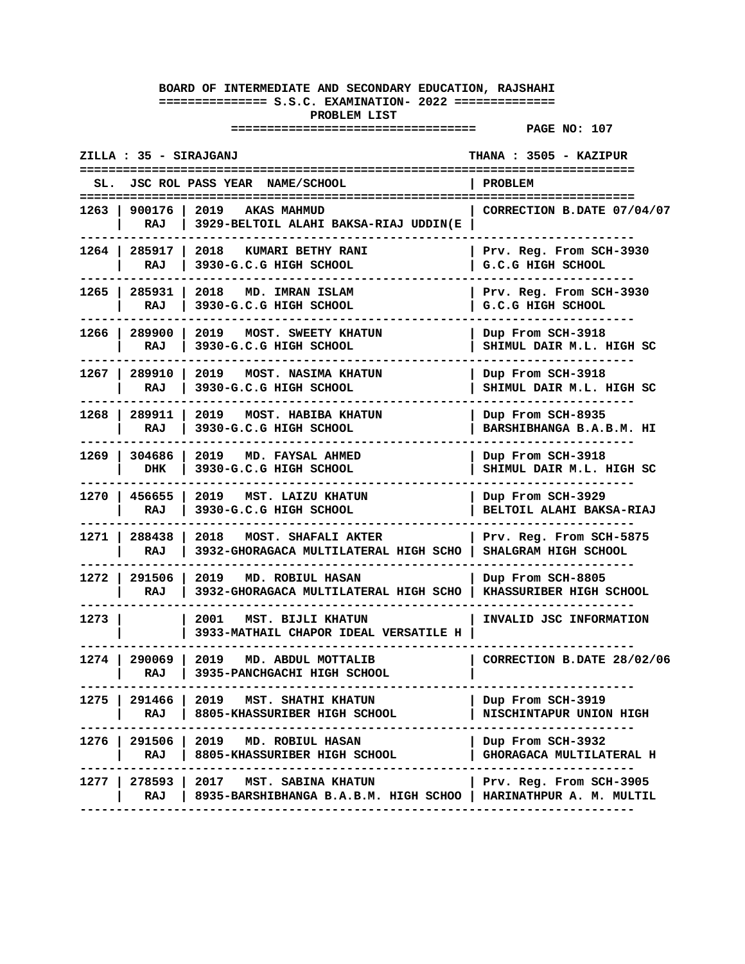| JSC ROL PASS YEAR NAME/SCHOOL<br>PROBLEM<br>SL.<br>1263   900176   2019   AKAS MAHMUD<br>CORRECTION B.DATE 07/04/07<br>RAJ<br>3929-BELTOIL ALAHI BAKSA-RIAJ UDDIN(E<br>1264   285917   2018   KUMARI BETHY RANI<br>Prv. Reg. From SCH-3930<br>RAJ<br>3930-G.C.G HIGH SCHOOL<br>G.C.G HIGH SCHOOL<br>1265   285931  <br>2018 MD. IMRAN ISLAM<br>Prv. Reg. From SCH-3930<br>3930-G.C.G HIGH SCHOOL<br>G.C.G HIGH SCHOOL<br>RAJ<br>1266   289900  <br>2019<br>Dup From SCH-3918<br>MOST. SWEETY KHATUN<br>RAJ<br>3930-G.C.G HIGH SCHOOL<br>SHIMUL DAIR M.L. HIGH SC<br>1267   289910<br>2019 MOST. NASIMA KHATUN<br>Dup From SCH-3918<br>3930-G.C.G HIGH SCHOOL<br>SHIMUL DAIR M.L. HIGH SC<br>RAJ<br>1268   289911   2019   MOST. HABIBA KHATUN<br>Dup From SCH-8935<br>3930-G.C.G HIGH SCHOOL<br>BARSHIBHANGA B.A.B.M. HI<br>RAJ<br>1269   304686  <br>2019 MD. FAYSAL AHMED<br>Dup From SCH-3918<br>3930-G.C.G HIGH SCHOOL<br>SHIMUL DAIR M.L. HIGH SC<br>DHK<br>1270   456655  <br>2019 MST. LAIZU KHATUN<br>Dup From SCH-3929<br>RAJ<br>3930-G.C.G HIGH SCHOOL<br>BELTOIL ALAHI BAKSA-RIAJ<br>1271   288438  <br>2018 MOST. SHAFALI AKTER<br>Prv. Reg. From SCH-5875<br>RAJ<br>3932-GHORAGACA MULTILATERAL HIGH SCHO<br>SHALGRAM HIGH SCHOOL<br>1272   291506<br>2019 MD. ROBIUL HASAN<br>Dup From SCH-8805<br>3932-GHORAGACA MULTILATERAL HIGH SCHO<br>KHASSURIBER HIGH SCHOOL<br>RAJ<br>1273 l<br>2001<br>MST. BIJLI KHATUN<br>INVALID JSC INFORMATION<br>3933-MATHAIL CHAPOR IDEAL VERSATILE H<br>1274   290069   2019<br>MD. ABDUL MOTTALIB<br>CORRECTION B.DATE 28/02/06<br>3935-PANCHGACHI HIGH SCHOOL<br>RAJ<br>291466   2019 MST. SHATHI KHATUN<br>1275 I<br>Dup From SCH-3919<br>RAJ<br>  8805-KHASSURIBER HIGH SCHOOL<br>NISCHINTAPUR UNION HIGH<br>1276   291506   2019 MD. ROBIUL HASAN<br>Dup From SCH-3932<br>RAJ<br>8805-KHASSURIBER HIGH SCHOOL<br>GHORAGACA MULTILATERAL H<br>1277   278593   2017<br>MST. SABINA KHATUN<br>  Prv. Reg. From SCH-3905<br>8935-BARSHIBHANGA B.A.B.M. HIGH SCHOO   HARINATHPUR A. M. MULTIL<br>RAJ | ZILLA : 35 - SIRAJGANJ | THANA: 3505 - KAZIPUR |
|-----------------------------------------------------------------------------------------------------------------------------------------------------------------------------------------------------------------------------------------------------------------------------------------------------------------------------------------------------------------------------------------------------------------------------------------------------------------------------------------------------------------------------------------------------------------------------------------------------------------------------------------------------------------------------------------------------------------------------------------------------------------------------------------------------------------------------------------------------------------------------------------------------------------------------------------------------------------------------------------------------------------------------------------------------------------------------------------------------------------------------------------------------------------------------------------------------------------------------------------------------------------------------------------------------------------------------------------------------------------------------------------------------------------------------------------------------------------------------------------------------------------------------------------------------------------------------------------------------------------------------------------------------------------------------------------------------------------------------------------------------------------------------------------------------------------------------------------------------------------------------------------------------------------------------------------------------------------------------------------------------------------------------------------------------|------------------------|-----------------------|
|                                                                                                                                                                                                                                                                                                                                                                                                                                                                                                                                                                                                                                                                                                                                                                                                                                                                                                                                                                                                                                                                                                                                                                                                                                                                                                                                                                                                                                                                                                                                                                                                                                                                                                                                                                                                                                                                                                                                                                                                                                                     |                        |                       |
|                                                                                                                                                                                                                                                                                                                                                                                                                                                                                                                                                                                                                                                                                                                                                                                                                                                                                                                                                                                                                                                                                                                                                                                                                                                                                                                                                                                                                                                                                                                                                                                                                                                                                                                                                                                                                                                                                                                                                                                                                                                     |                        |                       |
|                                                                                                                                                                                                                                                                                                                                                                                                                                                                                                                                                                                                                                                                                                                                                                                                                                                                                                                                                                                                                                                                                                                                                                                                                                                                                                                                                                                                                                                                                                                                                                                                                                                                                                                                                                                                                                                                                                                                                                                                                                                     |                        |                       |
|                                                                                                                                                                                                                                                                                                                                                                                                                                                                                                                                                                                                                                                                                                                                                                                                                                                                                                                                                                                                                                                                                                                                                                                                                                                                                                                                                                                                                                                                                                                                                                                                                                                                                                                                                                                                                                                                                                                                                                                                                                                     |                        |                       |
|                                                                                                                                                                                                                                                                                                                                                                                                                                                                                                                                                                                                                                                                                                                                                                                                                                                                                                                                                                                                                                                                                                                                                                                                                                                                                                                                                                                                                                                                                                                                                                                                                                                                                                                                                                                                                                                                                                                                                                                                                                                     |                        |                       |
|                                                                                                                                                                                                                                                                                                                                                                                                                                                                                                                                                                                                                                                                                                                                                                                                                                                                                                                                                                                                                                                                                                                                                                                                                                                                                                                                                                                                                                                                                                                                                                                                                                                                                                                                                                                                                                                                                                                                                                                                                                                     |                        |                       |
|                                                                                                                                                                                                                                                                                                                                                                                                                                                                                                                                                                                                                                                                                                                                                                                                                                                                                                                                                                                                                                                                                                                                                                                                                                                                                                                                                                                                                                                                                                                                                                                                                                                                                                                                                                                                                                                                                                                                                                                                                                                     |                        |                       |
|                                                                                                                                                                                                                                                                                                                                                                                                                                                                                                                                                                                                                                                                                                                                                                                                                                                                                                                                                                                                                                                                                                                                                                                                                                                                                                                                                                                                                                                                                                                                                                                                                                                                                                                                                                                                                                                                                                                                                                                                                                                     |                        |                       |
|                                                                                                                                                                                                                                                                                                                                                                                                                                                                                                                                                                                                                                                                                                                                                                                                                                                                                                                                                                                                                                                                                                                                                                                                                                                                                                                                                                                                                                                                                                                                                                                                                                                                                                                                                                                                                                                                                                                                                                                                                                                     |                        |                       |
|                                                                                                                                                                                                                                                                                                                                                                                                                                                                                                                                                                                                                                                                                                                                                                                                                                                                                                                                                                                                                                                                                                                                                                                                                                                                                                                                                                                                                                                                                                                                                                                                                                                                                                                                                                                                                                                                                                                                                                                                                                                     |                        |                       |
|                                                                                                                                                                                                                                                                                                                                                                                                                                                                                                                                                                                                                                                                                                                                                                                                                                                                                                                                                                                                                                                                                                                                                                                                                                                                                                                                                                                                                                                                                                                                                                                                                                                                                                                                                                                                                                                                                                                                                                                                                                                     |                        |                       |
|                                                                                                                                                                                                                                                                                                                                                                                                                                                                                                                                                                                                                                                                                                                                                                                                                                                                                                                                                                                                                                                                                                                                                                                                                                                                                                                                                                                                                                                                                                                                                                                                                                                                                                                                                                                                                                                                                                                                                                                                                                                     |                        |                       |
|                                                                                                                                                                                                                                                                                                                                                                                                                                                                                                                                                                                                                                                                                                                                                                                                                                                                                                                                                                                                                                                                                                                                                                                                                                                                                                                                                                                                                                                                                                                                                                                                                                                                                                                                                                                                                                                                                                                                                                                                                                                     |                        |                       |
|                                                                                                                                                                                                                                                                                                                                                                                                                                                                                                                                                                                                                                                                                                                                                                                                                                                                                                                                                                                                                                                                                                                                                                                                                                                                                                                                                                                                                                                                                                                                                                                                                                                                                                                                                                                                                                                                                                                                                                                                                                                     |                        |                       |
|                                                                                                                                                                                                                                                                                                                                                                                                                                                                                                                                                                                                                                                                                                                                                                                                                                                                                                                                                                                                                                                                                                                                                                                                                                                                                                                                                                                                                                                                                                                                                                                                                                                                                                                                                                                                                                                                                                                                                                                                                                                     |                        |                       |
|                                                                                                                                                                                                                                                                                                                                                                                                                                                                                                                                                                                                                                                                                                                                                                                                                                                                                                                                                                                                                                                                                                                                                                                                                                                                                                                                                                                                                                                                                                                                                                                                                                                                                                                                                                                                                                                                                                                                                                                                                                                     |                        |                       |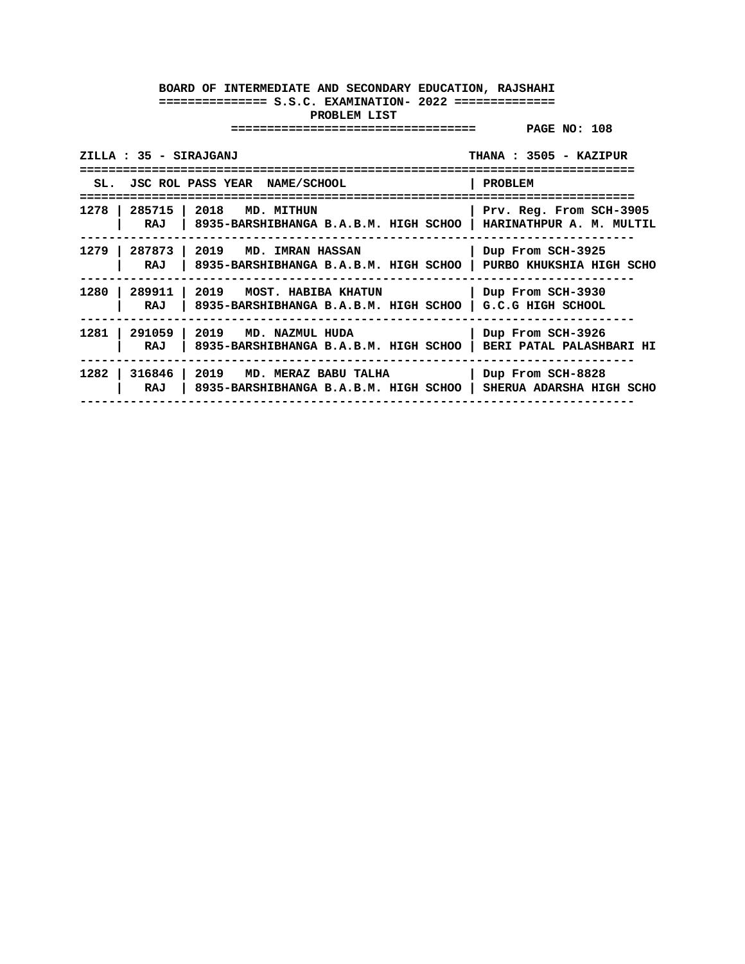| THANA: 3505 - KAZIPUR<br>ZILLA : 35 - SIRAJGANJ |                                                                                                       |                                               |  |  |
|-------------------------------------------------|-------------------------------------------------------------------------------------------------------|-----------------------------------------------|--|--|
| ---------                                       | SL. JSC ROL PASS YEAR NAME/SCHOOL                                                                     | PROBLEM<br>=====================              |  |  |
| RAJ                                             | 1278   285715   2018 MD. MITHUN<br>  8935-BARSHIBHANGA B.A.B.M. HIGH SCHOO   HARINATHPUR A. M. MULTIL | Prv. Reg. From SCH-3905                       |  |  |
| 1279 I<br>RAJ                                   | 287873   2019 MD. IMRAN HASSAN<br>8935-BARSHIBHANGA B.A.B.M. HIGH SCHOO                               | Dup From SCH-3925<br>PURBO KHUKSHIA HIGH SCHO |  |  |
| 1280 l<br>RAJ                                   | 289911   2019   MOST. HABIBA KHATUN<br>8935-BARSHIBHANGA B.A.B.M. HIGH SCHOO                          | Dup From SCH-3930<br>G.C.G HIGH SCHOOL        |  |  |
| RAJ                                             | 1281   291059   2019 MD. NAZMUL HUDA<br>8935-BARSHIBHANGA B.A.B.M. HIGH SCHOO                         | Dup From SCH-3926<br>BERI PATAL PALASHBARI HI |  |  |
| RAJ                                             | 1282   316846   2019 MD. MERAZ BABU TALHA<br>8935-BARSHIBHANGA B.A.B.M. HIGH SCHOO                    | Dup From SCH-8828<br>SHERUA ADARSHA HIGH SCHO |  |  |
|                                                 |                                                                                                       |                                               |  |  |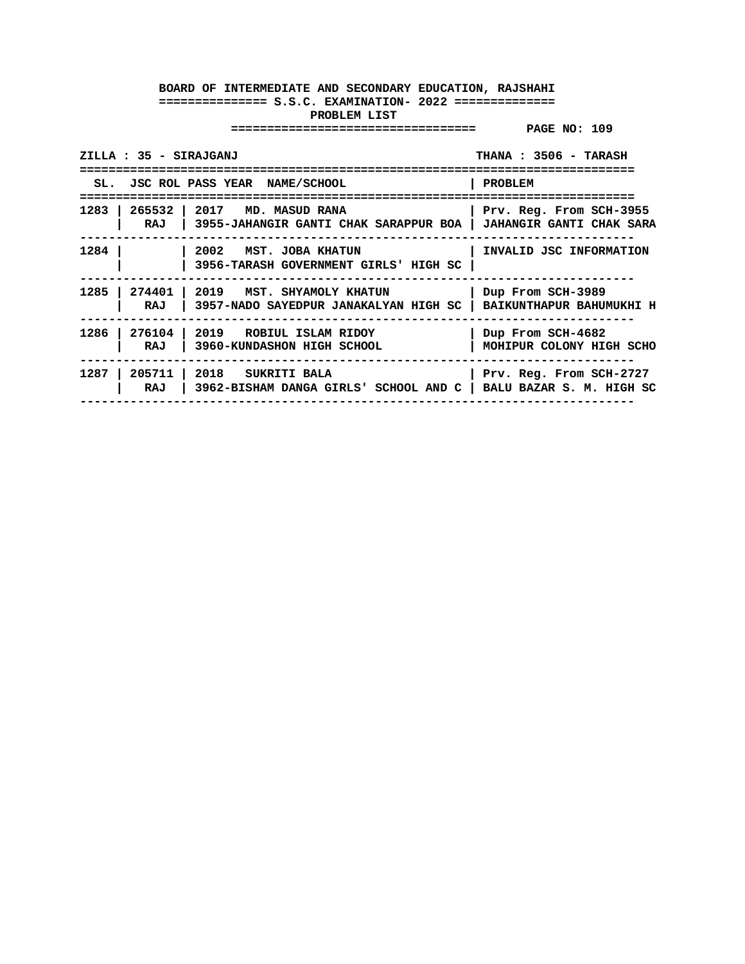| ZILLA : 35 - SIRAJGANJ            | THANA: 3506 - TARASH                                                                                     |                                                       |
|-----------------------------------|----------------------------------------------------------------------------------------------------------|-------------------------------------------------------|
| SL. JSC ROL PASS YEAR NAME/SCHOOL |                                                                                                          | PROBLEM                                               |
| 1283 l<br>265532   2017<br>RAJ    | MD. MASUD RANA<br>  3955-JAHANGIR GANTI CHAK SARAPPUR BOA   JAHANGIR GANTI CHAK SARA                     | Prv. Reg. From SCH-3955                               |
| 1284                              | 2002 MST. JOBA KHATUN<br>3956-TARASH GOVERNMENT GIRLS' HIGH SC                                           | INVALID JSC INFORMATION                               |
| 1285 l<br>RAJ                     | 274401   2019   MST. SHYAMOLY KHATUN<br>3957-NADO SAYEDPUR JANAKALYAN HIGH SC   BAIKUNTHAPUR BAHUMUKHI H | Dup From SCH-3989                                     |
| 1286<br>RAJ                       | 276104   2019   ROBIUL ISLAM RIDOY<br>3960-KUNDASHON HIGH SCHOOL                                         | Dup From SCH-4682<br>MOHIPUR COLONY HIGH SCHO         |
| 1287<br>205711<br>RAJ             | 2018 SUKRITI BALA<br>3962-BISHAM DANGA GIRLS' SCHOOL AND C                                               | Prv. Reg. From SCH-2727<br>  BALU BAZAR S. M. HIGH SC |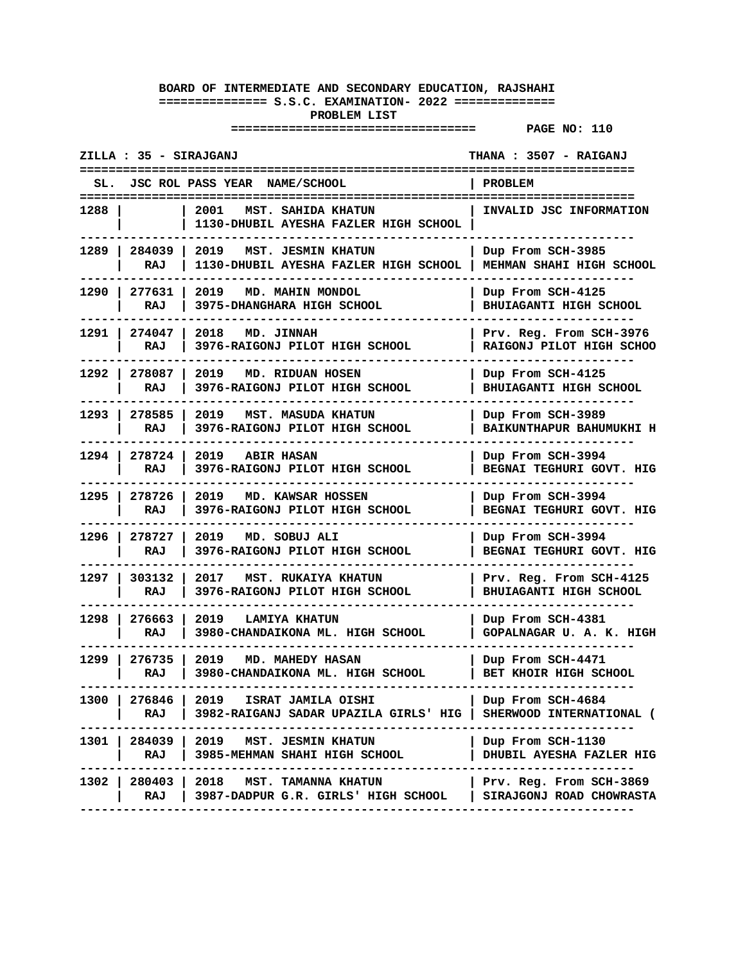|        | ZILLA : 35 - SIRAJGANJ |                                                                                     | THANA : 3507 - RAIGANJ<br>======================          |
|--------|------------------------|-------------------------------------------------------------------------------------|-----------------------------------------------------------|
|        |                        | JSC ROL PASS YEAR NAME/SCHOOL                                                       | PROBLEM                                                   |
| 1288 - |                        | 2001<br>MST. SAHIDA KHATUN<br>1130-DHUBIL AYESHA FAZLER HIGH SCHOOL                 | INVALID JSC INFORMATION                                   |
|        | 1289   284039  <br>RAJ | 2019<br>MST. JESMIN KHATUN<br>1130-DHUBIL AYESHA FAZLER HIGH SCHOOL                 | Dup From SCH-3985<br>MEHMAN SHAHI HIGH SCHOOL             |
| 1290 l | 277631<br>RAJ          | 2019<br>MD. MAHIN MONDOL<br>3975-DHANGHARA HIGH SCHOOL                              | Dup From SCH-4125<br>BHUIAGANTI HIGH SCHOOL               |
| 1291 l | 274047<br>RAJ          | 2018<br>MD. JINNAH<br>3976-RAIGONJ PILOT HIGH SCHOOL                                | Prv. Reg. From SCH-3976<br>RAIGONJ PILOT HIGH SCHOO       |
|        | 1292   278087<br>RAJ   | 2019<br>MD. RIDUAN HOSEN<br>3976-RAIGONJ PILOT HIGH SCHOOL                          | Dup From SCH-4125<br>BHUIAGANTI HIGH SCHOOL               |
| 1293 l | 278585<br>RAJ          | 2019 MST. MASUDA KHATUN<br>3976-RAIGONJ PILOT HIGH SCHOOL                           | Dup From SCH-3989<br>BAIKUNTHAPUR BAHUMUKHI H             |
|        | 1294   278724<br>RAJ   | 2019<br><b>ABIR HASAN</b><br>3976-RAIGONJ PILOT HIGH SCHOOL                         | Dup From SCH-3994<br>BEGNAI TEGHURI GOVT. HIG             |
| 1295 l | 278726<br>RAJ          | 2019<br>MD. KAWSAR HOSSEN<br>3976-RAIGONJ PILOT HIGH SCHOOL                         | Dup From SCH-3994<br>BEGNAI TEGHURI GOVT. HIG             |
| 1296 l | 278727<br>RAJ          | 2019<br>MD. SOBUJ ALI<br>3976-RAIGONJ PILOT HIGH SCHOOL                             | Dup From SCH-3994<br>BEGNAI TEGHURI GOVT. HIG             |
| 1297 I | 303132<br>RAJ          | 2017<br>MST. RUKAIYA KHATUN<br>3976-RAIGONJ PILOT HIGH SCHOOL                       | Prv. Reg. From SCH-4125<br>BHUIAGANTI HIGH SCHOOL         |
| 1298 l | 276663<br>RAJ          | 2019 LAMIYA KHATUN<br>3980-CHANDAIKONA ML. HIGH SCHOOL                              | Dup From SCH-4381<br>GOPALNAGAR U. A. K. HIGH             |
| 1299 l | 276735<br>RAJ          | 2019<br><b>MD. MAHEDY HASAN</b><br>3980-CHANDAIKONA ML. HIGH SCHOOL                 | Dup From SCH-4471<br>BET KHOIR HIGH SCHOOL                |
| 1300 l | RAJ                    | 276846   2019   ISRAT JAMILA OISHI<br>3982-RAIGANJ SADAR UPAZILA GIRLS' HIG         | Dup From SCH-4684<br>SHERWOOD INTERNATIONAL (             |
|        | RAJ                    | 1301   284039   2019 MST. JESMIN KHATUN<br>3985-MEHMAN SHAHI HIGH SCHOOL<br>------- | Dup From SCH-1130<br>DHUBIL AYESHA FAZLER HIG             |
|        | RAJ                    | 1302   280403   2018   MST. TAMANNA KHATUN<br>3987-DADPUR G.R. GIRLS' HIGH SCHOOL   | $ $ Prv. Reg. From SCH-3869<br>  SIRAJGONJ ROAD CHOWRASTA |
|        |                        |                                                                                     |                                                           |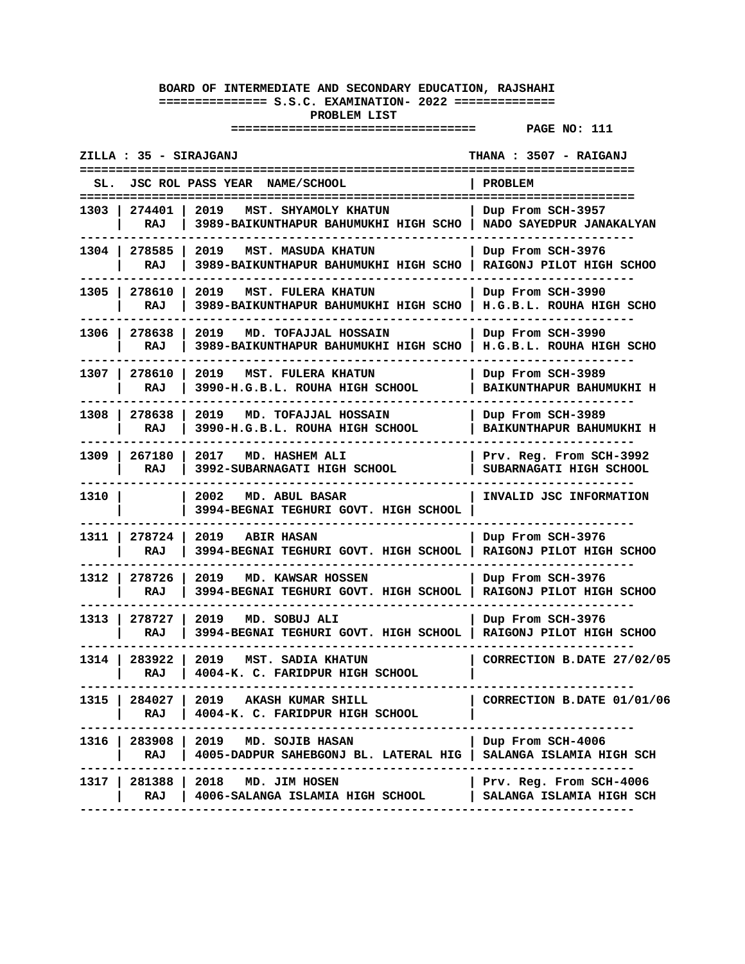| ZILLA : 35 - SIRAJGANJ<br>THANA: 3507 - RAIGANJ |                      |                                                                               |                                                       |
|-------------------------------------------------|----------------------|-------------------------------------------------------------------------------|-------------------------------------------------------|
| SL.                                             |                      | JSC ROL PASS YEAR NAME/SCHOOL                                                 | PROBLEM                                               |
| 1303 I                                          | 274401<br>RAJ        | 2019<br>MST. SHYAMOLY KHATUN<br>3989-BAIKUNTHAPUR BAHUMUKHI HIGH SCHO         | Dup From SCH-3957<br>NADO SAYEDPUR JANAKALYAN         |
|                                                 | 1304   278585<br>RAJ | 2019 MST. MASUDA KHATUN<br>3989-BAIKUNTHAPUR BAHUMUKHI HIGH SCHO              | Dup From SCH-3976<br>RAIGONJ PILOT HIGH SCHOO         |
| 1305 l                                          | 278610<br>RAJ        | 2019<br>MST. FULERA KHATUN<br>3989-BAIKUNTHAPUR BAHUMUKHI HIGH SCHO           | Dup From SCH-3990<br>H.G.B.L. ROUHA HIGH SCHO         |
| 1306 l                                          | 278638<br>RAJ        | 2019<br>MD. TOFAJJAL HOSSAIN<br>3989-BAIKUNTHAPUR BAHUMUKHI HIGH SCHO         | Dup From SCH-3990<br>H.G.B.L. ROUHA HIGH SCHO         |
| 1307 I                                          | 278610<br>RAJ        | 2019<br><b>MST. FULERA KHATUN</b><br>3990-H.G.B.L. ROUHA HIGH SCHOOL          | Dup From SCH-3989<br>BAIKUNTHAPUR BAHUMUKHI H         |
| 1308 l                                          | 278638<br>RAJ        | 2019 MD. TOFAJJAL HOSSAIN<br>3990-H.G.B.L. ROUHA HIGH SCHOOL                  | Dup From SCH-3989<br>BAIKUNTHAPUR BAHUMUKHI H         |
| 1309 I                                          | 267180<br>RAJ        | 2017<br>MD. HASHEM ALI<br>3992-SUBARNAGATI HIGH SCHOOL                        | Prv. Reg. From SCH-3992<br>SUBARNAGATI HIGH SCHOOL    |
| 1310                                            |                      | 2002<br>MD. ABUL BASAR<br>3994-BEGNAI TEGHURI GOVT. HIGH SCHOOL               | INVALID JSC INFORMATION                               |
| 1311 I                                          | 278724<br>RAJ        | 2019<br><b>ABIR HASAN</b><br>3994-BEGNAI TEGHURI GOVT. HIGH SCHOOL            | Dup From SCH-3976<br>RAIGONJ PILOT HIGH SCHOO         |
| 1312                                            | 278726<br>RAJ        | 2019<br>MD. KAWSAR HOSSEN<br>3994-BEGNAI TEGHURI GOVT. HIGH SCHOOL            | Dup From SCH-3976<br>RAIGONJ PILOT HIGH SCHOO         |
| 1313 l                                          | 278727<br>RAJ        | 2019 MD. SOBUJ ALI<br>3994-BEGNAI TEGHURI GOVT. HIGH SCHOOL                   | Dup From SCH-3976<br>RAIGONJ PILOT HIGH SCHOO         |
| 1314                                            | 283922<br>RAJ        | 2019<br>MST. SADIA KHATUN<br>4004-K. C. FARIDPUR HIGH SCHOOL                  | CORRECTION B.DATE 27/02/05                            |
| 1315 I                                          | 284027  <br>RAJ      | 2019 AKASH KUMAR SHILL<br>4004-K. C. FARIDPUR HIGH SCHOOL                     | CORRECTION B.DATE 01/01/06                            |
|                                                 | RAJ                  | 1316   283908   2019 MD. SOJIB HASAN<br>4005-DADPUR SAHEBGONJ BL. LATERAL HIG | Dup From SCH-4006<br>SALANGA ISLAMIA HIGH SCH         |
|                                                 | RAJ                  | 1317   281388   2018 MD. JIM HOSEN<br>4006-SALANGA ISLAMIA HIGH SCHOOL        | Prv. Reg. From SCH-4006  <br>SALANGA ISLAMIA HIGH SCH |
|                                                 |                      |                                                                               |                                                       |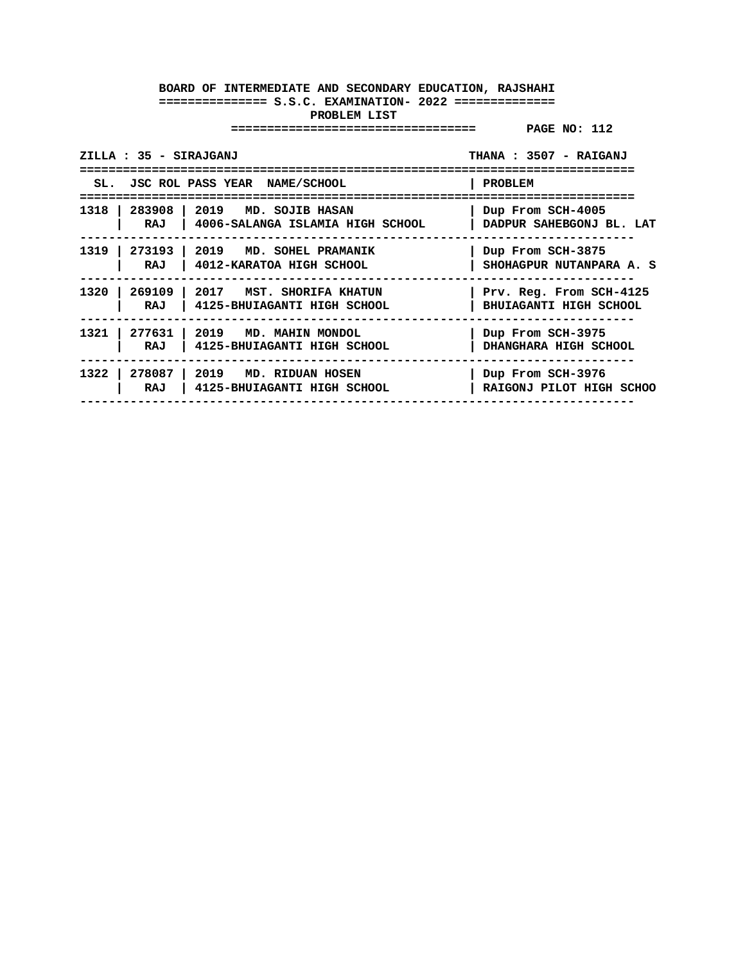| ZILLA : 35 - SIRAJGANJ |                                                                                                       | THANA: 3507 - RAIGANJ                             |
|------------------------|-------------------------------------------------------------------------------------------------------|---------------------------------------------------|
|                        | SL. JSC ROL PASS YEAR NAME/SCHOOL                                                                     | PROBLEM                                           |
| RAJ                    | 1318   283908   2019 MD. SOJIB HASAN<br>  4006-SALANGA ISLAMIA HIGH SCHOOL   DADPUR SAHEBGONJ BL. LAT | Dup From SCH-4005                                 |
| RAJ                    | 1319   273193   2019 MD. SOHEL PRAMANIK<br>4012-KARATOA HIGH SCHOOL                                   | Dup From SCH-3875<br>SHOHAGPUR NUTANPARA A. S     |
| 1320  <br>RAJ          | 269109   2017 MST. SHORIFA KHATUN<br>  4125-BHUIAGANTI HIGH SCHOOL                                    | Prv. Reg. From SCH-4125<br>BHUIAGANTI HIGH SCHOOL |
| RAJ                    | 1321   277631   2019 MD. MAHIN MONDOL<br>4125-BHUIAGANTI HIGH SCHOOL                                  | Dup From SCH-3975<br>DHANGHARA HIGH SCHOOL        |
| 1322 l<br>RAJ          | 278087   2019 MD. RIDUAN HOSEN<br>4125-BHUIAGANTI HIGH SCHOOL                                         | Dup From SCH-3976<br>RAIGONJ PILOT HIGH SCHOO     |
|                        |                                                                                                       |                                                   |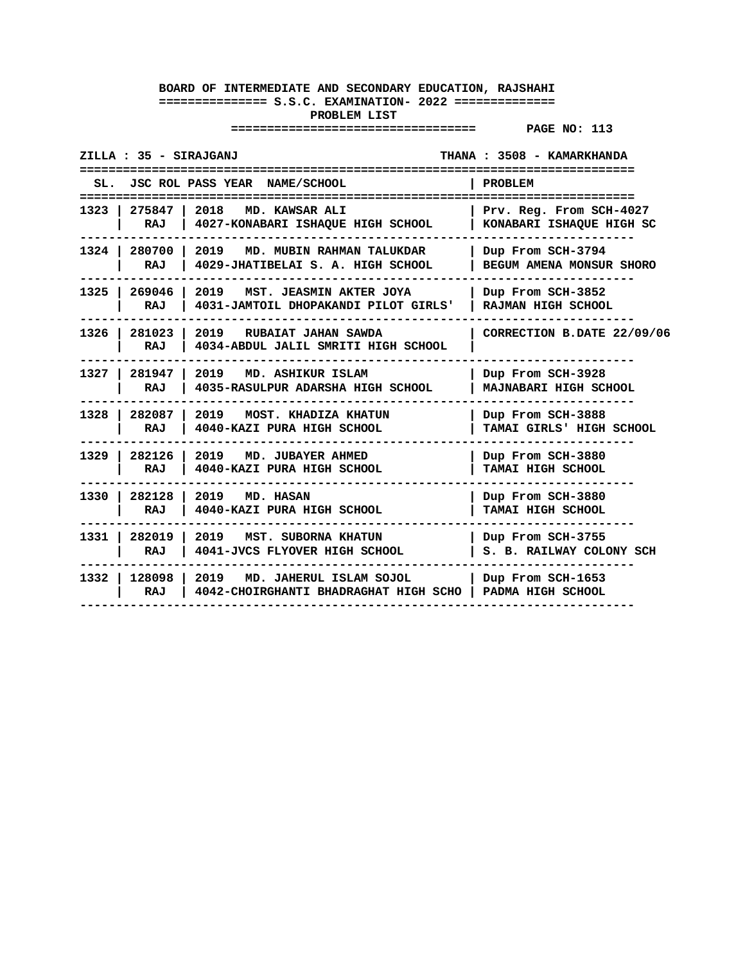| ZILLA : 35 - SIRAJGANJ           |                                                                                                           | THANA: 3508 - KAMARKHANDA                                         |
|----------------------------------|-----------------------------------------------------------------------------------------------------------|-------------------------------------------------------------------|
| SL.<br>------------------------- | JSC ROL PASS YEAR NAME/SCHOOL<br>----------------------------                                             | <b>PROBLEM</b><br>=====================                           |
| 1323   275847  <br>RAJ           | 2018 MD. KAWSAR ALI<br>4027-KONABARI ISHAQUE HIGH SCHOOL                                                  | Prv. Reg. From SCH-4027<br>KONABARI ISHAQUE HIGH SC<br>---------- |
| RAJ                              | 1324   280700   2019   MD. MUBIN RAHMAN TALUKDAR<br>4029-JHATIBELAI S. A. HIGH SCHOOL                     | Dup From SCH-3794<br><b>BEGUM AMENA MONSUR SHORO</b>              |
| RAJ                              | 1325   269046   2019   MST. JEASMIN AKTER JOYA<br>4031-JAMTOIL DHOPAKANDI PILOT GIRLS'                    | Dup From SCH-3852<br><b>RAJMAN HIGH SCHOOL</b>                    |
| $1326$ $\vert$<br>281023<br>RAJ  | 2019 RUBAIAT JAHAN SAWDA<br>4034-ABDUL JALIL SMRITI HIGH SCHOOL                                           | CORRECTION B.DATE 22/09/06                                        |
| 1327   281947<br>RAJ             | 2019 MD. ASHIKUR ISLAM<br>4035-RASULPUR ADARSHA HIGH SCHOOL                                               | Dup From SCH-3928<br>MAJNABARI HIGH SCHOOL                        |
| 1328 282087 1<br>RAJ             | 2019   MOST. KHADIZA KHATUN<br>4040-KAZI PURA HIGH SCHOOL                                                 | Dup From SCH-3888<br>TAMAI GIRLS' HIGH SCHOOL                     |
| 1329 282126<br>RAJ               | 2019 MD. JUBAYER AHMED<br>4040-KAZI PURA HIGH SCHOOL                                                      | Dup From SCH-3880<br>TAMAI HIGH SCHOOL                            |
| 1330   282128<br>RAJ             | 2019 MD. HASAN<br>4040-KAZI PURA HIGH SCHOOL                                                              | Dup From SCH-3880<br>TAMAI HIGH SCHOOL                            |
| RAJ                              | 1331   282019   2019   MST. SUBORNA KHATUN<br>4041-JVCS FLYOVER HIGH SCHOOL                               | Dup From SCH-3755<br>S. B. RAILWAY COLONY SCH                     |
| RAJ                              | 1332   128098   2019 MD. JAHERUL ISLAM SOJOL<br>4042-CHOIRGHANTI BHADRAGHAT HIGH SCHO   PADMA HIGH SCHOOL | Dup From SCH-1653                                                 |
|                                  |                                                                                                           |                                                                   |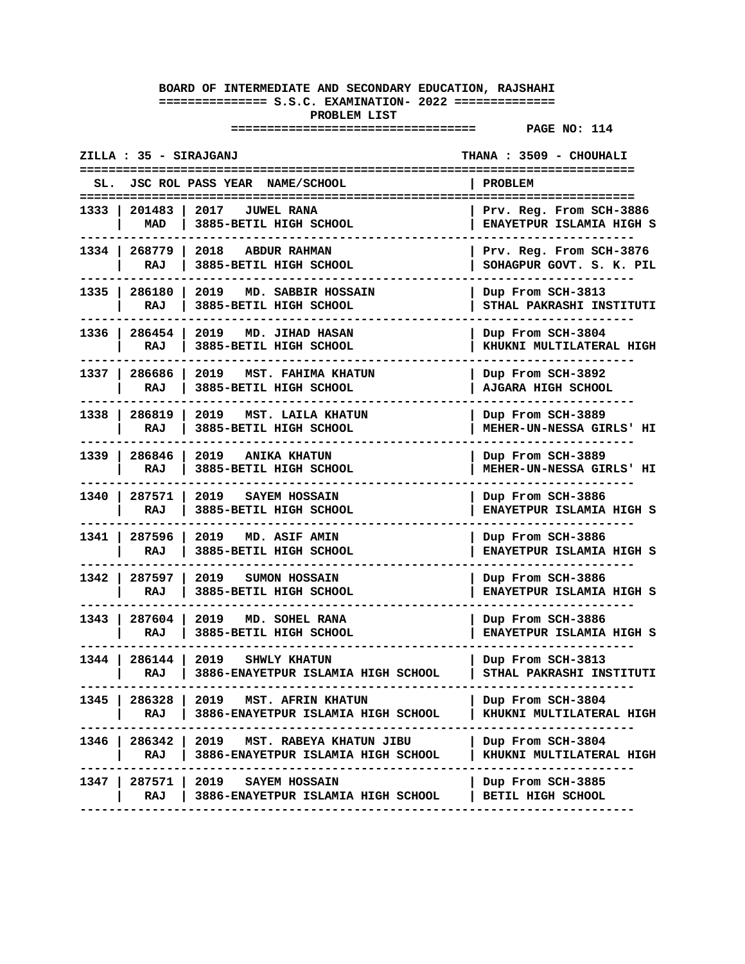| ZILLA : 35 - SIRAJGANJ |                      |                                                                    | THANA: 3509 - CHOUHALI                        |
|------------------------|----------------------|--------------------------------------------------------------------|-----------------------------------------------|
|                        |                      | SL. JSC ROL PASS YEAR NAME/SCHOOL                                  | <b>PROBLEM</b>                                |
|                        | 1333   201483   2017 | JUWEL RANA                                                         | Prv. Reg. From SCH-3886                       |
|                        | MAD                  | 3885-BETIL HIGH SCHOOL                                             | ENAYETPUR ISLAMIA HIGH S                      |
|                        | 1334   268779        | 2018 ABDUR RAHMAN                                                  | Prv. Reg. From SCH-3876                       |
|                        | RAJ                  | 3885-BETIL HIGH SCHOOL                                             | SOHAGPUR GOVT. S. K. PIL                      |
|                        | 1335   286180        | 2019 MD. SABBIR HOSSAIN                                            | Dup From SCH-3813                             |
|                        | RAJ                  | 3885-BETIL HIGH SCHOOL                                             | STHAL PAKRASHI INSTITUTI                      |
| 1336 l                 | 286454<br>RAJ        | 2019<br>MD. JIHAD HASAN<br>3885-BETIL HIGH SCHOOL                  | Dup From SCH-3804<br>KHUKNI MULTILATERAL HIGH |
|                        | 1337   286686<br>RAJ | 2019<br><b>MST. FAHIMA KHATUN</b><br>3885-BETIL HIGH SCHOOL        | Dup From SCH-3892<br>AJGARA HIGH SCHOOL       |
|                        | 1338   286819        | 2019 MST. LAILA KHATUN                                             | Dup From SCH-3889                             |
|                        | RAJ                  | 3885-BETIL HIGH SCHOOL                                             | MEHER-UN-NESSA GIRLS' HI                      |
| 1339                   | 286846               | 2019 ANIKA KHATUN                                                  | Dup From SCH-3889                             |
|                        | RAJ                  | 3885-BETIL HIGH SCHOOL                                             | MEHER-UN-NESSA GIRLS' HI                      |
| 1340 I                 | 287571               | 2019 SAYEM HOSSAIN                                                 | Dup From SCH-3886                             |
|                        | RAJ                  | 3885-BETIL HIGH SCHOOL                                             | ENAYETPUR ISLAMIA HIGH S                      |
| 1341 I                 | 287596<br>RAJ        | 2019<br>MD. ASIF AMIN<br>3885-BETIL HIGH SCHOOL                    | Dup From SCH-3886<br>ENAYETPUR ISLAMIA HIGH S |
| 1342 l                 | 287597               | 2019 SUMON HOSSAIN                                                 | Dup From SCH-3886                             |
|                        | RAJ                  | 3885-BETIL HIGH SCHOOL                                             | <b>ENAYETPUR ISLAMIA HIGH S</b>               |
| 1343 I                 | 287604  <br>RAJ      | 2019<br>MD. SOHEL RANA<br>3885-BETIL HIGH SCHOOL                   | Dup From SCH-3886<br>ENAYETPUR ISLAMIA HIGH S |
| 1344 l                 | 286144               | 2019 SHWLY KHATUN                                                  | Dup From SCH-3813                             |
|                        | RAJ                  | 3886-ENAYETPUR ISLAMIA HIGH SCHOOL                                 | STHAL PAKRASHI INSTITUTI                      |
| 1345                   | 286328               | 2019 MST. AFRIN KHATUN                                             | Dup From SCH-3804                             |
|                        | RAJ                  | 3886-ENAYETPUR ISLAMIA HIGH SCHOOL                                 | KHUKNI MULTILATERAL HIGH                      |
| 1346 I                 | 286342               | 2019 MST. RABEYA KHATUN JIBU                                       | Dup From SCH-3804                             |
|                        | RAJ                  | 3886-ENAYETPUR ISLAMIA HIGH SCHOOL                                 | KHUKNI MULTILATERAL HIGH                      |
| 1347                   | 287571<br>RAJ        | 2019<br><b>SAYEM HOSSAIN</b><br>3886-ENAYETPUR ISLAMIA HIGH SCHOOL | Dup From SCH-3885<br>BETIL HIGH SCHOOL        |
|                        |                      |                                                                    |                                               |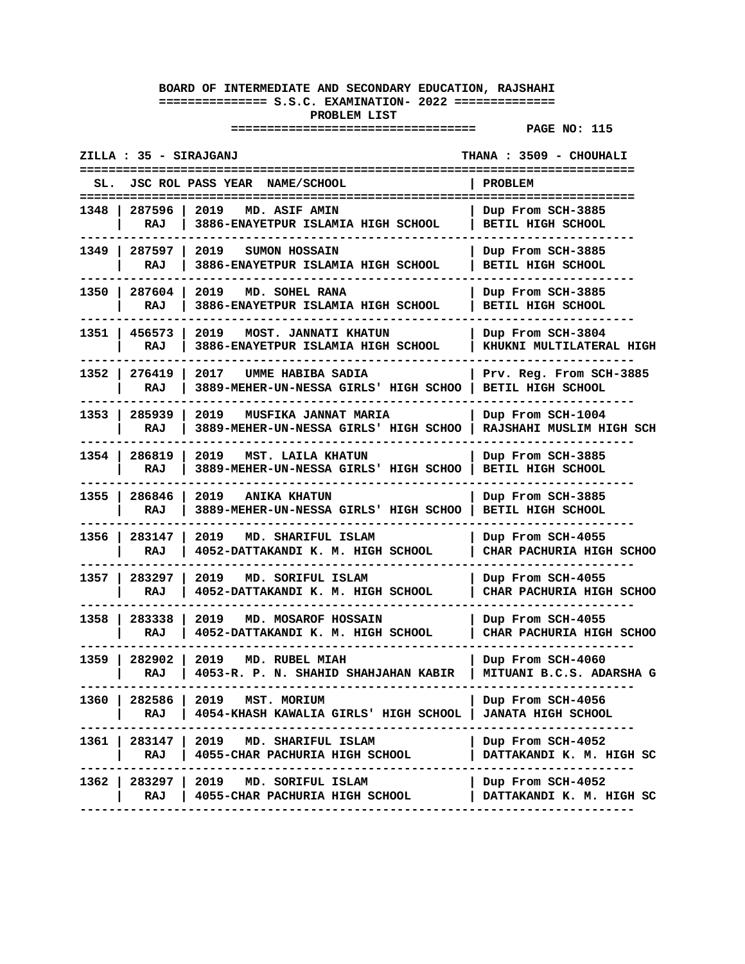| <b>JSC ROL PASS YEAR</b><br><b>NAME/SCHOOL</b><br>PROBLEM<br>SL.<br>287596<br>2019<br>1348<br>Dup From SCH-3885<br>MD. ASIF AMIN<br>RAJ<br>3886-ENAYETPUR ISLAMIA HIGH SCHOOL<br>BETIL HIGH SCHOOL<br>1349   287597<br>2019 SUMON HOSSAIN<br>Dup From SCH-3885 |
|----------------------------------------------------------------------------------------------------------------------------------------------------------------------------------------------------------------------------------------------------------------|
|                                                                                                                                                                                                                                                                |
|                                                                                                                                                                                                                                                                |
| RAJ<br>3886-ENAYETPUR ISLAMIA HIGH SCHOOL<br>BETIL HIGH SCHOOL                                                                                                                                                                                                 |
| 1350 l<br>287604<br>2019<br>MD. SOHEL RANA<br>Dup From SCH-3885<br>3886-ENAYETPUR ISLAMIA HIGH SCHOOL<br>RAJ<br>BETIL HIGH SCHOOL                                                                                                                              |
| 1351 l<br>456573<br>2019<br>MOST. JANNATI KHATUN<br>Dup From SCH-3804<br>RAJ<br>3886-ENAYETPUR ISLAMIA HIGH SCHOOL<br>KHUKNI MULTILATERAL HIGH                                                                                                                 |
| 276419<br>2017<br>1352 I<br>UMME HABIBA SADIA<br>Prv. Reg. From SCH-3885<br>3889-MEHER-UN-NESSA GIRLS' HIGH SCHOO<br>BETIL HIGH SCHOOL<br>RAJ                                                                                                                  |
| 285939<br>2019<br>1353 I<br><b>MUSFIKA JANNAT MARIA</b><br>Dup From SCH-1004<br>RAJSHAHI MUSLIM HIGH SCH<br>RAJ<br>3889-MEHER-UN-NESSA GIRLS' HIGH SCHOO                                                                                                       |
| 1354   286819<br>2019<br>MST. LAILA KHATUN<br>Dup From SCH-3885<br>3889-MEHER-UN-NESSA GIRLS' HIGH SCHOO<br>RAJ<br>BETIL HIGH SCHOOL                                                                                                                           |
| 1355 l<br>286846<br>2019 ANIKA KHATUN<br>Dup From SCH-3885<br>RAJ<br>3889-MEHER-UN-NESSA GIRLS' HIGH SCHOO<br>BETIL HIGH SCHOOL                                                                                                                                |
| 1356 l<br>283147<br>2019<br>MD. SHARIFUL ISLAM<br>Dup From SCH-4055<br>RAJ<br>4052-DATTAKANDI K. M. HIGH SCHOOL<br>CHAR PACHURIA HIGH SCHOO                                                                                                                    |
| 1357 I<br>283297<br>2019<br>Dup From SCH-4055<br>MD. SORIFUL ISLAM<br>4052-DATTAKANDI K. M. HIGH SCHOOL<br><b>CHAR PACHURIA HIGH SCHOO</b><br>RAJ                                                                                                              |
| 1358 l<br>283338<br>2019 MD. MOSAROF HOSSAIN<br>Dup From SCH-4055<br>4052-DATTAKANDI K. M. HIGH SCHOOL<br>CHAR PACHURIA HIGH SCHOO<br>RAJ                                                                                                                      |
| 1359<br>282902<br>2019<br>MD. RUBEL MIAH<br>Dup From SCH-4060<br>4053-R. P. N. SHAHID SHAHJAHAN KABIR<br>MITUANI B.C.S. ADARSHA G<br>RAJ                                                                                                                       |
| 2019 MST. MORIUM<br>1360 I<br>282586<br>Dup From SCH-4056<br>RAJ<br>4054-KHASH KAWALIA GIRLS' HIGH SCHOOL<br><b>JANATA HIGH SCHOOL</b><br>------------                                                                                                         |
| 1361   283147   2019 MD. SHARIFUL ISLAM<br>Dup From SCH-4052<br>RAJ<br>4055-CHAR PACHURIA HIGH SCHOOL<br>DATTAKANDI K. M. HIGH SC                                                                                                                              |
| 1362   283297  <br>2019 MD. SORIFUL ISLAM<br>Dup From SCH-4052<br>4055-CHAR PACHURIA HIGH SCHOOL<br>DATTAKANDI K. M. HIGH SC<br>RAJ                                                                                                                            |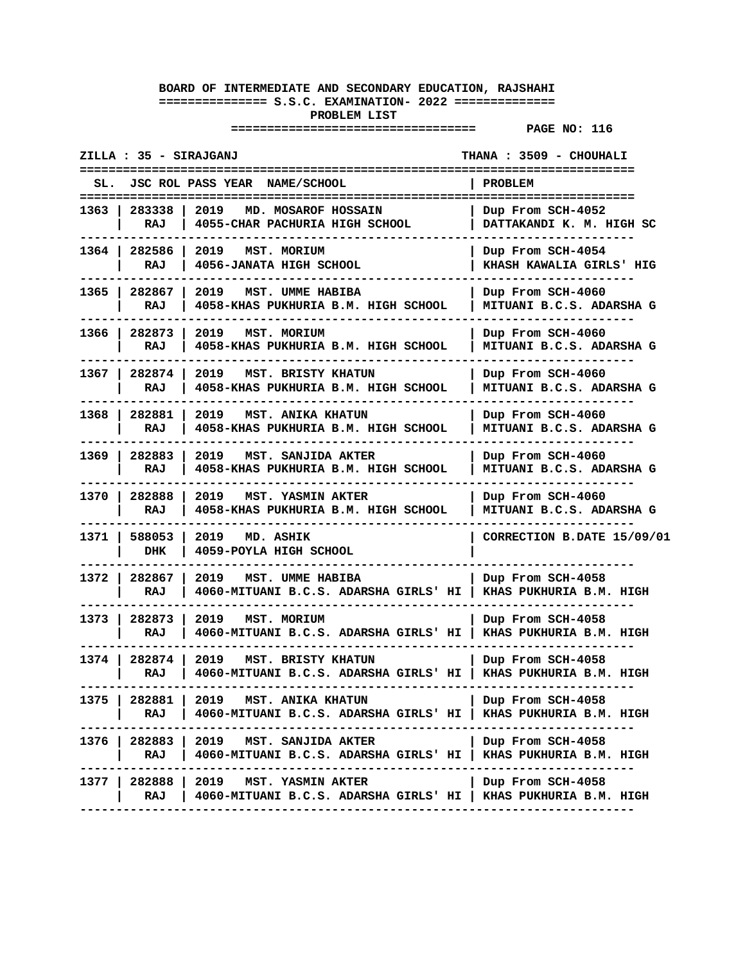| ZILLA : 35 - SIRAJGANJ                                                                                                   | THANA : 3509 - CHOUHALI                       |
|--------------------------------------------------------------------------------------------------------------------------|-----------------------------------------------|
| JSC ROL PASS YEAR NAME/SCHOOL<br>SL.                                                                                     | PROBLEM                                       |
| 283338<br>2019<br>MD. MOSAROF HOSSAIN<br>1363<br>RAJ<br>4055-CHAR PACHURIA HIGH SCHOOL                                   | Dup From SCH-4052<br>DATTAKANDI K. M. HIGH SC |
| 1364   282586<br>2019 MST. MORIUM<br>4056-JANATA HIGH SCHOOL<br>RAJ                                                      | Dup From SCH-4054<br>KHASH KAWALIA GIRLS' HIG |
| 1365 I<br>282867<br>2019 MST. UMME HABIBA<br>4058-KHAS PUKHURIA B.M. HIGH SCHOOL<br>RAJ                                  | Dup From SCH-4060<br>MITUANI B.C.S. ADARSHA G |
| 1366 l<br>282873<br>2019<br>MST. MORIUM<br>4058-KHAS PUKHURIA B.M. HIGH SCHOOL<br>RAJ                                    | Dup From SCH-4060<br>MITUANI B.C.S. ADARSHA G |
| 1367 l<br>282874<br>2019<br>MST. BRISTY KHATUN<br>RAJ<br>4058-KHAS PUKHURIA B.M. HIGH SCHOOL                             | Dup From SCH-4060<br>MITUANI B.C.S. ADARSHA G |
| 1368 l<br>282881<br><b>MST. ANIKA KHATUN</b><br>2019<br>RAJ<br>4058-KHAS PUKHURIA B.M. HIGH SCHOOL                       | Dup From SCH-4060<br>MITUANI B.C.S. ADARSHA G |
| 282883<br>2019<br>1369  <br>MST. SANJIDA AKTER<br>4058-KHAS PUKHURIA B.M. HIGH SCHOOL<br>RAJ                             | Dup From SCH-4060<br>MITUANI B.C.S. ADARSHA G |
| 1370 I<br>282888<br>2019<br>MST. YASMIN AKTER<br>4058-KHAS PUKHURIA B.M. HIGH SCHOOL<br>RAJ                              | Dup From SCH-4060<br>MITUANI B.C.S. ADARSHA G |
| 1371 l<br>588053<br>2019<br>MD. ASHIK<br><b>DHK</b><br>4059-POYLA HIGH SCHOOL                                            | CORRECTION B.DATE 15/09/01                    |
| 1372<br>282867<br>2019<br>MST. UMME HABIBA<br>4060-MITUANI B.C.S. ADARSHA GIRLS' HI<br>RAJ                               | Dup From SCH-4058<br>KHAS PUKHURIA B.M. HIGH  |
| 282873<br>2019<br>1373<br>MST. MORIUM<br>RAJ<br>4060-MITUANI B.C.S. ADARSHA GIRLS' HI   KHAS PUKHURIA B.M. HIGH          | Dup From SCH-4058                             |
| 1374 I<br>282874<br>2019<br>MST. BRISTY KHATUN<br>4060-MITUANI B.C.S. ADARSHA GIRLS' HI   KHAS PUKHURIA B.M. HIGH<br>RAJ | Dup From SCH-4058                             |
| 282881<br>2019 MST. ANIKA KHATUN<br>1375 I<br>RAJ<br>4060-MITUANI B.C.S. ADARSHA GIRLS' HI                               | Dup From SCH-4058<br>KHAS PUKHURIA B.M. HIGH  |
| 1376   282883   2019   MST. SANJIDA AKTER<br>4060-MITUANI B.C.S. ADARSHA GIRLS' HI<br>RAJ                                | Dup From SCH-4058<br>KHAS PUKHURIA B.M. HIGH  |
| 1377   282888   2019   MST. YASMIN AKTER<br>4060-MITUANI B.C.S. ADARSHA GIRLS' HI   KHAS PUKHURIA B.M. HIGH<br>RAJ       | Dup From SCH-4058                             |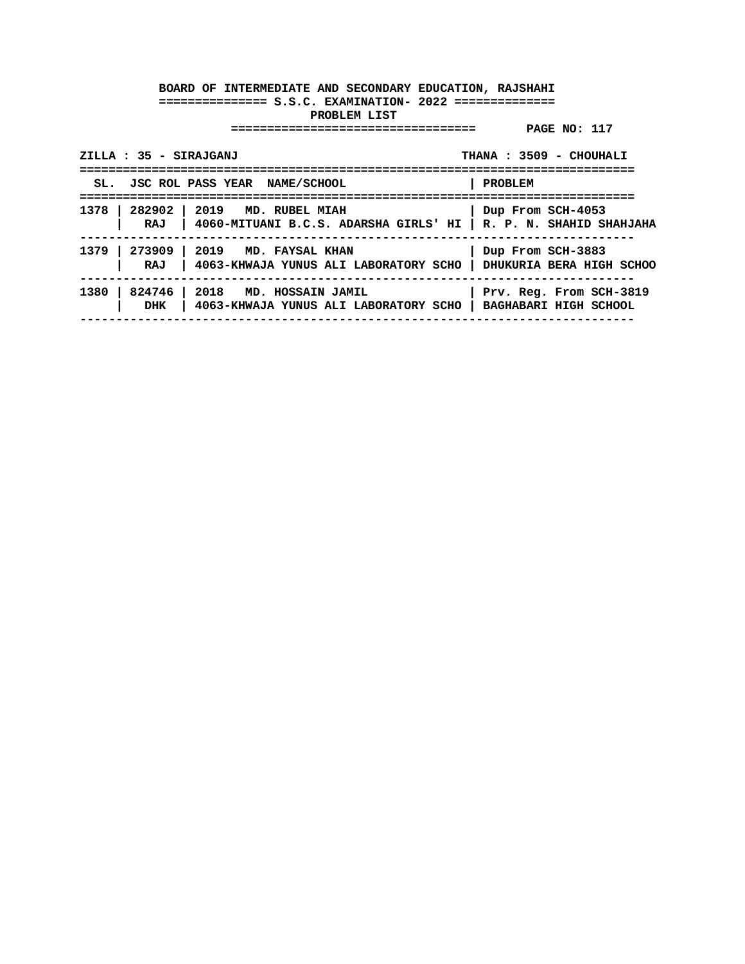| ZILLA : 35 - SIRAJGANJ                 |                                                                        | THANA: 3509 - CHOUHALI  |
|----------------------------------------|------------------------------------------------------------------------|-------------------------|
| SL. JSC ROL PASS YEAR NAME/SCHOOL      |                                                                        | <b>PROBLEM</b>          |
| 1378   282902   2019 MD. RUBEL MIAH    | RAJ   4060-MITUANI B.C.S. ADARSHA GIRLS' HI   R. P. N. SHAHID SHAHJAHA | Dup From SCH-4053       |
| 1379   273909   2019 MD. FAYSAL KHAN   | RAJ   4063-KHWAJA YUNUS ALI LABORATORY SCHO   DHUKURIA BERA HIGH SCHOO | Dup From SCH-3883       |
| 1380   824746   2018 MD. HOSSAIN JAMIL | DHK   4063-KHWAJA YUNUS ALI LABORATORY SCHO   BAGHABARI HIGH SCHOOL    | Prv. Reg. From SCH-3819 |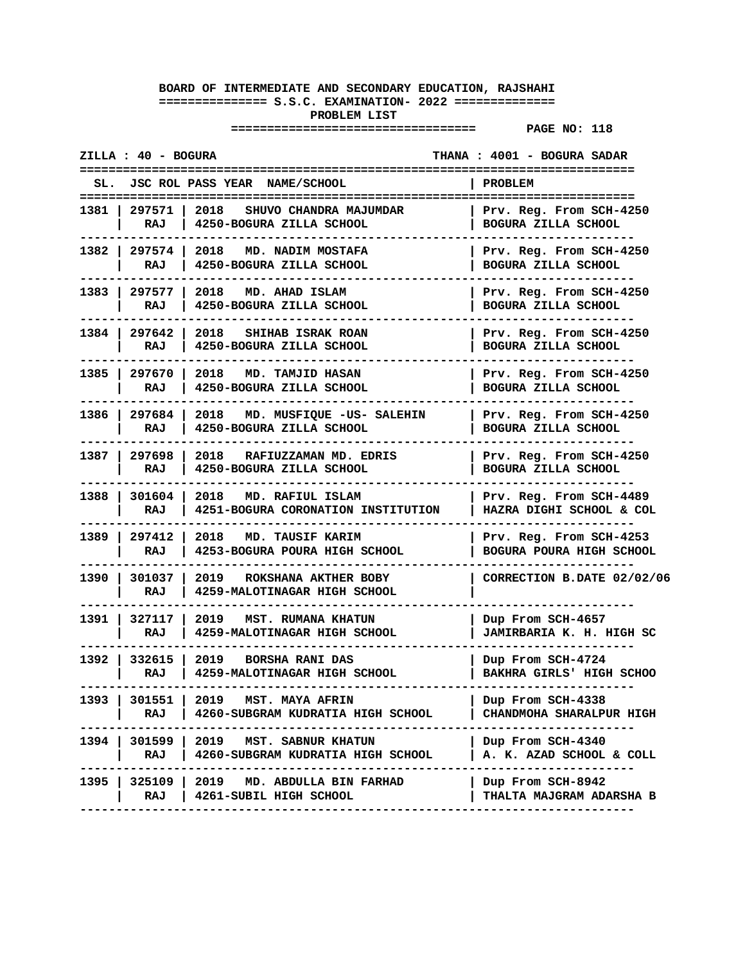|        | ZILLA : 40 - BOGURA    |                                                                           | THANA : 4001 - BOGURA SADAR                           |
|--------|------------------------|---------------------------------------------------------------------------|-------------------------------------------------------|
|        |                        | SL. JSC ROL PASS YEAR NAME/SCHOOL                                         | PROBLEM                                               |
|        | RAJ                    | 1381   297571   2018 SHUVO CHANDRA MAJUMDAR<br>4250-BOGURA ZILLA SCHOOL   | Prv. Reg. From SCH-4250<br>BOGURA ZILLA SCHOOL        |
|        | RAJ                    | 1382   297574   2018   MD. NADIM MOSTAFA<br>4250-BOGURA ZILLA SCHOOL      | Prv. Reg. From SCH-4250<br>BOGURA ZILLA SCHOOL        |
|        | 1383   297577<br>RAJ   | 2018 MD. AHAD ISLAM<br>4250-BOGURA ZILLA SCHOOL                           | Prv. Reg. From SCH-4250<br>BOGURA ZILLA SCHOOL        |
|        | 1384   297642<br>RAJ   | 2018<br>SHIHAB ISRAK ROAN<br>4250-BOGURA ZILLA SCHOOL                     | Prv. Reg. From SCH-4250<br>BOGURA ZILLA SCHOOL        |
|        | 1385   297670  <br>RAJ | 2018 MD. TAMJID HASAN<br>4250-BOGURA ZILLA SCHOOL                         | Prv. Reg. From SCH-4250<br>BOGURA ZILLA SCHOOL        |
|        | 1386   297684  <br>RAJ | 2018 MD. MUSFIOUE - US- SALEHIN<br>4250-BOGURA ZILLA SCHOOL               | Prv. Reg. From SCH-4250<br>BOGURA ZILLA SCHOOL        |
|        | 1387   297698  <br>RAJ | 2018<br>RAFIUZZAMAN MD. EDRIS<br>4250-BOGURA ZILLA SCHOOL                 | Prv. Reg. From SCH-4250<br><b>BOGURA ZILLA SCHOOL</b> |
|        | 1388   301604  <br>RAJ | 2018 MD. RAFIUL ISLAM<br>4251-BOGURA CORONATION INSTITUTION               | Prv. Reg. From SCH-4489<br>HAZRA DIGHI SCHOOL & COL   |
|        | 1389   297412  <br>RAJ | 2018<br>MD. TAUSIF KARIM<br>4253-BOGURA POURA HIGH SCHOOL                 | Prv. Reg. From SCH-4253<br>BOGURA POURA HIGH SCHOOL   |
|        | 1390   301037  <br>RAJ | 2019<br>ROKSHANA AKTHER BOBY<br>4259-MALOTINAGAR HIGH SCHOOL              | CORRECTION B.DATE 02/02/06                            |
|        | RAJ                    | 1391   327117   2019   MST. RUMANA KHATUN<br>4259-MALOTINAGAR HIGH SCHOOL | Dup From SCH-4657<br>JAMIRBARIA K. H. HIGH SC         |
|        | 1392   332615  <br>RAJ | 2019<br><b>BORSHA RANI DAS</b><br>4259-MALOTINAGAR HIGH SCHOOL            | Dup From SCH-4724<br>BAKHRA GIRLS' HIGH SCHOO         |
| 1393 l | 301551<br>RAJ          | 2019 MST. MAYA AFRIN<br>4260-SUBGRAM KUDRATIA HIGH SCHOOL                 | Dup From SCH-4338<br>CHANDMOHA SHARALPUR HIGH         |
| 1394 l | 301599 L<br>RAJ        | 2019 MST. SABNUR KHATUN<br>4260-SUBGRAM KUDRATIA HIGH SCHOOL              | Dup From SCH-4340<br>A. K. AZAD SCHOOL & COLL         |
| 1395   | 325109<br>RAJ          | 2019 MD. ABDULLA BIN FARHAD<br>4261-SUBIL HIGH SCHOOL                     | Dup From SCH-8942<br><b>THALTA MAJGRAM ADARSHA B</b>  |
|        |                        |                                                                           |                                                       |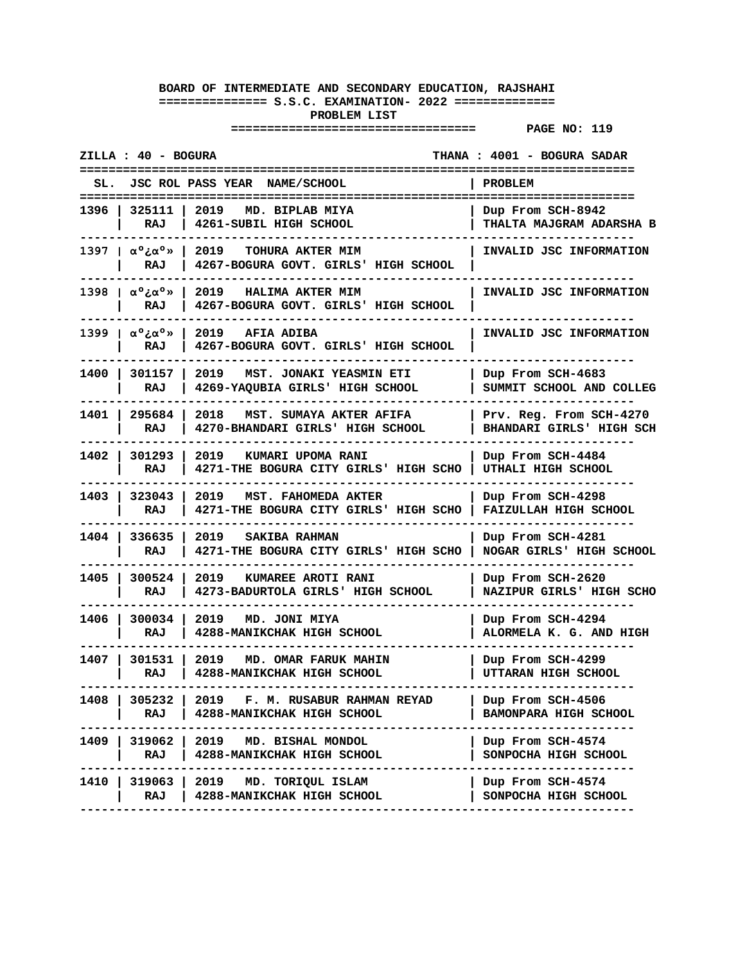|                                         | ZILLA : 40 - BOGURA    |                                                                                  | THANA: 4001 - BOGURA SADAR                          |
|-----------------------------------------|------------------------|----------------------------------------------------------------------------------|-----------------------------------------------------|
|                                         |                        | JSC ROL PASS YEAR NAME/SCHOOL                                                    | <b>PROBLEM</b>                                      |
| 1396 I                                  | 325111<br>RAJ          | 2019<br>MD. BIPLAB MIYA<br>4261-SUBIL HIGH SCHOOL                                | Dup From SCH-8942<br>THALTA MAJGRAM ADARSHA B       |
| 1397   α <sup>ο</sup> ξα <sup>ο</sup> » | RAJ                    | 2019<br>$\mathbf{1}$<br>TOHURA AKTER MIM<br>4267-BOGURA GOVT. GIRLS' HIGH SCHOOL | INVALID JSC INFORMATION                             |
| 1398   $\alpha^\circ \lambda^\circ$     | RAJ                    | 2019 HALIMA AKTER MIM<br>4267-BOGURA GOVT. GIRLS' HIGH SCHOOL                    | INVALID JSC INFORMATION                             |
| 1399   α°¿α°»                           | RAJ                    | 2019<br><b>AFIA ADIBA</b><br>4267-BOGURA GOVT. GIRLS' HIGH SCHOOL                | INVALID JSC INFORMATION                             |
|                                         | 1400   301157  <br>RAJ | 2019<br>MST. JONAKI YEASMIN ETI<br>4269-YAQUBIA GIRLS' HIGH SCHOOL               | Dup From SCH-4683<br>SUMMIT SCHOOL AND COLLEG       |
| 1401   295684                           | RAJ                    | 2018<br>MST. SUMAYA AKTER AFIFA<br>4270-BHANDARI GIRLS' HIGH SCHOOL              | Prv. Reg. From SCH-4270<br>BHANDARI GIRLS' HIGH SCH |
| 1402   301293                           | RAJ                    | 2019<br>KUMARI UPOMA RANI<br>4271-THE BOGURA CITY GIRLS' HIGH SCHO               | Dup From SCH-4484<br>UTHALI HIGH SCHOOL             |
| 1403 l                                  | 323043<br>RAJ          | 2019<br>MST. FAHOMEDA AKTER<br>4271-THE BOGURA CITY GIRLS' HIGH SCHO             | Dup From SCH-4298<br>FAIZULLAH HIGH SCHOOL          |
|                                         | 1404   336635  <br>RAJ | 2019<br><b>SAKIBA RAHMAN</b><br>4271-THE BOGURA CITY GIRLS' HIGH SCHO            | Dup From SCH-4281<br>NOGAR GIRLS' HIGH SCHOOL       |
| 1405                                    | 300524<br>RAJ          | 2019<br>KUMAREE AROTI RANI<br>4273-BADURTOLA GIRLS' HIGH SCHOOL                  | Dup From SCH-2620<br>NAZIPUR GIRLS' HIGH SCHO       |
|                                         | RAJ                    | 1406   300034   2019   MD. JONI MIYA<br>4288-MANIKCHAK HIGH SCHOOL               | Dup From SCH-4294<br>ALORMELA K. G. AND HIGH        |
| 1407 I                                  | 301531 L<br>RAJ        | 2019<br>MD. OMAR FARUK MAHIN<br>4288-MANIKCHAK HIGH SCHOOL                       | Dup From SCH-4299<br>UTTARAN HIGH SCHOOL            |
| 1408                                    | 305232<br>RAJ          | 2019 F.M. RUSABUR RAHMAN REYAD<br>4288-MANIKCHAK HIGH SCHOOL                     | Dup From SCH-4506<br><b>BAMONPARA HIGH SCHOOL</b>   |
|                                         | RAJ                    | 1409   319062   2019 MD. BISHAL MONDOL<br>  4288-MANIKCHAK HIGH SCHOOL           | Dup From SCH-4574<br>SONPOCHA HIGH SCHOOL           |
|                                         | 1410   319063  <br>RAJ | 2019 MD. TORIQUL ISLAM<br>4288-MANIKCHAK HIGH SCHOOL                             | Dup From SCH-4574<br>SONPOCHA HIGH SCHOOL           |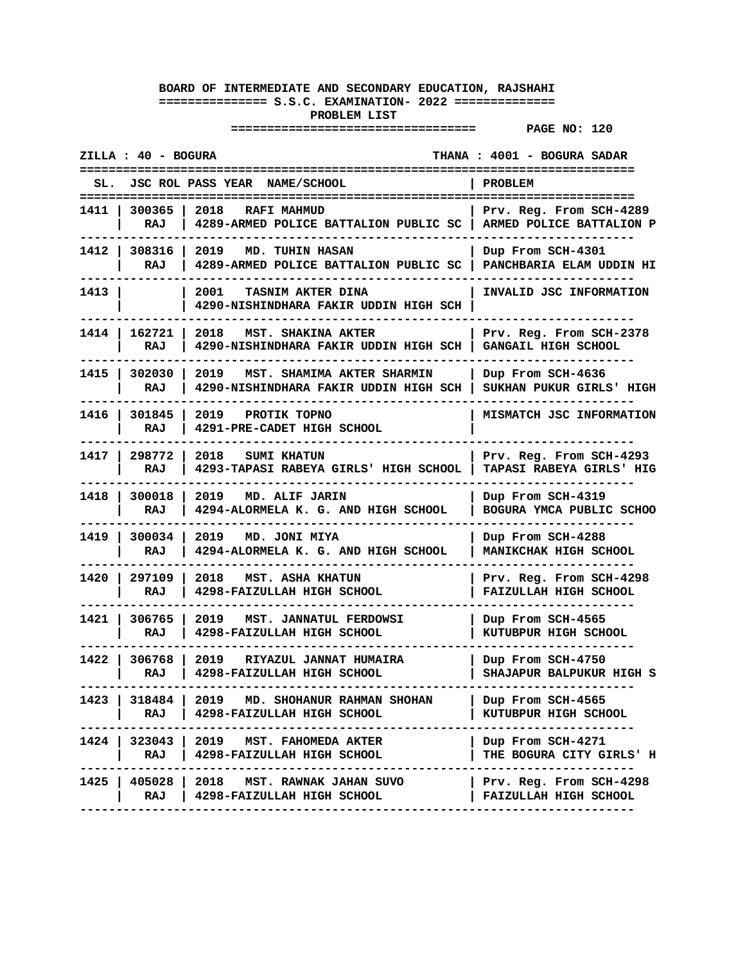| JSC ROL PASS YEAR NAME/SCHOOL<br>PROBLEM<br>1411   300365   2018   RAFI MAHMUD<br>Prv. Reg. From SCH-4289<br>4289-ARMED POLICE BATTALION PUBLIC SC   ARMED POLICE BATTALION P<br>RAJ<br>1412   308316   2019<br><b>MD. TUHIN HASAN</b><br>  Dup From SCH-4301<br>4289-ARMED POLICE BATTALION PUBLIC SC   PANCHBARIA ELAM UDDIN HI<br>RAJ<br>INVALID JSC INFORMATION<br>1413 I<br>2001 -<br>TASNIM AKTER DINA<br>4290-NISHINDHARA FAKIR UDDIN HIGH SCH<br>1414   162721  <br>2018<br>MST. SHAKINA AKTER<br>Prv. Reg. From SCH-2378<br>RAJ<br>4290-NISHINDHARA FAKIR UDDIN HIGH SCH  <br>GANGAIL HIGH SCHOOL<br>1415   302030<br>2019<br>MST. SHAMIMA AKTER SHARMIN<br>Dup From SCH-4636<br>RAJ<br>4290-NISHINDHARA FAKIR UDDIN HIGH SCH  <br>SUKHAN PUKUR GIRLS' HIGH<br>1416   301845<br>2019 PROTIK TOPNO<br>MISMATCH JSC INFORMATION<br>RAJ<br>4291-PRE-CADET HIGH SCHOOL<br>2018<br>1417   298772<br><b>SUMI KHATUN</b><br>Prv. Reg. From SCH-4293<br>RAJ<br>4293-TAPASI RABEYA GIRLS' HIGH SCHOOL<br>TAPASI RABEYA GIRLS' HIG<br>1418   300018<br>2019 MD. ALIF JARIN<br>Dup From SCH-4319<br>4294-ALORMELA K. G. AND HIGH SCHOOL<br>RAJ<br>BOGURA YMCA PUBLIC SCHOO<br>1419   300034<br>2019 MD. JONI MIYA<br>Dup From SCH-4288<br>RAJ<br>4294-ALORMELA K. G. AND HIGH SCHOOL<br>MANIKCHAK HIGH SCHOOL<br>1420 l<br>297109<br>2018<br><b>MST. ASHA KHATUN</b><br>Prv. Reg. From SCH-4298<br>4298-FAIZULLAH HIGH SCHOOL<br>RAJ<br>FAIZULLAH HIGH SCHOOL<br>1421   306765  <br>2019<br>MST. JANNATUL FERDOWSI<br>Dup From SCH-4565<br>RAJ<br>4298-FAIZULLAH HIGH SCHOOL<br>KUTUBPUR HIGH SCHOOL<br>1422   306768  <br>2019<br>RIYAZUL JANNAT HUMAIRA<br>Dup From SCH-4750<br>4298-FAIZULLAH HIGH SCHOOL<br>SHAJAPUR BALPUKUR HIGH S<br>RAJ<br>1423   318484   2019 MD. SHOHANUR RAHMAN SHOHAN<br>Dup From SCH-4565<br>RAJ   4298-FAIZULLAH HIGH SCHOOL<br>KUTUBPUR HIGH SCHOOL<br>.<br>1424   323043   2019 MST. FAHOMEDA AKTER<br>Dup From SCH-4271<br>RAJ   4298-FAIZULLAH HIGH SCHOOL<br>THE BOGURA CITY GIRLS' H<br>-----------------------<br>1425   405028   2018 MST. RAWNAK JAHAN SUVO   Prv. Reg. From SCH-4298<br>FAIZULLAH HIGH SCHOOL<br>RAJ   4298-FAIZULLAH HIGH SCHOOL | ZILLA : 40 - BOGURA | THANA : 4001 - BOGURA SADAR |
|------------------------------------------------------------------------------------------------------------------------------------------------------------------------------------------------------------------------------------------------------------------------------------------------------------------------------------------------------------------------------------------------------------------------------------------------------------------------------------------------------------------------------------------------------------------------------------------------------------------------------------------------------------------------------------------------------------------------------------------------------------------------------------------------------------------------------------------------------------------------------------------------------------------------------------------------------------------------------------------------------------------------------------------------------------------------------------------------------------------------------------------------------------------------------------------------------------------------------------------------------------------------------------------------------------------------------------------------------------------------------------------------------------------------------------------------------------------------------------------------------------------------------------------------------------------------------------------------------------------------------------------------------------------------------------------------------------------------------------------------------------------------------------------------------------------------------------------------------------------------------------------------------------------------------------------------------------------------------------------------------------------------------------------------------------------------------------------------------------------------------------------------------------------------------------------|---------------------|-----------------------------|
|                                                                                                                                                                                                                                                                                                                                                                                                                                                                                                                                                                                                                                                                                                                                                                                                                                                                                                                                                                                                                                                                                                                                                                                                                                                                                                                                                                                                                                                                                                                                                                                                                                                                                                                                                                                                                                                                                                                                                                                                                                                                                                                                                                                          |                     |                             |
|                                                                                                                                                                                                                                                                                                                                                                                                                                                                                                                                                                                                                                                                                                                                                                                                                                                                                                                                                                                                                                                                                                                                                                                                                                                                                                                                                                                                                                                                                                                                                                                                                                                                                                                                                                                                                                                                                                                                                                                                                                                                                                                                                                                          |                     |                             |
|                                                                                                                                                                                                                                                                                                                                                                                                                                                                                                                                                                                                                                                                                                                                                                                                                                                                                                                                                                                                                                                                                                                                                                                                                                                                                                                                                                                                                                                                                                                                                                                                                                                                                                                                                                                                                                                                                                                                                                                                                                                                                                                                                                                          |                     |                             |
|                                                                                                                                                                                                                                                                                                                                                                                                                                                                                                                                                                                                                                                                                                                                                                                                                                                                                                                                                                                                                                                                                                                                                                                                                                                                                                                                                                                                                                                                                                                                                                                                                                                                                                                                                                                                                                                                                                                                                                                                                                                                                                                                                                                          |                     |                             |
|                                                                                                                                                                                                                                                                                                                                                                                                                                                                                                                                                                                                                                                                                                                                                                                                                                                                                                                                                                                                                                                                                                                                                                                                                                                                                                                                                                                                                                                                                                                                                                                                                                                                                                                                                                                                                                                                                                                                                                                                                                                                                                                                                                                          |                     |                             |
|                                                                                                                                                                                                                                                                                                                                                                                                                                                                                                                                                                                                                                                                                                                                                                                                                                                                                                                                                                                                                                                                                                                                                                                                                                                                                                                                                                                                                                                                                                                                                                                                                                                                                                                                                                                                                                                                                                                                                                                                                                                                                                                                                                                          |                     |                             |
|                                                                                                                                                                                                                                                                                                                                                                                                                                                                                                                                                                                                                                                                                                                                                                                                                                                                                                                                                                                                                                                                                                                                                                                                                                                                                                                                                                                                                                                                                                                                                                                                                                                                                                                                                                                                                                                                                                                                                                                                                                                                                                                                                                                          |                     |                             |
|                                                                                                                                                                                                                                                                                                                                                                                                                                                                                                                                                                                                                                                                                                                                                                                                                                                                                                                                                                                                                                                                                                                                                                                                                                                                                                                                                                                                                                                                                                                                                                                                                                                                                                                                                                                                                                                                                                                                                                                                                                                                                                                                                                                          |                     |                             |
|                                                                                                                                                                                                                                                                                                                                                                                                                                                                                                                                                                                                                                                                                                                                                                                                                                                                                                                                                                                                                                                                                                                                                                                                                                                                                                                                                                                                                                                                                                                                                                                                                                                                                                                                                                                                                                                                                                                                                                                                                                                                                                                                                                                          |                     |                             |
|                                                                                                                                                                                                                                                                                                                                                                                                                                                                                                                                                                                                                                                                                                                                                                                                                                                                                                                                                                                                                                                                                                                                                                                                                                                                                                                                                                                                                                                                                                                                                                                                                                                                                                                                                                                                                                                                                                                                                                                                                                                                                                                                                                                          |                     |                             |
|                                                                                                                                                                                                                                                                                                                                                                                                                                                                                                                                                                                                                                                                                                                                                                                                                                                                                                                                                                                                                                                                                                                                                                                                                                                                                                                                                                                                                                                                                                                                                                                                                                                                                                                                                                                                                                                                                                                                                                                                                                                                                                                                                                                          |                     |                             |
|                                                                                                                                                                                                                                                                                                                                                                                                                                                                                                                                                                                                                                                                                                                                                                                                                                                                                                                                                                                                                                                                                                                                                                                                                                                                                                                                                                                                                                                                                                                                                                                                                                                                                                                                                                                                                                                                                                                                                                                                                                                                                                                                                                                          |                     |                             |
|                                                                                                                                                                                                                                                                                                                                                                                                                                                                                                                                                                                                                                                                                                                                                                                                                                                                                                                                                                                                                                                                                                                                                                                                                                                                                                                                                                                                                                                                                                                                                                                                                                                                                                                                                                                                                                                                                                                                                                                                                                                                                                                                                                                          |                     |                             |
|                                                                                                                                                                                                                                                                                                                                                                                                                                                                                                                                                                                                                                                                                                                                                                                                                                                                                                                                                                                                                                                                                                                                                                                                                                                                                                                                                                                                                                                                                                                                                                                                                                                                                                                                                                                                                                                                                                                                                                                                                                                                                                                                                                                          |                     |                             |
|                                                                                                                                                                                                                                                                                                                                                                                                                                                                                                                                                                                                                                                                                                                                                                                                                                                                                                                                                                                                                                                                                                                                                                                                                                                                                                                                                                                                                                                                                                                                                                                                                                                                                                                                                                                                                                                                                                                                                                                                                                                                                                                                                                                          |                     |                             |
|                                                                                                                                                                                                                                                                                                                                                                                                                                                                                                                                                                                                                                                                                                                                                                                                                                                                                                                                                                                                                                                                                                                                                                                                                                                                                                                                                                                                                                                                                                                                                                                                                                                                                                                                                                                                                                                                                                                                                                                                                                                                                                                                                                                          |                     |                             |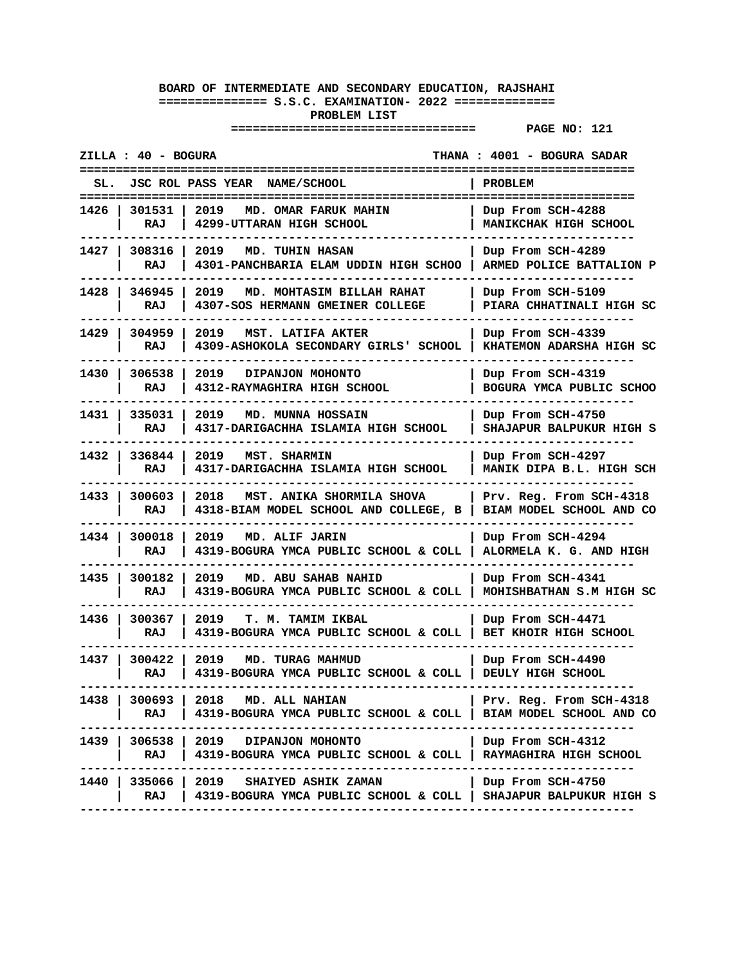| ZILLA : 40 - BOGURA                                                                                                                               | THANA: 4001 - BOGURA SADAR                          |
|---------------------------------------------------------------------------------------------------------------------------------------------------|-----------------------------------------------------|
| JSC ROL PASS YEAR NAME/SCHOOL                                                                                                                     | <b>PROBLEM</b>                                      |
| 2019<br>1426   301531<br>MD. OMAR FARUK MAHIN<br>RAJ<br>4299-UTTARAN HIGH SCHOOL                                                                  | Dup From SCH-4288<br>MANIKCHAK HIGH SCHOOL          |
| 1427   308316  <br>2019<br><b>MD. TUHIN HASAN</b><br>RAJ<br>4301-PANCHBARIA ELAM UDDIN HIGH SCHOO   ARMED POLICE BATTALION P                      | Dup From SCH-4289                                   |
| 1428   346945<br>2019<br>MD. MOHTASIM BILLAH RAHAT<br>4307-SOS HERMANN GMEINER COLLEGE<br>RAJ                                                     | Dup From SCH-5109<br>PIARA CHHATINALI HIGH SC       |
| 1429   304959<br>2019<br>MST. LATIFA AKTER<br>4309-ASHOKOLA SECONDARY GIRLS' SCHOOL  <br>RAJ                                                      | Dup From SCH-4339<br>KHATEMON ADARSHA HIGH SC       |
| 1430   306538<br>2019<br>DIPANJON MOHONTO<br>RAJ<br>4312-RAYMAGHIRA HIGH SCHOOL                                                                   | Dup From SCH-4319<br>BOGURA YMCA PUBLIC SCHOO       |
| 1431   335031<br>2019 MD. MUNNA HOSSAIN<br>RAJ<br>4317-DARIGACHHA ISLAMIA HIGH SCHOOL                                                             | Dup From SCH-4750<br>SHAJAPUR BALPUKUR HIGH S       |
| 1432   336844<br>2019<br>MST. SHARMIN<br>RAJ<br>4317-DARIGACHHA ISLAMIA HIGH SCHOOL                                                               | Dup From SCH-4297<br>MANIK DIPA B.L. HIGH SCH       |
| 1433 l<br>300603<br>2018<br>MST. ANIKA SHORMILA SHOVA<br>RAJ<br>4318-BIAM MODEL SCHOOL AND COLLEGE, B                                             | Prv. Reg. From SCH-4318<br>BIAM MODEL SCHOOL AND CO |
| 1434   300018<br>2019<br>MD. ALIF JARIN<br>RAJ<br>4319-BOGURA YMCA PUBLIC SCHOOL & COLL                                                           | Dup From SCH-4294<br>ALORMELA K. G. AND HIGH        |
| 1435<br>300182<br>2019<br>MD. ABU SAHAB NAHID<br>RAJ<br>4319-BOGURA YMCA PUBLIC SCHOOL & COLL                                                     | Dup From SCH-4341<br>MOHISHBATHAN S.M HIGH SC       |
| 1436 l<br>300367<br>2019<br>T. M. TAMIM IKBAL<br>4319-BOGURA YMCA PUBLIC SCHOOL & COLL   BET KHOIR HIGH SCHOOL<br>RAJ                             | Dup From SCH-4471                                   |
| 1437 l<br>300422<br>2019<br>MD. TURAG MAHMUD<br>4319-BOGURA YMCA PUBLIC SCHOOL & COLL   DEULY HIGH SCHOOL<br>RAJ                                  | Dup From SCH-4490                                   |
| 1438   300693   2018 MD. ALL NAHIAN<br>RAJ<br>  4319-BOGURA YMCA PUBLIC SCHOOL & COLL   BIAM MODEL SCHOOL AND CO<br>----------------------------- | Prv. Reg. From SCH-4318                             |
| 1439   306538   2019 DIPANJON MOHONTO<br>RAJ   4319-BOGURA YMCA PUBLIC SCHOOL & COLL   RAYMAGHIRA HIGH SCHOOL<br>----------------------           | Dup From SCH-4312                                   |
| 1440   335066   2019 SHAIYED ASHIK ZAMAN<br>RAJ<br>  4319-BOGURA YMCA PUBLIC SCHOOL & COLL   SHAJAPUR BALPUKUR HIGH S                             | Dup From SCH-4750                                   |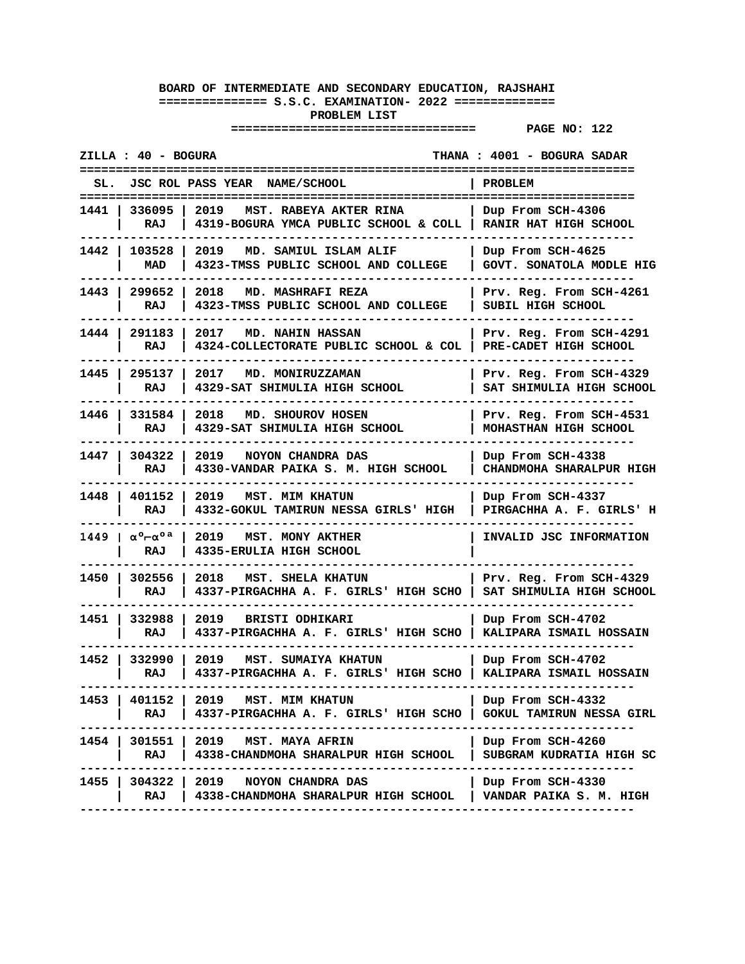|        | ZILLA : 40 - BOGURA               |                                                                                                                | THANA: 4001 - BOGURA SADAR                          |
|--------|-----------------------------------|----------------------------------------------------------------------------------------------------------------|-----------------------------------------------------|
|        |                                   | JSC ROL PASS YEAR NAME/SCHOOL                                                                                  | PROBLEM                                             |
|        | 1441   336095   2019<br>RAJ       | MST. RABEYA AKTER RINA<br>4319-BOGURA YMCA PUBLIC SCHOOL & COLL   RANIR HAT HIGH SCHOOL                        | Dup From SCH-4306                                   |
|        | 1442   103528  <br>MAD            | 2019<br>MD. SAMIUL ISLAM ALIF<br>4323-TMSS PUBLIC SCHOOL AND COLLEGE                                           | Dup From SCH-4625<br>GOVT. SONATOLA MODLE HIG       |
|        | 1443   299652<br>RAJ              | 2018<br>MD. MASHRAFI REZA<br>4323-TMSS PUBLIC SCHOOL AND COLLEGE                                               | Prv. Reg. From SCH-4261<br>SUBIL HIGH SCHOOL        |
|        | 1444   291183<br>RAJ              | 2017<br>MD. NAHIN HASSAN<br>4324-COLLECTORATE PUBLIC SCHOOL & COL   PRE-CADET HIGH SCHOOL                      | Prv. Reg. From SCH-4291                             |
|        | 1445   295137  <br>RAJ            | 2017<br>MD. MONIRUZZAMAN<br>4329-SAT SHIMULIA HIGH SCHOOL                                                      | Prv. Reg. From SCH-4329<br>SAT SHIMULIA HIGH SCHOOL |
|        | 1446   331584  <br>RAJ            | 2018 MD. SHOUROV HOSEN<br>4329-SAT SHIMULIA HIGH SCHOOL                                                        | Prv. Reg. From SCH-4531<br>MOHASTHAN HIGH SCHOOL    |
|        | 1447   304322<br>RAJ              | 2019<br>NOYON CHANDRA DAS<br>4330-VANDAR PAIKA S. M. HIGH SCHOOL                                               | Dup From SCH-4338<br>CHANDMOHA SHARALPUR HIGH       |
|        | 1448   401152<br>RAJ              | 2019 MST. MIM KHATUN<br>4332-GOKUL TAMIRUN NESSA GIRLS' HIGH                                                   | Dup From SCH-4337<br>PIRGACHHA A. F. GIRLS' H       |
|        | 1449   α° <del>r</del> α°ª<br>RAJ | 2019<br>MST. MONY AKTHER<br>4335-ERULIA HIGH SCHOOL                                                            | INVALID JSC INFORMATION                             |
| 1450 l | 302556<br>RAJ                     | 2018<br>MST. SHELA KHATUN<br>4337-PIRGACHHA A. F. GIRLS' HIGH SCHO                                             | Prv. Reg. From SCH-4329<br>SAT SHIMULIA HIGH SCHOOL |
|        | 1451   332988<br>RAJ              | 2019<br><b>BRISTI ODHIKARI</b><br>4337-PIRGACHHA A. F. GIRLS' HIGH SCHO   KALIPARA ISMAIL HOSSAIN              | Dup From SCH-4702                                   |
|        | 1452   332990<br>RAJ              | 2019<br>MST. SUMAIYA KHATUN<br>4337-PIRGACHHA A. F. GIRLS' HIGH SCHO   KALIPARA ISMAIL HOSSAIN                 | Dup From SCH-4702                                   |
|        | RAJ                               | 1453   401152   2019 MST. MIM KHATUN<br>4337-PIRGACHHA A. F. GIRLS' HIGH SCHO<br>---------------<br>---------- | Dup From SCH-4332<br>  GOKUL TAMIRUN NESSA GIRL     |
|        |                                   | 1454   301551   2019 MST. MAYA AFRIN<br>RAJ   4338-CHANDMOHA SHARALPUR HIGH SCHOOL                             | Dup From SCH-4260<br>SUBGRAM KUDRATIA HIGH SC       |
|        | RAJ                               | 1455   304322   2019 NOYON CHANDRA DAS<br>  4338-CHANDMOHA SHARALPUR HIGH SCHOOL<br>------------------         | Dup From SCH-4330<br>  VANDAR PAIKA S. M. HIGH      |
|        |                                   |                                                                                                                |                                                     |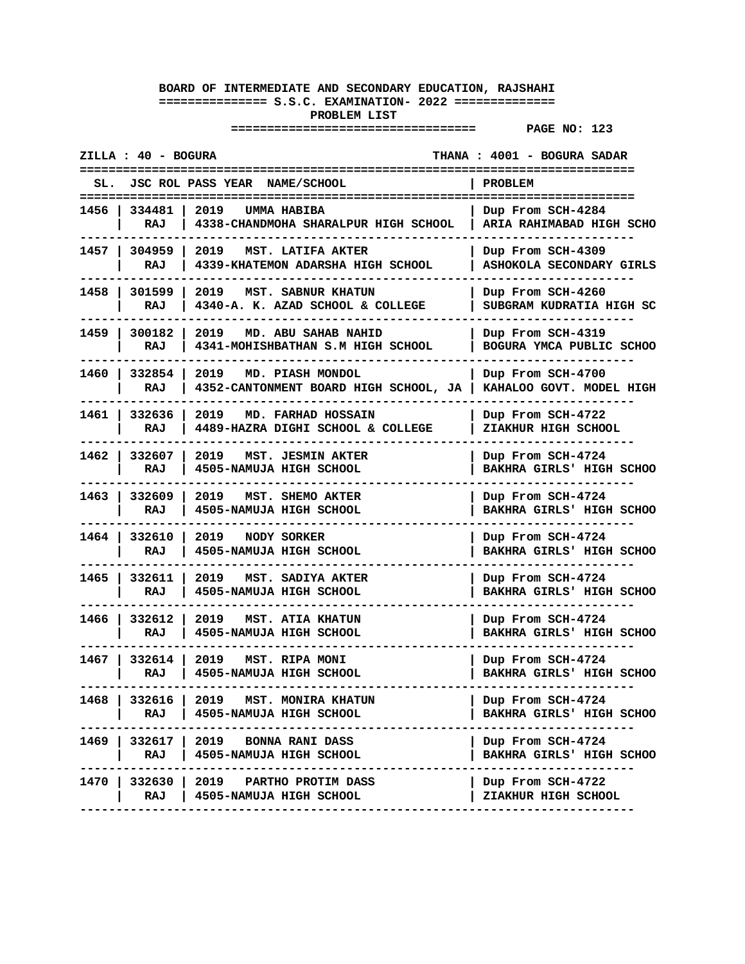| ZILLA : 40 - BOGURA                                                                           | THANA : 4001 - BOGURA SADAR                   |
|-----------------------------------------------------------------------------------------------|-----------------------------------------------|
| JSC ROL PASS YEAR NAME/SCHOOL                                                                 | PROBLEM                                       |
| 1456   334481   2019<br>UMMA HABIBA<br>RAJ<br>4338-CHANDMOHA SHARALPUR HIGH SCHOOL            | Dup From SCH-4284<br>ARIA RAHIMABAD HIGH SCHO |
| 1457   304959  <br>2019<br>MST. LATIFA AKTER<br>RAJ<br>4339-KHATEMON ADARSHA HIGH SCHOOL      | Dup From SCH-4309<br>ASHOKOLA SECONDARY GIRLS |
| 1458   301599<br>2019 MST. SABNUR KHATUN<br>4340-A. K. AZAD SCHOOL & COLLEGE<br>RAJ           | Dup From SCH-4260<br>SUBGRAM KUDRATIA HIGH SC |
| 1459   300182<br>2019<br>MD. ABU SAHAB NAHID<br>4341-MOHISHBATHAN S.M HIGH SCHOOL<br>RAJ      | Dup From SCH-4319<br>BOGURA YMCA PUBLIC SCHOO |
| 1460   332854  <br>2019<br>MD. PIASH MONDOL<br>4352-CANTONMENT BOARD HIGH SCHOOL, JA  <br>RAJ | Dup From SCH-4700<br>KAHALOO GOVT. MODEL HIGH |
| 1461   332636<br>  2019 MD. FARHAD HOSSAIN<br>RAJ<br>4489-HAZRA DIGHI SCHOOL & COLLEGE        | Dup From SCH-4722<br>ZIAKHUR HIGH SCHOOL      |
| 1462   332607<br>2019<br>MST. JESMIN AKTER<br>4505-NAMUJA HIGH SCHOOL<br>RAJ                  | Dup From SCH-4724<br>BAKHRA GIRLS' HIGH SCHOO |
| 1463   332609<br>MST. SHEMO AKTER<br>2019<br>RAJ<br>4505-NAMUJA HIGH SCHOOL                   | Dup From SCH-4724<br>BAKHRA GIRLS' HIGH SCHOO |
| 1464 332610<br>2019<br><b>NODY SORKER</b><br>RAJ<br>4505-NAMUJA HIGH SCHOOL                   | Dup From SCH-4724<br>BAKHRA GIRLS' HIGH SCHOO |
| 1465 l<br>332611<br>MST. SADIYA AKTER<br>2019<br>RAJ<br>4505-NAMUJA HIGH SCHOOL               | Dup From SCH-4724<br>BAKHRA GIRLS' HIGH SCHOO |
| 1466   332612<br>2019 MST. ATIA KHATUN<br>RAJ<br>4505-NAMUJA HIGH SCHOOL                      | Dup From SCH-4724<br>BAKHRA GIRLS' HIGH SCHOO |
| 1467   332614  <br>2019<br>MST. RIPA MONI<br>4505-NAMUJA HIGH SCHOOL<br>RAJ                   | Dup From SCH-4724<br>BAKHRA GIRLS' HIGH SCHOO |
| 1468   332616   2019   MST. MONIRA KHATUN<br>RAJ<br>  4505-NAMUJA HIGH SCHOOL                 | Dup From SCH-4724<br>BAKHRA GIRLS' HIGH SCHOO |
| 1469   332617   2019 BONNA RANI DASS<br>RAJ<br>  4505-NAMUJA HIGH SCHOOL                      | Dup From SCH-4724<br>BAKHRA GIRLS' HIGH SCHOO |
| 1470   332630   2019   PARTHO PROTIM DASS<br>RAJ<br>  4505-NAMUJA HIGH SCHOOL                 | Dup From SCH-4722<br>ZIAKHUR HIGH SCHOOL      |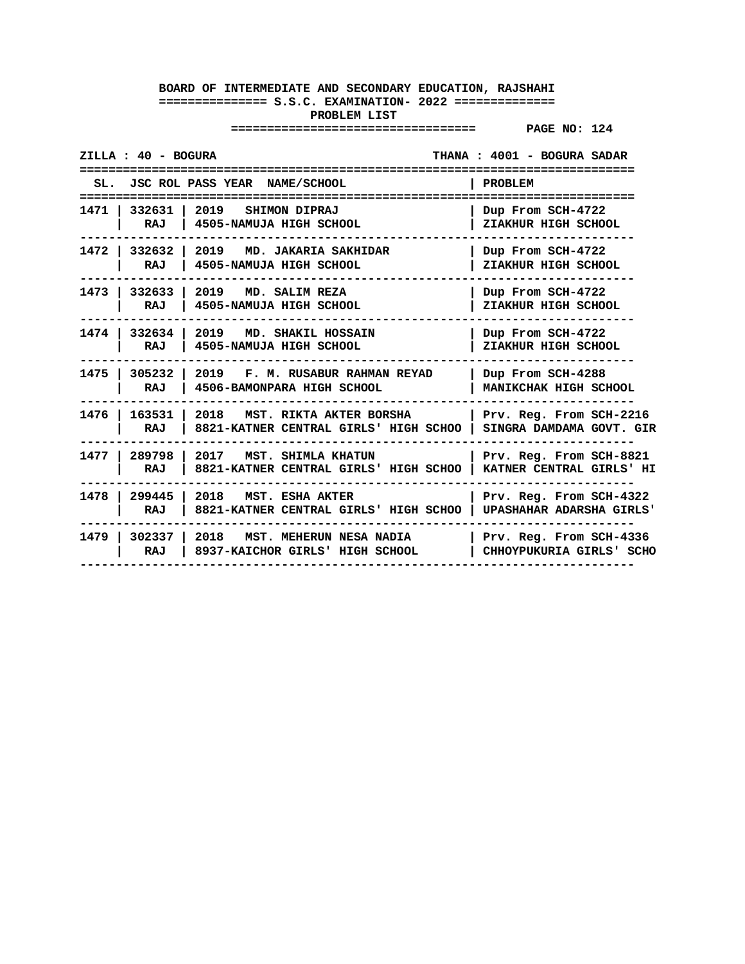| ZILLA : 40 - BOGURA       |                                                                                   | THANA: 4001 - BOGURA SADAR                                 |
|---------------------------|-----------------------------------------------------------------------------------|------------------------------------------------------------|
|                           | SL. JSC ROL PASS YEAR NAME/SCHOOL                                                 | PROBLEM                                                    |
| 1471   332631  <br>RAJ    | 2019 SHIMON DIPRAJ<br>4505-NAMUJA HIGH SCHOOL                                     | Dup From SCH-4722<br>ZIAKHUR HIGH SCHOOL                   |
| RAJ                       | 1472   332632   2019 MD. JAKARIA SAKHIDAR<br>4505-NAMUJA HIGH SCHOOL              | Dup From SCH-4722<br>ZIAKHUR HIGH SCHOOL                   |
| 1473   332633  <br>RAJ    | 2019 MD. SALIM REZA<br>4505-NAMUJA HIGH SCHOOL                                    | Dup From SCH-4722<br>ZIAKHUR HIGH SCHOOL                   |
| RAJ                       | 1474   332634   2019 MD. SHAKIL HOSSAIN<br>4505-NAMUJA HIGH SCHOOL                | Dup From SCH-4722<br>ZIAKHUR HIGH SCHOOL                   |
| 1475   305232<br>RAJ      | 2019 F.M. RUSABUR RAHMAN REYAD<br>4506-BAMONPARA HIGH SCHOOL                      | Dup From SCH-4288<br>MANIKCHAK HIGH SCHOOL                 |
| 1476 l<br>163531  <br>RAJ | 2018 MST. RIKTA AKTER BORSHA<br>8821-KATNER CENTRAL GIRLS' HIGH SCHOO             | Prv. Reg. From SCH-2216<br>SINGRA DAMDAMA GOVT. GIR        |
| 1477   289798  <br>RAJ    | 2017<br>MST. SHIMLA KHATUN<br>8821-KATNER CENTRAL GIRLS' HIGH SCHOO               | Prv. Reg. From SCH-8821<br>KATNER CENTRAL GIRLS' HI        |
| 1478   299445  <br>RAJ    | 2018 MST. ESHA AKTER<br>8821-KATNER CENTRAL GIRLS' HIGH SCHOO                     | Prv. Reg. From SCH-4322<br><b>UPASHAHAR ADARSHA GIRLS'</b> |
| RAJ                       | 1479   302337   2018   MST. MEHERUN NESA NADIA<br>8937-KAICHOR GIRLS' HIGH SCHOOL | Prv. Reg. From SCH-4336<br>CHHOYPUKURIA GIRLS' SCHO        |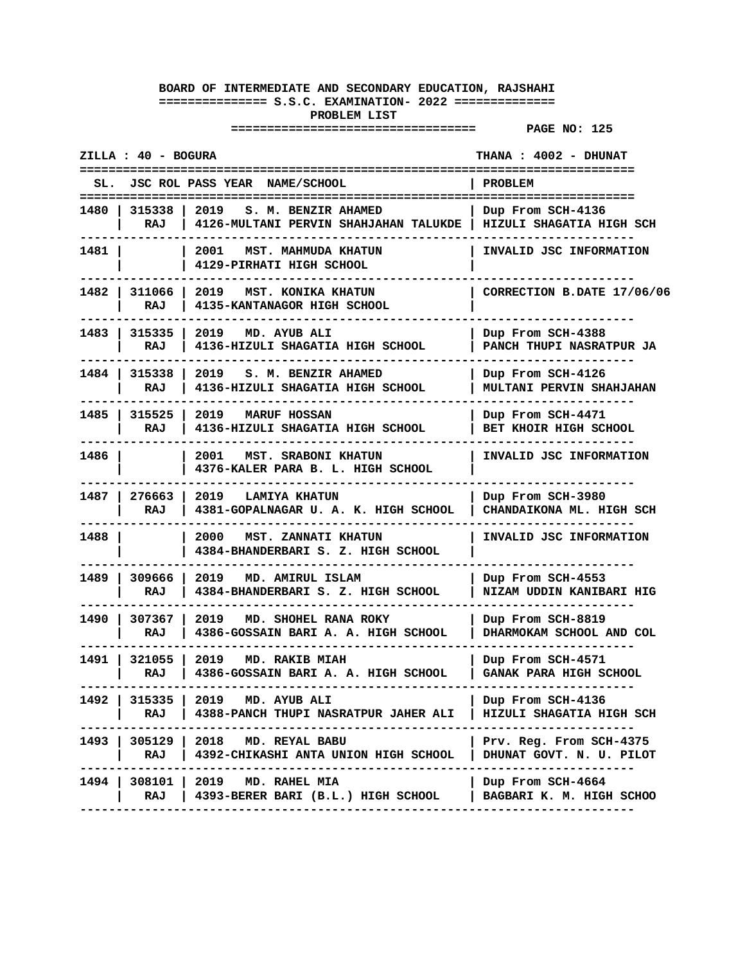|        | ZILLA : 40 - BOGURA    |                                                                             | THANA : 4002 - DHUNAT                                |
|--------|------------------------|-----------------------------------------------------------------------------|------------------------------------------------------|
|        |                        | SL. JSC ROL PASS YEAR NAME/SCHOOL                                           | PROBLEM                                              |
|        | 1480   315338  <br>RAJ | 2019<br>S. M. BENZIR AHAMED<br>4126-MULTANI PERVIN SHAHJAHAN TALUKDE        | Dup From SCH-4136<br>  HIZULI SHAGATIA HIGH SCH      |
| 1481   |                        | 2001<br>MST. MAHMUDA KHATUN<br>4129-PIRHATI HIGH SCHOOL                     | INVALID JSC INFORMATION                              |
| 1482 I | 311066<br>RAJ          | 2019 MST. KONIKA KHATUN<br>4135-KANTANAGOR HIGH SCHOOL                      | CORRECTION B.DATE 17/06/06                           |
| 1483 l | 315335<br>RAJ          | 2019<br>MD. AYUB ALI<br>4136-HIZULI SHAGATIA HIGH SCHOOL                    | Dup From SCH-4388<br>PANCH THUPI NASRATPUR JA        |
| 1484 I | 315338<br>RAJ          | 2019 S. M. BENZIR AHAMED<br>4136-HIZULI SHAGATIA HIGH SCHOOL                | Dup From SCH-4126<br><b>MULTANI PERVIN SHAHJAHAN</b> |
|        | 1485   315525<br>RAJ   | 2019 MARUF HOSSAN<br>4136-HIZULI SHAGATIA HIGH SCHOOL                       | Dup From SCH-4471<br>BET KHOIR HIGH SCHOOL           |
| 1486 l |                        | 2001<br>MST. SRABONI KHATUN<br>4376-KALER PARA B. L. HIGH SCHOOL            | INVALID JSC INFORMATION                              |
| 1487 I | 276663<br>RAJ          | 2019 LAMIYA KHATUN<br>4381-GOPALNAGAR U. A. K. HIGH SCHOOL                  | Dup From SCH-3980<br>CHANDAIKONA ML. HIGH SCH        |
| 1488 l |                        | 2000<br>MST. ZANNATI KHATUN<br>4384-BHANDERBARI S. Z. HIGH SCHOOL           | INVALID JSC INFORMATION                              |
| 1489   | 309666<br>RAJ          | 2019<br>MD. AMIRUL ISLAM<br>4384-BHANDERBARI S. Z. HIGH SCHOOL              | Dup From SCH-4553<br>NIZAM UDDIN KANIBARI HIG        |
| 1490 I | 307367<br>RAJ          | 2019<br>MD. SHOHEL RANA ROKY<br>4386-GOSSAIN BARI A. A. HIGH SCHOOL         | Dup From SCH-8819<br>DHARMOKAM SCHOOL AND COL        |
| 1491 l | 321055<br>RAJ          | 2019<br>MD. RAKIB MIAH<br>4386-GOSSAIN BARI A. A. HIGH SCHOOL               | Dup From SCH-4571<br><b>GANAK PARA HIGH SCHOOL</b>   |
| 1492 I | 315335  <br>RAJ        | 2019 MD. AYUB ALI<br><b>4388-PANCH THUPI NASRATPUR JAHER ALI</b>            | Dup From SCH-4136<br>  HIZULI SHAGATIA HIGH SCH      |
|        | RAJ                    | 1493   305129   2018 MD. REYAL BABU<br>4392-CHIKASHI ANTA UNION HIGH SCHOOL | Prv. Reg. From SCH-4375<br>DHUNAT GOVT. N. U. PILOT  |
| 1494 I | 308101  <br>RAJ        | 2019 MD. RAHEL MIA<br>4393-BERER BARI (B.L.) HIGH SCHOOL                    | Dup From SCH-4664<br>  BAGBARI K. M. HIGH SCHOO      |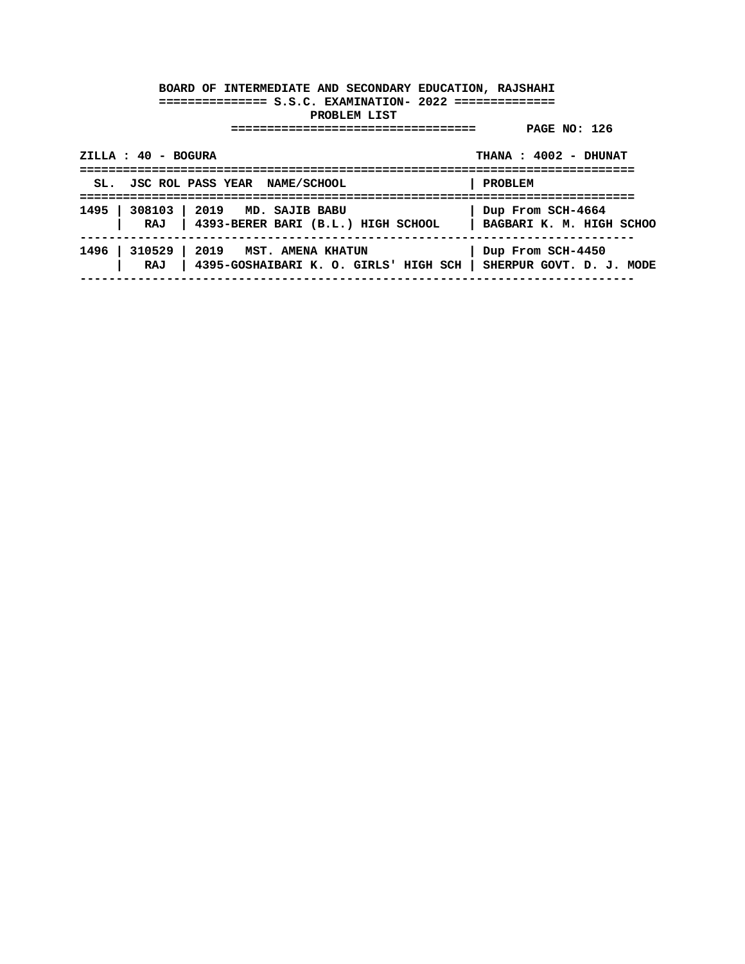| $ZILLA : 40 - BOGURA$                                                                                            | THANA: 4002 - DHUNAT |
|------------------------------------------------------------------------------------------------------------------|----------------------|
| SL. JSC ROL PASS YEAR NAME/SCHOOL                                                                                | PROBLEM              |
| 1495   308103   2019 MD. SAJIB BABU<br>RAJ   4393-BERER BARI (B.L.) HIGH SCHOOL   BAGBARI K. M. HIGH SCHOO       | Dup From SCH-4664    |
| 1496   310529   2019 MST. AMENA KHATUN<br>RAJ   4395-GOSHAIBARI K. O. GIRLS' HIGH SCH   SHERPUR GOVT. D. J. MODE | Dup From SCH-4450    |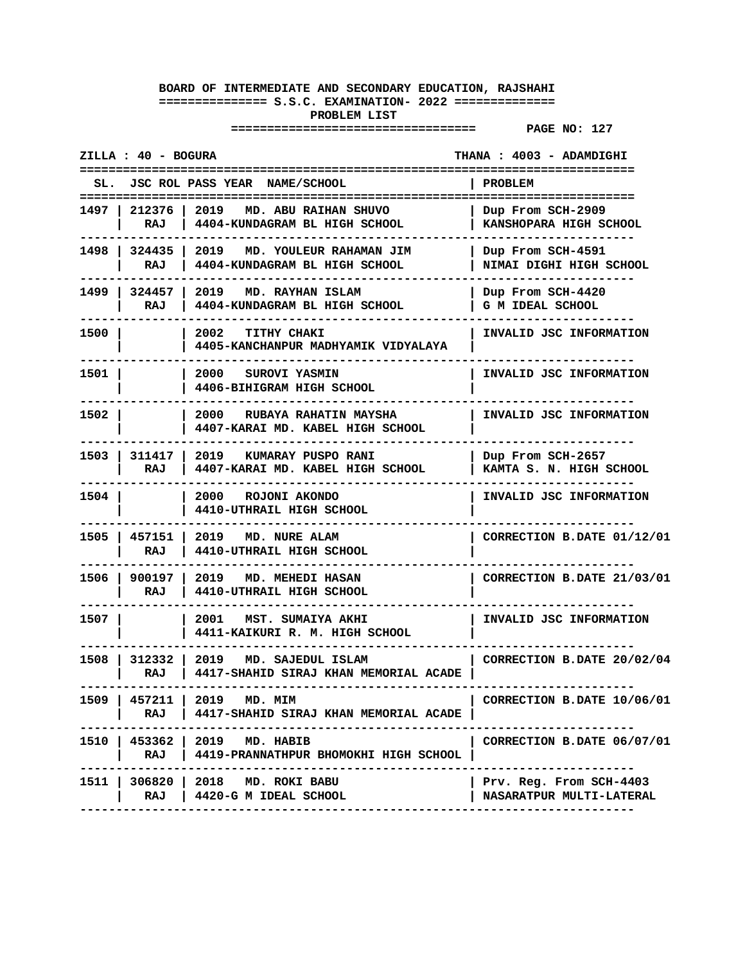| ZILLA : 40 - BOGURA<br>THANA: 4003 - ADAMDIGHI |                        |                                                                                 |                                                            |
|------------------------------------------------|------------------------|---------------------------------------------------------------------------------|------------------------------------------------------------|
|                                                |                        | SL. JSC ROL PASS YEAR NAME/SCHOOL                                               | <b>PROBLEM</b>                                             |
|                                                | RAJ                    | 1497   212376   2019   MD. ABU RAIHAN SHUVO<br>4404-KUNDAGRAM BL HIGH SCHOOL    | Dup From SCH-2909<br>KANSHOPARA HIGH SCHOOL                |
|                                                | RAJ                    | 1498   324435   2019   MD. YOULEUR RAHAMAN JIM<br>4404-KUNDAGRAM BL HIGH SCHOOL | Dup From SCH-4591<br>NIMAI DIGHI HIGH SCHOOL               |
|                                                | 1499   324457  <br>RAJ | 2019 MD. RAYHAN ISLAM<br>4404-KUNDAGRAM BL HIGH SCHOOL                          | Dup From SCH-4420<br>G M IDEAL SCHOOL                      |
| 1500 l                                         |                        | 2002<br><b>TITHY CHAKI</b><br>4405-KANCHANPUR MADHYAMIK VIDYALAYA               | INVALID JSC INFORMATION                                    |
| 1501 I                                         |                        | 2000 SUROVI YASMIN<br>4406-BIHIGRAM HIGH SCHOOL                                 | INVALID JSC INFORMATION                                    |
| 1502 l                                         |                        | 2000 RUBAYA RAHATIN MAYSHA<br>4407-KARAI MD. KABEL HIGH SCHOOL                  | INVALID JSC INFORMATION                                    |
|                                                | RAJ                    | 1503   311417   2019   KUMARAY PUSPO RANI<br>4407-KARAI MD. KABEL HIGH SCHOOL   | Dup From SCH-2657<br>KAMTA S. N. HIGH SCHOOL               |
| 1504 I                                         |                        | 2000<br>ROJONI AKONDO<br>4410-UTHRAIL HIGH SCHOOL                               | INVALID JSC INFORMATION                                    |
|                                                | 1505   457151  <br>RAJ | 2019 MD. NURE ALAM<br>4410-UTHRAIL HIGH SCHOOL                                  | CORRECTION B.DATE 01/12/01                                 |
|                                                | 1506   900197  <br>RAJ | 2019 MD. MEHEDI HASAN<br>4410-UTHRAIL HIGH SCHOOL                               | CORRECTION B.DATE 21/03/01                                 |
| 1507 I                                         |                        | 2001 MST. SUMAIYA AKHI<br>4411-KAIKURI R. M. HIGH SCHOOL                        | INVALID JSC INFORMATION                                    |
| 1508 I                                         | RAJ                    | 312332 2019<br>MD. SAJEDUL ISLAM<br>4417-SHAHID SIRAJ KHAN MEMORIAL ACADE       | CORRECTION B.DATE 20/02/04                                 |
|                                                | RAJ                    | 1509   457211   2019 MD. MIM<br>  4417-SHAHID SIRAJ KHAN MEMORIAL ACADE         | CORRECTION B.DATE 10/06/01                                 |
|                                                | RAJ I                  | 1510   453362   2019 MD. HABIB<br>4419-PRANNATHPUR BHOMOKHI HIGH SCHOOL         | CORRECTION B.DATE 06/07/01                                 |
|                                                | RAJ                    | 1511   306820   2018 MD. ROKI BABU<br>  4420-G M IDEAL SCHOOL                   | Prv. Reg. From SCH-4403<br><b>NASARATPUR MULTI-LATERAL</b> |
|                                                |                        |                                                                                 |                                                            |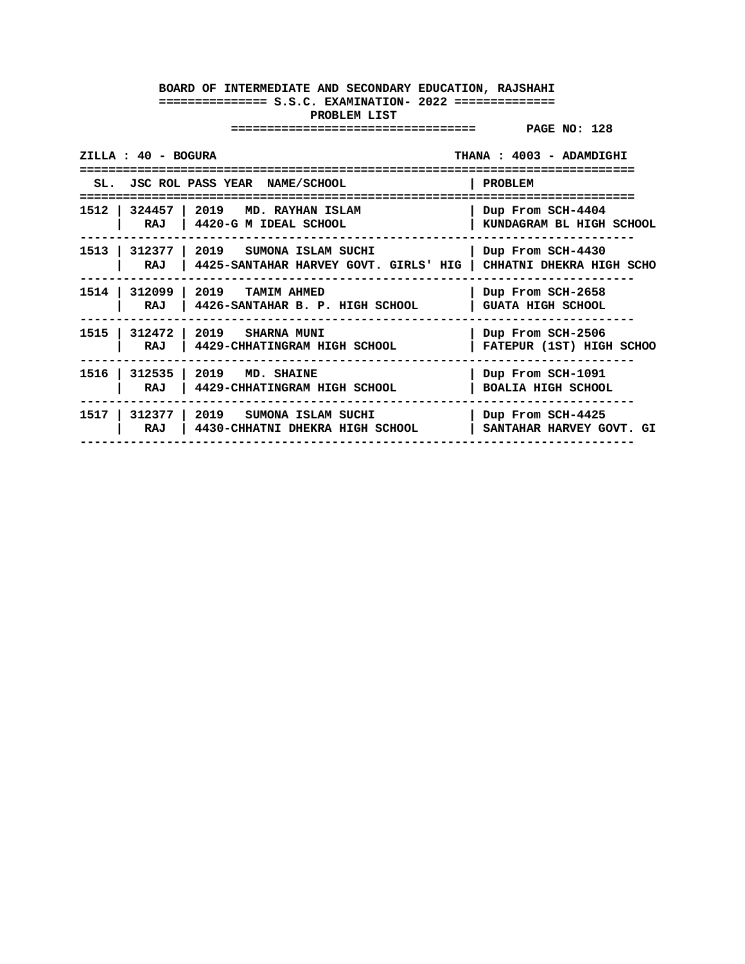| ZILLA : 40 - BOGURA            |                                                                          | THANA: 4003 - ADAMDIGHI<br>=============       |
|--------------------------------|--------------------------------------------------------------------------|------------------------------------------------|
|                                | SL. JSC ROL PASS YEAR NAME/SCHOOL                                        | PROBLEM                                        |
| RAJ                            | 1512   324457   2019   MD. RAYHAN ISLAM<br>$\vert$ 4420-G M IDEAL SCHOOL | Dup From SCH-4404<br>KUNDAGRAM BL HIGH SCHOOL  |
| 1513  <br>312377   2019<br>RAJ | SUMONA ISLAM SUCHI<br>4425-SANTAHAR HARVEY GOVT. GIRLS' HIG              | Dup From SCH-4430<br>CHHATNI DHEKRA HIGH SCHO  |
| 1514   312099   2019<br>RAJ    | <b>TAMIM AHMED</b><br>4426-SANTAHAR B. P. HIGH SCHOOL                    | Dup From SCH-2658<br><b>GUATA HIGH SCHOOL</b>  |
| RAJ                            | 1515   312472   2019   SHARNA MUNI<br>4429-CHHATINGRAM HIGH SCHOOL       | Dup From SCH-2506<br>FATEPUR (1ST) HIGH SCHOO  |
| RAJ                            | 1516   312535   2019 MD. SHAINE<br>4429-CHHATINGRAM HIGH SCHOOL          | Dup From SCH-1091<br><b>BOALIA HIGH SCHOOL</b> |
| 1517<br>312377 1<br>RAJ        | 2019<br>SUMONA ISLAM SUCHI<br>4430-CHHATNI DHEKRA HIGH SCHOOL            | Dup From SCH-4425<br>SANTAHAR HARVEY GOVT. GI  |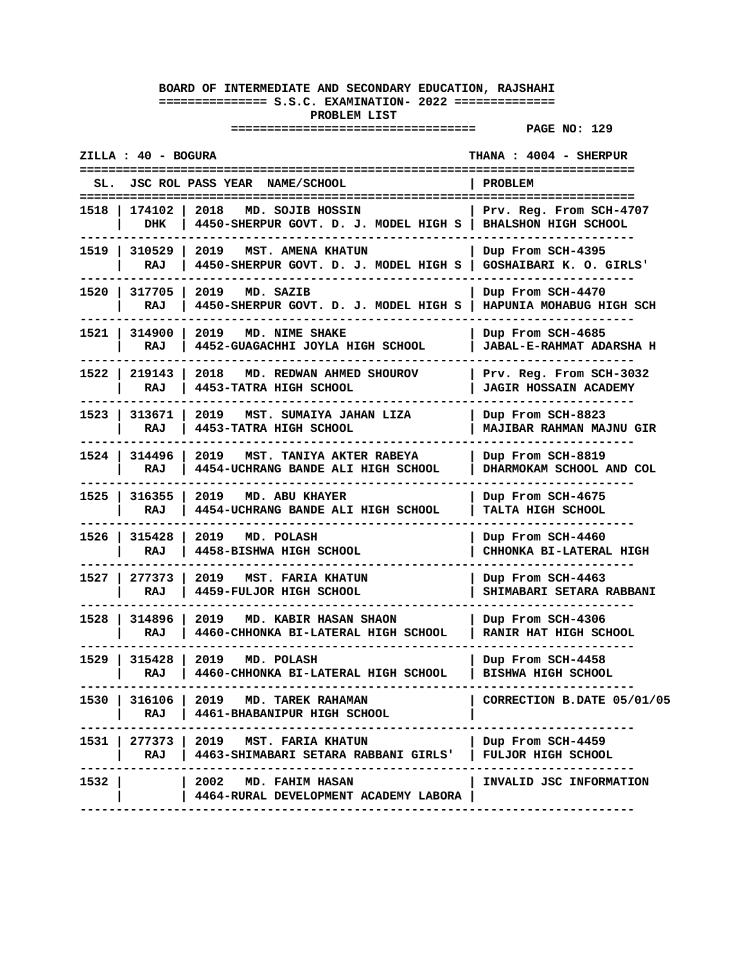| JSC ROL PASS YEAR NAME/SCHOOL<br>PROBLEM<br>SL.<br>=======================<br>174102<br>2018<br>MD. SOJIB HOSSIN<br>Prv. Reg. From SCH-4707<br>1518<br>DHK<br>4450-SHERPUR GOVT. D. J. MODEL HIGH S<br><b>BHALSHON HIGH SCHOOL</b><br>1519 I<br>310529<br>2019 MST. AMENA KHATUN<br>Dup From SCH-4395<br>GOSHAIBARI K. O. GIRLS'<br>RAJ<br>4450-SHERPUR GOVT. D. J. MODEL HIGH S<br>1520 l<br>317705<br>2019 MD. SAZIB<br>Dup From SCH-4470<br>4450-SHERPUR GOVT. D. J. MODEL HIGH S<br>HAPUNIA MOHABUG HIGH SCH<br>RAJ<br>314900<br>1521 I<br>2019<br>MD. NIME SHAKE<br>Dup From SCH-4685<br>4452-GUAGACHHI JOYLA HIGH SCHOOL<br>RAJ<br><b>JABAL-E-RAHMAT ADARSHA H</b><br>1522 l<br>219143<br>2018<br>MD. REDWAN AHMED SHOUROV<br>Prv. Reg. From SCH-3032<br>4453-TATRA HIGH SCHOOL<br>RAJ<br><b>JAGIR HOSSAIN ACADEMY</b><br>313671<br>MST. SUMAIYA JAHAN LIZA<br>Dup From SCH-8823<br>1523  <br>2019<br>4453-TATRA HIGH SCHOOL<br>MAJIBAR RAHMAN MAJNU GIR<br>RAJ<br>1524 I<br>314496<br>MST. TANIYA AKTER RABEYA<br>2019<br>Dup From SCH-8819<br>RAJ<br>DHARMOKAM SCHOOL AND COL<br>4454-UCHRANG BANDE ALI HIGH SCHOOL<br>1525 l<br>316355<br>2019<br>MD. ABU KHAYER<br>Dup From SCH-4675<br>4454-UCHRANG BANDE ALI HIGH SCHOOL<br>RAJ<br><b>TALTA HIGH SCHOOL</b><br>1526 l<br>315428<br>2019<br>MD. POLASH<br>Dup From SCH-4460<br>4458-BISHWA HIGH SCHOOL<br>RAJ<br>CHHONKA BI-LATERAL HIGH<br>1527 I<br>277373<br>2019<br>MST. FARIA KHATUN<br>Dup From SCH-4463<br>4459-FULJOR HIGH SCHOOL<br>SHIMABARI SETARA RABBANI<br>RAJ<br>1528 I<br>314896<br>MD. KABIR HASAN SHAON<br>2019<br>Dup From SCH-4306<br>4460-CHHONKA BI-LATERAL HIGH SCHOOL<br>RAJ<br>RANIR HAT HIGH SCHOOL<br>1529   315428<br>2019 MD. POLASH<br>Dup From SCH-4458<br>RAJ<br>4460-CHHONKA BI-LATERAL HIGH SCHOOL<br>BISHWA HIGH SCHOOL<br>-----------------<br>-------------<br>1530   316106   2019 MD. TAREK RAHAMAN<br>CORRECTION B.DATE 05/01/05<br>RAJ   4461-BHABANIPUR HIGH SCHOOL<br>1531   277373   2019 MST. FARIA KHATUN<br>Dup From SCH-4459<br>RAJ   4463-SHIMABARI SETARA RABBANI GIRLS'<br><b>FULJOR HIGH SCHOOL</b><br>1532  <br>$\vert$ 2002 $\vert$ MD. FAHIM HASAN<br>INVALID JSC INFORMATION<br>4464-RURAL DEVELOPMENT ACADEMY LABORA | ZILLA : 40 - BOGURA | THANA : 4004 - SHERPUR |
|------------------------------------------------------------------------------------------------------------------------------------------------------------------------------------------------------------------------------------------------------------------------------------------------------------------------------------------------------------------------------------------------------------------------------------------------------------------------------------------------------------------------------------------------------------------------------------------------------------------------------------------------------------------------------------------------------------------------------------------------------------------------------------------------------------------------------------------------------------------------------------------------------------------------------------------------------------------------------------------------------------------------------------------------------------------------------------------------------------------------------------------------------------------------------------------------------------------------------------------------------------------------------------------------------------------------------------------------------------------------------------------------------------------------------------------------------------------------------------------------------------------------------------------------------------------------------------------------------------------------------------------------------------------------------------------------------------------------------------------------------------------------------------------------------------------------------------------------------------------------------------------------------------------------------------------------------------------------------------------------------------------------------------------------------------------------------------------------------------------------------------------------------------------------------------------------------------------------------------------|---------------------|------------------------|
|                                                                                                                                                                                                                                                                                                                                                                                                                                                                                                                                                                                                                                                                                                                                                                                                                                                                                                                                                                                                                                                                                                                                                                                                                                                                                                                                                                                                                                                                                                                                                                                                                                                                                                                                                                                                                                                                                                                                                                                                                                                                                                                                                                                                                                          |                     |                        |
|                                                                                                                                                                                                                                                                                                                                                                                                                                                                                                                                                                                                                                                                                                                                                                                                                                                                                                                                                                                                                                                                                                                                                                                                                                                                                                                                                                                                                                                                                                                                                                                                                                                                                                                                                                                                                                                                                                                                                                                                                                                                                                                                                                                                                                          |                     |                        |
|                                                                                                                                                                                                                                                                                                                                                                                                                                                                                                                                                                                                                                                                                                                                                                                                                                                                                                                                                                                                                                                                                                                                                                                                                                                                                                                                                                                                                                                                                                                                                                                                                                                                                                                                                                                                                                                                                                                                                                                                                                                                                                                                                                                                                                          |                     |                        |
|                                                                                                                                                                                                                                                                                                                                                                                                                                                                                                                                                                                                                                                                                                                                                                                                                                                                                                                                                                                                                                                                                                                                                                                                                                                                                                                                                                                                                                                                                                                                                                                                                                                                                                                                                                                                                                                                                                                                                                                                                                                                                                                                                                                                                                          |                     |                        |
|                                                                                                                                                                                                                                                                                                                                                                                                                                                                                                                                                                                                                                                                                                                                                                                                                                                                                                                                                                                                                                                                                                                                                                                                                                                                                                                                                                                                                                                                                                                                                                                                                                                                                                                                                                                                                                                                                                                                                                                                                                                                                                                                                                                                                                          |                     |                        |
|                                                                                                                                                                                                                                                                                                                                                                                                                                                                                                                                                                                                                                                                                                                                                                                                                                                                                                                                                                                                                                                                                                                                                                                                                                                                                                                                                                                                                                                                                                                                                                                                                                                                                                                                                                                                                                                                                                                                                                                                                                                                                                                                                                                                                                          |                     |                        |
|                                                                                                                                                                                                                                                                                                                                                                                                                                                                                                                                                                                                                                                                                                                                                                                                                                                                                                                                                                                                                                                                                                                                                                                                                                                                                                                                                                                                                                                                                                                                                                                                                                                                                                                                                                                                                                                                                                                                                                                                                                                                                                                                                                                                                                          |                     |                        |
|                                                                                                                                                                                                                                                                                                                                                                                                                                                                                                                                                                                                                                                                                                                                                                                                                                                                                                                                                                                                                                                                                                                                                                                                                                                                                                                                                                                                                                                                                                                                                                                                                                                                                                                                                                                                                                                                                                                                                                                                                                                                                                                                                                                                                                          |                     |                        |
|                                                                                                                                                                                                                                                                                                                                                                                                                                                                                                                                                                                                                                                                                                                                                                                                                                                                                                                                                                                                                                                                                                                                                                                                                                                                                                                                                                                                                                                                                                                                                                                                                                                                                                                                                                                                                                                                                                                                                                                                                                                                                                                                                                                                                                          |                     |                        |
|                                                                                                                                                                                                                                                                                                                                                                                                                                                                                                                                                                                                                                                                                                                                                                                                                                                                                                                                                                                                                                                                                                                                                                                                                                                                                                                                                                                                                                                                                                                                                                                                                                                                                                                                                                                                                                                                                                                                                                                                                                                                                                                                                                                                                                          |                     |                        |
|                                                                                                                                                                                                                                                                                                                                                                                                                                                                                                                                                                                                                                                                                                                                                                                                                                                                                                                                                                                                                                                                                                                                                                                                                                                                                                                                                                                                                                                                                                                                                                                                                                                                                                                                                                                                                                                                                                                                                                                                                                                                                                                                                                                                                                          |                     |                        |
|                                                                                                                                                                                                                                                                                                                                                                                                                                                                                                                                                                                                                                                                                                                                                                                                                                                                                                                                                                                                                                                                                                                                                                                                                                                                                                                                                                                                                                                                                                                                                                                                                                                                                                                                                                                                                                                                                                                                                                                                                                                                                                                                                                                                                                          |                     |                        |
|                                                                                                                                                                                                                                                                                                                                                                                                                                                                                                                                                                                                                                                                                                                                                                                                                                                                                                                                                                                                                                                                                                                                                                                                                                                                                                                                                                                                                                                                                                                                                                                                                                                                                                                                                                                                                                                                                                                                                                                                                                                                                                                                                                                                                                          |                     |                        |
|                                                                                                                                                                                                                                                                                                                                                                                                                                                                                                                                                                                                                                                                                                                                                                                                                                                                                                                                                                                                                                                                                                                                                                                                                                                                                                                                                                                                                                                                                                                                                                                                                                                                                                                                                                                                                                                                                                                                                                                                                                                                                                                                                                                                                                          |                     |                        |
|                                                                                                                                                                                                                                                                                                                                                                                                                                                                                                                                                                                                                                                                                                                                                                                                                                                                                                                                                                                                                                                                                                                                                                                                                                                                                                                                                                                                                                                                                                                                                                                                                                                                                                                                                                                                                                                                                                                                                                                                                                                                                                                                                                                                                                          |                     |                        |
|                                                                                                                                                                                                                                                                                                                                                                                                                                                                                                                                                                                                                                                                                                                                                                                                                                                                                                                                                                                                                                                                                                                                                                                                                                                                                                                                                                                                                                                                                                                                                                                                                                                                                                                                                                                                                                                                                                                                                                                                                                                                                                                                                                                                                                          |                     |                        |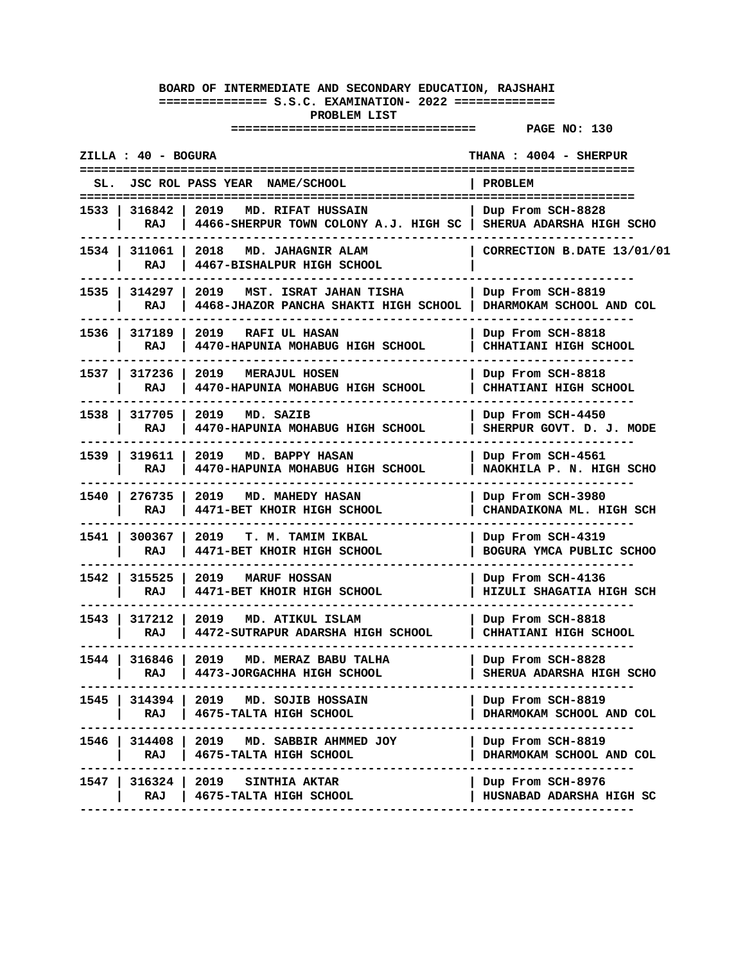|        | ZILLA : 40 - BOGURA    |                                                                                               | THANA: 4004 - SHERPUR                         |
|--------|------------------------|-----------------------------------------------------------------------------------------------|-----------------------------------------------|
| SL.    |                        | JSC ROL PASS YEAR NAME/SCHOOL                                                                 | PROBLEM                                       |
| 1533 I | 316842<br>RAJ          | 2019<br>MD. RIFAT HUSSAIN<br>4466-SHERPUR TOWN COLONY A.J. HIGH SC   SHERUA ADARSHA HIGH SCHO | Dup From SCH-8828                             |
|        | 1534   311061  <br>RAJ | 2018 MD. JAHAGNIR ALAM<br>4467-BISHALPUR HIGH SCHOOL                                          | CORRECTION B.DATE 13/01/01                    |
|        | 1535   314297<br>RAJ   | 2019<br>MST. ISRAT JAHAN TISHA<br>4468-JHAZOR PANCHA SHAKTI HIGH SCHOOL                       | Dup From SCH-8819<br>DHARMOKAM SCHOOL AND COL |
| 1536 l | 317189<br>RAJ          | 2019<br><b>RAFI UL HASAN</b><br>4470-HAPUNIA MOHABUG HIGH SCHOOL                              | Dup From SCH-8818<br>CHHATIANI HIGH SCHOOL    |
| 1537 l | 317236<br>RAJ          | 2019<br><b>MERAJUL HOSEN</b><br>4470-HAPUNIA MOHABUG HIGH SCHOOL                              | Dup From SCH-8818<br>CHHATIANI HIGH SCHOOL    |
| 1538 l | 317705<br>RAJ          | 2019 MD. SAZIB<br>4470-HAPUNIA MOHABUG HIGH SCHOOL                                            | Dup From SCH-4450<br>SHERPUR GOVT. D. J. MODE |
|        | 1539   319611<br>RAJ   | 2019 MD. BAPPY HASAN<br>4470-HAPUNIA MOHABUG HIGH SCHOOL                                      | Dup From SCH-4561<br>NAOKHILA P. N. HIGH SCHO |
| 1540 I | 276735<br>RAJ          | 2019<br><b>MD. MAHEDY HASAN</b><br>4471-BET KHOIR HIGH SCHOOL                                 | Dup From SCH-3980<br>CHANDAIKONA ML. HIGH SCH |
| 1541 I | 300367<br>RAJ          | 2019<br><b>T. M. TAMIM IKBAL</b><br>4471-BET KHOIR HIGH SCHOOL                                | Dup From SCH-4319<br>BOGURA YMCA PUBLIC SCHOO |
| 1542   | 315525<br>RAJ          | 2019<br>MARUF HOSSAN<br>4471-BET KHOIR HIGH SCHOOL                                            | Dup From SCH-4136<br>HIZULI SHAGATIA HIGH SCH |
| 1543 l | 317212<br>RAJ          | 2019 MD. ATIKUL ISLAM<br>4472-SUTRAPUR ADARSHA HIGH SCHOOL                                    | Dup From SCH-8818<br>CHHATIANI HIGH SCHOOL    |
| 1544 I | 316846 l<br>RAJ        | 2019<br>MD. MERAZ BABU TALHA<br>4473-JORGACHHA HIGH SCHOOL                                    | Dup From SCH-8828<br>SHERUA ADARSHA HIGH SCHO |
| 1545 I | 314394  <br>RAJ        | 2019 MD. SOJIB HOSSAIN<br>4675-TALTA HIGH SCHOOL                                              | Dup From SCH-8819<br>DHARMOKAM SCHOOL AND COL |
|        | RAJ                    | 1546   314408   2019 MD. SABBIR AHMMED JOY<br>  4675-TALTA HIGH SCHOOL                        | Dup From SCH-8819<br>DHARMOKAM SCHOOL AND COL |
|        | RAJ                    | 1547   316324   2019   SINTHIA AKTAR<br>4675-TALTA HIGH SCHOOL                                | Dup From SCH-8976<br>HUSNABAD ADARSHA HIGH SC |
|        |                        |                                                                                               |                                               |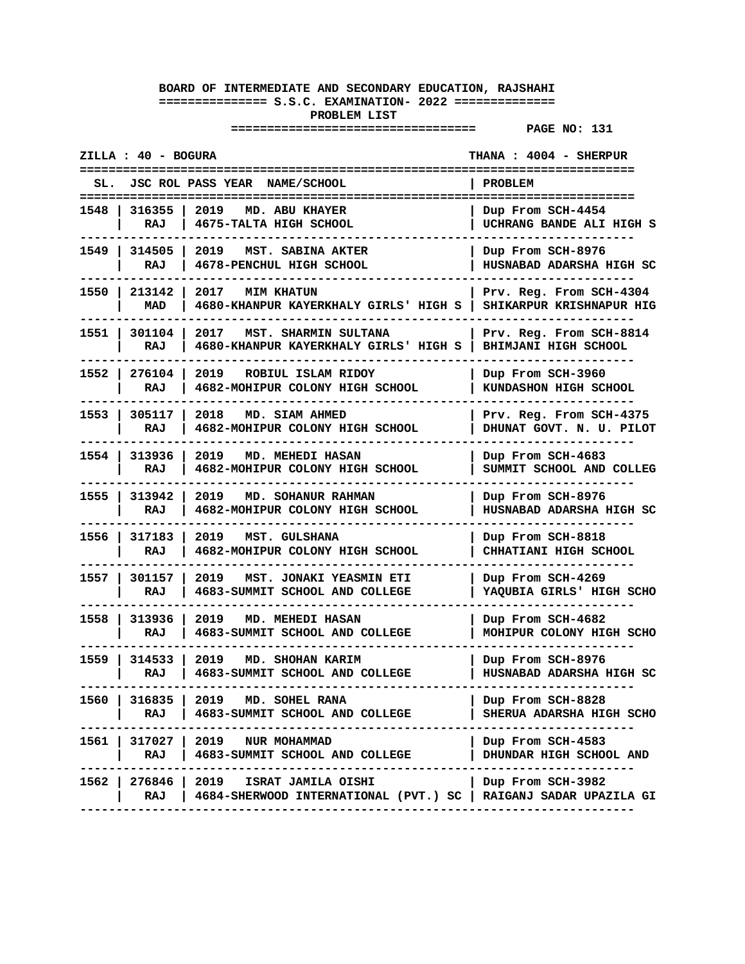| SL. JSC ROL PASS YEAR NAME/SCHOOL<br><b>PROBLEM</b><br>2019<br>1548   316355  <br>MD. ABU KHAYER<br>Dup From SCH-4454<br>RAJ<br>4675-TALTA HIGH SCHOOL<br>UCHRANG BANDE ALI HIGH S<br>1549 I<br>314505<br>2019<br>MST. SABINA AKTER<br>Dup From SCH-8976<br>RAJ<br>4678-PENCHUL HIGH SCHOOL<br>HUSNABAD ADARSHA HIGH SC<br>1550 l<br>213142<br>2017<br><b>MIM KHATUN</b><br>Prv. Reg. From SCH-4304<br>SHIKARPUR KRISHNAPUR HIG<br>MAD<br>4680-KHANPUR KAYERKHALY GIRLS' HIGH S<br>1551<br>301104<br>2017<br>MST. SHARMIN SULTANA<br>Prv. Reg. From SCH-8814<br>4680-KHANPUR KAYERKHALY GIRLS' HIGH S<br>BHIMJANI HIGH SCHOOL<br>RAJ<br>276104  <br>1552 l<br>2019 ROBIUL ISLAM RIDOY<br>Dup From SCH-3960<br>RAJ<br>4682-MOHIPUR COLONY HIGH SCHOOL<br>KUNDASHON HIGH SCHOOL<br>1553 l<br>305117<br>2018<br>MD. SIAM AHMED<br>Prv. Reg. From SCH-4375<br>RAJ<br>4682-MOHIPUR COLONY HIGH SCHOOL<br>DHUNAT GOVT. N. U. PILOT<br>1554 l<br>313936<br>2019<br>MD. MEHEDI HASAN<br>Dup From SCH-4683<br>RAJ<br>4682-MOHIPUR COLONY HIGH SCHOOL<br>SUMMIT SCHOOL AND COLLEG<br>1555 l<br>313942<br>2019<br>MD. SOHANUR RAHMAN<br>Dup From SCH-8976<br>RAJ<br>4682-MOHIPUR COLONY HIGH SCHOOL<br>HUSNABAD ADARSHA HIGH SC<br>1556<br>317183<br>2019<br>MST. GULSHANA<br>Dup From SCH-8818<br>RAJ<br>4682-MOHIPUR COLONY HIGH SCHOOL<br>CHHATIANI HIGH SCHOOL<br>1557<br>301157<br>2019 MST. JONAKI YEASMIN ETI<br>Dup From SCH-4269<br>RAJ<br>4683-SUMMIT SCHOOL AND COLLEGE<br>YAQUBIA GIRLS' HIGH SCHO<br>2019<br>1558 l<br>313936 l<br>MD. MEHEDI HASAN<br>Dup From SCH-4682<br>RAJ<br>4683-SUMMIT SCHOOL AND COLLEGE<br>MOHIPUR COLONY HIGH SCHO<br>1559 l<br>314533<br>2019<br>MD. SHOHAN KARIM<br>Dup From SCH-8976<br>4683-SUMMIT SCHOOL AND COLLEGE<br>HUSNABAD ADARSHA HIGH SC<br>RAJ<br>1560<br>316835  <br>2019<br>MD. SOHEL RANA<br>Dup From SCH-8828<br>4683-SUMMIT SCHOOL AND COLLEGE<br>RAJ<br>SHERUA ADARSHA HIGH SCHO<br>1561<br>317027 l<br>2019<br>NUR MOHAMMAD<br>Dup From SCH-4583<br>RAJ<br>4683-SUMMIT SCHOOL AND COLLEGE<br>DHUNDAR HIGH SCHOOL AND<br>1562  <br>276846  <br>2019<br>Dup From SCH-3982<br>ISRAT JAMILA OISHI<br>4684-SHERWOOD INTERNATIONAL (PVT.) SC   RAIGANJ SADAR UPAZILA GI<br>RAJ | ZILLA : 40 - BOGURA | ==========================<br>=========== | THANA: 4004 - SHERPUR |
|----------------------------------------------------------------------------------------------------------------------------------------------------------------------------------------------------------------------------------------------------------------------------------------------------------------------------------------------------------------------------------------------------------------------------------------------------------------------------------------------------------------------------------------------------------------------------------------------------------------------------------------------------------------------------------------------------------------------------------------------------------------------------------------------------------------------------------------------------------------------------------------------------------------------------------------------------------------------------------------------------------------------------------------------------------------------------------------------------------------------------------------------------------------------------------------------------------------------------------------------------------------------------------------------------------------------------------------------------------------------------------------------------------------------------------------------------------------------------------------------------------------------------------------------------------------------------------------------------------------------------------------------------------------------------------------------------------------------------------------------------------------------------------------------------------------------------------------------------------------------------------------------------------------------------------------------------------------------------------------------------------------------------------------------------------------------------------------------------------------------------------------------------------------------------------------------------------------------------|---------------------|-------------------------------------------|-----------------------|
|                                                                                                                                                                                                                                                                                                                                                                                                                                                                                                                                                                                                                                                                                                                                                                                                                                                                                                                                                                                                                                                                                                                                                                                                                                                                                                                                                                                                                                                                                                                                                                                                                                                                                                                                                                                                                                                                                                                                                                                                                                                                                                                                                                                                                            |                     |                                           |                       |
|                                                                                                                                                                                                                                                                                                                                                                                                                                                                                                                                                                                                                                                                                                                                                                                                                                                                                                                                                                                                                                                                                                                                                                                                                                                                                                                                                                                                                                                                                                                                                                                                                                                                                                                                                                                                                                                                                                                                                                                                                                                                                                                                                                                                                            |                     |                                           |                       |
|                                                                                                                                                                                                                                                                                                                                                                                                                                                                                                                                                                                                                                                                                                                                                                                                                                                                                                                                                                                                                                                                                                                                                                                                                                                                                                                                                                                                                                                                                                                                                                                                                                                                                                                                                                                                                                                                                                                                                                                                                                                                                                                                                                                                                            |                     |                                           |                       |
|                                                                                                                                                                                                                                                                                                                                                                                                                                                                                                                                                                                                                                                                                                                                                                                                                                                                                                                                                                                                                                                                                                                                                                                                                                                                                                                                                                                                                                                                                                                                                                                                                                                                                                                                                                                                                                                                                                                                                                                                                                                                                                                                                                                                                            |                     |                                           |                       |
|                                                                                                                                                                                                                                                                                                                                                                                                                                                                                                                                                                                                                                                                                                                                                                                                                                                                                                                                                                                                                                                                                                                                                                                                                                                                                                                                                                                                                                                                                                                                                                                                                                                                                                                                                                                                                                                                                                                                                                                                                                                                                                                                                                                                                            |                     |                                           |                       |
|                                                                                                                                                                                                                                                                                                                                                                                                                                                                                                                                                                                                                                                                                                                                                                                                                                                                                                                                                                                                                                                                                                                                                                                                                                                                                                                                                                                                                                                                                                                                                                                                                                                                                                                                                                                                                                                                                                                                                                                                                                                                                                                                                                                                                            |                     |                                           |                       |
|                                                                                                                                                                                                                                                                                                                                                                                                                                                                                                                                                                                                                                                                                                                                                                                                                                                                                                                                                                                                                                                                                                                                                                                                                                                                                                                                                                                                                                                                                                                                                                                                                                                                                                                                                                                                                                                                                                                                                                                                                                                                                                                                                                                                                            |                     |                                           |                       |
|                                                                                                                                                                                                                                                                                                                                                                                                                                                                                                                                                                                                                                                                                                                                                                                                                                                                                                                                                                                                                                                                                                                                                                                                                                                                                                                                                                                                                                                                                                                                                                                                                                                                                                                                                                                                                                                                                                                                                                                                                                                                                                                                                                                                                            |                     |                                           |                       |
|                                                                                                                                                                                                                                                                                                                                                                                                                                                                                                                                                                                                                                                                                                                                                                                                                                                                                                                                                                                                                                                                                                                                                                                                                                                                                                                                                                                                                                                                                                                                                                                                                                                                                                                                                                                                                                                                                                                                                                                                                                                                                                                                                                                                                            |                     |                                           |                       |
|                                                                                                                                                                                                                                                                                                                                                                                                                                                                                                                                                                                                                                                                                                                                                                                                                                                                                                                                                                                                                                                                                                                                                                                                                                                                                                                                                                                                                                                                                                                                                                                                                                                                                                                                                                                                                                                                                                                                                                                                                                                                                                                                                                                                                            |                     |                                           |                       |
|                                                                                                                                                                                                                                                                                                                                                                                                                                                                                                                                                                                                                                                                                                                                                                                                                                                                                                                                                                                                                                                                                                                                                                                                                                                                                                                                                                                                                                                                                                                                                                                                                                                                                                                                                                                                                                                                                                                                                                                                                                                                                                                                                                                                                            |                     |                                           |                       |
|                                                                                                                                                                                                                                                                                                                                                                                                                                                                                                                                                                                                                                                                                                                                                                                                                                                                                                                                                                                                                                                                                                                                                                                                                                                                                                                                                                                                                                                                                                                                                                                                                                                                                                                                                                                                                                                                                                                                                                                                                                                                                                                                                                                                                            |                     |                                           |                       |
|                                                                                                                                                                                                                                                                                                                                                                                                                                                                                                                                                                                                                                                                                                                                                                                                                                                                                                                                                                                                                                                                                                                                                                                                                                                                                                                                                                                                                                                                                                                                                                                                                                                                                                                                                                                                                                                                                                                                                                                                                                                                                                                                                                                                                            |                     |                                           |                       |
|                                                                                                                                                                                                                                                                                                                                                                                                                                                                                                                                                                                                                                                                                                                                                                                                                                                                                                                                                                                                                                                                                                                                                                                                                                                                                                                                                                                                                                                                                                                                                                                                                                                                                                                                                                                                                                                                                                                                                                                                                                                                                                                                                                                                                            |                     |                                           |                       |
|                                                                                                                                                                                                                                                                                                                                                                                                                                                                                                                                                                                                                                                                                                                                                                                                                                                                                                                                                                                                                                                                                                                                                                                                                                                                                                                                                                                                                                                                                                                                                                                                                                                                                                                                                                                                                                                                                                                                                                                                                                                                                                                                                                                                                            |                     |                                           |                       |
|                                                                                                                                                                                                                                                                                                                                                                                                                                                                                                                                                                                                                                                                                                                                                                                                                                                                                                                                                                                                                                                                                                                                                                                                                                                                                                                                                                                                                                                                                                                                                                                                                                                                                                                                                                                                                                                                                                                                                                                                                                                                                                                                                                                                                            |                     |                                           |                       |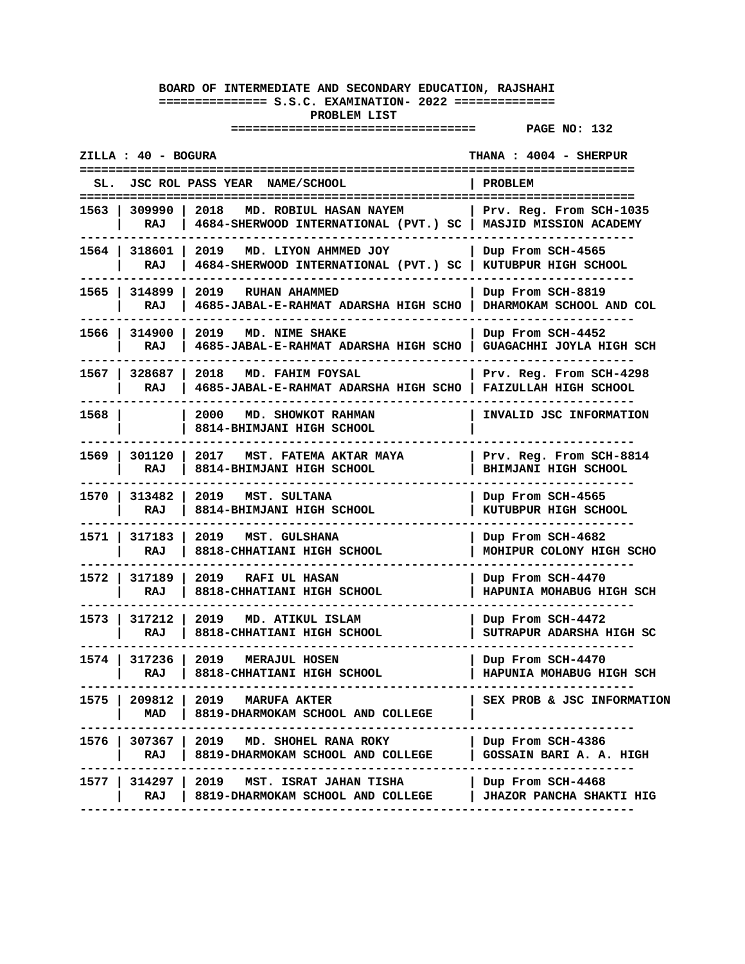|        | ZILLA : 40 - BOGURA    |                                                                                               | THANA: 4004 - SHERPUR                                |
|--------|------------------------|-----------------------------------------------------------------------------------------------|------------------------------------------------------|
|        |                        | SL. JSC ROL PASS YEAR NAME/SCHOOL                                                             | <b>PROBLEM</b>                                       |
|        | 1563   309990  <br>RAJ | 2018 MD. ROBIUL HASAN NAYEM<br>4684-SHERWOOD INTERNATIONAL (PVT.) SC   MASJID MISSION ACADEMY | Prv. Reg. From SCH-1035                              |
|        | 1564   318601  <br>RAJ | 2019 MD. LIYON AHMMED JOY<br>4684-SHERWOOD INTERNATIONAL (PVT.) SC   KUTUBPUR HIGH SCHOOL     | Dup From SCH-4565                                    |
|        | 1565   314899<br>RAJ   | 2019 RUHAN AHAMMED<br>4685-JABAL-E-RAHMAT ADARSHA HIGH SCHO                                   | Dup From SCH-8819<br>  DHARMOKAM SCHOOL AND COL      |
| 1566 l | 314900<br>RAJ          | 2019 MD. NIME SHAKE<br>4685-JABAL-E-RAHMAT ADARSHA HIGH SCHO   GUAGACHHI JOYLA HIGH SCH       | Dup From SCH-4452                                    |
|        | 1567   328687<br>RAJ   | 2018 MD. FAHIM FOYSAL<br>4685-JABAL-E-RAHMAT ADARSHA HIGH SCHO                                | Prv. Reg. From SCH-4298<br>FAIZULLAH HIGH SCHOOL     |
| 1568 l |                        | 2000<br>MD. SHOWKOT RAHMAN<br>8814-BHIMJANI HIGH SCHOOL                                       | INVALID JSC INFORMATION                              |
| 1569 l | 301120<br>RAJ          | 2017<br>MST. FATEMA AKTAR MAYA<br>8814-BHIMJANI HIGH SCHOOL                                   | Prv. Reg. From SCH-8814<br>BHIMJANI HIGH SCHOOL      |
|        | 1570   313482<br>RAJ   | 2019 MST. SULTANA<br>8814-BHIMJANI HIGH SCHOOL                                                | Dup From SCH-4565<br>KUTUBPUR HIGH SCHOOL            |
| 1571 l | 317183<br>RAJ          | 2019 MST. GULSHANA<br>8818-CHHATIANI HIGH SCHOOL                                              | Dup From SCH-4682<br>MOHIPUR COLONY HIGH SCHO        |
| 1572 l | 317189<br>RAJ          | 2019<br>RAFI UL HASAN<br>8818-CHHATIANI HIGH SCHOOL                                           | Dup From SCH-4470<br>HAPUNIA MOHABUG HIGH SCH        |
|        | 1573   317212<br>RAJ   | 2019 MD. ATIKUL ISLAM<br>8818-CHHATIANI HIGH SCHOOL                                           | Dup From SCH-4472<br>SUTRAPUR ADARSHA HIGH SC        |
| 1574 l | 317236<br>RAJ          | 2019 MERAJUL HOSEN<br>8818-CHHATIANI HIGH SCHOOL                                              | Dup From SCH-4470<br>HAPUNIA MOHABUG HIGH SCH        |
| 1575   | 209812  <br>MAD        | 2019 MARUFA AKTER<br>8819-DHARMOKAM SCHOOL AND COLLEGE                                        | SEX PROB & JSC INFORMATION                           |
| 1576 l | RAJ                    | $307367$   2019 MD. SHOHEL RANA ROKY<br>8819-DHARMOKAM SCHOOL AND COLLEGE                     | Dup From SCH-4386<br>GOSSAIN BARI A. A. HIGH         |
| 1577   | 314297  <br>RAJ        | 2019<br>MST. ISRAT JAHAN TISHA<br>8819-DHARMOKAM SCHOOL AND COLLEGE                           | Dup From SCH-4468<br><b>JHAZOR PANCHA SHAKTI HIG</b> |
|        |                        |                                                                                               |                                                      |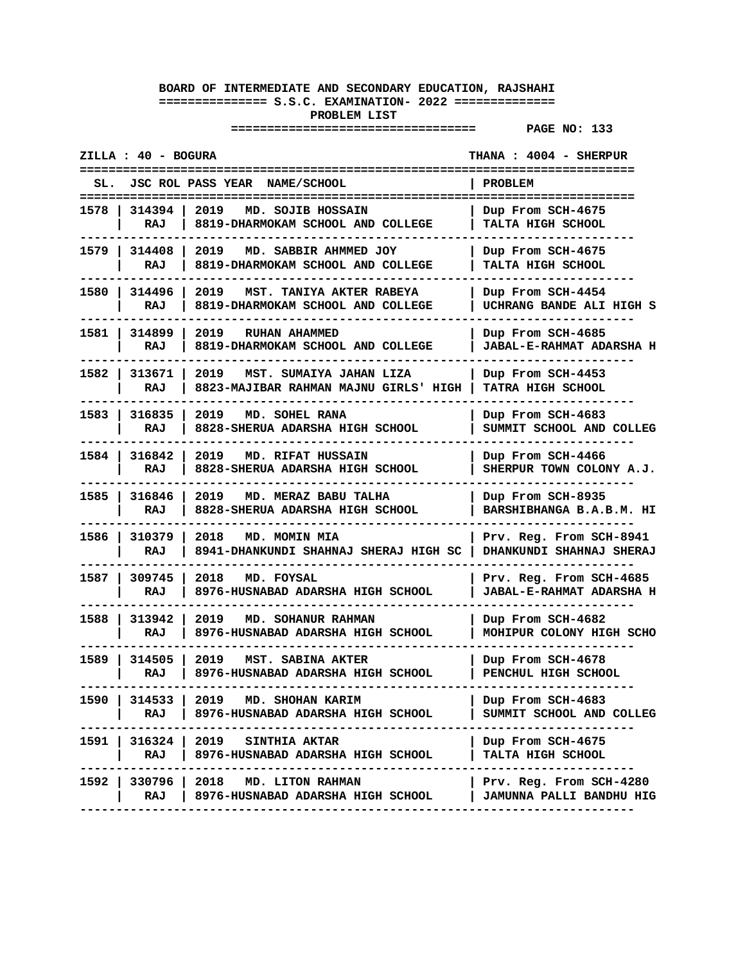| ZILLA : 40 - BOGURA                                                                                 | THANA : 4004 - SHERPUR                                     |
|-----------------------------------------------------------------------------------------------------|------------------------------------------------------------|
| JSC ROL PASS YEAR NAME/SCHOOL<br>SL.                                                                | PROBLEM                                                    |
| 1578 I<br>314394<br>2019<br>MD. SOJIB HOSSAIN<br>RAJ<br>8819-DHARMOKAM SCHOOL AND COLLEGE           | Dup From SCH-4675<br>TALTA HIGH SCHOOL                     |
| 1579   314408<br>2019 MD. SABBIR AHMMED JOY<br>RAJ<br>8819-DHARMOKAM SCHOOL AND COLLEGE             | Dup From SCH-4675<br>TALTA HIGH SCHOOL                     |
| 1580   314496<br>2019<br>MST. TANIYA AKTER RABEYA<br>RAJ<br>8819-DHARMOKAM SCHOOL AND COLLEGE       | Dup From SCH-4454<br>UCHRANG BANDE ALI HIGH S              |
| 1581 I<br>314899<br>2019<br>RUHAN AHAMMED<br>8819-DHARMOKAM SCHOOL AND COLLEGE<br>RAJ               | Dup From SCH-4685<br><b>JABAL-E-RAHMAT ADARSHA H</b>       |
| 1582 l<br>313671<br>2019<br>MST. SUMAIYA JAHAN LIZA<br>RAJ<br>8823-MAJIBAR RAHMAN MAJNU GIRLS' HIGH | Dup From SCH-4453<br>TATRA HIGH SCHOOL                     |
| 1583 l<br>316835<br>2019<br>MD. SOHEL RANA<br>8828-SHERUA ADARSHA HIGH SCHOOL<br>RAJ                | Dup From SCH-4683<br>SUMMIT SCHOOL AND COLLEG              |
| 1584 l<br>316842<br>2019 MD. RIFAT HUSSAIN<br>RAJ<br>8828-SHERUA ADARSHA HIGH SCHOOL                | Dup From SCH-4466<br>SHERPUR TOWN COLONY A.J.              |
| 1585 l<br>316846<br>2019<br>MD. MERAZ BABU TALHA<br>8828-SHERUA ADARSHA HIGH SCHOOL<br>RAJ          | Dup From SCH-8935<br>BARSHIBHANGA B.A.B.M. HI              |
| 1586 l<br>310379<br>2018<br>MD. MOMIN MIA<br>8941-DHANKUNDI SHAHNAJ SHERAJ HIGH SC<br>RAJ           | Prv. Reg. From SCH-8941<br>DHANKUNDI SHAHNAJ SHERAJ        |
| 1587 I<br>309745<br>2018<br>MD. FOYSAL<br>RAJ<br>8976-HUSNABAD ADARSHA HIGH SCHOOL                  | Prv. Reg. From SCH-4685<br><b>JABAL-E-RAHMAT ADARSHA H</b> |
| 1588 -<br>313942<br>2019<br>MD. SOHANUR RAHMAN<br>RAJ<br>8976-HUSNABAD ADARSHA HIGH SCHOOL          | Dup From SCH-4682<br>MOHIPUR COLONY HIGH SCHO              |
| 1589   314505<br>2019<br>MST. SABINA AKTER<br>8976-HUSNABAD ADARSHA HIGH SCHOOL<br>RAJ              | Dup From SCH-4678<br>PENCHUL HIGH SCHOOL                   |
| 2019 MD. SHOHAN KARIM<br>1590 I<br>314533 1<br>8976-HUSNABAD ADARSHA HIGH SCHOOL<br>RAJ I           | Dup From SCH-4683<br>SUMMIT SCHOOL AND COLLEG              |
| 1591   316324   2019 SINTHIA AKTAR<br>RAJ   8976-HUSNABAD ADARSHA HIGH SCHOOL                       | Dup From SCH-4675<br><b>TALTA HIGH SCHOOL</b>              |
| 1592   330796   2018 MD. LITON RAHMAN<br>RAJ<br>8976-HUSNABAD ADARSHA HIGH SCHOOL                   | Prv. Reg. From SCH-4280<br>  JAMUNNA PALLI BANDHU HIG      |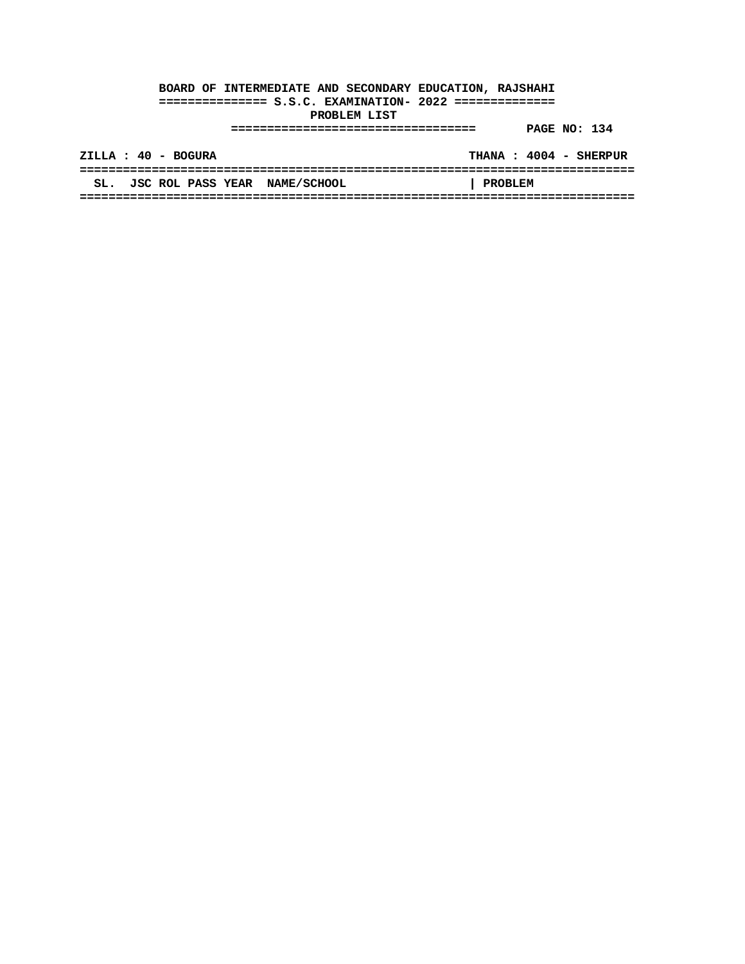|     | ZILLA : 40 - BOGURA           |  |                |  | THANA: 4004 - SHERPUR |
|-----|-------------------------------|--|----------------|--|-----------------------|
|     |                               |  |                |  |                       |
| SL. | JSC ROL PASS YEAR NAME/SCHOOL |  | <b>PROBLEM</b> |  |                       |
|     |                               |  |                |  |                       |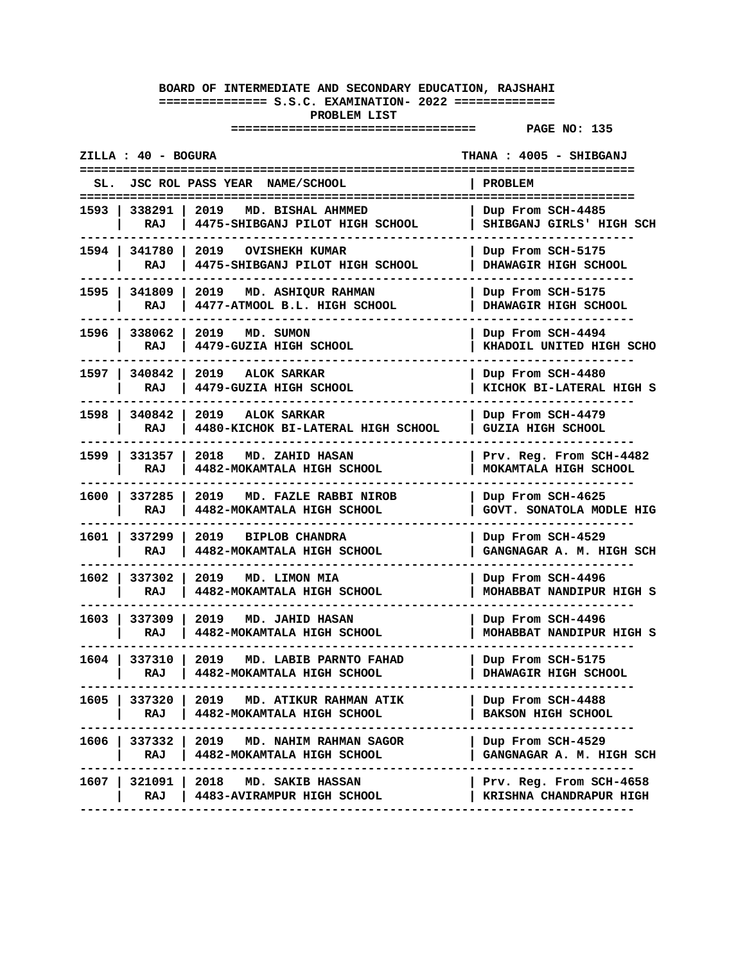| ZILLA : 40 - BOGURA                                                                                   | THANA : 4005 - SHIBGANJ                            |
|-------------------------------------------------------------------------------------------------------|----------------------------------------------------|
| JSC ROL PASS YEAR NAME/SCHOOL                                                                         | PROBLEM                                            |
| 1593   338291   2019<br>MD. BISHAL AHMMED<br>RAJ<br>4475-SHIBGANJ PILOT HIGH SCHOOL                   | Dup From SCH-4485<br>SHIBGANJ GIRLS' HIGH SCH      |
| 1594   341780<br>2019<br><b>OVISHEKH KUMAR</b><br>RAJ<br>4475-SHIBGANJ PILOT HIGH SCHOOL              | Dup From SCH-5175<br>DHAWAGIR HIGH SCHOOL          |
| 1595   341809<br>2019 MD. ASHIQUR RAHMAN<br>4477-ATMOOL B.L. HIGH SCHOOL<br>RAJ                       | Dup From SCH-5175<br>DHAWAGIR HIGH SCHOOL          |
| 1596   338062<br>2019<br>MD. SUMON<br>4479-GUZIA HIGH SCHOOL<br>RAJ                                   | Dup From SCH-4494<br>KHADOIL UNITED HIGH SCHO      |
| 1597   340842<br>2019 ALOK SARKAR<br>RAJ<br>4479-GUZIA HIGH SCHOOL                                    | Dup From SCH-4480<br>KICHOK BI-LATERAL HIGH S      |
| 1598   340842<br>2019 ALOK SARKAR<br>RAJ<br>4480-KICHOK BI-LATERAL HIGH SCHOOL                        | Dup From SCH-4479<br><b>GUZIA HIGH SCHOOL</b>      |
| 1599   331357<br>2018<br>MD. ZAHID HASAN<br>RAJ<br>4482-MOKAMTALA HIGH SCHOOL                         | Prv. Reg. From SCH-4482<br>MOKAMTALA HIGH SCHOOL   |
| 1600   337285<br>2019<br>MD. FAZLE RABBI NIROB<br>RAJ<br>4482-MOKAMTALA HIGH SCHOOL                   | Dup From SCH-4625<br>GOVT. SONATOLA MODLE HIG      |
| 1601   337299<br>2019<br><b>BIPLOB CHANDRA</b><br>RAJ<br>4482-MOKAMTALA HIGH SCHOOL                   | Dup From SCH-4529<br>GANGNAGAR A. M. HIGH SCH      |
| 1602 l<br>337302<br>2019<br>MD. LIMON MIA<br>RAJ<br>4482-MOKAMTALA HIGH SCHOOL                        | Dup From SCH-4496<br>MOHABBAT NANDIPUR HIGH S      |
| 1603 l<br>337309<br>2019 MD. JAHID HASAN<br>RAJ<br>4482-MOKAMTALA HIGH SCHOOL                         | Dup From SCH-4496<br>MOHABBAT NANDIPUR HIGH S      |
| 1604   337310  <br>2019<br>MD. LABIB PARNTO FAHAD<br>RAJ<br>4482-MOKAMTALA HIGH SCHOOL                | Dup From SCH-5175<br>DHAWAGIR HIGH SCHOOL          |
| 1605   337320   2019 MD. ATIKUR RAHMAN ATIK<br>RAJ   4482-MOKAMTALA HIGH SCHOOL                       | Dup From SCH-4488<br><b>BAKSON HIGH SCHOOL</b>     |
| 1606   337332   2019 MD. NAHIM RAHMAN SAGOR<br>RAJ   4482-MOKAMTALA HIGH SCHOOL<br>------------------ | Dup From SCH-4529<br>GANGNAGAR A. M. HIGH SCH      |
| 1607   321091   2018 MD. SAKIB HASSAN<br>RAJ<br>  4483-AVIRAMPUR HIGH SCHOOL                          | Prv. Reg. From SCH-4658<br>KRISHNA CHANDRAPUR HIGH |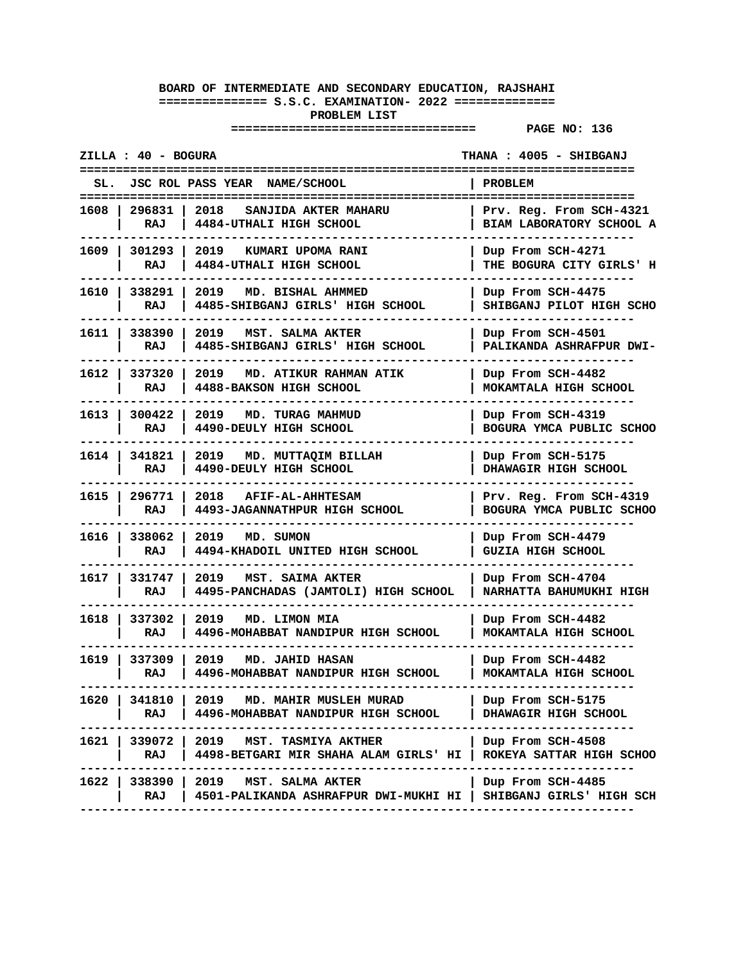| ZILLA : 40 - BOGURA       |                                                                                                                  | THANA : 4005 - SHIBGANJ                                                      |
|---------------------------|------------------------------------------------------------------------------------------------------------------|------------------------------------------------------------------------------|
| SL.                       | JSC ROL PASS YEAR NAME/SCHOOL                                                                                    | <b>PROBLEM</b>                                                               |
| 296831<br>1608<br>RAJ     | 2018<br>SANJIDA AKTER MAHARU<br>4484-UTHALI HIGH SCHOOL                                                          | =====================<br>Prv. Reg. From SCH-4321<br>BIAM LABORATORY SCHOOL A |
| 1609 l<br>301293<br>RAJ   | 2019 KUMARI UPOMA RANI<br>4484-UTHALI HIGH SCHOOL                                                                | Dup From SCH-4271<br>THE BOGURA CITY GIRLS' H                                |
| 1610   338291<br>RAJ      | 2019<br>MD. BISHAL AHMMED<br>4485-SHIBGANJ GIRLS' HIGH SCHOOL                                                    | Dup From SCH-4475<br>SHIBGANJ PILOT HIGH SCHO                                |
| 1611 l<br>338390<br>RAJ   | 2019 —<br>MST. SALMA AKTER<br>4485-SHIBGANJ GIRLS' HIGH SCHOOL                                                   | Dup From SCH-4501<br>PALIKANDA ASHRAFPUR DWI-                                |
| 1612 l<br>337320<br>RAJ   | 2019<br>MD. ATIKUR RAHMAN ATIK<br>4488-BAKSON HIGH SCHOOL                                                        | Dup From SCH-4482<br>MOKAMTALA HIGH SCHOOL                                   |
| 300422<br>1613 l<br>RAJ   | 2019<br>MD. TURAG MAHMUD<br>4490-DEULY HIGH SCHOOL                                                               | Dup From SCH-4319<br>BOGURA YMCA PUBLIC SCHOO                                |
| 1614 l<br>341821<br>RAJ   | 2019 MD. MUTTAQIM BILLAH<br>4490-DEULY HIGH SCHOOL                                                               | Dup From SCH-5175<br>DHAWAGIR HIGH SCHOOL                                    |
| 1615   296771<br>RAJ      | 2018<br><b>AFIF-AL-AHHTESAM</b><br>4493-JAGANNATHPUR HIGH SCHOOL                                                 | Prv. Reg. From SCH-4319<br>BOGURA YMCA PUBLIC SCHOO                          |
| 1616 l<br>338062<br>RAJ   | 2019<br>MD. SUMON<br>4494-KHADOIL UNITED HIGH SCHOOL                                                             | Dup From SCH-4479<br><b>GUZIA HIGH SCHOOL</b>                                |
| 1617 l<br>331747<br>RAJ   | 2019<br>MST. SAIMA AKTER<br>4495-PANCHADAS (JAMTOLI) HIGH SCHOOL                                                 | Dup From SCH-4704<br>NARHATTA BAHUMUKHI HIGH                                 |
| 1618  <br>337302<br>RAJ   | 2019<br>MD. LIMON MIA<br>4496-MOHABBAT NANDIPUR HIGH SCHOOL                                                      | Dup From SCH-4482<br>MOKAMTALA HIGH SCHOOL                                   |
| 1619   337309<br>RAJ      | 2019 MD. JAHID HASAN<br>4496-MOHABBAT NANDIPUR HIGH SCHOOL                                                       | Dup From SCH-4482<br>MOKAMTALA HIGH SCHOOL<br>------------                   |
| 1620 l<br>341810 I<br>RAJ | 2019 MD. MAHIR MUSLEH MURAD<br>  4496-MOHABBAT NANDIPUR HIGH SCHOOL                                              | Dup From SCH-5175<br>DHAWAGIR HIGH SCHOOL                                    |
| RAJ                       | 1621   339072   2019   MST. TASMIYA AKTHER<br>  4498-BETGARI MIR SHAHA ALAM GIRLS' HI   ROKEYA SATTAR HIGH SCHOO | Dup From SCH-4508                                                            |
| RAJ                       | 1622   338390   2019 MST. SALMA AKTER<br>4501-PALIKANDA ASHRAFPUR DWI-MUKHI HI   SHIBGANJ GIRLS' HIGH SCH        | Dup From SCH-4485                                                            |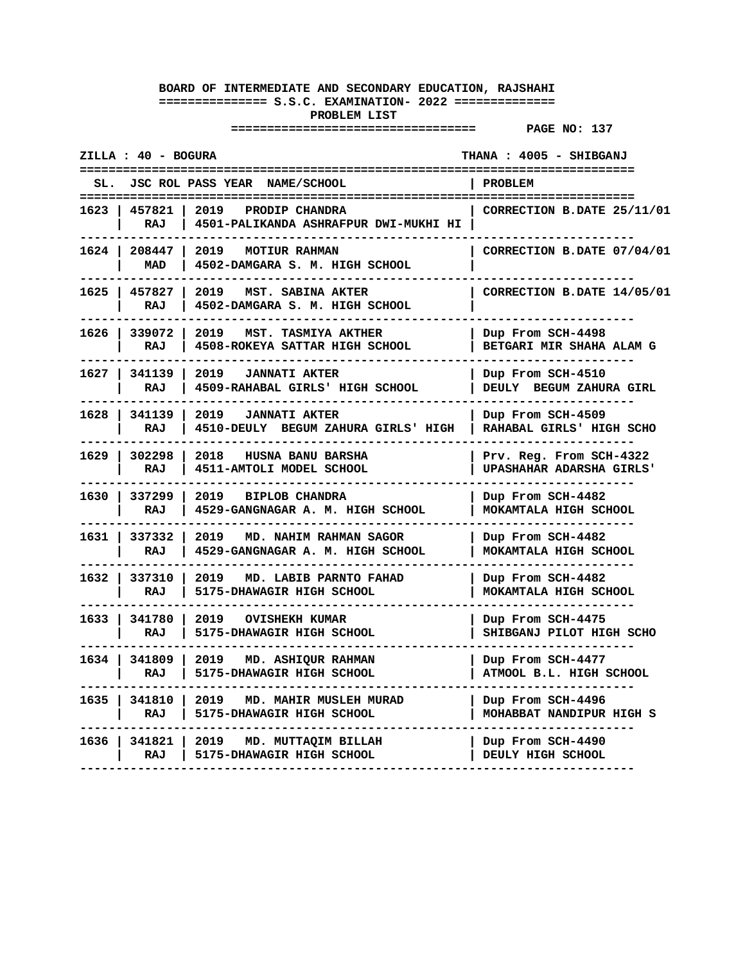|        | ZILLA : 40 - BOGURA  |                                                                      | THANA: 4005 - SHIBGANJ                              |
|--------|----------------------|----------------------------------------------------------------------|-----------------------------------------------------|
| SL.    |                      | JSC ROL PASS YEAR NAME/SCHOOL                                        | PROBLEM                                             |
|        | 1623   457821<br>RAJ | 2019<br>PRODIP CHANDRA<br>4501-PALIKANDA ASHRAFPUR DWI-MUKHI HI      | ====================<br>CORRECTION B.DATE 25/11/01  |
|        | 1624   208447<br>MAD | 2019<br><b>MOTIUR RAHMAN</b><br>4502-DAMGARA S. M. HIGH SCHOOL       | CORRECTION B.DATE 07/04/01                          |
|        | 1625   457827<br>RAJ | 2019<br>MST. SABINA AKTER<br>4502-DAMGARA S. M. HIGH SCHOOL          | CORRECTION B.DATE 14/05/01                          |
|        | 1626 339072<br>RAJ   | 2019<br><b>MST. TASMIYA AKTHER</b><br>4508-ROKEYA SATTAR HIGH SCHOOL | Dup From SCH-4498<br>BETGARI MIR SHAHA ALAM G       |
| 1627   | 341139<br>RAJ        | 2019<br><b>JANNATI AKTER</b><br>4509-RAHABAL GIRLS' HIGH SCHOOL      | Dup From SCH-4510<br>DEULY BEGUM ZAHURA GIRL        |
| 1628 l | 341139<br>RAJ        | 2019<br><b>JANNATI AKTER</b><br>4510-DEULY BEGUM ZAHURA GIRLS' HIGH  | Dup From SCH-4509<br>RAHABAL GIRLS' HIGH SCHO       |
| 1629 l | 302298<br>RAJ        | 2018<br><b>HUSNA BANU BARSHA</b><br>4511-AMTOLI MODEL SCHOOL         | Prv. Reg. From SCH-4322<br>UPASHAHAR ADARSHA GIRLS' |
| 1630 l | 337299<br>RAJ        | 2019<br><b>BIPLOB CHANDRA</b><br>4529-GANGNAGAR A. M. HIGH SCHOOL    | Dup From SCH-4482<br>MOKAMTALA HIGH SCHOOL          |
| 1631 l | 337332<br>RAJ        | 2019<br>MD. NAHIM RAHMAN SAGOR<br>4529-GANGNAGAR A. M. HIGH SCHOOL   | Dup From SCH-4482<br>MOKAMTALA HIGH SCHOOL          |
| 1632 l | 337310<br>RAJ        | 2019<br>MD. LABIB PARNTO FAHAD<br>5175-DHAWAGIR HIGH SCHOOL          | Dup From SCH-4482<br>MOKAMTALA HIGH SCHOOL          |
| 1633 l | 341780<br>RAJ        | 2019<br>OVISHEKH KUMAR<br>5175-DHAWAGIR HIGH SCHOOL                  | Dup From SCH-4475<br>SHIBGANJ PILOT HIGH SCHO       |
| 1634 l | 341809<br>RAJ        | 2019<br>MD. ASHIQUR RAHMAN<br>5175-DHAWAGIR HIGH SCHOOL              | Dup From SCH-4477<br>ATMOOL B.L. HIGH SCHOOL        |
|        | 1635   341810<br>RAJ | 2019<br>MD. MAHIR MUSLEH MURAD<br>5175-DHAWAGIR HIGH SCHOOL          | Dup From SCH-4496<br>MOHABBAT NANDIPUR HIGH S       |
| 1636   | 341821<br>RAJ        | 2019<br>MD. MUTTAQIM BILLAH<br>5175-DHAWAGIR HIGH SCHOOL             | Dup From SCH-4490<br>DEULY HIGH SCHOOL              |
|        |                      |                                                                      |                                                     |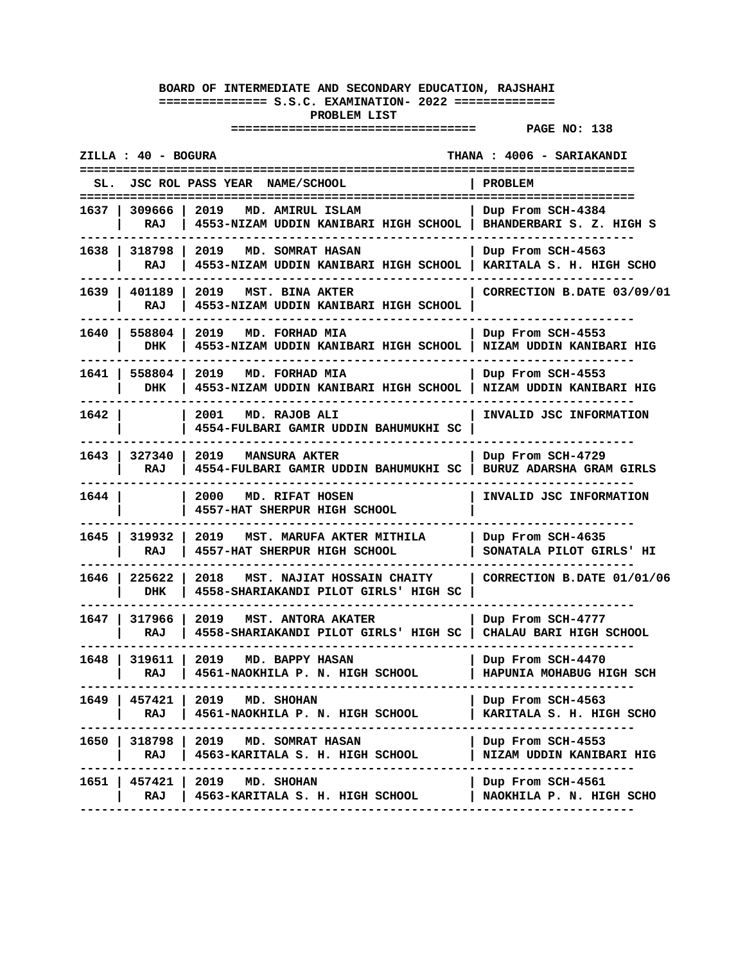| ZILLA : 40 - BOGURA       |                                                                                              | THANA: 4006 - SARIAKANDI                      |
|---------------------------|----------------------------------------------------------------------------------------------|-----------------------------------------------|
|                           | JSC ROL PASS YEAR NAME/SCHOOL                                                                | PROBLEM                                       |
| 1637   309666  <br>RAJ    | 2019<br>MD. AMIRUL ISLAM<br>4553-NIZAM UDDIN KANIBARI HIGH SCHOOL   BHANDERBARI S. Z. HIGH S | Dup From SCH-4384                             |
| 1638   318798<br>RAJ      | 2019<br>MD. SOMRAT HASAN<br>4553-NIZAM UDDIN KANIBARI HIGH SCHOOL                            | Dup From SCH-4563<br>KARITALA S. H. HIGH SCHO |
| 1639   401189<br>RAJ      | 2019<br>MST. BINA AKTER<br>4553-NIZAM UDDIN KANIBARI HIGH SCHOOL                             | CORRECTION B.DATE 03/09/01                    |
| 1640   558804<br>DHK      | 2019<br>MD. FORHAD MIA<br>4553-NIZAM UDDIN KANIBARI HIGH SCHOOL                              | Dup From SCH-4553<br>NIZAM UDDIN KANIBARI HIG |
| 1641   558804<br>DHK      | 2019<br>MD. FORHAD MIA<br>4553-NIZAM UDDIN KANIBARI HIGH SCHOOL                              | Dup From SCH-4553<br>NIZAM UDDIN KANIBARI HIG |
| 1642 l                    | 2001 MD. RAJOB ALI<br>4554-FULBARI GAMIR UDDIN BAHUMUKHI SC                                  | INVALID JSC INFORMATION                       |
| 1643   327340  <br>RAJ    | 2019<br><b>MANSURA AKTER</b><br>4554-FULBARI GAMIR UDDIN BAHUMUKHI SC                        | Dup From SCH-4729<br>BURUZ ADARSHA GRAM GIRLS |
| 1644 l                    | 2000<br>MD. RIFAT HOSEN<br>4557-HAT SHERPUR HIGH SCHOOL                                      | INVALID JSC INFORMATION                       |
| 1645   319932<br>RAJ      | 2019<br>MST. MARUFA AKTER MITHILA<br>4557-HAT SHERPUR HIGH SCHOOL                            | Dup From SCH-4635<br>SONATALA PILOT GIRLS' HI |
| 225622<br>1646 I<br>DHK   | 2018<br>MST. NAJIAT HOSSAIN CHAITY<br>4558-SHARIAKANDI PILOT GIRLS' HIGH SC                  | CORRECTION B.DATE 01/01/06                    |
| 1647   317966<br>RAJ      | 2019<br>MST. ANTORA AKATER<br>4558-SHARIAKANDI PILOT GIRLS' HIGH SC                          | Dup From SCH-4777<br>CHALAU BARI HIGH SCHOOL  |
| 1648 I<br>319611 l<br>RAJ | 2019<br>MD. BAPPY HASAN<br>4561-NAOKHILA P. N. HIGH SCHOOL                                   | Dup From SCH-4470<br>HAPUNIA MOHABUG HIGH SCH |
| RAJ                       | 1649   457421   2019 MD. SHOHAN<br>  4561-NAOKHILA P. N. HIGH SCHOOL                         | Dup From SCH-4563<br>KARITALA S. H. HIGH SCHO |
| RAJ I                     | 1650   318798   2019 MD. SOMRAT HASAN<br>4563-KARITALA S. H. HIGH SCHOOL                     | Dup From SCH-4553<br>NIZAM UDDIN KANIBARI HIG |
| RAJ                       | 1651   457421   2019 MD. SHOHAN<br>4563-KARITALA S. H. HIGH SCHOOL                           | Dup From SCH-4561<br>NAOKHILA P. N. HIGH SCHO |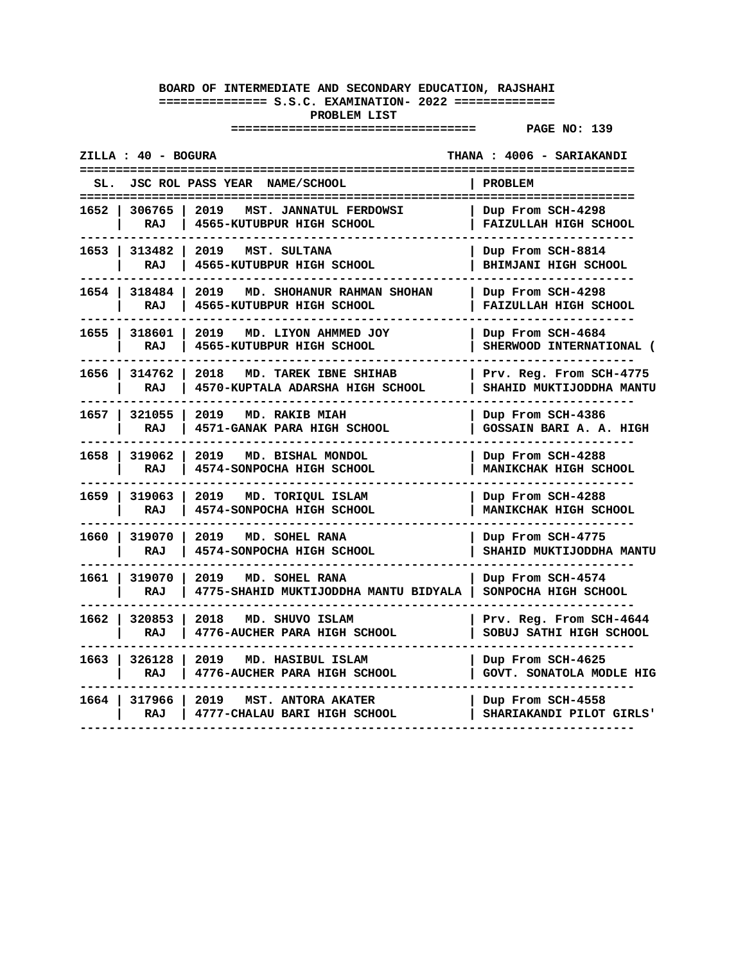|        | ZILLA : 40 - BOGURA         |                                                                   | THANA: 4006 - SARIAKANDI                            |
|--------|-----------------------------|-------------------------------------------------------------------|-----------------------------------------------------|
|        |                             | SL. JSC ROL PASS YEAR NAME/SCHOOL                                 | <b>PROBLEM</b>                                      |
|        | 1652   306765  <br>RAJ      | 2019<br>MST. JANNATUL FERDOWSI<br>4565-KUTUBPUR HIGH SCHOOL       | Dup From SCH-4298<br>FAIZULLAH HIGH SCHOOL          |
|        | 1653   313482<br>RAJ        | 2019<br>MST. SULTANA<br>4565-KUTUBPUR HIGH SCHOOL                 | Dup From SCH-8814<br><b>BHIMJANI HIGH SCHOOL</b>    |
|        | 1654   318484   2019<br>RAJ | MD. SHOHANUR RAHMAN SHOHAN<br>4565-KUTUBPUR HIGH SCHOOL           | Dup From SCH-4298<br><b>FAIZULLAH HIGH SCHOOL</b>   |
| 1655 l | 318601<br>RAJ               | 2019<br>MD. LIYON AHMMED JOY<br>4565-KUTUBPUR HIGH SCHOOL         | Dup From SCH-4684<br>SHERWOOD INTERNATIONAL (       |
| 1656 I | 314762<br>RAJ               | 2018<br>MD. TAREK IBNE SHIHAB<br>4570-KUPTALA ADARSHA HIGH SCHOOL | Prv. Reg. From SCH-4775<br>SHAHID MUKTIJODDHA MANTU |
|        | 1657   321055<br>RAJ        | 2019<br>MD. RAKIB MIAH<br>4571-GANAK PARA HIGH SCHOOL             | Dup From SCH-4386<br>GOSSAIN BARI A. A. HIGH        |
| 1658 l | 319062<br>RAJ               | 2019<br>MD. BISHAL MONDOL<br>4574-SONPOCHA HIGH SCHOOL            | Dup From SCH-4288<br><b>MANIKCHAK HIGH SCHOOL</b>   |
| 1659   | 319063<br>RAJ               | 2019 MD. TORIQUL ISLAM<br>4574-SONPOCHA HIGH SCHOOL               | Dup From SCH-4288<br>MANIKCHAK HIGH SCHOOL          |
|        | 1660   319070<br>RAJ        | 2019<br>MD. SOHEL RANA<br>4574-SONPOCHA HIGH SCHOOL               | Dup From SCH-4775<br>SHAHID MUKTIJODDHA MANTU       |
| 1661 l | 319070<br>RAJ               | 2019<br>MD. SOHEL RANA<br>4775-SHAHID MUKTIJODDHA MANTU BIDYALA   | Dup From SCH-4574<br>SONPOCHA HIGH SCHOOL           |
| 1662 l | 320853<br>RAJ               | MD. SHUVO ISLAM<br>2018<br>4776-AUCHER PARA HIGH SCHOOL           | Prv. Reg. From SCH-4644<br>SOBUJ SATHI HIGH SCHOOL  |
| 1663 l | 326128<br>RAJ               | 2019<br>MD. HASIBUL ISLAM<br>4776-AUCHER PARA HIGH SCHOOL         | Dup From SCH-4625<br>GOVT. SONATOLA MODLE HIG       |
|        | 1664 317966<br>RAJ          | 2019<br>MST. ANTORA AKATER<br>4777-CHALAU BARI HIGH SCHOOL        | Dup From SCH-4558<br>SHARIAKANDI PILOT GIRLS'       |
|        |                             |                                                                   |                                                     |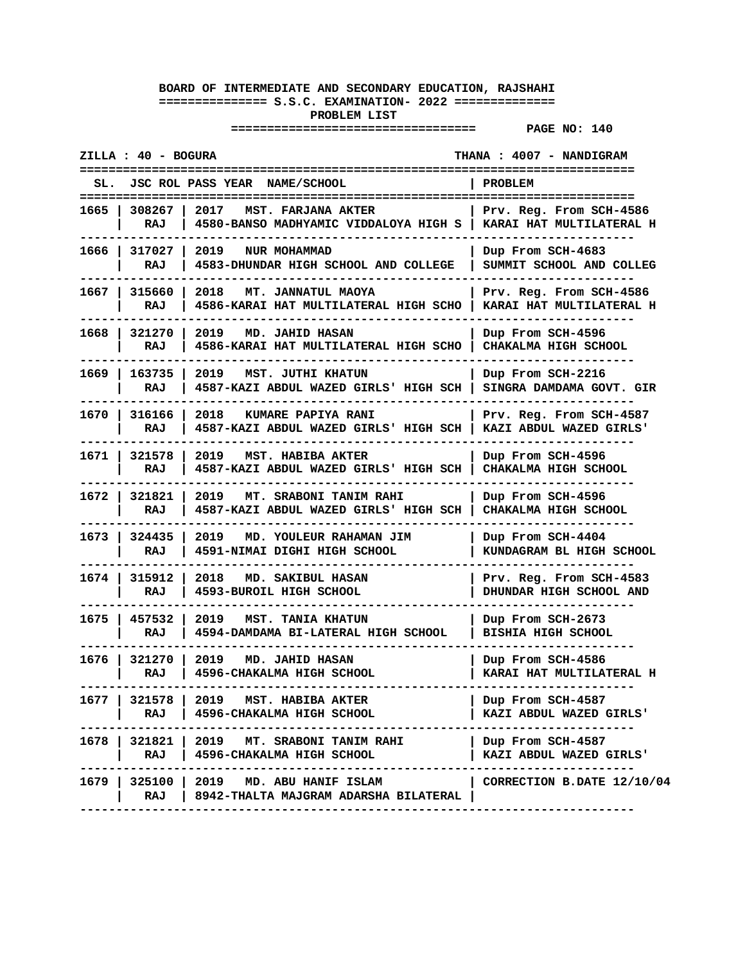| ZILLA : 40 - BOGURA<br>THANA : 4007 - NANDIGRAM |                                                                                                                    |                                                       |
|-------------------------------------------------|--------------------------------------------------------------------------------------------------------------------|-------------------------------------------------------|
|                                                 | SL. JSC ROL PASS YEAR NAME/SCHOOL                                                                                  | PROBLEM                                               |
| 1665   308267  <br>RAJ                          | 2017 MST. FARJANA AKTER<br>4580-BANSO MADHYAMIC VIDDALOYA HIGH S   KARAI HAT MULTILATERAL H                        | Prv. Reg. From SCH-4586                               |
| 1666   317027<br>RAJ                            | 2019 NUR MOHAMMAD<br>4583-DHUNDAR HIGH SCHOOL AND COLLEGE                                                          | Dup From SCH-4683<br>SUMMIT SCHOOL AND COLLEG         |
| 1667   315660<br>RAJ                            | 2018<br>MT. JANNATUL MAOYA<br>4586-KARAI HAT MULTILATERAL HIGH SCHO                                                | Prv. Reg. From SCH-4586<br>  KARAI HAT MULTILATERAL H |
| 1668   321270<br>RAJ                            | 2019<br>MD. JAHID HASAN<br>4586-KARAI HAT MULTILATERAL HIGH SCHO   CHAKALMA HIGH SCHOOL                            | Dup From SCH-4596                                     |
| 1669 l<br>163735<br>RAJ                         | 2019<br>MST. JUTHI KHATUN<br>4587-KAZI ABDUL WAZED GIRLS' HIGH SCH                                                 | Dup From SCH-2216<br>SINGRA DAMDAMA GOVT. GIR         |
| 1670   316166<br>RAJ                            | 2018 KUMARE PAPIYA RANI<br>4587-KAZI ABDUL WAZED GIRLS' HIGH SCH   KAZI ABDUL WAZED GIRLS'                         | Prv. Reg. From SCH-4587                               |
| 1671   321578<br>RAJ                            | 2019 MST. HABIBA AKTER<br>4587-KAZI ABDUL WAZED GIRLS' HIGH SCH                                                    | Dup From SCH-4596<br>CHAKALMA HIGH SCHOOL             |
| 1672   321821<br>RAJ                            | 2019<br><b>MT. SRABONI TANIM RAHI</b><br>4587-KAZI ABDUL WAZED GIRLS' HIGH SCH                                     | Dup From SCH-4596<br>CHAKALMA HIGH SCHOOL             |
| 1673   324435<br>RAJ                            | 2019 MD. YOULEUR RAHAMAN JIM<br>4591-NIMAI DIGHI HIGH SCHOOL                                                       | Dup From SCH-4404<br>KUNDAGRAM BL HIGH SCHOOL         |
| 1674 l<br>315912<br>RAJ                         | 2018<br>MD. SAKIBUL HASAN<br>4593-BUROIL HIGH SCHOOL                                                               | Prv. Reg. From SCH-4583<br>DHUNDAR HIGH SCHOOL AND    |
| 1675   457532<br>RAJ                            | 2019   MST. TANIA KHATUN<br>4594-DAMDAMA BI-LATERAL HIGH SCHOOL                                                    | Dup From SCH-2673<br><b>BISHIA HIGH SCHOOL</b>        |
| 1676   321270<br>RAJ                            | 2019<br><b>MD. JAHID HASAN</b><br>4596-CHAKALMA HIGH SCHOOL                                                        | Dup From SCH-4586<br>KARAI HAT MULTILATERAL H         |
| RAJ                                             | 1677   321578   2019   MST. HABIBA AKTER<br>4596-CHAKALMA HIGH SCHOOL                                              | Dup From SCH-4587<br>KAZI ABDUL WAZED GIRLS'          |
| RAJ I                                           | 1678   321821   2019 MT. SRABONI TANIM RAHI<br>4596-CHAKALMA HIGH SCHOOL                                           | Dup From SCH-4587<br>KAZI ABDUL WAZED GIRLS'          |
| RAJ                                             | 1679   325100   2019 MD. ABU HANIF ISLAM<br>8942-THALTA MAJGRAM ADARSHA BILATERAL<br>----------------------------- | CORRECTION B.DATE 12/10/04                            |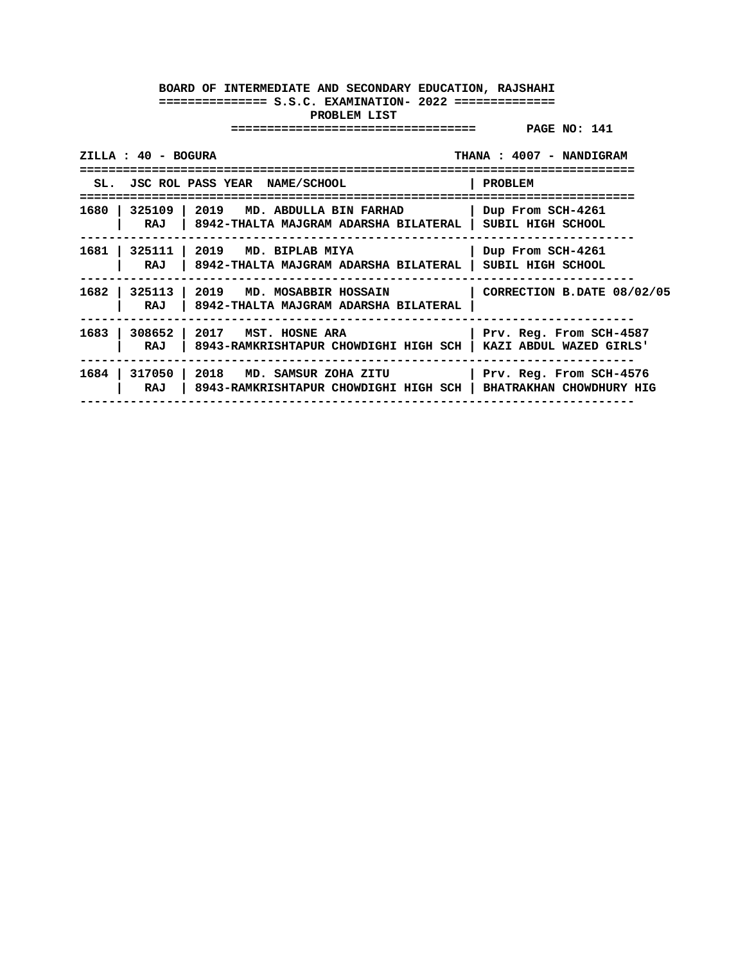| $ZILLA: 40 - BOGURA$<br>THANA: 4007 - NANDIGRAM<br>------------------------------------ |                                                                                                               |                            |  |
|-----------------------------------------------------------------------------------------|---------------------------------------------------------------------------------------------------------------|----------------------------|--|
|                                                                                         | SL. JSC ROL PASS YEAR NAME/SCHOOL                                                                             | PROBLEM                    |  |
| RAJ                                                                                     | 1680   325109   2019 MD. ABDULLA BIN FARHAD<br>  8942-THALTA MAJGRAM ADARSHA BILATERAL   SUBIL HIGH SCHOOL    | Dup From SCH-4261          |  |
| 1681  <br>RAJ                                                                           | 325111   2019 MD. BIPLAB MIYA<br>8942-THALTA MAJGRAM ADARSHA BILATERAL   SUBIL HIGH SCHOOL                    | Dup From SCH-4261          |  |
| RAJ                                                                                     | 1682   325113   2019   MD. MOSABBIR HOSSAIN<br>8942-THALTA MAJGRAM ADARSHA BILATERAL                          | CORRECTION B.DATE 08/02/05 |  |
| 1683<br>RAJ                                                                             | 308652 2017 MST. HOSNE ARA<br>  8943-RAMKRISHTAPUR CHOWDIGHI HIGH SCH   KAZI ABDUL WAZED GIRLS'               | Prv. Reg. From SCH-4587    |  |
| RAJ                                                                                     | 1684   317050   2018 MD. SAMSUR ZOHA ZITU<br>8943-RAMKRISHTAPUR CHOWDIGHI HIGH SCH   BHATRAKHAN CHOWDHURY HIG | Prv. Reg. From SCH-4576    |  |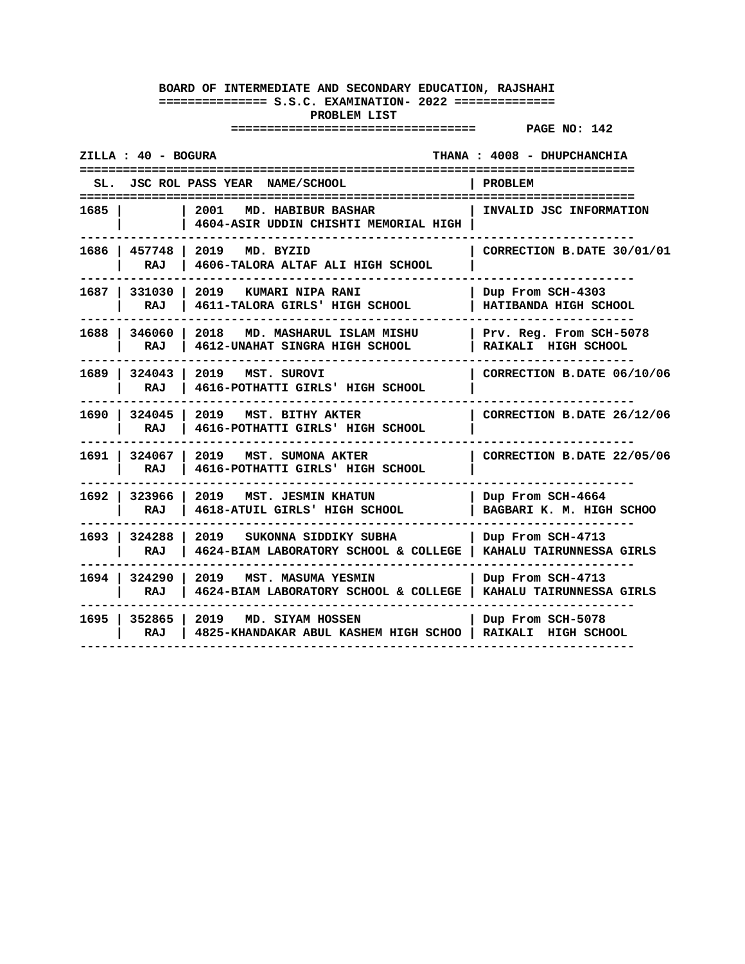| ZILLA : 40 - BOGURA                                                                           | THANA: 4008 - DHUPCHANCHIA<br>==================                                 |
|-----------------------------------------------------------------------------------------------|----------------------------------------------------------------------------------|
| JSC ROL PASS YEAR NAME/SCHOOL<br>SL.                                                          | <b>PROBLEM</b>                                                                   |
| 2001<br>1685 I<br>MD. HABIBUR BASHAR<br>4604-ASIR UDDIN CHISHTI MEMORIAL HIGH                 | INVALID JSC INFORMATION                                                          |
| 1686   457748  <br>2019 MD. BYZID<br>4606-TALORA ALTAF ALI HIGH SCHOOL<br>RAJ                 | CORRECTION B.DATE 30/01/01                                                       |
| 1687   331030  <br>2019 KUMARI NIPA RANI<br>4611-TALORA GIRLS' HIGH SCHOOL<br>RAJ             | Dup From SCH-4303<br>HATIBANDA HIGH SCHOOL                                       |
| 1688   346060<br>2018 MD. MASHARUL ISLAM MISHU<br>RAJ<br>4612-UNAHAT SINGRA HIGH SCHOOL       | Prv. Reg. From SCH-5078<br>RAIKALI HIGH SCHOOL                                   |
| 1689 324043<br>2019 MST. SUROVI<br>RAJ<br>4616-POTHATTI GIRLS' HIGH SCHOOL                    | CORRECTION B.DATE 06/10/06                                                       |
| 1690 324045<br>2019 MST. BITHY AKTER<br>RAJ<br>4616-POTHATTI GIRLS' HIGH SCHOOL               | CORRECTION B.DATE 26/12/06                                                       |
| 1691 324067<br>2019 MST. SUMONA AKTER<br>RAJ<br>4616-POTHATTI GIRLS' HIGH SCHOOL              | CORRECTION B.DATE 22/05/06                                                       |
| 1692   323966  <br>2019 MST. JESMIN KHATUN<br>4618-ATUIL GIRLS' HIGH SCHOOL<br>RAJ            | Dup From SCH-4664<br>BAGBARI K. M. HIGH SCHOO                                    |
| $1693$   324288<br>2019 SUKONNA SIDDIKY SUBHA<br>4624-BIAM LABORATORY SCHOOL & COLLEGE<br>RAJ | Dup From SCH-4713<br>KAHALU TAIRUNNESSA GIRLS                                    |
| 1694   324290  <br>2019 MST. MASUMA YESMIN<br>4624-BIAM LABORATORY SCHOOL & COLLEGE<br>RAJ    | Dup From SCH-4713<br>  KAHALU TAIRUNNESSA GIRLS                                  |
| 1695   352865  <br>2019<br>MD. SIYAM HOSSEN<br>RAJ                                            | Dup From SCH-5078<br>4825-KHANDAKAR ABUL KASHEM HIGH SCHOO   RAIKALI HIGH SCHOOL |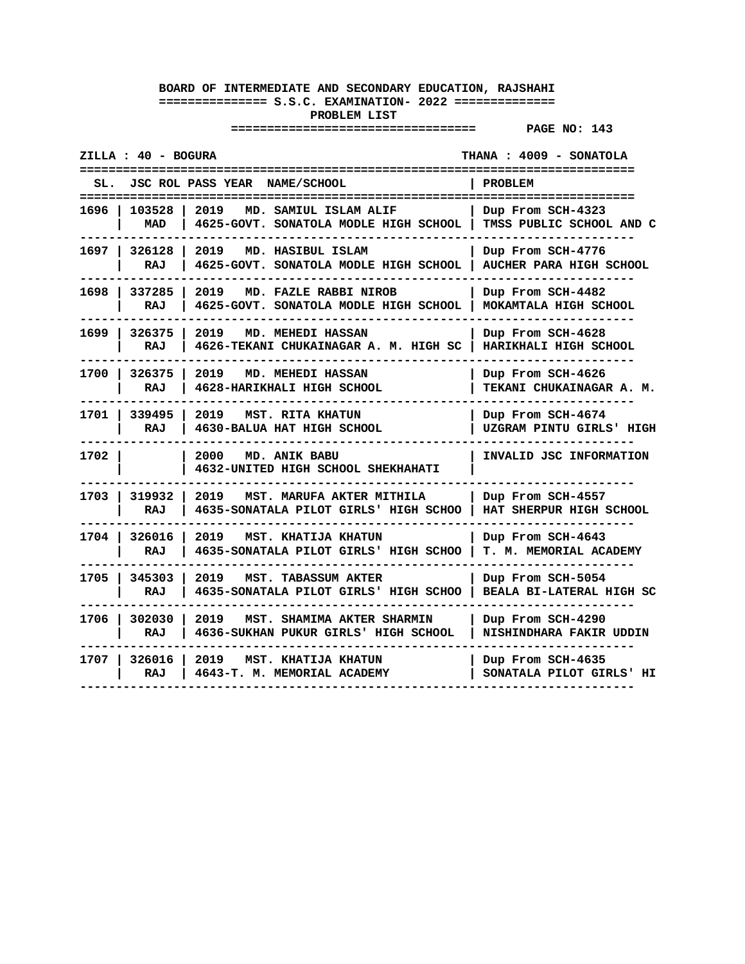| ZILLA : 40 - BOGURA     |                                                                            | THANA : 4009 - SONATOLA                             |
|-------------------------|----------------------------------------------------------------------------|-----------------------------------------------------|
| JSC ROL PASS YEAR       | <b>NAME/SCHOOL</b>                                                         | <b>PROBLEM</b><br>======================            |
| 103528<br>1696<br>MAD   | 2019<br>MD. SAMIUL ISLAM ALIF<br>4625-GOVT. SONATOLA MODLE HIGH SCHOOL     | Dup From SCH-4323<br>TMSS PUBLIC SCHOOL AND C       |
| 1697   326128<br>RAJ    | 2019<br>MD. HASIBUL ISLAM<br>4625-GOVT. SONATOLA MODLE HIGH SCHOOL         | Dup From SCH-4776<br><b>AUCHER PARA HIGH SCHOOL</b> |
| 1698 337285<br>RAJ      | 2019<br>MD. FAZLE RABBI NIROB<br>4625-GOVT. SONATOLA MODLE HIGH SCHOOL     | Dup From SCH-4482<br>MOKAMTALA HIGH SCHOOL          |
| 1699 l<br>326375<br>RAJ | 2019<br>MD. MEHEDI HASSAN<br>4626-TEKANI CHUKAINAGAR A. M. HIGH SC         | Dup From SCH-4628<br>HARIKHALI HIGH SCHOOL          |
| 326375<br>1700 l<br>RAJ | 2019<br><b>MD. MEHEDI HASSAN</b><br>4628-HARIKHALI HIGH SCHOOL             | Dup From SCH-4626<br>TEKANI CHUKAINAGAR A. M.       |
| 1701   339495<br>RAJ    | 2019 MST. RITA KHATUN<br>4630-BALUA HAT HIGH SCHOOL                        | Dup From SCH-4674<br>UZGRAM PINTU GIRLS' HIGH       |
| 1702 l                  | 2000<br>MD. ANIK BABU<br>4632-UNITED HIGH SCHOOL SHEKHAHATI                | INVALID JSC INFORMATION                             |
| 319932<br>1703 l<br>RAJ | 2019<br>MST. MARUFA AKTER MITHILA<br>4635-SONATALA PILOT GIRLS' HIGH SCHOO | Dup From SCH-4557<br>HAT SHERPUR HIGH SCHOOL        |
| 1704   326016<br>RAJ    | 2019<br>MST. KHATIJA KHATUN<br>4635-SONATALA PILOT GIRLS' HIGH SCHOO       | Dup From SCH-4643<br><b>T. M. MEMORIAL ACADEMY</b>  |
| 345303<br>1705<br>RAJ   | 2019<br>MST. TABASSUM AKTER<br>4635-SONATALA PILOT GIRLS' HIGH SCHOO       | Dup From SCH-5054<br>BEALA BI-LATERAL HIGH SC       |
| 1706   302030<br>RAJ    | 2019<br>MST. SHAMIMA AKTER SHARMIN<br>4636-SUKHAN PUKUR GIRLS' HIGH SCHOOL | Dup From SCH-4290<br>NISHINDHARA FAKIR UDDIN        |
| 1707 I<br>326016<br>RAJ | 2019<br>MST. KHATIJA KHATUN<br>4643-T. M. MEMORIAL ACADEMY                 | Dup From SCH-4635<br>SONATALA PILOT GIRLS' HI       |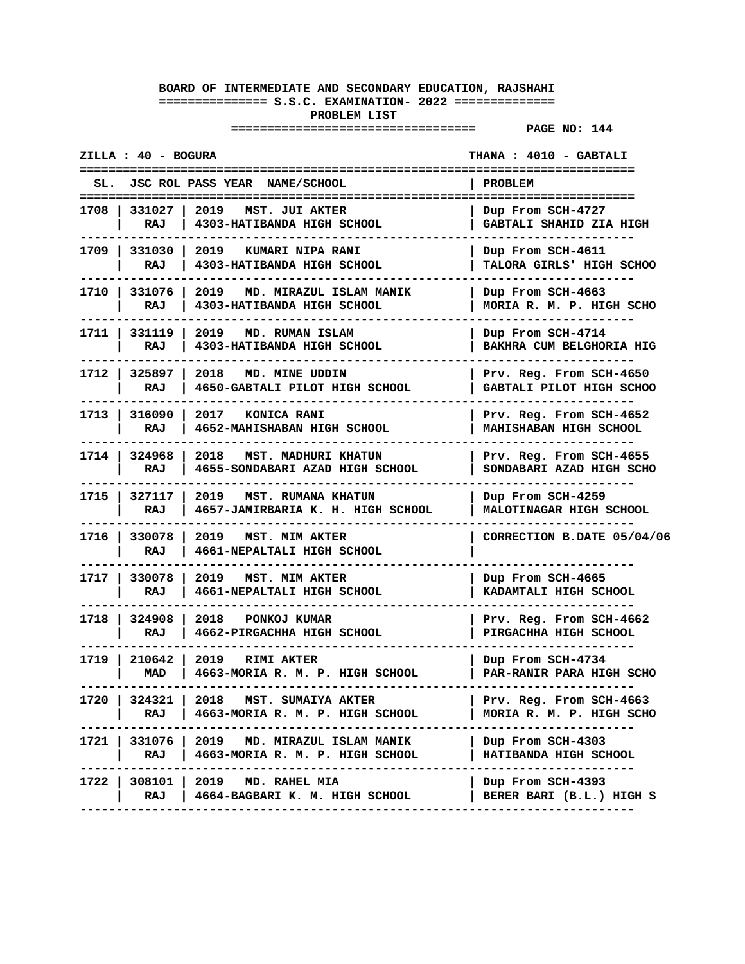|      | ZILLA : 40 - BOGURA  |                                                                    | THANA: 4010 - GABTALI                               |
|------|----------------------|--------------------------------------------------------------------|-----------------------------------------------------|
|      |                      | SL. JSC ROL PASS YEAR NAME/SCHOOL                                  | PROBLEM<br>=====================                    |
|      | 1708 331027          | 2019 MST. JUI AKTER                                                | Dup From SCH-4727                                   |
|      | RAJ                  | 4303-HATIBANDA HIGH SCHOOL                                         | GABTALI SHAHID ZIA HIGH                             |
|      | 1709   331030        | 2019 KUMARI NIPA RANI                                              | Dup From SCH-4611                                   |
|      | RAJ                  | 4303-HATIBANDA HIGH SCHOOL                                         | TALORA GIRLS' HIGH SCHOO                            |
|      | 1710   331076        | 2019 MD. MIRAZUL ISLAM MANIK                                       | Dup From SCH-4663                                   |
|      | RAJ                  | 4303-HATIBANDA HIGH SCHOOL                                         | MORIA R. M. P. HIGH SCHO                            |
|      | 1711   331119        | 2019 MD. RUMAN ISLAM                                               | Dup From SCH-4714                                   |
|      | RAJ                  | 4303-HATIBANDA HIGH SCHOOL                                         | BAKHRA CUM BELGHORIA HIG                            |
|      | 1712   325897        | 2018 MD. MINE UDDIN                                                | Prv. Reg. From SCH-4650                             |
|      | RAJ                  | 4650-GABTALI PILOT HIGH SCHOOL                                     | GABTALI PILOT HIGH SCHOO                            |
|      | 1713   316090        | 2017 KONICA RANI                                                   | Prv. Reg. From SCH-4652                             |
|      | RAJ                  | 4652-MAHISHABAN HIGH SCHOOL                                        | MAHISHABAN HIGH SCHOOL                              |
|      | 1714   324968        | 2018 MST. MADHURI KHATUN                                           | Prv. Reg. From SCH-4655                             |
|      | RAJ                  | 4655-SONDABARI AZAD HIGH SCHOOL                                    | SONDABARI AZAD HIGH SCHO                            |
|      | 1715   327117        | 2019 MST. RUMANA KHATUN                                            | Dup From SCH-4259                                   |
|      | RAJ                  | 4657-JAMIRBARIA K. H. HIGH SCHOOL                                  | MALOTINAGAR HIGH SCHOOL                             |
|      | 1716   330078<br>RAJ | 2019 MST. MIM AKTER<br>4661-NEPALTALI HIGH SCHOOL                  | CORRECTION B.DATE 05/04/06                          |
|      | 1717   330078<br>RAJ | 2019<br><b>MST. MIM AKTER</b><br>4661-NEPALTALI HIGH SCHOOL        | Dup From SCH-4665<br>KADAMTALI HIGH SCHOOL          |
|      | 1718   324908        | 2018 PONKOJ KUMAR                                                  | Prv. Reg. From SCH-4662                             |
|      | RAJ                  | 4662-PIRGACHHA HIGH SCHOOL                                         | PIRGACHHA HIGH SCHOOL                               |
|      | 1719   210642        | 2019 RIMI AKTER                                                    | Dup From SCH-4734                                   |
|      | MAD                  | 4663-MORIA R. M. P. HIGH SCHOOL                                    | PAR-RANIR PARA HIGH SCHO                            |
| 1720 | 324321<br>RAJ        | 2018<br>MST. SUMAIYA AKTER<br>4663-MORIA R. M. P. HIGH SCHOOL      | Prv. Reg. From SCH-4663<br>MORIA R. M. P. HIGH SCHO |
| 1721 | 331076<br>RAJ        | 2019<br>MD. MIRAZUL ISLAM MANIK<br>4663-MORIA R. M. P. HIGH SCHOOL | Dup From SCH-4303<br>HATIBANDA HIGH SCHOOL          |
| 1722 | 308101               | 2019 MD. RAHEL MIA                                                 | Dup From SCH-4393                                   |
|      | RAJ                  | 4664-BAGBARI K. M. HIGH SCHOOL                                     | BERER BARI (B.L.) HIGH S                            |
|      |                      |                                                                    |                                                     |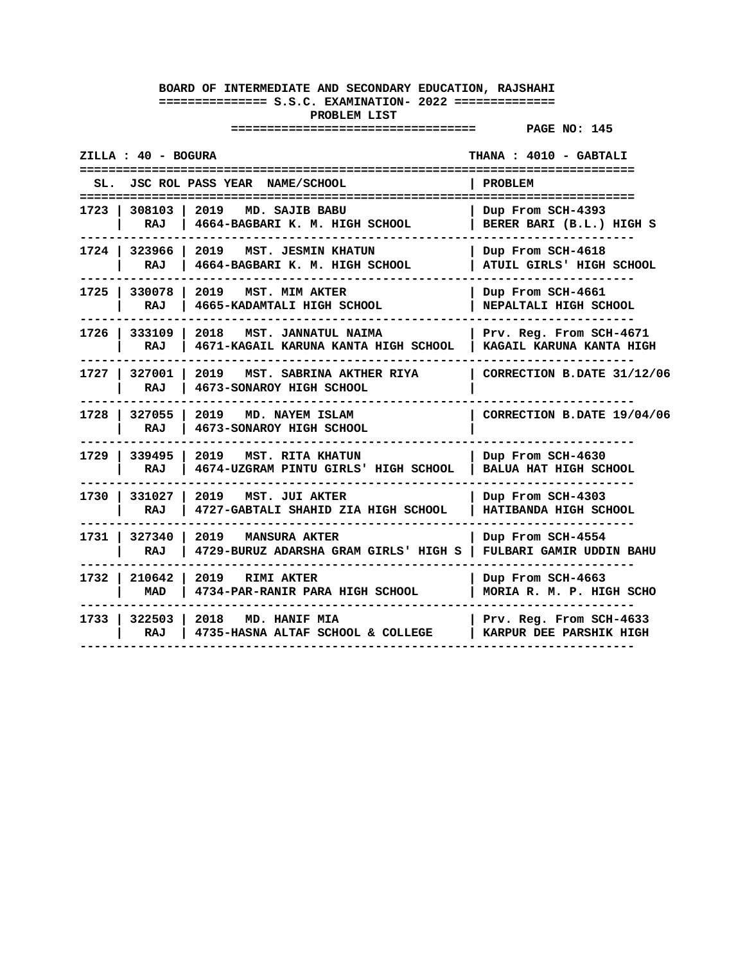| ZILLA : 40 - BOGURA    |                                                                            | THANA: 4010 - GABTALI                               |
|------------------------|----------------------------------------------------------------------------|-----------------------------------------------------|
|                        | SL. JSC ROL PASS YEAR NAME/SCHOOL                                          | <b>PROBLEM</b>                                      |
| RAJ                    | 1723   308103   2019 MD. SAJIB BABU<br>4664-BAGBARI K. M. HIGH SCHOOL      | Dup From SCH-4393<br>BERER BARI (B.L.) HIGH S       |
| 1724   323966  <br>RAJ | 2019 MST. JESMIN KHATUN<br>4664-BAGBARI K. M. HIGH SCHOOL                  | Dup From SCH-4618<br>ATUIL GIRLS' HIGH SCHOOL       |
| 1725   330078<br>RAJ   | 2019 MST. MIM AKTER<br>4665-KADAMTALI HIGH SCHOOL                          | Dup From SCH-4661<br>NEPALTALI HIGH SCHOOL          |
| 1726   333109<br>RAJ   | 2018 MST. JANNATUL NAIMA<br>4671-KAGAIL KARUNA KANTA HIGH SCHOOL           | Prv. Reg. From SCH-4671<br>KAGAIL KARUNA KANTA HIGH |
| 1727   327001  <br>RAJ | 2019 MST. SABRINA AKTHER RIYA<br>4673-SONAROY HIGH SCHOOL                  | CORRECTION B.DATE 31/12/06                          |
| 1728   327055  <br>RAJ | 2019 MD. NAYEM ISLAM<br>4673-SONAROY HIGH SCHOOL                           | CORRECTION B.DATE 19/04/06                          |
| 1729 339495 1<br>RAJ   | 2019 MST. RITA KHATUN<br>4674-UZGRAM PINTU GIRLS' HIGH SCHOOL              | Dup From SCH-4630<br><b>BALUA HAT HIGH SCHOOL</b>   |
| RAJ                    | 1730   331027   2019 MST. JUI AKTER<br>4727-GABTALI SHAHID ZIA HIGH SCHOOL | Dup From SCH-4303<br>HATIBANDA HIGH SCHOOL          |
| 1731 327340<br>RAJ     | 2019 MANSURA AKTER<br>4729-BURUZ ADARSHA GRAM GIRLS' HIGH S                | Dup From SCH-4554<br>FULBARI GAMIR UDDIN BAHU       |
| 1732   210642  <br>MAD | 2019 RIMI AKTER<br>4734-PAR-RANIR PARA HIGH SCHOOL                         | Dup From SCH-4663<br>MORIA R. M. P. HIGH SCHO       |
| RAJ                    | 1733   322503   2018 MD. HANIF MIA<br>4735-HASNA ALTAF SCHOOL & COLLEGE    | Prv. Reg. From SCH-4633<br>KARPUR DEE PARSHIK HIGH  |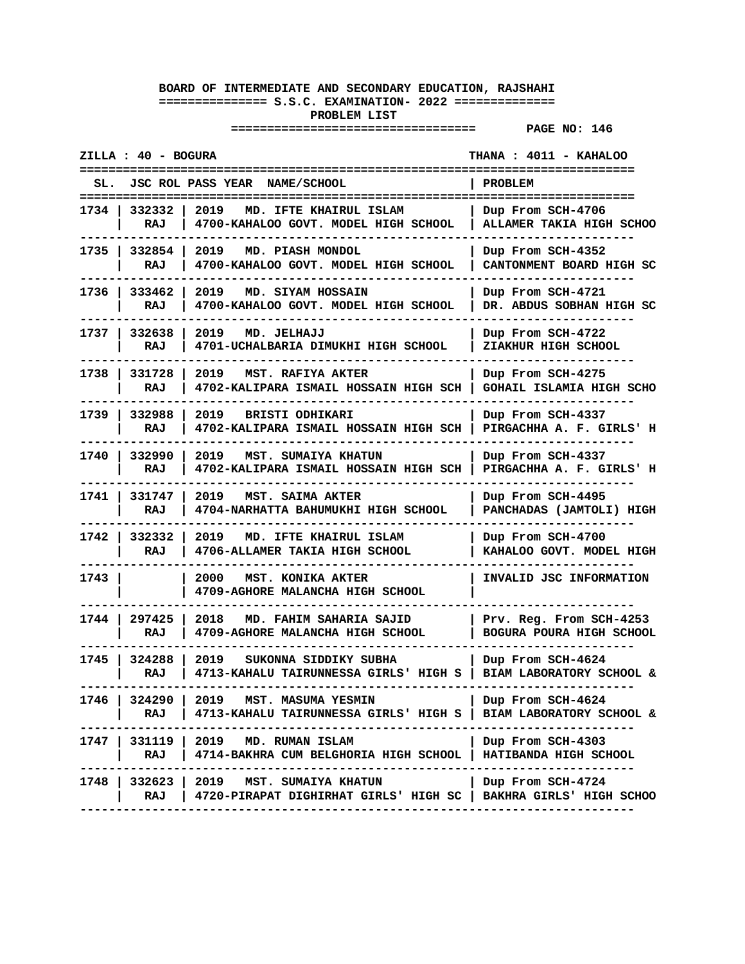| ZILLA : 40 - BOGURA         |                                                                                                                                  | THANA : 4011 - KAHALOO                                          |
|-----------------------------|----------------------------------------------------------------------------------------------------------------------------------|-----------------------------------------------------------------|
| SL.                         | JSC ROL PASS YEAR NAME/SCHOOL                                                                                                    | <b>PROBLEM</b>                                                  |
| 332332<br>1734<br>RAJ       | 2019<br>MD. IFTE KHAIRUL ISLAM<br>4700-KAHALOO GOVT. MODEL HIGH SCHOOL                                                           | Dup From SCH-4706<br>ALLAMER TAKIA HIGH SCHOO                   |
| 1735 l<br>332854  <br>RAJ   | 2019<br>MD. PIASH MONDOL<br>4700-KAHALOO GOVT. MODEL HIGH SCHOOL                                                                 | Dup From SCH-4352<br>CANTONMENT BOARD HIGH SC                   |
| 1736 l<br>333462<br>RAJ     | 2019<br>MD. SIYAM HOSSAIN<br>4700-KAHALOO GOVT. MODEL HIGH SCHOOL                                                                | Dup From SCH-4721<br>DR. ABDUS SOBHAN HIGH SC                   |
| 1737 I<br>332638<br>RAJ     | 2019 MD. JELHAJJ<br>4701-UCHALBARIA DIMUKHI HIGH SCHOOL                                                                          | Dup From SCH-4722<br>ZIAKHUR HIGH SCHOOL                        |
| 1738 l<br>331728<br>RAJ     | 2019<br>MST. RAFIYA AKTER<br>4702-KALIPARA ISMAIL HOSSAIN HIGH SCH                                                               | Dup From SCH-4275<br>GOHAIL ISLAMIA HIGH SCHO                   |
| 1739<br>332988<br>RAJ       | 2019<br><b>BRISTI ODHIKARI</b><br>4702-KALIPARA ISMAIL HOSSAIN HIGH SCH                                                          | Dup From SCH-4337<br>PIRGACHHA A. F. GIRLS' H                   |
| 1740<br>332990<br>RAJ       | 2019<br>MST. SUMAIYA KHATUN<br>4702-KALIPARA ISMAIL HOSSAIN HIGH SCH                                                             | Dup From SCH-4337<br>PIRGACHHA A. F. GIRLS' H                   |
| 1741 I<br>331747<br>RAJ     | 2019<br>MST. SAIMA AKTER<br>4704-NARHATTA BAHUMUKHI HIGH SCHOOL                                                                  | Dup From SCH-4495<br>PANCHADAS (JAMTOLI) HIGH                   |
| 1742 l<br>332332<br>RAJ     | 2019<br>MD. IFTE KHAIRUL ISLAM<br>4706-ALLAMER TAKIA HIGH SCHOOL                                                                 | Dup From SCH-4700<br>KAHALOO GOVT. MODEL HIGH                   |
| 1743                        | 2000<br>MST. KONIKA AKTER<br>4709-AGHORE MALANCHA HIGH SCHOOL                                                                    | INVALID JSC INFORMATION                                         |
| 297425<br>1744<br>RAJ       | 2018<br>MD. FAHIM SAHARIA SAJID<br>4709-AGHORE MALANCHA HIGH SCHOOL                                                              | Prv. Reg. From SCH-4253<br>BOGURA POURA HIGH SCHOOL             |
| 1745 l<br>324288<br>RAJ     | 2019<br>SUKONNA SIDDIKY SUBHA<br>4713-KAHALU TAIRUNNESSA GIRLS' HIGH S                                                           | Dup From SCH-4624<br>BIAM LABORATORY SCHOOL &<br>-------------- |
| 1746 I<br>324290 I<br>RAJ I | 2019 MST. MASUMA YESMIN<br>4713-KAHALU TAIRUNNESSA GIRLS' HIGH S   BIAM LABORATORY SCHOOL &                                      | Dup From SCH-4624                                               |
|                             | 1747   331119   2019 MD. RUMAN ISLAM<br>RAJ   4714-BAKHRA CUM BELGHORIA HIGH SCHOOL   HATIBANDA HIGH SCHOOL<br>--------          | Dup From SCH-4303                                               |
| RAJ                         | 1748   332623   2019 MST. SUMAIYA KHATUN<br>4720-PIRAPAT DIGHIRHAT GIRLS' HIGH SC   BAKHRA GIRLS' HIGH SCHOO<br>---------------- | Dup From SCH-4724                                               |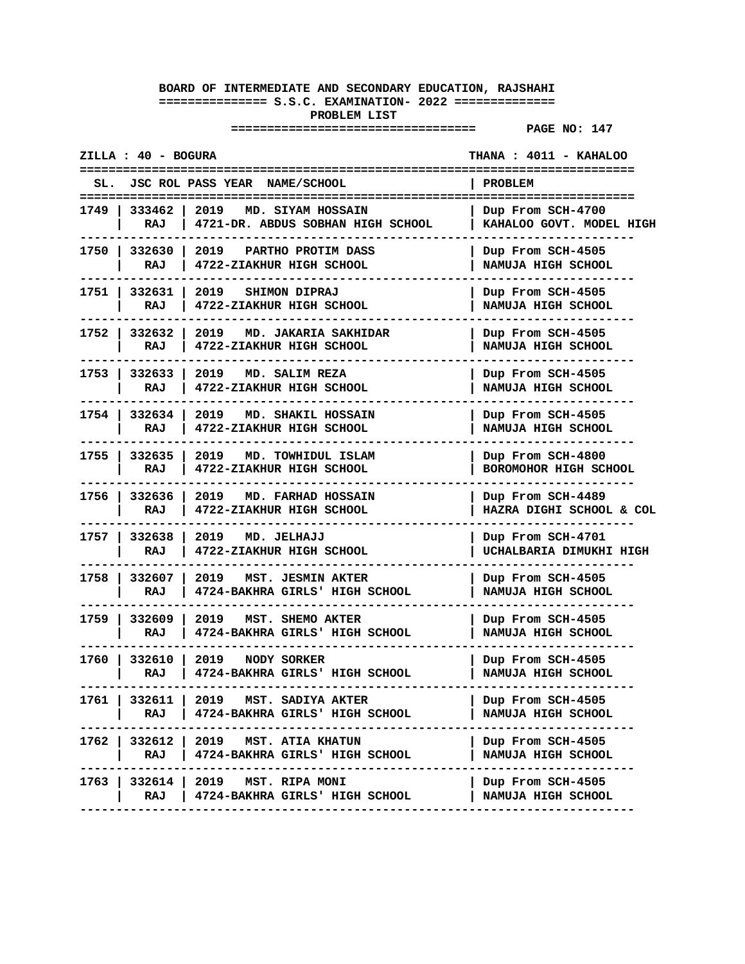#### **================================== PAGE NO: 147**

**ZILLA : 40 - BOGURA THANA : 4011 - KAHALOO ============================================================================= SL. JSC ROL PASS YEAR NAME/SCHOOL | PROBLEM ============================================================================= 1749 | 333462 | 2019 MD. SIYAM HOSSAIN | Dup From SCH-4700** | RAJ | 4721-DR. ABDUS SOBHAN HIGH SCHOOL **----------------------------------------------------------------------------- 1750 | 332630 | 2019 PARTHO PROTIM DASS | Dup From SCH-4505 | RAJ | 4722-ZIAKHUR HIGH SCHOOL | NAMUJA HIGH SCHOOL ----------------------------------------------------------------------------- 1751 | 332631 | 2019 SHIMON DIPRAJ | Dup From SCH-4505 | RAJ | 4722-ZIAKHUR HIGH SCHOOL | NAMUJA HIGH SCHOOL ----------------------------------------------------------------------------- 1752 | 332632 | 2019 MD. JAKARIA SAKHIDAR | Dup From SCH-4505 | RAJ | 4722-ZIAKHUR HIGH SCHOOL | NAMUJA HIGH SCHOOL ----------------------------------------------------------------------------- 1753 | 332633 | 2019 MD. SALIM REZA | Dup From SCH-4505 | RAJ | 4722-ZIAKHUR HIGH SCHOOL | NAMUJA HIGH SCHOOL ----------------------------------------------------------------------------- 1754 | 332634 | 2019 MD. SHAKIL HOSSAIN | Dup From SCH-4505 | RAJ | 4722-ZIAKHUR HIGH SCHOOL | NAMUJA HIGH SCHOOL ----------------------------------------------------------------------------- 1755 | 332635 | 2019 MD. TOWHIDUL ISLAM | Dup From SCH-4800 | RAJ | 4722-ZIAKHUR HIGH SCHOOL | BOROMOHOR HIGH SCHOOL ----------------------------------------------------------------------------- 1756 | 332636 | 2019 MD. FARHAD HOSSAIN | Dup From SCH-4489 | RAJ | 4722-ZIAKHUR HIGH SCHOOL | HAZRA DIGHI SCHOOL & COL ----------------------------------------------------------------------------- 1757 | 332638 | 2019 MD. JELHAJJ | Dup From SCH-4701 | RAJ | 4722-ZIAKHUR HIGH SCHOOL | UCHALBARIA DIMUKHI HIGH ----------------------------------------------------------------------------- 1758 | 332607 | 2019 MST. JESMIN AKTER | Dup From SCH-4505 | RAJ | 4724-BAKHRA GIRLS' HIGH SCHOOL | NAMUJA HIGH SCHOOL ----------------------------------------------------------------------------- 1759 | 332609 | 2019 MST. SHEMO AKTER | Dup From SCH-4505 | RAJ | 4724-BAKHRA GIRLS' HIGH SCHOOL | NAMUJA HIGH SCHOOL -----------------------------------------------------------------------------** 1760 | 332610 | 2019 **NODY SORKER | RAJ | 4724-BAKHRA GIRLS' HIGH SCHOOL | NAMUJA HIGH SCHOOL ----------------------------------------------------------------------------- 1761 | 332611 | 2019 MST. SADIYA AKTER | Dup From SCH-4505 | RAJ | 4724-BAKHRA GIRLS' HIGH SCHOOL | NAMUJA HIGH SCHOOL ----------------------------------------------------------------------------- 1762 | 332612 | 2019 MST. ATIA KHATUN | Dup From SCH-4505 | RAJ | 4724-BAKHRA GIRLS' HIGH SCHOOL | NAMUJA HIGH SCHOOL ----------------------------------------------------------------------------- 1763 | 332614 | 2019 MST. RIPA MONI | Dup From SCH-4505 | RAJ | 4724-BAKHRA GIRLS' HIGH SCHOOL | NAMUJA HIGH SCHOOL -----------------------------------------------------------------------------**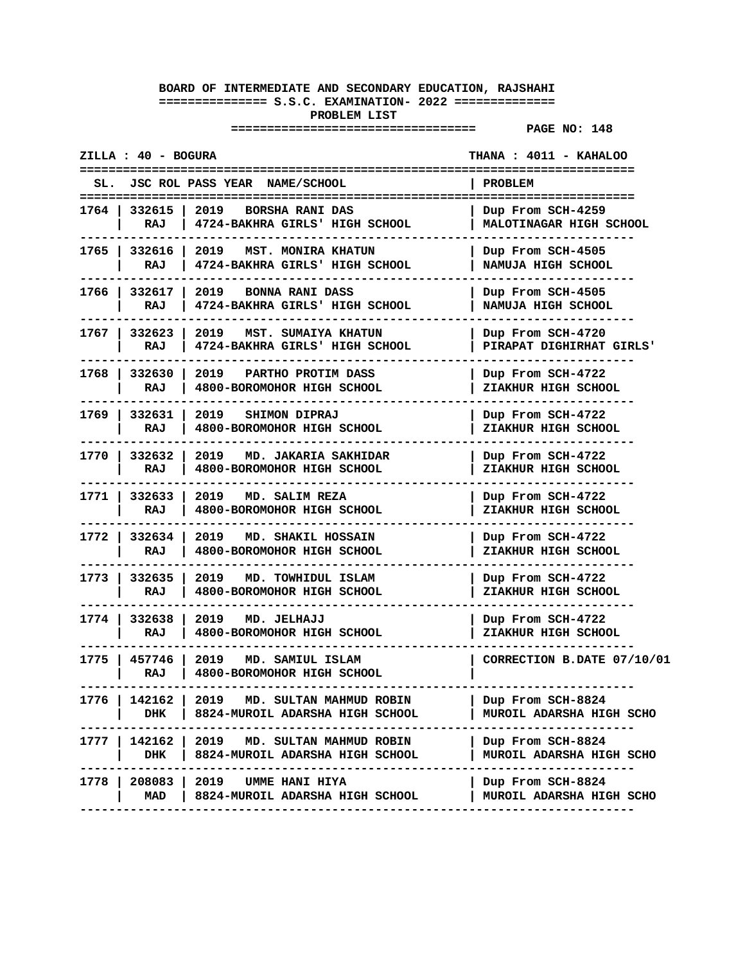|        | ZILLA : 40 - BOGURA    |                                                                                   | THANA : 4011 - KAHALOO                          |
|--------|------------------------|-----------------------------------------------------------------------------------|-------------------------------------------------|
| SL.    |                        | JSC ROL PASS YEAR NAME/SCHOOL                                                     | PROBLEM<br>-----------------------              |
|        | 1764   332615  <br>RAJ | 2019 BORSHA RANI DAS<br>4724-BAKHRA GIRLS' HIGH SCHOOL                            | Dup From SCH-4259<br>MALOTINAGAR HIGH SCHOOL    |
|        | 1765   332616  <br>RAJ | 2019 MST. MONIRA KHATUN<br>4724-BAKHRA GIRLS' HIGH SCHOOL                         | Dup From SCH-4505<br>NAMUJA HIGH SCHOOL         |
|        | 1766   332617<br>RAJ   | 2019 BONNA RANI DASS<br>4724-BAKHRA GIRLS' HIGH SCHOOL                            | Dup From SCH-4505<br>NAMUJA HIGH SCHOOL         |
| 1767 I | 332623<br>RAJ          | 2019<br>MST. SUMAIYA KHATUN<br>4724-BAKHRA GIRLS' HIGH SCHOOL                     | Dup From SCH-4720<br>PIRAPAT DIGHIRHAT GIRLS'   |
| 1768 I | 332630<br>RAJ          | 2019 PARTHO PROTIM DASS<br>4800-BOROMOHOR HIGH SCHOOL                             | Dup From SCH-4722<br>ZIAKHUR HIGH SCHOOL        |
|        | 1769   332631<br>RAJ   | 2019 SHIMON DIPRAJ<br>4800-BOROMOHOR HIGH SCHOOL                                  | Dup From SCH-4722<br>ZIAKHUR HIGH SCHOOL        |
|        | 1770   332632<br>RAJ   | 2019<br>MD. JAKARIA SAKHIDAR<br>4800-BOROMOHOR HIGH SCHOOL                        | Dup From SCH-4722<br>ZIAKHUR HIGH SCHOOL        |
| 1771 l | 332633<br>RAJ          | 2019 MD. SALIM REZA<br>4800-BOROMOHOR HIGH SCHOOL                                 | Dup From SCH-4722<br>ZIAKHUR HIGH SCHOOL        |
| 1772 I | 332634<br>RAJ          | 2019<br>MD. SHAKIL HOSSAIN<br>4800-BOROMOHOR HIGH SCHOOL                          | Dup From SCH-4722<br>ZIAKHUR HIGH SCHOOL        |
| 1773 I | 332635<br>RAJ          | 2019<br>MD. TOWHIDUL ISLAM<br>4800-BOROMOHOR HIGH SCHOOL                          | Dup From SCH-4722<br><b>ZIAKHUR HIGH SCHOOL</b> |
|        | 1774   332638<br>RAJ   | 2019 MD. JELHAJJ<br>4800-BOROMOHOR HIGH SCHOOL                                    | Dup From SCH-4722<br>ZIAKHUR HIGH SCHOOL        |
| 1775 l | 457746<br>RAJ          | 2019<br>MD. SAMIUL ISLAM<br>4800-BOROMOHOR HIGH SCHOOL                            | CORRECTION B.DATE 07/10/01                      |
| 1776 I | DHK                    | 142162   2019 MD. SULTAN MAHMUD ROBIN<br>8824-MUROIL ADARSHA HIGH SCHOOL          | Dup From SCH-8824<br>MUROIL ADARSHA HIGH SCHO   |
|        | DHK                    | 1777   142162   2019   MD. SULTAN MAHMUD ROBIN<br>8824-MUROIL ADARSHA HIGH SCHOOL | Dup From SCH-8824<br>MUROIL ADARSHA HIGH SCHO   |
| 1778   | 208083<br>MAD          | 2019<br>UMME HANI HIYA<br>8824-MUROIL ADARSHA HIGH SCHOOL                         | Dup From SCH-8824<br>MUROIL ADARSHA HIGH SCHO   |
|        |                        |                                                                                   |                                                 |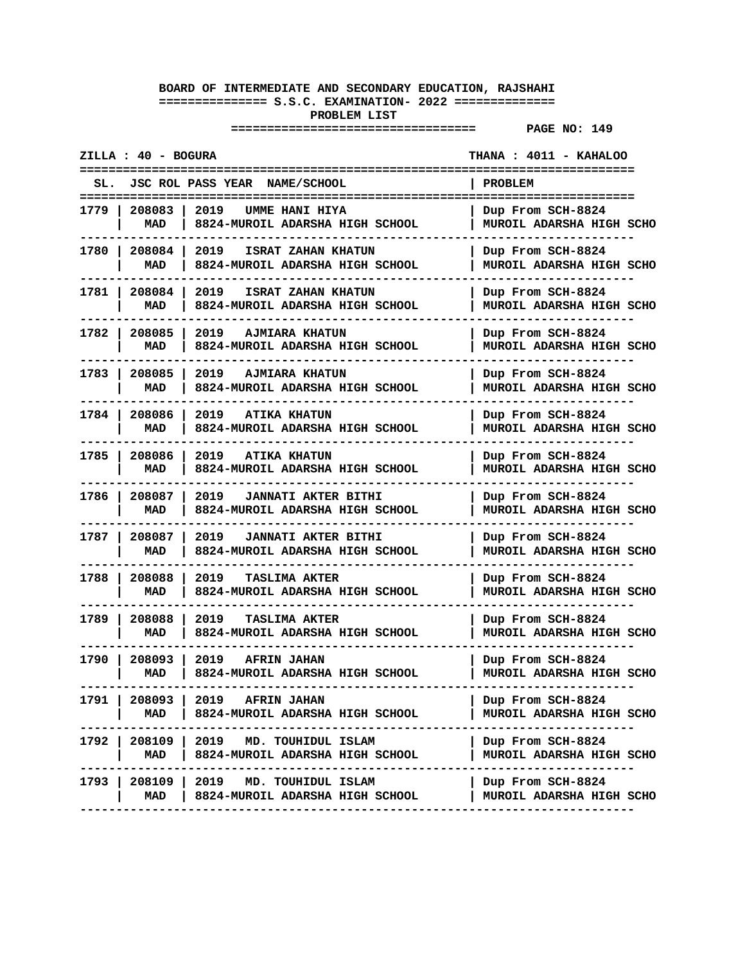**================================== PAGE NO: 149** 

**ZILLA : 40 - BOGURA THANA : 4011 - KAHALOO ============================================================================= SL. JSC ROL PASS YEAR NAME/SCHOOL | PROBLEM ============================================================================= 1779 | 208083 | 2019 UMME HANI HIYA | Dup From SCH-8824 | MAD | 8824-MUROIL ADARSHA HIGH SCHOOL | MUROIL ADARSHA HIGH SCHO ----------------------------------------------------------------------------- 1780 | 208084 | 2019 ISRAT ZAHAN KHATUN | Dup From SCH-8824 | MAD | 8824-MUROIL ADARSHA HIGH SCHOOL | MUROIL ADARSHA HIGH SCHO ----------------------------------------------------------------------------- 1781 | 208084 | 2019 ISRAT ZAHAN KHATUN | Dup From SCH-8824 | MAD | 8824-MUROIL ADARSHA HIGH SCHOOL | MUROIL ADARSHA HIGH SCHO ----------------------------------------------------------------------------- 1782 | 208085 | 2019 AJMIARA KHATUN | Dup From SCH-8824 | MAD | 8824-MUROIL ADARSHA HIGH SCHOOL | MUROIL ADARSHA HIGH SCHO ----------------------------------------------------------------------------- 1783 | 208085 | 2019 AJMIARA KHATUN | Dup From SCH-8824 | MAD | 8824-MUROIL ADARSHA HIGH SCHOOL | MUROIL ADARSHA HIGH SCHO ----------------------------------------------------------------------------- 1784 | 208086 | 2019 ATIKA KHATUN | Dup From SCH-8824 | MAD | 8824-MUROIL ADARSHA HIGH SCHOOL | MUROIL ADARSHA HIGH SCHO ----------------------------------------------------------------------------- 1785 | 208086 | 2019 ATIKA KHATUN | Dup From SCH-8824 | MAD | 8824-MUROIL ADARSHA HIGH SCHOOL | MUROIL ADARSHA HIGH SCHO ----------------------------------------------------------------------------- 1786 | 208087 | 2019 JANNATI AKTER BITHI | Dup From SCH-8824 | MAD | 8824-MUROIL ADARSHA HIGH SCHOOL | MUROIL ADARSHA HIGH SCHO ----------------------------------------------------------------------------- 1787 | 208087 | 2019 JANNATI AKTER BITHI | Dup From SCH-8824 | MAD | 8824-MUROIL ADARSHA HIGH SCHOOL | MUROIL ADARSHA HIGH SCHO ----------------------------------------------------------------------------- 1788 | 208088 | 2019 TASLIMA AKTER | Dup From SCH-8824 | MAD | 8824-MUROIL ADARSHA HIGH SCHOOL | MUROIL ADARSHA HIGH SCHO ----------------------------------------------------------------------------- 1789 | 208088 | 2019 TASLIMA AKTER | Dup From SCH-8824 | MAD | 8824-MUROIL ADARSHA HIGH SCHOOL | MUROIL ADARSHA HIGH SCHO -----------------------------------------------------------------------------** 1790 | 208093 | 2019 **AFRIN JAHAN | MAD | 8824-MUROIL ADARSHA HIGH SCHOOL | MUROIL ADARSHA HIGH SCHO -----------------------------------------------------------------------------** 1791 | 208093 | 2019 **AFRIN JAHAN | MAD | 8824-MUROIL ADARSHA HIGH SCHOOL | MUROIL ADARSHA HIGH SCHO ----------------------------------------------------------------------------- 1792 | 208109 | 2019 MD. TOUHIDUL ISLAM | Dup From SCH-8824 | MAD | 8824-MUROIL ADARSHA HIGH SCHOOL | MUROIL ADARSHA HIGH SCHO -----------------------------------------------------------------------------** 1793 | 208109 | 2019 **MD. TOUHIDUL ISLAM | MAD | 8824-MUROIL ADARSHA HIGH SCHOOL | MUROIL ADARSHA HIGH SCHO -----------------------------------------------------------------------------**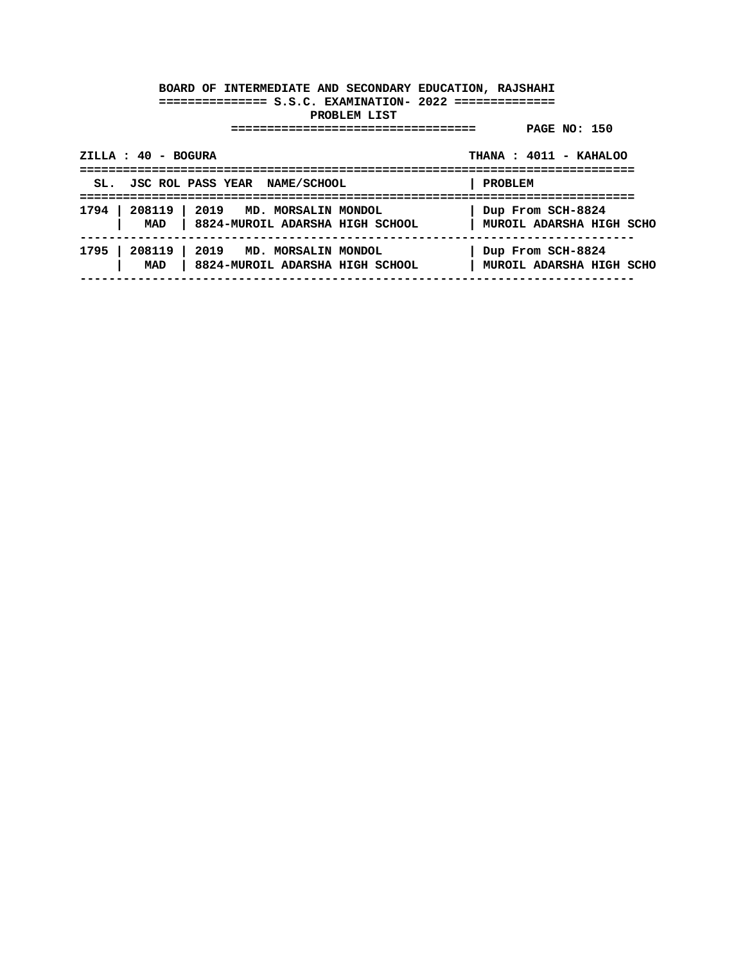| $ZILLA : 40 - BOGURA$                                                                 | THANA: 4011 - KAHALOO                         |  |
|---------------------------------------------------------------------------------------|-----------------------------------------------|--|
| SL. JSC ROL PASS YEAR NAME/SCHOOL                                                     | PROBLEM                                       |  |
| 1794   208119   2019 MD. MORSALIN MONDOL<br>MAD   8824-MUROIL ADARSHA HIGH SCHOOL     | Dup From SCH-8824<br>MUROIL ADARSHA HIGH SCHO |  |
| 208119<br>1795<br>  2019 MD. MORSALIN MONDOL<br>MAD   8824-MUROIL ADARSHA HIGH SCHOOL | Dup From SCH-8824<br>MUROIL ADARSHA HIGH SCHO |  |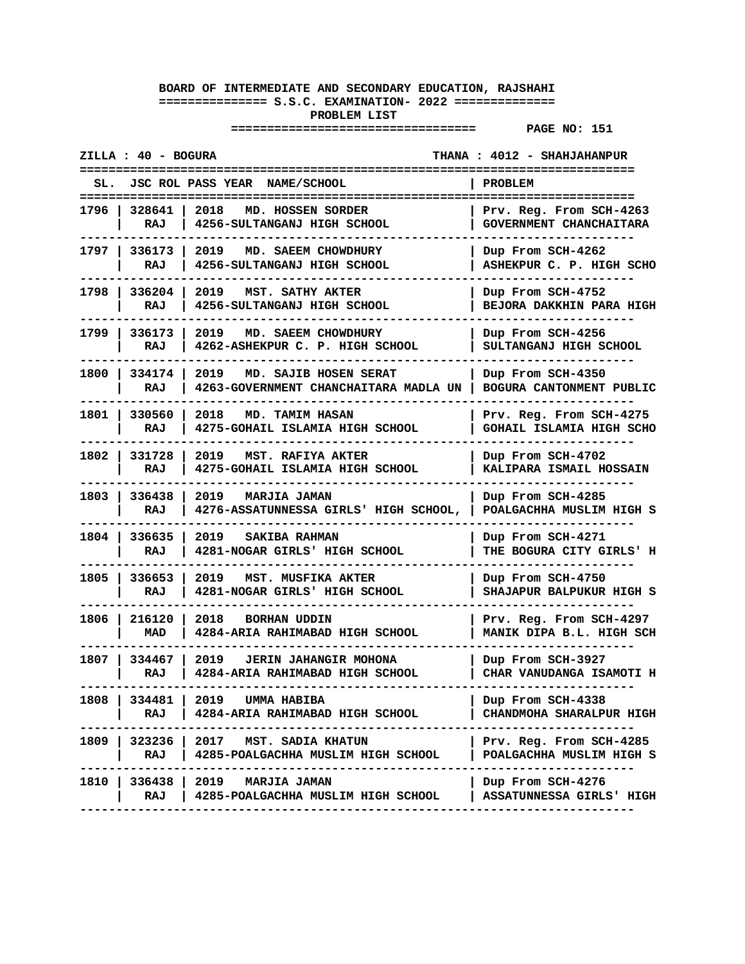| ZILLA : 40 - BOGURA<br>THANA : 4012 - SHAHJAHANPUR                                                                                                                |  |
|-------------------------------------------------------------------------------------------------------------------------------------------------------------------|--|
| JSC ROL PASS YEAR NAME/SCHOOL<br>SL.<br>PROBLEM<br>======================                                                                                         |  |
| 1796 l<br>328641 l<br>2018<br>Prv. Reg. From SCH-4263<br>MD. HOSSEN SORDER<br>RAJ<br>4256-SULTANGANJ HIGH SCHOOL<br>GOVERNMENT CHANCHAITARA                       |  |
| 1797   336173  <br>2019<br>MD. SAEEM CHOWDHURY<br>Dup From SCH-4262<br>ASHEKPUR C. P. HIGH SCHO<br>RAJ<br>4256-SULTANGANJ HIGH SCHOOL                             |  |
| 1798   336204<br>2019 -<br>MST. SATHY AKTER<br>Dup From SCH-4752<br>RAJ<br>4256-SULTANGANJ HIGH SCHOOL<br><b>BEJORA DAKKHIN PARA HIGH</b>                         |  |
| 1799 I<br>336173<br>2019<br>MD. SAEEM CHOWDHURY<br>Dup From SCH-4256<br>4262-ASHEKPUR C. P. HIGH SCHOOL<br>RAJ<br>SULTANGANJ HIGH SCHOOL                          |  |
| 1800 l<br>334174<br>2019<br>MD. SAJIB HOSEN SERAT<br>Dup From SCH-4350<br>RAJ<br>4263-GOVERNMENT CHANCHAITARA MADLA UN  <br>BOGURA CANTONMENT PUBLIC              |  |
| 2018<br>1801   330560<br><b>MD. TAMIM HASAN</b><br>Prv. Reg. From SCH-4275<br>RAJ<br>4275-GOHAIL ISLAMIA HIGH SCHOOL<br><b>GOHAIL ISLAMIA HIGH SCHO</b>           |  |
| 1802   331728<br>2019<br>MST. RAFIYA AKTER<br>Dup From SCH-4702<br>4275-GOHAIL ISLAMIA HIGH SCHOOL<br>KALIPARA ISMAIL HOSSAIN<br>RAJ                              |  |
| 1803   336438<br>2019<br><b>MARJIA JAMAN</b><br>Dup From SCH-4285<br>RAJ<br>4276-ASSATUNNESSA GIRLS' HIGH SCHOOL,<br>POALGACHHA MUSLIM HIGH S                     |  |
| 1804   336635<br>2019<br>SAKIBA RAHMAN<br>Dup From SCH-4271<br>4281-NOGAR GIRLS' HIGH SCHOOL<br>THE BOGURA CITY GIRLS' H<br>RAJ                                   |  |
| 1805 l<br>336653<br>Dup From SCH-4750<br>2019<br>MST. MUSFIKA AKTER<br>RAJ<br>4281-NOGAR GIRLS' HIGH SCHOOL<br>SHAJAPUR BALPUKUR HIGH S                           |  |
| 1806 I<br>216120 1<br>2018<br><b>BORHAN UDDIN</b><br>Prv. Req. From SCH-4297<br>MAD<br>4284-ARIA RAHIMABAD HIGH SCHOOL<br>MANIK DIPA B.L. HIGH SCH                |  |
| 1807   334467  <br>2019<br><b>JERIN JAHANGIR MOHONA</b><br>Dup From SCH-3927<br>4284-ARIA RAHIMABAD HIGH SCHOOL<br>CHAR VANUDANGA ISAMOTI H<br>RAJ                |  |
| 334481   2019 UMMA HABIBA<br>1808 l<br>Dup From SCH-4338<br>RAJ<br>4284-ARIA RAHIMABAD HIGH SCHOOL<br>CHANDMOHA SHARALPUR HIGH<br>----------------                |  |
| 1809   323236   2017 MST. SADIA KHATUN<br>Prv. Reg. From SCH-4285<br>4285-POALGACHHA MUSLIM HIGH SCHOOL<br>POALGACHHA MUSLIM HIGH S<br>RAJ                        |  |
| 1810 l<br>336438  <br>2019 MARJIA JAMAN<br>Dup From SCH-4276<br>4285-POALGACHHA MUSLIM HIGH SCHOOL<br>RAJ<br>  ASSATUNNESSA GIRLS' HIGH<br>---------------------- |  |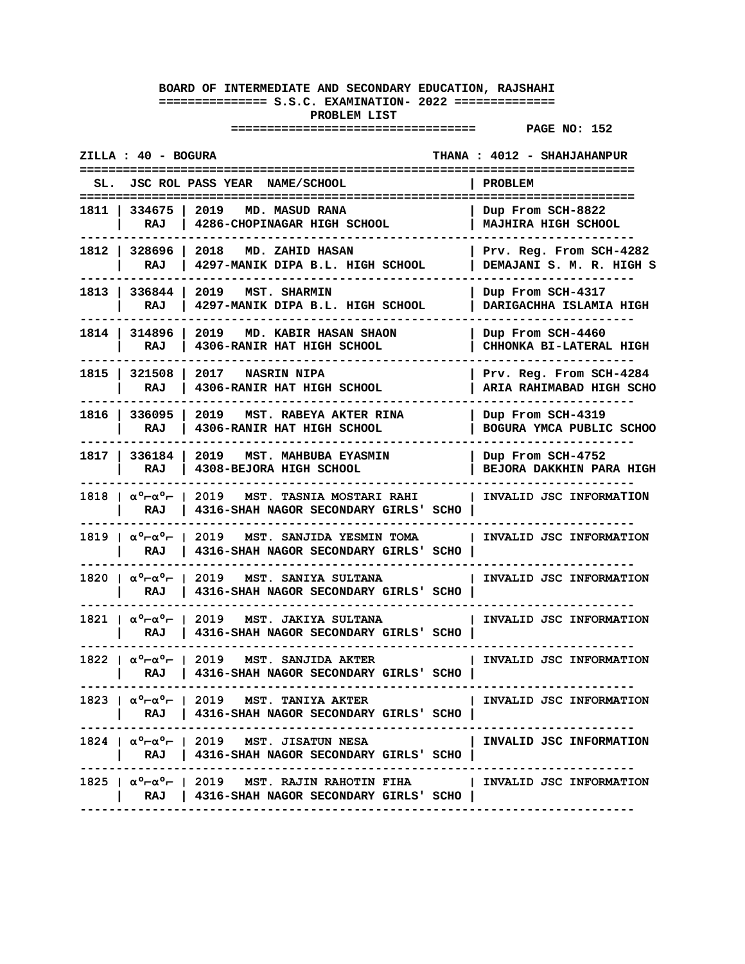| ZILLA : 40 - BOGURA                                                                                                                                        | THANA: 4012 - SHAHJAHANPUR                            |
|------------------------------------------------------------------------------------------------------------------------------------------------------------|-------------------------------------------------------|
| SL. JSC ROL PASS YEAR NAME/SCHOOL                                                                                                                          | PROBLEM                                               |
| 1811   334675   2019<br>MD. MASUD RANA<br>  4286-CHOPINAGAR HIGH SCHOOL<br>RAJ                                                                             | Dup From SCH-8822<br>  MAJHIRA HIGH SCHOOL            |
| 1812   328696   2018 MD. ZAHID HASAN<br>  4297-MANIK DIPA B.L. HIGH SCHOOL<br>RAJ                                                                          | Prv. Reg. From SCH-4282<br>DEMAJANI S. M. R. HIGH S   |
| 1813   336844   2019   MST. SHARMIN<br>RAJ<br>  4297-MANIK DIPA B.L. HIGH SCHOOL                                                                           | Dup From SCH-4317<br>DARIGACHHA ISLAMIA HIGH          |
| 1814   314896  <br>2019 MD. KABIR HASAN SHAON<br>RAJ<br>  4306-RANIR HAT HIGH SCHOOL                                                                       | Dup From SCH-4460<br>CHHONKA BI-LATERAL HIGH          |
| 1815   321508   2017   NASRIN NIPA<br>RAJ   4306-RANIR HAT HIGH SCHOOL                                                                                     | Prv. Reg. From SCH-4284  <br>ARIA RAHIMABAD HIGH SCHO |
| 1816   336095   2019   MST. RABEYA AKTER RINA<br>RAJ   4306-RANIR HAT HIGH SCHOOL                                                                          | Dup From SCH-4319  <br>  BOGURA YMCA PUBLIC SCHOO     |
| 1817   336184   2019   MST. MAHBUBA EYASMIN<br>RAJ   4308-BEJORA HIGH SCHOOL                                                                               | Dup From SCH-4752<br><b>BEJORA DAKKHIN PARA HIGH</b>  |
| 1818   αº-αº-   2019   MST. TASNIA MOSTARI RAHI     INVALID JSC INFORMATION<br>RAJ   4316-SHAH NAGOR SECONDARY GIRLS' SCHO                                 |                                                       |
| 1819   αº-αº-   2019   MST. SANJIDA YESMIN TOMA     INVALID JSC INFORMATION<br>RAJ   4316-SHAH NAGOR SECONDARY GIRLS' SCHO                                 |                                                       |
| 1820   αº-αº-   2019   MST. SANIYA SULTANA<br>RAJ   4316-SHAH NAGOR SECONDARY GIRLS' SCHO                                                                  | INVALID JSC INFORMATION                               |
| $1821$   $\alpha^0$ $\alpha^0$ $\vdash$   2019 MST. JAKIYA SULTANA<br>RAJ   4316-SHAH NAGOR SECONDARY GIRLS' SCHO                                          | INVALID JSC INFORMATION                               |
| $1822$ $\alpha$ <sup>o</sup> $\alpha$ <sup>o</sup> $\alpha$ <sup>o</sup> $\alpha$   2019 MST, SANJIDA AKTER<br>RAJ   4316-SHAH NAGOR SECONDARY GIRLS' SCHO | INVALID JSC INFORMATION                               |
| $1823$   $\alpha$ ° $\alpha$ ° $\vdash$   2019 MST. TANIYA AKTER<br>RAJ   4316-SHAH NAGOR SECONDARY GIRLS' SCHO                                            | I INVALID JSC INFORMATION                             |
| 1824   $\alpha^{\circ}$ $\alpha^{\circ}$ $\vdash$   2019 MST. JISATUN NESA<br>RAJ   4316-SHAH NAGOR SECONDARY GIRLS' SCHO                                  | INVALID JSC INFORMATION                               |
| $1825$   $\alpha^0$ - $\alpha^0$ -   2019 MST. RAJIN RAHOTIN FIHA   INVALID JSC INFORMATION<br>RAJ   4316-SHAH NAGOR SECONDARY GIRLS' SCHO                 |                                                       |
|                                                                                                                                                            |                                                       |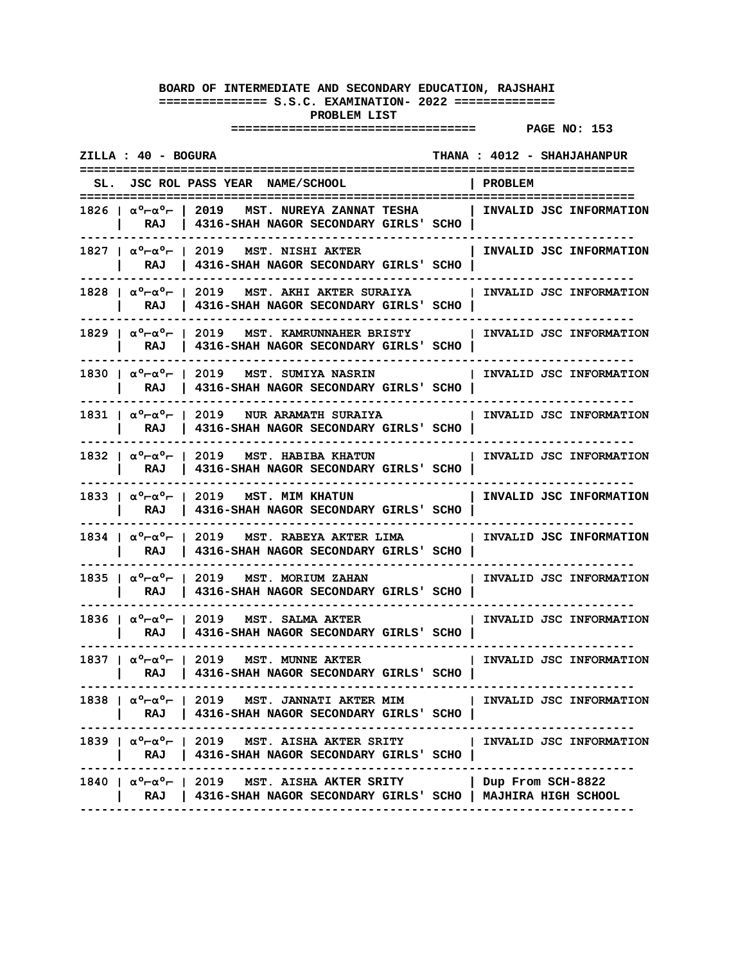| ZILLA : 40 - BOGURA                                                                                                                                                                          |         | THANA : 4012 - SHAHJAHANPUR |
|----------------------------------------------------------------------------------------------------------------------------------------------------------------------------------------------|---------|-----------------------------|
| SL. JSC ROL PASS YEAR NAME/SCHOOL                                                                                                                                                            | PROBLEM |                             |
| 1826   αº-αº-   2019   MST. NUREYA ZANNAT TESHA<br>RAJ<br>  4316-SHAH NAGOR SECONDARY GIRLS' SCHO                                                                                            |         | INVALID JSC INFORMATION     |
| 1827   α°-α°-   2019   MST. NISHI AKTER<br>RAJ   4316-SHAH NAGOR SECONDARY GIRLS' SCHO                                                                                                       |         | INVALID JSC INFORMATION     |
| $1828$   $\alpha^{\circ}$ - $\alpha^{\circ}$ -   2019 MST. AKHI AKTER SURAIYA   INVALID JSC INFORMATION<br>RAJ   4316-SHAH NAGOR SECONDARY GIRLS' SCHO                                       |         |                             |
| 1829   $\alpha^{\circ}$ - $\alpha^{\circ}$ -   2019   MST. KAMRUNNAHER BRISTY   INVALID JSC INFORMATION<br>RAJ   4316-SHAH NAGOR SECONDARY GIRLS' SCHO                                       |         |                             |
| 1830   αº-αº-   2019   MST. SUMIYA NASRIN<br>RAJ   4316-SHAH NAGOR SECONDARY GIRLS' SCHO                                                                                                     |         | INVALID JSC INFORMATION     |
| 1831   $\alpha^{\circ}$ - $\alpha^{\circ}$ -   2019   NUR ARAMATH SURAIYA   INVALID JSC INFORMATION<br>  RAJ   4316-SHAH NAGOR SECONDARY GIRLS' SCHO                                         |         |                             |
| 1832   $\alpha^{\circ}$ - $\alpha^{\circ}$ -   2019   MST. HABIBA KHATUN   INVALID JSC INFORMATION<br>RAJ   4316-SHAH NAGOR SECONDARY GIRLS' SCHO                                            |         |                             |
| 1833   $\alpha^{\circ}$ - $\alpha^{\circ}$ -   2019   MST. MIM KHATUN<br>RAJ   4316-SHAH NAGOR SECONDARY GIRLS' SCHO                                                                         |         | INVALID JSC INFORMATION     |
| 1834   $\alpha^{\circ}$ - $\alpha^{\circ}$ -   2019   MST. RABEYA AKTER LIMA   INVALID JSC INFORMATION<br>RAJ   4316-SHAH NAGOR SECONDARY GIRLS' SCHO                                        |         |                             |
| 1835   $\alpha$ ° $\vdash$ $\alpha$ ° $\vdash$   2019   MST. MORIUM ZAHAN<br>RAJ   4316-SHAH NAGOR SECONDARY GIRLS' SCHO                                                                     |         | INVALID JSC INFORMATION     |
| 1836   $\alpha^0$ - $\alpha^0$ -   2019   MST, SALMA AKTER<br>RAJ   4316-SHAH NAGOR SECONDARY GIRLS' SCHO                                                                                    |         | INVALID JSC INFORMATION     |
| $1837$   $\alpha^{\circ}$ $\vdash$ $\alpha^{\circ}$ $\vdash$   2019 MST. MUNNE AKTER<br>RAJ   4316-SHAH NAGOR SECONDARY GIRLS' SCHO                                                          |         | INVALID JSC INFORMATION     |
| 1838   $\alpha^{\circ}$ - $\alpha^{\circ}$ -   2019   MST. JANNATI AKTER MIM   INVALID JSC INFORMATION<br>RAJ   4316-SHAH NAGOR SECONDARY GIRLS' SCHO  <br>------------------------          |         |                             |
| 1839   $\alpha^{\circ}$ - $\alpha^{\circ}$ -   2019   MST. AISHA AKTER SRITY   INVALID JSC INFORMATION<br>RAJ   4316-SHAH NAGOR SECONDARY GIRLS' SCHO  <br>--------------------------------- |         |                             |
| 1840   $\alpha^0$ $\alpha^0$ $\tau$   2019 MST. AISHA AKTER SRITY   Dup From SCH-8822<br>RAJ   4316-SHAH NAGOR SECONDARY GIRLS' SCHO   MAJHIRA HIGH SCHOOL                                   |         |                             |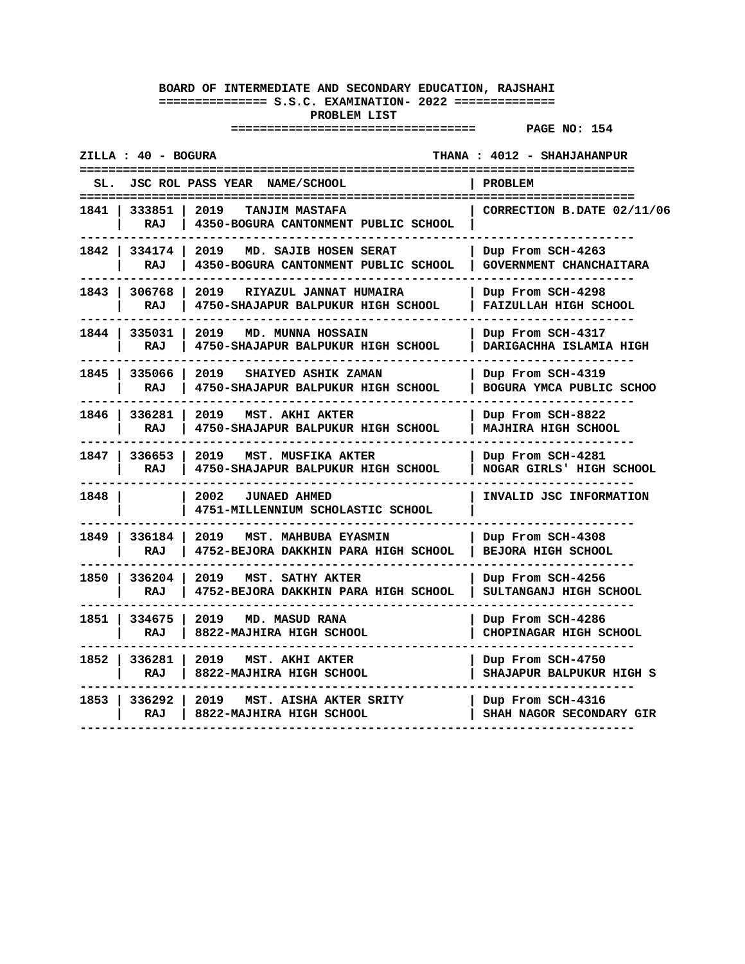| ZILLA : 40 - BOGURA     |                                                                        | THANA: 4012 - SHAHJAHANPUR                         |
|-------------------------|------------------------------------------------------------------------|----------------------------------------------------|
| SL.                     | JSC ROL PASS YEAR NAME/SCHOOL                                          | PROBLEM<br>====================                    |
| 1841<br>333851<br>RAJ   | 2019<br><b>TANJIM MASTAFA</b><br>4350-BOGURA CANTONMENT PUBLIC SCHOOL  | CORRECTION B.DATE 02/11/06                         |
| 1842<br>334174<br>RAJ   | 2019<br>MD. SAJIB HOSEN SERAT<br>4350-BOGURA CANTONMENT PUBLIC SCHOOL  | Dup From SCH-4263<br>GOVERNMENT CHANCHAITARA       |
| 1843   306768<br>RAJ    | 2019<br>RIYAZUL JANNAT HUMAIRA<br>4750-SHAJAPUR BALPUKUR HIGH SCHOOL   | Dup From SCH-4298<br><b>FAIZULLAH HIGH SCHOOL</b>  |
| 1844<br>335031<br>RAJ   | 2019<br><b>MD. MUNNA HOSSAIN</b><br>4750-SHAJAPUR BALPUKUR HIGH SCHOOL | Dup From SCH-4317<br>DARIGACHHA ISLAMIA HIGH       |
| 1845<br>335066<br>RAJ   | 2019<br>SHAIYED ASHIK ZAMAN<br>4750-SHAJAPUR BALPUKUR HIGH SCHOOL      | Dup From SCH-4319<br>BOGURA YMCA PUBLIC SCHOO      |
| 1846 l<br>336281<br>RAJ | 2019<br>MST. AKHI AKTER<br>4750-SHAJAPUR BALPUKUR HIGH SCHOOL          | Dup From SCH-8822<br>MAJHIRA HIGH SCHOOL           |
| 1847<br>336653<br>RAJ   | 2019<br>MST. MUSFIKA AKTER<br>4750-SHAJAPUR BALPUKUR HIGH SCHOOL       | Dup From SCH-4281<br>NOGAR GIRLS' HIGH SCHOOL      |
| 1848                    | 2002<br><b>JUNAED AHMED</b><br>4751-MILLENNIUM SCHOLASTIC SCHOOL       | INVALID JSC INFORMATION                            |
| 1849 I<br>336184<br>RAJ | 2019<br>MST. MAHBUBA EYASMIN<br>4752-BEJORA DAKKHIN PARA HIGH SCHOOL   | Dup From SCH-4308<br><b>BEJORA HIGH SCHOOL</b>     |
| 336204<br>1850<br>RAJ   | 2019<br>MST. SATHY AKTER<br>4752-BEJORA DAKKHIN PARA HIGH SCHOOL       | Dup From SCH-4256<br>SULTANGANJ HIGH SCHOOL        |
| 1851  <br>334675<br>RAJ | MD. MASUD RANA<br>2019<br>8822-MAJHIRA HIGH SCHOOL                     | Dup From SCH-4286<br><b>CHOPINAGAR HIGH SCHOOL</b> |
| 1852<br>336281<br>RAJ   | 2019<br>MST. AKHI AKTER<br>8822-MAJHIRA HIGH SCHOOL                    | Dup From SCH-4750<br>SHAJAPUR BALPUKUR HIGH S      |
| 1853<br>336292<br>RAJ   | 2019<br>MST. AISHA AKTER SRITY<br>8822-MAJHIRA HIGH SCHOOL             | Dup From SCH-4316<br>SHAH NAGOR SECONDARY GIR      |
|                         |                                                                        |                                                    |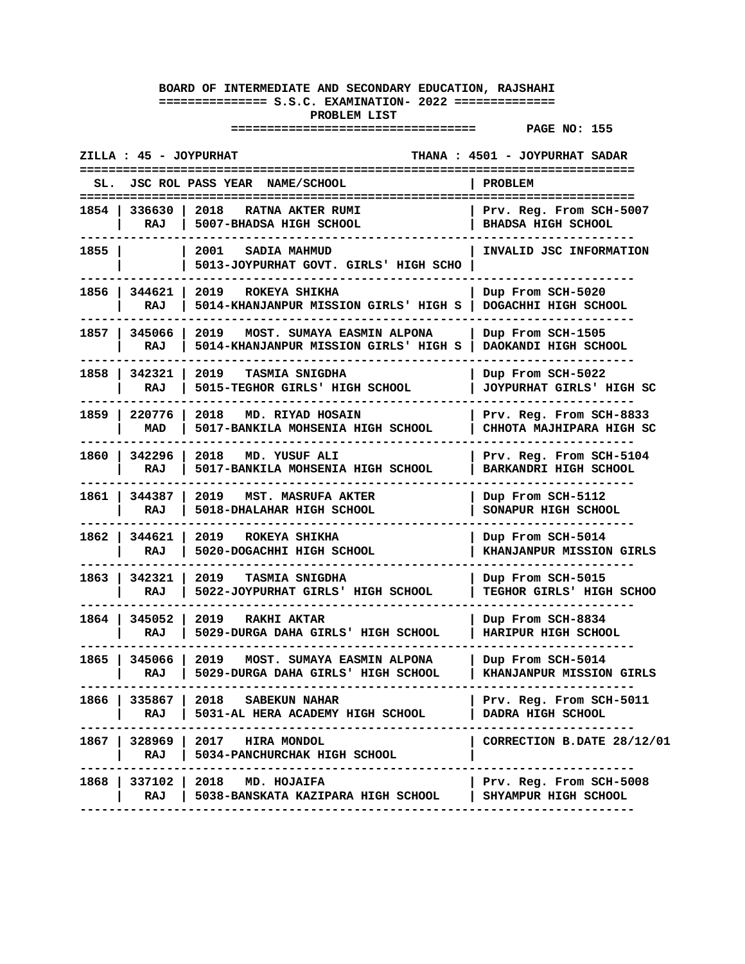|        | ZILLA : 45 - JOYPURHAT      |                                                                             | THANA : 4501 - JOYPURHAT SADAR                          |
|--------|-----------------------------|-----------------------------------------------------------------------------|---------------------------------------------------------|
| SL.    |                             | JSC ROL PASS YEAR NAME/SCHOOL                                               | <b>PROBLEM</b>                                          |
| 1854 I | 336630<br>RAJ               | 2018<br><b>RATNA AKTER RUMI</b><br>5007-BHADSA HIGH SCHOOL                  | Prv. Reg. From SCH-5007<br><b>BHADSA HIGH SCHOOL</b>    |
| 1855 l |                             | 2001 SADIA MAHMUD<br>5013-JOYPURHAT GOVT. GIRLS' HIGH SCHO                  | INVALID JSC INFORMATION                                 |
| 1856 l | 344621<br>RAJ               | 2019 ROKEYA SHIKHA<br>5014-KHANJANPUR MISSION GIRLS' HIGH S                 | Dup From SCH-5020<br>DOGACHHI HIGH SCHOOL               |
|        | 1857   345066<br>RAJ        | 2019<br>MOST. SUMAYA EASMIN ALPONA<br>5014-KHANJANPUR MISSION GIRLS' HIGH S | Dup From SCH-1505<br>DAOKANDI HIGH SCHOOL               |
| 1858 I | 342321<br>RAJ               | 2019<br><b>TASMIA SNIGDHA</b><br>5015-TEGHOR GIRLS' HIGH SCHOOL             | Dup From SCH-5022<br>JOYPURHAT GIRLS' HIGH SC           |
| 1859 I | 220776<br>MAD               | 2018 MD. RIYAD HOSAIN<br>5017-BANKILA MOHSENIA HIGH SCHOOL                  | Prv. Reg. From SCH-8833<br>CHHOTA MAJHIPARA HIGH SC     |
|        | 1860   342296<br>RAJ        | 2018 MD. YUSUF ALI<br>5017-BANKILA MOHSENIA HIGH SCHOOL                     | Prv. Reg. From SCH-5104<br><b>BARKANDRI HIGH SCHOOL</b> |
|        | 1861   344387<br>RAJ        | 2019<br><b>MST. MASRUFA AKTER</b><br>5018-DHALAHAR HIGH SCHOOL              | Dup From SCH-5112<br>SONAPUR HIGH SCHOOL                |
|        | 1862   344621<br>RAJ        | 2019<br>ROKEYA SHIKHA<br>5020-DOGACHHI HIGH SCHOOL                          | Dup From SCH-5014<br><b>KHANJANPUR MISSION GIRLS</b>    |
| 1863   | 342321<br>RAJ               | 2019<br><b>TASMIA SNIGDHA</b><br>5022-JOYPURHAT GIRLS' HIGH SCHOOL          | Dup From SCH-5015<br>TEGHOR GIRLS' HIGH SCHOO           |
| 1864 l | 345052<br>RAJ               | 2019 RAKHI AKTAR<br>5029-DURGA DAHA GIRLS' HIGH SCHOOL                      | Dup From SCH-8834<br>HARIPUR HIGH SCHOOL                |
| 1865 l | 345066 l<br>RAJ             | 2019<br>MOST. SUMAYA EASMIN ALPONA<br>5029-DURGA DAHA GIRLS' HIGH SCHOOL    | Dup From SCH-5014<br><b>KHANJANPUR MISSION GIRLS</b>    |
| 1866 l | RAJ                         | 335867   2018 SABEKUN NAHAR<br>5031-AL HERA ACADEMY HIGH SCHOOL             | Prv. Reg. From SCH-5011<br>DADRA HIGH SCHOOL            |
|        | RAJ                         | 1867   328969   2017 HIRA MONDOL<br>5034-PANCHURCHAK HIGH SCHOOL            | CORRECTION B.DATE 28/12/01                              |
|        | 1868   337102   2018<br>RAJ | <b>MD. HOJAIFA</b><br>5038-BANSKATA KAZIPARA HIGH SCHOOL                    | Prv. Reg. From SCH-5008  <br>SHYAMPUR HIGH SCHOOL       |
|        |                             |                                                                             |                                                         |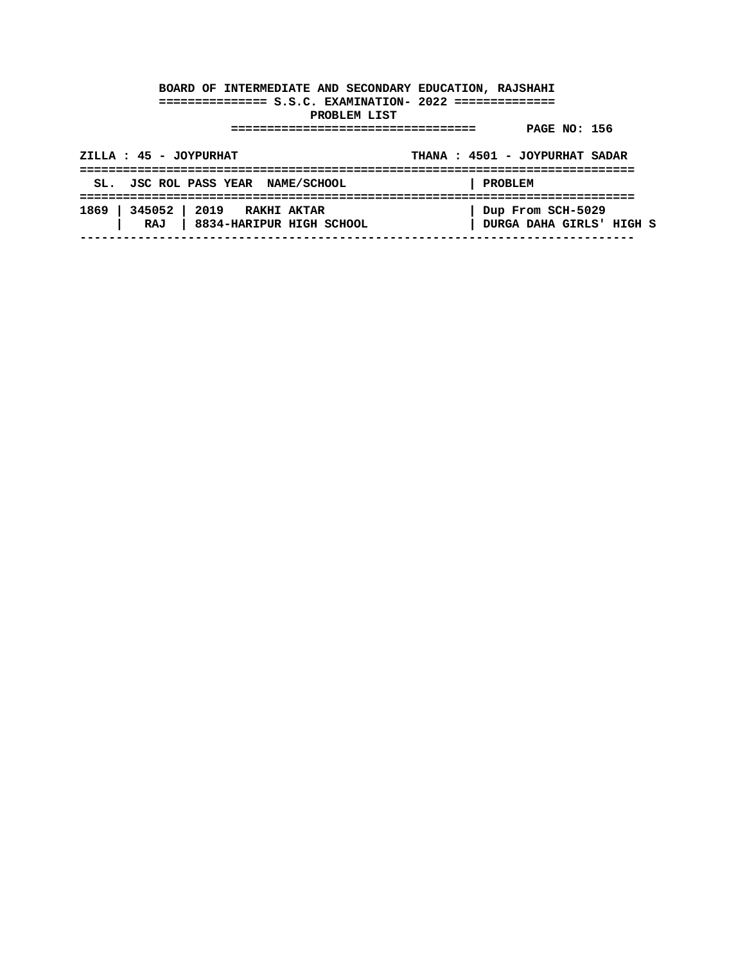| ZILLA : 45 - JOYPURHAT                                             | THANA: 4501 - JOYPURHAT SADAR                 |
|--------------------------------------------------------------------|-----------------------------------------------|
| SL. JSC ROL PASS YEAR NAME/SCHOOL                                  | PROBLEM                                       |
| 1869   345052   2019 RAKHI AKTAR<br>RAJ   8834-HARIPUR HIGH SCHOOL | Dup From SCH-5029<br>DURGA DAHA GIRLS' HIGH S |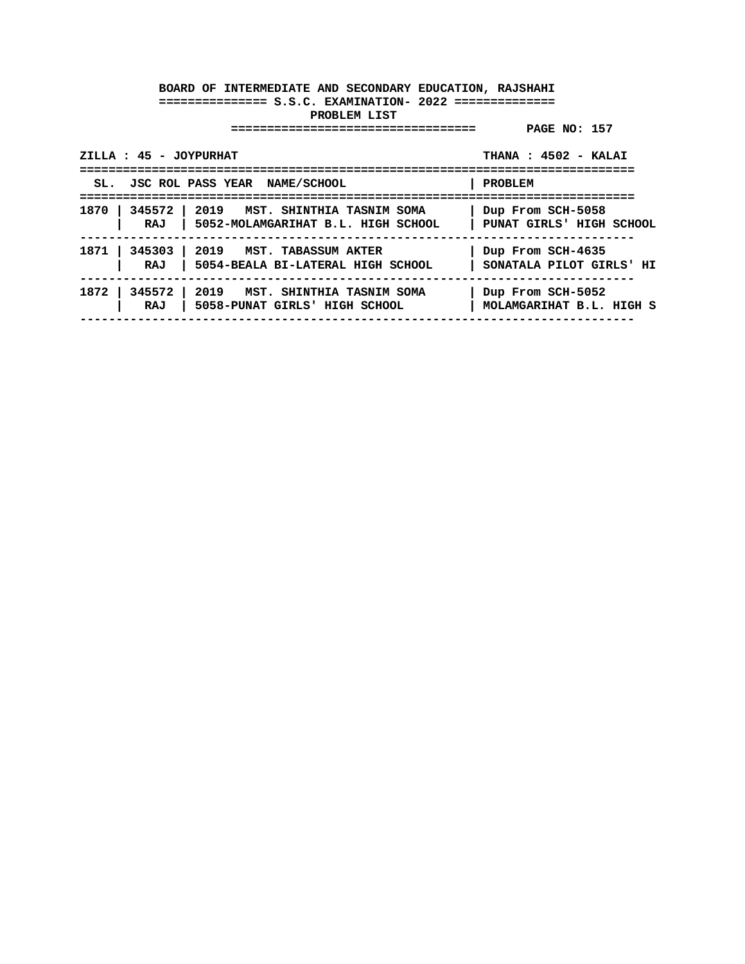| ZILLA : 45 - JOYPURHAT<br>.=======================                                            | THANA: 4502 - KALAI                           |
|-----------------------------------------------------------------------------------------------|-----------------------------------------------|
| SL. JSC ROL PASS YEAR NAME/SCHOOL                                                             | PROBLEM                                       |
| 1870   345572   2019 MST. SHINTHIA TASNIM SOMA<br>  5052-MOLAMGARIHAT B.L. HIGH SCHOOL<br>RAJ | Dup From SCH-5058<br>PUNAT GIRLS' HIGH SCHOOL |
| 1871   345303   2019 MST. TABASSUM AKTER<br>RAJ   5054-BEALA BI-LATERAL HIGH SCHOOL           | Dup From SCH-4635<br>SONATALA PILOT GIRLS' HI |
| 1872   345572   2019 MST. SHINTHIA TASNIM SOMA<br>RAJ<br>  5058-PUNAT GIRLS' HIGH SCHOOL      | Dup From SCH-5052<br>MOLAMGARIHAT B.L. HIGH S |
|                                                                                               |                                               |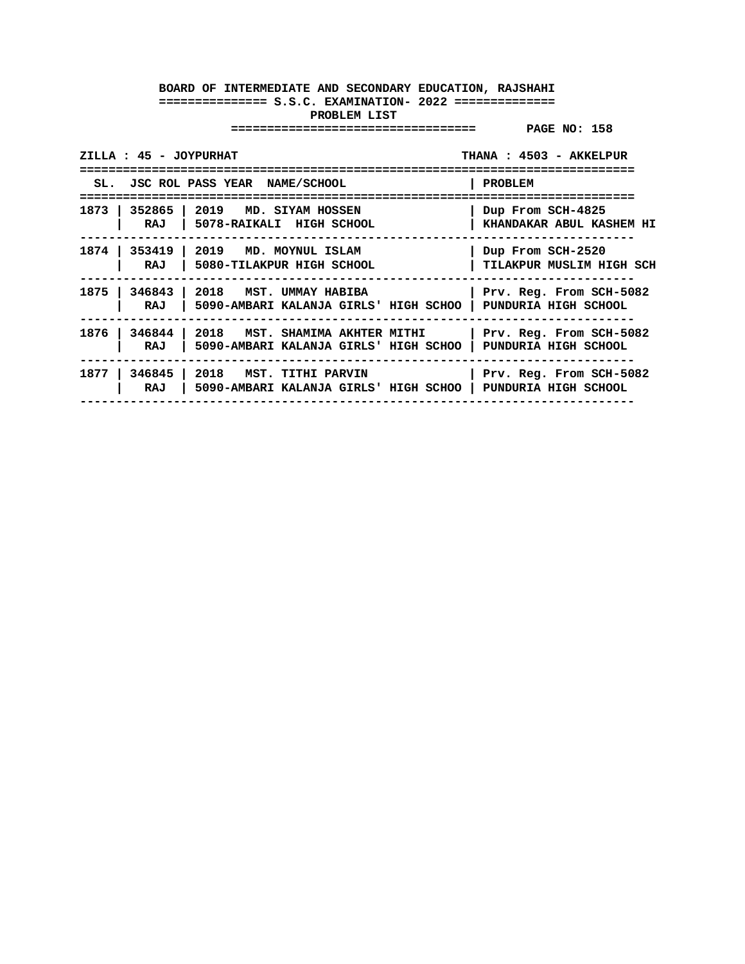| ZILLA : 45 - JOYPURHAT |                                                                                        | THANA: 4503 - AKKELPUR                                         |
|------------------------|----------------------------------------------------------------------------------------|----------------------------------------------------------------|
|                        | SL. JSC ROL PASS YEAR NAME/SCHOOL                                                      | PROBLEM                                                        |
| RAJ                    | ---------------<br>1873   352865   2019 MD. SIYAM HOSSEN<br>  5078-RAIKALI HIGH SCHOOL | -------------<br>Dup From SCH-4825<br>KHANDAKAR ABUL KASHEM HI |
| RAJ                    | 1874   353419   2019 MD. MOYNUL ISLAM<br>5080-TILAKPUR HIGH SCHOOL                     | Dup From SCH-2520<br>TILAKPUR MUSLIM HIGH SCH                  |
| RAJ                    | 1875   346843   2018   MST. UMMAY HABIBA<br>5090-AMBARI KALANJA GIRLS' HIGH SCHOO      | Prv. Reg. From SCH-5082<br>PUNDURIA HIGH SCHOOL                |
| 1876 l<br>RAJ          | $346844$   2018 MST. SHAMIMA AKHTER MITHI<br>5090-AMBARI KALANJA GIRLS' HIGH SCHOO     | Prv. Reg. From SCH-5082<br>PUNDURIA HIGH SCHOOL                |
| 1877<br>RAJ            | 346845   2018   MST. TITHI PARVIN<br>5090-AMBARI KALANJA GIRLS' HIGH SCHOO             | Prv. Reg. From SCH-5082<br>PUNDURIA HIGH SCHOOL                |
|                        |                                                                                        |                                                                |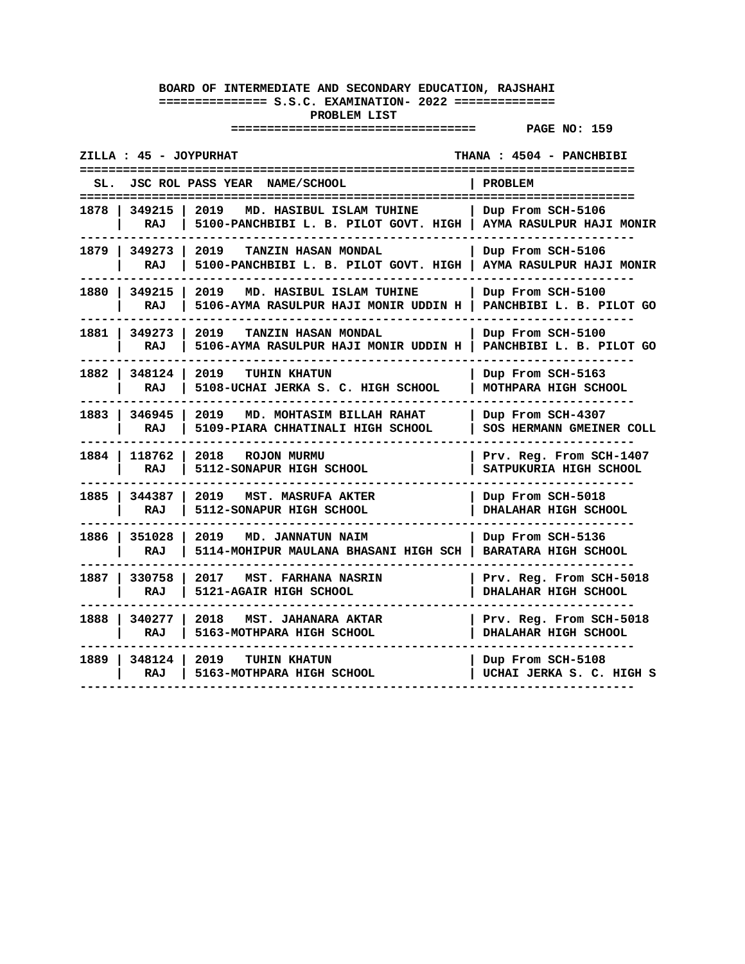| ZILLA : 45 - JOYPURHAT                                                                                 | THANA: 4504 - PANCHBIBI                                                     |
|--------------------------------------------------------------------------------------------------------|-----------------------------------------------------------------------------|
| SL. JSC ROL PASS YEAR NAME/SCHOOL                                                                      | <b>PROBLEM</b>                                                              |
| 2019 MD. HASIBUL ISLAM TUHINE<br>1878 I<br>349215 1<br>RAJ<br>5100-PANCHBIBI L. B. PILOT GOVT. HIGH    | .=====================<br>  Dup From SCH-5106<br>  AYMA RASULPUR HAJI MONIR |
| 1879   349273<br>2019<br>TANZIN HASAN MONDAL<br>RAJ<br>5100-PANCHBIBI L. B. PILOT GOVT. HIGH           | Dup From SCH-5106<br>AYMA RASULPUR HAJI MONIR                               |
| 1880 l<br>349215<br>2019<br>MD. HASIBUL ISLAM TUHINE<br>RAJ<br>5106-AYMA RASULPUR HAJI MONIR UDDIN H   | Dup From SCH-5100<br>PANCHBIBI L. B. PILOT GO                               |
| 1881 l<br>2019<br>349273<br>TANZIN HASAN MONDAL<br>RAJ<br>5106-AYMA RASULPUR HAJI MONIR UDDIN H        | Dup From SCH-5100<br>PANCHBIBI L. B. PILOT GO                               |
| 1882 l<br>348124 l<br>2019<br><b>TUHIN KHATUN</b><br>RAJ<br>5108-UCHAI JERKA S. C. HIGH SCHOOL         | Dup From SCH-5163<br>MOTHPARA HIGH SCHOOL                                   |
| 1883   346945  <br>2019<br>MD. MOHTASIM BILLAH RAHAT<br>5109-PIARA CHHATINALI HIGH SCHOOL<br>RAJ       | Dup From SCH-4307<br>SOS HERMANN GMEINER COLL                               |
| 1884 l<br>118762<br>2018<br><b>ROJON MURMU</b><br>5112-SONAPUR HIGH SCHOOL<br>RAJ                      | Prv. Reg. From SCH-1407<br>SATPUKURIA HIGH SCHOOL                           |
| 1885 I<br>344387 1<br>2019<br>MST. MASRUFA AKTER<br>RAJ<br>5112-SONAPUR HIGH SCHOOL                    | Dup From SCH-5018<br>DHALAHAR HIGH SCHOOL                                   |
| 1886 l<br>351028<br>2019<br><b>MD. JANNATUN NAIM</b><br>5114-MOHIPUR MAULANA BHASANI HIGH SCH  <br>RAJ | Dup From SCH-5136<br>BARATARA HIGH SCHOOL                                   |
| 1887 l<br>330758<br>2017 MST. FARHANA NASRIN<br>RAJ<br>5121-AGAIR HIGH SCHOOL                          | Prv. Reg. From SCH-5018<br><b>DHALAHAR HIGH SCHOOL</b>                      |
| 1888 l<br>340277 l<br>2018<br>MST. JAHANARA AKTAR<br>5163-MOTHPARA HIGH SCHOOL<br>RAJ                  | Prv. Reg. From SCH-5018<br>DHALAHAR HIGH SCHOOL                             |
| 1889 l<br>348124 l<br>2019<br><b>TUHIN KHATUN</b><br>5163-MOTHPARA HIGH SCHOOL<br>RAJ                  | Dup From SCH-5108<br>UCHAI JERKA S. C. HIGH S                               |